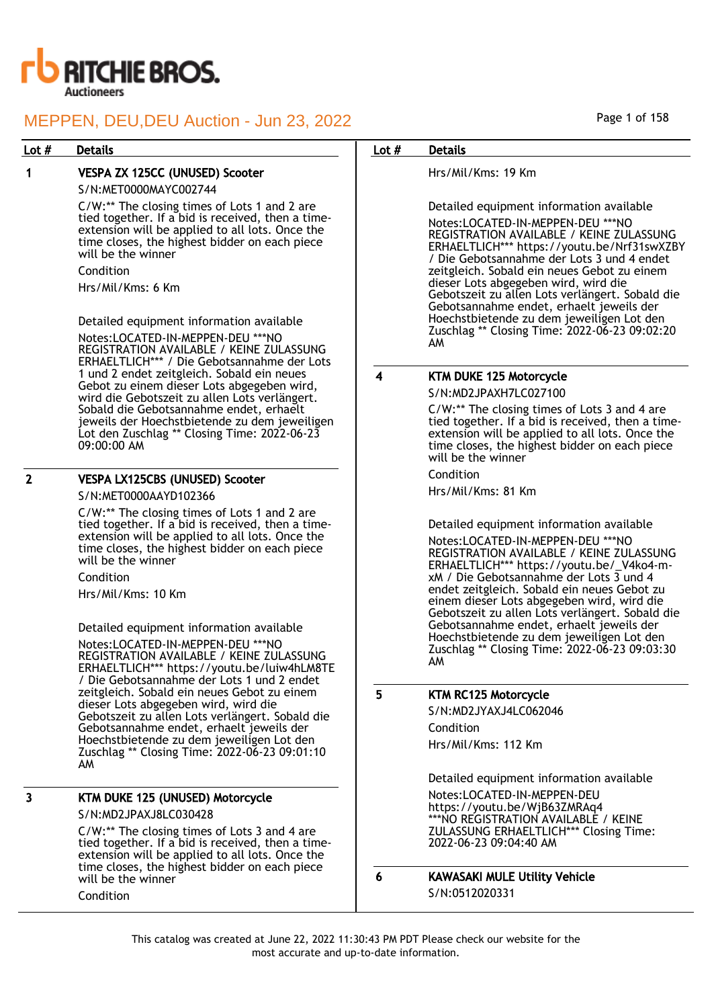

## Lot # Details **Details According to the United States Lot # Details**

## 1 VESPA ZX 125CC (UNUSED) Scooter

S/N:MET0000MAYC002744

C/W:\*\* The closing times of Lots 1 and 2 are tied together. If a bid is received, then a timeextension will be applied to all lots. Once the time closes, the highest bidder on each piece will be the winner

## Condition

Hrs/Mil/Kms: 6 Km

Detailed equipment information available Notes:LOCATED-IN-MEPPEN-DEU \*\*\*NO REGISTRATION AVAILABLE / KEINE ZULASSUNG ERHAELTLICH\*\*\* / Die Gebotsannahme der Lots 1 und 2 endet zeitgleich. Sobald ein neues Gebot zu einem dieser Lots abgegeben wird, wird die Gebotszeit zu allen Lots verlängert. Sobald die Gebotsannahme endet, erhaelt jeweils der Hoechstbietende zu dem jeweiligen Lot den Zuschlag \*\* Closing Time: 2022-06-23 09:00:00 AM

#### 2 VESPA LX125CBS (UNUSED) Scooter

S/N:MET0000AAYD102366

C/W:\*\* The closing times of Lots 1 and 2 are tied together. If a bid is received, then a timeextension will be applied to all lots. Once the time closes, the highest bidder on each piece will be the winner

Condition

Hrs/Mil/Kms: 10 Km

Detailed equipment information available Notes:LOCATED-IN-MEPPEN-DEU \*\*\*NO REGISTRATION AVAILABLE / KEINE ZULASSUNG ERHAELTLICH\*\*\* https://youtu.be/luiw4hLM8TE / Die Gebotsannahme der Lots 1 und 2 endet zeitgleich. Sobald ein neues Gebot zu einem dieser Lots abgegeben wird, wird die Gebotszeit zu allen Lots verlängert. Sobald die Gebotsannahme endet, erhaelt jeweils der Hoechstbietende zu dem jeweiligen Lot den Zuschlag \*\* Closing Time: 2022-06-23 09:01:10 AM

## 3 KTM DUKE 125 (UNUSED) Motorcycle S/N:MD2JPAXJ8LC030428

C/W:\*\* The closing times of Lots 3 and 4 are tied together. If a bid is received, then a timeextension will be applied to all lots. Once the time closes, the highest bidder on each piece will be the winner

#### Condition

Page 1 of 158

Hrs/Mil/Kms: 19 Km

Detailed equipment information available

Notes:LOCATED-IN-MEPPEN-DEU \*\*\*NO REGISTRATION AVAILABLE / KEINE ZULASSUNG ERHAELTLICH\*\*\* https://youtu.be/Nrf31swXZBY / Die Gebotsannahme der Lots 3 und 4 endet zeitgleich. Sobald ein neues Gebot zu einem dieser Lots abgegeben wird, wird die Gebotszeit zu allen Lots verlängert. Sobald die Gebotsannahme endet, erhaelt jeweils der Hoechstbietende zu dem jeweiligen Lot den Zuschlag \*\* Closing Time: 2022-06-23 09:02:20 AM

## 4 KTM DUKE 125 Motorcycle

S/N:MD2JPAXH7LC027100

C/W:\*\* The closing times of Lots 3 and 4 are tied together. If a bid is received, then a timeextension will be applied to all lots. Once the time closes, the highest bidder on each piece will be the winner

Condition

Hrs/Mil/Kms: 81 Km

Detailed equipment information available

Notes:LOCATED-IN-MEPPEN-DEU \*\*\*NO REGISTRATION AVAILABLE / KEINE ZULASSUNG ERHAELTLICH\*\*\* https://youtu.be/\_V4ko4-mxM / Die Gebotsannahme der Lots 3 und 4 endet zeitgleich. Sobald ein neues Gebot zu einem dieser Lots abgegeben wird, wird die Gebotszeit zu allen Lots verlängert. Sobald die Gebotsannahme endet, erhaelt jeweils der Hoechstbietende zu dem jeweiligen Lot den Zuschlag \*\* Closing Time: 2022-06-23 09:03:30 AM

### 5 KTM RC125 Motorcycle

S/N:MD2JYAXJ4LC062046 Condition Hrs/Mil/Kms: 112 Km

Detailed equipment information available Notes:LOCATED-IN-MEPPEN-DEU https://youtu.be/WjB63ZMRAq4 \*\*\*NO REGISTRATION AVAILABLE / KEINE ZULASSUNG ERHAELTLICH\*\*\* Closing Time: 2022-06-23 09:04:40 AM

6 KAWASAKI MULE Utility Vehicle S/N:0512020331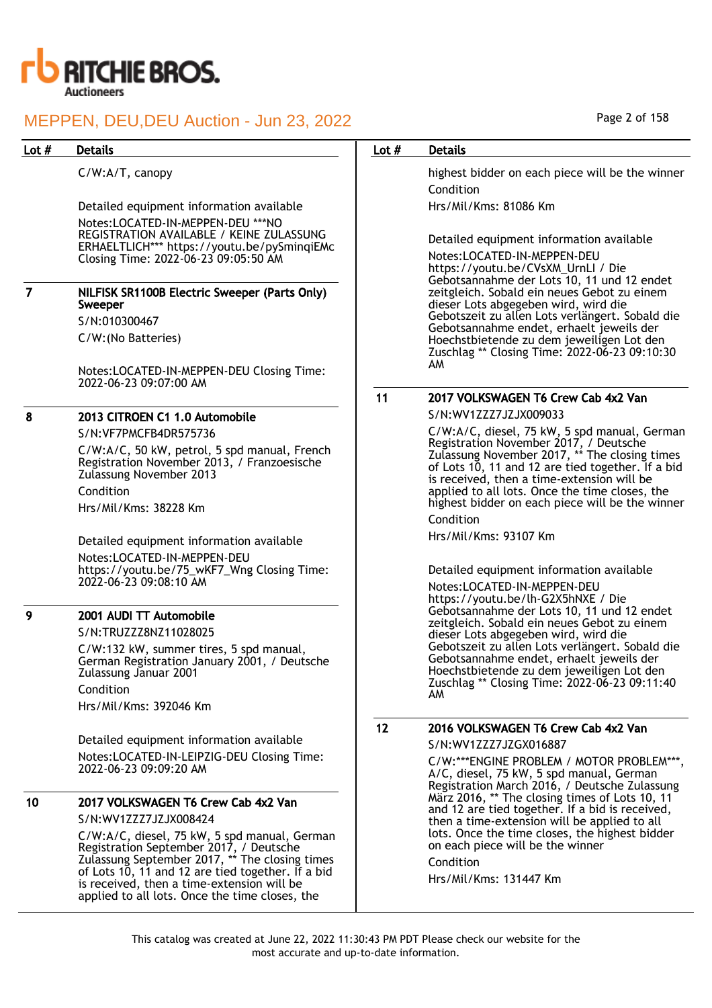

C/W:A/T, canopy

Detailed equipment information available Notes:LOCATED-IN-MEPPEN-DEU \*\*\*NO REGISTRATION AVAILABLE / KEINE ZULASSUNG ERHAELTLICH\*\*\* https://youtu.be/pySminqiEMc Closing Time: 2022-06-23 09:05:50 AM

| NILFISK SR1100B Electric Sweeper (Parts Only)<br>Sweeper |
|----------------------------------------------------------|
| S/N:010300467                                            |

C/W:(No Batteries)

Notes:LOCATED-IN-MEPPEN-DEU Closing Time: 2022-06-23 09:07:00 AM

## 8 2013 CITROEN C1 1.0 Automobile

S/N:VF7PMCFB4DR575736 C/W:A/C, 50 kW, petrol, 5 spd manual, French Registration November 2013, / Franzoesische Zulassung November 2013 Condition Hrs/Mil/Kms: 38228 Km

Detailed equipment information available Notes:LOCATED-IN-MEPPEN-DEU https://youtu.be/75\_wKF7\_Wng Closing Time: 2022-06-23 09:08:10 AM

## 9 2001 AUDI TT Automobile

S/N:TRUZZZ8NZ11028025

C/W:132 kW, summer tires, 5 spd manual, German Registration January 2001, / Deutsche Zulassung Januar 2001 Condition Hrs/Mil/Kms: 392046 Km

Detailed equipment information available Notes:LOCATED-IN-LEIPZIG-DEU Closing Time: 2022-06-23 09:09:20 AM

## 10 2017 VOLKSWAGEN T6 Crew Cab 4x2 Van

S/N:WV1ZZZ7JZJX008424

C/W:A/C, diesel, 75 kW, 5 spd manual, German Registration September 2017, / Deutsche Zulassung September 2017, \*\* The closing times of Lots 10, 11 and 12 are tied together. If a bid is received, then a time-extension will be applied to all lots. Once the time closes, the

## Page 2 of 158

## Lot # Details **Details According to the United States Lot # Details**

highest bidder on each piece will be the winner Condition Hrs/Mil/Kms: 81086 Km

Detailed equipment information available Notes:LOCATED-IN-MEPPEN-DEU https://youtu.be/CVsXM\_UrnLI / Die Gebotsannahme der Lots 10, 11 und 12 endet zeitgleich. Sobald ein neues Gebot zu einem dieser Lots abgegeben wird, wird die Gebotszeit zu allen Lots verlängert. Sobald die Gebotsannahme endet, erhaelt jeweils der Hoechstbietende zu dem jeweiligen Lot den Zuschlag \*\* Closing Time: 2022-06-23 09:10:30 AM

## 11 2017 VOLKSWAGEN T6 Crew Cab 4x2 Van

S/N:WV1ZZZ7JZJX009033

C/W:A/C, diesel, 75 kW, 5 spd manual, German Registration November 2017, / Deutsche Zulassung November 2017, \*\* The closing times of Lots 10, 11 and 12 are tied together. If a bid is received, then a time-extension will be applied to all lots. Once the time closes, the highest bidder on each piece will be the winner Condition

Hrs/Mil/Kms: 93107 Km

Detailed equipment information available

Notes:LOCATED-IN-MEPPEN-DEU https://youtu.be/lh-G2X5hNXE / Die Gebotsannahme der Lots 10, 11 und 12 endet zeitgleich. Sobald ein neues Gebot zu einem dieser Lots abgegeben wird, wird die Gebotszeit zu allen Lots verlängert. Sobald die Gebotsannahme endet, erhaelt jeweils der Hoechstbietende zu dem jeweiligen Lot den Zuschlag \*\* Closing Time: 2022-06-23 09:11:40 AM

## 12 2016 VOLKSWAGEN T6 Crew Cab 4x2 Van

S/N:WV1ZZZ7JZGX016887

C/W:\*\*\*ENGINE PROBLEM / MOTOR PROBLEM\*\*\*, A/C, diesel, 75 kW, 5 spd manual, German Registration March 2016, / Deutsche Zulassung März 2016, \*\* The closing times of Lots 10, 11 and 12 are tied together. If a bid is received, then a time-extension will be applied to all lots. Once the time closes, the highest bidder on each piece will be the winner

Condition

Hrs/Mil/Kms: 131447 Km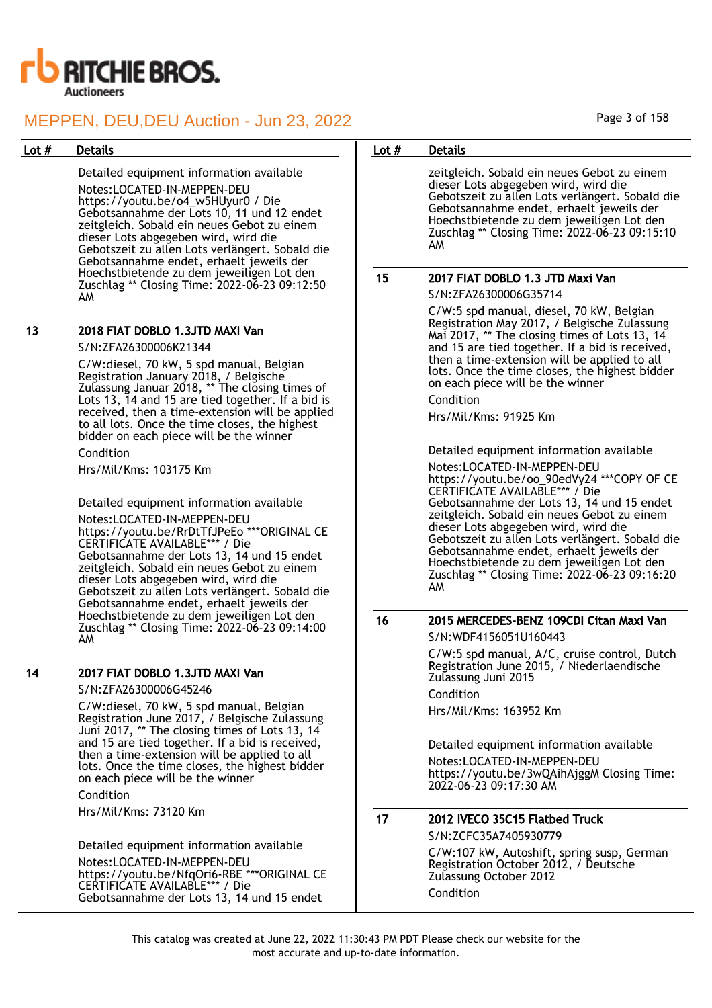

Detailed equipment information available Notes:LOCATED-IN-MEPPEN-DEU https://youtu.be/o4\_w5HUyur0 / Die Gebotsannahme der Lots 10, 11 und 12 endet zeitgleich. Sobald ein neues Gebot zu einem dieser Lots abgegeben wird, wird die Gebotszeit zu allen Lots verlängert. Sobald die Gebotsannahme endet, erhaelt jeweils der Hoechstbietende zu dem jeweiligen Lot den Zuschlag \*\* Closing Time: 2022-06-23 09:12:50 AM

### 13 2018 FIAT DOBLO 1.3JTD MAXI Van

#### S/N:ZFA26300006K21344

C/W:diesel, 70 kW, 5 spd manual, Belgian Registration January 2018, / Belgische Zulassung Januar 2018, \*\* The closing times of Lots 13, 14 and 15 are tied together. If a bid is received, then a time-extension will be applied to all lots. Once the time closes, the highest bidder on each piece will be the winner

Condition

Hrs/Mil/Kms: 103175 Km

Detailed equipment information available

Notes:LOCATED-IN-MEPPEN-DEU https://youtu.be/RrDtTfJPeEo \*\*\*ORIGINAL CE CERTIFICATE AVAILABLE\*\*\* / Die Gebotsannahme der Lots 13, 14 und 15 endet zeitgleich. Sobald ein neues Gebot zu einem dieser Lots abgegeben wird, wird die Gebotszeit zu allen Lots verlängert. Sobald die Gebotsannahme endet, erhaelt jeweils der Hoechstbietende zu dem jeweiligen Lot den Zuschlag \*\* Closing Time: 2022-06-23 09:14:00 AM

## 14 2017 FIAT DOBLO 1.3JTD MAXI Van

S/N:ZFA26300006G45246

C/W:diesel, 70 kW, 5 spd manual, Belgian Registration June 2017, / Belgische Zulassung Juni 2017, \*\* The closing times of Lots 13, 14 and 15 are tied together. If a bid is received, then a time-extension will be applied to all lots. Once the time closes, the highest bidder on each piece will be the winner

Condition Hrs/Mil/Kms: 73120 Km

Detailed equipment information available Notes:LOCATED-IN-MEPPEN-DEU https://youtu.be/NfqOri6-RBE \*\*\*ORIGINAL CE CERTIFICATE AVAILABLE\*\*\* / Die Gebotsannahme der Lots 13, 14 und 15 endet

### Lot # Details **Details According to the United States Lot # Details**

zeitgleich. Sobald ein neues Gebot zu einem dieser Lots abgegeben wird, wird die Gebotszeit zu allen Lots verlängert. Sobald die Gebotsannahme endet, erhaelt jeweils der Hoechstbietende zu dem jeweiligen Lot den Zuschlag \*\* Closing Time: 2022-06-23 09:15:10 AM

## 15 2017 FIAT DOBLO 1.3 JTD Maxi Van

S/N:ZFA26300006G35714

C/W:5 spd manual, diesel, 70 kW, Belgian Registration May 2017, / Belgische Zulassung Mai 2017, \*\* The closing times of Lots 13, 14 and 15 are tied together. If a bid is received, then a time-extension will be applied to all lots. Once the time closes, the highest bidder on each piece will be the winner

Condition

Hrs/Mil/Kms: 91925 Km

Detailed equipment information available

Notes:LOCATED-IN-MEPPEN-DEU https://youtu.be/oo\_90edVy24 \*\*\*COPY OF CE CERTIFICATE AVAILABLE\*\*\* / Die Gebotsannahme der Lots 13, 14 und 15 endet zeitgleich. Sobald ein neues Gebot zu einem dieser Lots abgegeben wird, wird die Gebotszeit zu allen Lots verlängert. Sobald die Gebotsannahme endet, erhaelt jeweils der Hoechstbietende zu dem jeweiligen Lot den Zuschlag \*\* Closing Time: 2022-06-23 09:16:20 AM

## 16 2015 MERCEDES-BENZ 109CDI Citan Maxi Van

S/N:WDF4156051U160443

C/W:5 spd manual, A/C, cruise control, Dutch Registration June 2015, / Niederlaendische Zulassung Juni 2015

Condition Hrs/Mil/Kms: 163952 Km

Detailed equipment information available Notes:LOCATED-IN-MEPPEN-DEU https://youtu.be/3wQAihAjggM Closing Time: 2022-06-23 09:17:30 AM

# 17 2012 IVECO 35C15 Flatbed Truck

S/N:ZCFC35A7405930779

C/W:107 kW, Autoshift, spring susp, German Registration October 2012, / Deutsche Zulassung October 2012 Condition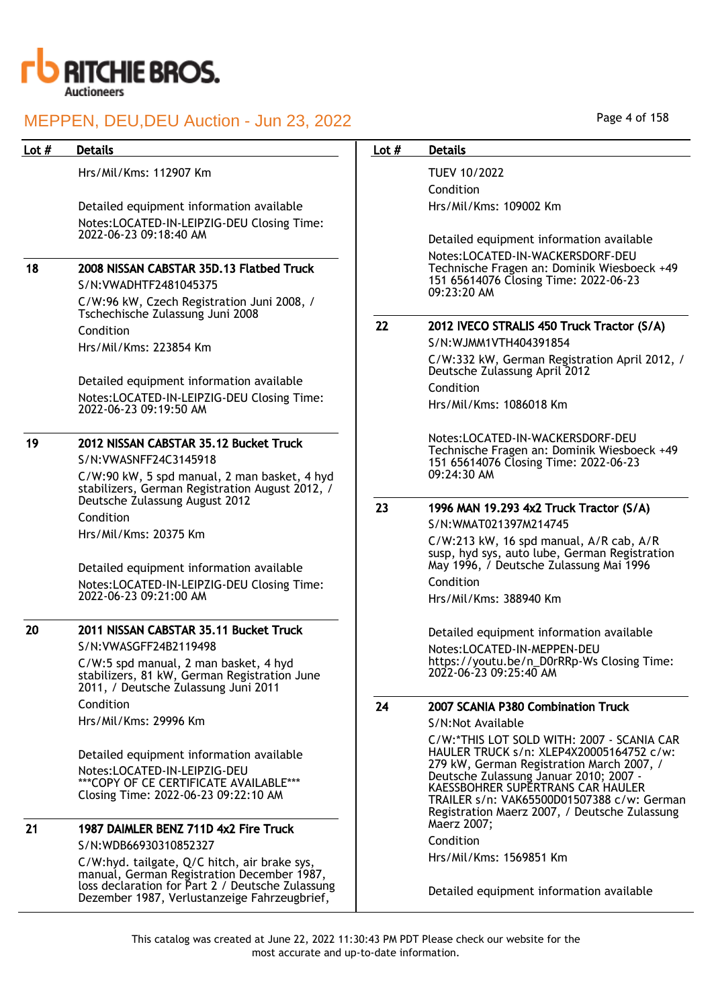

Hrs/Mil/Kms: 112907 Km

Detailed equipment information available Notes:LOCATED-IN-LEIPZIG-DEU Closing Time: 2022-06-23 09:18:40 AM

# 18 2008 NISSAN CABSTAR 35D.13 Flatbed Truck

S/N:VWADHTF2481045375 C/W:96 kW, Czech Registration Juni 2008, / Tschechische Zulassung Juni 2008 Condition Hrs/Mil/Kms: 223854 Km

Detailed equipment information available Notes:LOCATED-IN-LEIPZIG-DEU Closing Time: 2022-06-23 09:19:50 AM

# 19 2012 NISSAN CABSTAR 35.12 Bucket Truck

S/N:VWASNFF24C3145918

C/W:90 kW, 5 spd manual, 2 man basket, 4 hyd stabilizers, German Registration August 2012, / Deutsche Zulassung August 2012 Condition Hrs/Mil/Kms: 20375 Km

Detailed equipment information available Notes:LOCATED-IN-LEIPZIG-DEU Closing Time: 2022-06-23 09:21:00 AM

## 20 2011 NISSAN CABSTAR 35.11 Bucket Truck

S/N:VWASGFF24B2119498 C/W:5 spd manual, 2 man basket, 4 hyd stabilizers, 81 kW, German Registration June 2011, / Deutsche Zulassung Juni 2011 Condition Hrs/Mil/Kms: 29996 Km

Detailed equipment information available Notes:LOCATED-IN-LEIPZIG-DEU \*\*\*COPY OF CE CERTIFICATE AVAILABLE\*\*\* Closing Time: 2022-06-23 09:22:10 AM

# 21 1987 DAIMLER BENZ 711D 4x2 Fire Truck

S/N:WDB66930310852327 C/W:hyd. tailgate, Q/C hitch, air brake sys, manual, German Registration December 1987, loss declaration for Part 2 / Deutsche Zulassung Dezember 1987, Verlustanzeige Fahrzeugbrief,

## Page 4 of 158

## Lot # Details **Details According to the United States Lot # Details**

TUEV 10/2022 Condition Hrs/Mil/Kms: 109002 Km

Detailed equipment information available Notes:LOCATED-IN-WACKERSDORF-DEU Technische Fragen an: Dominik Wiesboeck +49 151 65614076 Closing Time: 2022-06-23 09:23:20 AM

## 22 2012 IVECO STRALIS 450 Truck Tractor (S/A)

S/N:WJMM1VTH404391854 C/W:332 kW, German Registration April 2012, / Deutsche Zulassung April 2012 Condition Hrs/Mil/Kms: 1086018 Km

Notes:LOCATED-IN-WACKERSDORF-DEU Technische Fragen an: Dominik Wiesboeck +49 151 65614076 Closing Time: 2022-06-23 09:24:30 AM

## 23 1996 MAN 19.293 4x2 Truck Tractor (S/A)

S/N:WMAT021397M214745

C/W:213 kW, 16 spd manual, A/R cab, A/R susp, hyd sys, auto lube, German Registration May 1996, / Deutsche Zulassung Mai 1996 Condition

Hrs/Mil/Kms: 388940 Km

Detailed equipment information available Notes:LOCATED-IN-MEPPEN-DEU https://youtu.be/n\_D0rRRp-Ws Closing Time: 2022-06-23 09:25:40 AM

## 24 2007 SCANIA P380 Combination Truck

S/N:Not Available

C/W:\*THIS LOT SOLD WITH: 2007 - SCANIA CAR HAULER TRUCK s/n: XLEP4X20005164752 c/w: 279 kW, German Registration March 2007, / Deutsche Zulassung Januar 2010; 2007 - KAESSBOHRER SUPERTRANS CAR HAULER TRAILER s/n: VAK65500D01507388 c/w: German Registration Maerz 2007, / Deutsche Zulassung Maerz 2007;

Condition

Hrs/Mil/Kms: 1569851 Km

Detailed equipment information available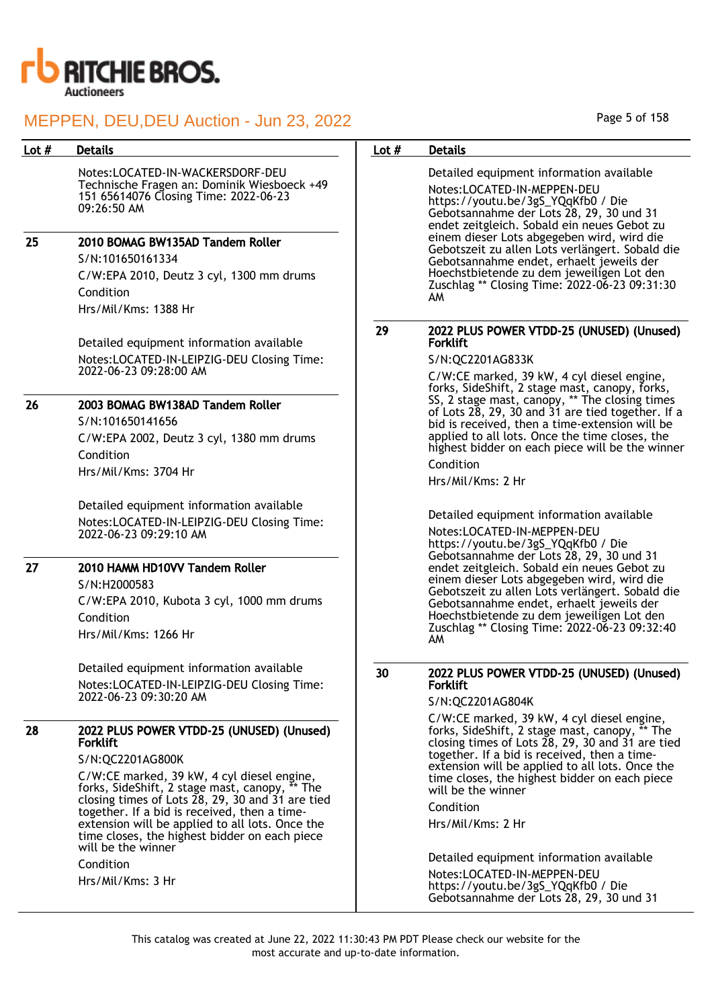

Notes:LOCATED-IN-WACKERSDORF-DEU Technische Fragen an: Dominik Wiesboeck +49 151 65614076 Closing Time: 2022-06-23 09:26:50 AM

## 25 2010 BOMAG BW135AD Tandem Roller

S/N:101650161334 C/W:EPA 2010, Deutz 3 cyl, 1300 mm drums Condition Hrs/Mil/Kms: 1388 Hr

Detailed equipment information available Notes:LOCATED-IN-LEIPZIG-DEU Closing Time: 2022-06-23 09:28:00 AM

## 26 2003 BOMAG BW138AD Tandem Roller

S/N:101650141656 C/W:EPA 2002, Deutz 3 cyl, 1380 mm drums Condition Hrs/Mil/Kms: 3704 Hr

Detailed equipment information available Notes:LOCATED-IN-LEIPZIG-DEU Closing Time: 2022-06-23 09:29:10 AM

## 27 2010 HAMM HD10VV Tandem Roller

S/N:H2000583

C/W:EPA 2010, Kubota 3 cyl, 1000 mm drums Condition Hrs/Mil/Kms: 1266 Hr

Detailed equipment information available Notes:LOCATED-IN-LEIPZIG-DEU Closing Time: 2022-06-23 09:30:20 AM

## 28 2022 PLUS POWER VTDD-25 (UNUSED) (Unused) Forklift

## S/N:QC2201AG800K

C/W:CE marked, 39 kW, 4 cyl diesel engine, forks, SideShift, 2 stage mast, canopy, \*\* The closing times of Lots 28, 29, 30 and 31 are tied together. If a bid is received, then a timeextension will be applied to all lots. Once the time closes, the highest bidder on each piece will be the winner

Condition

Hrs/Mil/Kms: 3 Hr

## Page 5 of 158

## Lot # Details **Details According to the United States Lot # Details**

Detailed equipment information available Notes:LOCATED-IN-MEPPEN-DEU https://youtu.be/3gS\_YQqKfb0 / Die Gebotsannahme der Lots 28, 29, 30 und 31 endet zeitgleich. Sobald ein neues Gebot zu einem dieser Lots abgegeben wird, wird die Gebotszeit zu allen Lots verlängert. Sobald die Gebotsannahme endet, erhaelt jeweils der Hoechstbietende zu dem jeweiligen Lot den Zuschlag \*\* Closing Time: 2022-06-23 09:31:30 AM

### 29 2022 PLUS POWER VTDD-25 (UNUSED) (Unused) Forklift

## S/N:QC2201AG833K

C/W:CE marked, 39 kW, 4 cyl diesel engine, forks, SideShift, 2 stage mast, canopy, forks, SS, 2 stage mast, canopy, \*\* The closing times of Lots 28, 29, 30 and 31 are tied together. If a bid is received, then a time-extension will be applied to all lots. Once the time closes, the highest bidder on each piece will be the winner Condition

Hrs/Mil/Kms: 2 Hr

Detailed equipment information available Notes:LOCATED-IN-MEPPEN-DEU https://youtu.be/3gS\_YQqKfb0 / Die Gebotsannahme der Lots 28, 29, 30 und 31 endet zeitgleich. Sobald ein neues Gebot zu einem dieser Lots abgegeben wird, wird die Gebotszeit zu allen Lots verlängert. Sobald die Gebotsannahme endet, erhaelt jeweils der Hoechstbietende zu dem jeweiligen Lot den Zuschlag \*\* Closing Time: 2022-06-23 09:32:40 AM

## 30 2022 PLUS POWER VTDD-25 (UNUSED) (Unused) Forklift

## S/N:QC2201AG804K

C/W:CE marked, 39 kW, 4 cyl diesel engine, forks, SideShift, 2 stage mast, canopy, \*\* The closing times of Lots 28, 29, 30 and 31 are tied together. If a bid is received, then a timeextension will be applied to all lots. Once the time closes, the highest bidder on each piece will be the winner

## Condition

Hrs/Mil/Kms: 2 Hr

Detailed equipment information available

Notes:LOCATED-IN-MEPPEN-DEU https://youtu.be/3gS\_YQqKfb0 / Die Gebotsannahme der Lots 28, 29, 30 und 31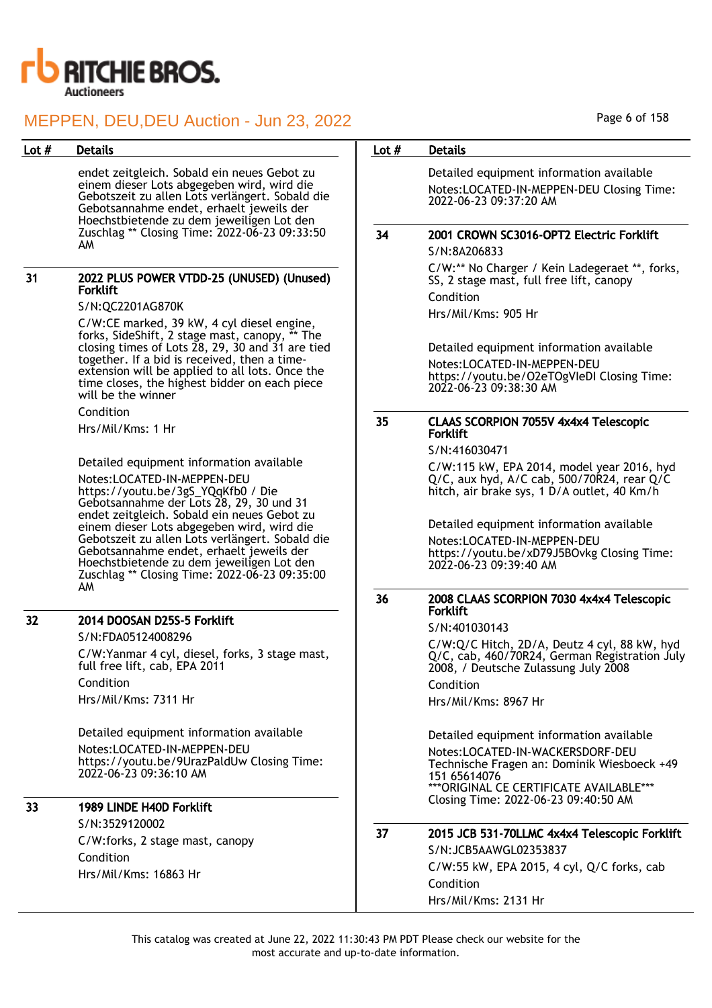

endet zeitgleich. Sobald ein neues Gebot zu einem dieser Lots abgegeben wird, wird die Gebotszeit zu allen Lots verlängert. Sobald die Gebotsannahme endet, erhaelt jeweils der Hoechstbietende zu dem jeweiligen Lot den Zuschlag \*\* Closing Time: 2022-06-23 09:33:50 AM

### 31 2022 PLUS POWER VTDD-25 (UNUSED) (Unused) Forklift

S/N:QC2201AG870K

C/W:CE marked, 39 kW, 4 cyl diesel engine, forks, SideShift, 2 stage mast, canopy, \*\* The closing times of Lots 28, 29, 30 and 31 are tied together. If a bid is received, then a timeextension will be applied to all lots. Once the time closes, the highest bidder on each piece will be the winner

Condition

Hrs/Mil/Kms: 1 Hr

Detailed equipment information available Notes:LOCATED-IN-MEPPEN-DEU https://youtu.be/3gS\_YQqKfb0 / Die Gebotsannahme der Lots 28, 29, 30 und 31 endet zeitgleich. Sobald ein neues Gebot zu einem dieser Lots abgegeben wird, wird die Gebotszeit zu allen Lots verlängert. Sobald die Gebotsannahme endet, erhaelt jeweils der Hoechstbietende zu dem jeweiligen Lot den Zuschlag \*\* Closing Time: 2022-06-23 09:35:00 AM

## 32 2014 DOOSAN D25S-5 Forklift

S/N:FDA05124008296 C/W:Yanmar 4 cyl, diesel, forks, 3 stage mast, full free lift, cab, EPA 2011 Condition Hrs/Mil/Kms: 7311 Hr

Detailed equipment information available Notes:LOCATED-IN-MEPPEN-DEU https://youtu.be/9UrazPaldUw Closing Time: 2022-06-23 09:36:10 AM

## 33 1989 LINDE H40D Forklift

S/N:3529120002 C/W:forks, 2 stage mast, canopy Condition Hrs/Mil/Kms: 16863 Hr

## Lot # Details **Details According to the United States Lot # Details**

Detailed equipment information available Notes:LOCATED-IN-MEPPEN-DEU Closing Time: 2022-06-23 09:37:20 AM

# 34 2001 CROWN SC3016-OPT2 Electric Forklift

S/N:8A206833 C/W:\*\* No Charger / Kein Ladegeraet \*\*, forks, SS, 2 stage mast, full free lift, canopy Condition Hrs/Mil/Kms: 905 Hr

Detailed equipment information available Notes:LOCATED-IN-MEPPEN-DEU https://youtu.be/O2eTOgVIeDI Closing Time: 2022-06-23 09:38:30 AM

### 35 CLAAS SCORPION 7055V 4x4x4 Telescopic Forklift

S/N:416030471

C/W:115 kW, EPA 2014, model year 2016, hyd Q/C, aux hyd, A/C cab, 500/70R24, rear Q/C hitch, air brake sys, 1 D/A outlet, 40 Km/h

Detailed equipment information available Notes:LOCATED-IN-MEPPEN-DEU https://youtu.be/xD79J5BOvkg Closing Time: 2022-06-23 09:39:40 AM

## 36 2008 CLAAS SCORPION 7030 4x4x4 Telescopic Forklift

S/N:401030143

C/W:Q/C Hitch, 2D/A, Deutz 4 cyl, 88 kW, hyd Q/C, cab, 460/70R24, German Registration July 2008, / Deutsche Zulassung July 2008 Condition

Hrs/Mil/Kms: 8967 Hr

Detailed equipment information available Notes:LOCATED-IN-WACKERSDORF-DEU Technische Fragen an: Dominik Wiesboeck +49 151 65614076 \*\*\*ORIGINAL CE CERTIFICATE AVAILABLE\*\*\* Closing Time: 2022-06-23 09:40:50 AM

## 37 2015 JCB 531-70LLMC 4x4x4 Telescopic Forklift S/N:JCB5AAWGL02353837

C/W:55 kW, EPA 2015, 4 cyl, Q/C forks, cab Condition Hrs/Mil/Kms: 2131 Hr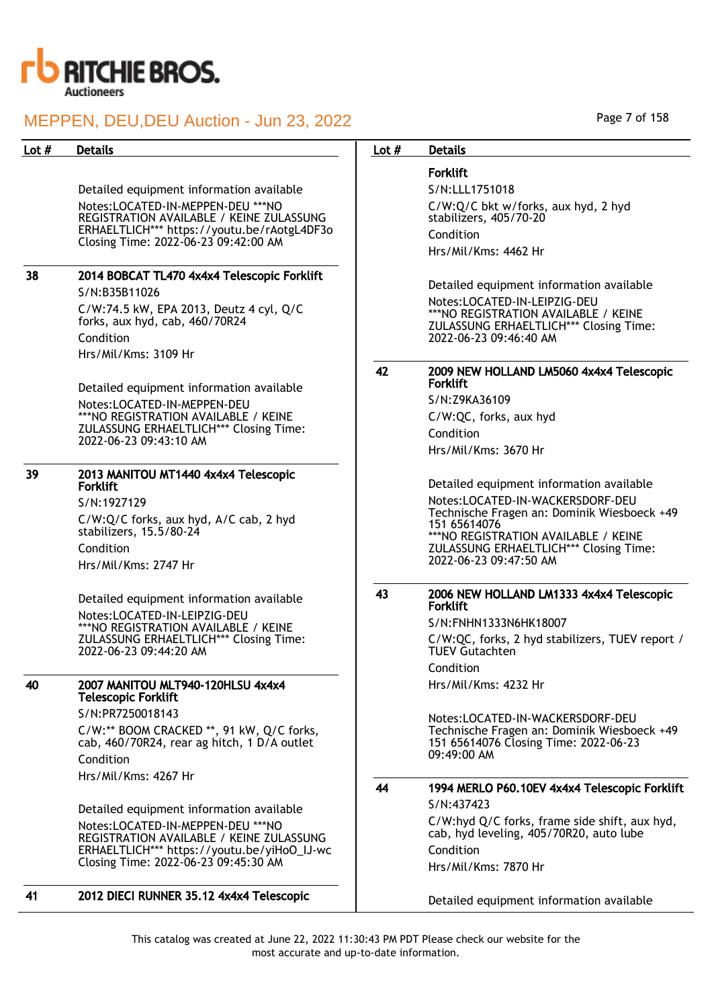

Detailed equipment information available Notes:LOCATED-IN-MEPPEN-DEU \*\*\*NO REGISTRATION AVAILABLE / KEINE ZULASSUNG ERHAELTLICH\*\*\* https://youtu.be/rAotgL4DF3o Closing Time: 2022-06-23 09:42:00 AM

# 38 2014 BOBCAT TL470 4x4x4 Telescopic Forklift

S/N:B35B11026 C/W:74.5 kW, EPA 2013, Deutz 4 cyl, Q/C forks, aux hyd, cab, 460/70R24 Condition Hrs/Mil/Kms: 3109 Hr

Detailed equipment information available Notes:LOCATED-IN-MEPPEN-DEU \*\*\*NO REGISTRATION AVAILABLE / KEINE ZULASSUNG ERHAELTLICH\*\*\* Closing Time: 2022-06-23 09:43:10 AM

## 39 2013 MANITOU MT1440 4x4x4 Telescopic Forklift

S/N:1927129 C/W:Q/C forks, aux hyd, A/C cab, 2 hyd stabilizers, 15.5/80-24 Condition

Hrs/Mil/Kms: 2747 Hr

Detailed equipment information available Notes:LOCATED-IN-LEIPZIG-DEU \*\*\*NO REGISTRATION AVAILABLE / KEINE ZULASSUNG ERHAELTLICH\*\*\* Closing Time: 2022-06-23 09:44:20 AM

### 40 2007 MANITOU MLT940-120HLSU 4x4x4 Telescopic Forklift

S/N:PR7250018143 C/W:\*\* BOOM CRACKED \*\*, 91 kW, Q/C forks, cab, 460/70R24, rear ag hitch, 1 D/A outlet Condition Hrs/Mil/Kms: 4267 Hr

Detailed equipment information available Notes:LOCATED-IN-MEPPEN-DEU \*\*\*NO REGISTRATION AVAILABLE / KEINE ZULASSUNG ERHAELTLICH\*\*\* https://youtu.be/yiHoO\_IJ-wc Closing Time: 2022-06-23 09:45:30 AM

Page 7 of 158

## Lot # Details **Details According to the United States Lot # Details**

## Forklift

S/N:LLL1751018 C/W:Q/C bkt w/forks, aux hyd, 2 hyd stabilizers, 405/70-20 Condition Hrs/Mil/Kms: 4462 Hr

Detailed equipment information available Notes:LOCATED-IN-LEIPZIG-DEU \*\*\*NO REGISTRATION AVAILABLE / KEINE ZULASSUNG ERHAELTLICH\*\*\* Closing Time: 2022-06-23 09:46:40 AM

## 42 2009 NEW HOLLAND LM5060 4x4x4 Telescopic Forklift

S/N:Z9KA36109 C/W:QC, forks, aux hyd Condition Hrs/Mil/Kms: 3670 Hr

Detailed equipment information available Notes:LOCATED-IN-WACKERSDORF-DEU Technische Fragen an: Dominik Wiesboeck +49 151 65614076 \*\*\*NO REGISTRATION AVAILABLE / KEINE ZULASSUNG ERHAELTLICH\*\*\* Closing Time: 2022-06-23 09:47:50 AM

### 43 2006 NEW HOLLAND LM1333 4x4x4 Telescopic Forklift

S/N:FNHN1333N6HK18007 C/W:QC, forks, 2 hyd stabilizers, TUEV report / TUEV Gutachten Condition Hrs/Mil/Kms: 4232 Hr

Notes:LOCATED-IN-WACKERSDORF-DEU Technische Fragen an: Dominik Wiesboeck +49 151 65614076 Closing Time: 2022-06-23 09:49:00 AM

# 44 1994 MERLO P60.10EV 4x4x4 Telescopic Forklift

S/N:437423 C/W:hyd Q/C forks, frame side shift, aux hyd, cab, hyd leveling, 405/70R20, auto lube Condition Hrs/Mil/Kms: 7870 Hr

Detailed equipment information available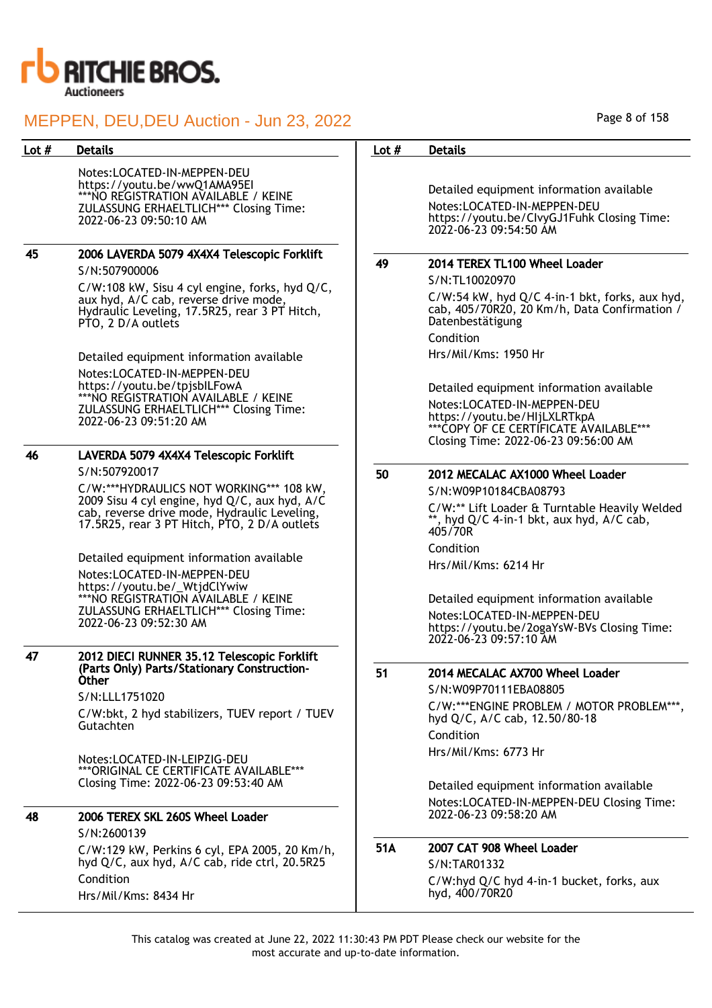

Notes:LOCATED-IN-MEPPEN-DEU https://youtu.be/wwQ1AMA95EI \*\*\*NO REGISTRATION AVAILABLE / KEINE ZULASSUNG ERHAELTLICH\*\*\* Closing Time: 2022-06-23 09:50:10 AM

## 45 2006 LAVERDA 5079 4X4X4 Telescopic Forklift S/N:507900006

C/W:108 kW, Sisu 4 cyl engine, forks, hyd Q/C, aux hyd, A/C cab, reverse drive mode, Hydraulic Leveling, 17.5R25, rear 3 PT Hitch, PTO, 2 D/A outlets

Detailed equipment information available Notes:LOCATED-IN-MEPPEN-DEU https://youtu.be/tpjsbILFowA \*\*\*NO REGISTRATION AVAILABLE / KEINE ZULASSUNG ERHAELTLICH\*\*\* Closing Time: 2022-06-23 09:51:20 AM

## 46 LAVERDA 5079 4X4X4 Telescopic Forklift S/N:507920017

C/W:\*\*\*HYDRAULICS NOT WORKING\*\*\* 108 kW, 2009 Sisu 4 cyl engine, hyd Q/C, aux hyd, A/C cab, reverse drive mode, Hydraulic Leveling, 17.5R25, rear 3 PT Hitch, PTO, 2 D/A outlets

Detailed equipment information available Notes:LOCATED-IN-MEPPEN-DEU https://youtu.be/\_WtjdClYwiw \*\*\*NO REGISTRATION AVAILABLE / KEINE ZULASSUNG ERHAELTLICH\*\*\* Closing Time: 2022-06-23 09:52:30 AM

#### 47 2012 DIECI RUNNER 35.12 Telescopic Forklift (Parts Only) Parts/Stationary Construction-Other

S/N:LLL1751020

C/W:bkt, 2 hyd stabilizers, TUEV report / TUEV Gutachten

Notes:LOCATED-IN-LEIPZIG-DEU \*\*\*ORIGINAL CE CERTIFICATE AVAILABLE\*\*\* Closing Time: 2022-06-23 09:53:40 AM

## 48 2006 TEREX SKL 260S Wheel Loader S/N:2600139

C/W:129 kW, Perkins 6 cyl, EPA 2005, 20 Km/h, hyd Q/C, aux hyd, A/C cab, ride ctrl, 20.5R25 Condition Hrs/Mil/Kms: 8434 Hr

### Page 8 of 158

## Lot # Details **Details According to the United States Lot # Details**

Detailed equipment information available Notes:LOCATED-IN-MEPPEN-DEU https://youtu.be/CIvyGJ1Fuhk Closing Time: 2022-06-23 09:54:50 AM

## 49 2014 TEREX TL100 Wheel Loader

S/N:TL10020970 C/W:54 kW, hyd Q/C 4-in-1 bkt, forks, aux hyd, cab, 405/70R20, 20 Km/h, Data Confirmation /

Datenbestätigung Condition

Hrs/Mil/Kms: 1950 Hr

Detailed equipment information available Notes:LOCATED-IN-MEPPEN-DEU https://youtu.be/HIjLXLRTkpA \*\*\*COPY OF CE CERTIFICATE AVAILABLE\*\*\* Closing Time: 2022-06-23 09:56:00 AM

# 50 2012 MECALAC AX1000 Wheel Loader

S/N:W09P10184CBA08793

C/W:\*\* Lift Loader & Turntable Heavily Welded , hyd  $Q/C$  4-in-1 bkt, aux hyd,  $A/C$  cab, 405/70R

Condition Hrs/Mil/Kms: 6214 Hr

Detailed equipment information available Notes:LOCATED-IN-MEPPEN-DEU https://youtu.be/2ogaYsW-BVs Closing Time: 2022-06-23 09:57:10 AM

## 51 2014 MECALAC AX700 Wheel Loader

S/N:W09P70111EBA08805 C/W:\*\*\*ENGINE PROBLEM / MOTOR PROBLEM\*\*\*, hyd Q/C, A/C cab, 12.50/80-18 Condition Hrs/Mil/Kms: 6773 Hr

Detailed equipment information available Notes:LOCATED-IN-MEPPEN-DEU Closing Time: 2022-06-23 09:58:20 AM

## 51A 2007 CAT 908 Wheel Loader

S/N:TAR01332 C/W:hyd Q/C hyd 4-in-1 bucket, forks, aux hyd, 400/70R20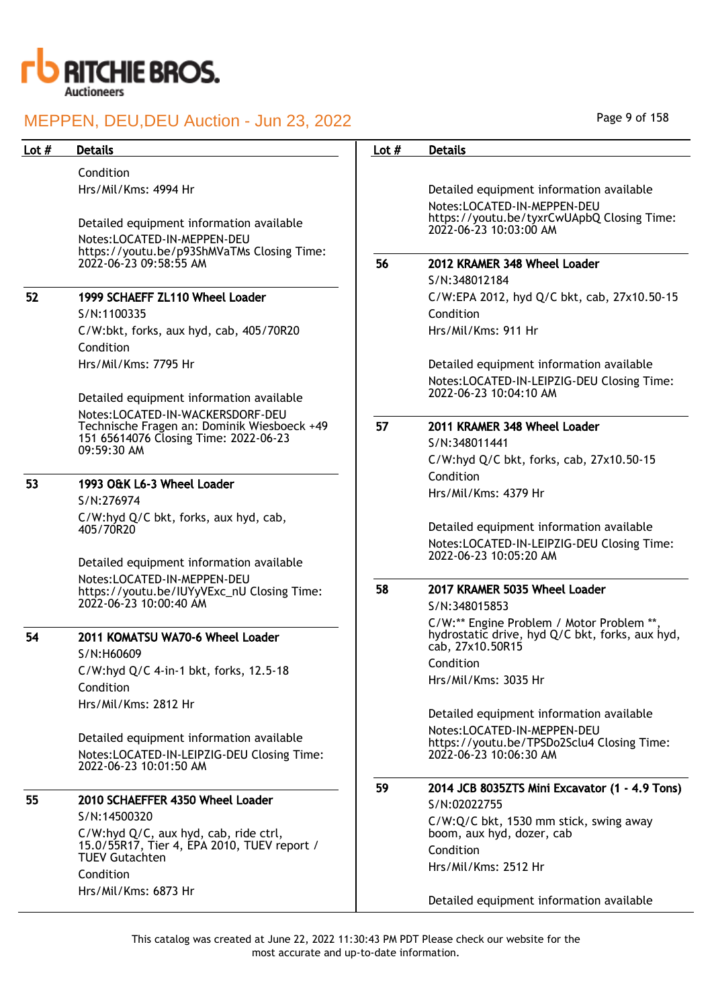

Condition Hrs/Mil/Kms: 4994 Hr

Detailed equipment information available Notes:LOCATED-IN-MEPPEN-DEU https://youtu.be/p93ShMVaTMs Closing Time: 2022-06-23 09:58:55 AM

## 52 1999 SCHAEFF ZL110 Wheel Loader

S/N:1100335 C/W:bkt, forks, aux hyd, cab, 405/70R20 Condition Hrs/Mil/Kms: 7795 Hr

Detailed equipment information available Notes:LOCATED-IN-WACKERSDORF-DEU Technische Fragen an: Dominik Wiesboeck +49 151 65614076 Closing Time: 2022-06-23 09:59:30 AM

# 53 1993 O&K L6-3 Wheel Loader

S/N:276974 C/W:hyd Q/C bkt, forks, aux hyd, cab, 405/70R20

Detailed equipment information available Notes:LOCATED-IN-MEPPEN-DEU https://youtu.be/IUYyVExc\_nU Closing Time: 2022-06-23 10:00:40 AM

## 54 2011 KOMATSU WA70-6 Wheel Loader

S/N:H60609 C/W:hyd Q/C 4-in-1 bkt, forks, 12.5-18 Condition Hrs/Mil/Kms: 2812 Hr

Detailed equipment information available Notes:LOCATED-IN-LEIPZIG-DEU Closing Time: 2022-06-23 10:01:50 AM

## 55 2010 SCHAEFFER 4350 Wheel Loader

S/N:14500320 C/W:hyd Q/C, aux hyd, cab, ride ctrl, 15.0/55R17, Tier 4, EPA 2010, TUEV report / TUEV Gutachten Condition Hrs/Mil/Kms: 6873 Hr

Page 9 of 158

# Lot # Details **Details According to the United States Lot # Details** Detailed equipment information available Notes:LOCATED-IN-MEPPEN-DEU https://youtu.be/tyxrCwUApbQ Closing Time: 2022-06-23 10:03:00 AM 56 2012 KRAMER 348 Wheel Loader S/N:348012184 C/W:EPA 2012, hyd Q/C bkt, cab, 27x10.50-15 Condition Hrs/Mil/Kms: 911 Hr Detailed equipment information available Notes:LOCATED-IN-LEIPZIG-DEU Closing Time: 2022-06-23 10:04:10 AM 57 2011 KRAMER 348 Wheel Loader S/N:348011441 C/W:hyd Q/C bkt, forks, cab, 27x10.50-15 Condition Hrs/Mil/Kms: 4379 Hr Detailed equipment information available Notes:LOCATED-IN-LEIPZIG-DEU Closing Time: 2022-06-23 10:05:20 AM 58 2017 KRAMER 5035 Wheel Loader S/N:348015853 C/W:\*\* Engine Problem / Motor Problem \*\*, hydrostatic drive, hyd Q/C bkt, forks, aux hyd, cab, 27x10.50R15 Condition Hrs/Mil/Kms: 3035 Hr Detailed equipment information available Notes:LOCATED-IN-MEPPEN-DEU https://youtu.be/TPSDo2Sclu4 Closing Time: 2022-06-23 10:06:30 AM 59 2014 JCB 8035ZTS Mini Excavator (1 - 4.9 Tons) S/N:02022755 C/W:Q/C bkt, 1530 mm stick, swing away boom, aux hyd, dozer, cab Condition Hrs/Mil/Kms: 2512 Hr Detailed equipment information available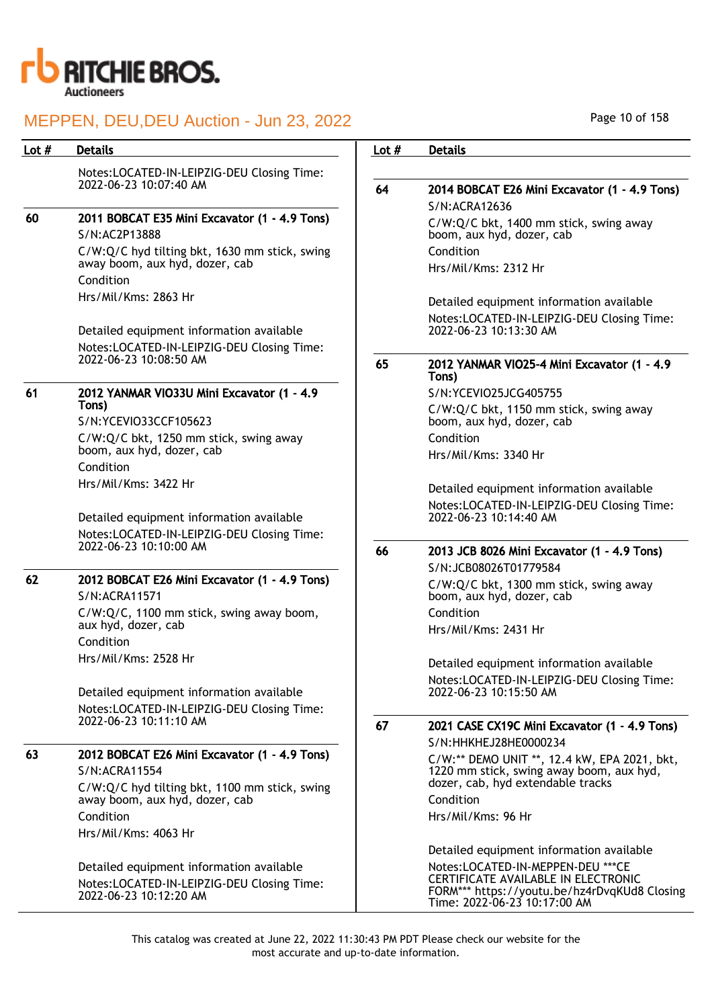

| Lot $#$ | <b>Details</b>                                                                                                   | Lot $#$ | <b>Details</b>                                                                                                                                            |
|---------|------------------------------------------------------------------------------------------------------------------|---------|-----------------------------------------------------------------------------------------------------------------------------------------------------------|
|         | Notes:LOCATED-IN-LEIPZIG-DEU Closing Time:                                                                       |         |                                                                                                                                                           |
|         | 2022-06-23 10:07:40 AM                                                                                           | 64      | 2014 BOBCAT E26 Mini Excavator (1 - 4.9 Tons)                                                                                                             |
| 60      | 2011 BOBCAT E35 Mini Excavator (1 - 4.9 Tons)                                                                    |         | S/N:ACRA12636<br>C/W:Q/C bkt, 1400 mm stick, swing away                                                                                                   |
|         | S/N:AC2P13888                                                                                                    |         | boom, aux hyd, dozer, cab                                                                                                                                 |
|         | C/W:Q/C hyd tilting bkt, 1630 mm stick, swing                                                                    |         | Condition                                                                                                                                                 |
|         | away boom, aux hyd, dozer, cab                                                                                   |         | Hrs/Mil/Kms: 2312 Hr                                                                                                                                      |
|         | Condition                                                                                                        |         |                                                                                                                                                           |
|         | Hrs/Mil/Kms: 2863 Hr                                                                                             |         | Detailed equipment information available                                                                                                                  |
|         | Detailed equipment information available                                                                         |         | Notes:LOCATED-IN-LEIPZIG-DEU Closing Time:<br>2022-06-23 10:13:30 AM                                                                                      |
|         | Notes:LOCATED-IN-LEIPZIG-DEU Closing Time:<br>2022-06-23 10:08:50 AM                                             | 65      | 2012 YANMAR VIO25-4 Mini Excavator (1 - 4.9                                                                                                               |
|         |                                                                                                                  |         | Tons)                                                                                                                                                     |
| 61      | 2012 YANMAR VIO33U Mini Excavator (1 - 4.9<br>Tons)                                                              |         | S/N:YCEVIO25JCG405755                                                                                                                                     |
|         | S/N:YCEVIO33CCF105623                                                                                            |         | C/W:Q/C bkt, 1150 mm stick, swing away<br>boom, aux hyd, dozer, cab                                                                                       |
|         | C/W:Q/C bkt, 1250 mm stick, swing away                                                                           |         | Condition                                                                                                                                                 |
|         | boom, aux hyd, dozer, cab                                                                                        |         | Hrs/Mil/Kms: 3340 Hr                                                                                                                                      |
|         | Condition                                                                                                        |         |                                                                                                                                                           |
|         | Hrs/Mil/Kms: 3422 Hr                                                                                             |         | Detailed equipment information available                                                                                                                  |
|         | Detailed equipment information available                                                                         |         | Notes:LOCATED-IN-LEIPZIG-DEU Closing Time:<br>2022-06-23 10:14:40 AM                                                                                      |
|         | Notes:LOCATED-IN-LEIPZIG-DEU Closing Time:<br>2022-06-23 10:10:00 AM                                             |         |                                                                                                                                                           |
|         |                                                                                                                  | 66      | 2013 JCB 8026 Mini Excavator (1 - 4.9 Tons)                                                                                                               |
| 62      | 2012 BOBCAT E26 Mini Excavator (1 - 4.9 Tons)                                                                    |         | S/N:JCB08026T01779584                                                                                                                                     |
|         | S/N:ACRA11571                                                                                                    |         | C/W:Q/C bkt, 1300 mm stick, swing away<br>boom, aux hyd, dozer, cab                                                                                       |
|         | C/W:Q/C, 1100 mm stick, swing away boom,                                                                         |         | Condition                                                                                                                                                 |
|         | aux hyd, dozer, cab<br>Condition                                                                                 |         | Hrs/Mil/Kms: 2431 Hr                                                                                                                                      |
|         | Hrs/Mil/Kms: 2528 Hr                                                                                             |         | Detailed equipment information available                                                                                                                  |
|         |                                                                                                                  |         | Notes:LOCATED-IN-LEIPZIG-DEU Closing Time:                                                                                                                |
|         | Detailed equipment information available                                                                         |         | 2022-06-23 10:15:50 AM                                                                                                                                    |
|         | Notes:LOCATED-IN-LEIPZIG-DEU Closing Time:<br>2022-06-23 10:11:10 AM                                             |         |                                                                                                                                                           |
|         |                                                                                                                  | 67      | 2021 CASE CX19C Mini Excavator (1 - 4.9 Tons)                                                                                                             |
| 63      | 2012 BOBCAT E26 Mini Excavator (1 - 4.9 Tons)                                                                    |         | S/N:HHKHEJ28HE0000234                                                                                                                                     |
|         | S/N:ACRA11554                                                                                                    |         | C/W:** DEMO UNIT **, 12.4 kW, EPA 2021, bkt,<br>1220 mm stick, swing away boom, aux hyd,                                                                  |
|         | C/W:Q/C hyd tilting bkt, 1100 mm stick, swing                                                                    |         | dozer, cab, hyd extendable tracks                                                                                                                         |
|         | away boom, aux hyd, dozer, cab                                                                                   |         | Condition                                                                                                                                                 |
|         | Condition                                                                                                        |         | Hrs/Mil/Kms: 96 Hr                                                                                                                                        |
|         | Hrs/Mil/Kms: 4063 Hr                                                                                             |         |                                                                                                                                                           |
|         |                                                                                                                  |         | Detailed equipment information available                                                                                                                  |
|         | Detailed equipment information available<br>Notes:LOCATED-IN-LEIPZIG-DEU Closing Time:<br>2022-06-23 10:12:20 AM |         | Notes:LOCATED-IN-MEPPEN-DEU *** CE<br>CERTIFICATE AVAILABLE IN ELECTRONIC<br>FORM*** https://youtu.be/hz4rDvqKUd8 Closing<br>Time: 2022-06-23 10:17:00 AM |

Page 10 of 158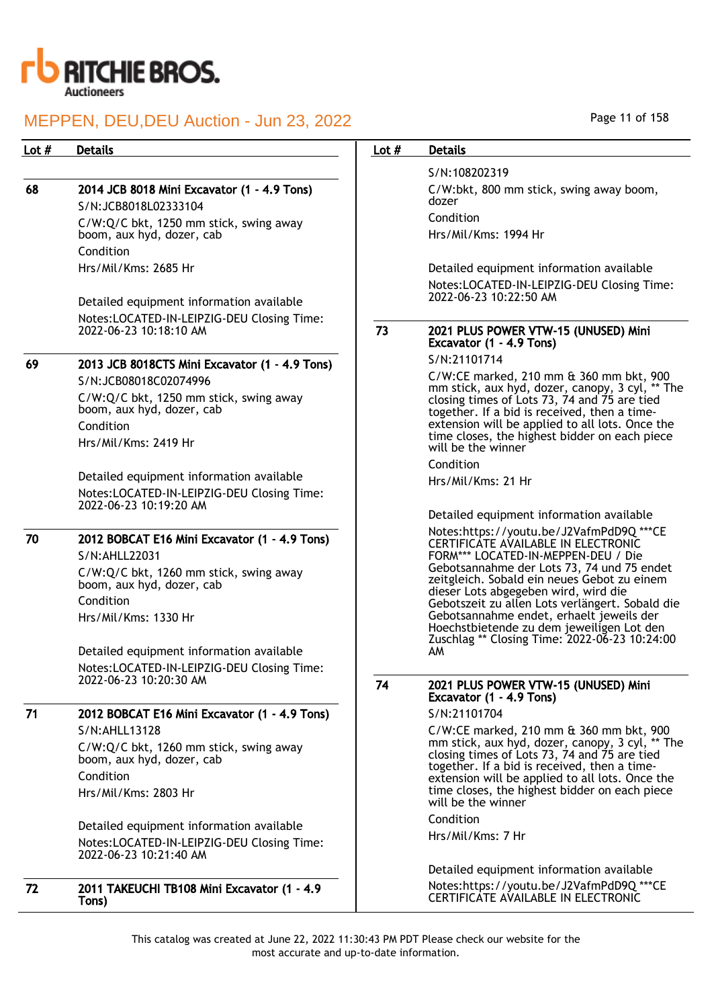

## 68 2014 JCB 8018 Mini Excavator (1 - 4.9 Tons)

S/N:JCB8018L02333104 C/W:Q/C bkt, 1250 mm stick, swing away boom, aux hyd, dozer, cab Condition Hrs/Mil/Kms: 2685 Hr

Detailed equipment information available Notes:LOCATED-IN-LEIPZIG-DEU Closing Time: 2022-06-23 10:18:10 AM

## 69 2013 JCB 8018CTS Mini Excavator (1 - 4.9 Tons)

S/N:JCB08018C02074996 C/W:Q/C bkt, 1250 mm stick, swing away boom, aux hyd, dozer, cab Condition Hrs/Mil/Kms: 2419 Hr

Detailed equipment information available Notes:LOCATED-IN-LEIPZIG-DEU Closing Time: 2022-06-23 10:19:20 AM

## 70 2012 BOBCAT E16 Mini Excavator (1 - 4.9 Tons) S/N:AHLL22031

C/W:Q/C bkt, 1260 mm stick, swing away boom, aux hyd, dozer, cab Condition Hrs/Mil/Kms: 1330 Hr

Detailed equipment information available Notes:LOCATED-IN-LEIPZIG-DEU Closing Time: 2022-06-23 10:20:30 AM

# 71 2012 BOBCAT E16 Mini Excavator (1 - 4.9 Tons)

S/N:AHLL13128 C/W:Q/C bkt, 1260 mm stick, swing away boom, aux hyd, dozer, cab Condition Hrs/Mil/Kms: 2803 Hr

Detailed equipment information available Notes:LOCATED-IN-LEIPZIG-DEU Closing Time: 2022-06-23 10:21:40 AM

### 72 2011 TAKEUCHI TB108 Mini Excavator (1 - 4.9 Tons)

Page 11 of 158

## Lot # Details **Details According to the United States Lot # Details**

S/N:108202319 C/W:bkt, 800 mm stick, swing away boom, dozer Condition Hrs/Mil/Kms: 1994 Hr

Detailed equipment information available Notes:LOCATED-IN-LEIPZIG-DEU Closing Time: 2022-06-23 10:22:50 AM

### 73 2021 PLUS POWER VTW-15 (UNUSED) Mini Excavator (1 - 4.9 Tons)

S/N:21101714

C/W:CE marked, 210 mm & 360 mm bkt, 900 mm stick, aux hyd, dozer, canopy, 3 cyl, \*\* The closing times of Lots 73, 74 and 75 are tied together. If a bid is received, then a timeextension will be applied to all lots. Once the time closes, the highest bidder on each piece will be the winner

Condition

Hrs/Mil/Kms: 21 Hr

Detailed equipment information available Notes:https://youtu.be/J2VafmPdD9Q \*\*\*CE CERTIFICATE AVAILABLE IN ELECTRONIC FORM\*\*\* LOCATED-IN-MEPPEN-DEU / Die Gebotsannahme der Lots 73, 74 und 75 endet zeitgleich. Sobald ein neues Gebot zu einem dieser Lots abgegeben wird, wird die Gebotszeit zu allen Lots verlängert. Sobald die Gebotsannahme endet, erhaelt jeweils der Hoechstbietende zu dem jeweiligen Lot den Zuschlag \*\* Closing Time: 2022-06-23 10:24:00 AM

## 74 2021 PLUS POWER VTW-15 (UNUSED) Mini Excavator (1 - 4.9 Tons)

S/N:21101704

C/W:CE marked, 210 mm & 360 mm bkt, 900 mm stick, aux hyd, dozer, canopy, 3 cyl, \*\* The closing times of Lots 73, 74 and 75 are tied together. If a bid is received, then a timeextension will be applied to all lots. Once the time closes, the highest bidder on each piece will be the winner

Condition

Hrs/Mil/Kms: 7 Hr

Detailed equipment information available Notes:https://youtu.be/J2VafmPdD9Q \*\*\*CE CERTIFICATE AVAILABLE IN ELECTRONIC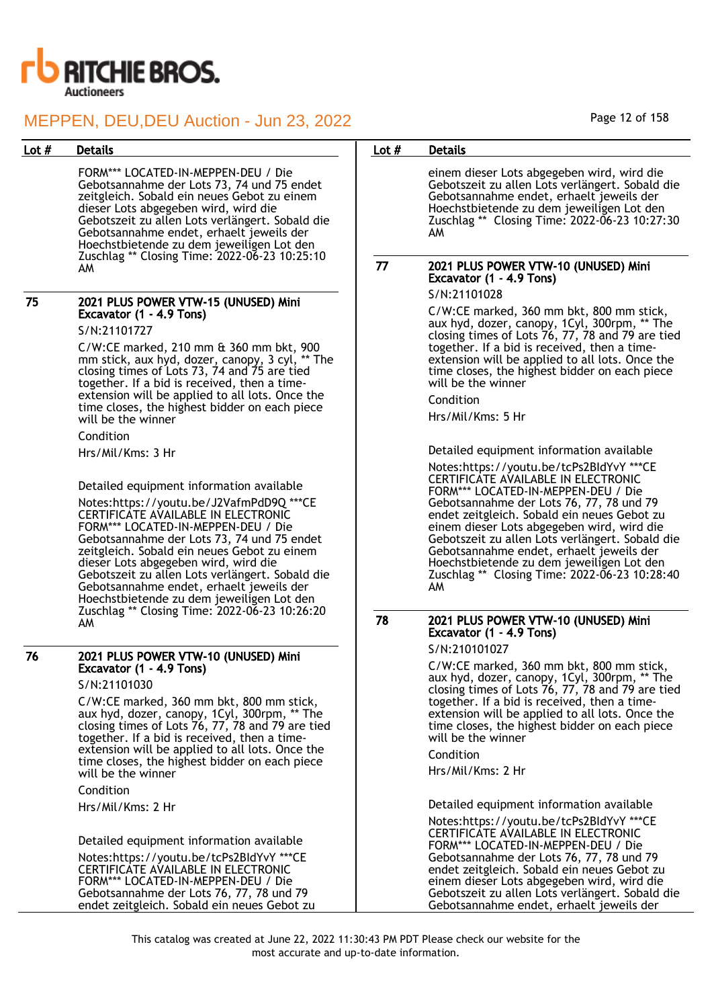

FORM\*\*\* LOCATED-IN-MEPPEN-DEU / Die Gebotsannahme der Lots 73, 74 und 75 endet zeitgleich. Sobald ein neues Gebot zu einem dieser Lots abgegeben wird, wird die Gebotszeit zu allen Lots verlängert. Sobald die Gebotsannahme endet, erhaelt jeweils der Hoechstbietende zu dem jeweiligen Lot den Zuschlag \*\* Closing Time: 2022-06-23 10:25:10 AM

## 75 2021 PLUS POWER VTW-15 (UNUSED) Mini Excavator (1 - 4.9 Tons)

S/N:21101727

C/W:CE marked, 210 mm & 360 mm bkt, 900 mm stick, aux hyd, dozer, canopy, 3 cyl, \*\* The closing times of Lots 73, 74 and 75 are tied together. If a bid is received, then a timeextension will be applied to all lots. Once the time closes, the highest bidder on each piece will be the winner

### Condition

Hrs/Mil/Kms: 3 Hr

Detailed equipment information available

Notes:https://youtu.be/J2VafmPdD9Q \*\*\*CE CERTIFICATE AVAILABLE IN ELECTRONIC FORM\*\*\* LOCATED-IN-MEPPEN-DEU / Die Gebotsannahme der Lots 73, 74 und 75 endet zeitgleich. Sobald ein neues Gebot zu einem dieser Lots abgegeben wird, wird die Gebotszeit zu allen Lots verlängert. Sobald die Gebotsannahme endet, erhaelt jeweils der Hoechstbietende zu dem jeweiligen Lot den Zuschlag \*\* Closing Time: 2022-06-23 10:26:20 AM

## 76 2021 PLUS POWER VTW-10 (UNUSED) Mini Excavator (1 - 4.9 Tons)

S/N:21101030

C/W:CE marked, 360 mm bkt, 800 mm stick, aux hyd, dozer, canopy, 1Cyl, 300rpm, \*\* The closing times of Lots 76, 77, 78 and 79 are tied together. If a bid is received, then a timeextension will be applied to all lots. Once the time closes, the highest bidder on each piece will be the winner

Condition

Hrs/Mil/Kms: 2 Hr

Detailed equipment information available

Notes:https://youtu.be/tcPs2BIdYvY \*\*\*CE CERTIFICATE AVAILABLE IN ELECTRONIC FORM\*\*\* LOCATED-IN-MEPPEN-DEU / Die Gebotsannahme der Lots 76, 77, 78 und 79 endet zeitgleich. Sobald ein neues Gebot zu

## Lot # Details **Details According to the United States Lot # Details**

einem dieser Lots abgegeben wird, wird die Gebotszeit zu allen Lots verlängert. Sobald die Gebotsannahme endet, erhaelt jeweils der Hoechstbietende zu dem jeweiligen Lot den Zuschlag \*\* Closing Time: 2022-06-23 10:27:30 AM

## 77 2021 PLUS POWER VTW-10 (UNUSED) Mini Excavator (1 - 4.9 Tons)

S/N:21101028

C/W:CE marked, 360 mm bkt, 800 mm stick, aux hyd, dozer, canopy, 1Cyl, 300rpm, \*\* The closing times of Lots 76, 77, 78 and 79 are tied together. If a bid is received, then a timeextension will be applied to all lots. Once the time closes, the highest bidder on each piece will be the winner

Condition

Hrs/Mil/Kms: 5 Hr

Detailed equipment information available

Notes:https://youtu.be/tcPs2BIdYvY \*\*\*CE CERTIFICATE AVAILABLE IN ELECTRONIC FORM\*\*\* LOCATED-IN-MEPPEN-DEU / Die Gebotsannahme der Lots 76, 77, 78 und 79 endet zeitgleich. Sobald ein neues Gebot zu einem dieser Lots abgegeben wird, wird die Gebotszeit zu allen Lots verlängert. Sobald die Gebotsannahme endet, erhaelt jeweils der Hoechstbietende zu dem jeweiligen Lot den Zuschlag \*\* Closing Time: 2022-06-23 10:28:40 AM

## 78 2021 PLUS POWER VTW-10 (UNUSED) Mini Excavator (1 - 4.9 Tons)

S/N:210101027

C/W:CE marked, 360 mm bkt, 800 mm stick, aux hyd, dozer, canopy, 1Cyl, 300rpm, \*\* The closing times of Lots 76, 77, 78 and 79 are tied together. If a bid is received, then a timeextension will be applied to all lots. Once the time closes, the highest bidder on each piece will be the winner

Condition

Hrs/Mil/Kms: 2 Hr

Detailed equipment information available

Notes:https://youtu.be/tcPs2BIdYvY \*\*\*CE CERTIFICATE AVAILABLE IN ELECTRONIC FORM\*\*\* LOCATED-IN-MEPPEN-DEU / Die Gebotsannahme der Lots 76, 77, 78 und 79 endet zeitgleich. Sobald ein neues Gebot zu einem dieser Lots abgegeben wird, wird die Gebotszeit zu allen Lots verlängert. Sobald die Gebotsannahme endet, erhaelt jeweils der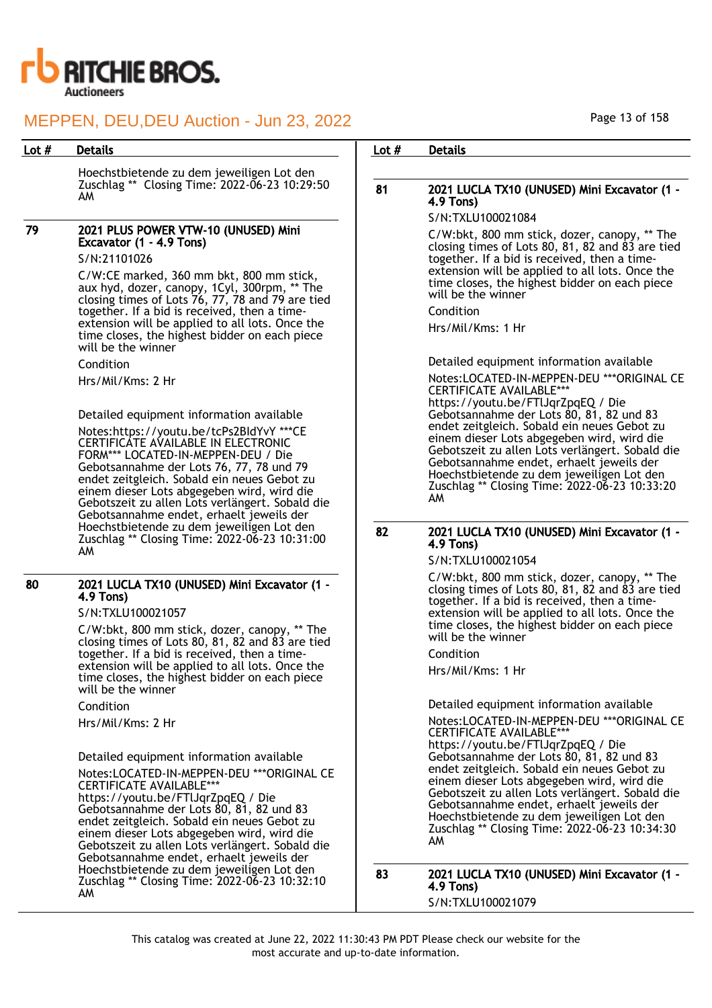

Hoechstbietende zu dem jeweiligen Lot den Zuschlag \*\* Closing Time: 2022-06-23 10:29:50 AM

## 79 2021 PLUS POWER VTW-10 (UNUSED) Mini Excavator (1 - 4.9 Tons)

S/N:21101026

C/W:CE marked, 360 mm bkt, 800 mm stick, aux hyd, dozer, canopy, 1Cyl, 300rpm, \*\* The closing times of Lots 76, 77, 78 and 79 are tied together. If a bid is received, then a timeextension will be applied to all lots. Once the time closes, the highest bidder on each piece will be the winner

Condition

Hrs/Mil/Kms: 2 Hr

Detailed equipment information available

Notes:https://youtu.be/tcPs2BIdYvY \*\*\*CE CERTIFICATE AVAILABLE IN ELECTRONIC FORM\*\*\* LOCATED-IN-MEPPEN-DEU / Die Gebotsannahme der Lots 76, 77, 78 und 79 endet zeitgleich. Sobald ein neues Gebot zu einem dieser Lots abgegeben wird, wird die Gebotszeit zu allen Lots verlängert. Sobald die Gebotsannahme endet, erhaelt jeweils der Hoechstbietende zu dem jeweiligen Lot den Zuschlag \*\* Closing Time: 2022-06-23 10:31:00 AM

### 80 2021 LUCLA TX10 (UNUSED) Mini Excavator (1 - 4.9 Tons)

S/N:TXLU100021057

C/W:bkt, 800 mm stick, dozer, canopy, \*\* The closing times of Lots 80, 81, 82 and 83 are tied together. If a bid is received, then a timeextension will be applied to all lots. Once the time closes, the highest bidder on each piece will be the winner

Condition

Hrs/Mil/Kms: 2 Hr

Detailed equipment information available Notes:LOCATED-IN-MEPPEN-DEU \*\*\*ORIGINAL CE CERTIFICATE AVAILABLE\*

https://youtu.be/FTlJqrZpqEQ / Die Gebotsannahme der Lots 80, 81, 82 und 83 endet zeitgleich. Sobald ein neues Gebot zu einem dieser Lots abgegeben wird, wird die Gebotszeit zu allen Lots verlängert. Sobald die Gebotsannahme endet, erhaelt jeweils der Hoechstbietende zu dem jeweiligen Lot den Zuschlag \*\* Closing Time: 2022-06-23 10:32:10 AM

## Lot # Details **Details According to the United States Lot # Details**

## 81 2021 LUCLA TX10 (UNUSED) Mini Excavator (1 - 4.9 Tons)

## S/N:TXLU100021084

C/W:bkt, 800 mm stick, dozer, canopy, \*\* The closing times of Lots 80, 81, 82 and 83 are tied together. If a bid is received, then a timeextension will be applied to all lots. Once the time closes, the highest bidder on each piece will be the winner

Condition

Hrs/Mil/Kms: 1 Hr

Detailed equipment information available Notes:LOCATED-IN-MEPPEN-DEU \*\*\*ORIGINAL CE CERTIFICATE AVAILABLE\*\*\* https://youtu.be/FTlJqrZpqEQ / Die Gebotsannahme der Lots 80, 81, 82 und 83 endet zeitgleich. Sobald ein neues Gebot zu einem dieser Lots abgegeben wird, wird die Gebotszeit zu allen Lots verlängert. Sobald die Gebotsannahme endet, erhaelt jeweils der Hoechstbietende zu dem jeweiligen Lot den Zuschlag \*\* Closing Time: 2022-06-23 10:33:20 AM

## 82 2021 LUCLA TX10 (UNUSED) Mini Excavator (1 - 4.9 Tons)

S/N:TXLU100021054

C/W:bkt, 800 mm stick, dozer, canopy, \*\* The closing times of Lots 80, 81, 82 and 83 are tied together. If a bid is received, then a timeextension will be applied to all lots. Once the time closes, the highest bidder on each piece will be the winner

Condition

Hrs/Mil/Kms: 1 Hr

Detailed equipment information available

Notes:LOCATED-IN-MEPPEN-DEU \*\*\*ORIGINAL CE CERTIFICATE AVAILABLE\*\*\* https://youtu.be/FTlJqrZpqEQ / Die Gebotsannahme der Lots 80, 81, 82 und 83 endet zeitgleich. Sobald ein neues Gebot zu einem dieser Lots abgegeben wird, wird die Gebotszeit zu allen Lots verlängert. Sobald die Gebotsannahme endet, erhaelt jeweils der Hoechstbietende zu dem jeweiligen Lot den Zuschlag \*\* Closing Time: 2022-06-23 10:34:30 AM

83 2021 LUCLA TX10 (UNUSED) Mini Excavator (1 - 4.9 Tons) S/N:TXLU100021079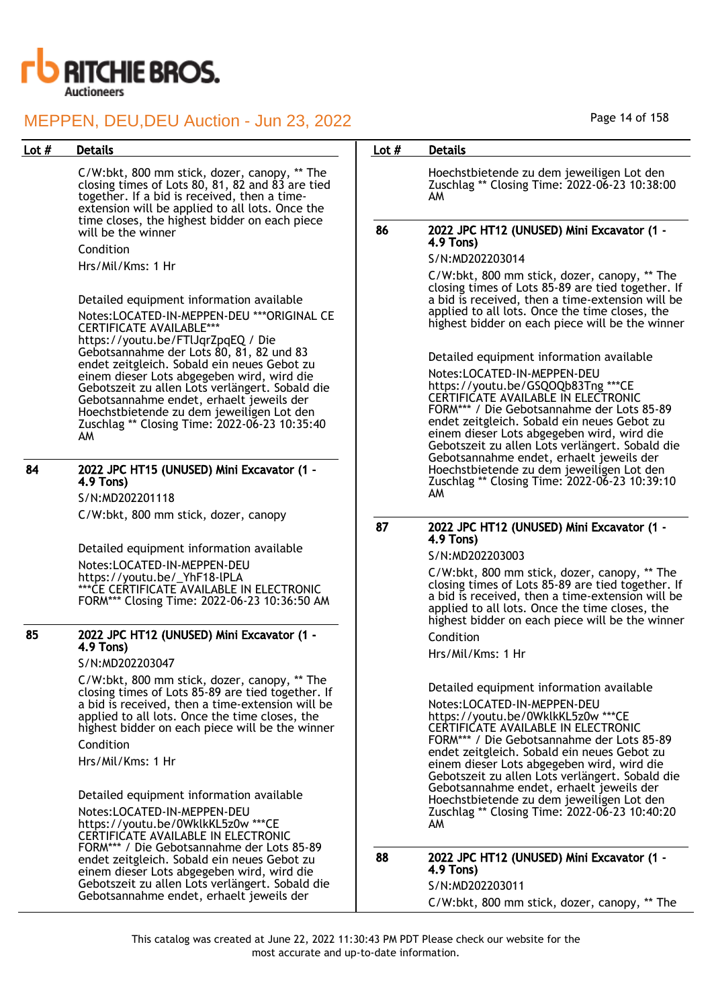

C/W:bkt, 800 mm stick, dozer, canopy, \*\* The closing times of Lots  $80, 81, 82$  and  $83$  are tied together. If a bid is received, then a timeextension will be applied to all lots. Once the time closes, the highest bidder on each piece will be the winner

#### Condition

Hrs/Mil/Kms: 1 Hr

Detailed equipment information available Notes:LOCATED-IN-MEPPEN-DEU \*\*\*ORIGINAL CE CERTIFICATE AVAILABLE\*\*\* https://youtu.be/FTlJqrZpqEQ / Die Gebotsannahme der Lots 80, 81, 82 und 83 endet zeitgleich. Sobald ein neues Gebot zu einem dieser Lots abgegeben wird, wird die Gebotszeit zu allen Lots verlängert. Sobald die Gebotsannahme endet, erhaelt jeweils der Hoechstbietende zu dem jeweiligen Lot den Zuschlag \*\* Closing Time: 2022-06-23 10:35:40 AM

## 84 2022 JPC HT15 (UNUSED) Mini Excavator (1 - 4.9 Tons)

S/N:MD202201118 C/W:bkt, 800 mm stick, dozer, canopy

Detailed equipment information available Notes:LOCATED-IN-MEPPEN-DEU https://youtu.be/\_YhF18-lPLA \*\*\*CE CERTIFICATE AVAILABLE IN ELECTRONIC FORM\*\*\* Closing Time: 2022-06-23 10:36:50 AM

## 85 2022 JPC HT12 (UNUSED) Mini Excavator (1 - 4.9 Tons)

S/N:MD202203047

C/W:bkt, 800 mm stick, dozer, canopy, \*\* The closing times of Lots 85-89 are tied together. If a bid is received, then a time-extension will be applied to all lots. Once the time closes, the highest bidder on each piece will be the winner

Condition

Hrs/Mil/Kms: 1 Hr

Detailed equipment information available Notes:LOCATED-IN-MEPPEN-DEU https://youtu.be/0WklkKL5z0w \*\*\*CE CERTIFICATE AVAILABLE IN ELECTRONIC FORM\*\*\* / Die Gebotsannahme der Lots 85-89 endet zeitgleich. Sobald ein neues Gebot zu einem dieser Lots abgegeben wird, wird die Gebotszeit zu allen Lots verlängert. Sobald die Gebotsannahme endet, erhaelt jeweils der

## Lot # Details **Details According to the United States Lot # Details**

Hoechstbietende zu dem jeweiligen Lot den Zuschlag \*\* Closing Time: 2022-06-23 10:38:00 AM

### 86 2022 JPC HT12 (UNUSED) Mini Excavator (1 - 4.9 Tons)

S/N:MD202203014

C/W:bkt, 800 mm stick, dozer, canopy, \*\* The closing times of Lots 85-89 are tied together. If a bid is received, then a time-extension will be applied to all lots. Once the time closes, the highest bidder on each piece will be the winner

Detailed equipment information available

Notes:LOCATED-IN-MEPPEN-DEU https://youtu.be/GSQOQb83Tng \*\*\*CE CERTIFICATE AVAILABLE IN ELECTRONIC FORM\*\*\* / Die Gebotsannahme der Lots 85-89 endet zeitgleich. Sobald ein neues Gebot zu einem dieser Lots abgegeben wird, wird die Gebotszeit zu allen Lots verlängert. Sobald die Gebotsannahme endet, erhaelt jeweils der Hoechstbietende zu dem jeweiligen Lot den Zuschlag \*\* Closing Time: 2022-06-23 10:39:10 AM

#### 87 2022 JPC HT12 (UNUSED) Mini Excavator (1 - 4.9 Tons)

S/N:MD202203003

C/W:bkt, 800 mm stick, dozer, canopy, \*\* The closing times of Lots 85-89 are tied together. If a bid is received, then a time-extension will be applied to all lots. Once the time closes, the highest bidder on each piece will be the winner

Condition

Hrs/Mil/Kms: 1 Hr

Detailed equipment information available Notes:LOCATED-IN-MEPPEN-DEU https://youtu.be/0WklkKL5z0w \*\*\*CE CERTIFICATE AVAILABLE IN ELECTRONIC FORM\*\*\* / Die Gebotsannahme der Lots 85-89 endet zeitgleich. Sobald ein neues Gebot zu einem dieser Lots abgegeben wird, wird die Gebotszeit zu allen Lots verlängert. Sobald die Gebotsannahme endet, erhaelt jeweils der Hoechstbietende zu dem jeweiligen Lot den Zuschlag \*\* Closing Time: 2022-06-23 10:40:20 AM

### 88 2022 JPC HT12 (UNUSED) Mini Excavator (1 - 4.9 Tons) S/N:MD202203011

C/W:bkt, 800 mm stick, dozer, canopy, \*\* The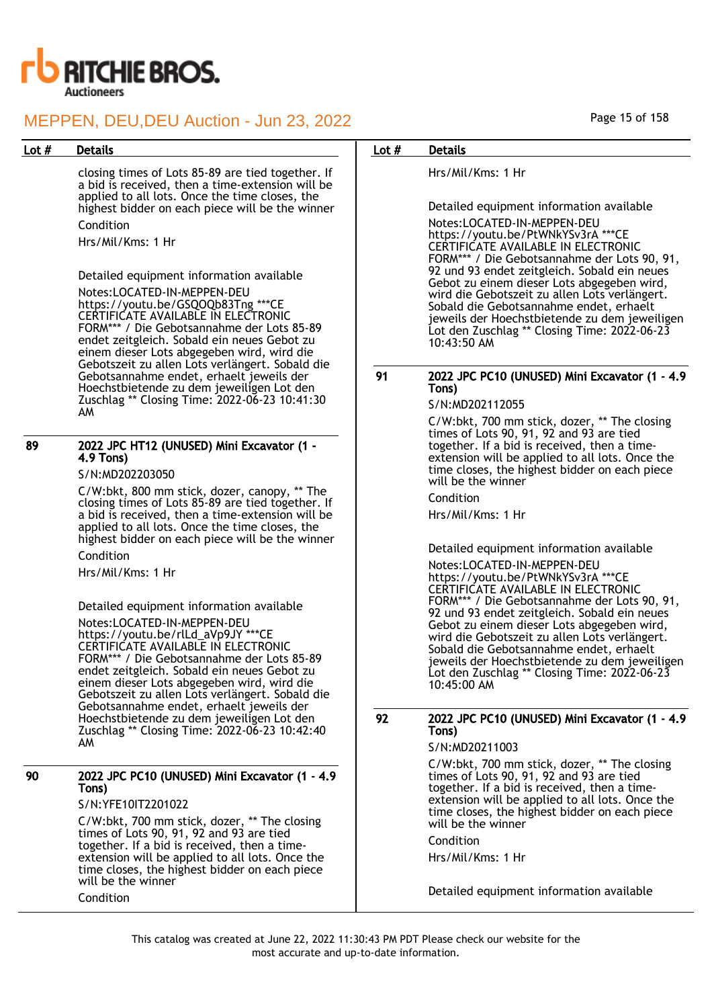

closing times of Lots 85-89 are tied together. If a bid is received, then a time-extension will be applied to all lots. Once the time closes, the highest bidder on each piece will be the winner Condition

Hrs/Mil/Kms: 1 Hr

Detailed equipment information available Notes:LOCATED-IN-MEPPEN-DEU https://youtu.be/GSQOQb83Tng \*\*\*CE CERTIFICATE AVAILABLE IN ELECTRONIC FORM\*\*\* / Die Gebotsannahme der Lots 85-89 endet zeitgleich. Sobald ein neues Gebot zu einem dieser Lots abgegeben wird, wird die Gebotszeit zu allen Lots verlängert. Sobald die Gebotsannahme endet, erhaelt jeweils der Hoechstbietende zu dem jeweiligen Lot den Zuschlag \*\* Closing Time: 2022-06-23 10:41:30 AM

### 89 2022 JPC HT12 (UNUSED) Mini Excavator (1 - 4.9 Tons)

S/N:MD202203050

C/W:bkt, 800 mm stick, dozer, canopy, \*\* The closing times of Lots 85-89 are tied together. If a bid is received, then a time-extension will be applied to all lots. Once the time closes, the highest bidder on each piece will be the winner

Condition

Hrs/Mil/Kms: 1 Hr

Detailed equipment information available

Notes:LOCATED-IN-MEPPEN-DEU https://youtu.be/rlLd\_aVp9JY \*\*\*CE CERTIFICATE AVAILABLE IN ELECTRONIC FORM\*\*\* / Die Gebotsannahme der Lots 85-89 endet zeitgleich. Sobald ein neues Gebot zu einem dieser Lots abgegeben wird, wird die Gebotszeit zu allen Lots verlängert. Sobald die Gebotsannahme endet, erhaelt jeweils der Hoechstbietende zu dem jeweiligen Lot den Zuschlag \*\* Closing Time: 2022-06-23 10:42:40 AM

### 90 2022 JPC PC10 (UNUSED) Mini Excavator (1 - 4.9 Tons)

S/N:YFE10IT2201022

C/W:bkt, 700 mm stick, dozer, \*\* The closing times of Lots 90, 91, 92 and 93 are tied together. If a bid is received, then a timeextension will be applied to all lots. Once the time closes, the highest bidder on each piece will be the winner Condition

## Lot # Details **Details According to the United States Lot # Details**

Hrs/Mil/Kms: 1 Hr

Detailed equipment information available

Notes:LOCATED-IN-MEPPEN-DEU https://youtu.be/PtWNkYSv3rA \*\*\*CE CERTIFICATE AVAILABLE IN ELECTRONIC FORM\*\*\* / Die Gebotsannahme der Lots 90, 91, 92 und 93 endet zeitgleich. Sobald ein neues Gebot zu einem dieser Lots abgegeben wird. wird die Gebotszeit zu allen Lots verlängert. Sobald die Gebotsannahme endet, erhaelt jeweils der Hoechstbietende zu dem jeweiligen Lot den Zuschlag \*\* Closing Time: 2022-06-23 10:43:50 AM

## 91 2022 JPC PC10 (UNUSED) Mini Excavator (1 - 4.9 Tons)

### S/N:MD202112055

C/W:bkt, 700 mm stick, dozer, \*\* The closing times of Lots 90, 91, 92 and 93 are tied together. If a bid is received, then a timeextension will be applied to all lots. Once the time closes, the highest bidder on each piece will be the winner

Condition

Hrs/Mil/Kms: 1 Hr

Detailed equipment information available

Notes:LOCATED-IN-MEPPEN-DEU https://youtu.be/PtWNkYSv3rA \*\*\*CE CERTIFICATE AVAILABLE IN ELECTRONIC FORM\*\*\* / Die Gebotsannahme der Lots 90, 91, 92 und 93 endet zeitgleich. Sobald ein neues Gebot zu einem dieser Lots abgegeben wird, wird die Gebotszeit zu allen Lots verlängert. Sobald die Gebotsannahme endet, erhaelt jeweils der Hoechstbietende zu dem jeweiligen Lot den Zuschlag \*\* Closing Time: 2022-06-23 10:45:00 AM

## 92 2022 JPC PC10 (UNUSED) Mini Excavator (1 - 4.9 Tons)

S/N:MD20211003

C/W:bkt, 700 mm stick, dozer, \*\* The closing times of Lots 90, 91, 92 and 93 are tied together. If a bid is received, then a timeextension will be applied to all lots. Once the time closes, the highest bidder on each piece will be the winner

Condition

Hrs/Mil/Kms: 1 Hr

Detailed equipment information available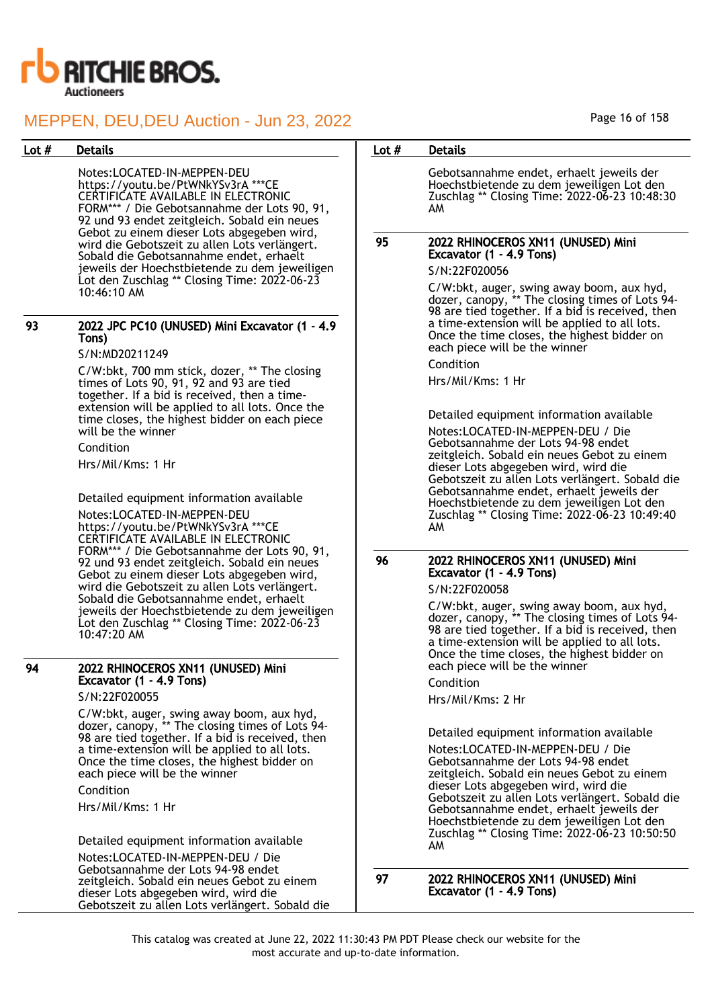

Notes:LOCATED-IN-MEPPEN-DEU https://youtu.be/PtWNkYSv3rA \*\*\*CE CERTIFICATE AVAILABLE IN ELECTRONIC FORM\*\*\* / Die Gebotsannahme der Lots 90, 91, 92 und 93 endet zeitgleich. Sobald ein neues Gebot zu einem dieser Lots abgegeben wird, wird die Gebotszeit zu allen Lots verlängert. Sobald die Gebotsannahme endet, erhaelt jeweils der Hoechstbietende zu dem jeweiligen Lot den Zuschlag \*\* Closing Time: 2022-06-23 10:46:10 AM

### 93 2022 JPC PC10 (UNUSED) Mini Excavator (1 - 4.9 Tons)

## S/N:MD20211249

C/W:bkt, 700 mm stick, dozer, \*\* The closing times of Lots 90, 91, 92 and 93 are tied together. If a bid is received, then a timeextension will be applied to all lots. Once the time closes, the highest bidder on each piece will be the winner

Condition Hrs/Mil/Kms: 1 Hr

Detailed equipment information available Notes:LOCATED-IN-MEPPEN-DEU https://youtu.be/PtWNkYSv3rA \*\*\*CE CERTIFICATE AVAILABLE IN ELECTRONIC FORM\*\*\* / Die Gebotsannahme der Lots 90, 91, 92 und 93 endet zeitgleich. Sobald ein neues Gebot zu einem dieser Lots abgegeben wird, wird die Gebotszeit zu allen Lots verlängert. Sobald die Gebotsannahme endet, erhaelt jeweils der Hoechstbietende zu dem jeweiligen Lot den Zuschlag \*\* Closing Time: 2022-06-23 10:47:20 AM

## 94 2022 RHINOCEROS XN11 (UNUSED) Mini Excavator (1 - 4.9 Tons)

S/N:22F020055

C/W:bkt, auger, swing away boom, aux hyd, dozer, canopy, \*\* The closing times of Lots 94- 98 are tied together. If a bid is received, then a time-extension will be applied to all lots. Once the time closes, the highest bidder on each piece will be the winner

Condition

Hrs/Mil/Kms: 1 Hr

Detailed equipment information available

Notes:LOCATED-IN-MEPPEN-DEU / Die Gebotsannahme der Lots 94-98 endet zeitgleich. Sobald ein neues Gebot zu einem dieser Lots abgegeben wird, wird die Gebotszeit zu allen Lots verlängert. Sobald die

### Page 16 of 158

## Lot # Details **Details According to the United States Lot # Details**

Gebotsannahme endet, erhaelt jeweils der Hoechstbietende zu dem jeweiligen Lot den Zuschlag \*\* Closing Time: 2022-06-23 10:48:30 AM

## 95 2022 RHINOCEROS XN11 (UNUSED) Mini Excavator (1 - 4.9 Tons)

S/N:22F020056

C/W:bkt, auger, swing away boom, aux hyd, dozer, canopy, \*\* The closing times of Lots 94- 98 are tied together. If a bid is received, then a time-extension will be applied to all lots. Once the time closes, the highest bidder on each piece will be the winner

Condition

Hrs/Mil/Kms: 1 Hr

Detailed equipment information available

Notes:LOCATED-IN-MEPPEN-DEU / Die Gebotsannahme der Lots 94-98 endet zeitgleich. Sobald ein neues Gebot zu einem dieser Lots abgegeben wird, wird die Gebotszeit zu allen Lots verlängert. Sobald die Gebotsannahme endet, erhaelt jeweils der Hoechstbietende zu dem jeweiligen Lot den Zuschlag \*\* Closing Time: 2022-06-23 10:49:40 AM

## 96 2022 RHINOCEROS XN11 (UNUSED) Mini Excavator (1 - 4.9 Tons)

S/N:22F020058

C/W:bkt, auger, swing away boom, aux hyd, dozer, canopy, \*\* The closing times of Lots 94- 98 are tied together. If a bid is received, then a time-extension will be applied to all lots. Once the time closes, the highest bidder on each piece will be the winner

## Condition

Hrs/Mil/Kms: 2 Hr

Detailed equipment information available

Notes:LOCATED-IN-MEPPEN-DEU / Die Gebotsannahme der Lots 94-98 endet zeitgleich. Sobald ein neues Gebot zu einem dieser Lots abgegeben wird, wird die Gebotszeit zu allen Lots verlängert. Sobald die Gebotsannahme endet, erhaelt jeweils der Hoechstbietende zu dem jeweiligen Lot den Zuschlag \*\* Closing Time: 2022-06-23 10:50:50 AM

97 2022 RHINOCEROS XN11 (UNUSED) Mini Excavator (1 - 4.9 Tons)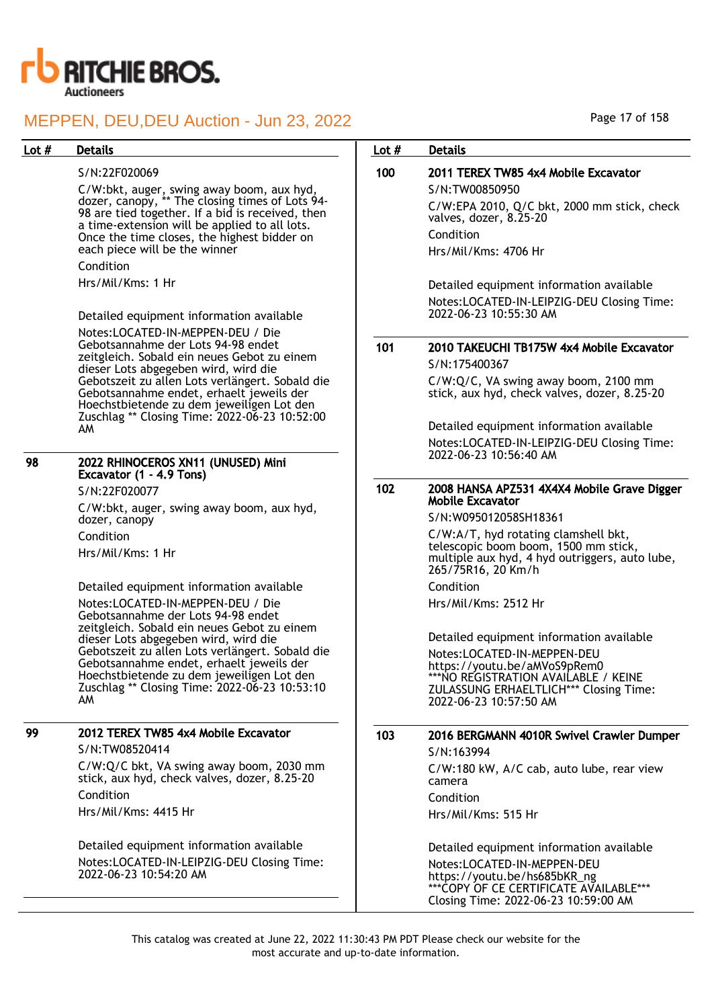

| 98 | 2022 RHINOCEROS XN11 (UNUSED) Mini<br>Excavator (1 - 4.9 Tons) |
|----|----------------------------------------------------------------|
|    | S/N:22F020077                                                  |

# 99 2012 TEREX TW85 4x4 Mobile Excavator

| Lot # | <b>Details</b>                                                                                      | Lot $#$ | <b>Details</b>                                                                 |
|-------|-----------------------------------------------------------------------------------------------------|---------|--------------------------------------------------------------------------------|
|       | S/N:22F020069                                                                                       | 100     | 2011 TEREX TW85 4x4 Mobile Excavator                                           |
|       | C/W:bkt, auger, swing away boom, aux hyd,                                                           |         | S/N:TW00850950                                                                 |
|       | dozer, canopy, ** The closing times of Lots 94-<br>98 are tied together. If a bid is received, then |         | C/W:EPA 2010, Q/C bkt, 2000 mm stick, check<br>valves, dozer, 8.25-20          |
|       | a time-extension will be applied to all lots.<br>Once the time closes, the highest bidder on        |         | Condition                                                                      |
|       | each piece will be the winner                                                                       |         | Hrs/Mil/Kms: 4706 Hr                                                           |
|       | Condition                                                                                           |         |                                                                                |
|       | Hrs/Mil/Kms: 1 Hr                                                                                   |         | Detailed equipment information available                                       |
|       |                                                                                                     |         | Notes:LOCATED-IN-LEIPZIG-DEU Closing Time:                                     |
|       | Detailed equipment information available                                                            |         | 2022-06-23 10:55:30 AM                                                         |
|       | Notes:LOCATED-IN-MEPPEN-DEU / Die                                                                   |         |                                                                                |
|       | Gebotsannahme der Lots 94-98 endet                                                                  | 101     | 2010 TAKEUCHI TB175W 4x4 Mobile Excavator                                      |
|       | zeitgleich. Sobald ein neues Gebot zu einem<br>dieser Lots abgegeben wird, wird die                 |         | S/N:175400367                                                                  |
|       | Gebotszeit zu allen Lots verlängert. Sobald die                                                     |         | C/W:Q/C, VA swing away boom, 2100 mm                                           |
|       | Gebotsannahme endet, erhaelt jeweils der<br>Hoechstbietende zu dem jeweiligen Lot den               |         | stick, aux hyd, check valves, dozer, 8.25-20                                   |
|       | Zuschlag ** Closing Time: 2022-06-23 10:52:00                                                       |         |                                                                                |
|       | AM                                                                                                  |         | Detailed equipment information available                                       |
|       |                                                                                                     |         | Notes:LOCATED-IN-LEIPZIG-DEU Closing Time:<br>2022-06-23 10:56:40 AM           |
| 98    | 2022 RHINOCEROS XN11 (UNUSED) Mini<br>Excavator (1 - 4.9 Tons)                                      |         |                                                                                |
|       | S/N:22F020077                                                                                       | 102     | 2008 HANSA APZ531 4X4X4 Mobile Grave Digger                                    |
|       | C/W:bkt, auger, swing away boom, aux hyd,                                                           |         | <b>Mobile Excavator</b><br>S/N:W095012058SH18361                               |
|       | dozer, canopy                                                                                       |         |                                                                                |
|       | Condition                                                                                           |         | C/W:A/T, hyd rotating clamshell bkt,<br>telescopic boom boom, 1500 mm stick,   |
|       | Hrs/Mil/Kms: 1 Hr                                                                                   |         | multiple aux hyd, 4 hyd outriggers, auto lube,<br>265/75R16, 20 Km/h           |
|       | Detailed equipment information available                                                            |         | Condition                                                                      |
|       | Notes:LOCATED-IN-MEPPEN-DEU / Die<br>Gebotsannahme der Lots 94-98 endet                             |         | Hrs/Mil/Kms: 2512 Hr                                                           |
|       | zeitgleich. Sobald ein neues Gebot zu einem<br>dieser Lots abgegeben wird, wird die                 |         | Detailed equipment information available                                       |
|       | Gebotszeit zu allen Lots verlängert. Sobald die                                                     |         | Notes:LOCATED-IN-MEPPEN-DEU                                                    |
|       | Gebotsannahme endet, erhaelt jeweils der<br>Hoechstbietende zu dem jeweiligen Lot den               |         | https://youtu.be/aMVoS9pRem0                                                   |
|       | Zuschlag ** Closing Time: 2022-06-23 10:53:10                                                       |         | ***NO REGISTRATION AVAILABLE / KEINE<br>ZULASSUNG ERHAELTLICH*** Closing Time: |
|       | AM.                                                                                                 |         | 2022-06-23 10:57:50 AM                                                         |
| 99    |                                                                                                     |         |                                                                                |
|       | 2012 TEREX TW85 4x4 Mobile Excavator<br>S/N:TW08520414                                              | 103     | 2016 BERGMANN 4010R Swivel Crawler Dumper                                      |
|       | C/W:Q/C bkt, VA swing away boom, 2030 mm                                                            |         | S/N:163994                                                                     |
|       | stick, aux hyd, check valves, dozer, 8.25-20                                                        |         | C/W:180 kW, A/C cab, auto lube, rear view<br>camera                            |
|       | Condition                                                                                           |         | Condition                                                                      |
|       | Hrs/Mil/Kms: 4415 Hr                                                                                |         | Hrs/Mil/Kms: 515 Hr                                                            |
|       | Detailed equipment information available                                                            |         | Detailed equipment information available                                       |
|       | Notes:LOCATED-IN-LEIPZIG-DEU Closing Time:<br>2022-06-23 10:54:20 AM                                |         | Notes:LOCATED-IN-MEPPEN-DEU                                                    |
|       |                                                                                                     |         | https://youtu.be/hs685bKR ng                                                   |

\*\*\*COPY OF CE CERTIFICATE AVAILABLE\*\*\* Closing Time: 2022-06-23 10:59:00 AM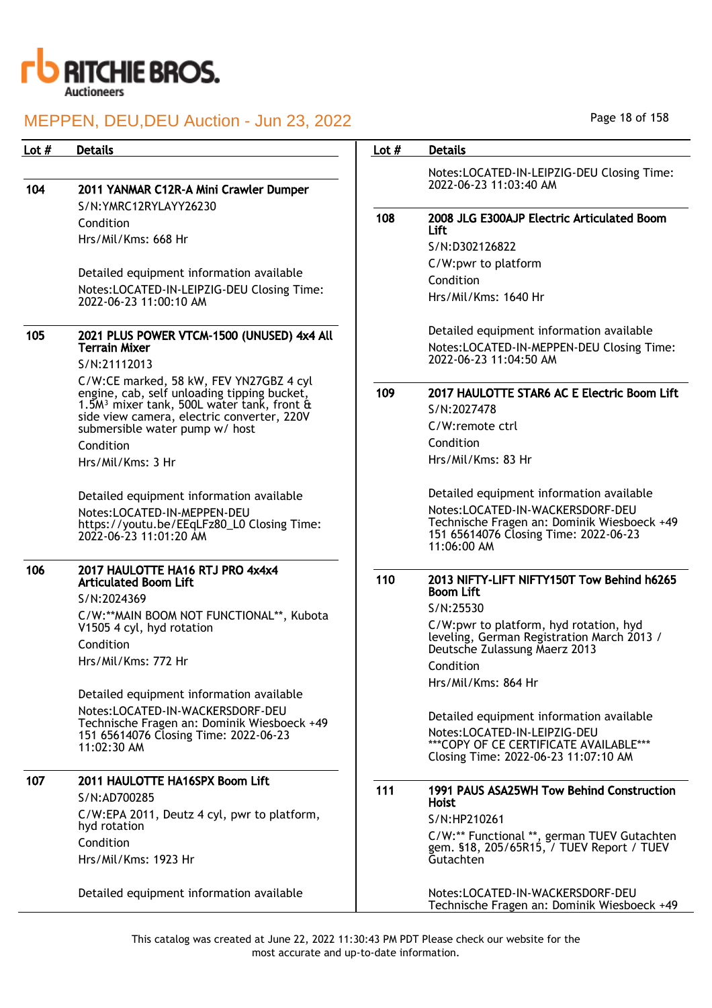

| Lot $#$ | <b>Details</b>                                                                                        | Lot $#$ | <b>Details</b>                                                                                        |
|---------|-------------------------------------------------------------------------------------------------------|---------|-------------------------------------------------------------------------------------------------------|
|         |                                                                                                       |         | Notes:LOCATED-IN-LEIPZIG-DEU Closing Time:                                                            |
| 104     | 2011 YANMAR C12R-A Mini Crawler Dumper                                                                |         | 2022-06-23 11:03:40 AM                                                                                |
|         | S/N:YMRC12RYLAYY26230                                                                                 |         |                                                                                                       |
|         | Condition                                                                                             | 108     | 2008 JLG E300AJP Electric Articulated Boom                                                            |
|         | Hrs/Mil/Kms: 668 Hr                                                                                   |         | Lift<br>S/N:D302126822                                                                                |
|         |                                                                                                       |         |                                                                                                       |
|         | Detailed equipment information available                                                              |         | C/W:pwr to platform                                                                                   |
|         | Notes:LOCATED-IN-LEIPZIG-DEU Closing Time:                                                            |         | Condition                                                                                             |
|         | 2022-06-23 11:00:10 AM                                                                                |         | Hrs/Mil/Kms: 1640 Hr                                                                                  |
| 105     | 2021 PLUS POWER VTCM-1500 (UNUSED) 4x4 All                                                            |         | Detailed equipment information available                                                              |
|         | <b>Terrain Mixer</b>                                                                                  |         | Notes:LOCATED-IN-MEPPEN-DEU Closing Time:<br>2022-06-23 11:04:50 AM                                   |
|         | S/N:21112013                                                                                          |         |                                                                                                       |
|         | C/W:CE marked, 58 kW, FEV YN27GBZ 4 cyl                                                               | 109     | 2017 HAULOTTE STAR6 AC E Electric Boom Lift                                                           |
|         | engine, cab, self unloading tipping bucket,<br>1.5M <sup>3</sup> mixer tank, 500L water tank, front & |         | S/N:2027478                                                                                           |
|         | side view camera, electric converter, 220V                                                            |         |                                                                                                       |
|         | submersible water pump w/ host                                                                        |         | C/W:remote ctrl                                                                                       |
|         | Condition                                                                                             |         | Condition<br>Hrs/Mil/Kms: 83 Hr                                                                       |
|         | Hrs/Mil/Kms: 3 Hr                                                                                     |         |                                                                                                       |
|         | Detailed equipment information available                                                              |         | Detailed equipment information available                                                              |
|         | Notes:LOCATED-IN-MEPPEN-DEU                                                                           |         | Notes:LOCATED-IN-WACKERSDORF-DEU                                                                      |
|         | https://youtu.be/EEqLFz80_L0 Closing Time:<br>2022-06-23 11:01:20 AM                                  |         | Technische Fragen an: Dominik Wiesboeck +49<br>151 65614076 Closing Time: 2022-06-23<br>$11:06:00$ AM |
| 106     | 2017 HAULOTTE HA16 RTJ PRO 4x4x4<br><b>Articulated Boom Lift</b>                                      | 110     | 2013 NIFTY-LIFT NIFTY150T Tow Behind h6265                                                            |
|         | S/N:2024369                                                                                           |         | <b>Boom Lift</b>                                                                                      |
|         | C/W:**MAIN BOOM NOT FUNCTIONAL**, Kubota                                                              |         | S/N:25530                                                                                             |
|         | V1505 4 cyl, hyd rotation                                                                             |         | C/W:pwr to platform, hyd rotation, hyd<br>leveling, German Registration March 2013 /                  |
|         | Condition                                                                                             |         | Deutsche Zulassung Maerz 2013                                                                         |
|         | Hrs/Mil/Kms: 772 Hr                                                                                   |         | Condition                                                                                             |
|         |                                                                                                       |         | Hrs/Mil/Kms: 864 Hr                                                                                   |
|         | Detailed equipment information available                                                              |         |                                                                                                       |
|         | Notes:LOCATED-IN-WACKERSDORF-DEU                                                                      |         | Detailed equipment information available                                                              |
|         | Technische Fragen an: Dominik Wiesboeck +49<br>151 65614076 Closing Time: 2022-06-23                  |         | Notes:LOCATED-IN-LEIPZIG-DEU                                                                          |
|         | 11:02:30 AM                                                                                           |         | *** COPY OF CE CERTIFICATE AVAILABLE***                                                               |
|         |                                                                                                       |         | Closing Time: 2022-06-23 11:07:10 AM                                                                  |
| 107     | 2011 HAULOTTE HA16SPX Boom Lift                                                                       | 111     |                                                                                                       |
|         | S/N:AD700285                                                                                          |         | 1991 PAUS ASA25WH Tow Behind Construction<br>Hoist                                                    |
|         | C/W:EPA 2011, Deutz 4 cyl, pwr to platform,                                                           |         | S/N:HP210261                                                                                          |
|         | hyd rotation                                                                                          |         | C/W:** Functional **, german TUEV Gutachten                                                           |
|         | Condition                                                                                             |         | gem. §18, 205/65R15, / TUEV Report / TUEV                                                             |
|         | Hrs/Mil/Kms: 1923 Hr                                                                                  |         | Gutachten                                                                                             |
|         | Detailed equipment information available                                                              |         | Notes:LOCATED-IN-WACKERSDORF-DEU<br>Technische Fragen an: Dominik Wiesboeck +49                       |

Page 18 of 158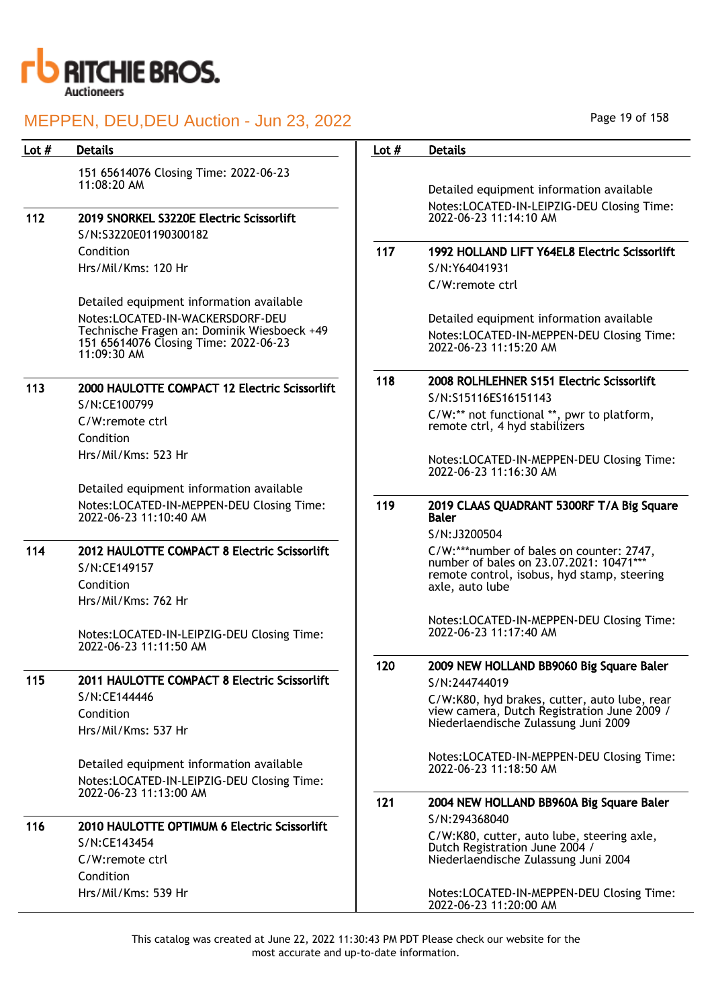

| Lot $#$ | <b>Details</b>                                                                       | Lot $#$ | <b>Details</b>                                                                              |
|---------|--------------------------------------------------------------------------------------|---------|---------------------------------------------------------------------------------------------|
|         | 151 65614076 Closing Time: 2022-06-23                                                |         |                                                                                             |
|         | 11:08:20 AM                                                                          |         | Detailed equipment information available                                                    |
|         |                                                                                      |         | Notes:LOCATED-IN-LEIPZIG-DEU Closing Time:<br>2022-06-23 11:14:10 AM                        |
| 112     | 2019 SNORKEL S3220E Electric Scissorlift<br>S/N:S3220E01190300182                    |         |                                                                                             |
|         | Condition                                                                            | 117     | 1992 HOLLAND LIFT Y64EL8 Electric Scissorlift                                               |
|         | Hrs/Mil/Kms: 120 Hr                                                                  |         | S/N:Y64041931                                                                               |
|         |                                                                                      |         | C/W:remote ctrl                                                                             |
|         | Detailed equipment information available                                             |         |                                                                                             |
|         | Notes:LOCATED-IN-WACKERSDORF-DEU                                                     |         | Detailed equipment information available                                                    |
|         | Technische Fragen an: Dominik Wiesboeck +49<br>151 65614076 Closing Time: 2022-06-23 |         | Notes:LOCATED-IN-MEPPEN-DEU Closing Time:                                                   |
|         | 11:09:30 AM                                                                          |         | 2022-06-23 11:15:20 AM                                                                      |
|         |                                                                                      | 118     | 2008 ROLHLEHNER S151 Electric Scissorlift                                                   |
| 113     | 2000 HAULOTTE COMPACT 12 Electric Scissorlift                                        |         | S/N:S15116ES16151143                                                                        |
|         | S/N:CE100799<br>C/W:remote ctrl                                                      |         | C/W:** not functional **, pwr to platform,                                                  |
|         | Condition                                                                            |         | remote ctrl, 4 hyd stabilizers                                                              |
|         | Hrs/Mil/Kms: 523 Hr                                                                  |         |                                                                                             |
|         |                                                                                      |         | Notes:LOCATED-IN-MEPPEN-DEU Closing Time:<br>2022-06-23 11:16:30 AM                         |
|         | Detailed equipment information available                                             |         |                                                                                             |
|         | Notes:LOCATED-IN-MEPPEN-DEU Closing Time:<br>2022-06-23 11:10:40 AM                  | 119     | 2019 CLAAS QUADRANT 5300RF T/A Big Square<br><b>Baler</b>                                   |
|         |                                                                                      |         | S/N:J3200504                                                                                |
| 114     | 2012 HAULOTTE COMPACT 8 Electric Scissorlift                                         |         | C/W:***number of bales on counter: 2747,<br>number of bales on 23.07.2021: 10471***         |
|         | S/N:CE149157                                                                         |         | remote control, isobus, hyd stamp, steering                                                 |
|         | Condition                                                                            |         | axle, auto lube                                                                             |
|         | Hrs/Mil/Kms: 762 Hr                                                                  |         |                                                                                             |
|         | Notes:LOCATED-IN-LEIPZIG-DEU Closing Time:                                           |         | Notes:LOCATED-IN-MEPPEN-DEU Closing Time:<br>2022-06-23 11:17:40 AM                         |
|         | 2022-06-23 11:11:50 AM                                                               |         |                                                                                             |
|         |                                                                                      | 120     | 2009 NEW HOLLAND BB9060 Big Square Baler                                                    |
| 115     | 2011 HAULOTTE COMPACT 8 Electric Scissorlift                                         |         | S/N:244744019                                                                               |
|         | S/N:CE144446                                                                         |         | C/W:K80, hyd brakes, cutter, auto lube, rear<br>view camera, Dutch Registration June 2009 / |
|         | Condition                                                                            |         | Niederlaendische Zulassung Juni 2009                                                        |
|         | Hrs/Mil/Kms: 537 Hr                                                                  |         |                                                                                             |
|         | Detailed equipment information available                                             |         | Notes:LOCATED-IN-MEPPEN-DEU Closing Time:                                                   |
|         | Notes:LOCATED-IN-LEIPZIG-DEU Closing Time:                                           |         | 2022-06-23 11:18:50 AM                                                                      |
|         | 2022-06-23 11:13:00 AM                                                               | 121     |                                                                                             |
|         |                                                                                      |         | 2004 NEW HOLLAND BB960A Big Square Baler<br>S/N:294368040                                   |
| 116     | 2010 HAULOTTE OPTIMUM 6 Electric Scissorlift                                         |         | C/W:K80, cutter, auto lube, steering axle,                                                  |
|         | S/N:CE143454                                                                         |         | Dutch Registration June 2004 /                                                              |
|         | C/W:remote ctrl                                                                      |         | Niederlaendische Zulassung Juni 2004                                                        |
|         | Condition<br>Hrs/Mil/Kms: 539 Hr                                                     |         | Notes:LOCATED-IN-MEPPEN-DEU Closing Time:                                                   |
|         |                                                                                      |         | 2022-06-23 11:20:00 AM                                                                      |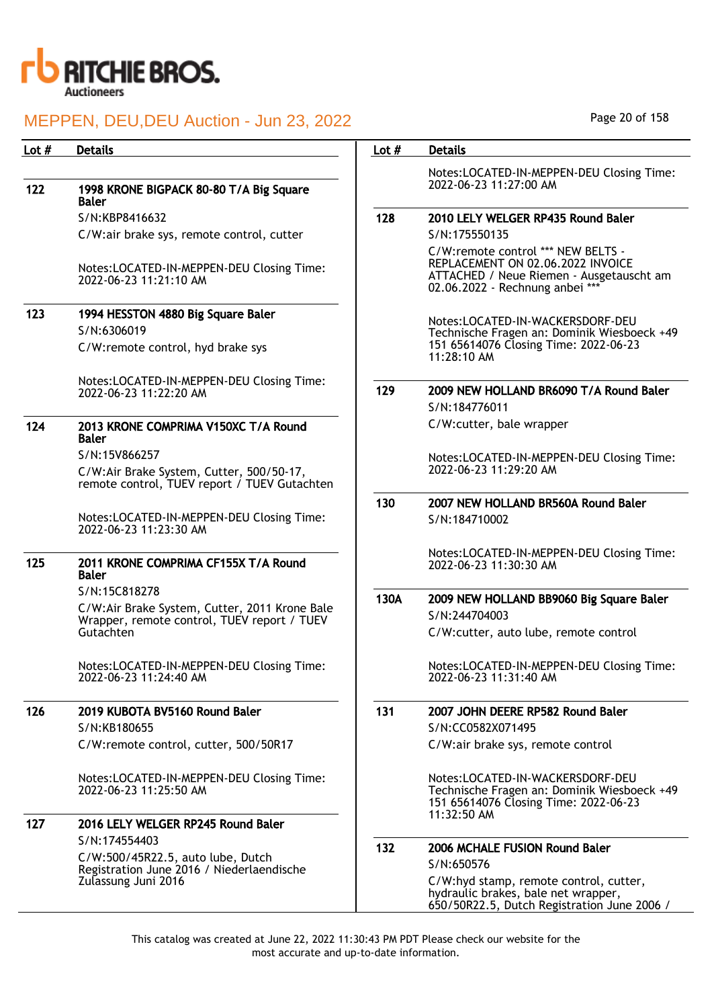

| Lot $#$ | <b>Details</b>                                                                                  | Lot $#$ | <b>Details</b>                                                                                                                                         |
|---------|-------------------------------------------------------------------------------------------------|---------|--------------------------------------------------------------------------------------------------------------------------------------------------------|
|         |                                                                                                 |         | Notes:LOCATED-IN-MEPPEN-DEU Closing Time:                                                                                                              |
| 122     | 1998 KRONE BIGPACK 80-80 T/A Big Square<br><b>Baler</b>                                         |         | 2022-06-23 11:27:00 AM                                                                                                                                 |
|         | S/N:KBP8416632                                                                                  | 128     | 2010 LELY WELGER RP435 Round Baler                                                                                                                     |
|         | C/W:air brake sys, remote control, cutter                                                       |         | S/N:175550135                                                                                                                                          |
|         | Notes:LOCATED-IN-MEPPEN-DEU Closing Time:<br>2022-06-23 11:21:10 AM                             |         | C/W:remote control *** NEW BELTS -<br>REPLACEMENT ON 02.06.2022 INVOICE<br>ATTACHED / Neue Riemen - Ausgetauscht am<br>02.06.2022 - Rechnung anbei *** |
| 123     | 1994 HESSTON 4880 Big Square Baler                                                              |         |                                                                                                                                                        |
|         | S/N:6306019                                                                                     |         | Notes:LOCATED-IN-WACKERSDORF-DEU<br>Technische Fragen an: Dominik Wiesboeck +49                                                                        |
|         | C/W:remote control, hyd brake sys                                                               |         | 151 65614076 Closing Time: 2022-06-23<br>11:28:10 AM                                                                                                   |
|         | Notes:LOCATED-IN-MEPPEN-DEU Closing Time:                                                       |         |                                                                                                                                                        |
|         | 2022-06-23 11:22:20 AM                                                                          | 129     | 2009 NEW HOLLAND BR6090 T/A Round Baler                                                                                                                |
|         |                                                                                                 |         | S/N:184776011                                                                                                                                          |
| 124     | 2013 KRONE COMPRIMA V150XC T/A Round<br><b>Baler</b>                                            |         | C/W:cutter, bale wrapper                                                                                                                               |
|         | S/N:15V866257                                                                                   |         | Notes:LOCATED-IN-MEPPEN-DEU Closing Time:<br>2022-06-23 11:29:20 AM                                                                                    |
|         | C/W:Air Brake System, Cutter, 500/50-17,<br>remote control, TUEV report / TUEV Gutachten        |         |                                                                                                                                                        |
|         |                                                                                                 | 130     | 2007 NEW HOLLAND BR560A Round Baler                                                                                                                    |
|         | Notes:LOCATED-IN-MEPPEN-DEU Closing Time:<br>2022-06-23 11:23:30 AM                             |         | S/N:184710002                                                                                                                                          |
| 125     | 2011 KRONE COMPRIMA CF155X T/A Round<br><b>Baler</b>                                            |         | Notes:LOCATED-IN-MEPPEN-DEU Closing Time:<br>2022-06-23 11:30:30 AM                                                                                    |
|         | S/N:15C818278                                                                                   | 130A    | 2009 NEW HOLLAND BB9060 Big Square Baler                                                                                                               |
|         | C/W:Air Brake System, Cutter, 2011 Krone Bale<br>Wrapper, remote control, TUEV report / TUEV    |         | S/N:244704003                                                                                                                                          |
|         | Gutachten                                                                                       |         | C/W:cutter, auto lube, remote control                                                                                                                  |
|         | Notes:LOCATED-IN-MEPPEN-DEU Closing Time:<br>2022-06-23 11:24:40 AM                             |         | Notes:LOCATED-IN-MEPPEN-DEU Closing Time:<br>2022-06-23 11:31:40 AM                                                                                    |
| 126     | 2019 KUBOTA BV5160 Round Baler                                                                  | 131     | 2007 JOHN DEERE RP582 Round Baler                                                                                                                      |
|         | S/N:KB180655                                                                                    |         | S/N:CC0582X071495                                                                                                                                      |
|         | C/W:remote control, cutter, 500/50R17                                                           |         | C/W:air brake sys, remote control                                                                                                                      |
|         | Notes:LOCATED-IN-MEPPEN-DEU Closing Time:                                                       |         | Notes:LOCATED-IN-WACKERSDORF-DEU<br>Technische Fragen an: Dominik Wiesboeck +49                                                                        |
|         | 2022-06-23 11:25:50 AM                                                                          |         | 151 65614076 Closing Time: 2022-06-23<br>11:32:50 AM                                                                                                   |
| 127     | 2016 LELY WELGER RP245 Round Baler                                                              |         |                                                                                                                                                        |
|         | S/N:174554403<br>C/W:500/45R22.5, auto lube, Dutch<br>Registration June 2016 / Niederlaendische | 132     | 2006 MCHALE FUSION Round Baler                                                                                                                         |
|         |                                                                                                 |         | S/N:650576                                                                                                                                             |
|         | Zulassung Juni 2016                                                                             |         | C/W:hyd stamp, remote control, cutter,<br>hydraulic brakes, bale net wrapper,<br>650/50R22.5, Dutch Registration June 2006 /                           |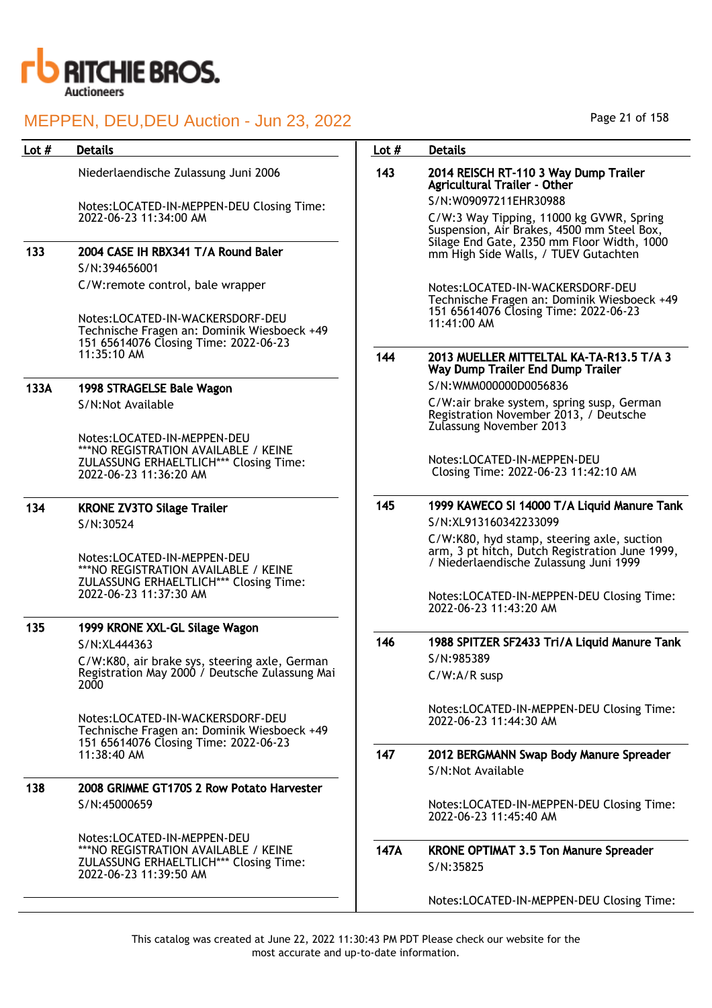

## Lot # Details **Details According to the United States Lot # Details**

Niederlaendische Zulassung Juni 2006

Notes:LOCATED-IN-MEPPEN-DEU Closing Time: 2022-06-23 11:34:00 AM

133 2004 CASE IH RBX341 T/A Round Baler S/N:394656001 C/W:remote control, bale wrapper

> Notes:LOCATED-IN-WACKERSDORF-DEU Technische Fragen an: Dominik Wiesboeck +49 151 65614076 Closing Time: 2022-06-23 11:35:10 AM

## 133A 1998 STRAGELSE Bale Wagon

S/N:Not Available

Notes:LOCATED-IN-MEPPEN-DEU \*\*\*NO REGISTRATION AVAILABLE / KEINE ZULASSUNG ERHAELTLICH\*\*\* Closing Time: 2022-06-23 11:36:20 AM

## 134 KRONE ZV3TO Silage Trailer S/N:30524

Notes:LOCATED-IN-MEPPEN-DEU \*\*\*NO REGISTRATION AVAILABLE / KEINE ZULASSUNG ERHAELTLICH\*\*\* Closing Time: 2022-06-23 11:37:30 AM

# 135 1999 KRONE XXL-GL Silage Wagon S/N:XL444363

C/W:K80, air brake sys, steering axle, German Registration May 2000 / Deutsche Zulassung Mai 2000

Notes:LOCATED-IN-WACKERSDORF-DEU Technische Fragen an: Dominik Wiesboeck +49 151 65614076 Closing Time: 2022-06-23 11:38:40 AM

## 138 2008 GRIMME GT170S 2 Row Potato Harvester S/N:45000659

Notes:LOCATED-IN-MEPPEN-DEU \*\*\*NO REGISTRATION AVAILABLE / KEINE ZULASSUNG ERHAELTLICH\*\*\* Closing Time: 2022-06-23 11:39:50 AM

### 143 2014 REISCH RT-110 3 Way Dump Trailer Agricultural Trailer - Other S/N:W09097211EHR30988

C/W:3 Way Tipping, 11000 kg GVWR, Spring Suspension, Air Brakes, 4500 mm Steel Box, Silage End Gate, 2350 mm Floor Width, 1000 mm High Side Walls, / TUEV Gutachten

Notes:LOCATED-IN-WACKERSDORF-DEU Technische Fragen an: Dominik Wiesboeck +49 151 65614076 Closing Time: 2022-06-23 11:41:00 AM

#### 144 2013 MUELLER MITTELTAL KA-TA-R13.5 T/A 3 Way Dump Trailer End Dump Trailer S/N:WMM000000D0056836

C/W:air brake system, spring susp, German Registration November 2013, / Deutsche Zulassung November 2013

Notes:LOCATED-IN-MEPPEN-DEU Closing Time: 2022-06-23 11:42:10 AM

## 145 1999 KAWECO SI 14000 T/A Liquid Manure Tank S/N:XL913160342233099

C/W:K80, hyd stamp, steering axle, suction arm, 3 pt hitch, Dutch Registration June 1999, / Niederlaendische Zulassung Juni 1999

Notes:LOCATED-IN-MEPPEN-DEU Closing Time: 2022-06-23 11:43:20 AM

146 1988 SPITZER SF2433 Tri/A Liquid Manure Tank S/N:985389 C/W:A/R susp

> Notes:LOCATED-IN-MEPPEN-DEU Closing Time: 2022-06-23 11:44:30 AM

147 2012 BERGMANN Swap Body Manure Spreader S/N:Not Available

> Notes:LOCATED-IN-MEPPEN-DEU Closing Time: 2022-06-23 11:45:40 AM

147A KRONE OPTIMAT 3.5 Ton Manure Spreader S/N:35825

Notes:LOCATED-IN-MEPPEN-DEU Closing Time: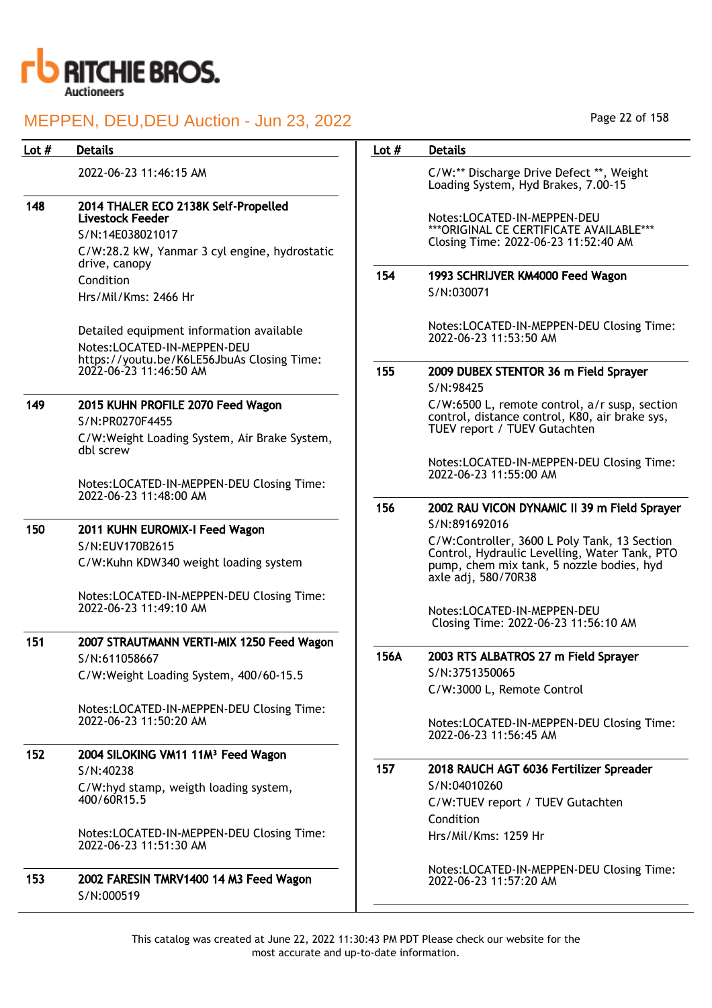

| Lot $#$ | <b>Details</b>                                                                                                                       | Lot $#$ | <b>Details</b>                                                                                                                                                                     |
|---------|--------------------------------------------------------------------------------------------------------------------------------------|---------|------------------------------------------------------------------------------------------------------------------------------------------------------------------------------------|
|         | 2022-06-23 11:46:15 AM                                                                                                               |         | C/W:** Discharge Drive Defect **, Weight<br>Loading System, Hyd Brakes, 7.00-15                                                                                                    |
| 148     | 2014 THALER ECO 2138K Self-Propelled<br><b>Livestock Feeder</b><br>S/N:14E038021017<br>C/W:28.2 kW, Yanmar 3 cyl engine, hydrostatic |         | Notes:LOCATED-IN-MEPPEN-DEU<br>*** ORIGINAL CE CERTIFICATE AVAILABLE***<br>Closing Time: 2022-06-23 11:52:40 AM                                                                    |
|         | drive, canopy<br>Condition<br>Hrs/Mil/Kms: 2466 Hr                                                                                   | 154     | 1993 SCHRIJVER KM4000 Feed Wagon<br>S/N:030071                                                                                                                                     |
|         | Detailed equipment information available<br>Notes:LOCATED-IN-MEPPEN-DEU<br>https://youtu.be/K6LE56JbuAs Closing Time:                |         | Notes:LOCATED-IN-MEPPEN-DEU Closing Time:<br>2022-06-23 11:53:50 AM                                                                                                                |
|         | 2022-06-23 11:46:50 AM                                                                                                               | 155     | 2009 DUBEX STENTOR 36 m Field Sprayer<br>S/N:98425                                                                                                                                 |
| 149     | 2015 KUHN PROFILE 2070 Feed Wagon<br>S/N:PR0270F4455<br>C/W:Weight Loading System, Air Brake System,<br>dbl screw                    |         | C/W:6500 L, remote control, a/r susp, section<br>control, distance control, K80, air brake sys,<br>TUEV report / TUEV Gutachten                                                    |
|         | Notes:LOCATED-IN-MEPPEN-DEU Closing Time:<br>2022-06-23 11:48:00 AM                                                                  |         | Notes:LOCATED-IN-MEPPEN-DEU Closing Time:<br>2022-06-23 11:55:00 AM                                                                                                                |
|         |                                                                                                                                      | 156     | 2002 RAU VICON DYNAMIC II 39 m Field Sprayer                                                                                                                                       |
| 150     | 2011 KUHN EUROMIX-I Feed Wagon<br>S/N:EUV170B2615<br>C/W:Kuhn KDW340 weight loading system                                           |         | S/N:891692016<br>C/W:Controller, 3600 L Poly Tank, 13 Section<br>Control, Hydraulic Levelling, Water Tank, PTO<br>pump, chem mix tank, 5 nozzle bodies, hyd<br>axle adj, 580/70R38 |
|         | Notes:LOCATED-IN-MEPPEN-DEU Closing Time:<br>2022-06-23 11:49:10 AM                                                                  |         | Notes:LOCATED-IN-MEPPEN-DEU<br>Closing Time: 2022-06-23 11:56:10 AM                                                                                                                |
| 151     | 2007 STRAUTMANN VERTI-MIX 1250 Feed Wagon<br>S/N:611058667<br>C/W:Weight Loading System, 400/60-15.5                                 | 156A    | 2003 RTS ALBATROS 27 m Field Sprayer<br>S/N:3751350065<br>C/W:3000 L, Remote Control                                                                                               |
|         | Notes:LOCATED-IN-MEPPEN-DEU Closing Time:<br>2022-06-23 11:50:20 AM                                                                  |         | Notes:LOCATED-IN-MEPPEN-DEU Closing Time:<br>2022-06-23 11:56:45 AM                                                                                                                |
| 152     | 2004 SILOKING VM11 11M <sup>3</sup> Feed Wagon<br>S/N:40238<br>C/W:hyd stamp, weigth loading system,                                 | 157     | 2018 RAUCH AGT 6036 Fertilizer Spreader<br>S/N:04010260                                                                                                                            |
|         | 400/60R15.5                                                                                                                          |         | C/W:TUEV report / TUEV Gutachten<br>Condition                                                                                                                                      |
|         | Notes:LOCATED-IN-MEPPEN-DEU Closing Time:<br>2022-06-23 11:51:30 AM                                                                  |         | Hrs/Mil/Kms: 1259 Hr                                                                                                                                                               |
| 153     | 2002 FARESIN TMRV1400 14 M3 Feed Wagon<br>S/N:000519                                                                                 |         | Notes:LOCATED-IN-MEPPEN-DEU Closing Time:<br>2022-06-23 11:57:20 AM                                                                                                                |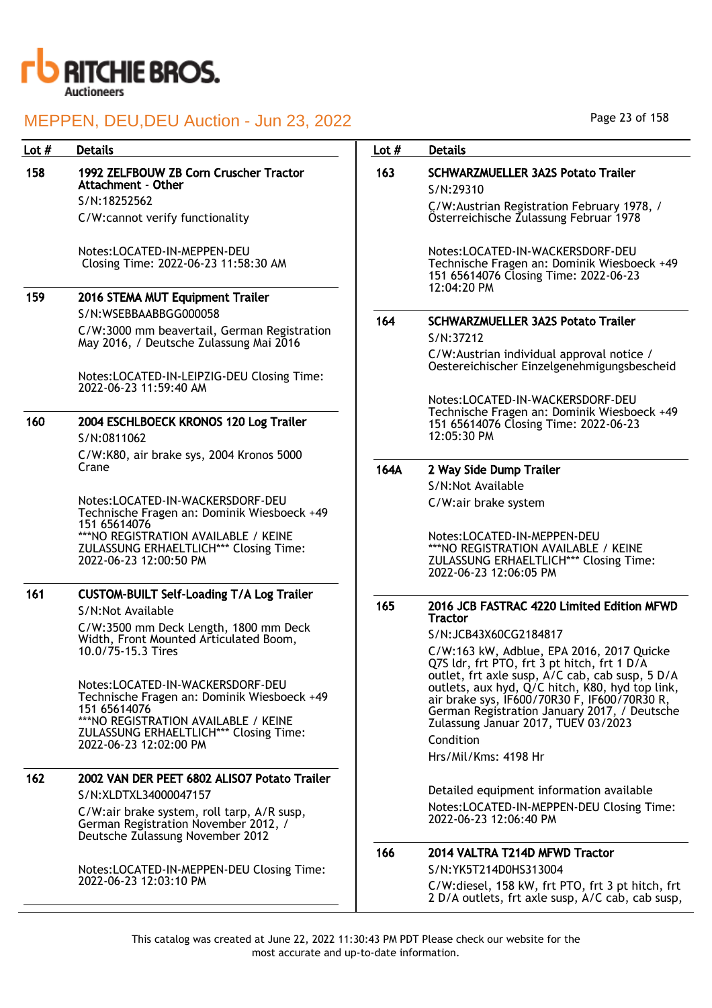

| Lot $#$ | <b>Details</b>                                                                                                         | Lot $#$ | <b>Details</b>                                                                                                                                                                                                                                 |
|---------|------------------------------------------------------------------------------------------------------------------------|---------|------------------------------------------------------------------------------------------------------------------------------------------------------------------------------------------------------------------------------------------------|
| 158     | 1992 ZELFBOUW ZB Corn Cruscher Tractor<br><b>Attachment - Other</b>                                                    | 163     | <b>SCHWARZMUELLER 3A2S Potato Trailer</b><br>S/N:29310                                                                                                                                                                                         |
|         | S/N:18252562                                                                                                           |         | C/W:Austrian Registration February 1978, /                                                                                                                                                                                                     |
|         | C/W:cannot verify functionality                                                                                        |         | Österreichische Zulassung Februar 1978                                                                                                                                                                                                         |
|         | Notes:LOCATED-IN-MEPPEN-DEU<br>Closing Time: 2022-06-23 11:58:30 AM                                                    |         | Notes:LOCATED-IN-WACKERSDORF-DEU<br>Technische Fragen an: Dominik Wiesboeck +49<br>151 65614076 Closing Time: 2022-06-23<br>12:04:20 PM                                                                                                        |
| 159     | 2016 STEMA MUT Equipment Trailer                                                                                       |         |                                                                                                                                                                                                                                                |
|         | S/N:WSEBBAABBGG000058                                                                                                  | 164     | <b>SCHWARZMUELLER 3A2S Potato Trailer</b>                                                                                                                                                                                                      |
|         | C/W:3000 mm beavertail, German Registration<br>May 2016, / Deutsche Zulassung Mai 2016                                 |         | S/N:37212                                                                                                                                                                                                                                      |
|         |                                                                                                                        |         | C/W: Austrian individual approval notice /<br>Oestereichischer Einzelgenehmigungsbescheid                                                                                                                                                      |
|         | Notes:LOCATED-IN-LEIPZIG-DEU Closing Time:<br>2022-06-23 11:59:40 AM                                                   |         |                                                                                                                                                                                                                                                |
| 160     | 2004 ESCHLBOECK KRONOS 120 Log Trailer<br>S/N:0811062                                                                  |         | Notes:LOCATED-IN-WACKERSDORF-DEU<br>Technische Fragen an: Dominik Wiesboeck +49<br>151 65614076 Closing Time: 2022-06-23<br>12:05:30 PM                                                                                                        |
|         | C/W:K80, air brake sys, 2004 Kronos 5000                                                                               |         |                                                                                                                                                                                                                                                |
|         | Crane                                                                                                                  | 164A    | 2 Way Side Dump Trailer                                                                                                                                                                                                                        |
|         |                                                                                                                        |         | S/N:Not Available                                                                                                                                                                                                                              |
|         | Notes:LOCATED-IN-WACKERSDORF-DEU<br>Technische Fragen an: Dominik Wiesboeck +49<br>151 65614076                        |         | C/W:air brake system                                                                                                                                                                                                                           |
|         | *** NO REGISTRATION AVAILABLE / KEINE<br>ZULASSUNG ERHAELTLICH*** Closing Time:<br>2022-06-23 12:00:50 PM              |         | Notes:LOCATED-IN-MEPPEN-DEU<br>*** NO REGISTRATION AVAILABLE / KEINE<br>ZULASSUNG ERHAELTLICH*** Closing Time:<br>2022-06-23 12:06:05 PM                                                                                                       |
| 161     | <b>CUSTOM-BUILT Self-Loading T/A Log Trailer</b><br>S/N:Not Available                                                  | 165     | 2016 JCB FASTRAC 4220 Limited Edition MFWD                                                                                                                                                                                                     |
|         | C/W:3500 mm Deck Length, 1800 mm Deck                                                                                  |         | <b>Tractor</b>                                                                                                                                                                                                                                 |
|         | Width, Front Mounted Articulated Boom,                                                                                 |         | S/N:JCB43X60CG2184817                                                                                                                                                                                                                          |
|         | 10.0/75-15.3 Tires<br>Notes:LOCATED-IN-WACKERSDORF-DEU<br>Technische Fragen an: Dominik Wiesboeck +49                  |         | C/W:163 kW, Adblue, EPA 2016, 2017 Quicke<br>Q7S ldr, frt PTO, frt 3 pt hitch, frt 1 D/A<br>outlet, frt axle susp, A/C cab, cab susp, 5 D/A<br>outlets, aux hyd, Q/C hitch, K80, hyd top link,<br>air brake sys, IF600/70R30 F, IF600/70R30 R, |
|         | 151 65614076<br>***NO REGISTRATION AVAILABLE / KEINE                                                                   |         | German Registration January 2017, / Deutsche<br>Zulassung Januar 2017, TUEV 03/2023                                                                                                                                                            |
|         | ZULASSUNG ERHAELTLICH*** Closing Time:<br>2022-06-23 12:02:00 PM                                                       |         | Condition                                                                                                                                                                                                                                      |
|         |                                                                                                                        |         | Hrs/Mil/Kms: 4198 Hr                                                                                                                                                                                                                           |
| 162     | 2002 VAN DER PEET 6802 ALISO7 Potato Trailer                                                                           |         |                                                                                                                                                                                                                                                |
|         | S/N:XLDTXL34000047157                                                                                                  |         | Detailed equipment information available                                                                                                                                                                                                       |
|         | C/W:air brake system, roll tarp, A/R susp,<br>German Registration November 2012, /<br>Deutsche Zulassung November 2012 |         | Notes:LOCATED-IN-MEPPEN-DEU Closing Time:<br>2022-06-23 12:06:40 PM                                                                                                                                                                            |
|         |                                                                                                                        | 166     | 2014 VALTRA T214D MFWD Tractor                                                                                                                                                                                                                 |
|         | Notes:LOCATED-IN-MEPPEN-DEU Closing Time:                                                                              |         | S/N:YK5T214D0HS313004                                                                                                                                                                                                                          |
|         | 2022-06-23 12:03:10 PM                                                                                                 |         | C/W:diesel, 158 kW, frt PTO, frt 3 pt hitch, frt<br>2 D/A outlets, frt axle susp, A/C cab, cab susp,                                                                                                                                           |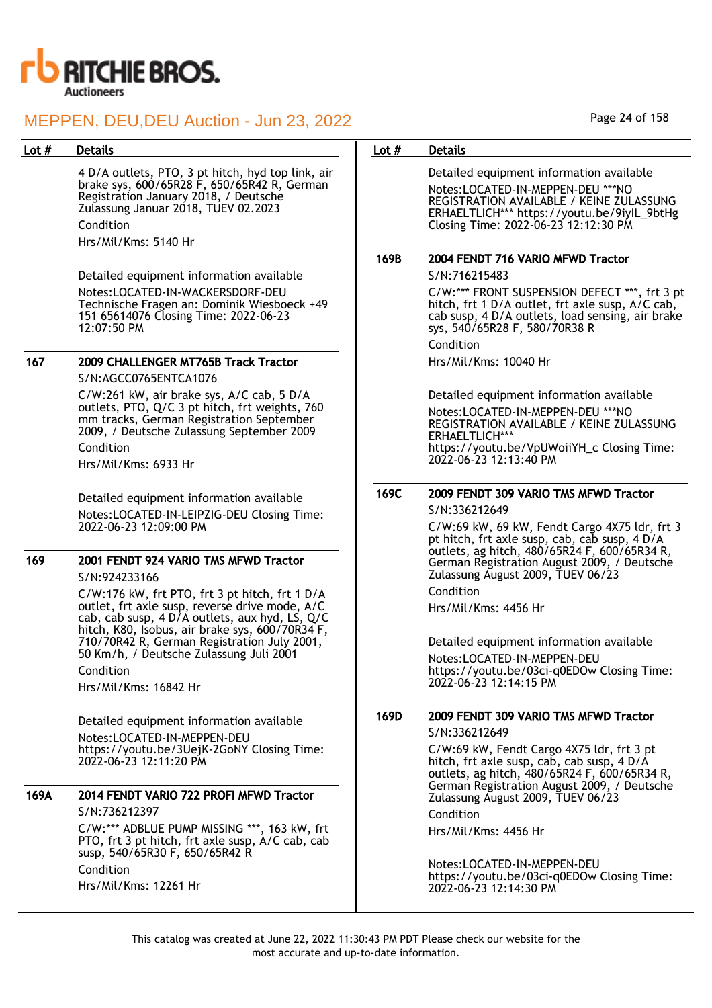

4 D/A outlets, PTO, 3 pt hitch, hyd top link, air brake sys, 600/65R28 F, 650/65R42 R, German Registration January 2018, / Deutsche Zulassung Januar 2018, TUEV 02.2023 Condition Hrs/Mil/Kms: 5140 Hr

Detailed equipment information available Notes:LOCATED-IN-WACKERSDORF-DEU Technische Fragen an: Dominik Wiesboeck +49 151 65614076 Closing Time: 2022-06-23 12:07:50 PM

## 167 2009 CHALLENGER MT765B Track Tractor

S/N:AGCC0765ENTCA1076

C/W:261 kW, air brake sys, A/C cab, 5 D/A outlets, PTO, Q/C 3 pt hitch, frt weights, 760 mm tracks, German Registration September 2009, / Deutsche Zulassung September 2009 Condition

Hrs/Mil/Kms: 6933 Hr

Detailed equipment information available Notes:LOCATED-IN-LEIPZIG-DEU Closing Time: 2022-06-23 12:09:00 PM

## 169 2001 FENDT 924 VARIO TMS MFWD Tractor

### S/N:924233166

C/W:176 kW, frt PTO, frt 3 pt hitch, frt 1 D/A outlet, frt axle susp, reverse drive mode, A/C cab, cab susp, 4 D/A outlets, aux hyd, LS, Q/C hitch, K80, Isobus, air brake sys, 600/70R34 F, 710/70R42 R, German Registration July 2001, 50 Km/h, / Deutsche Zulassung Juli 2001

Condition

Hrs/Mil/Kms: 16842 Hr

Detailed equipment information available Notes:LOCATED-IN-MEPPEN-DEU https://youtu.be/3UejK-2GoNY Closing Time: 2022-06-23 12:11:20 PM

## 169A 2014 FENDT VARIO 722 PROFI MFWD Tractor S/N:736212397

C/W:\*\*\* ADBLUE PUMP MISSING \*\*\*, 163 kW, frt PTO, frt 3 pt hitch, frt axle susp, A/C cab, cab susp, 540/65R30 F, 650/65R42 R Condition Hrs/Mil/Kms: 12261 Hr

## Lot # Details **Details According to the United States Lot # Details**

Detailed equipment information available Notes:LOCATED-IN-MEPPEN-DEU \*\*\*NO REGISTRATION AVAILABLE / KEINE ZULASSUNG ERHAELTLICH\*\*\* https://youtu.be/9iyIL\_9btHg Closing Time: 2022-06-23 12:12:30 PM

## 169B 2004 FENDT 716 VARIO MFWD Tractor

S/N:716215483

C/W:\*\*\* FRONT SUSPENSION DEFECT \*\*\*, frt 3 pt hitch, frt 1 D/A outlet, frt axle susp, A/C cab, cab susp, 4 D/A outlets, load sensing, air brake sys, 540/65R28 F, 580/70R38 R

Condition

Hrs/Mil/Kms: 10040 Hr

Detailed equipment information available Notes:LOCATED-IN-MEPPEN-DEU \*\*\*NO REGISTRATION AVAILABLE / KEINE ZULASSUNG ERHAELTLICH\*\*\* https://youtu.be/VpUWoiiYH\_c Closing Time: 2022-06-23 12:13:40 PM

# 169C 2009 FENDT 309 VARIO TMS MFWD Tractor

S/N:336212649

C/W:69 kW, 69 kW, Fendt Cargo 4X75 ldr, frt 3 pt hitch, frt axle susp, cab, cab susp, 4 D/A outlets, ag hitch, 480/65R24 F, 600/65R34 R, German Registration August 2009, / Deutsche Zulassung August 2009, TUEV 06/23

Condition

Hrs/Mil/Kms: 4456 Hr

Detailed equipment information available

Notes:LOCATED-IN-MEPPEN-DEU https://youtu.be/03ci-q0EDOw Closing Time: 2022-06-23 12:14:15 PM

## 169D 2009 FENDT 309 VARIO TMS MFWD Tractor

S/N:336212649

C/W:69 kW, Fendt Cargo 4X75 ldr, frt 3 pt hitch, frt axle susp, cab, cab susp, 4 D/A outlets, ag hitch, 480/65R24 F, 600/65R34 R, German Registration August 2009, / Deutsche Zulassung August 2009, TUEV 06/23

Condition

Hrs/Mil/Kms: 4456 Hr

Notes:LOCATED-IN-MEPPEN-DEU https://youtu.be/03ci-q0EDOw Closing Time: 2022-06-23 12:14:30 PM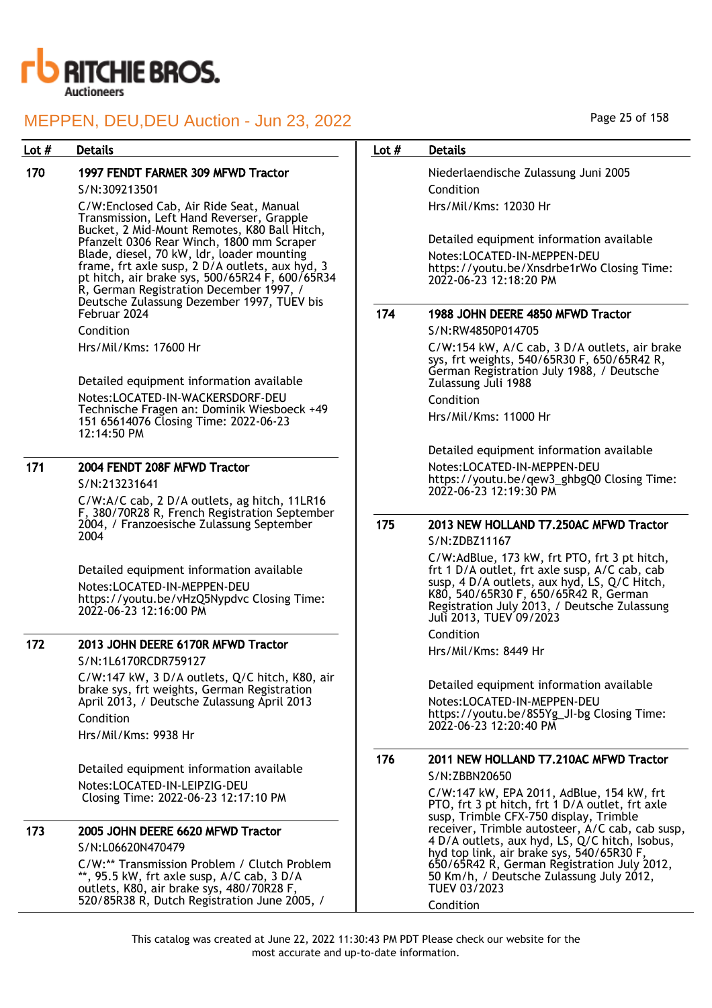

## Lot # Details **Details According to the United States Lot # Details**

## 170 1997 FENDT FARMER 309 MFWD Tractor

### S/N:309213501

C/W:Enclosed Cab, Air Ride Seat, Manual Transmission, Left Hand Reverser, Grapple Bucket, 2 Mid-Mount Remotes, K80 Ball Hitch, Pfanzelt 0306 Rear Winch, 1800 mm Scraper Blade, diesel, 70 kW, ldr, loader mounting frame, frt axle susp, 2 D/A outlets, aux hyd, 3 pt hitch, air brake sys, 500/65R24 F, 600/65R34 R, German Registration December 1997, / Deutsche Zulassung Dezember 1997, TUEV bis Februar 2024

Condition

Hrs/Mil/Kms: 17600 Hr

Detailed equipment information available Notes:LOCATED-IN-WACKERSDORF-DEU Technische Fragen an: Dominik Wiesboeck +49 151 65614076 Closing Time: 2022-06-23 12:14:50 PM

## 171 2004 FENDT 208F MFWD Tractor

S/N:213231641

C/W:A/C cab, 2 D/A outlets, ag hitch, 11LR16 F, 380/70R28 R, French Registration September 2004, / Franzoesische Zulassung September 2004

Detailed equipment information available Notes:LOCATED-IN-MEPPEN-DEU https://youtu.be/vHzQ5Nypdvc Closing Time: 2022-06-23 12:16:00 PM

# 172 2013 JOHN DEERE 6170R MFWD Tractor

S/N:1L6170RCDR759127 C/W:147 kW, 3 D/A outlets, Q/C hitch, K80, air brake sys, frt weights, German Registration April 2013, / Deutsche Zulassung April 2013 Condition

Hrs/Mil/Kms: 9938 Hr

Detailed equipment information available Notes:LOCATED-IN-LEIPZIG-DEU Closing Time: 2022-06-23 12:17:10 PM

| 173 | 2005 JOHN DEERE 6620 MFWD Tractor                                                                                                                                                       |
|-----|-----------------------------------------------------------------------------------------------------------------------------------------------------------------------------------------|
|     | S/N:L06620N470479                                                                                                                                                                       |
|     | C/W:** Transmission Problem / Clutch Problem<br>**, 95.5 kW, frt axle susp, A/C cab, 3 D/A<br>outlets, K80, air brake sys, 480/70R28 F,<br>520/85R38 R, Dutch Registration June 2005, / |

## Page 25 of 158

Niederlaendische Zulassung Juni 2005 Condition Hrs/Mil/Kms: 12030 Hr

Detailed equipment information available Notes:LOCATED-IN-MEPPEN-DEU https://youtu.be/Xnsdrbe1rWo Closing Time: 2022-06-23 12:18:20 PM

## 174 1988 JOHN DEERE 4850 MFWD Tractor

S/N:RW4850P014705

C/W:154 kW, A/C cab, 3 D/A outlets, air brake sys, frt weights, 540/65R30 F, 650/65R42 R, German Registration July 1988, / Deutsche Zulassung Juli 1988

Condition

Hrs/Mil/Kms: 11000 Hr

Detailed equipment information available Notes:LOCATED-IN-MEPPEN-DEU https://youtu.be/qew3\_ghbgQ0 Closing Time: 2022-06-23 12:19:30 PM

## 175 2013 NEW HOLLAND T7.250AC MFWD Tractor S/N:ZDBZ11167

C/W:AdBlue, 173 kW, frt PTO, frt 3 pt hitch, frt 1 D/A outlet, frt axle susp, A/C cab, cab susp, 4 D/A outlets, aux hyd, LS, Q/C Hitch, K80, 540/65R30 F, 650/65R42 R, German Registration July 2013, / Deutsche Zulassung Juli 2013, TUEV 09/2023

Condition

Hrs/Mil/Kms: 8449 Hr

Detailed equipment information available

Notes:LOCATED-IN-MEPPEN-DEU https://youtu.be/8S5Yg\_JI-bg Closing Time: 2022-06-23 12:20:40 PM

## 176 2011 NEW HOLLAND T7.210AC MFWD Tractor S/N:ZBBN20650

C/W:147 kW, EPA 2011, AdBlue, 154 kW, frt PTO, frt 3 pt hitch, frt 1 D/A outlet, frt axle susp, Trimble CFX-750 display, Trimble receiver, Trimble autosteer, A/C cab, cab susp, 4 D/A outlets, aux hyd, LS, Q/C hitch, Isobus, hyd top link, air brake sys, 540/65R30 F, 650/65R42 R, German Registration July 2012, 50 Km/h, / Deutsche Zulassung July 2012, TUEV 03/2023 Condition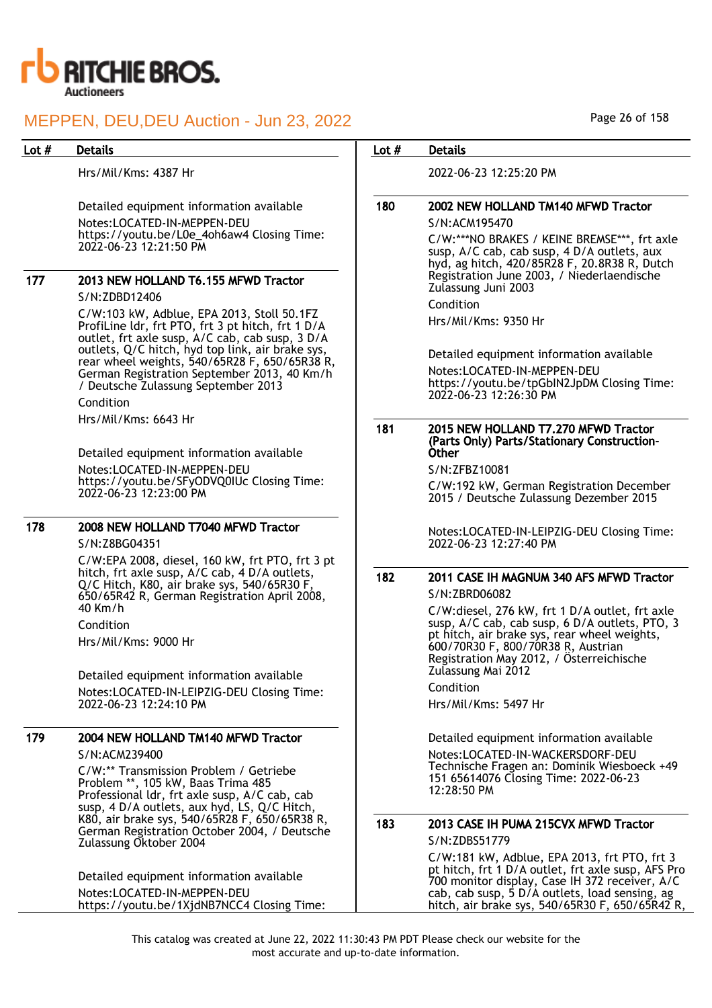

Hrs/Mil/Kms: 4387 Hr

Detailed equipment information available Notes:LOCATED-IN-MEPPEN-DEU https://youtu.be/L0e\_4oh6aw4 Closing Time: 2022-06-23 12:21:50 PM

## 177 2013 NEW HOLLAND T6.155 MFWD Tractor S/N:ZDBD12406

C/W:103 kW, Adblue, EPA 2013, Stoll 50.1FZ ProfiLine ldr, frt PTO, frt 3 pt hitch, frt 1 D/A outlet, frt axle susp, A/C cab, cab susp, 3 D/A outlets, Q/C hitch, hyd top link, air brake sys, rear wheel weights, 540/65R28 F, 650/65R38 R, German Registration September 2013, 40 Km/h / Deutsche Zulassung September 2013

Condition

Hrs/Mil/Kms: 6643 Hr

Detailed equipment information available Notes:LOCATED-IN-MEPPEN-DEU https://youtu.be/SFyODVQ0IUc Closing Time: 2022-06-23 12:23:00 PM

## 178 2008 NEW HOLLAND T7040 MFWD Tractor

S/N:Z8BG04351

C/W:EPA 2008, diesel, 160 kW, frt PTO, frt 3 pt hitch, frt axle susp, A/C cab, 4 D/A outlets, Q/C Hitch, K80, air brake sys, 540/65R30 F, 650/65R42 R, German Registration April 2008, 40 Km/h Condition

Hrs/Mil/Kms: 9000 Hr

Detailed equipment information available Notes:LOCATED-IN-LEIPZIG-DEU Closing Time: 2022-06-23 12:24:10 PM

## 179 2004 NEW HOLLAND TM140 MFWD Tractor S/N:ACM239400

C/W:\*\* Transmission Problem / Getriebe Problem \*\*, 105 kW, Baas Trima 485 Professional ldr, frt axle susp, A/C cab, cab susp, 4 D/A outlets, aux hyd, LS, Q/C Hitch, K80, air brake sys, 540/65R28 F, 650/65R38 R, German Registration October 2004, / Deutsche Zulassung Oktober 2004

Detailed equipment information available Notes:LOCATED-IN-MEPPEN-DEU https://youtu.be/1XjdNB7NCC4 Closing Time:

## Lot # Details **Details According to the United States Lot # Details**

2022-06-23 12:25:20 PM

## 180 2002 NEW HOLLAND TM140 MFWD Tractor

S/N:ACM195470

C/W:\*\*\*NO BRAKES / KEINE BREMSE\*\*\*, frt axle susp, A/C cab, cab susp, 4 D/A outlets, aux hyd, ag hitch, 420/85R28 F, 20.8R38 R, Dutch Registration June 2003, / Niederlaendische Zulassung Juni 2003

Condition

Hrs/Mil/Kms: 9350 Hr

Detailed equipment information available Notes:LOCATED-IN-MEPPEN-DEU https://youtu.be/tpGbIN2JpDM Closing Time: 2022-06-23 12:26:30 PM

#### 181 2015 NEW HOLLAND T7.270 MFWD Tractor (Parts Only) Parts/Stationary Construction-Other

S/N:ZFBZ10081

C/W:192 kW, German Registration December 2015 / Deutsche Zulassung Dezember 2015

Notes:LOCATED-IN-LEIPZIG-DEU Closing Time: 2022-06-23 12:27:40 PM

## 182 2011 CASE IH MAGNUM 340 AFS MFWD Tractor S/N:ZBRD06082

C/W:diesel, 276 kW, frt 1 D/A outlet, frt axle susp, A/C cab, cab susp, 6 D/A outlets, PTO, 3 pt hitch, air brake sys, rear wheel weights, 600/70R30 F, 800/70R38 R, Austrian Registration May 2012, / Österreichische Zulassung Mai 2012

Condition Hrs/Mil/Kms: 5497 Hr

Detailed equipment information available Notes:LOCATED-IN-WACKERSDORF-DEU Technische Fragen an: Dominik Wiesboeck +49 151 65614076 Closing Time: 2022-06-23 12:28:50 PM

### 183 2013 CASE IH PUMA 215CVX MFWD Tractor S/N:ZDBS51779

C/W:181 kW, Adblue, EPA 2013, frt PTO, frt 3 pt hitch, frt 1 D/A outlet, frt axle susp, AFS Pro 700 monitor display, Case IH 372 receiver, A/C cab, cab susp, 5 D/A outlets, load sensing, ag hitch, air brake sys, 540/65R30 F, 650/65R42 R,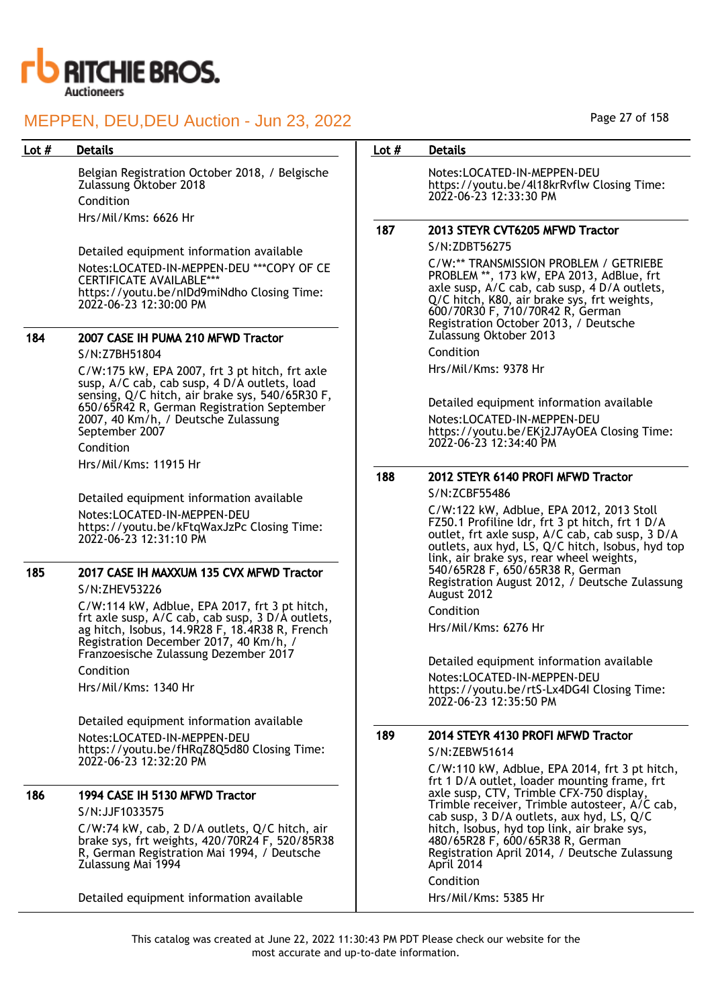

Belgian Registration October 2018, / Belgische Zulassung Oktober 2018 Condition Hrs/Mil/Kms: 6626 Hr

Detailed equipment information available Notes:LOCATED-IN-MEPPEN-DEU \*\*\*COPY OF CE CERTIFICATE AVAILABLE\*\*\* https://youtu.be/nIDd9miNdho Closing Time: 2022-06-23 12:30:00 PM

## 184 2007 CASE IH PUMA 210 MFWD Tractor

S/N:Z7BH51804 C/W:175 kW, EPA 2007, frt 3 pt hitch, frt axle susp, A/C cab, cab susp, 4 D/A outlets, load sensing, Q/C hitch, air brake sys, 540/65R30 F, 650/65R42 R, German Registration September 2007, 40 Km/h, / Deutsche Zulassung September 2007

Condition Hrs/Mil/Kms: 11915 Hr

Detailed equipment information available Notes:LOCATED-IN-MEPPEN-DEU https://youtu.be/kFtqWaxJzPc Closing Time: 2022-06-23 12:31:10 PM

### 185 2017 CASE IH MAXXUM 135 CVX MFWD Tractor S/N:ZHEV53226

C/W:114 kW, Adblue, EPA 2017, frt 3 pt hitch, frt axle susp, A/C cab, cab susp, 3 D/A outlets, ag hitch, Isobus, 14.9R28 F, 18.4R38 R, French Registration December 2017, 40 Km/h, / Franzoesische Zulassung Dezember 2017

Condition

Hrs/Mil/Kms: 1340 Hr

Detailed equipment information available Notes:LOCATED-IN-MEPPEN-DEU https://youtu.be/fHRqZ8Q5d80 Closing Time: 2022-06-23 12:32:20 PM

### 186 1994 CASE IH 5130 MFWD Tractor S/N:JJF1033575

C/W:74 kW, cab, 2 D/A outlets, Q/C hitch, air brake sys, frt weights, 420/70R24 F, 520/85R38 R, German Registration Mai 1994, / Deutsche Zulassung Mai 1994

Detailed equipment information available

## Lot # Details **Details According to the United States Lot # Details**

Notes:LOCATED-IN-MEPPEN-DEU https://youtu.be/4l18krRvflw Closing Time: 2022-06-23 12:33:30 PM

## 187 2013 STEYR CVT6205 MFWD Tractor

S/N:ZDBT56275

C/W:\*\* TRANSMISSION PROBLEM / GETRIEBE PROBLEM \*\*, 173 kW, EPA 2013, AdBlue, frt axle susp, A/C cab, cab susp, 4 D/A outlets, Q/C hitch, K80, air brake sys, frt weights, 600/70R30 F, 710/70R42 R, German Registration October 2013, / Deutsche Zulassung Oktober 2013

Condition

Hrs/Mil/Kms: 9378 Hr

Detailed equipment information available Notes:LOCATED-IN-MEPPEN-DEU https://youtu.be/EKj2J7AyOEA Closing Time: 2022-06-23 12:34:40 PM

## 188 2012 STEYR 6140 PROFI MFWD Tractor

S/N:ZCBF55486

C/W:122 kW, Adblue, EPA 2012, 2013 Stoll FZ50.1 Profiline ldr, frt 3 pt hitch, frt 1 D/A outlet, frt axle susp, A/C cab, cab susp, 3 D/A outlets, aux hyd, LS, Q/C hitch, Isobus, hyd top link, air brake sys, rear wheel weights, 540/65R28 F, 650/65R38 R, German Registration August 2012, / Deutsche Zulassung August 2012 Condition

Hrs/Mil/Kms: 6276 Hr

Detailed equipment information available Notes:LOCATED-IN-MEPPEN-DEU https://youtu.be/rtS-Lx4DG4I Closing Time: 2022-06-23 12:35:50 PM

## 189 2014 STEYR 4130 PROFI MFWD Tractor

S/N:ZEBW51614

C/W:110 kW, Adblue, EPA 2014, frt 3 pt hitch, frt 1 D/A outlet, loader mounting frame, frt axle susp, CTV, Trimble CFX-750 display, Trimble receiver, Trimble autosteer, A/C cab, cab susp, 3 D/A outlets, aux hyd, LS, Q/C hitch, Isobus, hyd top link, air brake sys, 480/65R28 F, 600/65R38 R, German Registration April 2014, / Deutsche Zulassung April 2014

Condition

Hrs/Mil/Kms: 5385 Hr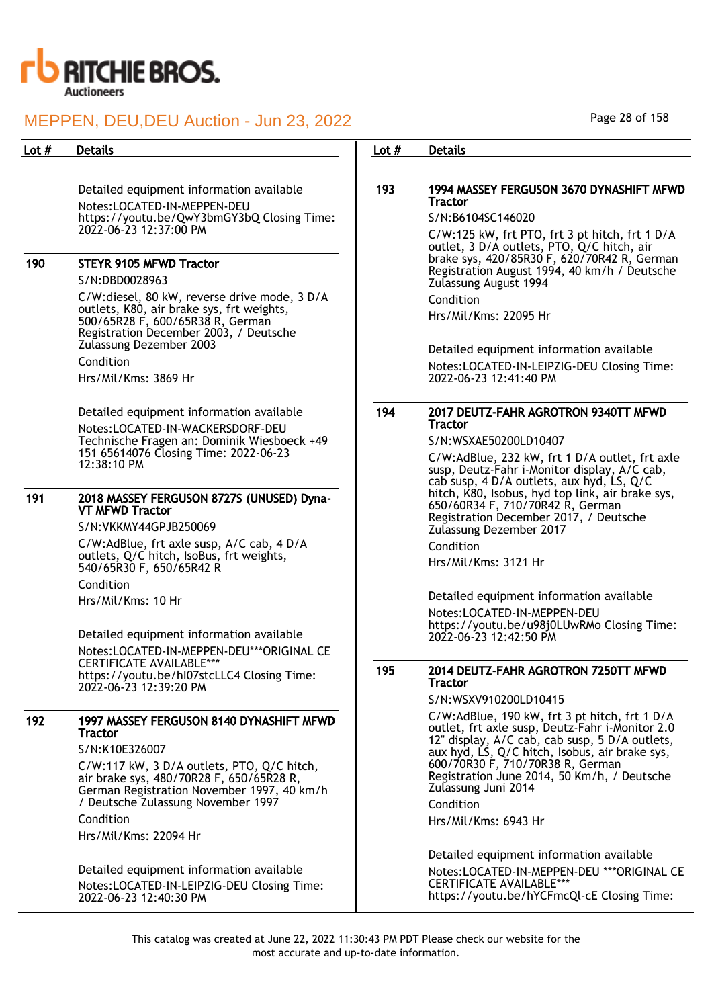

Detailed equipment information available Notes:LOCATED-IN-MEPPEN-DEU https://youtu.be/QwY3bmGY3bQ Closing Time: 2022-06-23 12:37:00 PM

## 190 STEYR 9105 MFWD Tractor

S/N:DBD0028963

C/W:diesel, 80 kW, reverse drive mode, 3 D/A outlets, K80, air brake sys, frt weights, 500/65R28 F, 600/65R38 R, German Registration December 2003, / Deutsche Zulassung Dezember 2003

Condition Hrs/Mil/Kms: 3869 Hr

Detailed equipment information available Notes:LOCATED-IN-WACKERSDORF-DEU Technische Fragen an: Dominik Wiesboeck +49 151 65614076 Closing Time: 2022-06-23 12:38:10 PM

#### 191 2018 MASSEY FERGUSON 8727S (UNUSED) Dyna-VT MFWD Tractor

S/N:VKKMY44GPJB250069

C/W:AdBlue, frt axle susp, A/C cab, 4 D/A outlets, Q/C hitch, IsoBus, frt weights, 540/65R30 F, 650/65R42 R

Condition

Hrs/Mil/Kms: 10 Hr

Detailed equipment information available Notes:LOCATED-IN-MEPPEN-DEU\*\*\*ORIGINAL CE CERTIFICATE AVAILABLE\*\*\* https://youtu.be/hI07stcLLC4 Closing Time: 2022-06-23 12:39:20 PM

## 192 1997 MASSEY FERGUSON 8140 DYNASHIFT MFWD **Tractor**

S/N:K10E326007

C/W:117 kW, 3 D/A outlets, PTO, Q/C hitch, air brake sys, 480/70R28 F, 650/65R28 R, German Registration November 1997, 40 km/h / Deutsche Zulassung November 1997 Condition

Hrs/Mil/Kms: 22094 Hr

Detailed equipment information available Notes:LOCATED-IN-LEIPZIG-DEU Closing Time: 2022-06-23 12:40:30 PM

Page 28 of 158

## Lot # Details **Details According to the United States Lot # Details**

## 193 1994 MASSEY FERGUSON 3670 DYNASHIFT MFWD **Tractor**

S/N:B6104SC146020

C/W:125 kW, frt PTO, frt 3 pt hitch, frt 1 D/A outlet, 3 D/A outlets, PTO, Q/C hitch, air brake sys, 420/85R30 F, 620/70R42 R, German Registration August 1994, 40 km/h / Deutsche Zulassung August 1994

Condition

Hrs/Mil/Kms: 22095 Hr

Detailed equipment information available Notes:LOCATED-IN-LEIPZIG-DEU Closing Time: 2022-06-23 12:41:40 PM

## 194 2017 DEUTZ-FAHR AGROTRON 9340TT MFWD **Tractor**

S/N:WSXAE50200LD10407

C/W:AdBlue, 232 kW, frt 1 D/A outlet, frt axle susp, Deutz-Fahr i-Monitor display, A/C cab, cab susp, 4 D/A outlets, aux hyd, LS, Q/C hitch, K80, Isobus, hyd top link, air brake sys, 650/60R34 F, 710/70R42 R, German Registration December 2017, / Deutsche Zulassung Dezember 2017

Condition

Hrs/Mil/Kms: 3121 Hr

Detailed equipment information available Notes:LOCATED-IN-MEPPEN-DEU https://youtu.be/u98j0LUwRMo Closing Time: 2022-06-23 12:42:50 PM

## 195 2014 DEUTZ-FAHR AGROTRON 7250TT MFWD **Tractor**

S/N:WSXV910200LD10415

C/W:AdBlue, 190 kW, frt 3 pt hitch, frt 1 D/A outlet, frt axle susp, Deutz-Fahr i-Monitor 2.0 12" display, A/C cab, cab susp, 5 D/A outlets, aux hyd, LS, Q/C hitch, Isobus, air brake sys, 600/70R30 F, 710/70R38 R, German Registration June 2014, 50 Km/h, / Deutsche Zulassung Juni 2014

Condition

Hrs/Mil/Kms: 6943 Hr

Detailed equipment information available Notes:LOCATED-IN-MEPPEN-DEU \*\*\*ORIGINAL CE CERTIFICATE AVAILABLE\*\*\* https://youtu.be/hYCFmcQl-cE Closing Time: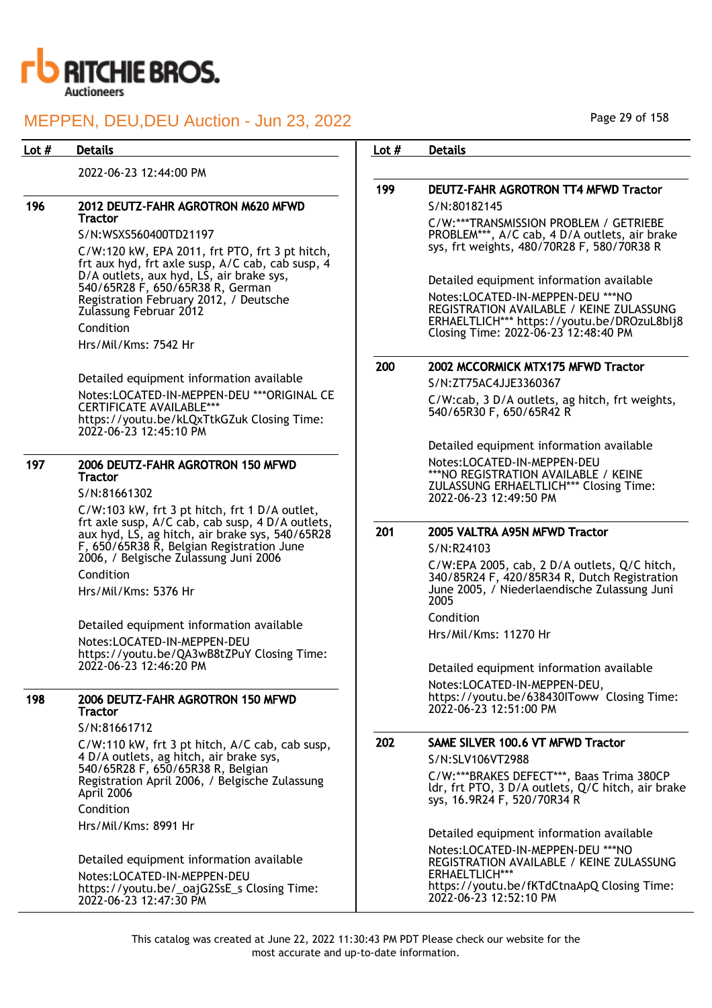

2022-06-23 12:44:00 PM

#### 196 2012 DEUTZ-FAHR AGROTRON M620 MFWD **Tractor**

S/N:WSXS560400TD21197 C/W:120 kW, EPA 2011, frt PTO, frt 3 pt hitch, frt aux hyd, frt axle susp, A/C cab, cab susp, 4 D/A outlets, aux hyd, LS, air brake sys, 540/65R28 F, 650/65R38 R, German Registration February 2012, / Deutsche Zulassung Februar 2012 Condition Hrs/Mil/Kms: 7542 Hr

Detailed equipment information available Notes:LOCATED-IN-MEPPEN-DEU \*\*\*ORIGINAL CE CERTIFICATE AVAILABLE\*\*\* https://youtu.be/kLQxTtkGZuk Closing Time: 2022-06-23 12:45:10 PM

## 197 2006 DEUTZ-FAHR AGROTRON 150 MFWD **Tractor**

S/N:81661302

C/W:103 kW, frt 3 pt hitch, frt 1 D/A outlet, frt axle susp, A/C cab, cab susp, 4 D/A outlets, aux hyd, LS, ag hitch, air brake sys, 540/65R28 F, 650/65R38 R, Belgian Registration June 2006, / Belgische Zulassung Juni 2006 Condition

Hrs/Mil/Kms: 5376 Hr

Detailed equipment information available Notes:LOCATED-IN-MEPPEN-DEU https://youtu.be/QA3wB8tZPuY Closing Time: 2022-06-23 12:46:20 PM

#### 198 2006 DEUTZ-FAHR AGROTRON 150 MFWD **Tractor**

S/N:81661712 C/W:110 kW, frt 3 pt hitch, A/C cab, cab susp,

4 D/A outlets, ag hitch, air brake sys, 540/65R28 F, 650/65R38 R, Belgian Registration April 2006, / Belgische Zulassung April 2006 Condition Hrs/Mil/Kms: 8991 Hr

Detailed equipment information available Notes:LOCATED-IN-MEPPEN-DEU https://youtu.be/\_oajG2SsE\_s Closing Time: 2022-06-23 12:47:30 PM

Page 29 of 158

## Lot # Details **Details According to the United States Lot # Details**

## 199 DEUTZ-FAHR AGROTRON TT4 MFWD Tractor S/N:80182145

C/W:\*\*\*TRANSMISSION PROBLEM / GETRIEBE PROBLEM\*\*\*, A/C cab, 4 D/A outlets, air brake sys, frt weights, 480/70R28 F, 580/70R38 R

Detailed equipment information available Notes:LOCATED-IN-MEPPEN-DEU \*\*\*NO REGISTRATION AVAILABLE / KEINE ZULASSUNG ERHAELTLICH\*\*\* https://youtu.be/DROzuL8bIj8 Closing Time: 2022-06-23 12:48:40 PM

## 200 2002 MCCORMICK MTX175 MFWD Tractor

S/N:ZT75AC4JJE3360367 C/W:cab, 3 D/A outlets, ag hitch, frt weights, 540/65R30 F, 650/65R42 R

Detailed equipment information available Notes:LOCATED-IN-MEPPEN-DEU \*\*\*NO REGISTRATION AVAILABLE / KEINE ZULASSUNG ERHAELTLICH\*\*\* Closing Time: 2022-06-23 12:49:50 PM

## 201 2005 VALTRA A95N MFWD Tractor

S/N:R24103

C/W:EPA 2005, cab, 2 D/A outlets, Q/C hitch, 340/85R24 F, 420/85R34 R, Dutch Registration June 2005, / Niederlaendische Zulassung Juni 2005

Condition

Hrs/Mil/Kms: 11270 Hr

Detailed equipment information available Notes:LOCATED-IN-MEPPEN-DEU, https://youtu.be/638430IToww Closing Time: 2022-06-23 12:51:00 PM

## 202 SAME SILVER 100.6 VT MFWD Tractor

S/N:SLV106VT2988

C/W:\*\*\*BRAKES DEFECT\*\*\*, Baas Trima 380CP ldr, frt PTO, 3 D/A outlets, Q/C hitch, air brake sys, 16.9R24 F, 520/70R34 R

Detailed equipment information available Notes:LOCATED-IN-MEPPEN-DEU \*\*\*NO REGISTRATION AVAILABLE / KEINE ZULASSUNG ERHAELTLICH\*\*\* https://youtu.be/fKTdCtnaApQ Closing Time: 2022-06-23 12:52:10 PM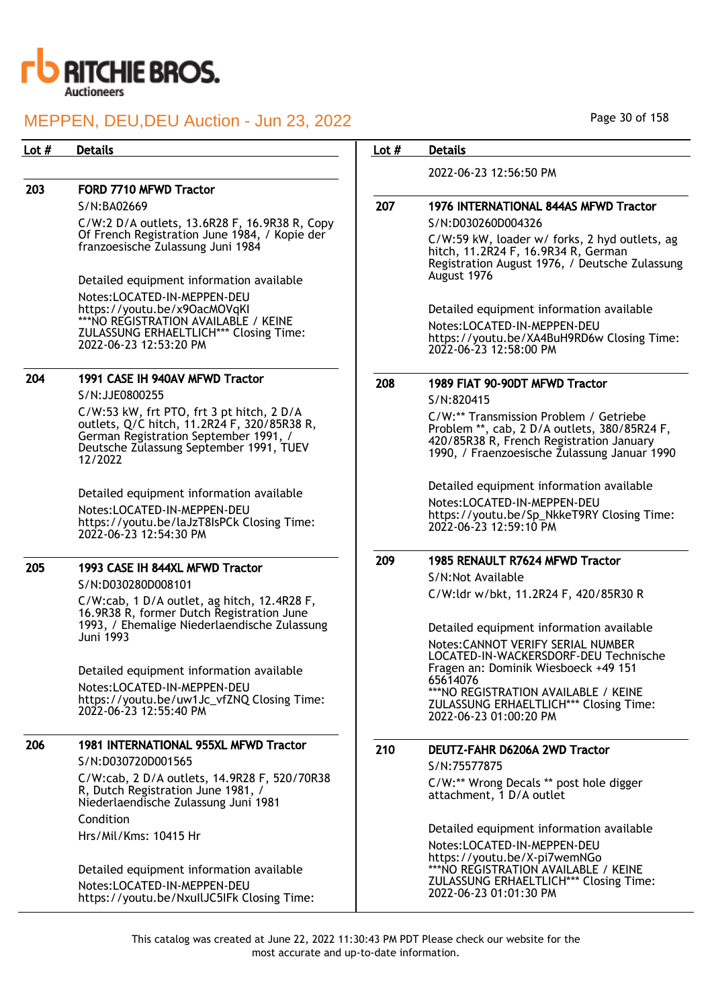

## 203 FORD 7710 MFWD Tractor

S/N:BA02669

C/W:2 D/A outlets, 13.6R28 F, 16.9R38 R, Copy Of French Registration June 1984, / Kopie der franzoesische Zulassung Juni 1984

Detailed equipment information available Notes:LOCATED-IN-MEPPEN-DEU https://youtu.be/x9OacMOVqKI \*\*\*NO REGISTRATION AVAILABLE / KEINE ZULASSUNG ERHAELTLICH\*\*\* Closing Time: 2022-06-23 12:53:20 PM

## 204 1991 CASE IH 940AV MFWD Tractor

S/N:JJE0800255

C/W:53 kW, frt PTO, frt 3 pt hitch, 2 D/A outlets, Q/C hitch, 11.2R24 F, 320/85R38 R, German Registration September 1991, / Deutsche Zulassung September 1991, TUEV 12/2022

Detailed equipment information available Notes:LOCATED-IN-MEPPEN-DEU https://youtu.be/laJzT8IsPCk Closing Time: 2022-06-23 12:54:30 PM

## 205 1993 CASE IH 844XL MFWD Tractor

S/N:D030280D008101

C/W:cab, 1 D/A outlet, ag hitch, 12.4R28 F, 16.9R38 R, former Dutch Registration June 1993, / Ehemalige Niederlaendische Zulassung Juni 1993

Detailed equipment information available Notes:LOCATED-IN-MEPPEN-DEU https://youtu.be/uw1Jc\_vfZNQ Closing Time: 2022-06-23 12:55:40 PM

## 206 1981 INTERNATIONAL 955XL MFWD Tractor S/N:D030720D001565

C/W:cab, 2 D/A outlets, 14.9R28 F, 520/70R38 R, Dutch Registration June 1981, / Niederlaendische Zulassung Juni 1981 Condition

Hrs/Mil/Kms: 10415 Hr

Detailed equipment information available Notes:LOCATED-IN-MEPPEN-DEU https://youtu.be/NxuIlJC5IFk Closing Time:

## Lot # Details **Details According to the United States Lot # Details**

2022-06-23 12:56:50 PM

### 207 1976 INTERNATIONAL 844AS MFWD Tractor S/N:D030260D004326

C/W:59 kW, loader w/ forks, 2 hyd outlets, ag hitch, 11.2R24 F, 16.9R34 R, German Registration August 1976, / Deutsche Zulassung August 1976

Detailed equipment information available Notes:LOCATED-IN-MEPPEN-DEU https://youtu.be/XA4BuH9RD6w Closing Time: 2022-06-23 12:58:00 PM

## 208 1989 FIAT 90-90DT MFWD Tractor

S/N:820415

C/W:\*\* Transmission Problem / Getriebe Problem \*\*, cab, 2 D/A outlets, 380/85R24 F, 420/85R38 R, French Registration January 1990, / Fraenzoesische Zulassung Januar 1990

Detailed equipment information available Notes:LOCATED-IN-MEPPEN-DEU https://youtu.be/Sp\_NkkeT9RY Closing Time: 2022-06-23 12:59:10 PM

## 209 1985 RENAULT R7624 MFWD Tractor

S/N:Not Available C/W:ldr w/bkt, 11.2R24 F, 420/85R30 R

Detailed equipment information available Notes:CANNOT VERIFY SERIAL NUMBER LOCATED-IN-WACKERSDORF-DEU Technische Fragen an: Dominik Wiesboeck +49 151 65614076 \*\*\*NO REGISTRATION AVAILABLE / KEINE ZULASSUNG ERHAELTLICH\*\*\* Closing Time: 2022-06-23 01:00:20 PM

## 210 DEUTZ-FAHR D6206A 2WD Tractor

S/N:75577875 C/W:\*\* Wrong Decals \*\* post hole digger attachment, 1 D/A outlet

Detailed equipment information available

Notes:LOCATED-IN-MEPPEN-DEU https://youtu.be/X-pi7wemNGo \*\*\*NO REGISTRATION AVAILABLE / KEINE ZULASSUNG ERHAELTLICH\*\*\* Closing Time: 2022-06-23 01:01:30 PM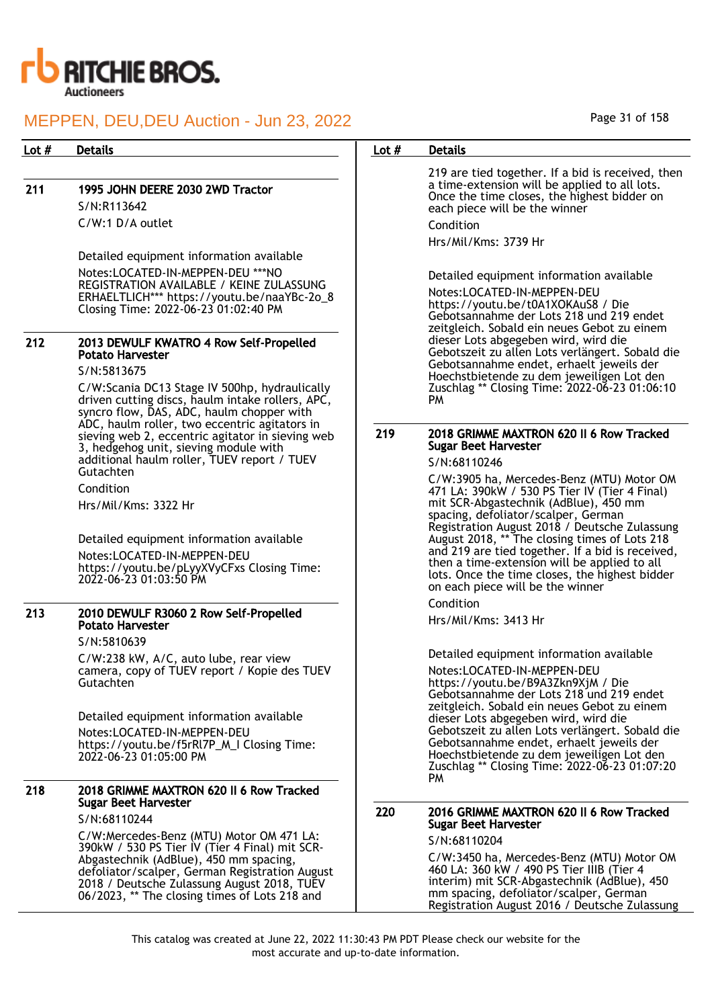

## 211 1995 JOHN DEERE 2030 2WD Tractor S/N:R113642

C/W:1 D/A outlet

Detailed equipment information available Notes:LOCATED-IN-MEPPEN-DEU \*\*\*NO REGISTRATION AVAILABLE / KEINE ZULASSUNG ERHAELTLICH\*\*\* https://youtu.be/naaYBc-2o\_8 Closing Time: 2022-06-23 01:02:40 PM

## 212 2013 DEWULF KWATRO 4 Row Self-Propelled Potato Harvester

S/N:5813675

C/W:Scania DC13 Stage IV 500hp, hydraulically driven cutting discs, haulm intake rollers, APC, syncro flow, DAS, ADC, haulm chopper with ADC, haulm roller, two eccentric agitators in sieving web 2, eccentric agitator in sieving web 3, hedgehog unit, sieving module with additional haulm roller, TUEV report / TUEV Gutachten

Condition

Hrs/Mil/Kms: 3322 Hr

Detailed equipment information available Notes:LOCATED-IN-MEPPEN-DEU https://youtu.be/pLyyXVyCFxs Closing Time: 2022-06-23 01:03:50 PM

## 213 2010 DEWULF R3060 2 Row Self-Propelled Potato Harvester

S/N:5810639

C/W:238 kW, A/C, auto lube, rear view camera, copy of TUEV report / Kopie des TUEV **Gutachten** 

Detailed equipment information available Notes:LOCATED-IN-MEPPEN-DEU https://youtu.be/f5rRl7P\_M\_I Closing Time: 2022-06-23 01:05:00 PM

## 218 2018 GRIMME MAXTRON 620 II 6 Row Tracked Sugar Beet Harvester

S/N:68110244

C/W:Mercedes-Benz (MTU) Motor OM 471 LA: 390kW / 530 PS Tier IV (Tier 4 Final) mit SCR-Abgastechnik (AdBlue), 450 mm spacing, defoliator/scalper, German Registration August 2018 / Deutsche Zulassung August 2018, TUEV 06/2023, \*\* The closing times of Lots 218 and

## Lot # Details **Details According to the United States Lot # Details**

219 are tied together. If a bid is received, then a time-extension will be applied to all lots. Once the time closes, the highest bidder on each piece will be the winner Condition

Hrs/Mil/Kms: 3739 Hr

Detailed equipment information available Notes:LOCATED-IN-MEPPEN-DEU https://youtu.be/t0A1XOKAuS8 / Die Gebotsannahme der Lots 218 und 219 endet zeitgleich. Sobald ein neues Gebot zu einem dieser Lots abgegeben wird, wird die Gebotszeit zu allen Lots verlängert. Sobald die Gebotsannahme endet, erhaelt jeweils der Hoechstbietende zu dem jeweiligen Lot den Zuschlag \*\* Closing Time: 2022-06-23 01:06:10 PM

### 219 2018 GRIMME MAXTRON 620 II 6 Row Tracked Sugar Beet Harvester

S/N:68110246

C/W:3905 ha, Mercedes-Benz (MTU) Motor OM 471 LA: 390kW / 530 PS Tier IV (Tier 4 Final) mit SCR-Abgastechnik (AdBlue), 450 mm spacing, defoliator/scalper, German Registration August 2018 / Deutsche Zulassung August 2018, \*\* The closing times of Lots 218 and 219 are tied together. If a bid is received, then a time-extension will be applied to all lots. Once the time closes, the highest bidder on each piece will be the winner Condition

## Hrs/Mil/Kms: 3413 Hr

Detailed equipment information available Notes:LOCATED-IN-MEPPEN-DEU https://youtu.be/B9A3Zkn9XjM / Die Gebotsannahme der Lots 218 und 219 endet zeitgleich. Sobald ein neues Gebot zu einem dieser Lots abgegeben wird, wird die Gebotszeit zu allen Lots verlängert. Sobald die Gebotsannahme endet, erhaelt jeweils der Hoechstbietende zu dem jeweiligen Lot den Zuschlag \*\* Closing Time: 2022-06-23 01:07:20 PM

## 220 2016 GRIMME MAXTRON 620 II 6 Row Tracked Sugar Beet Harvester

S/N:68110204

C/W:3450 ha, Mercedes-Benz (MTU) Motor OM 460 LA: 360 kW / 490 PS Tier IIIB (Tier 4 interim) mit SCR-Abgastechnik (AdBlue), 450 mm spacing, defoliator/scalper, German Registration August 2016 / Deutsche Zulassung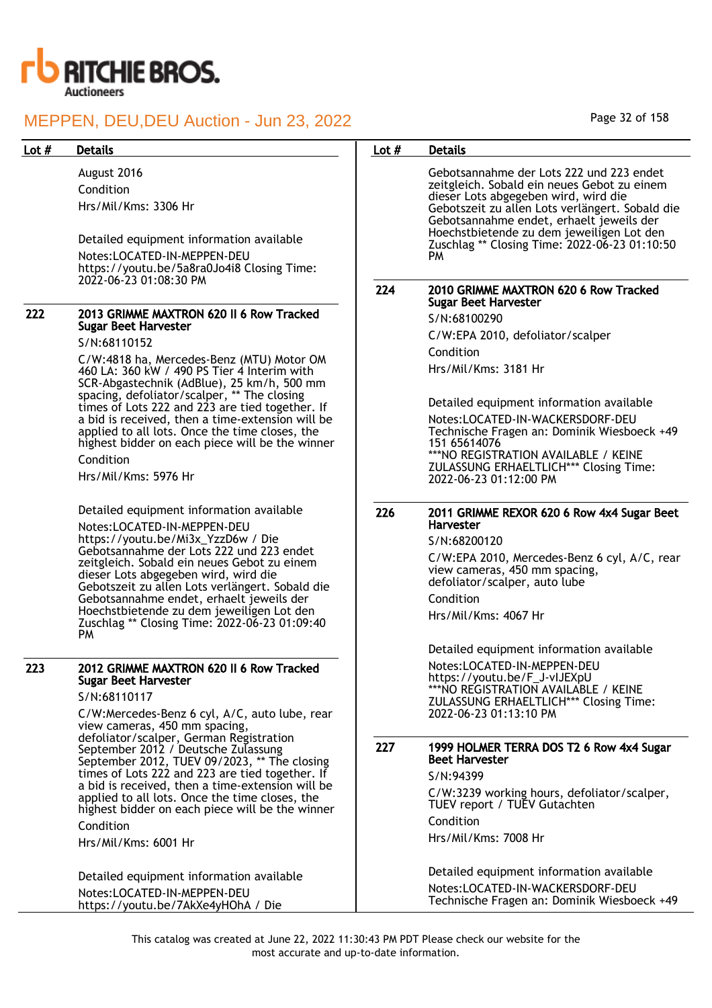

| 222 | 2013 GRIMME MAXTRON 620 II 6 Row Tracked<br>Sugar Beet Harvester |
|-----|------------------------------------------------------------------|
|     |                                                                  |

### Condition

### 223 2012 GRIMME MAXTRON 620 II 6 Row Tracked Sugar Beet Harvester

#### S/N:68110117

Detailed equipment information available Notes:LOCATED-IN-MEPPEN-DEU https://youtu.be/7AkXe4yHOhA / Die

| Lot # | <b>Details</b>                                                                                                                                                                                                                 | Lot $#$ | <b>Details</b>                                                                                                                                                                                                                                                                                                                     |
|-------|--------------------------------------------------------------------------------------------------------------------------------------------------------------------------------------------------------------------------------|---------|------------------------------------------------------------------------------------------------------------------------------------------------------------------------------------------------------------------------------------------------------------------------------------------------------------------------------------|
|       | August 2016<br>Condition<br>Hrs/Mil/Kms: 3306 Hr<br>Detailed equipment information available<br>Notes:LOCATED-IN-MEPPEN-DEU<br>https://youtu.be/5a8ra0Jo4i8 Closing Time:                                                      |         | Gebotsannahme der Lots 222 und 223 endet<br>zeitgleich. Sobald ein neues Gebot zu einem<br>dieser Lots abgegeben wird, wird die<br>Gebotszeit zu allen Lots verlängert. Sobald die<br>Gebotsannahme endet, erhaelt jeweils der<br>Hoechstbietende zu dem jeweiligen Lot den<br>Zuschlag ** Closing Time: 2022-06-23 01:10:50<br>PM |
|       | 2022-06-23 01:08:30 PM                                                                                                                                                                                                         | 224     | 2010 GRIMME MAXTRON 620 6 Row Tracked<br><b>Sugar Beet Harvester</b>                                                                                                                                                                                                                                                               |
| 222   | 2013 GRIMME MAXTRON 620 II 6 Row Tracked                                                                                                                                                                                       |         | S/N:68100290                                                                                                                                                                                                                                                                                                                       |
|       | <b>Sugar Beet Harvester</b>                                                                                                                                                                                                    |         | C/W:EPA 2010, defoliator/scalper                                                                                                                                                                                                                                                                                                   |
|       | S/N:68110152                                                                                                                                                                                                                   |         | Condition                                                                                                                                                                                                                                                                                                                          |
|       | C/W:4818 ha, Mercedes-Benz (MTU) Motor OM<br>460 LA: 360 kW / 490 PS Tier 4 Interim with<br>SCR-Abgastechnik (AdBlue), 25 km/h, 500 mm<br>spacing, defoliator/scalper, ** The closing                                          |         | Hrs/Mil/Kms: 3181 Hr                                                                                                                                                                                                                                                                                                               |
|       | times of Lots 222 and 223 are tied together. If                                                                                                                                                                                |         | Detailed equipment information available                                                                                                                                                                                                                                                                                           |
|       | a bid is received, then a time-extension will be<br>applied to all lots. Once the time closes, the<br>highest bidder on each piece will be the winner<br>Condition<br>Hrs/Mil/Kms: 5976 Hr                                     |         | Notes:LOCATED-IN-WACKERSDORF-DEU<br>Technische Fragen an: Dominik Wiesboeck +49<br>151 65614076<br>*** NO REGISTRATION AVAILABLE / KEINE<br>ZULASSUNG ERHAELTLICH*** Closing Time:<br>2022-06-23 01:12:00 PM                                                                                                                       |
|       | Detailed equipment information available                                                                                                                                                                                       | 226     | 2011 GRIMME REXOR 620 6 Row 4x4 Sugar Beet                                                                                                                                                                                                                                                                                         |
|       | Notes:LOCATED-IN-MEPPEN-DEU<br>https://youtu.be/Mi3x_YzzD6w / Die                                                                                                                                                              |         | <b>Harvester</b>                                                                                                                                                                                                                                                                                                                   |
|       | Gebotsannahme der Lots 222 und 223 endet<br>zeitgleich. Sobald ein neues Gebot zu einem<br>dieser Lots abgegeben wird, wird die<br>Gebotszeit zu allen Lots verlängert. Sobald die<br>Gebotsannahme endet, erhaelt jeweils der |         | S/N:68200120<br>C/W:EPA 2010, Mercedes-Benz 6 cyl, A/C, rear<br>view cameras, 450 mm spacing,<br>defoliator/scalper, auto lube<br>Condition                                                                                                                                                                                        |
|       | Hoechstbietende zu dem jeweiligen Lot den                                                                                                                                                                                      |         | Hrs/Mil/Kms: 4067 Hr                                                                                                                                                                                                                                                                                                               |
|       | Zuschlag ** Closing Time: 2022-06-23 01:09:40<br>PM                                                                                                                                                                            |         |                                                                                                                                                                                                                                                                                                                                    |
|       |                                                                                                                                                                                                                                |         | Detailed equipment information available                                                                                                                                                                                                                                                                                           |
| 223   | 2012 GRIMME MAXTRON 620 II 6 Row Tracked<br><b>Sugar Beet Harvester</b><br>S/N:68110117<br>C/W:Mercedes-Benz 6 cyl, A/C, auto lube, rear<br>view cameras, 450 mm spacing,                                                      |         | Notes:LOCATED-IN-MEPPEN-DEU<br>https://youtu.be/F_J-vIJEXpU<br>***NO REGISTRATION AVAILABLE / KEINE<br>ZULASSUNG ERHAELTLICH*** Closing Time:<br>2022-06-23 01:13:10 PM                                                                                                                                                            |
|       | defoliator/scalper, German Registration<br>September 2012 / Deutsche Zulassung<br>September 2012, TUEV 09/2023, ** The closing                                                                                                 | 227     | 1999 HOLMER TERRA DOS T2 6 Row 4x4 Sugar<br><b>Beet Harvester</b>                                                                                                                                                                                                                                                                  |
|       | times of Lots 222 and 223 are tied together. If                                                                                                                                                                                |         | S/N:94399                                                                                                                                                                                                                                                                                                                          |
|       | a bid is received, then a time-extension will be<br>applied to all lots. Once the time closes, the<br>highest bidder on each piece will be the winner                                                                          |         | C/W:3239 working hours, defoliator/scalper,<br>TUEV report / TUEV Gutachten                                                                                                                                                                                                                                                        |
|       | Condition                                                                                                                                                                                                                      |         | Condition                                                                                                                                                                                                                                                                                                                          |
|       | Hrs/Mil/Kms: 6001 Hr                                                                                                                                                                                                           |         | Hrs/Mil/Kms: 7008 Hr                                                                                                                                                                                                                                                                                                               |
|       | Detailed equipment information available                                                                                                                                                                                       |         | Detailed equipment information available                                                                                                                                                                                                                                                                                           |
|       | Notes:LOCATED-IN-MEPPEN-DEU<br>https://woutu.be/74kXe4yHOhA / Die                                                                                                                                                              |         | Notes:LOCATED-IN-WACKERSDORF-DEU<br>Technische Fragen an: Dominik Wiesboeck +49                                                                                                                                                                                                                                                    |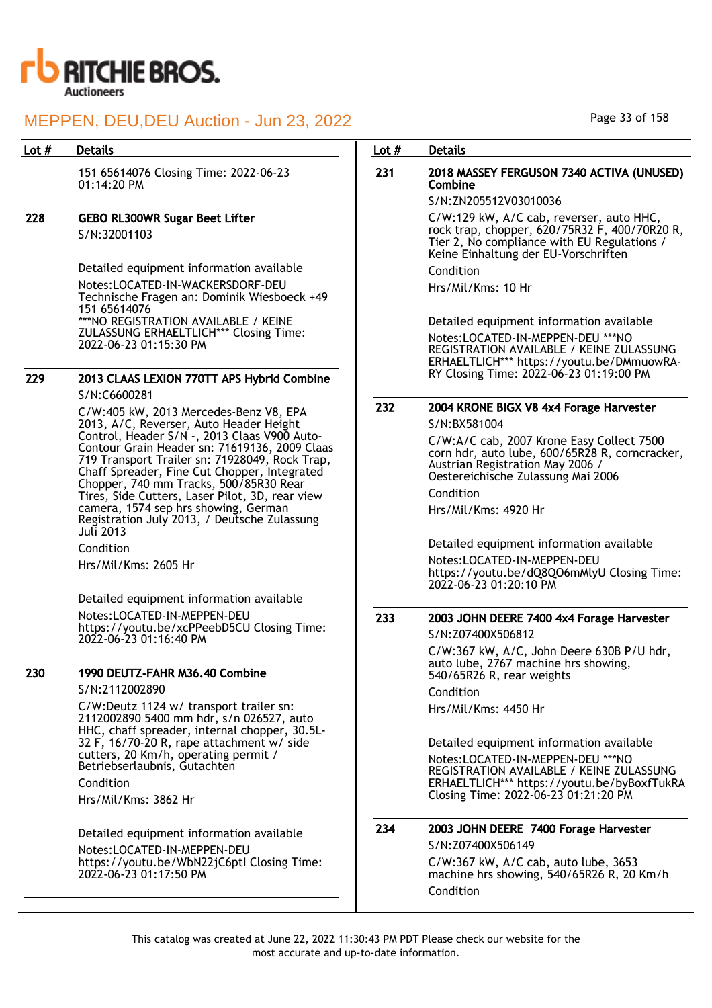

## Lot # Details **Details According to the United States Lot # Details**

151 65614076 Closing Time: 2022-06-23 01:14:20 PM

### 228 GEBO RL300WR Sugar Beet Lifter S/N:32001103

Detailed equipment information available Notes:LOCATED-IN-WACKERSDORF-DEU Technische Fragen an: Dominik Wiesboeck +49 151 65614076 \*\*\*NO REGISTRATION AVAILABLE / KEINE ZULASSUNG ERHAELTLICH\*\*\* Closing Time: 2022-06-23 01:15:30 PM

## 229 2013 CLAAS LEXION 770TT APS Hybrid Combine S/N:C6600281

C/W:405 kW, 2013 Mercedes-Benz V8, EPA 2013, A/C, Reverser, Auto Header Height Control, Header S/N -, 2013 Claas V900 Auto-Contour Grain Header sn: 71619136, 2009 Claas 719 Transport Trailer sn: 71928049, Rock Trap, Chaff Spreader, Fine Cut Chopper, Integrated Chopper, 740 mm Tracks, 500/85R30 Rear Tires, Side Cutters, Laser Pilot, 3D, rear view camera, 1574 sep hrs showing, German Registration July 2013, / Deutsche Zulassung Juli 2013

Condition

Hrs/Mil/Kms: 2605 Hr

Detailed equipment information available Notes:LOCATED-IN-MEPPEN-DEU https://youtu.be/xcPPeebD5CU Closing Time: 2022-06-23 01:16:40 PM

## 230 1990 DEUTZ-FAHR M36.40 Combine

S/N:2112002890

C/W:Deutz 1124 w/ transport trailer sn: 2112002890 5400 mm hdr, s/n 026527, auto HHC, chaff spreader, internal chopper, 30.5L-32 F, 16/70-20 R, rape attachment w/ side cutters, 20 Km/h, operating permit / Betriebserlaubnis, Gutachten Condition

Hrs/Mil/Kms: 3862 Hr

Detailed equipment information available Notes:LOCATED-IN-MEPPEN-DEU https://youtu.be/WbN22jC6ptI Closing Time: 2022-06-23 01:17:50 PM

## 231 2018 MASSEY FERGUSON 7340 ACTIVA (UNUSED) **Combine**

## S/N:ZN205512V03010036

C/W:129 kW, A/C cab, reverser, auto HHC, rock trap, chopper, 620/75R32 F, 400/70R20 R, Tier 2, No compliance with EU Regulations / Keine Einhaltung der EU-Vorschriften Condition

Hrs/Mil/Kms: 10 Hr

Detailed equipment information available Notes:LOCATED-IN-MEPPEN-DEU \*\*\*NO REGISTRATION AVAILABLE / KEINE ZULASSUNG ERHAELTLICH\*\*\* https://youtu.be/DMmuowRA-RY Closing Time: 2022-06-23 01:19:00 PM

## 232 2004 KRONE BIGX V8 4x4 Forage Harvester

S/N:BX581004

C/W:A/C cab, 2007 Krone Easy Collect 7500 corn hdr, auto lube, 600/65R28 R, corncracker, Austrian Registration May 2006 / Oestereichische Zulassung Mai 2006 Condition

Hrs/Mil/Kms: 4920 Hr

Detailed equipment information available Notes:LOCATED-IN-MEPPEN-DEU https://youtu.be/dQ8QO6mMlyU Closing Time: 2022-06-23 01:20:10 PM

## 233 2003 JOHN DEERE 7400 4x4 Forage Harvester

S/N:Z07400X506812

C/W:367 kW, A/C, John Deere 630B P/U hdr, auto lube, 2767 machine hrs showing, 540/65R26 R, rear weights

Condition Hrs/Mil/Kms: 4450 Hr

Detailed equipment information available Notes:LOCATED-IN-MEPPEN-DEU \*\*\*NO REGISTRATION AVAILABLE / KEINE ZULASSUNG ERHAELTLICH\*\*\* https://youtu.be/byBoxfTukRA Closing Time: 2022-06-23 01:21:20 PM

## 234 2003 JOHN DEERE 7400 Forage Harvester

S/N:Z07400X506149 C/W:367 kW, A/C cab, auto lube, 3653 machine hrs showing, 540/65R26 R, 20 Km/h Condition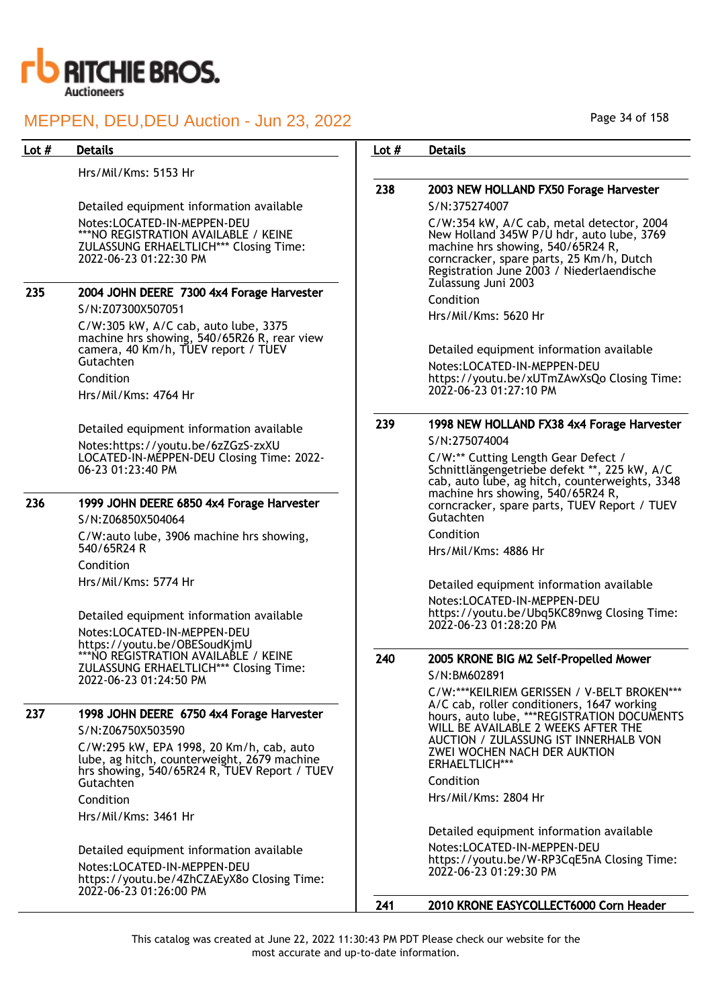

## Lot # Details **Details According to the United States Lot # Details**

Hrs/Mil/Kms: 5153 Hr

Detailed equipment information available Notes:LOCATED-IN-MEPPEN-DEU \*\*\*NO REGISTRATION AVAILABLE / KEINE ZULASSUNG ERHAELTLICH\*\*\* Closing Time: 2022-06-23 01:22:30 PM

| 235 | 2004 JOHN DEERE 7300 4x4 Forage Harvester                                                                                               |
|-----|-----------------------------------------------------------------------------------------------------------------------------------------|
|     | S/N:Z07300X507051                                                                                                                       |
|     | C/W:305 kW, A/C cab, auto lube, 3375<br>machine hrs showing, 540/65R26 R, rear view<br>camera, 40 Km/h, TUEV report / TUEV<br>Gutachten |
|     | Condition                                                                                                                               |
|     | Hrs/Mil/Kms: 4764 Hr                                                                                                                    |
|     | Detailed equipment information available                                                                                                |
|     | Notes:https://youtu.be/6zZGzS-zxXU<br>LOCATED-IN-MEPPEN-DEU Closing Time: 2022-<br>06-23 01:23:40 PM                                    |
|     |                                                                                                                                         |

## 236 1999 JOHN DEERE 6850 4x4 Forage Harvester

S/N:Z06850X504064 C/W:auto lube, 3906 machine hrs showing, 540/65R24 R Condition Hrs/Mil/Kms: 5774 Hr

Detailed equipment information available Notes:LOCATED-IN-MEPPEN-DEU https://youtu.be/OBESoudKjmU \*\*\*NO REGISTRATION AVAILABLE / KEINE ZULASSUNG ERHAELTLICH\*\*\* Closing Time: 2022-06-23 01:24:50 PM

## 237 1998 JOHN DEERE 6750 4x4 Forage Harvester

S/N:Z06750X503590 C/W:295 kW, EPA 1998, 20 Km/h, cab, auto lube, ag hitch, counterweight, 2679 machine hrs showing, 540/65R24 R, TUEV Report / TUEV Gutachten

Condition Hrs/Mil/Kms: 3461 Hr

Detailed equipment information available Notes:LOCATED-IN-MEPPEN-DEU https://youtu.be/4ZhCZAEyX8o Closing Time: 2022-06-23 01:26:00 PM

## 238 2003 NEW HOLLAND FX50 Forage Harvester S/N:375274007 C/W:354 kW, A/C cab, metal detector, 2004 New Holland 345W P/U hdr, auto lube, 3769 machine hrs showing, 540/65R24 R, corncracker, spare parts, 25 Km/h, Dutch Registration June 2003 / Niederlaendische

Condition

Hrs/Mil/Kms: 5620 Hr

Zulassung Juni 2003

Detailed equipment information available

Notes:LOCATED-IN-MEPPEN-DEU https://youtu.be/xUTmZAwXsQo Closing Time: 2022-06-23 01:27:10 PM

## 239 1998 NEW HOLLAND FX38 4x4 Forage Harvester

S/N:275074004

C/W:\*\* Cutting Length Gear Defect / Schnittlängengetriebe defekt \*\*, 225 kW, A/C cab, auto lube, ag hitch, counterweights, 3348 machine hrs showing, 540/65R24 R, corncracker, spare parts, TUEV Report / TUEV Gutachten

Condition

Hrs/Mil/Kms: 4886 Hr

Detailed equipment information available Notes:LOCATED-IN-MEPPEN-DEU https://youtu.be/Ubq5KC89nwg Closing Time: 2022-06-23 01:28:20 PM

# 240 2005 KRONE BIG M2 Self-Propelled Mower

S/N:BM602891

C/W:\*\*\*KEILRIEM GERISSEN / V-BELT BROKEN\*\*\* A/C cab, roller conditioners, 1647 working hours, auto lube, \*\*\*REGISTRATION DOCUMENTS WILL BE AVAILABLE 2 WEEKS AFTER THE AUCTION / ZULASSUNG IST INNERHALB VON ZWEI WOCHEN NACH DER AUKTION ERHAELTLICH\*\*\* Condition

Hrs/Mil/Kms: 2804 Hr

Detailed equipment information available Notes:LOCATED-IN-MEPPEN-DEU https://youtu.be/W-RP3CqE5nA Closing Time: 2022-06-23 01:29:30 PM

241 2010 KRONE EASYCOLLECT6000 Corn Header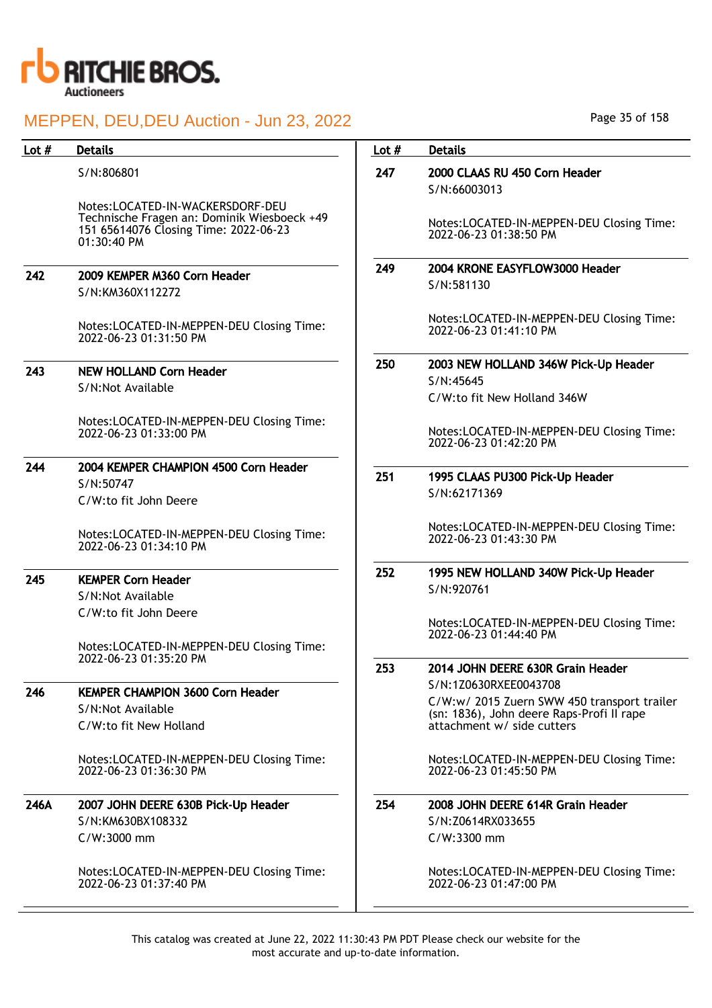

| Lot $#$ | <b>Details</b>                                                                                                                          | Lot $#$ | <b>Details</b>                                                          |
|---------|-----------------------------------------------------------------------------------------------------------------------------------------|---------|-------------------------------------------------------------------------|
|         | S/N:806801                                                                                                                              | 247     | 2000 CLAAS RU 450 Corn Header<br>S/N:66003013                           |
|         | Notes:LOCATED-IN-WACKERSDORF-DEU<br>Technische Fragen an: Dominik Wiesboeck +49<br>151 65614076 Closing Time: 2022-06-23<br>01:30:40 PM |         | Notes:LOCATED-IN-MEPPEN-DEU Closing Time:<br>2022-06-23 01:38:50 PM     |
| 242     | 2009 KEMPER M360 Corn Header                                                                                                            | 249     | 2004 KRONE EASYFLOW3000 Header                                          |
|         | S/N:KM360X112272                                                                                                                        |         | S/N:581130                                                              |
|         | Notes:LOCATED-IN-MEPPEN-DEU Closing Time:<br>2022-06-23 01:31:50 PM                                                                     |         | Notes:LOCATED-IN-MEPPEN-DEU Closing Time:<br>2022-06-23 01:41:10 PM     |
| 243     | <b>NEW HOLLAND Corn Header</b>                                                                                                          | 250     | 2003 NEW HOLLAND 346W Pick-Up Header                                    |
|         | S/N:Not Available                                                                                                                       |         | S/N:45645                                                               |
|         |                                                                                                                                         |         | C/W:to fit New Holland 346W                                             |
|         | Notes:LOCATED-IN-MEPPEN-DEU Closing Time:<br>2022-06-23 01:33:00 PM                                                                     |         | Notes:LOCATED-IN-MEPPEN-DEU Closing Time:<br>2022-06-23 01:42:20 PM     |
| 244     | 2004 KEMPER CHAMPION 4500 Corn Header                                                                                                   | 251     | 1995 CLAAS PU300 Pick-Up Header                                         |
|         | S/N:50747                                                                                                                               |         | S/N:62171369                                                            |
|         | C/W:to fit John Deere                                                                                                                   |         |                                                                         |
|         | Notes:LOCATED-IN-MEPPEN-DEU Closing Time:<br>2022-06-23 01:34:10 PM                                                                     |         | Notes:LOCATED-IN-MEPPEN-DEU Closing Time:<br>2022-06-23 01:43:30 PM     |
| 245     | <b>KEMPER Corn Header</b>                                                                                                               | 252     | 1995 NEW HOLLAND 340W Pick-Up Header                                    |
|         | S/N:Not Available                                                                                                                       |         | S/N:920761                                                              |
|         | C/W:to fit John Deere                                                                                                                   |         |                                                                         |
|         |                                                                                                                                         |         | Notes:LOCATED-IN-MEPPEN-DEU Closing Time:<br>2022-06-23 01:44:40 PM     |
|         | Notes:LOCATED-IN-MEPPEN-DEU Closing Time:                                                                                               |         |                                                                         |
|         | 2022-06-23 01:35:20 PM                                                                                                                  | 253     | 2014 JOHN DEERE 630R Grain Header                                       |
| 246     | <b>KEMPER CHAMPION 3600 Corn Header</b>                                                                                                 |         | S/N:1Z0630RXEE0043708                                                   |
|         | S/N:Not Available                                                                                                                       |         | C/W:w/ 2015 Zuern SWW 450 transport trailer                             |
|         | C/W:to fit New Holland                                                                                                                  |         | (sn: 1836), John deere Raps-Profi II rape<br>attachment w/ side cutters |
|         |                                                                                                                                         |         |                                                                         |
|         | Notes:LOCATED-IN-MEPPEN-DEU Closing Time:<br>2022-06-23 01:36:30 PM                                                                     |         | Notes:LOCATED-IN-MEPPEN-DEU Closing Time:<br>2022-06-23 01:45:50 PM     |
| 246A    | 2007 JOHN DEERE 630B Pick-Up Header                                                                                                     | 254     | 2008 JOHN DEERE 614R Grain Header                                       |
|         | S/N:KM630BX108332                                                                                                                       |         | S/N:Z0614RX033655                                                       |
|         | C/W:3000 mm                                                                                                                             |         | C/W:3300 mm                                                             |
|         |                                                                                                                                         |         |                                                                         |
|         | Notes:LOCATED-IN-MEPPEN-DEU Closing Time:<br>2022-06-23 01:37:40 PM                                                                     |         | Notes:LOCATED-IN-MEPPEN-DEU Closing Time:<br>2022-06-23 01:47:00 PM     |
|         |                                                                                                                                         |         |                                                                         |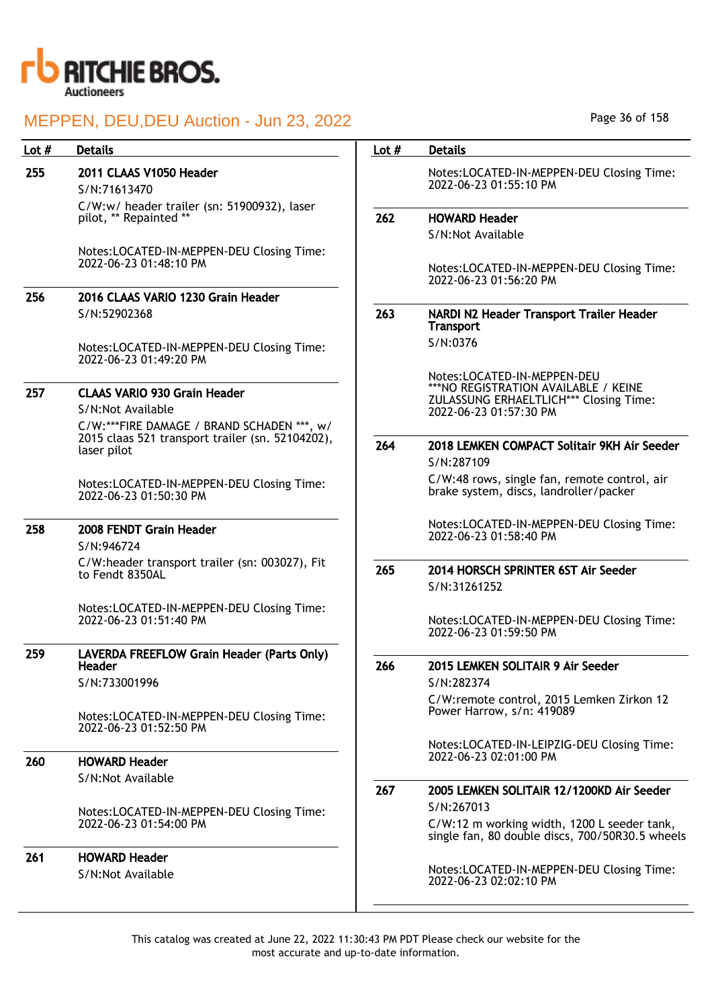

| Lot $#$ | <b>Details</b>                                                                                                | Lot $#$ | <b>Details</b>                                                                                                                          |
|---------|---------------------------------------------------------------------------------------------------------------|---------|-----------------------------------------------------------------------------------------------------------------------------------------|
| 255     | 2011 CLAAS V1050 Header<br>S/N:71613470                                                                       |         | Notes:LOCATED-IN-MEPPEN-DEU Closing Time:<br>2022-06-23 01:55:10 PM                                                                     |
|         | C/W:w/ header trailer (sn: 51900932), laser<br>pilot, ** Repainted **                                         | 262     | <b>HOWARD Header</b>                                                                                                                    |
|         | Notes:LOCATED-IN-MEPPEN-DEU Closing Time:<br>2022-06-23 01:48:10 PM                                           |         | S/N:Not Available                                                                                                                       |
|         |                                                                                                               |         | Notes:LOCATED-IN-MEPPEN-DEU Closing Time:<br>2022-06-23 01:56:20 PM                                                                     |
| 256     | 2016 CLAAS VARIO 1230 Grain Header<br>S/N:52902368                                                            | 263     | NARDI N2 Header Transport Trailer Header<br><b>Transport</b>                                                                            |
|         | Notes:LOCATED-IN-MEPPEN-DEU Closing Time:<br>2022-06-23 01:49:20 PM                                           |         | S/N:0376                                                                                                                                |
| 257     | <b>CLAAS VARIO 930 Grain Header</b>                                                                           |         | Notes:LOCATED-IN-MEPPEN-DEU<br>***NO REGISTRATION AVAILABLE / KEINE<br>ZULASSUNG ERHAELTLICH*** Closing Time:<br>2022-06-23 01:57:30 PM |
|         | S/N:Not Available                                                                                             |         |                                                                                                                                         |
|         | C/W:***FIRE DAMAGE / BRAND SCHADEN ***, w/<br>2015 claas 521 transport trailer (sn. 52104202),<br>laser pilot | 264     | 2018 LEMKEN COMPACT Solitair 9KH Air Seeder<br>S/N:287109                                                                               |
|         | Notes:LOCATED-IN-MEPPEN-DEU Closing Time:<br>2022-06-23 01:50:30 PM                                           |         | C/W:48 rows, single fan, remote control, air<br>brake system, discs, landroller/packer                                                  |
| 258     | 2008 FENDT Grain Header<br>S/N:946724                                                                         |         | Notes:LOCATED-IN-MEPPEN-DEU Closing Time:<br>2022-06-23 01:58:40 PM                                                                     |
|         | C/W:header transport trailer (sn: 003027), Fit<br>to Fendt 8350AL                                             | 265     | 2014 HORSCH SPRINTER 6ST Air Seeder<br>S/N:31261252                                                                                     |
|         | Notes:LOCATED-IN-MEPPEN-DEU Closing Time:<br>2022-06-23 01:51:40 PM                                           |         | Notes:LOCATED-IN-MEPPEN-DEU Closing Time:<br>2022-06-23 01:59:50 PM                                                                     |
| 259     | LAVERDA FREEFLOW Grain Header (Parts Only)<br>Header                                                          | 266     | 2015 LEMKEN SOLITAIR 9 Air Seeder                                                                                                       |
|         | S/N:733001996                                                                                                 |         | S/N:282374<br>C/W:remote control, 2015 Lemken Zirkon 12                                                                                 |
|         | Notes:LOCATED-IN-MEPPEN-DEU Closing Time:<br>2022-06-23 01:52:50 PM                                           |         | Power Harrow, s/n: 419089                                                                                                               |
| 260     | <b>HOWARD Header</b>                                                                                          |         | Notes:LOCATED-IN-LEIPZIG-DEU Closing Time:<br>2022-06-23 02:01:00 PM                                                                    |
|         | S/N:Not Available                                                                                             | 267     | 2005 LEMKEN SOLITAIR 12/1200KD Air Seeder                                                                                               |
|         | Notes:LOCATED-IN-MEPPEN-DEU Closing Time:<br>2022-06-23 01:54:00 PM                                           |         | S/N:267013<br>C/W:12 m working width, 1200 L seeder tank,<br>single fan, 80 double discs, 700/50R30.5 wheels                            |
| 261     | <b>HOWARD Header</b><br>S/N:Not Available                                                                     |         | Notes:LOCATED-IN-MEPPEN-DEU Closing Time:<br>2022-06-23 02:02:10 PM                                                                     |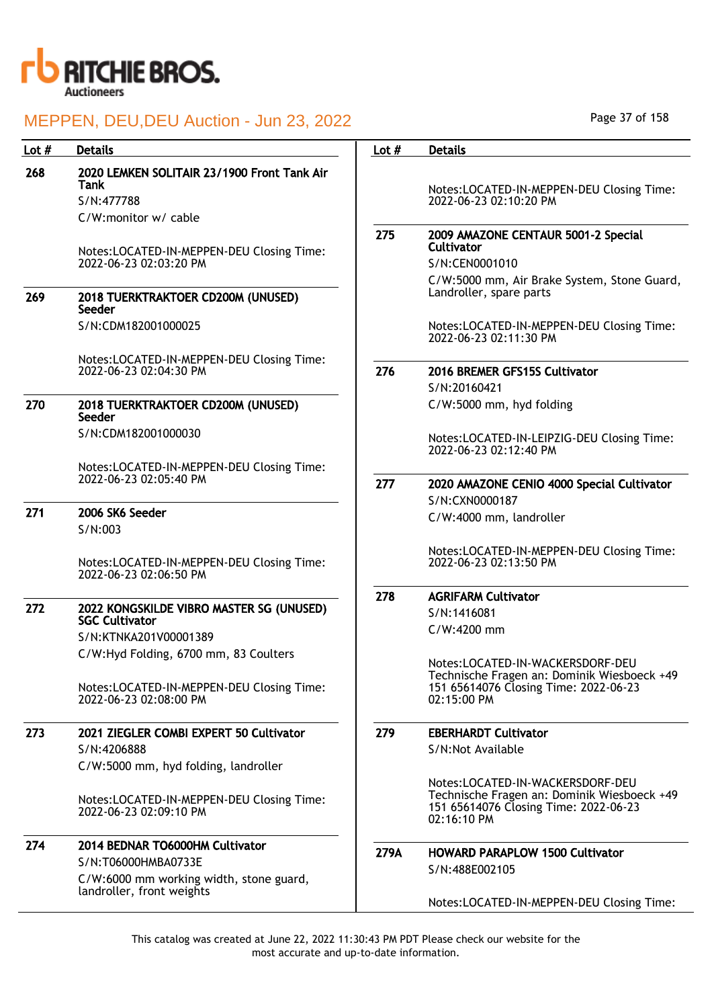

| Lot $#$ | <b>Details</b>                                                      | Lot $#$ | <b>Details</b>                                                                                      |
|---------|---------------------------------------------------------------------|---------|-----------------------------------------------------------------------------------------------------|
| 268     | 2020 LEMKEN SOLITAIR 23/1900 Front Tank Air<br>Tank                 |         |                                                                                                     |
|         | S/N:477788                                                          |         | Notes:LOCATED-IN-MEPPEN-DEU Closing Time:<br>2022-06-23 02:10:20 PM                                 |
|         | C/W:monitor w/ cable                                                |         |                                                                                                     |
|         | Notes:LOCATED-IN-MEPPEN-DEU Closing Time:                           | 275     | 2009 AMAZONE CENTAUR 5001-2 Special<br><b>Cultivator</b>                                            |
|         | 2022-06-23 02:03:20 PM                                              |         | S/N:CEN0001010                                                                                      |
| 269     | 2018 TUERKTRAKTOER CD200M (UNUSED)<br>Seeder                        |         | C/W:5000 mm, Air Brake System, Stone Guard,<br>Landroller, spare parts                              |
|         | S/N:CDM182001000025                                                 |         | Notes:LOCATED-IN-MEPPEN-DEU Closing Time:<br>2022-06-23 02:11:30 PM                                 |
|         | Notes:LOCATED-IN-MEPPEN-DEU Closing Time:                           |         |                                                                                                     |
|         | 2022-06-23 02:04:30 PM                                              | 276     | 2016 BREMER GFS15S Cultivator                                                                       |
|         |                                                                     |         | S/N:20160421                                                                                        |
| 270     | 2018 TUERKTRAKTOER CD200M (UNUSED)<br>Seeder                        |         | C/W:5000 mm, hyd folding                                                                            |
|         | S/N:CDM182001000030                                                 |         | Notes:LOCATED-IN-LEIPZIG-DEU Closing Time:<br>2022-06-23 02:12:40 PM                                |
|         | Notes:LOCATED-IN-MEPPEN-DEU Closing Time:                           |         |                                                                                                     |
|         | 2022-06-23 02:05:40 PM                                              | 277     | 2020 AMAZONE CENIO 4000 Special Cultivator                                                          |
|         |                                                                     |         | S/N:CXN0000187                                                                                      |
| 271     | 2006 SK6 Seeder<br>S/N:003                                          |         | C/W:4000 mm, landroller                                                                             |
|         | Notes:LOCATED-IN-MEPPEN-DEU Closing Time:<br>2022-06-23 02:06:50 PM |         | Notes:LOCATED-IN-MEPPEN-DEU Closing Time:<br>2022-06-23 02:13:50 PM                                 |
|         |                                                                     | 278     | <b>AGRIFARM Cultivator</b>                                                                          |
| 272     | 2022 KONGSKILDE VIBRO MASTER SG (UNUSED)                            |         | S/N:1416081                                                                                         |
|         | <b>SGC Cultivator</b><br>S/N:KTNKA201V00001389                      |         | C/W:4200 mm                                                                                         |
|         | C/W:Hyd Folding, 6700 mm, 83 Coulters                               |         | Notes:LOCATED-IN-WACKERSDORF-DEU<br>Technische Fragen an: Dominik Wiesboeck +49                     |
|         | Notes:LOCATED-IN-MEPPEN-DEU Closing Time:<br>2022-06-23 02:08:00 PM |         | 151 65614076 Closing Time: 2022-06-23<br>02:15:00 PM                                                |
| 273     | 2021 ZIEGLER COMBI EXPERT 50 Cultivator                             | 279     | <b>EBERHARDT Cultivator</b>                                                                         |
|         | S/N:4206888<br>C/W:5000 mm, hyd folding, landroller                 |         | S/N:Not Available                                                                                   |
|         |                                                                     |         | Notes:LOCATED-IN-WACKERSDORF-DEU                                                                    |
|         | Notes:LOCATED-IN-MEPPEN-DEU Closing Time:<br>2022-06-23 02:09:10 PM |         | Technische Fragen an: Dominik Wiesboeck +49<br>151 65614076 Closing Time: 2022-06-23<br>02:16:10 PM |
| 274     | 2014 BEDNAR TO6000HM Cultivator                                     | 279A    |                                                                                                     |
|         | S/N:T06000HMBA0733E                                                 |         | <b>HOWARD PARAPLOW 1500 Cultivator</b>                                                              |
|         | C/W:6000 mm working width, stone guard,                             |         | S/N:488E002105                                                                                      |
|         | landroller, front weights                                           |         | Notes:LOCATED-IN-MEPPEN-DEU Closing Time:                                                           |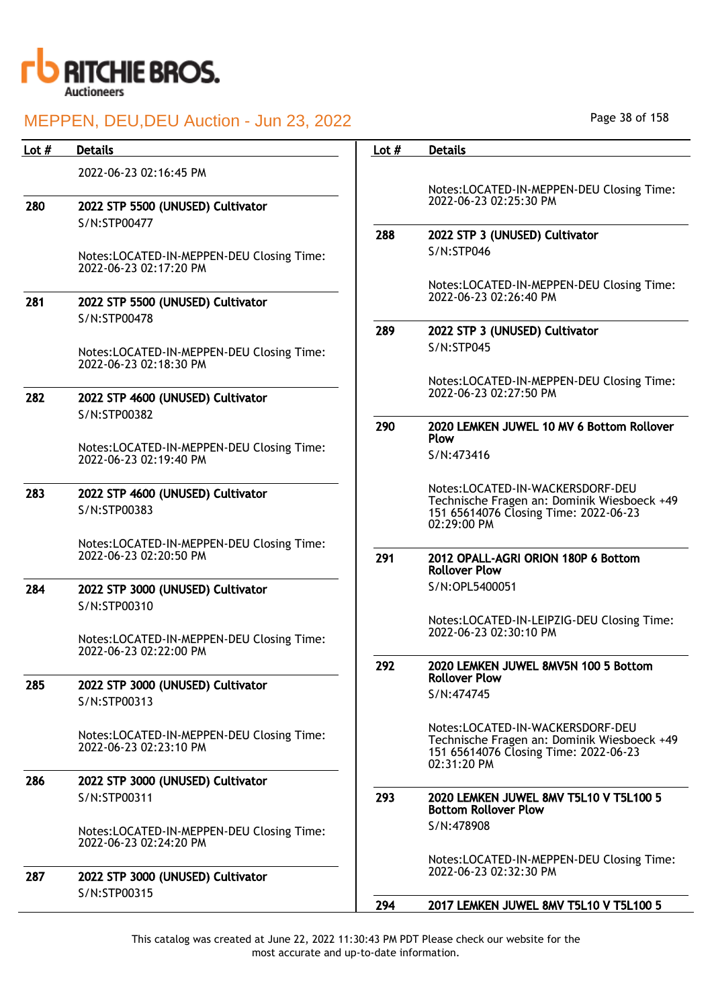

| Lot $#$ | <b>Details</b>                                                      | Lot $#$ | <b>Details</b>                                                                                                                          |
|---------|---------------------------------------------------------------------|---------|-----------------------------------------------------------------------------------------------------------------------------------------|
|         | 2022-06-23 02:16:45 PM                                              |         |                                                                                                                                         |
| 280     | 2022 STP 5500 (UNUSED) Cultivator                                   |         | Notes:LOCATED-IN-MEPPEN-DEU Closing Time:<br>2022-06-23 02:25:30 PM                                                                     |
|         | S/N:STP00477                                                        |         |                                                                                                                                         |
|         |                                                                     | 288     | 2022 STP 3 (UNUSED) Cultivator                                                                                                          |
|         | Notes:LOCATED-IN-MEPPEN-DEU Closing Time:<br>2022-06-23 02:17:20 PM |         | S/N:STP046                                                                                                                              |
|         |                                                                     |         | Notes:LOCATED-IN-MEPPEN-DEU Closing Time:<br>2022-06-23 02:26:40 PM                                                                     |
| 281     | 2022 STP 5500 (UNUSED) Cultivator                                   |         |                                                                                                                                         |
|         | S/N:STP00478                                                        | 289     | 2022 STP 3 (UNUSED) Cultivator                                                                                                          |
|         | Notes:LOCATED-IN-MEPPEN-DEU Closing Time:<br>2022-06-23 02:18:30 PM |         | S/N:STP045                                                                                                                              |
|         |                                                                     |         | Notes:LOCATED-IN-MEPPEN-DEU Closing Time:                                                                                               |
| 282     | 2022 STP 4600 (UNUSED) Cultivator<br>S/N:STP00382                   |         | 2022-06-23 02:27:50 PM                                                                                                                  |
|         |                                                                     | 290     | 2020 LEMKEN JUWEL 10 MV 6 Bottom Rollover<br><b>Plow</b>                                                                                |
|         | Notes:LOCATED-IN-MEPPEN-DEU Closing Time:<br>2022-06-23 02:19:40 PM |         | S/N:473416                                                                                                                              |
| 283     | 2022 STP 4600 (UNUSED) Cultivator                                   |         | Notes:LOCATED-IN-WACKERSDORF-DEU                                                                                                        |
|         | S/N:STP00383                                                        |         | Technische Fragen an: Dominik Wiesboeck +49<br>151 65614076 Closing Time: 2022-06-23<br>02:29:00 PM                                     |
|         | Notes:LOCATED-IN-MEPPEN-DEU Closing Time:                           |         |                                                                                                                                         |
|         | 2022-06-23 02:20:50 PM                                              | 291     | 2012 OPALL-AGRI ORION 180P 6 Bottom<br><b>Rollover Plow</b>                                                                             |
| 284     | 2022 STP 3000 (UNUSED) Cultivator                                   |         | S/N:OPL5400051                                                                                                                          |
|         | S/N:STP00310                                                        |         |                                                                                                                                         |
|         |                                                                     |         | Notes:LOCATED-IN-LEIPZIG-DEU Closing Time:<br>2022-06-23 02:30:10 PM                                                                    |
|         | Notes:LOCATED-IN-MEPPEN-DEU Closing Time:<br>2022-06-23 02:22:00 PM |         |                                                                                                                                         |
|         |                                                                     | 292     | 2020 LEMKEN JUWEL 8MV5N 100 5 Bottom                                                                                                    |
| 285     | 2022 STP 3000 (UNUSED) Cultivator                                   |         | <b>Rollover Plow</b><br>S/N:474745                                                                                                      |
|         | S/N:STP00313                                                        |         |                                                                                                                                         |
|         | Notes:LOCATED-IN-MEPPEN-DEU Closing Time:<br>2022-06-23 02:23:10 PM |         | Notes:LOCATED-IN-WACKERSDORF-DEU<br>Technische Fragen an: Dominik Wiesboeck +49<br>151 65614076 Closing Time: 2022-06-23<br>02:31:20 PM |
| 286     | 2022 STP 3000 (UNUSED) Cultivator                                   |         |                                                                                                                                         |
|         | S/N:STP00311                                                        | 293     | 2020 LEMKEN JUWEL 8MV T5L10 V T5L100 5<br><b>Bottom Rollover Plow</b>                                                                   |
|         | Notes:LOCATED-IN-MEPPEN-DEU Closing Time:<br>2022-06-23 02:24:20 PM |         | S/N:478908                                                                                                                              |
|         |                                                                     |         | Notes:LOCATED-IN-MEPPEN-DEU Closing Time:                                                                                               |
| 287     | 2022 STP 3000 (UNUSED) Cultivator                                   |         | 2022-06-23 02:32:30 PM                                                                                                                  |
|         | S/N:STP00315                                                        | 294     | 2017 LEMKEN JUWEL 8MV T5L10 V T5L100 5                                                                                                  |
|         |                                                                     |         |                                                                                                                                         |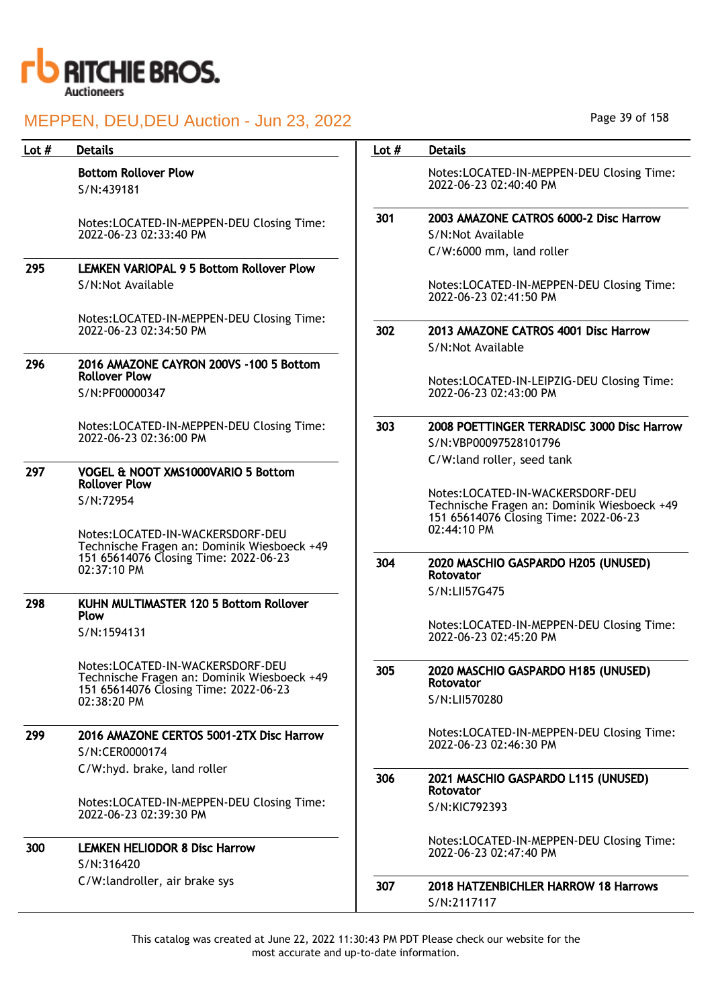

| Lot $#$ | <b>Details</b>                                                                                                           | Lot $#$ | <b>Details</b>                                                                                                           |
|---------|--------------------------------------------------------------------------------------------------------------------------|---------|--------------------------------------------------------------------------------------------------------------------------|
|         | <b>Bottom Rollover Plow</b><br>S/N:439181                                                                                |         | Notes:LOCATED-IN-MEPPEN-DEU Closing Time:<br>2022-06-23 02:40:40 PM                                                      |
|         | Notes:LOCATED-IN-MEPPEN-DEU Closing Time:                                                                                | 301     | 2003 AMAZONE CATROS 6000-2 Disc Harrow                                                                                   |
|         | 2022-06-23 02:33:40 PM                                                                                                   |         | S/N:Not Available                                                                                                        |
|         |                                                                                                                          |         | C/W:6000 mm, land roller                                                                                                 |
| 295     | <b>LEMKEN VARIOPAL 9 5 Bottom Rollover Plow</b>                                                                          |         |                                                                                                                          |
|         | S/N:Not Available                                                                                                        |         | Notes:LOCATED-IN-MEPPEN-DEU Closing Time:<br>2022-06-23 02:41:50 PM                                                      |
|         | Notes:LOCATED-IN-MEPPEN-DEU Closing Time:<br>2022-06-23 02:34:50 PM                                                      | 302     |                                                                                                                          |
|         |                                                                                                                          |         | 2013 AMAZONE CATROS 4001 Disc Harrow<br>S/N:Not Available                                                                |
| 296     | 2016 AMAZONE CAYRON 200VS -100 5 Bottom<br><b>Rollover Plow</b>                                                          |         |                                                                                                                          |
|         | S/N:PF00000347                                                                                                           |         | Notes:LOCATED-IN-LEIPZIG-DEU Closing Time:<br>2022-06-23 02:43:00 PM                                                     |
|         | Notes:LOCATED-IN-MEPPEN-DEU Closing Time:                                                                                | 303     | 2008 POETTINGER TERRADISC 3000 Disc Harrow                                                                               |
|         | 2022-06-23 02:36:00 PM                                                                                                   |         | S/N:VBP00097528101796                                                                                                    |
|         |                                                                                                                          |         | C/W:land roller, seed tank                                                                                               |
| 297     | VOGEL & NOOT XMS1000VARIO 5 Bottom<br><b>Rollover Plow</b>                                                               |         |                                                                                                                          |
|         | S/N:72954                                                                                                                |         | Notes:LOCATED-IN-WACKERSDORF-DEU<br>Technische Fragen an: Dominik Wiesboeck +49<br>151 65614076 Closing Time: 2022-06-23 |
|         | Notes:LOCATED-IN-WACKERSDORF-DEU<br>Technische Fragen an: Dominik Wiesboeck +49                                          |         | 02:44:10 PM                                                                                                              |
|         | 151 65614076 Closing Time: 2022-06-23<br>02:37:10 PM                                                                     | 304     | 2020 MASCHIO GASPARDO H205 (UNUSED)<br>Rotovator                                                                         |
| 298     | KUHN MULTIMASTER 120 5 Bottom Rollover                                                                                   |         | S/N:LII57G475                                                                                                            |
|         | Plow                                                                                                                     |         |                                                                                                                          |
|         | S/N:1594131                                                                                                              |         | Notes:LOCATED-IN-MEPPEN-DEU Closing Time:<br>2022-06-23 02:45:20 PM                                                      |
|         | Notes:LOCATED-IN-WACKERSDORF-DEU<br>Technische Fragen an: Dominik Wiesboeck +49<br>151 65614076 Closing Time: 2022-06-23 | 305     | 2020 MASCHIO GASPARDO H185 (UNUSED)<br>Rotovator                                                                         |
|         | 02:38:20 PM                                                                                                              |         | S/N:LII570280                                                                                                            |
| 299     | 2016 AMAZONE CERTOS 5001-2TX Disc Harrow                                                                                 |         | Notes:LOCATED-IN-MEPPEN-DEU Closing Time:                                                                                |
|         | S/N:CER0000174                                                                                                           |         | 2022-06-23 02:46:30 PM                                                                                                   |
|         | C/W:hyd. brake, land roller                                                                                              |         |                                                                                                                          |
|         |                                                                                                                          | 306     | 2021 MASCHIO GASPARDO L115 (UNUSED)<br>Rotovator                                                                         |
|         | Notes:LOCATED-IN-MEPPEN-DEU Closing Time:<br>2022-06-23 02:39:30 PM                                                      |         | S/N:KIC792393                                                                                                            |
| 300     | <b>LEMKEN HELIODOR 8 Disc Harrow</b><br>S/N:316420                                                                       |         | Notes:LOCATED-IN-MEPPEN-DEU Closing Time:<br>2022-06-23 02:47:40 PM                                                      |
|         | C/W:landroller, air brake sys                                                                                            | 307     | <b>2018 HATZENBICHLER HARROW 18 Harrows</b><br>S/N:2117117                                                               |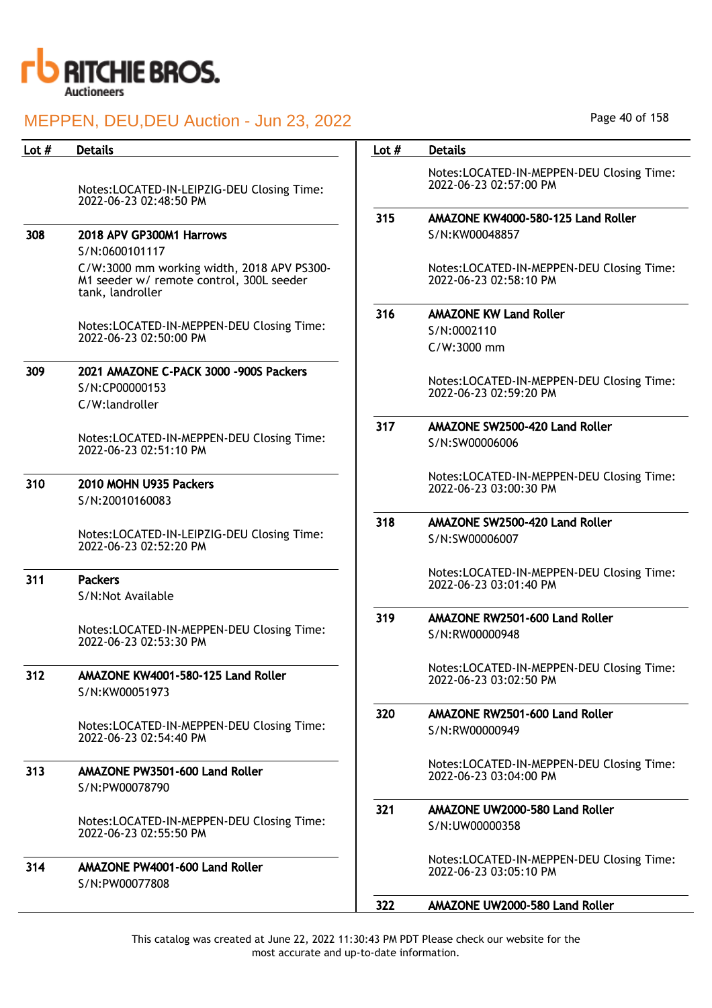

| Lot $#$ | <b>Details</b>                                                                                             | Lot $#$ | <b>Details</b>                                                      |
|---------|------------------------------------------------------------------------------------------------------------|---------|---------------------------------------------------------------------|
|         | Notes:LOCATED-IN-LEIPZIG-DEU Closing Time:<br>2022-06-23 02:48:50 PM                                       |         | Notes:LOCATED-IN-MEPPEN-DEU Closing Time:<br>2022-06-23 02:57:00 PM |
|         |                                                                                                            | 315     | AMAZONE KW4000-580-125 Land Roller                                  |
| 308     | 2018 APV GP300M1 Harrows                                                                                   |         | S/N:KW00048857                                                      |
|         | S/N:0600101117                                                                                             |         |                                                                     |
|         | C/W:3000 mm working width, 2018 APV PS300-<br>M1 seeder w/ remote control, 300L seeder<br>tank, landroller |         | Notes:LOCATED-IN-MEPPEN-DEU Closing Time:<br>2022-06-23 02:58:10 PM |
|         |                                                                                                            | 316     | <b>AMAZONE KW Land Roller</b>                                       |
|         | Notes:LOCATED-IN-MEPPEN-DEU Closing Time:<br>2022-06-23 02:50:00 PM                                        |         | S/N:0002110                                                         |
|         |                                                                                                            |         | C/W:3000 mm                                                         |
| 309     | 2021 AMAZONE C-PACK 3000 -900S Packers<br>S/N:CP00000153<br>C/W:landroller                                 |         | Notes:LOCATED-IN-MEPPEN-DEU Closing Time:<br>2022-06-23 02:59:20 PM |
|         |                                                                                                            | 317     | AMAZONE SW2500-420 Land Roller                                      |
|         | Notes:LOCATED-IN-MEPPEN-DEU Closing Time:<br>2022-06-23 02:51:10 PM                                        |         | S/N:SW00006006                                                      |
| 310     | 2010 MOHN U935 Packers<br>S/N:20010160083                                                                  |         | Notes:LOCATED-IN-MEPPEN-DEU Closing Time:<br>2022-06-23 03:00:30 PM |
|         |                                                                                                            | 318     | AMAZONE SW2500-420 Land Roller                                      |
|         | Notes:LOCATED-IN-LEIPZIG-DEU Closing Time:<br>2022-06-23 02:52:20 PM                                       |         | S/N:SW00006007                                                      |
| 311     | <b>Packers</b><br>S/N:Not Available                                                                        |         | Notes:LOCATED-IN-MEPPEN-DEU Closing Time:<br>2022-06-23 03:01:40 PM |
|         |                                                                                                            | 319     | AMAZONE RW2501-600 Land Roller                                      |
|         | Notes:LOCATED-IN-MEPPEN-DEU Closing Time:<br>2022-06-23 02:53:30 PM                                        |         | S/N:RW00000948                                                      |
| 312     | AMAZONE KW4001-580-125 Land Roller<br>S/N:KW00051973                                                       |         | Notes:LOCATED-IN-MEPPEN-DEU Closing Time:<br>2022-06-23 03:02:50 PM |
|         |                                                                                                            | 320     | AMAZONE RW2501-600 Land Roller                                      |
|         | Notes:LOCATED-IN-MEPPEN-DEU Closing Time:<br>2022-06-23 02:54:40 PM                                        |         | S/N:RW00000949                                                      |
| 313     | AMAZONE PW3501-600 Land Roller                                                                             |         | Notes:LOCATED-IN-MEPPEN-DEU Closing Time:                           |
|         | S/N:PW00078790                                                                                             |         | 2022-06-23 03:04:00 PM                                              |
|         |                                                                                                            |         |                                                                     |
|         | Notes:LOCATED-IN-MEPPEN-DEU Closing Time:<br>2022-06-23 02:55:50 PM                                        | 321     | AMAZONE UW2000-580 Land Roller<br>S/N:UW00000358                    |
| 314     | AMAZONE PW4001-600 Land Roller<br>S/N:PW00077808                                                           |         | Notes:LOCATED-IN-MEPPEN-DEU Closing Time:<br>2022-06-23 03:05:10 PM |
|         |                                                                                                            | 322     | AMAZONE UW2000-580 Land Roller                                      |

Page 40 of 158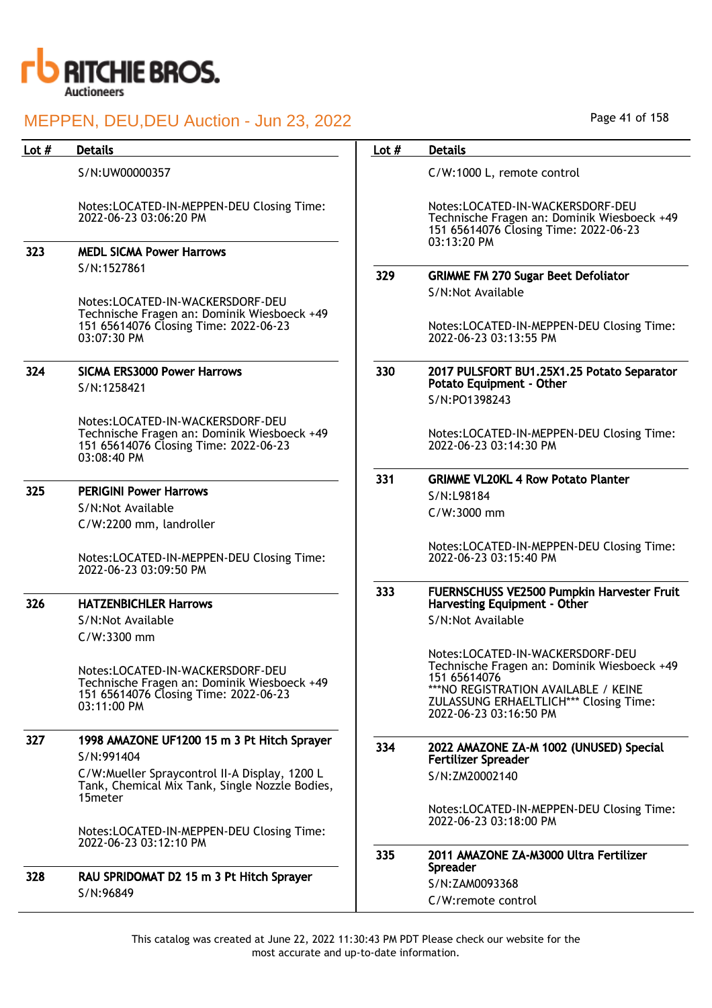

| Lot $#$ | <b>Details</b>                                                                                                                          | Lot $#$ | <b>Details</b>                                                                                                                                                                                                      |
|---------|-----------------------------------------------------------------------------------------------------------------------------------------|---------|---------------------------------------------------------------------------------------------------------------------------------------------------------------------------------------------------------------------|
|         | S/N:UW00000357                                                                                                                          |         | C/W:1000 L, remote control                                                                                                                                                                                          |
|         | Notes:LOCATED-IN-MEPPEN-DEU Closing Time:<br>2022-06-23 03:06:20 PM                                                                     |         | Notes:LOCATED-IN-WACKERSDORF-DEU<br>Technische Fragen an: Dominik Wiesboeck +49<br>151 65614076 Closing Time: 2022-06-23<br>03:13:20 PM                                                                             |
| 323     | <b>MEDL SICMA Power Harrows</b>                                                                                                         |         |                                                                                                                                                                                                                     |
|         | S/N:1527861                                                                                                                             | 329     | <b>GRIMME FM 270 Sugar Beet Defoliator</b>                                                                                                                                                                          |
|         | Notes:LOCATED-IN-WACKERSDORF-DEU                                                                                                        |         | S/N:Not Available                                                                                                                                                                                                   |
|         | Technische Fragen an: Dominik Wiesboeck +49<br>151 65614076 Closing Time: 2022-06-23<br>03:07:30 PM                                     |         | Notes:LOCATED-IN-MEPPEN-DEU Closing Time:<br>2022-06-23 03:13:55 PM                                                                                                                                                 |
| 324     | <b>SICMA ERS3000 Power Harrows</b>                                                                                                      | 330     | 2017 PULSFORT BU1.25X1.25 Potato Separator                                                                                                                                                                          |
|         | S/N:1258421                                                                                                                             |         | Potato Equipment - Other                                                                                                                                                                                            |
|         |                                                                                                                                         |         | S/N:PO1398243                                                                                                                                                                                                       |
|         | Notes:LOCATED-IN-WACKERSDORF-DEU<br>Technische Fragen an: Dominik Wiesboeck +49<br>151 65614076 Closing Time: 2022-06-23<br>03:08:40 PM |         | Notes:LOCATED-IN-MEPPEN-DEU Closing Time:<br>2022-06-23 03:14:30 PM                                                                                                                                                 |
|         |                                                                                                                                         | 331     | <b>GRIMME VL20KL 4 Row Potato Planter</b>                                                                                                                                                                           |
| 325     | <b>PERIGINI Power Harrows</b>                                                                                                           |         | S/N:L98184                                                                                                                                                                                                          |
|         | S/N:Not Available                                                                                                                       |         | C/W:3000 mm                                                                                                                                                                                                         |
|         | C/W:2200 mm, landroller                                                                                                                 |         |                                                                                                                                                                                                                     |
|         | Notes:LOCATED-IN-MEPPEN-DEU Closing Time:<br>2022-06-23 03:09:50 PM                                                                     |         | Notes:LOCATED-IN-MEPPEN-DEU Closing Time:<br>2022-06-23 03:15:40 PM                                                                                                                                                 |
| 326     | <b>HATZENBICHLER Harrows</b>                                                                                                            | 333     | FUERNSCHUSS VE2500 Pumpkin Harvester Fruit                                                                                                                                                                          |
|         | S/N:Not Available                                                                                                                       |         | Harvesting Equipment - Other<br>S/N:Not Available                                                                                                                                                                   |
|         | C/W:3300 mm                                                                                                                             |         |                                                                                                                                                                                                                     |
|         | Notes:LOCATED-IN-WACKERSDORF-DEU<br>Technische Fragen an: Dominik Wiesboeck +49<br>151 65614076 Closing Time: 2022-06-23<br>03:11:00 PM |         | Notes:LOCATED-IN-WACKERSDORF-DEU<br>Technische Fragen an: Dominik Wiesboeck +49<br>151 65614076<br>*** NO REGISTRATION AVAILABLE / KEINE<br><b>ZULASSUNG ERHAELTLICH*** Closing Time:</b><br>2022-06-23 03:16:50 PM |
| 327     | 1998 AMAZONE UF1200 15 m 3 Pt Hitch Sprayer<br>S/N:991404                                                                               | 334     | 2022 AMAZONE ZA-M 1002 (UNUSED) Special                                                                                                                                                                             |
|         | C/W:Mueller Spraycontrol II-A Display, 1200 L<br>Tank, Chemical Mix Tank, Single Nozzle Bodies,                                         |         | <b>Fertilizer Spreader</b><br>S/N:ZM20002140                                                                                                                                                                        |
|         | 15 <sub>meter</sub><br>Notes:LOCATED-IN-MEPPEN-DEU Closing Time:                                                                        |         | Notes:LOCATED-IN-MEPPEN-DEU Closing Time:<br>2022-06-23 03:18:00 PM                                                                                                                                                 |
|         | 2022-06-23 03:12:10 PM                                                                                                                  | 335     | 2011 AMAZONE ZA-M3000 Ultra Fertilizer                                                                                                                                                                              |
|         |                                                                                                                                         |         | Spreader                                                                                                                                                                                                            |
| 328     | RAU SPRIDOMAT D2 15 m 3 Pt Hitch Sprayer                                                                                                |         | S/N:ZAM0093368                                                                                                                                                                                                      |
|         | S/N:96849                                                                                                                               |         | C/W:remote control                                                                                                                                                                                                  |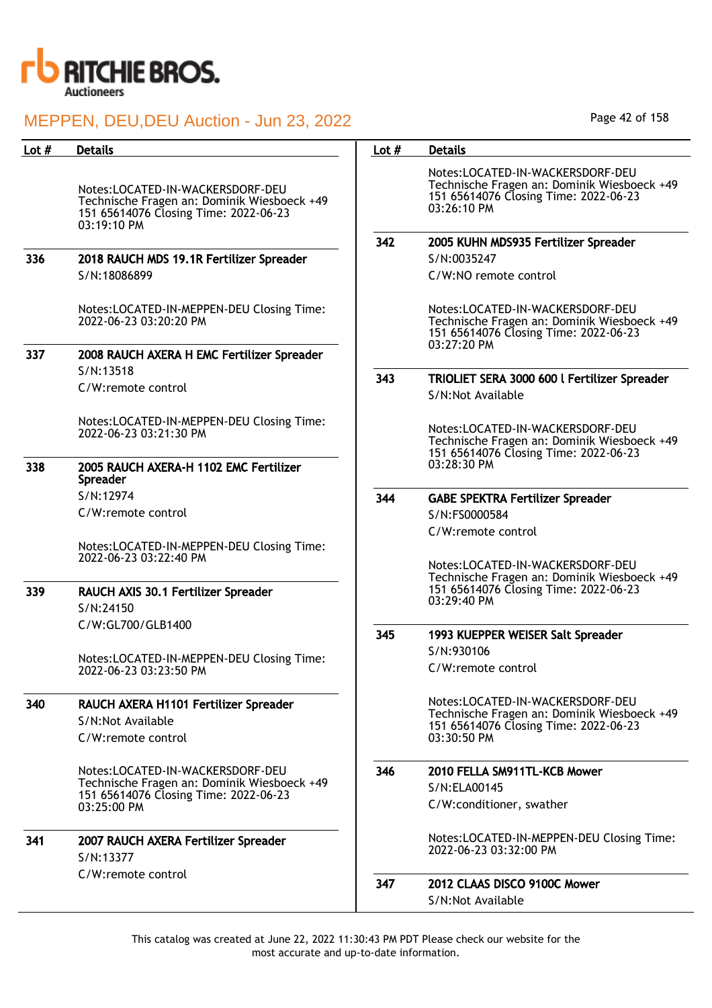

| Lot $#$ | <b>Details</b>                                                                                                                          | Lot $#$ | <b>Details</b>                                                                                                                          |
|---------|-----------------------------------------------------------------------------------------------------------------------------------------|---------|-----------------------------------------------------------------------------------------------------------------------------------------|
|         | Notes:LOCATED-IN-WACKERSDORF-DEU<br>Technische Fragen an: Dominik Wiesboeck +49<br>151 65614076 Closing Time: 2022-06-23<br>03:19:10 PM |         | Notes:LOCATED-IN-WACKERSDORF-DEU<br>Technische Fragen an: Dominik Wiesboeck +49<br>151 65614076 Closing Time: 2022-06-23<br>03:26:10 PM |
|         |                                                                                                                                         | 342     | 2005 KUHN MDS935 Fertilizer Spreader                                                                                                    |
| 336     | 2018 RAUCH MDS 19.1R Fertilizer Spreader                                                                                                |         | S/N:0035247                                                                                                                             |
|         | S/N:18086899                                                                                                                            |         | C/W:NO remote control                                                                                                                   |
|         | Notes:LOCATED-IN-MEPPEN-DEU Closing Time:<br>2022-06-23 03:20:20 PM                                                                     |         | Notes:LOCATED-IN-WACKERSDORF-DEU<br>Technische Fragen an: Dominik Wiesboeck +49<br>151 65614076 Closing Time: 2022-06-23<br>03:27:20 PM |
| 337     | 2008 RAUCH AXERA H EMC Fertilizer Spreader                                                                                              |         |                                                                                                                                         |
|         | S/N:13518                                                                                                                               | 343     | TRIOLIET SERA 3000 600 l Fertilizer Spreader                                                                                            |
|         | C/W:remote control                                                                                                                      |         | S/N:Not Available                                                                                                                       |
|         | Notes:LOCATED-IN-MEPPEN-DEU Closing Time:<br>2022-06-23 03:21:30 PM                                                                     |         | Notes:LOCATED-IN-WACKERSDORF-DEU<br>Technische Fragen an: Dominik Wiesboeck +49<br>151 65614076 Closing Time: 2022-06-23                |
| 338     | 2005 RAUCH AXERA-H 1102 EMC Fertilizer<br>Spreader                                                                                      |         | 03:28:30 PM                                                                                                                             |
|         | S/N:12974                                                                                                                               | 344     | <b>GABE SPEKTRA Fertilizer Spreader</b>                                                                                                 |
|         | C/W:remote control                                                                                                                      |         | S/N:FS0000584                                                                                                                           |
|         |                                                                                                                                         |         | C/W:remote control                                                                                                                      |
|         | Notes:LOCATED-IN-MEPPEN-DEU Closing Time:<br>2022-06-23 03:22:40 PM                                                                     |         |                                                                                                                                         |
|         |                                                                                                                                         |         | Notes:LOCATED-IN-WACKERSDORF-DEU                                                                                                        |
| 339     | RAUCH AXIS 30.1 Fertilizer Spreader<br>S/N:24150                                                                                        |         | Technische Fragen an: Dominik Wiesboeck +49<br>151 65614076 Closing Time: 2022-06-23<br>03:29:40 PM                                     |
|         | C/W:GL700/GLB1400                                                                                                                       |         |                                                                                                                                         |
|         |                                                                                                                                         | 345     | 1993 KUEPPER WEISER Salt Spreader                                                                                                       |
|         | Notes:LOCATED-IN-MEPPEN-DEU Closing Time:                                                                                               |         | S/N:930106                                                                                                                              |
|         | 2022-06-23 03:23:50 PM                                                                                                                  |         | C/W:remote control                                                                                                                      |
| 340     | RAUCH AXERA H1101 Fertilizer Spreader                                                                                                   |         | Notes:LOCATED-IN-WACKERSDORF-DEU<br>Technische Fragen an: Dominik Wiesboeck +49                                                         |
|         | S/N:Not Available                                                                                                                       |         | 151 65614076 Closing Time: 2022-06-23                                                                                                   |
|         | C/W:remote control                                                                                                                      |         | 03:30:50 PM                                                                                                                             |
|         | Notes:LOCATED-IN-WACKERSDORF-DEU                                                                                                        | 346     | 2010 FELLA SM911TL-KCB Mower                                                                                                            |
|         | Technische Fragen an: Dominik Wiesboeck +49<br>151 65614076 Closing Time: 2022-06-23                                                    |         | S/N:ELA00145                                                                                                                            |
|         | 03:25:00 PM                                                                                                                             |         | C/W:conditioner, swather                                                                                                                |
| 341     | 2007 RAUCH AXERA Fertilizer Spreader<br>S/N:13377                                                                                       |         | Notes:LOCATED-IN-MEPPEN-DEU Closing Time:<br>2022-06-23 03:32:00 PM                                                                     |
|         | C/W:remote control                                                                                                                      | 347     | 2012 CLAAS DISCO 9100C Mower                                                                                                            |
|         |                                                                                                                                         |         | S/N:Not Available                                                                                                                       |
|         |                                                                                                                                         |         |                                                                                                                                         |

Page 42 of 158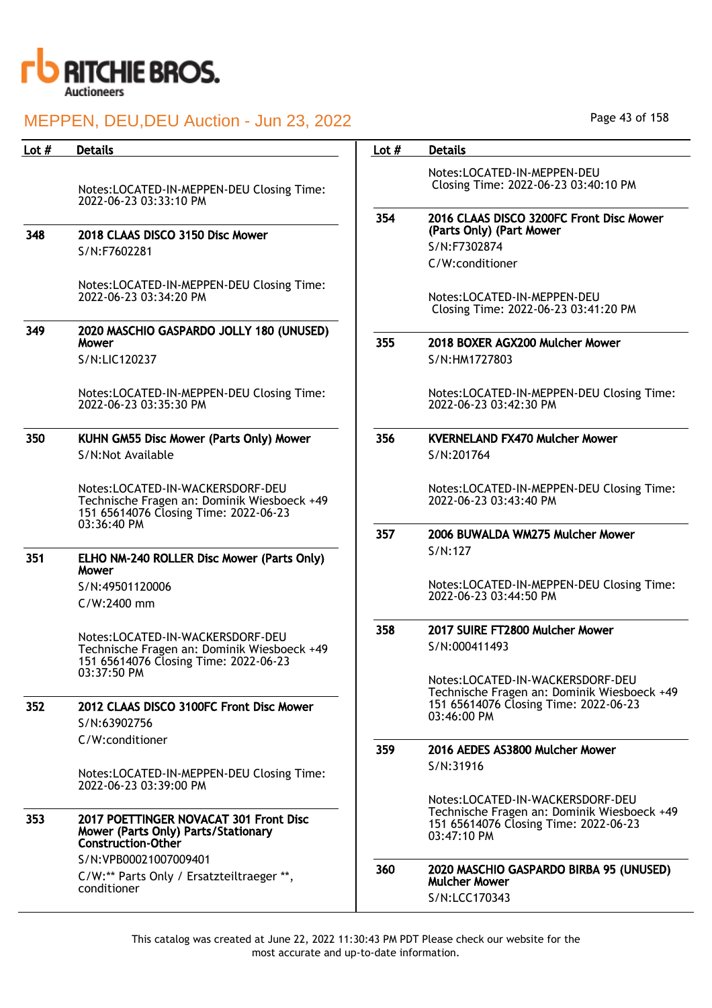

| Lot # | <b>Details</b>                                                                                                           | Lot $#$ | <b>Details</b>                                                                                                                          |
|-------|--------------------------------------------------------------------------------------------------------------------------|---------|-----------------------------------------------------------------------------------------------------------------------------------------|
|       | Notes:LOCATED-IN-MEPPEN-DEU Closing Time:<br>2022-06-23 03:33:10 PM                                                      |         | Notes:LOCATED-IN-MEPPEN-DEU<br>Closing Time: 2022-06-23 03:40:10 PM                                                                     |
| 348   | 2018 CLAAS DISCO 3150 Disc Mower                                                                                         | 354     | 2016 CLAAS DISCO 3200FC Front Disc Mower<br>(Parts Only) (Part Mower                                                                    |
|       |                                                                                                                          |         | S/N:F7302874                                                                                                                            |
|       | S/N:F7602281                                                                                                             |         | C/W:conditioner                                                                                                                         |
|       | Notes:LOCATED-IN-MEPPEN-DEU Closing Time:<br>2022-06-23 03:34:20 PM                                                      |         | Notes:LOCATED-IN-MEPPEN-DEU<br>Closing Time: 2022-06-23 03:41:20 PM                                                                     |
| 349   | 2020 MASCHIO GASPARDO JOLLY 180 (UNUSED)<br>Mower                                                                        | 355     | 2018 BOXER AGX200 Mulcher Mower                                                                                                         |
|       | S/N:LIC120237                                                                                                            |         | S/N:HM1727803                                                                                                                           |
|       | Notes:LOCATED-IN-MEPPEN-DEU Closing Time:<br>2022-06-23 03:35:30 PM                                                      |         | Notes:LOCATED-IN-MEPPEN-DEU Closing Time:<br>2022-06-23 03:42:30 PM                                                                     |
| 350   | KUHN GM55 Disc Mower (Parts Only) Mower                                                                                  | 356     | <b>KVERNELAND FX470 Mulcher Mower</b>                                                                                                   |
|       | S/N:Not Available                                                                                                        |         | S/N:201764                                                                                                                              |
|       | Notes:LOCATED-IN-WACKERSDORF-DEU<br>Technische Fragen an: Dominik Wiesboeck +49<br>151 65614076 Closing Time: 2022-06-23 |         | Notes:LOCATED-IN-MEPPEN-DEU Closing Time:<br>2022-06-23 03:43:40 PM                                                                     |
|       | 03:36:40 PM                                                                                                              | 357     | 2006 BUWALDA WM275 Mulcher Mower                                                                                                        |
| 351   | ELHO NM-240 ROLLER Disc Mower (Parts Only)<br>Mower                                                                      |         | S/N:127                                                                                                                                 |
|       | S/N:49501120006                                                                                                          |         | Notes:LOCATED-IN-MEPPEN-DEU Closing Time:                                                                                               |
|       | C/W:2400 mm                                                                                                              |         | 2022-06-23 03:44:50 PM                                                                                                                  |
|       | Notes:LOCATED-IN-WACKERSDORF-DEU                                                                                         | 358     | 2017 SUIRE FT2800 Mulcher Mower                                                                                                         |
|       | Technische Fragen an: Dominik Wiesboeck +49<br>151 65614076 Closing Time: 2022-06-23                                     |         | S/N:000411493                                                                                                                           |
|       | 03:37:50 PM                                                                                                              |         | Notes:LOCATED-IN-WACKERSDORF-DEU                                                                                                        |
| 352   | 2012 CLAAS DISCO 3100FC Front Disc Mower                                                                                 |         | Technische Fragen an: Dominik Wiesboeck +49<br>151 65614076 Closing Time: 2022-06-23                                                    |
|       | S/N:63902756                                                                                                             |         | 03:46:00 PM                                                                                                                             |
|       | C/W:conditioner                                                                                                          |         |                                                                                                                                         |
|       |                                                                                                                          | 359     | 2016 AEDES AS3800 Mulcher Mower<br>S/N:31916                                                                                            |
|       | Notes:LOCATED-IN-MEPPEN-DEU Closing Time:<br>2022-06-23 03:39:00 PM                                                      |         |                                                                                                                                         |
| 353   | 2017 POETTINGER NOVACAT 301 Front Disc<br>Mower (Parts Only) Parts/Stationary<br><b>Construction-Other</b>               |         | Notes:LOCATED-IN-WACKERSDORF-DEU<br>Technische Fragen an: Dominik Wiesboeck +49<br>151 65614076 Closing Time: 2022-06-23<br>03:47:10 PM |
|       | S/N:VPB00021007009401<br>C/W:** Parts Only / Ersatzteiltraeger **,                                                       | 360     | 2020 MASCHIO GASPARDO BIRBA 95 (UNUSED)                                                                                                 |
|       | conditioner                                                                                                              |         | <b>Mulcher Mower</b>                                                                                                                    |
|       |                                                                                                                          |         | S/N:LCC170343                                                                                                                           |

Page 43 of 158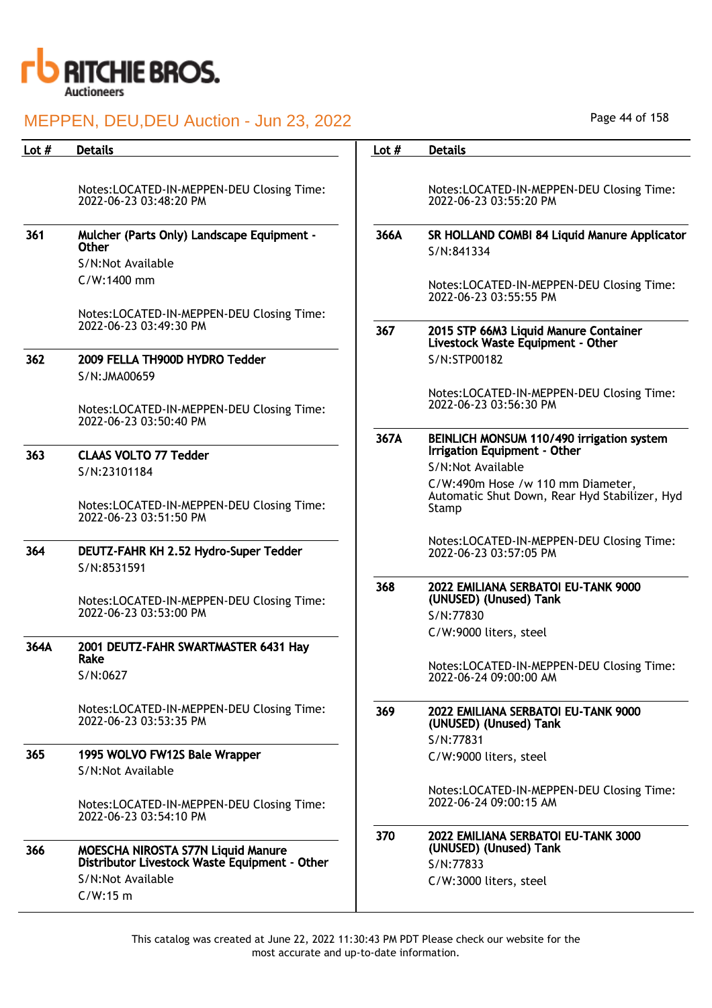

| Lot $#$ | <b>Details</b>                                                                      | Lot $#$ | <b>Details</b>                                                                              |
|---------|-------------------------------------------------------------------------------------|---------|---------------------------------------------------------------------------------------------|
|         | Notes:LOCATED-IN-MEPPEN-DEU Closing Time:<br>2022-06-23 03:48:20 PM                 |         | Notes:LOCATED-IN-MEPPEN-DEU Closing Time:<br>2022-06-23 03:55:20 PM                         |
| 361     | Mulcher (Parts Only) Landscape Equipment -<br><b>Other</b><br>S/N:Not Available     | 366A    | SR HOLLAND COMBI 84 Liquid Manure Applicator<br>S/N:841334                                  |
|         | C/W:1400 mm                                                                         |         | Notes:LOCATED-IN-MEPPEN-DEU Closing Time:<br>2022-06-23 03:55:55 PM                         |
|         | Notes:LOCATED-IN-MEPPEN-DEU Closing Time:<br>2022-06-23 03:49:30 PM                 | 367     | 2015 STP 66M3 Liquid Manure Container<br>Livestock Waste Equipment - Other                  |
| 362     | 2009 FELLA TH900D HYDRO Tedder<br>S/N:JMA00659                                      |         | S/N:STP00182                                                                                |
|         | Notes:LOCATED-IN-MEPPEN-DEU Closing Time:<br>2022-06-23 03:50:40 PM                 |         | Notes:LOCATED-IN-MEPPEN-DEU Closing Time:<br>2022-06-23 03:56:30 PM                         |
| 363     | <b>CLAAS VOLTO 77 Tedder</b>                                                        | 367A    | BEINLICH MONSUM 110/490 irrigation system<br>Irrigation Equipment - Other                   |
|         | S/N:23101184                                                                        |         | S/N:Not Available                                                                           |
|         | Notes:LOCATED-IN-MEPPEN-DEU Closing Time:<br>2022-06-23 03:51:50 PM                 |         | C/W:490m Hose /w 110 mm Diameter,<br>Automatic Shut Down, Rear Hyd Stabilizer, Hyd<br>Stamp |
| 364     | DEUTZ-FAHR KH 2.52 Hydro-Super Tedder<br>S/N:8531591                                |         | Notes:LOCATED-IN-MEPPEN-DEU Closing Time:<br>2022-06-23 03:57:05 PM                         |
|         | Notes:LOCATED-IN-MEPPEN-DEU Closing Time:<br>2022-06-23 03:53:00 PM                 | 368     | 2022 EMILIANA SERBATOI EU-TANK 9000<br>(UNUSED) (Unused) Tank<br>S/N:77830                  |
| 364A    | 2001 DEUTZ-FAHR SWARTMASTER 6431 Hay<br>Rake                                        |         | C/W:9000 liters, steel<br>Notes:LOCATED-IN-MEPPEN-DEU Closing Time:                         |
|         | S/N:0627                                                                            |         | 2022-06-24 09:00:00 AM                                                                      |
|         | Notes:LOCATED-IN-MEPPEN-DEU Closing Time:<br>2022-06-23 03:53:35 PM                 | 369     | 2022 EMILIANA SERBATOI EU-TANK 9000<br>(UNUSED) (Unused) Tank<br>S/N:77831                  |
| 365     | 1995 WOLVO FW12S Bale Wrapper                                                       |         | C/W:9000 liters, steel                                                                      |
|         | S/N:Not Available                                                                   |         |                                                                                             |
|         | Notes:LOCATED-IN-MEPPEN-DEU Closing Time:<br>2022-06-23 03:54:10 PM                 |         | Notes:LOCATED-IN-MEPPEN-DEU Closing Time:<br>2022-06-24 09:00:15 AM                         |
| 366     | MOESCHA NIROSTA S77N Liquid Manure<br>Distributor Livestock Waste Equipment - Other | 370     | 2022 EMILIANA SERBATOI EU-TANK 3000<br>(UNUSED) (Unused) Tank<br>S/N:77833                  |
|         | S/N:Not Available                                                                   |         | C/W:3000 liters, steel                                                                      |
|         | $C/W:15$ m                                                                          |         |                                                                                             |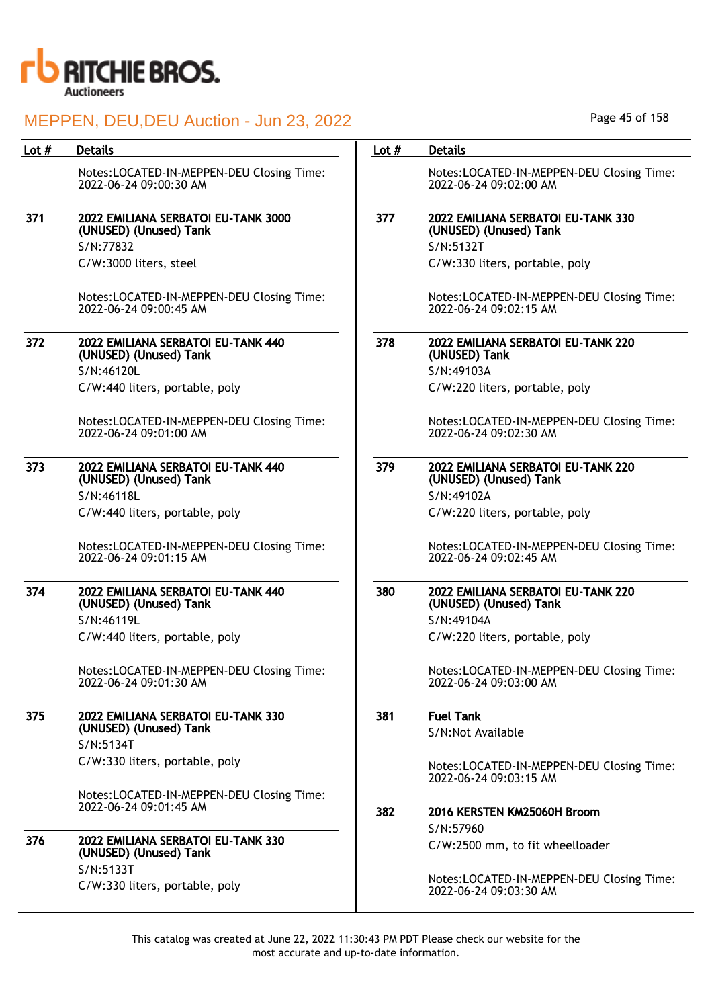

| Lot # | <b>Details</b>                                                      | Lot $#$ | <b>Details</b>                                                      |
|-------|---------------------------------------------------------------------|---------|---------------------------------------------------------------------|
|       | Notes:LOCATED-IN-MEPPEN-DEU Closing Time:<br>2022-06-24 09:00:30 AM |         | Notes:LOCATED-IN-MEPPEN-DEU Closing Time:<br>2022-06-24 09:02:00 AM |
| 371   | 2022 EMILIANA SERBATOI EU-TANK 3000<br>(UNUSED) (Unused) Tank       | 377     | 2022 EMILIANA SERBATOI EU-TANK 330<br>(UNUSED) (Unused) Tank        |
|       | S/N:77832                                                           |         | S/N:5132T                                                           |
|       | C/W:3000 liters, steel                                              |         | C/W:330 liters, portable, poly                                      |
|       | Notes:LOCATED-IN-MEPPEN-DEU Closing Time:<br>2022-06-24 09:00:45 AM |         | Notes:LOCATED-IN-MEPPEN-DEU Closing Time:<br>2022-06-24 09:02:15 AM |
| 372   | 2022 EMILIANA SERBATOI EU-TANK 440<br>(UNUSED) (Unused) Tank        | 378     | 2022 EMILIANA SERBATOI EU-TANK 220<br>(UNUSED) Tank                 |
|       | S/N:46120L                                                          |         | S/N:49103A                                                          |
|       | C/W:440 liters, portable, poly                                      |         | C/W:220 liters, portable, poly                                      |
|       | Notes:LOCATED-IN-MEPPEN-DEU Closing Time:<br>2022-06-24 09:01:00 AM |         | Notes:LOCATED-IN-MEPPEN-DEU Closing Time:<br>2022-06-24 09:02:30 AM |
| 373   | 2022 EMILIANA SERBATOI EU-TANK 440<br>(UNUSED) (Unused) Tank        | 379     | 2022 EMILIANA SERBATOI EU-TANK 220<br>(UNUSED) (Unused) Tank        |
|       | S/N:46118L                                                          |         | S/N:49102A                                                          |
|       | C/W:440 liters, portable, poly                                      |         | C/W:220 liters, portable, poly                                      |
|       | Notes:LOCATED-IN-MEPPEN-DEU Closing Time:<br>2022-06-24 09:01:15 AM |         | Notes:LOCATED-IN-MEPPEN-DEU Closing Time:<br>2022-06-24 09:02:45 AM |
| 374   | 2022 EMILIANA SERBATOI EU-TANK 440<br>(UNUSED) (Unused) Tank        | 380     | 2022 EMILIANA SERBATOI EU-TANK 220<br>(UNUSED) (Unused) Tank        |
|       | S/N:46119L                                                          |         | S/N:49104A                                                          |
|       | C/W:440 liters, portable, poly                                      |         | C/W:220 liters, portable, poly                                      |
|       | Notes:LOCATED-IN-MEPPEN-DEU Closing Time:<br>2022-06-24 09:01:30 AM |         | Notes:LOCATED-IN-MEPPEN-DEU Closing Time:<br>2022-06-24 09:03:00 AM |
| 375   | 2022 EMILIANA SERBATOI EU-TANK 330                                  | 381     | <b>Fuel Tank</b>                                                    |
|       | (UNUSED) (Unused) Tank                                              |         | S/N:Not Available                                                   |
|       | S/N:5134T                                                           |         |                                                                     |
|       | C/W:330 liters, portable, poly                                      |         | Notes:LOCATED-IN-MEPPEN-DEU Closing Time:<br>2022-06-24 09:03:15 AM |
|       | Notes:LOCATED-IN-MEPPEN-DEU Closing Time:<br>2022-06-24 09:01:45 AM |         |                                                                     |
|       |                                                                     | 382     | 2016 KERSTEN KM25060H Broom                                         |
| 376   | 2022 EMILIANA SERBATOI EU-TANK 330                                  |         | S/N:57960                                                           |
|       | (UNUSED) (Unused) Tank                                              |         | C/W:2500 mm, to fit wheelloader                                     |
|       | S/N:5133T<br>C/W:330 liters, portable, poly                         |         | Notes:LOCATED-IN-MEPPEN-DEU Closing Time:<br>2022-06-24 09:03:30 AM |

Page 45 of 158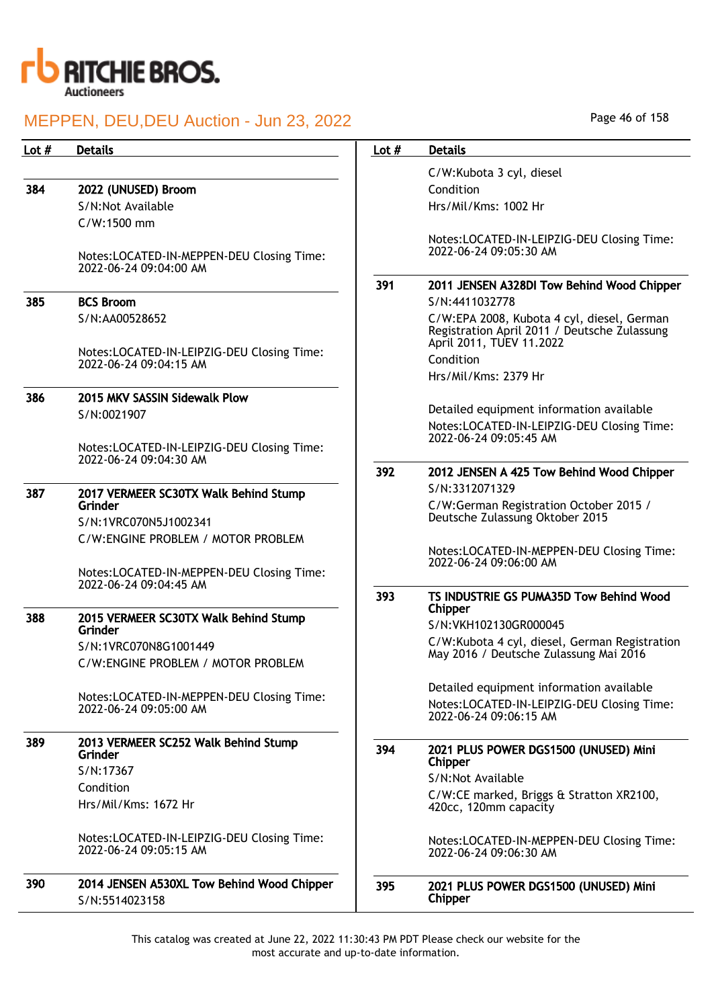

| Lot $#$ | <b>Details</b>                                                                  | Lot $#$ | <b>Details</b>                                                                                                         |
|---------|---------------------------------------------------------------------------------|---------|------------------------------------------------------------------------------------------------------------------------|
|         |                                                                                 |         | C/W:Kubota 3 cyl, diesel                                                                                               |
| 384     | 2022 (UNUSED) Broom                                                             |         | Condition                                                                                                              |
|         | S/N:Not Available                                                               |         | Hrs/Mil/Kms: 1002 Hr                                                                                                   |
|         | C/W:1500 mm                                                                     |         |                                                                                                                        |
|         | Notes:LOCATED-IN-MEPPEN-DEU Closing Time:<br>2022-06-24 09:04:00 AM             |         | Notes:LOCATED-IN-LEIPZIG-DEU Closing Time:<br>2022-06-24 09:05:30 AM                                                   |
|         |                                                                                 | 391     | 2011 JENSEN A328DI Tow Behind Wood Chipper                                                                             |
| 385     | <b>BCS Broom</b>                                                                |         | S/N:4411032778                                                                                                         |
|         | S/N:AA00528652                                                                  |         | C/W:EPA 2008, Kubota 4 cyl, diesel, German<br>Registration April 2011 / Deutsche Zulassung<br>April 2011, TUEV 11.2022 |
|         | Notes:LOCATED-IN-LEIPZIG-DEU Closing Time:<br>2022-06-24 09:04:15 AM            |         | Condition                                                                                                              |
|         |                                                                                 |         | Hrs/Mil/Kms: 2379 Hr                                                                                                   |
| 386     | 2015 MKV SASSIN Sidewalk Plow                                                   |         |                                                                                                                        |
|         | S/N:0021907                                                                     |         | Detailed equipment information available                                                                               |
|         | Notes:LOCATED-IN-LEIPZIG-DEU Closing Time:                                      |         | Notes:LOCATED-IN-LEIPZIG-DEU Closing Time:<br>2022-06-24 09:05:45 AM                                                   |
|         | 2022-06-24 09:04:30 AM                                                          |         |                                                                                                                        |
|         |                                                                                 | 392     | 2012 JENSEN A 425 Tow Behind Wood Chipper                                                                              |
| 387     | 2017 VERMEER SC30TX Walk Behind Stump                                           |         | S/N:3312071329                                                                                                         |
|         | Grinder<br>S/N:1VRC070N5J1002341                                                |         | C/W:German Registration October 2015 /<br>Deutsche Zulassung Oktober 2015                                              |
|         | C/W:ENGINE PROBLEM / MOTOR PROBLEM<br>Notes:LOCATED-IN-MEPPEN-DEU Closing Time: |         | Notes:LOCATED-IN-MEPPEN-DEU Closing Time:<br>2022-06-24 09:06:00 AM                                                    |
|         | 2022-06-24 09:04:45 AM                                                          |         |                                                                                                                        |
|         |                                                                                 | 393     | TS INDUSTRIE GS PUMA35D Tow Behind Wood<br>Chipper                                                                     |
| 388     | 2015 VERMEER SC30TX Walk Behind Stump                                           |         | S/N:VKH102130GR000045                                                                                                  |
|         | Grinder<br>S/N:1VRC070N8G1001449                                                |         | C/W:Kubota 4 cyl, diesel, German Registration                                                                          |
|         | C/W:ENGINE PROBLEM / MOTOR PROBLEM                                              |         | May 2016 / Deutsche Zulassung Mai 2016                                                                                 |
|         |                                                                                 |         | Detailed equipment information available                                                                               |
|         | Notes:LOCATED-IN-MEPPEN-DEU Closing Time:<br>2022-06-24 09:05:00 AM             |         | Notes:LOCATED-IN-LEIPZIG-DEU Closing Time:<br>2022-06-24 09:06:15 AM                                                   |
| 389     | 2013 VERMEER SC252 Walk Behind Stump                                            |         |                                                                                                                        |
|         | Grinder                                                                         | 394     | 2021 PLUS POWER DGS1500 (UNUSED) Mini<br>Chipper                                                                       |
|         | S/N:17367                                                                       |         | S/N:Not Available                                                                                                      |
|         | Condition                                                                       |         | C/W:CE marked, Briggs & Stratton XR2100,                                                                               |
|         | Hrs/Mil/Kms: 1672 Hr                                                            |         | 420cc, 120mm capacity                                                                                                  |
|         | Notes:LOCATED-IN-LEIPZIG-DEU Closing Time:<br>2022-06-24 09:05:15 AM            |         | Notes:LOCATED-IN-MEPPEN-DEU Closing Time:<br>2022-06-24 09:06:30 AM                                                    |
| 390     | 2014 JENSEN A530XL Tow Behind Wood Chipper<br>S/N:5514023158                    | 395     | 2021 PLUS POWER DGS1500 (UNUSED) Mini<br>Chipper                                                                       |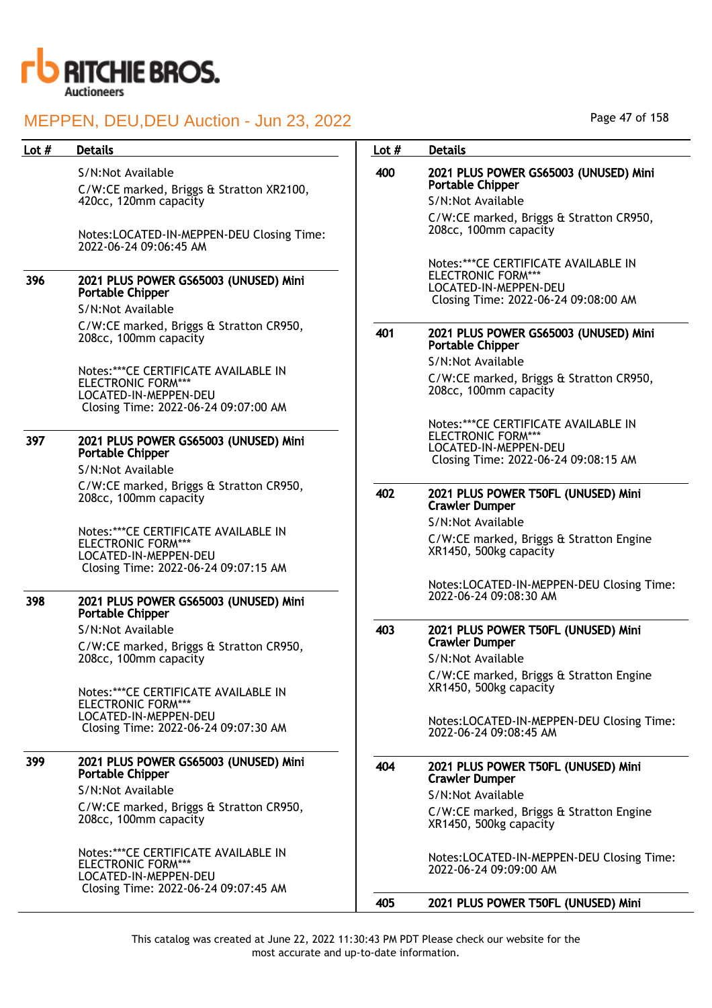

#### S/N:Not Available

C/W:CE marked, Briggs & Stratton XR2100, 420cc, 120mm capacity

Notes:LOCATED-IN-MEPPEN-DEU Closing Time: 2022-06-24 09:06:45 AM

#### 396 2021 PLUS POWER GS65003 (UNUSED) Mini Portable Chipper

S/N:Not Available

C/W:CE marked, Briggs & Stratton CR950, 208cc, 100mm capacity

Notes:\*\*\*CE CERTIFICATE AVAILABLE IN ELECTRONIC FORM\*\*\* LOCATED-IN-MEPPEN-DEU Closing Time: 2022-06-24 09:07:00 AM

#### 397 2021 PLUS POWER GS65003 (UNUSED) Mini Portable Chipper

S/N:Not Available C/W:CE marked, Briggs & Stratton CR950, 208cc, 100mm capacity

Notes:\*\*\*CE CERTIFICATE AVAILABLE IN ELECTRONIC FORM\*\*\* LOCATED-IN-MEPPEN-DEU Closing Time: 2022-06-24 09:07:15 AM

#### 398 2021 PLUS POWER GS65003 (UNUSED) Mini Portable Chipper

S/N:Not Available C/W:CE marked, Briggs & Stratton CR950, 208cc, 100mm capacity

Notes:\*\*\*CE CERTIFICATE AVAILABLE IN ELECTRONIC FORM\*\*\* LOCATED-IN-MEPPEN-DEU Closing Time: 2022-06-24 09:07:30 AM

### 399 2021 PLUS POWER GS65003 (UNUSED) Mini Portable Chipper

S/N:Not Available C/W:CE marked, Briggs & Stratton CR950, 208cc, 100mm capacity

Notes:\*\*\*CE CERTIFICATE AVAILABLE IN ELECTRONIC FORM\*\*\* LOCATED-IN-MEPPEN-DEU Closing Time: 2022-06-24 09:07:45 AM

#### Lot # Details **Details According to the United States Lot # Details**

### 400 2021 PLUS POWER GS65003 (UNUSED) Mini Portable Chipper

S/N:Not Available

C/W:CE marked, Briggs & Stratton CR950, 208cc, 100mm capacity

Notes:\*\*\*CE CERTIFICATE AVAILABLE IN ELECTRONIC FORM\*\*\* LOCATED-IN-MEPPEN-DEU Closing Time: 2022-06-24 09:08:00 AM

#### 401 2021 PLUS POWER GS65003 (UNUSED) Mini Portable Chipper

S/N:Not Available C/W:CE marked, Briggs & Stratton CR950, 208cc, 100mm capacity

Notes:\*\*\*CE CERTIFICATE AVAILABLE IN ELECTRONIC FORM\* LOCATED-IN-MEPPEN-DEU Closing Time: 2022-06-24 09:08:15 AM

#### 402 2021 PLUS POWER T50FL (UNUSED) Mini Crawler Dumper

S/N:Not Available C/W:CE marked, Briggs & Stratton Engine XR1450, 500kg capacity

Notes:LOCATED-IN-MEPPEN-DEU Closing Time: 2022-06-24 09:08:30 AM

#### 403 2021 PLUS POWER T50FL (UNUSED) Mini Crawler Dumper

S/N:Not Available C/W:CE marked, Briggs & Stratton Engine XR1450, 500kg capacity

Notes:LOCATED-IN-MEPPEN-DEU Closing Time: 2022-06-24 09:08:45 AM

#### 404 2021 PLUS POWER T50FL (UNUSED) Mini Crawler Dumper

S/N:Not Available C/W:CE marked, Briggs & Stratton Engine XR1450, 500kg capacity

Notes:LOCATED-IN-MEPPEN-DEU Closing Time: 2022-06-24 09:09:00 AM

405 2021 PLUS POWER T50FL (UNUSED) Mini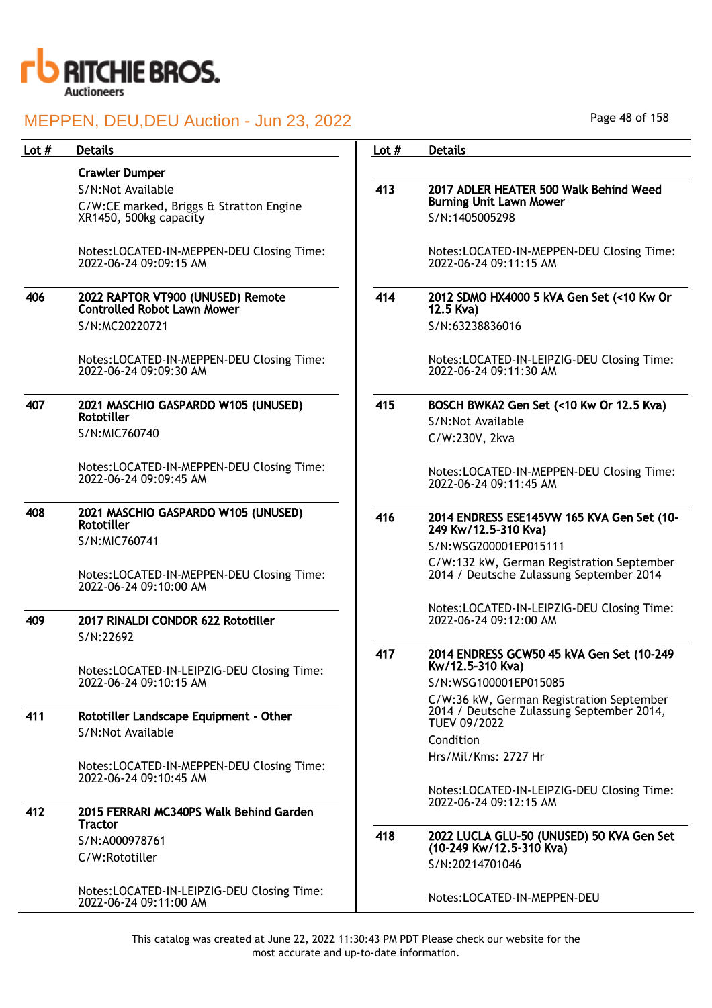

| Lot $#$ | <b>Details</b>                                                       | Lot $#$ | <b>Details</b>                                                                                        |
|---------|----------------------------------------------------------------------|---------|-------------------------------------------------------------------------------------------------------|
|         | <b>Crawler Dumper</b>                                                |         |                                                                                                       |
|         | S/N:Not Available                                                    | 413     | 2017 ADLER HEATER 500 Walk Behind Weed                                                                |
|         | C/W:CE marked, Briggs & Stratton Engine                              |         | <b>Burning Unit Lawn Mower</b>                                                                        |
|         | XR1450, 500kg capacity                                               |         | S/N:1405005298                                                                                        |
|         | Notes:LOCATED-IN-MEPPEN-DEU Closing Time:<br>2022-06-24 09:09:15 AM  |         | Notes:LOCATED-IN-MEPPEN-DEU Closing Time:<br>2022-06-24 09:11:15 AM                                   |
| 406     | 2022 RAPTOR VT900 (UNUSED) Remote<br>Controlled Robot Lawn Mower     | 414     | 2012 SDMO HX4000 5 kVA Gen Set (<10 Kw Or<br>12.5 Kva)                                                |
|         | S/N:MC20220721                                                       |         | S/N:63238836016                                                                                       |
|         | Notes:LOCATED-IN-MEPPEN-DEU Closing Time:<br>2022-06-24 09:09:30 AM  |         | Notes:LOCATED-IN-LEIPZIG-DEU Closing Time:<br>2022-06-24 09:11:30 AM                                  |
| 407     | 2021 MASCHIO GASPARDO W105 (UNUSED)                                  | 415     | BOSCH BWKA2 Gen Set (<10 Kw Or 12.5 Kva)                                                              |
|         | <b>Rototiller</b>                                                    |         | S/N:Not Available                                                                                     |
|         | S/N:MIC760740                                                        |         | C/W:230V, 2kva                                                                                        |
|         | Notes:LOCATED-IN-MEPPEN-DEU Closing Time:<br>2022-06-24 09:09:45 AM  |         | Notes:LOCATED-IN-MEPPEN-DEU Closing Time:<br>2022-06-24 09:11:45 AM                                   |
| 408     | 2021 MASCHIO GASPARDO W105 (UNUSED)<br><b>Rototiller</b>             | 416     | 2014 ENDRESS ESE145VW 165 KVA Gen Set (10-<br>249 Kw/12.5-310 Kva)                                    |
|         | S/N:MIC760741                                                        |         | S/N:WSG200001EP015111                                                                                 |
|         | Notes:LOCATED-IN-MEPPEN-DEU Closing Time:<br>2022-06-24 09:10:00 AM  |         | C/W:132 kW, German Registration September<br>2014 / Deutsche Zulassung September 2014                 |
| 409     | 2017 RINALDI CONDOR 622 Rototiller                                   |         | Notes:LOCATED-IN-LEIPZIG-DEU Closing Time:<br>2022-06-24 09:12:00 AM                                  |
|         | S/N:22692                                                            |         |                                                                                                       |
|         | Notes:LOCATED-IN-LEIPZIG-DEU Closing Time:                           | 417     | 2014 ENDRESS GCW50 45 kVA Gen Set (10-249<br>Kw/12.5-310 Kva)                                         |
|         | 2022-06-24 09:10:15 AM                                               |         | S/N:WSG100001EP015085                                                                                 |
| 411     | Rototiller Landscape Equipment - Other                               |         | C/W:36 kW, German Registration September<br>2014 / Deutsche Zulassung September 2014,<br>TUEV 09/2022 |
|         | S/N:Not Available                                                    |         | Condition                                                                                             |
|         | Notes:LOCATED-IN-MEPPEN-DEU Closing Time:                            |         | Hrs/Mil/Kms: 2727 Hr                                                                                  |
|         | 2022-06-24 09:10:45 AM                                               |         |                                                                                                       |
| 412     | 2015 FERRARI MC340PS Walk Behind Garden                              |         | Notes:LOCATED-IN-LEIPZIG-DEU Closing Time:<br>2022-06-24 09:12:15 AM                                  |
|         | <b>Tractor</b>                                                       |         |                                                                                                       |
|         | S/N:A000978761                                                       | 418     | 2022 LUCLA GLU-50 (UNUSED) 50 KVA Gen Set<br>(10-249 Kw/12.5-310 Kva)                                 |
|         | C/W:Rototiller                                                       |         | S/N:20214701046                                                                                       |
|         | Notes:LOCATED-IN-LEIPZIG-DEU Closing Time:<br>2022-06-24 09:11:00 AM |         | Notes:LOCATED-IN-MEPPEN-DEU                                                                           |

Page 48 of 158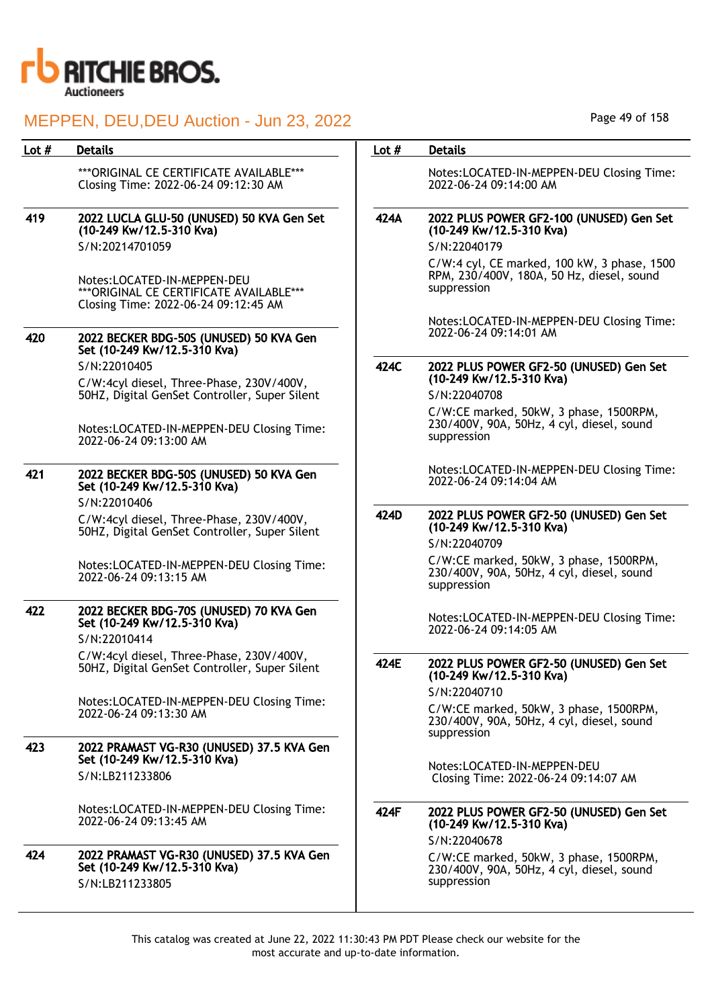

| <b>Details</b>                                                                                                  | Lot $#$                                                                                                                              | <b>Details</b>                                                                                                     |
|-----------------------------------------------------------------------------------------------------------------|--------------------------------------------------------------------------------------------------------------------------------------|--------------------------------------------------------------------------------------------------------------------|
| *** ORIGINAL CE CERTIFICATE AVAILABLE***<br>Closing Time: 2022-06-24 09:12:30 AM                                |                                                                                                                                      | Notes:LOCATED-IN-MEPPEN-DEU Closing Time:<br>2022-06-24 09:14:00 AM                                                |
| 2022 LUCLA GLU-50 (UNUSED) 50 KVA Gen Set<br>(10-249 Kw/12.5-310 Kva)                                           | 424A                                                                                                                                 | 2022 PLUS POWER GF2-100 (UNUSED) Gen Set<br>(10-249 Kw/12.5-310 Kva)                                               |
| S/N:20214701059                                                                                                 |                                                                                                                                      | S/N:22040179                                                                                                       |
| Notes:LOCATED-IN-MEPPEN-DEU<br>*** ORIGINAL CE CERTIFICATE AVAILABLE***<br>Closing Time: 2022-06-24 09:12:45 AM |                                                                                                                                      | C/W:4 cyl, CE marked, 100 kW, 3 phase, 1500<br>RPM, 230/400V, 180A, 50 Hz, diesel, sound<br>suppression            |
| 2022 BECKER BDG-50S (UNUSED) 50 KVA Gen                                                                         |                                                                                                                                      | Notes:LOCATED-IN-MEPPEN-DEU Closing Time:<br>2022-06-24 09:14:01 AM                                                |
| S/N:22010405                                                                                                    | 424C                                                                                                                                 | 2022 PLUS POWER GF2-50 (UNUSED) Gen Set<br>(10-249 Kw/12.5-310 Kva)                                                |
| 50HZ, Digital GenSet Controller, Super Silent                                                                   |                                                                                                                                      | S/N:22040708                                                                                                       |
| Notes:LOCATED-IN-MEPPEN-DEU Closing Time:<br>2022-06-24 09:13:00 AM                                             |                                                                                                                                      | C/W:CE marked, 50kW, 3 phase, 1500RPM,<br>230/400V, 90A, 50Hz, 4 cyl, diesel, sound<br>suppression                 |
| 2022 BECKER BDG-50S (UNUSED) 50 KVA Gen<br>Set (10-249 Kw/12.5-310 Kva)                                         |                                                                                                                                      | Notes:LOCATED-IN-MEPPEN-DEU Closing Time:<br>2022-06-24 09:14:04 AM                                                |
|                                                                                                                 |                                                                                                                                      | 2022 PLUS POWER GF2-50 (UNUSED) Gen Set                                                                            |
| 50HZ, Digital GenSet Controller, Super Silent                                                                   |                                                                                                                                      | (10-249 Kw/12.5-310 Kva)<br>S/N:22040709                                                                           |
| Notes:LOCATED-IN-MEPPEN-DEU Closing Time:<br>2022-06-24 09:13:15 AM                                             |                                                                                                                                      | C/W:CE marked, 50kW, 3 phase, 1500RPM,<br>230/400V, 90A, 50Hz, 4 cyl, diesel, sound<br>suppression                 |
| 2022 BECKER BDG-70S (UNUSED) 70 KVA Gen<br>Set (10-249 Kw/12.5-310 Kva)<br>S/N:22010414                         |                                                                                                                                      | Notes:LOCATED-IN-MEPPEN-DEU Closing Time:<br>2022-06-24 09:14:05 AM                                                |
| C/W:4cyl diesel, Three-Phase, 230V/400V,<br>50HZ, Digital GenSet Controller, Super Silent                       | 424E                                                                                                                                 | 2022 PLUS POWER GF2-50 (UNUSED) Gen Set<br>(10-249 Kw/12.5-310 Kva)                                                |
| Notes:LOCATED-IN-MEPPEN-DEU Closing Time:<br>2022-06-24 09:13:30 AM                                             |                                                                                                                                      | S/N:22040710<br>C/W:CE marked, 50kW, 3 phase, 1500RPM,<br>230/400V, 90A, 50Hz, 4 cyl, diesel, sound<br>suppression |
| 2022 PRAMAST VG-R30 (UNUSED) 37.5 KVA Gen<br>Set (10-249 Kw/12.5-310 Kva)                                       |                                                                                                                                      |                                                                                                                    |
| S/N:LB211233806                                                                                                 |                                                                                                                                      | Notes:LOCATED-IN-MEPPEN-DEU<br>Closing Time: 2022-06-24 09:14:07 AM                                                |
| Notes:LOCATED-IN-MEPPEN-DEU Closing Time:<br>2022-06-24 09:13:45 AM                                             | 424F                                                                                                                                 | 2022 PLUS POWER GF2-50 (UNUSED) Gen Set<br>(10-249 Kw/12.5-310 Kva)<br>S/N:22040678                                |
| 2022 PRAMAST VG-R30 (UNUSED) 37.5 KVA Gen<br>Set (10-249 Kw/12.5-310 Kva)<br>S/N:LB211233805                    |                                                                                                                                      | C/W:CE marked, 50kW, 3 phase, 1500RPM,<br>230/400V, 90A, 50Hz, 4 cyl, diesel, sound<br>suppression                 |
|                                                                                                                 | Set (10-249 Kw/12.5-310 Kva)<br>C/W:4cyl diesel, Three-Phase, 230V/400V,<br>S/N:22010406<br>C/W:4cyl diesel, Three-Phase, 230V/400V, | 424D                                                                                                               |

Page 49 of 158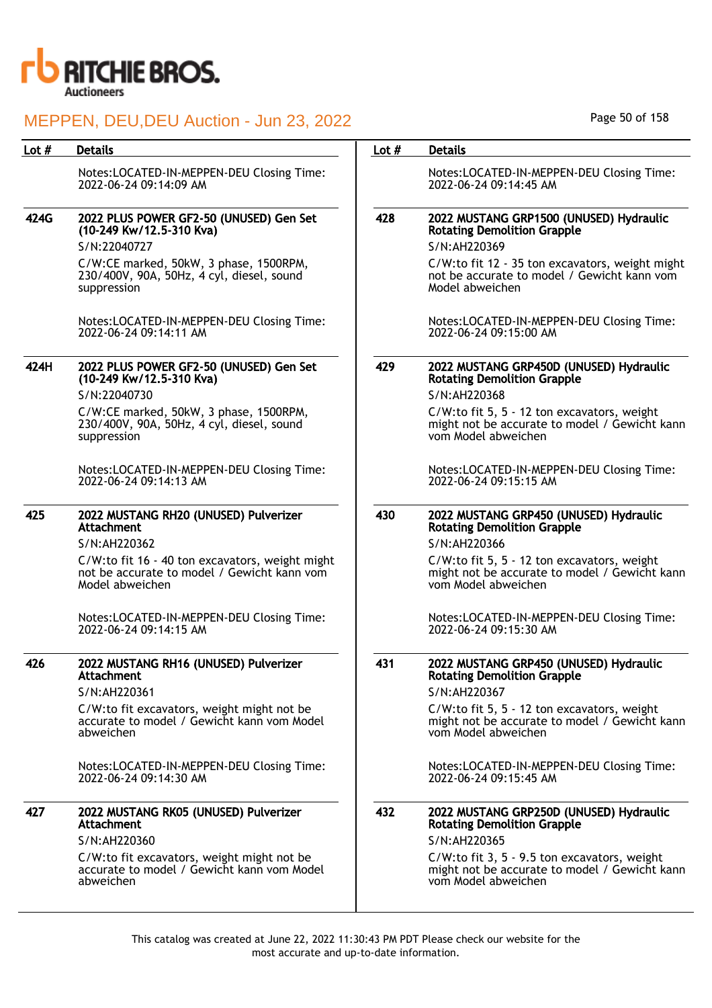

|      |                                                                                                                       | Lot $#$ | <b>Details</b>                                                                                                                      |
|------|-----------------------------------------------------------------------------------------------------------------------|---------|-------------------------------------------------------------------------------------------------------------------------------------|
|      | Notes:LOCATED-IN-MEPPEN-DEU Closing Time:<br>2022-06-24 09:14:09 AM                                                   |         | Notes:LOCATED-IN-MEPPEN-DEU Closing Time:<br>2022-06-24 09:14:45 AM                                                                 |
| 424G | 2022 PLUS POWER GF2-50 (UNUSED) Gen Set<br>(10-249 Kw/12.5-310 Kva)<br>S/N:22040727                                   | 428     | 2022 MUSTANG GRP1500 (UNUSED) Hydraulic<br><b>Rotating Demolition Grapple</b><br>S/N:AH220369                                       |
|      | C/W:CE marked, 50kW, 3 phase, 1500RPM,<br>230/400V, 90A, 50Hz, 4 cyl, diesel, sound<br>suppression                    |         | C/W:to fit 12 - 35 ton excavators, weight might<br>not be accurate to model / Gewicht kann vom<br>Model abweichen                   |
|      | Notes:LOCATED-IN-MEPPEN-DEU Closing Time:<br>2022-06-24 09:14:11 AM                                                   |         | Notes:LOCATED-IN-MEPPEN-DEU Closing Time:<br>2022-06-24 09:15:00 AM                                                                 |
| 424H | 2022 PLUS POWER GF2-50 (UNUSED) Gen Set<br>(10-249 Kw/12.5-310 Kva)<br>S/N:22040730                                   | 429     | 2022 MUSTANG GRP450D (UNUSED) Hydraulic<br><b>Rotating Demolition Grapple</b><br>S/N:AH220368                                       |
|      | C/W:CE marked, 50kW, 3 phase, 1500RPM,<br>230/400V, 90A, 50Hz, 4 cyl, diesel, sound<br>suppression                    |         | C/W:to fit 5, 5 - 12 ton excavators, weight<br>might not be accurate to model / Gewicht kann<br>vom Model abweichen                 |
|      | Notes:LOCATED-IN-MEPPEN-DEU Closing Time:<br>2022-06-24 09:14:13 AM                                                   |         | Notes:LOCATED-IN-MEPPEN-DEU Closing Time:<br>2022-06-24 09:15:15 AM                                                                 |
| 425  | 2022 MUSTANG RH20 (UNUSED) Pulverizer<br>Attachment<br>S/N:AH220362                                                   | 430     | 2022 MUSTANG GRP450 (UNUSED) Hydraulic<br><b>Rotating Demolition Grapple</b><br>S/N:AH220366                                        |
|      | C/W:to fit 16 - 40 ton excavators, weight might<br>not be accurate to model / Gewicht kann vom<br>Model abweichen     |         | C/W:to fit 5, 5 - 12 ton excavators, weight<br>might not be accurate to model / Gewicht kann<br>vom Model abweichen                 |
|      | Notes:LOCATED-IN-MEPPEN-DEU Closing Time:<br>2022-06-24 09:14:15 AM                                                   |         | Notes:LOCATED-IN-MEPPEN-DEU Closing Time:<br>2022-06-24 09:15:30 AM                                                                 |
| 426  | 2022 MUSTANG RH16 (UNUSED) Pulverizer<br><b>Attachment</b>                                                            | 431     | 2022 MUSTANG GRP450 (UNUSED) Hydraulic<br><b>Rotating Demolition Grapple</b>                                                        |
|      | S/N:AH220361<br>C/W:to fit excavators, weight might not be<br>accurate to model / Gewicht kann vom Model<br>abweichen |         | S/N:AH220367<br>C/W:to fit 5, 5 - 12 ton excavators, weight<br>might not be accurate to model / Gewicht kann<br>vom Model abweichen |
|      | Notes:LOCATED-IN-MEPPEN-DEU Closing Time:<br>2022-06-24 09:14:30 AM                                                   |         | Notes:LOCATED-IN-MEPPEN-DEU Closing Time:<br>2022-06-24 09:15:45 AM                                                                 |
| 427  | 2022 MUSTANG RK05 (UNUSED) Pulverizer<br><b>Attachment</b>                                                            | 432     | 2022 MUSTANG GRP250D (UNUSED) Hydraulic<br><b>Rotating Demolition Grapple</b>                                                       |
|      | S/N:AH220360                                                                                                          |         | S/N:AH220365                                                                                                                        |
|      | C/W:to fit excavators, weight might not be<br>accurate to model / Gewicht kann vom Model<br>abweichen                 |         | C/W:to fit 3, 5 - 9.5 ton excavators, weight<br>might not be accurate to model / Gewicht kann<br>vom Model abweichen                |

Page 50 of 158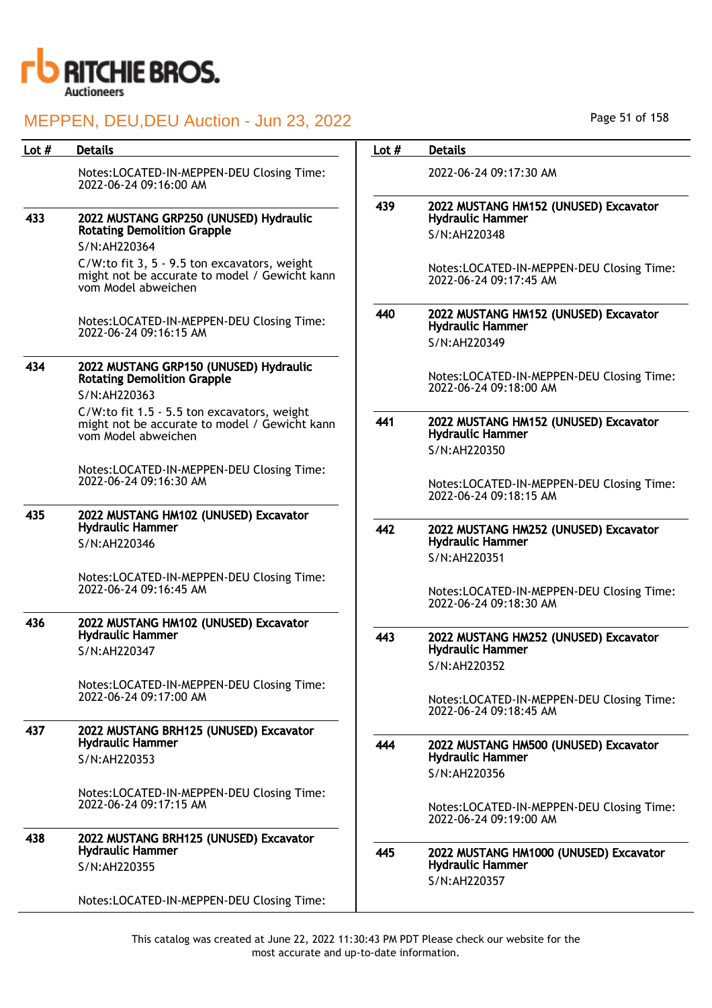

| Lot # | <b>Details</b>                                                                                                       | Lot $#$ | <b>Details</b>                                                                    |
|-------|----------------------------------------------------------------------------------------------------------------------|---------|-----------------------------------------------------------------------------------|
|       | Notes:LOCATED-IN-MEPPEN-DEU Closing Time:<br>2022-06-24 09:16:00 AM                                                  |         | 2022-06-24 09:17:30 AM                                                            |
|       |                                                                                                                      | 439     | 2022 MUSTANG HM152 (UNUSED) Excavator                                             |
| 433   | 2022 MUSTANG GRP250 (UNUSED) Hydraulic<br><b>Rotating Demolition Grapple</b>                                         |         | <b>Hydraulic Hammer</b><br>S/N:AH220348                                           |
|       | S/N:AH220364                                                                                                         |         |                                                                                   |
|       | C/W:to fit 3, 5 - 9.5 ton excavators, weight<br>might not be accurate to model / Gewicht kann<br>vom Model abweichen |         | Notes:LOCATED-IN-MEPPEN-DEU Closing Time:<br>2022-06-24 09:17:45 AM               |
|       | Notes:LOCATED-IN-MEPPEN-DEU Closing Time:<br>2022-06-24 09:16:15 AM                                                  | 440     | 2022 MUSTANG HM152 (UNUSED) Excavator<br><b>Hydraulic Hammer</b>                  |
|       |                                                                                                                      |         | S/N:AH220349                                                                      |
| 434   | 2022 MUSTANG GRP150 (UNUSED) Hydraulic<br><b>Rotating Demolition Grapple</b><br>S/N:AH220363                         |         | Notes:LOCATED-IN-MEPPEN-DEU Closing Time:<br>2022-06-24 09:18:00 AM               |
|       | C/W:to fit 1.5 - 5.5 ton excavators, weight<br>might not be accurate to model / Gewicht kann<br>vom Model abweichen  | 441     | 2022 MUSTANG HM152 (UNUSED) Excavator<br><b>Hydraulic Hammer</b>                  |
|       |                                                                                                                      |         | S/N:AH220350                                                                      |
|       | Notes:LOCATED-IN-MEPPEN-DEU Closing Time:<br>2022-06-24 09:16:30 AM                                                  |         | Notes:LOCATED-IN-MEPPEN-DEU Closing Time:<br>2022-06-24 09:18:15 AM               |
| 435   | 2022 MUSTANG HM102 (UNUSED) Excavator                                                                                |         |                                                                                   |
|       | <b>Hydraulic Hammer</b><br>S/N:AH220346                                                                              | 442     | 2022 MUSTANG HM252 (UNUSED) Excavator<br><b>Hydraulic Hammer</b>                  |
|       |                                                                                                                      |         | S/N:AH220351                                                                      |
|       | Notes:LOCATED-IN-MEPPEN-DEU Closing Time:                                                                            |         |                                                                                   |
|       | 2022-06-24 09:16:45 AM                                                                                               |         | Notes:LOCATED-IN-MEPPEN-DEU Closing Time:<br>2022-06-24 09:18:30 AM               |
| 436   | 2022 MUSTANG HM102 (UNUSED) Excavator<br><b>Hydraulic Hammer</b>                                                     |         |                                                                                   |
|       | S/N:AH220347                                                                                                         | 443     | 2022 MUSTANG HM252 (UNUSED) Excavator<br><b>Hydraulic Hammer</b>                  |
|       |                                                                                                                      |         | S/N:AH220352                                                                      |
|       | Notes:LOCATED-IN-MEPPEN-DEU Closing Time:<br>2022-06-24 09:17:00 AM                                                  |         | Notes:LOCATED-IN-MEPPEN-DEU Closing Time:<br>2022-06-24 09:18:45 AM               |
| 437   | 2022 MUSTANG BRH125 (UNUSED) Excavator                                                                               |         |                                                                                   |
|       | <b>Hydraulic Hammer</b>                                                                                              | 444     | 2022 MUSTANG HM500 (UNUSED) Excavator                                             |
|       | S/N:AH220353                                                                                                         |         | <b>Hydraulic Hammer</b><br>S/N:AH220356                                           |
|       | Notes:LOCATED-IN-MEPPEN-DEU Closing Time:<br>2022-06-24 09:17:15 AM                                                  |         | Notes:LOCATED-IN-MEPPEN-DEU Closing Time:<br>2022-06-24 09:19:00 AM               |
| 438   | 2022 MUSTANG BRH125 (UNUSED) Excavator<br><b>Hydraulic Hammer</b>                                                    |         |                                                                                   |
|       | S/N:AH220355                                                                                                         | 445     | 2022 MUSTANG HM1000 (UNUSED) Excavator<br><b>Hydraulic Hammer</b><br>S/N:AH220357 |
|       | Notes:LOCATED-IN-MEPPEN-DEU Closing Time:                                                                            |         |                                                                                   |

Page 51 of 158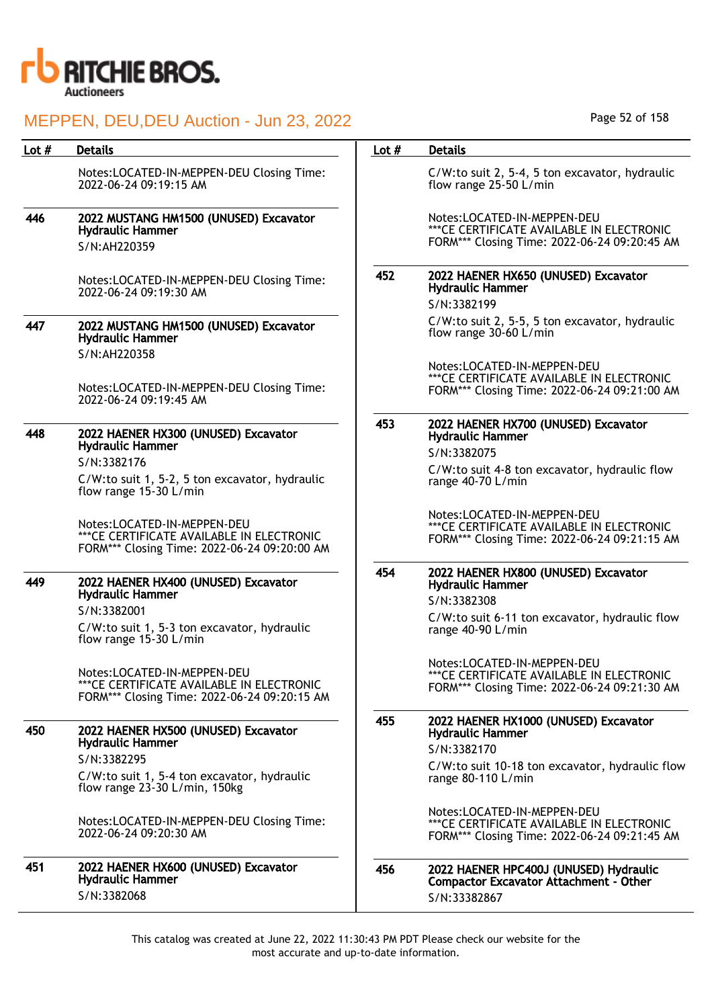

| Lot # | <b>Details</b>                                                                                                            | Lot $#$ | <b>Details</b>                                                                                                            |
|-------|---------------------------------------------------------------------------------------------------------------------------|---------|---------------------------------------------------------------------------------------------------------------------------|
|       | Notes:LOCATED-IN-MEPPEN-DEU Closing Time:<br>2022-06-24 09:19:15 AM                                                       |         | C/W:to suit 2, 5-4, 5 ton excavator, hydraulic<br>flow range 25-50 L/min                                                  |
| 446   | 2022 MUSTANG HM1500 (UNUSED) Excavator<br><b>Hydraulic Hammer</b>                                                         |         | Notes:LOCATED-IN-MEPPEN-DEU<br>*** CE CERTIFICATE AVAILABLE IN ELECTRONIC<br>FORM*** Closing Time: 2022-06-24 09:20:45 AM |
|       | S/N:AH220359                                                                                                              |         |                                                                                                                           |
|       | Notes:LOCATED-IN-MEPPEN-DEU Closing Time:<br>2022-06-24 09:19:30 AM                                                       | 452     | 2022 HAENER HX650 (UNUSED) Excavator<br><b>Hydraulic Hammer</b><br>S/N:3382199                                            |
| 447   | 2022 MUSTANG HM1500 (UNUSED) Excavator<br><b>Hydraulic Hammer</b><br>S/N:AH220358                                         |         | C/W:to suit 2, 5-5, 5 ton excavator, hydraulic<br>flow range 30-60 L/min                                                  |
|       | Notes:LOCATED-IN-MEPPEN-DEU Closing Time:<br>2022-06-24 09:19:45 AM                                                       |         | Notes:LOCATED-IN-MEPPEN-DEU<br>*** CE CERTIFICATE AVAILABLE IN ELECTRONIC<br>FORM*** Closing Time: 2022-06-24 09:21:00 AM |
| 448   | 2022 HAENER HX300 (UNUSED) Excavator<br><b>Hydraulic Hammer</b>                                                           | 453     | 2022 HAENER HX700 (UNUSED) Excavator<br><b>Hydraulic Hammer</b><br>S/N:3382075                                            |
|       | S/N:3382176                                                                                                               |         | C/W:to suit 4-8 ton excavator, hydraulic flow                                                                             |
|       | C/W:to suit 1, 5-2, 5 ton excavator, hydraulic<br>flow range 15-30 L/min                                                  |         | range 40-70 L/min                                                                                                         |
|       | Notes:LOCATED-IN-MEPPEN-DEU<br>*** CE CERTIFICATE AVAILABLE IN ELECTRONIC<br>FORM*** Closing Time: 2022-06-24 09:20:00 AM |         | Notes:LOCATED-IN-MEPPEN-DEU<br>*** CE CERTIFICATE AVAILABLE IN ELECTRONIC<br>FORM*** Closing Time: 2022-06-24 09:21:15 AM |
| 449   | 2022 HAENER HX400 (UNUSED) Excavator<br><b>Hydraulic Hammer</b>                                                           | 454     | 2022 HAENER HX800 (UNUSED) Excavator<br><b>Hydraulic Hammer</b><br>S/N:3382308                                            |
|       | S/N:3382001<br>C/W:to suit 1, 5-3 ton excavator, hydraulic<br>flow range 15-30 L/min                                      |         | C/W:to suit 6-11 ton excavator, hydraulic flow<br>range 40-90 L/min                                                       |
|       | Notes:LOCATED-IN-MEPPEN-DEU<br>*** CE CERTIFICATE AVAILABLE IN ELECTRONIC<br>FORM*** Closing Time: 2022-06-24 09:20:15 AM |         | Notes:LOCATED-IN-MEPPEN-DEU<br>*** CE CERTIFICATE AVAILABLE IN ELECTRONIC<br>FORM*** Closing Time: 2022-06-24 09:21:30 AM |
| 450   | 2022 HAENER HX500 (UNUSED) Excavator<br><b>Hydraulic Hammer</b>                                                           | 455     | 2022 HAENER HX1000 (UNUSED) Excavator<br><b>Hydraulic Hammer</b>                                                          |
|       | S/N:3382295                                                                                                               |         | S/N:3382170                                                                                                               |
|       | C/W:to suit 1, 5-4 ton excavator, hydraulic<br>flow range $23-30$ L/min, 150kg                                            |         | C/W:to suit 10-18 ton excavator, hydraulic flow<br>range 80-110 L/min                                                     |
|       | Notes:LOCATED-IN-MEPPEN-DEU Closing Time:<br>2022-06-24 09:20:30 AM                                                       |         | Notes:LOCATED-IN-MEPPEN-DEU<br>*** CE CERTIFICATE AVAILABLE IN ELECTRONIC<br>FORM*** Closing Time: 2022-06-24 09:21:45 AM |
| 451   | 2022 HAENER HX600 (UNUSED) Excavator<br><b>Hydraulic Hammer</b>                                                           | 456     | 2022 HAENER HPC400J (UNUSED) Hydraulic<br><b>Compactor Excavator Attachment - Other</b>                                   |
|       | S/N:3382068                                                                                                               |         | S/N:33382867                                                                                                              |

Page 52 of 158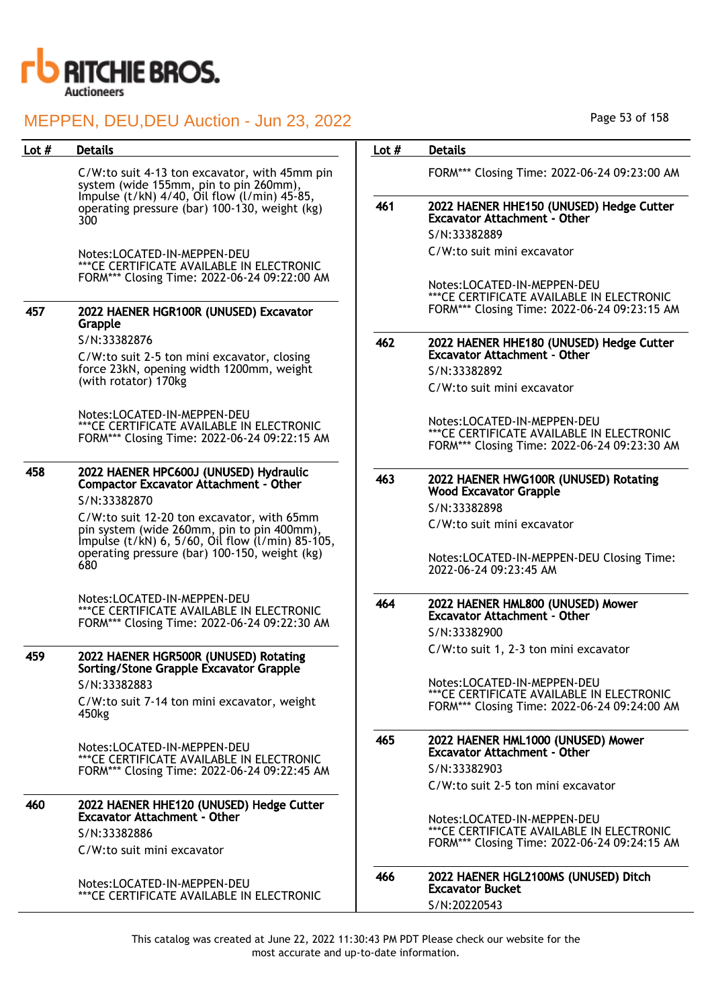

| Lot $#$ | <b>Details</b>                                                                                                                                  | Lot $#$ | <b>Details</b>                                                                                                            |
|---------|-------------------------------------------------------------------------------------------------------------------------------------------------|---------|---------------------------------------------------------------------------------------------------------------------------|
|         | C/W:to suit 4-13 ton excavator, with 45mm pin<br>system (wide 155mm, pin to pin 260mm),<br>Impulse (t/kN) 4/40, Oil flow (l/min) 45-85,         |         | FORM*** Closing Time: 2022-06-24 09:23:00 AM                                                                              |
|         | operating pressure (bar) 100-130, weight (kg)<br>300                                                                                            | 461     | 2022 HAENER HHE150 (UNUSED) Hedge Cutter<br><b>Excavator Attachment - Other</b>                                           |
|         |                                                                                                                                                 |         | S/N:33382889<br>C/W:to suit mini excavator                                                                                |
|         | Notes:LOCATED-IN-MEPPEN-DEU<br>*** CE CERTIFICATE AVAILABLE IN ELECTRONIC                                                                       |         |                                                                                                                           |
|         | FORM*** Closing Time: 2022-06-24 09:22:00 AM                                                                                                    |         | Notes:LOCATED-IN-MEPPEN-DEU                                                                                               |
| 457     | 2022 HAENER HGR100R (UNUSED) Excavator<br>Grapple                                                                                               |         | *** CE CERTIFICATE AVAILABLE IN ELECTRONIC<br>FORM*** Closing Time: 2022-06-24 09:23:15 AM                                |
|         | S/N:33382876                                                                                                                                    | 462     | 2022 HAENER HHE180 (UNUSED) Hedge Cutter                                                                                  |
|         | C/W:to suit 2-5 ton mini excavator, closing                                                                                                     |         | <b>Excavator Attachment - Other</b>                                                                                       |
|         | force 23kN, opening width 1200mm, weight<br>(with rotator) 170kg                                                                                |         | S/N:33382892                                                                                                              |
|         |                                                                                                                                                 |         | C/W:to suit mini excavator                                                                                                |
|         | Notes:LOCATED-IN-MEPPEN-DEU<br>*** CE CERTIFICATE AVAILABLE IN ELECTRONIC<br>FORM*** Closing Time: 2022-06-24 09:22:15 AM                       |         | Notes:LOCATED-IN-MEPPEN-DEU<br>*** CE CERTIFICATE AVAILABLE IN ELECTRONIC<br>FORM*** Closing Time: 2022-06-24 09:23:30 AM |
| 458     | 2022 HAENER HPC600J (UNUSED) Hydraulic<br><b>Compactor Excavator Attachment - Other</b><br>S/N:33382870                                         | 463     | 2022 HAENER HWG100R (UNUSED) Rotating<br><b>Wood Excavator Grapple</b>                                                    |
|         | C/W:to suit 12-20 ton excavator, with 65mm                                                                                                      |         | S/N:33382898                                                                                                              |
|         | pin system (wide 260mm, pin to pin 400mm),<br>Impulse (t/kN) 6, 5/60, Oil flow (l/min) 85-105,<br>operating pressure (bar) 100-150, weight (kg) |         | C/W:to suit mini excavator                                                                                                |
|         | 680                                                                                                                                             |         | Notes:LOCATED-IN-MEPPEN-DEU Closing Time:<br>2022-06-24 09:23:45 AM                                                       |
|         | Notes:LOCATED-IN-MEPPEN-DEU<br>*** CE CERTIFICATE AVAILABLE IN ELECTRONIC<br>FORM*** Closing Time: 2022-06-24 09:22:30 AM                       | 464     | 2022 HAENER HML800 (UNUSED) Mower<br><b>Excavator Attachment - Other</b><br>S/N:33382900                                  |
| 459     | 2022 HAENER HGR500R (UNUSED) Rotating<br>Sorting/Stone Grapple Excavator Grapple                                                                |         | C/W:to suit 1, 2-3 ton mini excavator                                                                                     |
|         | S/N:33382883                                                                                                                                    |         | Notes:LOCATED-IN-MEPPEN-DEU                                                                                               |
|         | C/W:to suit 7-14 ton mini excavator, weight<br>450kg                                                                                            |         | *** CE CERTIFICATE AVAILABLE IN ELECTRONIC<br>FORM*** Closing Time: 2022-06-24 09:24:00 AM                                |
|         | Notes:LOCATED-IN-MEPPEN-DEU<br>*** CE CERTIFICATE AVAILABLE IN ELECTRONIC                                                                       | 465     | 2022 HAENER HML1000 (UNUSED) Mower<br><b>Excavator Attachment - Other</b>                                                 |
|         | FORM*** Closing Time: 2022-06-24 09:22:45 AM                                                                                                    |         | S/N:33382903                                                                                                              |
|         |                                                                                                                                                 |         | C/W:to suit 2-5 ton mini excavator                                                                                        |
| 460     | 2022 HAENER HHE120 (UNUSED) Hedge Cutter<br>Excavator Attachment - Other                                                                        |         |                                                                                                                           |
|         | S/N:33382886                                                                                                                                    |         | Notes:LOCATED-IN-MEPPEN-DEU<br>***CE CERTIFICATE AVAILABLE IN ELECTRONIC                                                  |
|         | C/W:to suit mini excavator                                                                                                                      |         | FORM*** Closing Time: 2022-06-24 09:24:15 AM                                                                              |
|         | Notes:LOCATED-IN-MEPPEN-DEU                                                                                                                     | 466     | 2022 HAENER HGL2100MS (UNUSED) Ditch<br><b>Excavator Bucket</b>                                                           |
|         | *** CE CERTIFICATE AVAILABLE IN ELECTRONIC                                                                                                      |         |                                                                                                                           |

Page 53 of 158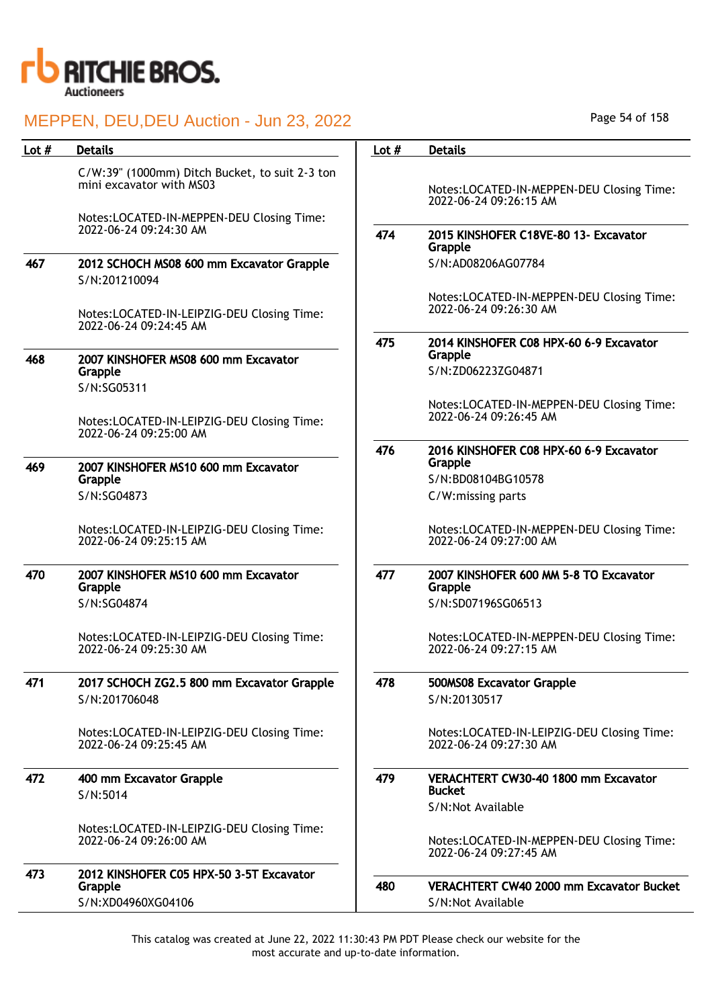

| Lot $#$ | <b>Details</b>                                                                                                          | Lot $#$ | <b>Details</b>                                                           |
|---------|-------------------------------------------------------------------------------------------------------------------------|---------|--------------------------------------------------------------------------|
|         | C/W:39" (1000mm) Ditch Bucket, to suit 2-3 ton<br>mini excavator with MS03<br>Notes:LOCATED-IN-MEPPEN-DEU Closing Time: |         | Notes:LOCATED-IN-MEPPEN-DEU Closing Time:<br>2022-06-24 09:26:15 AM      |
|         | 2022-06-24 09:24:30 AM                                                                                                  | 474     | 2015 KINSHOFER C18VE-80 13- Excavator<br>Grapple                         |
| 467     | 2012 SCHOCH MS08 600 mm Excavator Grapple<br>S/N:201210094                                                              |         | S/N:AD08206AG07784                                                       |
|         | Notes:LOCATED-IN-LEIPZIG-DEU Closing Time:<br>2022-06-24 09:24:45 AM                                                    |         | Notes:LOCATED-IN-MEPPEN-DEU Closing Time:<br>2022-06-24 09:26:30 AM      |
| 468     | 2007 KINSHOFER MS08 600 mm Excavator<br>Grapple<br>S/N:SG05311                                                          | 475     | 2014 KINSHOFER C08 HPX-60 6-9 Excavator<br>Grapple<br>S/N:ZD06223ZG04871 |
|         | Notes:LOCATED-IN-LEIPZIG-DEU Closing Time:<br>2022-06-24 09:25:00 AM                                                    |         | Notes:LOCATED-IN-MEPPEN-DEU Closing Time:<br>2022-06-24 09:26:45 AM      |
| 469     | 2007 KINSHOFER MS10 600 mm Excavator                                                                                    | 476     | 2016 KINSHOFER C08 HPX-60 6-9 Excavator<br>Grapple                       |
|         | Grapple<br>S/N:SG04873                                                                                                  |         | S/N:BD08104BG10578<br>C/W:missing parts                                  |
|         | Notes:LOCATED-IN-LEIPZIG-DEU Closing Time:<br>2022-06-24 09:25:15 AM                                                    |         | Notes:LOCATED-IN-MEPPEN-DEU Closing Time:<br>2022-06-24 09:27:00 AM      |
| 470     | 2007 KINSHOFER MS10 600 mm Excavator<br>Grapple                                                                         | 477     | 2007 KINSHOFER 600 MM 5-8 TO Excavator<br>Grapple                        |
|         | S/N:SG04874                                                                                                             |         | S/N:SD07196SG06513                                                       |
|         | Notes:LOCATED-IN-LEIPZIG-DEU Closing Time:<br>2022-06-24 09:25:30 AM                                                    |         | Notes:LOCATED-IN-MEPPEN-DEU Closing Time:<br>2022-06-24 09:27:15 AM      |
| 471     | 2017 SCHOCH ZG2.5 800 mm Excavator Grapple<br>S/N:201706048                                                             | 478     | 500MS08 Excavator Grapple<br>S/N:20130517                                |
|         | Notes:LOCATED-IN-LEIPZIG-DEU Closing Time:<br>2022-06-24 09:25:45 AM                                                    |         | Notes:LOCATED-IN-LEIPZIG-DEU Closing Time:<br>2022-06-24 09:27:30 AM     |
| 472     | 400 mm Excavator Grapple                                                                                                | 479     | VERACHTERT CW30-40 1800 mm Excavator<br><b>Bucket</b>                    |
|         | S/N:5014                                                                                                                |         | S/N:Not Available                                                        |
|         | Notes:LOCATED-IN-LEIPZIG-DEU Closing Time:<br>2022-06-24 09:26:00 AM                                                    |         | Notes:LOCATED-IN-MEPPEN-DEU Closing Time:<br>2022-06-24 09:27:45 AM      |
| 473     | 2012 KINSHOFER C05 HPX-50 3-5T Excavator                                                                                | 480     | <b>VERACHTERT CW40 2000 mm Excavator Bucket</b>                          |
|         | Grapple<br>S/N:XD04960XG04106                                                                                           |         | S/N:Not Available                                                        |
|         |                                                                                                                         |         |                                                                          |

Page 54 of 158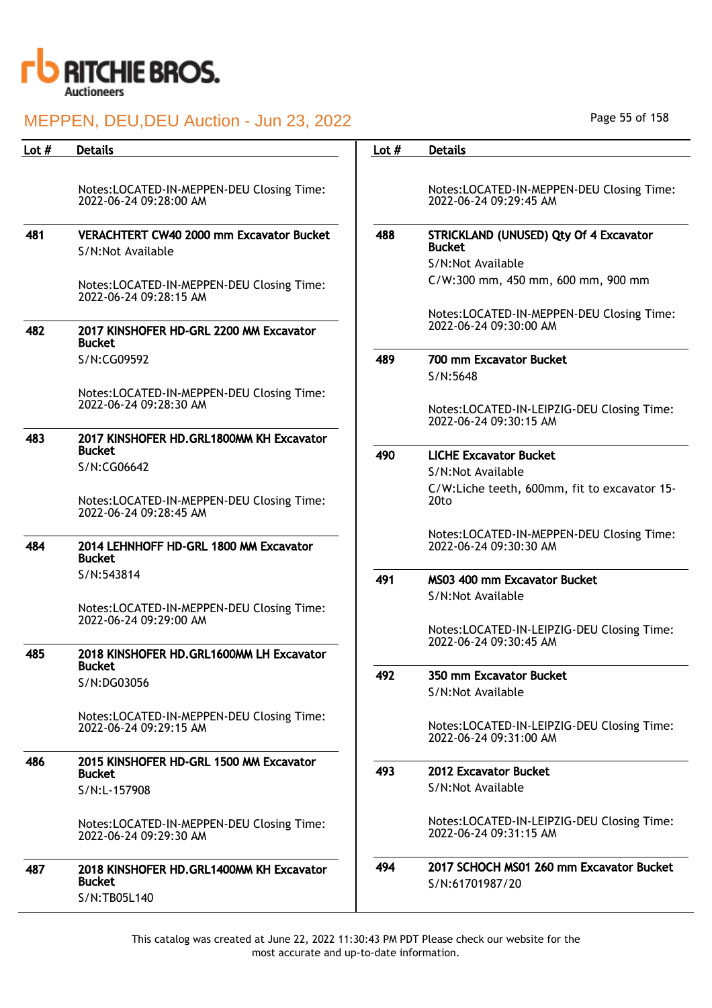

| Lot $#$ | <b>Details</b>                                                      | Lot $#$ | <b>Details</b>                                                       |
|---------|---------------------------------------------------------------------|---------|----------------------------------------------------------------------|
|         |                                                                     |         |                                                                      |
|         | Notes:LOCATED-IN-MEPPEN-DEU Closing Time:<br>2022-06-24 09:28:00 AM |         | Notes:LOCATED-IN-MEPPEN-DEU Closing Time:<br>2022-06-24 09:29:45 AM  |
|         |                                                                     |         |                                                                      |
| 481     | VERACHTERT CW40 2000 mm Excavator Bucket<br>S/N:Not Available       | 488     | <b>STRICKLAND (UNUSED) Qty Of 4 Excavator</b><br><b>Bucket</b>       |
|         |                                                                     |         | S/N:Not Available                                                    |
|         | Notes:LOCATED-IN-MEPPEN-DEU Closing Time:<br>2022-06-24 09:28:15 AM |         | C/W:300 mm, 450 mm, 600 mm, 900 mm                                   |
|         |                                                                     |         | Notes:LOCATED-IN-MEPPEN-DEU Closing Time:                            |
| 482     | 2017 KINSHOFER HD-GRL 2200 MM Excavator<br><b>Bucket</b>            |         | 2022-06-24 09:30:00 AM                                               |
|         | S/N:CG09592                                                         | 489     | 700 mm Excavator Bucket                                              |
|         |                                                                     |         | S/N:5648                                                             |
|         | Notes:LOCATED-IN-MEPPEN-DEU Closing Time:                           |         |                                                                      |
|         | 2022-06-24 09:28:30 AM                                              |         | Notes:LOCATED-IN-LEIPZIG-DEU Closing Time:                           |
|         |                                                                     |         | 2022-06-24 09:30:15 AM                                               |
| 483     | 2017 KINSHOFER HD.GRL1800MM KH Excavator<br><b>Bucket</b>           |         |                                                                      |
|         | S/N:CG06642                                                         | 490     | <b>LICHE Excavator Bucket</b>                                        |
|         |                                                                     |         | S/N:Not Available                                                    |
|         | Notes:LOCATED-IN-MEPPEN-DEU Closing Time:                           |         | C/W:Liche teeth, 600mm, fit to excavator 15-<br>20 <sub>to</sub>     |
|         | 2022-06-24 09:28:45 AM                                              |         |                                                                      |
|         |                                                                     |         | Notes:LOCATED-IN-MEPPEN-DEU Closing Time:                            |
| 484     | 2014 LEHNHOFF HD-GRL 1800 MM Excavator<br><b>Bucket</b>             |         | 2022-06-24 09:30:30 AM                                               |
|         | S/N:543814                                                          |         |                                                                      |
|         |                                                                     | 491     | MS03 400 mm Excavator Bucket                                         |
|         | Notes:LOCATED-IN-MEPPEN-DEU Closing Time:                           |         | S/N:Not Available                                                    |
|         | 2022-06-24 09:29:00 AM                                              |         |                                                                      |
|         |                                                                     |         | Notes:LOCATED-IN-LEIPZIG-DEU Closing Time:<br>2022-06-24 09:30:45 AM |
| 485     | 2018 KINSHOFER HD.GRL1600MM LH Excavator                            |         |                                                                      |
|         | Bucket                                                              | 492     | 350 mm Excavator Bucket                                              |
|         | S/N:DG03056                                                         |         | S/N:Not Available                                                    |
|         |                                                                     |         |                                                                      |
|         | Notes:LOCATED-IN-MEPPEN-DEU Closing Time:<br>2022-06-24 09:29:15 AM |         | Notes:LOCATED-IN-LEIPZIG-DEU Closing Time:                           |
|         |                                                                     |         | 2022-06-24 09:31:00 AM                                               |
| 486     | 2015 KINSHOFER HD-GRL 1500 MM Excavator                             |         |                                                                      |
|         | <b>Bucket</b>                                                       | 493     | 2012 Excavator Bucket                                                |
|         | S/N:L-157908                                                        |         | S/N:Not Available                                                    |
|         | Notes:LOCATED-IN-MEPPEN-DEU Closing Time:                           |         | Notes:LOCATED-IN-LEIPZIG-DEU Closing Time:                           |
|         | 2022-06-24 09:29:30 AM                                              |         | 2022-06-24 09:31:15 AM                                               |
| 487     | 2018 KINSHOFER HD.GRL1400MM KH Excavator                            | 494     | 2017 SCHOCH MS01 260 mm Excavator Bucket                             |
|         | <b>Bucket</b>                                                       |         | S/N:61701987/20                                                      |
|         | S/N:TB05L140                                                        |         |                                                                      |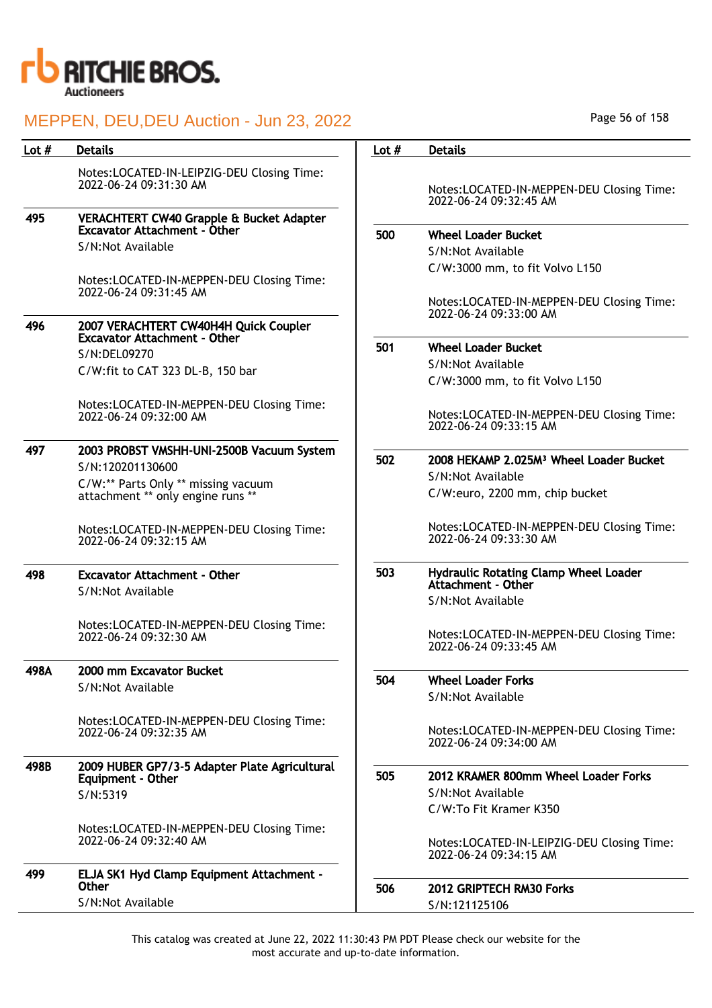

| Lot # | <b>Details</b>                                                                  | Lot $#$ | <b>Details</b>                                                              |
|-------|---------------------------------------------------------------------------------|---------|-----------------------------------------------------------------------------|
|       | Notes:LOCATED-IN-LEIPZIG-DEU Closing Time:<br>2022-06-24 09:31:30 AM            |         | Notes:LOCATED-IN-MEPPEN-DEU Closing Time:<br>2022-06-24 09:32:45 AM         |
| 495   | VERACHTERT CW40 Grapple & Bucket Adapter<br><b>Excavator Attachment - Other</b> |         |                                                                             |
|       | S/N:Not Available                                                               | 500     | <b>Wheel Loader Bucket</b>                                                  |
|       |                                                                                 |         | S/N:Not Available                                                           |
|       | Notes:LOCATED-IN-MEPPEN-DEU Closing Time:<br>2022-06-24 09:31:45 AM             |         | C/W:3000 mm, to fit Volvo L150<br>Notes:LOCATED-IN-MEPPEN-DEU Closing Time: |
| 496   | 2007 VERACHTERT CW40H4H Quick Coupler                                           |         | 2022-06-24 09:33:00 AM                                                      |
|       | <b>Excavator Attachment - Other</b>                                             | 501     | <b>Wheel Loader Bucket</b>                                                  |
|       | S/N:DEL09270                                                                    |         | S/N:Not Available                                                           |
|       | C/W:fit to CAT 323 DL-B, 150 bar                                                |         | C/W:3000 mm, to fit Volvo L150                                              |
|       | Notes:LOCATED-IN-MEPPEN-DEU Closing Time:<br>2022-06-24 09:32:00 AM             |         | Notes:LOCATED-IN-MEPPEN-DEU Closing Time:<br>2022-06-24 09:33:15 AM         |
| 497   | 2003 PROBST VMSHH-UNI-2500B Vacuum System                                       |         |                                                                             |
|       | S/N:120201130600                                                                | 502     | 2008 HEKAMP 2.025M <sup>3</sup> Wheel Loader Bucket<br>S/N:Not Available    |
|       | C/W:** Parts Only ** missing vacuum<br>attachment ** only engine runs **        |         |                                                                             |
|       |                                                                                 |         | C/W:euro, 2200 mm, chip bucket                                              |
|       | Notes:LOCATED-IN-MEPPEN-DEU Closing Time:<br>2022-06-24 09:32:15 AM             |         | Notes:LOCATED-IN-MEPPEN-DEU Closing Time:<br>2022-06-24 09:33:30 AM         |
| 498   | <b>Excavator Attachment - Other</b>                                             | 503     | Hydraulic Rotating Clamp Wheel Loader                                       |
|       | S/N:Not Available                                                               |         | Attachment - Other                                                          |
|       |                                                                                 |         | S/N:Not Available                                                           |
|       | Notes:LOCATED-IN-MEPPEN-DEU Closing Time:<br>2022-06-24 09:32:30 AM             |         | Notes:LOCATED-IN-MEPPEN-DEU Closing Time:<br>2022-06-24 09:33:45 AM         |
| 498A  | 2000 mm Excavator Bucket                                                        | 504     | <b>Wheel Loader Forks</b>                                                   |
|       | S/N:Not Available                                                               |         | S/N:Not Available                                                           |
|       |                                                                                 |         |                                                                             |
|       | Notes:LOCATED-IN-MEPPEN-DEU Closing Time:<br>2022-06-24 09:32:35 AM             |         | Notes:LOCATED-IN-MEPPEN-DEU Closing Time:<br>2022-06-24 09:34:00 AM         |
| 498B  | 2009 HUBER GP7/3-5 Adapter Plate Agricultural<br>Equipment - Other              | 505     | 2012 KRAMER 800mm Wheel Loader Forks                                        |
|       | S/N:5319                                                                        |         | S/N:Not Available                                                           |
|       |                                                                                 |         | C/W:To Fit Kramer K350                                                      |
|       | Notes:LOCATED-IN-MEPPEN-DEU Closing Time:<br>2022-06-24 09:32:40 AM             |         | Notes:LOCATED-IN-LEIPZIG-DEU Closing Time:<br>2022-06-24 09:34:15 AM        |
| 499   | ELJA SK1 Hyd Clamp Equipment Attachment -                                       |         |                                                                             |
|       | <b>Other</b>                                                                    | 506     | 2012 GRIPTECH RM30 Forks                                                    |
|       | S/N:Not Available                                                               |         | S/N:121125106                                                               |

Page 56 of 158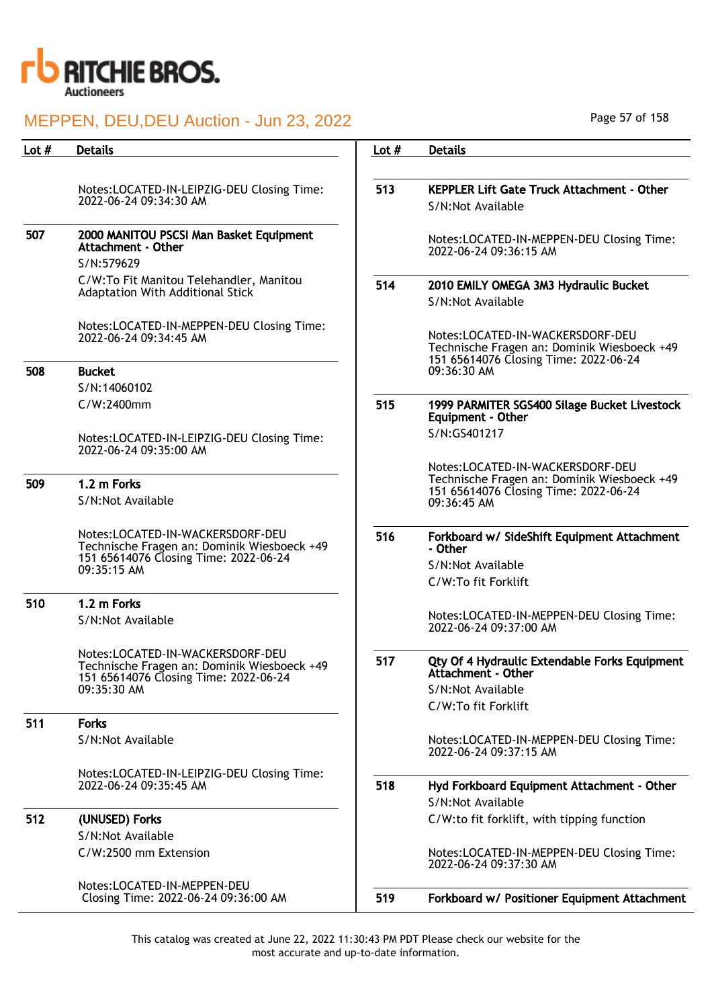

| Lot # | <b>Details</b>                                                                                                                          | Lot $#$ | <b>Details</b>                                                                                                           |
|-------|-----------------------------------------------------------------------------------------------------------------------------------------|---------|--------------------------------------------------------------------------------------------------------------------------|
|       |                                                                                                                                         |         |                                                                                                                          |
|       | Notes:LOCATED-IN-LEIPZIG-DEU Closing Time:<br>2022-06-24 09:34:30 AM                                                                    | 513     | <b>KEPPLER Lift Gate Truck Attachment - Other</b>                                                                        |
|       |                                                                                                                                         |         | S/N:Not Available                                                                                                        |
| 507   | 2000 MANITOU PSCSI Man Basket Equipment<br>Attachment - Other                                                                           |         | Notes:LOCATED-IN-MEPPEN-DEU Closing Time:<br>2022-06-24 09:36:15 AM                                                      |
|       | S/N:579629                                                                                                                              |         |                                                                                                                          |
|       | C/W:To Fit Manitou Telehandler, Manitou<br>Adaptation With Additional Stick                                                             | 514     | 2010 EMILY OMEGA 3M3 Hydraulic Bucket<br>S/N:Not Available                                                               |
|       | Notes:LOCATED-IN-MEPPEN-DEU Closing Time:<br>2022-06-24 09:34:45 AM                                                                     |         | Notes:LOCATED-IN-WACKERSDORF-DEU<br>Technische Fragen an: Dominik Wiesboeck +49<br>151 65614076 Closing Time: 2022-06-24 |
| 508   | <b>Bucket</b>                                                                                                                           |         | 09:36:30 AM                                                                                                              |
|       | S/N:14060102<br>C/W:2400mm                                                                                                              | 515     |                                                                                                                          |
|       |                                                                                                                                         |         | 1999 PARMITER SGS400 Silage Bucket Livestock<br><b>Equipment - Other</b>                                                 |
|       | Notes:LOCATED-IN-LEIPZIG-DEU Closing Time:<br>2022-06-24 09:35:00 AM                                                                    |         | S/N:GS401217                                                                                                             |
|       |                                                                                                                                         |         | Notes:LOCATED-IN-WACKERSDORF-DEU<br>Technische Fragen an: Dominik Wiesboeck +49                                          |
| 509   | 1.2 m Forks<br>S/N:Not Available                                                                                                        |         | 151 65614076 Closing Time: 2022-06-24<br>09:36:45 AM                                                                     |
|       | Notes:LOCATED-IN-WACKERSDORF-DEU<br>Technische Fragen an: Dominik Wiesboeck +49<br>151 65614076 Closing Time: 2022-06-24<br>09:35:15 AM | 516     | Forkboard w/ SideShift Equipment Attachment<br>- Other<br>S/N:Not Available<br>C/W:To fit Forklift                       |
| 510   | 1.2 m Forks                                                                                                                             |         |                                                                                                                          |
|       | S/N:Not Available                                                                                                                       |         | Notes:LOCATED-IN-MEPPEN-DEU Closing Time:<br>2022-06-24 09:37:00 AM                                                      |
|       | Notes:LOCATED-IN-WACKERSDORF-DEU<br>Technische Fragen an: Dominik Wiesboeck +49<br>151 65614076 Closing Time: 2022-06-24                | 517     | Qty Of 4 Hydraulic Extendable Forks Equipment<br>Attachment - Other                                                      |
|       | 09:35:30 AM                                                                                                                             |         | S/N:Not Available                                                                                                        |
| 511   | <b>Forks</b>                                                                                                                            |         | C/W:To fit Forklift                                                                                                      |
|       | S/N:Not Available                                                                                                                       |         | Notes:LOCATED-IN-MEPPEN-DEU Closing Time:<br>2022-06-24 09:37:15 AM                                                      |
|       | Notes:LOCATED-IN-LEIPZIG-DEU Closing Time:<br>2022-06-24 09:35:45 AM                                                                    | 518     | Hyd Forkboard Equipment Attachment - Other<br>S/N:Not Available                                                          |
| 512   | (UNUSED) Forks                                                                                                                          |         | C/W:to fit forklift, with tipping function                                                                               |
|       | S/N:Not Available                                                                                                                       |         |                                                                                                                          |
|       | C/W:2500 mm Extension                                                                                                                   |         | Notes:LOCATED-IN-MEPPEN-DEU Closing Time:<br>2022-06-24 09:37:30 AM                                                      |
|       | Notes:LOCATED-IN-MEPPEN-DEU<br>Closing Time: 2022-06-24 09:36:00 AM                                                                     | 519     | Forkboard w/ Positioner Equipment Attachment                                                                             |
|       |                                                                                                                                         |         |                                                                                                                          |

Page 57 of 158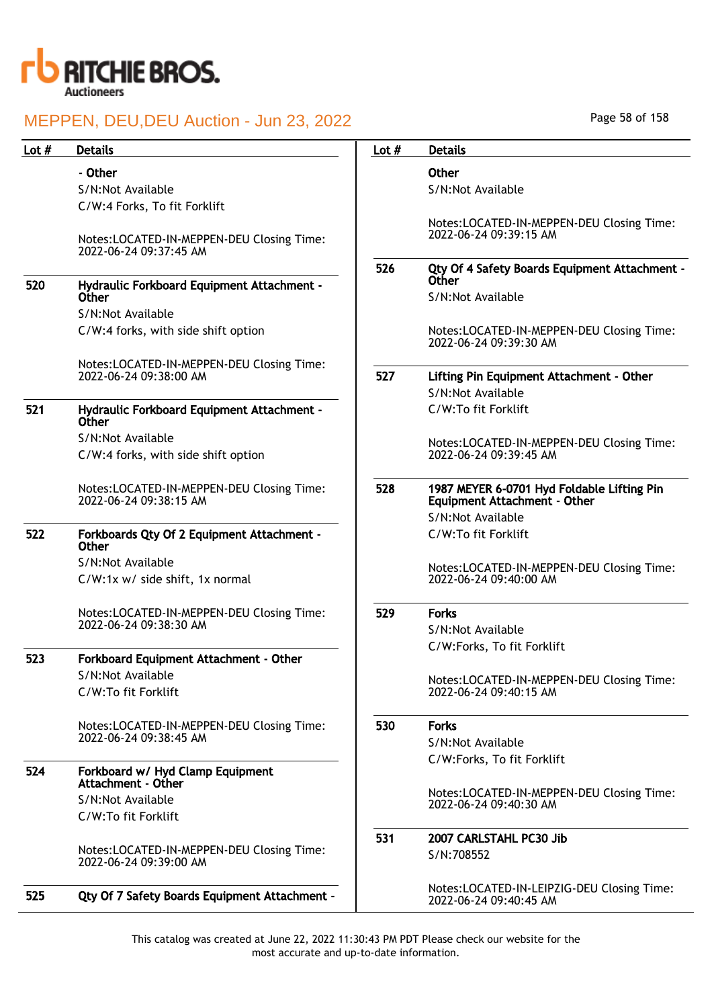

| Lot $#$ | <b>Details</b>                                                      | Lot $#$ | <b>Details</b>                                                                    |
|---------|---------------------------------------------------------------------|---------|-----------------------------------------------------------------------------------|
|         | - Other                                                             |         | Other                                                                             |
|         | S/N:Not Available                                                   |         | S/N:Not Available                                                                 |
|         | C/W:4 Forks, To fit Forklift                                        |         |                                                                                   |
|         |                                                                     |         | Notes:LOCATED-IN-MEPPEN-DEU Closing Time:                                         |
|         | Notes:LOCATED-IN-MEPPEN-DEU Closing Time:<br>2022-06-24 09:37:45 AM |         | 2022-06-24 09:39:15 AM                                                            |
| 520     | Hydraulic Forkboard Equipment Attachment -                          | 526     | Qty Of 4 Safety Boards Equipment Attachment -<br>Other                            |
|         | Other                                                               |         | S/N:Not Available                                                                 |
|         | S/N:Not Available                                                   |         |                                                                                   |
|         | C/W:4 forks, with side shift option                                 |         | Notes:LOCATED-IN-MEPPEN-DEU Closing Time:<br>2022-06-24 09:39:30 AM               |
|         | Notes:LOCATED-IN-MEPPEN-DEU Closing Time:                           |         |                                                                                   |
|         | 2022-06-24 09:38:00 AM                                              | 527     | Lifting Pin Equipment Attachment - Other<br>S/N:Not Available                     |
| 521     | Hydraulic Forkboard Equipment Attachment -                          |         | C/W:To fit Forklift                                                               |
|         | Other                                                               |         |                                                                                   |
|         | S/N:Not Available                                                   |         | Notes:LOCATED-IN-MEPPEN-DEU Closing Time:                                         |
|         | C/W:4 forks, with side shift option                                 |         | 2022-06-24 09:39:45 AM                                                            |
|         | Notes:LOCATED-IN-MEPPEN-DEU Closing Time:<br>2022-06-24 09:38:15 AM | 528     | 1987 MEYER 6-0701 Hyd Foldable Lifting Pin<br><b>Equipment Attachment - Other</b> |
|         |                                                                     |         | S/N:Not Available                                                                 |
| 522     | Forkboards Qty Of 2 Equipment Attachment -<br><b>Other</b>          |         | C/W:To fit Forklift                                                               |
|         | S/N:Not Available                                                   |         | Notes:LOCATED-IN-MEPPEN-DEU Closing Time:                                         |
|         | C/W:1x w/ side shift, 1x normal                                     |         | 2022-06-24 09:40:00 AM                                                            |
|         | Notes:LOCATED-IN-MEPPEN-DEU Closing Time:<br>2022-06-24 09:38:30 AM | 529     | <b>Forks</b>                                                                      |
|         |                                                                     |         | S/N:Not Available                                                                 |
|         |                                                                     |         | C/W:Forks, To fit Forklift                                                        |
| 523     | Forkboard Equipment Attachment - Other                              |         |                                                                                   |
|         | S/N:Not Available                                                   |         | Notes:LOCATED-IN-MEPPEN-DEU Closing Time:                                         |
|         | C/W:To fit Forklift                                                 |         | 2022-06-24 09:40:15 AM                                                            |
|         | Notes:LOCATED-IN-MEPPEN-DEU Closing Time:                           | 530     | <b>Forks</b>                                                                      |
|         | 2022-06-24 09:38:45 AM                                              |         | S/N:Not Available                                                                 |
|         |                                                                     |         | C/W:Forks, To fit Forklift                                                        |
| 524     | Forkboard w/ Hyd Clamp Equipment<br>Attachment - Other              |         |                                                                                   |
|         | S/N:Not Available                                                   |         | Notes:LOCATED-IN-MEPPEN-DEU Closing Time:                                         |
|         | C/W:To fit Forklift                                                 |         | 2022-06-24 09:40:30 AM                                                            |
|         |                                                                     | 531     | 2007 CARLSTAHL PC30 Jib                                                           |
|         | Notes:LOCATED-IN-MEPPEN-DEU Closing Time:<br>2022-06-24 09:39:00 AM |         | S/N:708552                                                                        |
| 525     | Qty Of 7 Safety Boards Equipment Attachment -                       |         | Notes:LOCATED-IN-LEIPZIG-DEU Closing Time:<br>2022-06-24 09:40:45 AM              |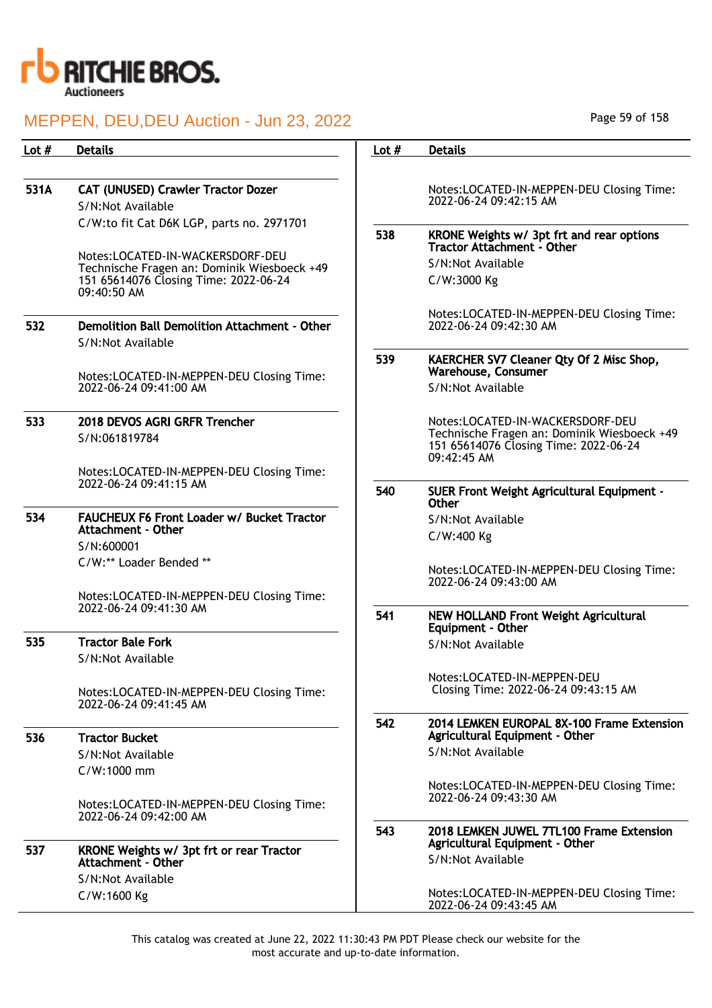

## MEPPEN, DEU,DEU Auction - Jun 23, 2022

| <b>Details</b>                                                      | Lot $#$                                                                                                                                                                                                                                                                                      | <b>Details</b>                                                                                      |
|---------------------------------------------------------------------|----------------------------------------------------------------------------------------------------------------------------------------------------------------------------------------------------------------------------------------------------------------------------------------------|-----------------------------------------------------------------------------------------------------|
|                                                                     |                                                                                                                                                                                                                                                                                              |                                                                                                     |
| <b>CAT (UNUSED) Crawler Tractor Dozer</b>                           |                                                                                                                                                                                                                                                                                              | Notes:LOCATED-IN-MEPPEN-DEU Closing Time:                                                           |
| S/N:Not Available                                                   |                                                                                                                                                                                                                                                                                              | 2022-06-24 09:42:15 AM                                                                              |
|                                                                     |                                                                                                                                                                                                                                                                                              |                                                                                                     |
|                                                                     |                                                                                                                                                                                                                                                                                              | KRONE Weights w/ 3pt frt and rear options<br>Tractor Attachment - Other                             |
|                                                                     |                                                                                                                                                                                                                                                                                              | S/N:Not Available                                                                                   |
| 151 65614076 Closing Time: 2022-06-24<br>$09:40:50$ AM              |                                                                                                                                                                                                                                                                                              | C/W:3000 Kg                                                                                         |
|                                                                     |                                                                                                                                                                                                                                                                                              | Notes:LOCATED-IN-MEPPEN-DEU Closing Time:                                                           |
| Demolition Ball Demolition Attachment - Other<br>S/N:Not Available  |                                                                                                                                                                                                                                                                                              | 2022-06-24 09:42:30 AM                                                                              |
|                                                                     | 539                                                                                                                                                                                                                                                                                          | KAERCHER SV7 Cleaner Qty Of 2 Misc Shop,<br>Warehouse, Consumer                                     |
| 2022-06-24 09:41:00 AM                                              |                                                                                                                                                                                                                                                                                              | S/N:Not Available                                                                                   |
| 2018 DEVOS AGRI GRFR Trencher                                       |                                                                                                                                                                                                                                                                                              | Notes:LOCATED-IN-WACKERSDORF-DEU                                                                    |
| S/N:061819784                                                       |                                                                                                                                                                                                                                                                                              | Technische Fragen an: Dominik Wiesboeck +49<br>151 65614076 Closing Time: 2022-06-24<br>09:42:45 AM |
| Notes:LOCATED-IN-MEPPEN-DEU Closing Time:                           |                                                                                                                                                                                                                                                                                              |                                                                                                     |
|                                                                     | 540                                                                                                                                                                                                                                                                                          | <b>SUER Front Weight Agricultural Equipment -</b><br>Other                                          |
| <b>FAUCHEUX F6 Front Loader w/ Bucket Tractor</b>                   |                                                                                                                                                                                                                                                                                              | S/N:Not Available                                                                                   |
|                                                                     |                                                                                                                                                                                                                                                                                              | C/W:400 Kg                                                                                          |
|                                                                     |                                                                                                                                                                                                                                                                                              |                                                                                                     |
|                                                                     |                                                                                                                                                                                                                                                                                              | Notes:LOCATED-IN-MEPPEN-DEU Closing Time:<br>2022-06-24 09:43:00 AM                                 |
| Notes:LOCATED-IN-MEPPEN-DEU Closing Time:                           |                                                                                                                                                                                                                                                                                              |                                                                                                     |
|                                                                     | 541                                                                                                                                                                                                                                                                                          | NEW HOLLAND Front Weight Agricultural<br>Equipment - Other                                          |
| <b>Tractor Bale Fork</b>                                            |                                                                                                                                                                                                                                                                                              | S/N:Not Available                                                                                   |
| S/N:Not Available                                                   |                                                                                                                                                                                                                                                                                              |                                                                                                     |
| Notes:LOCATED-IN-MEPPEN-DEU Closing Time:<br>2022-06-24 09:41:45 AM |                                                                                                                                                                                                                                                                                              | Notes:LOCATED-IN-MEPPEN-DEU<br>Closing Time: 2022-06-24 09:43:15 AM                                 |
|                                                                     | C/W:to fit Cat D6K LGP, parts no. 2971701<br>Notes:LOCATED-IN-WACKERSDORF-DEU<br>Technische Fragen an: Dominik Wiesboeck +49<br>Notes:LOCATED-IN-MEPPEN-DEU Closing Time:<br>2022-06-24 09:41:15 AM<br>Attachment - Other<br>S/N:600001<br>C/W:** Loader Bended **<br>2022-06-24 09:41:30 AM | 538                                                                                                 |

536 Tractor Bucket S/N:Not Available C/W:1000 mm Notes:LOCATED-IN-MEPPEN-DEU Closing Time: 2022-06-24 09:42:00 AM 537 KRONE Weights w/ 3pt frt or rear Tractor Attachment - Other

S/N:Not Available C/W:1600 Kg

543 2018 LEMKEN JUWEL 7TL100 Frame Extension Agricultural Equipment - Other

Notes:LOCATED-IN-MEPPEN-DEU Closing Time:

542 2014 LEMKEN EUROPAL 8X-100 Frame Extension Agricultural Equipment - Other

S/N:Not Available

S/N:Not Available

2022-06-24 09:43:30 AM

Notes:LOCATED-IN-MEPPEN-DEU Closing Time: 2022-06-24 09:43:45 AM

This catalog was created at June 22, 2022 11:30:43 PM PDT Please check our website for the most accurate and up-to-date information.

Page 59 of 158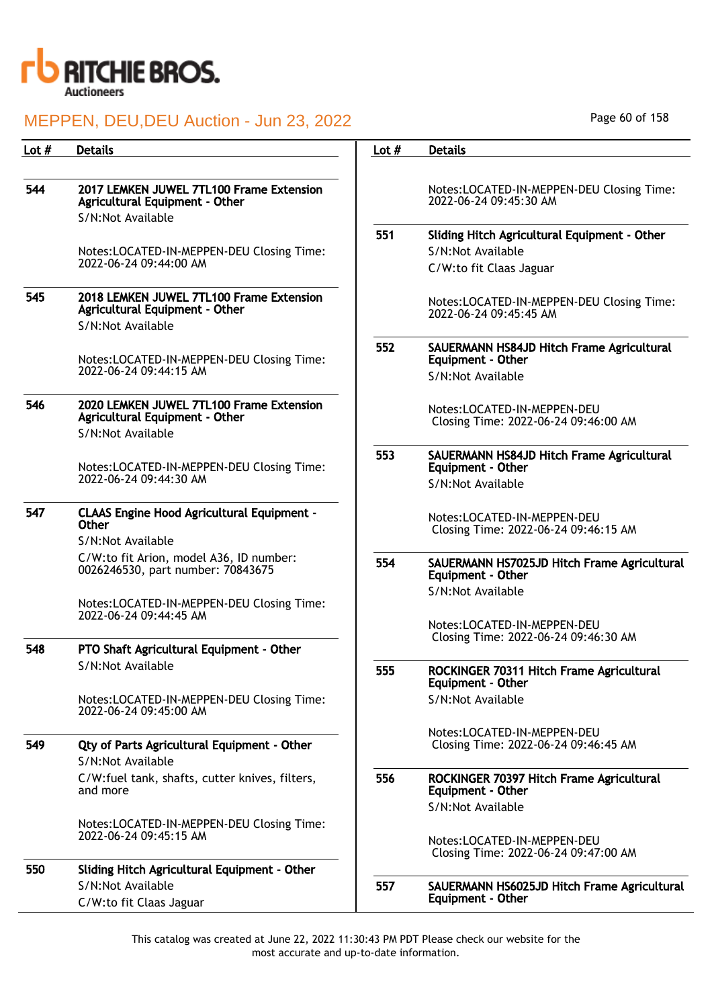

# MEPPEN, DEU,DEU Auction - Jun 23, 2022

| Lot # | <b>Details</b>                                                                                  | Lot $#$ | <b>Details</b>                                                          |
|-------|-------------------------------------------------------------------------------------------------|---------|-------------------------------------------------------------------------|
|       |                                                                                                 |         |                                                                         |
| 544   | 2017 LEMKEN JUWEL 7TL100 Frame Extension<br>Agricultural Equipment - Other                      |         | Notes:LOCATED-IN-MEPPEN-DEU Closing Time:<br>2022-06-24 09:45:30 AM     |
|       | S/N:Not Available                                                                               |         |                                                                         |
|       |                                                                                                 | 551     | Sliding Hitch Agricultural Equipment - Other                            |
|       | Notes:LOCATED-IN-MEPPEN-DEU Closing Time:<br>2022-06-24 09:44:00 AM                             |         | S/N:Not Available                                                       |
|       |                                                                                                 |         | C/W:to fit Claas Jaguar                                                 |
| 545   | 2018 LEMKEN JUWEL 7TL100 Frame Extension<br>Agricultural Equipment - Other<br>S/N:Not Available |         | Notes:LOCATED-IN-MEPPEN-DEU Closing Time:<br>2022-06-24 09:45:45 AM     |
|       | Notes:LOCATED-IN-MEPPEN-DEU Closing Time:                                                       | 552     | SAUERMANN HS84JD Hitch Frame Agricultural<br>Equipment - Other          |
|       | 2022-06-24 09:44:15 AM                                                                          |         | S/N:Not Available                                                       |
| 546   | 2020 LEMKEN JUWEL 7TL100 Frame Extension<br>Agricultural Equipment - Other<br>S/N:Not Available |         | Notes:LOCATED-IN-MEPPEN-DEU<br>Closing Time: 2022-06-24 09:46:00 AM     |
|       | Notes:LOCATED-IN-MEPPEN-DEU Closing Time:                                                       | 553     | SAUERMANN HS84JD Hitch Frame Agricultural<br>Equipment - Other          |
|       | 2022-06-24 09:44:30 AM                                                                          |         | S/N:Not Available                                                       |
| 547   | <b>CLAAS Engine Hood Agricultural Equipment -</b><br><b>Other</b>                               |         | Notes:LOCATED-IN-MEPPEN-DEU<br>Closing Time: 2022-06-24 09:46:15 AM     |
|       | S/N:Not Available                                                                               |         |                                                                         |
|       | C/W:to fit Arion, model A36, ID number:<br>0026246530, part number: 70843675                    | 554     | SAUERMANN HS7025JD Hitch Frame Agricultural<br><b>Equipment - Other</b> |
|       |                                                                                                 |         | S/N:Not Available                                                       |
|       | Notes:LOCATED-IN-MEPPEN-DEU Closing Time:<br>2022-06-24 09:44:45 AM                             |         |                                                                         |
|       |                                                                                                 |         | Notes:LOCATED-IN-MEPPEN-DEU                                             |
| 548   | PTO Shaft Agricultural Equipment - Other                                                        |         | Closing Time: 2022-06-24 09:46:30 AM                                    |
|       | S/N:Not Available                                                                               | 555     | ROCKINGER 70311 Hitch Frame Agricultural<br>Equipment - Other           |
|       | Notes:LOCATED-IN-MEPPEN-DEU Closing Time:<br>2022-06-24 09:45:00 AM                             |         | S/N:Not Available                                                       |
|       |                                                                                                 |         | Notes:LOCATED-IN-MEPPEN-DEU                                             |
| 549   | Qty of Parts Agricultural Equipment - Other<br>S/N:Not Available                                |         | Closing Time: 2022-06-24 09:46:45 AM                                    |
|       | C/W:fuel tank, shafts, cutter knives, filters,<br>and more                                      | 556     | ROCKINGER 70397 Hitch Frame Agricultural<br>Equipment - Other           |
|       |                                                                                                 |         | S/N:Not Available                                                       |
|       | Notes:LOCATED-IN-MEPPEN-DEU Closing Time:                                                       |         |                                                                         |
|       | 2022-06-24 09:45:15 AM                                                                          |         | Notes:LOCATED-IN-MEPPEN-DEU<br>Closing Time: 2022-06-24 09:47:00 AM     |

550 Sliding Hitch Agricultural Equipment - Other S/N:Not Available C/W:to fit Claas Jaguar

557 SAUERMANN HS6025JD Hitch Frame Agricultural Equipment - Other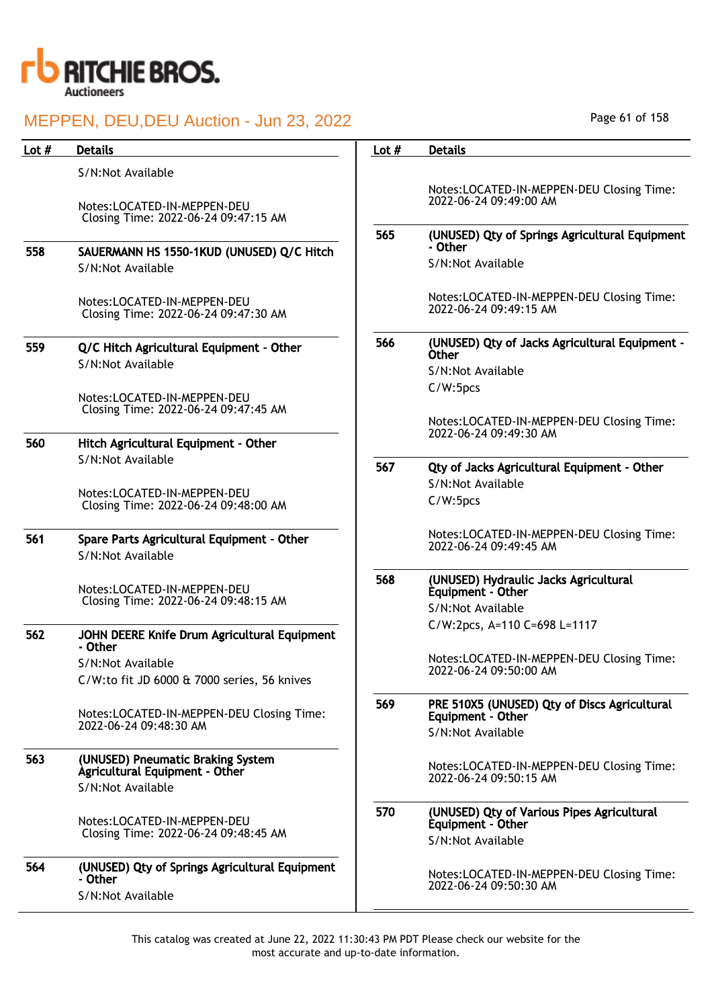

| Lot $#$ | <b>Details</b>                                                                           | Lot $#$ | <b>Details</b>                                                      |
|---------|------------------------------------------------------------------------------------------|---------|---------------------------------------------------------------------|
|         | S/N:Not Available                                                                        |         |                                                                     |
|         | Notes:LOCATED-IN-MEPPEN-DEU<br>Closing Time: 2022-06-24 09:47:15 AM                      |         | Notes:LOCATED-IN-MEPPEN-DEU Closing Time:<br>2022-06-24 09:49:00 AM |
|         |                                                                                          | 565     | (UNUSED) Qty of Springs Agricultural Equipment                      |
| 558     | SAUERMANN HS 1550-1KUD (UNUSED) Q/C Hitch                                                |         | - Other                                                             |
|         | S/N:Not Available                                                                        |         | S/N:Not Available                                                   |
|         | Notes:LOCATED-IN-MEPPEN-DEU<br>Closing Time: 2022-06-24 09:47:30 AM                      |         | Notes:LOCATED-IN-MEPPEN-DEU Closing Time:<br>2022-06-24 09:49:15 AM |
| 559     | Q/C Hitch Agricultural Equipment - Other                                                 | 566     | (UNUSED) Qty of Jacks Agricultural Equipment -                      |
|         | S/N:Not Available                                                                        |         | <b>Other</b>                                                        |
|         |                                                                                          |         | S/N:Not Available<br>C/W:5pcs                                       |
|         | Notes:LOCATED-IN-MEPPEN-DEU                                                              |         |                                                                     |
|         | Closing Time: 2022-06-24 09:47:45 AM                                                     |         | Notes:LOCATED-IN-MEPPEN-DEU Closing Time:<br>2022-06-24 09:49:30 AM |
| 560     | Hitch Agricultural Equipment - Other                                                     |         |                                                                     |
|         | S/N:Not Available                                                                        | 567     | Qty of Jacks Agricultural Equipment - Other                         |
|         |                                                                                          |         | S/N:Not Available                                                   |
|         | Notes:LOCATED-IN-MEPPEN-DEU<br>Closing Time: 2022-06-24 09:48:00 AM                      |         | C/W:5pcs                                                            |
| 561     | Spare Parts Agricultural Equipment - Other                                               |         | Notes:LOCATED-IN-MEPPEN-DEU Closing Time:<br>2022-06-24 09:49:45 AM |
|         | S/N:Not Available                                                                        |         |                                                                     |
|         | Notes:LOCATED-IN-MEPPEN-DEU<br>Closing Time: 2022-06-24 09:48:15 AM                      | 568     | (UNUSED) Hydraulic Jacks Agricultural<br>Equipment - Other          |
|         |                                                                                          |         | S/N:Not Available                                                   |
| 562     | JOHN DEERE Knife Drum Agricultural Equipment                                             |         | C/W:2pcs, A=110 C=698 L=1117                                        |
|         | - Other                                                                                  |         | Notes:LOCATED-IN-MEPPEN-DEU Closing Time:                           |
|         | S/N:Not Available<br>C/W:to fit JD 6000 & 7000 series, 56 knives                         |         | 2022-06-24 09:50:00 AM                                              |
|         |                                                                                          |         |                                                                     |
|         | Notes:LOCATED-IN-MEPPEN-DEU Closing Time:<br>2022-06-24 09:48:30 AM                      | 569     | PRE 510X5 (UNUSED) Qty of Discs Agricultural<br>Equipment - Other   |
|         |                                                                                          |         | S/N:Not Available                                                   |
| 563     | (UNUSED) Pneumatic Braking System<br>Agricultural Equipment - Other<br>S/N:Not Available |         | Notes:LOCATED-IN-MEPPEN-DEU Closing Time:<br>2022-06-24 09:50:15 AM |
|         |                                                                                          | 570     | (UNUSED) Qty of Various Pipes Agricultural                          |
|         | Notes:LOCATED-IN-MEPPEN-DEU<br>Closing Time: 2022-06-24 09:48:45 AM                      |         | Equipment - Other                                                   |
|         |                                                                                          |         | S/N:Not Available                                                   |
| 564     | (UNUSED) Qty of Springs Agricultural Equipment<br>- Other                                |         | Notes:LOCATED-IN-MEPPEN-DEU Closing Time:                           |
|         | S/N:Not Available                                                                        |         | 2022-06-24 09:50:30 AM                                              |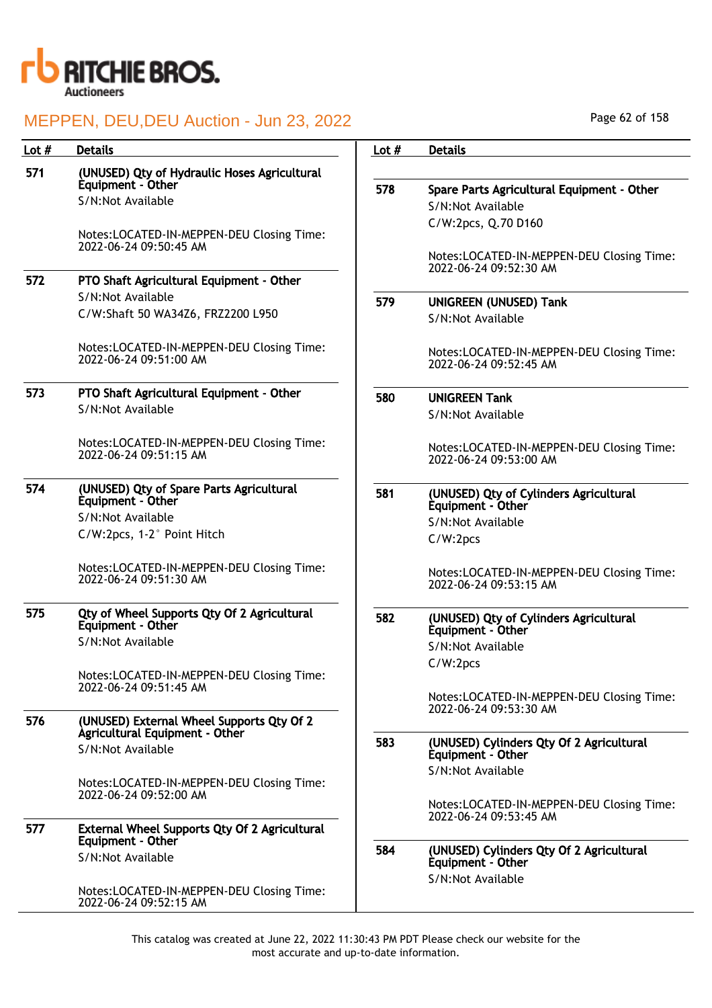

| Lot $#$ | <b>Details</b>                                                      | Lot $#$ | <b>Details</b>                                                      |
|---------|---------------------------------------------------------------------|---------|---------------------------------------------------------------------|
| 571     | (UNUSED) Qty of Hydraulic Hoses Agricultural                        |         |                                                                     |
|         | Equipment - Other                                                   | 578     | Spare Parts Agricultural Equipment - Other                          |
|         | S/N:Not Available                                                   |         | S/N:Not Available                                                   |
|         |                                                                     |         | C/W:2pcs, Q.70 D160                                                 |
|         | Notes:LOCATED-IN-MEPPEN-DEU Closing Time:                           |         |                                                                     |
|         | 2022-06-24 09:50:45 AM                                              |         | Notes:LOCATED-IN-MEPPEN-DEU Closing Time:                           |
|         |                                                                     |         | 2022-06-24 09:52:30 AM                                              |
| 572     | PTO Shaft Agricultural Equipment - Other                            |         |                                                                     |
|         | S/N:Not Available                                                   | 579     | <b>UNIGREEN (UNUSED) Tank</b>                                       |
|         | C/W:Shaft 50 WA34Z6, FRZ2200 L950                                   |         | S/N:Not Available                                                   |
|         | Notes:LOCATED-IN-MEPPEN-DEU Closing Time:<br>2022-06-24 09:51:00 AM |         | Notes:LOCATED-IN-MEPPEN-DEU Closing Time:                           |
|         |                                                                     |         | 2022-06-24 09:52:45 AM                                              |
| 573     | PTO Shaft Agricultural Equipment - Other                            | 580     | <b>UNIGREEN Tank</b>                                                |
|         | S/N:Not Available                                                   |         | S/N:Not Available                                                   |
|         |                                                                     |         |                                                                     |
|         | Notes:LOCATED-IN-MEPPEN-DEU Closing Time:                           |         | Notes:LOCATED-IN-MEPPEN-DEU Closing Time:                           |
|         | 2022-06-24 09:51:15 AM                                              |         | 2022-06-24 09:53:00 AM                                              |
| 574     | (UNUSED) Qty of Spare Parts Agricultural                            |         |                                                                     |
|         | Equipment - Other                                                   | 581     | (UNUSED) Qty of Cylinders Agricultural<br>Equipment - Other         |
|         | S/N:Not Available                                                   |         | S/N:Not Available                                                   |
|         | C/W:2pcs, 1-2° Point Hitch                                          |         | C/W:2pcs                                                            |
|         | Notes:LOCATED-IN-MEPPEN-DEU Closing Time:                           |         |                                                                     |
|         | 2022-06-24 09:51:30 AM                                              |         | Notes:LOCATED-IN-MEPPEN-DEU Closing Time:<br>2022-06-24 09:53:15 AM |
|         |                                                                     |         |                                                                     |
| 575     | Qty of Wheel Supports Qty Of 2 Agricultural                         | 582     | (UNUSED) Qty of Cylinders Agricultural                              |
|         | Equipment - Other                                                   |         | Equipment - Other                                                   |
|         | S/N:Not Available                                                   |         | S/N:Not Available                                                   |
|         |                                                                     |         | C/W:2pcs                                                            |
|         | Notes:LOCATED-IN-MEPPEN-DEU Closing Time:<br>2022-06-24 09:51:45 AM |         |                                                                     |
|         |                                                                     |         | Notes:LOCATED-IN-MEPPEN-DEU Closing Time:<br>2022-06-24 09:53:30 AM |
| 576     | (UNUSED) External Wheel Supports Qty Of 2                           |         |                                                                     |
|         | Agricultural Equipment - Other                                      | 583     | (UNUSED) Cylinders Qty Of 2 Agricultural                            |
|         | S/N:Not Available                                                   |         | Equipment - Other                                                   |
|         |                                                                     |         | S/N:Not Available                                                   |
|         | Notes:LOCATED-IN-MEPPEN-DEU Closing Time:<br>2022-06-24 09:52:00 AM |         |                                                                     |
|         |                                                                     |         | Notes:LOCATED-IN-MEPPEN-DEU Closing Time:                           |
| 577     | <b>External Wheel Supports Qty Of 2 Agricultural</b>                |         | 2022-06-24 09:53:45 AM                                              |
|         | Equipment - Other                                                   |         |                                                                     |
|         | S/N:Not Available                                                   | 584     | (UNUSED) Cylinders Qty Of 2 Agricultural<br>Equipment - Other       |
|         |                                                                     |         | S/N:Not Available                                                   |
|         | Notes:LOCATED-IN-MEPPEN-DEU Closing Time:                           |         |                                                                     |
|         | 2022-06-24 09:52:15 AM                                              |         |                                                                     |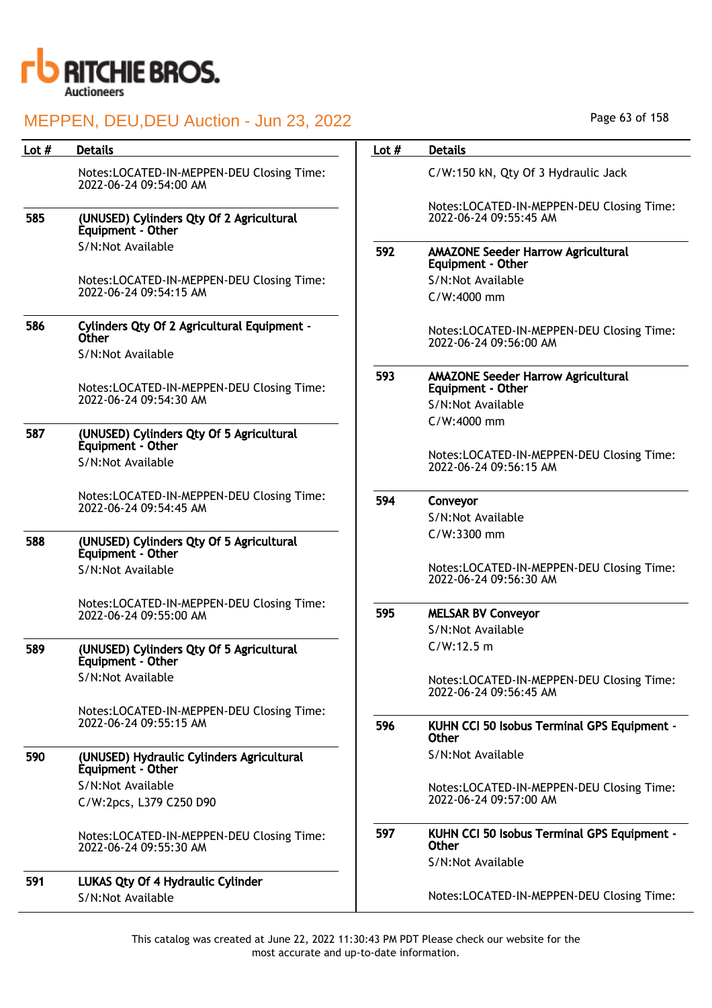

| Lot # | <b>Details</b>                                                                   | Lot $#$ | <b>Details</b>                                                        |
|-------|----------------------------------------------------------------------------------|---------|-----------------------------------------------------------------------|
|       | Notes:LOCATED-IN-MEPPEN-DEU Closing Time:<br>2022-06-24 09:54:00 AM              |         | C/W:150 kN, Qty Of 3 Hydraulic Jack                                   |
| 585   | (UNUSED) Cylinders Qty Of 2 Agricultural<br>Equipment - Other                    |         | Notes:LOCATED-IN-MEPPEN-DEU Closing Time:<br>2022-06-24 09:55:45 AM   |
|       | S/N:Not Available                                                                | 592     | <b>AMAZONE Seeder Harrow Agricultural</b><br>Equipment - Other        |
|       | Notes:LOCATED-IN-MEPPEN-DEU Closing Time:                                        |         | S/N:Not Available                                                     |
|       | 2022-06-24 09:54:15 AM                                                           |         | C/W:4000 mm                                                           |
| 586   | Cylinders Qty Of 2 Agricultural Equipment -<br><b>Other</b><br>S/N:Not Available |         | Notes:LOCATED-IN-MEPPEN-DEU Closing Time:<br>2022-06-24 09:56:00 AM   |
|       |                                                                                  | 593     |                                                                       |
|       | Notes:LOCATED-IN-MEPPEN-DEU Closing Time:                                        |         | <b>AMAZONE Seeder Harrow Agricultural</b><br><b>Equipment - Other</b> |
|       | 2022-06-24 09:54:30 AM                                                           |         | S/N:Not Available                                                     |
|       |                                                                                  |         | C/W:4000 mm                                                           |
| 587   | (UNUSED) Cylinders Qty Of 5 Agricultural<br>Equipment - Other                    |         |                                                                       |
|       | S/N:Not Available                                                                |         | Notes:LOCATED-IN-MEPPEN-DEU Closing Time:<br>2022-06-24 09:56:15 AM   |
|       | Notes:LOCATED-IN-MEPPEN-DEU Closing Time:                                        | 594     | Conveyor                                                              |
|       | 2022-06-24 09:54:45 AM                                                           |         | S/N:Not Available                                                     |
| 588   |                                                                                  |         | C/W:3300 mm                                                           |
|       | (UNUSED) Cylinders Qty Of 5 Agricultural<br>Equipment - Other                    |         |                                                                       |
|       | S/N:Not Available                                                                |         | Notes:LOCATED-IN-MEPPEN-DEU Closing Time:<br>2022-06-24 09:56:30 AM   |
|       | Notes:LOCATED-IN-MEPPEN-DEU Closing Time:<br>2022-06-24 09:55:00 AM              | 595     | <b>MELSAR BV Conveyor</b>                                             |
|       |                                                                                  |         | S/N:Not Available                                                     |
| 589   | (UNUSED) Cylinders Qty Of 5 Agricultural<br>Equipment - Other                    |         | C/W:12.5 m                                                            |
|       | S/N:Not Available                                                                |         | Notes:LOCATED-IN-MEPPEN-DEU Closing Time:                             |
|       |                                                                                  |         | 2022-06-24 09:56:45 AM                                                |
|       | Notes:LOCATED-IN-MEPPEN-DEU Closing Time:<br>2022-06-24 09:55:15 AM              |         |                                                                       |
|       |                                                                                  | 596     | KUHN CCI 50 Isobus Terminal GPS Equipment -<br>Other                  |
| 590   | (UNUSED) Hydraulic Cylinders Agricultural<br>Equipment - Other                   |         | S/N:Not Available                                                     |
|       | S/N:Not Available                                                                |         | Notes:LOCATED-IN-MEPPEN-DEU Closing Time:                             |
|       | C/W:2pcs, L379 C250 D90                                                          |         | 2022-06-24 09:57:00 AM                                                |
|       | Notes:LOCATED-IN-MEPPEN-DEU Closing Time:<br>2022-06-24 09:55:30 AM              | 597     | KUHN CCI 50 Isobus Terminal GPS Equipment -<br>Other                  |
|       |                                                                                  |         | S/N:Not Available                                                     |
| 591   | <b>LUKAS Qty Of 4 Hydraulic Cylinder</b>                                         |         |                                                                       |
|       | S/N:Not Available                                                                |         | Notes:LOCATED-IN-MEPPEN-DEU Closing Time:                             |

Page 63 of 158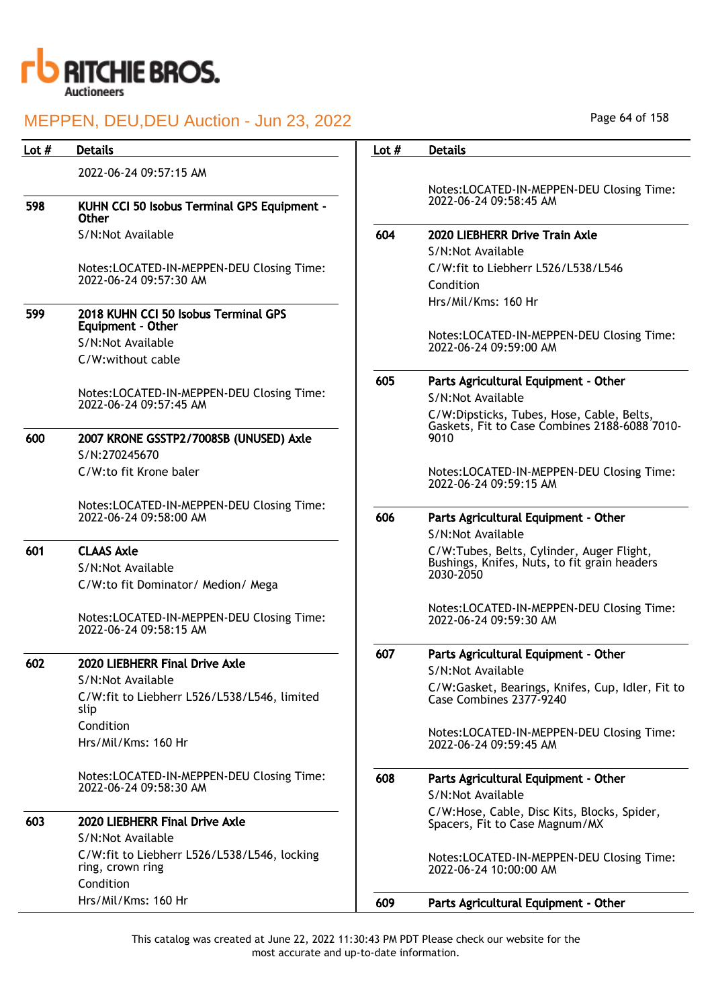

| Lot $#$ | <b>Details</b>                                                               | Lot $#$ | <b>Details</b>                                                                            |
|---------|------------------------------------------------------------------------------|---------|-------------------------------------------------------------------------------------------|
|         |                                                                              |         |                                                                                           |
|         | 2022-06-24 09:57:15 AM                                                       |         | Notes:LOCATED-IN-MEPPEN-DEU Closing Time:                                                 |
| 598     | KUHN CCI 50 Isobus Terminal GPS Equipment -<br><b>Other</b>                  |         | 2022-06-24 09:58:45 AM                                                                    |
|         | S/N:Not Available                                                            | 604     | 2020 LIEBHERR Drive Train Axle                                                            |
|         |                                                                              |         | S/N:Not Available                                                                         |
|         | Notes:LOCATED-IN-MEPPEN-DEU Closing Time:<br>2022-06-24 09:57:30 AM          |         | C/W:fit to Liebherr L526/L538/L546<br>Condition                                           |
| 599     | 2018 KUHN CCI 50 Isobus Terminal GPS<br><b>Equipment - Other</b>             |         | Hrs/Mil/Kms: 160 Hr                                                                       |
|         | S/N:Not Available                                                            |         | Notes:LOCATED-IN-MEPPEN-DEU Closing Time:<br>2022-06-24 09:59:00 AM                       |
|         | C/W:without cable                                                            |         |                                                                                           |
|         | Notes:LOCATED-IN-MEPPEN-DEU Closing Time:                                    | 605     | Parts Agricultural Equipment - Other<br>S/N:Not Available                                 |
|         | 2022-06-24 09:57:45 AM                                                       |         | C/W:Dipsticks, Tubes, Hose, Cable, Belts,                                                 |
| 600     | 2007 KRONE GSSTP2/7008SB (UNUSED) Axle<br>S/N:270245670                      |         | Gaskets, Fit to Case Combines 2188-6088 7010-<br>9010                                     |
|         | C/W:to fit Krone baler                                                       |         | Notes:LOCATED-IN-MEPPEN-DEU Closing Time:                                                 |
|         |                                                                              |         | 2022-06-24 09:59:15 AM                                                                    |
|         | Notes:LOCATED-IN-MEPPEN-DEU Closing Time:                                    |         |                                                                                           |
|         | 2022-06-24 09:58:00 AM                                                       | 606     | Parts Agricultural Equipment - Other                                                      |
|         |                                                                              |         | S/N:Not Available                                                                         |
| 601     | <b>CLAAS Axle</b>                                                            |         | C/W:Tubes, Belts, Cylinder, Auger Flight,<br>Bushings, Knifes, Nuts, to fit grain headers |
|         | S/N:Not Available                                                            |         | 2030-2050                                                                                 |
|         | C/W:to fit Dominator/ Medion/ Mega                                           |         |                                                                                           |
|         | Notes:LOCATED-IN-MEPPEN-DEU Closing Time:<br>2022-06-24 09:58:15 AM          |         | Notes:LOCATED-IN-MEPPEN-DEU Closing Time:<br>2022-06-24 09:59:30 AM                       |
|         |                                                                              | 607     | Parts Agricultural Equipment - Other                                                      |
| 602     | 2020 LIEBHERR Final Drive Axle                                               |         | S/N:Not Available                                                                         |
|         | S/N:Not Available                                                            |         | C/W:Gasket, Bearings, Knifes, Cup, Idler, Fit to                                          |
|         | C/W:fit to Liebherr L526/L538/L546, limited<br>slip                          |         | Case Combines 2377-9240                                                                   |
|         | Condition                                                                    |         |                                                                                           |
|         | Hrs/Mil/Kms: 160 Hr                                                          |         | Notes:LOCATED-IN-MEPPEN-DEU Closing Time:<br>2022-06-24 09:59:45 AM                       |
|         | Notes:LOCATED-IN-MEPPEN-DEU Closing Time:                                    | 608     | Parts Agricultural Equipment - Other                                                      |
|         | 2022-06-24 09:58:30 AM                                                       |         | S/N:Not Available                                                                         |
|         |                                                                              |         | C/W:Hose, Cable, Disc Kits, Blocks, Spider,                                               |
| 603     | 2020 LIEBHERR Final Drive Axle                                               |         | Spacers, Fit to Case Magnum/MX                                                            |
|         | S/N:Not Available                                                            |         |                                                                                           |
|         | C/W:fit to Liebherr L526/L538/L546, locking<br>ring, crown ring<br>Condition |         | Notes:LOCATED-IN-MEPPEN-DEU Closing Time:<br>2022-06-24 10:00:00 AM                       |
|         | Hrs/Mil/Kms: 160 Hr                                                          | 609     | Parts Agricultural Equipment - Other                                                      |
|         |                                                                              |         |                                                                                           |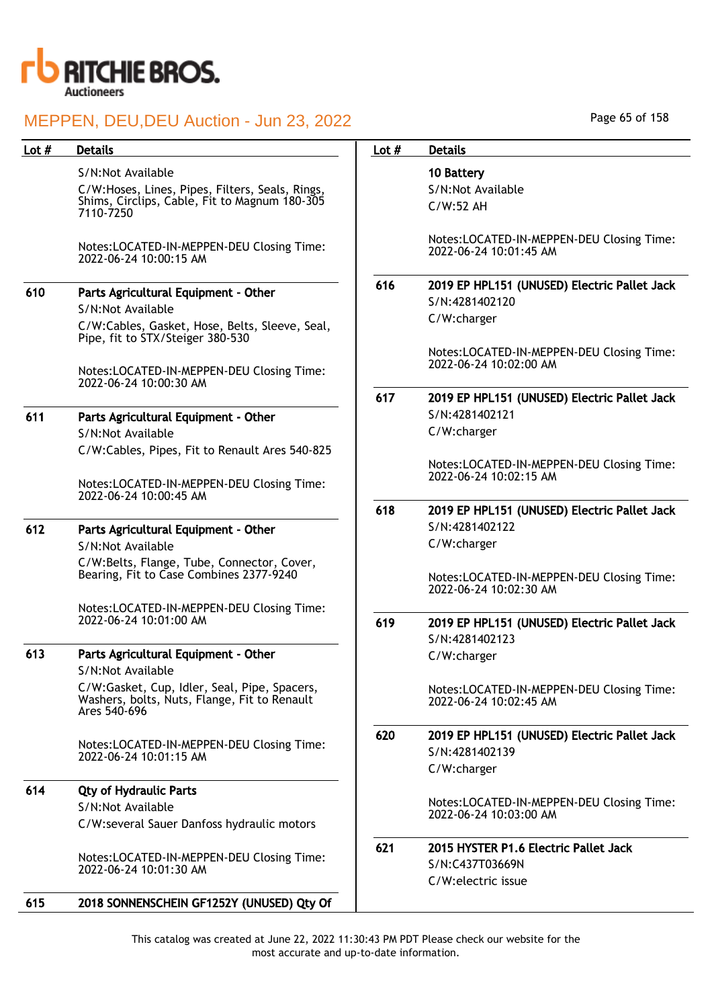

| Lot $#$ | <b>Details</b>                                                                                               | Lot $#$ | <b>Details</b>                                                      |
|---------|--------------------------------------------------------------------------------------------------------------|---------|---------------------------------------------------------------------|
|         | S/N:Not Available                                                                                            |         | 10 Battery                                                          |
|         | C/W:Hoses, Lines, Pipes, Filters, Seals, Rings,                                                              |         | S/N:Not Available                                                   |
|         | Shims, Circlips, Cable, Fit to Magnum 180-305<br>7110-7250                                                   |         | C/W:52 AH                                                           |
|         | Notes:LOCATED-IN-MEPPEN-DEU Closing Time:<br>2022-06-24 10:00:15 AM                                          |         | Notes:LOCATED-IN-MEPPEN-DEU Closing Time:<br>2022-06-24 10:01:45 AM |
| 610     | Parts Agricultural Equipment - Other<br>S/N:Not Available                                                    | 616     | 2019 EP HPL151 (UNUSED) Electric Pallet Jack<br>S/N:4281402120      |
|         | C/W:Cables, Gasket, Hose, Belts, Sleeve, Seal,<br>Pipe, fit to STX/Steiger 380-530                           |         | C/W:charger                                                         |
|         | Notes:LOCATED-IN-MEPPEN-DEU Closing Time:<br>2022-06-24 10:00:30 AM                                          |         | Notes:LOCATED-IN-MEPPEN-DEU Closing Time:<br>2022-06-24 10:02:00 AM |
|         |                                                                                                              | 617     | 2019 EP HPL151 (UNUSED) Electric Pallet Jack                        |
| 611     | Parts Agricultural Equipment - Other                                                                         |         | S/N:4281402121                                                      |
|         | S/N:Not Available                                                                                            |         | C/W:charger                                                         |
|         | C/W:Cables, Pipes, Fit to Renault Ares 540-825                                                               |         |                                                                     |
|         | Notes:LOCATED-IN-MEPPEN-DEU Closing Time:<br>2022-06-24 10:00:45 AM                                          |         | Notes:LOCATED-IN-MEPPEN-DEU Closing Time:<br>2022-06-24 10:02:15 AM |
|         |                                                                                                              | 618     | 2019 EP HPL151 (UNUSED) Electric Pallet Jack                        |
| 612     | Parts Agricultural Equipment - Other                                                                         |         | S/N:4281402122                                                      |
|         | S/N:Not Available                                                                                            |         | C/W:charger                                                         |
|         | C/W:Belts, Flange, Tube, Connector, Cover,<br>Bearing, Fit to Case Combines 2377-9240                        |         |                                                                     |
|         |                                                                                                              |         | Notes:LOCATED-IN-MEPPEN-DEU Closing Time:<br>2022-06-24 10:02:30 AM |
|         | Notes:LOCATED-IN-MEPPEN-DEU Closing Time:                                                                    |         |                                                                     |
|         | 2022-06-24 10:01:00 AM                                                                                       | 619     | 2019 EP HPL151 (UNUSED) Electric Pallet Jack                        |
| 613     | Parts Agricultural Equipment - Other                                                                         |         | S/N:4281402123                                                      |
|         | S/N:Not Available                                                                                            |         | C/W:charger                                                         |
|         | C/W:Gasket, Cup, Idler, Seal, Pipe, Spacers,<br>Washers, bolts, Nuts, Flange, Fit to Renault<br>Ares 540-696 |         | Notes:LOCATED-IN-MEPPEN-DEU Closing Time:<br>2022-06-24 10:02:45 AM |
|         | Notes:LOCATED-IN-MEPPEN-DEU Closing Time:                                                                    | 620     | 2019 EP HPL151 (UNUSED) Electric Pallet Jack                        |
|         | 2022-06-24 10:01:15 AM                                                                                       |         | S/N:4281402139                                                      |
|         |                                                                                                              |         | C/W:charger                                                         |
| 614     | <b>Qty of Hydraulic Parts</b>                                                                                |         |                                                                     |
|         | S/N:Not Available                                                                                            |         | Notes:LOCATED-IN-MEPPEN-DEU Closing Time:<br>2022-06-24 10:03:00 AM |
|         | C/W:several Sauer Danfoss hydraulic motors                                                                   |         |                                                                     |
|         |                                                                                                              | 621     | 2015 HYSTER P1.6 Electric Pallet Jack                               |
|         | Notes:LOCATED-IN-MEPPEN-DEU Closing Time:<br>2022-06-24 10:01:30 AM                                          |         | S/N:C437T03669N                                                     |
|         |                                                                                                              |         | C/W:electric issue                                                  |
| 615     | 2018 SONNENSCHEIN GF1252Y (UNUSED) Qty Of                                                                    |         |                                                                     |

Page 65 of 158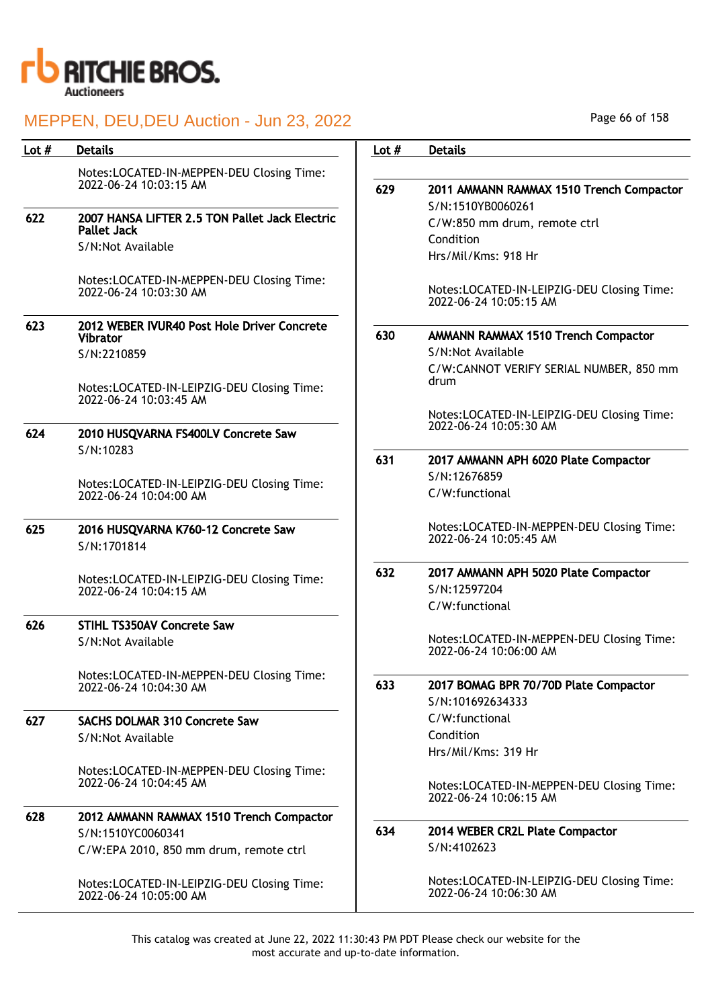

| <b>Details</b>                                                       | Lot $#$                                                                                                                 | <b>Details</b>                                                         |
|----------------------------------------------------------------------|-------------------------------------------------------------------------------------------------------------------------|------------------------------------------------------------------------|
|                                                                      |                                                                                                                         |                                                                        |
| 2022-06-24 10:03:15 AM                                               | 629                                                                                                                     | 2011 AMMANN RAMMAX 1510 Trench Compactor<br>S/N:1510YB0060261          |
| 2007 HANSA LIFTER 2.5 TON Pallet Jack Electric<br><b>Pallet Jack</b> |                                                                                                                         | C/W:850 mm drum, remote ctrl                                           |
| S/N:Not Available                                                    |                                                                                                                         | Condition<br>Hrs/Mil/Kms: 918 Hr                                       |
| Notes:LOCATED-IN-MEPPEN-DEU Closing Time:<br>2022-06-24 10:03:30 AM  |                                                                                                                         | Notes:LOCATED-IN-LEIPZIG-DEU Closing Time:<br>2022-06-24 10:05:15 AM   |
| 2012 WEBER IVUR40 Post Hole Driver Concrete<br><b>Vibrator</b>       | 630                                                                                                                     | AMMANN RAMMAX 1510 Trench Compactor<br>S/N:Not Available               |
| Notes:LOCATED-IN-LEIPZIG-DEU Closing Time:                           |                                                                                                                         | C/W:CANNOT VERIFY SERIAL NUMBER, 850 mm<br>drum                        |
| 2010 HUSQVARNA FS400LV Concrete Saw                                  |                                                                                                                         | Notes:LOCATED-IN-LEIPZIG-DEU Closing Time:<br>2022-06-24 10:05:30 AM   |
| S/N:10283                                                            | 631                                                                                                                     | 2017 AMMANN APH 6020 Plate Compactor<br>S/N:12676859                   |
| Notes:LOCATED-IN-LEIPZIG-DEU Closing Time:<br>2022-06-24 10:04:00 AM |                                                                                                                         | C/W:functional                                                         |
| 2016 HUSQVARNA K760-12 Concrete Saw<br>S/N:1701814                   |                                                                                                                         | Notes:LOCATED-IN-MEPPEN-DEU Closing Time:<br>2022-06-24 10:05:45 AM    |
| Notes:LOCATED-IN-LEIPZIG-DEU Closing Time:<br>2022-06-24 10:04:15 AM | 632                                                                                                                     | 2017 AMMANN APH 5020 Plate Compactor<br>S/N:12597204<br>C/W:functional |
|                                                                      |                                                                                                                         |                                                                        |
| S/N:Not Available                                                    |                                                                                                                         | Notes:LOCATED-IN-MEPPEN-DEU Closing Time:<br>2022-06-24 10:06:00 AM    |
| Notes:LOCATED-IN-MEPPEN-DEU Closing Time:<br>2022-06-24 10:04:30 AM  | 633                                                                                                                     | 2017 BOMAG BPR 70/70D Plate Compactor<br>S/N:101692634333              |
| <b>SACHS DOLMAR 310 Concrete Saw</b>                                 |                                                                                                                         | C/W:functional                                                         |
| S/N:Not Available                                                    |                                                                                                                         | Condition<br>Hrs/Mil/Kms: 319 Hr                                       |
| Notes:LOCATED-IN-MEPPEN-DEU Closing Time:<br>2022-06-24 10:04:45 AM  |                                                                                                                         | Notes:LOCATED-IN-MEPPEN-DEU Closing Time:<br>2022-06-24 10:06:15 AM    |
| 2012 AMMANN RAMMAX 1510 Trench Compactor                             |                                                                                                                         |                                                                        |
| S/N:1510YC0060341                                                    | 634                                                                                                                     | 2014 WEBER CR2L Plate Compactor                                        |
| C/W:EPA 2010, 850 mm drum, remote ctrl                               |                                                                                                                         | S/N:4102623                                                            |
| Notes:LOCATED-IN-LEIPZIG-DEU Closing Time:<br>2022-06-24 10:05:00 AM |                                                                                                                         | Notes:LOCATED-IN-LEIPZIG-DEU Closing Time:<br>2022-06-24 10:06:30 AM   |
|                                                                      | Notes:LOCATED-IN-MEPPEN-DEU Closing Time:<br>S/N:2210859<br>2022-06-24 10:03:45 AM<br><b>STIHL TS350AV Concrete Saw</b> |                                                                        |

Page 66 of 158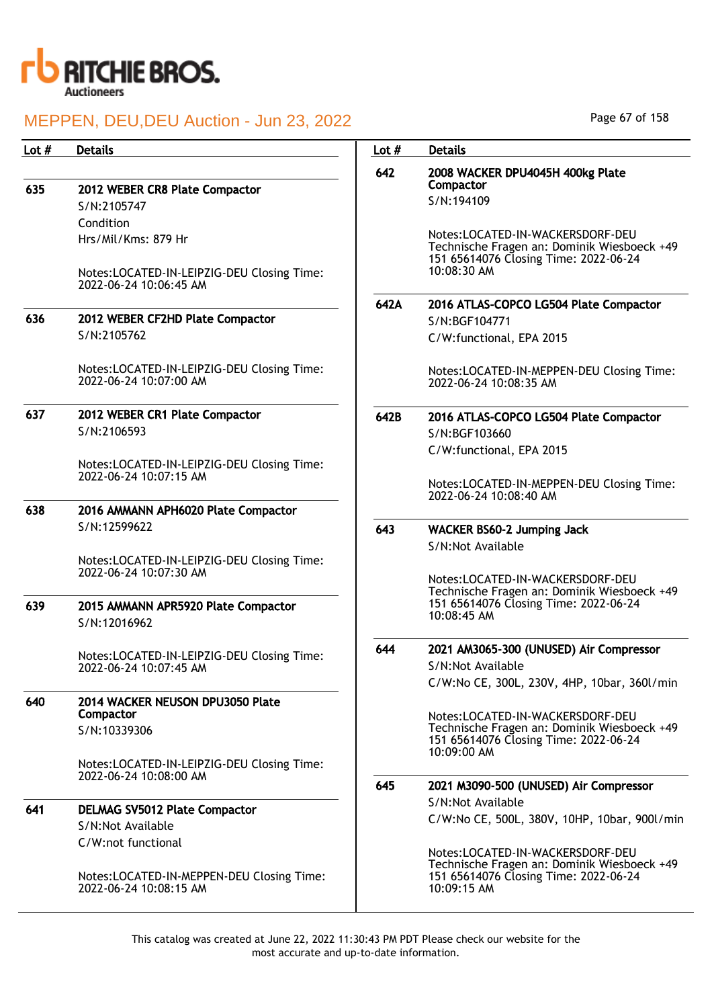

635 2012 WEBER CR8 Plate Compactor S/N:2105747 Condition Hrs/Mil/Kms: 879 Hr

> Notes:LOCATED-IN-LEIPZIG-DEU Closing Time: 2022-06-24 10:06:45 AM

636 2012 WEBER CF2HD Plate Compactor S/N:2105762

> Notes:LOCATED-IN-LEIPZIG-DEU Closing Time: 2022-06-24 10:07:00 AM

637 2012 WEBER CR1 Plate Compactor S/N:2106593

> Notes:LOCATED-IN-LEIPZIG-DEU Closing Time: 2022-06-24 10:07:15 AM

638 2016 AMMANN APH6020 Plate Compactor S/N:12599622

> Notes:LOCATED-IN-LEIPZIG-DEU Closing Time: 2022-06-24 10:07:30 AM

639 2015 AMMANN APR5920 Plate Compactor S/N:12016962

> Notes:LOCATED-IN-LEIPZIG-DEU Closing Time: 2022-06-24 10:07:45 AM

#### 640 2014 WACKER NEUSON DPU3050 Plate Compactor S/N:10339306

Notes:LOCATED-IN-LEIPZIG-DEU Closing Time: 2022-06-24 10:08:00 AM

#### 641 DELMAG SV5012 Plate Compactor S/N:Not Available C/W:not functional

Notes:LOCATED-IN-MEPPEN-DEU Closing Time: 2022-06-24 10:08:15 AM

Page 67 of 158

## Lot # Details **Details According to the United States Lot # Details** 642 2008 WACKER DPU4045H 400kg Plate **Compactor** S/N:194109 Notes:LOCATED-IN-WACKERSDORF-DEU Technische Fragen an: Dominik Wiesboeck +49 151 65614076 Closing Time: 2022-06-24 10:08:30 AM 642A 2016 ATLAS-COPCO LG504 Plate Compactor S/N:BGF104771 C/W:functional, EPA 2015 Notes:LOCATED-IN-MEPPEN-DEU Closing Time: 2022-06-24 10:08:35 AM 642B 2016 ATLAS-COPCO LG504 Plate Compactor S/N:BGF103660 C/W:functional, EPA 2015 Notes:LOCATED-IN-MEPPEN-DEU Closing Time: 2022-06-24 10:08:40 AM 643 WACKER BS60-2 Jumping Jack S/N:Not Available Notes:LOCATED-IN-WACKERSDORF-DEU Technische Fragen an: Dominik Wiesboeck +49 151 65614076 Closing Time: 2022-06-24 10:08:45 AM 644 2021 AM3065-300 (UNUSED) Air Compressor S/N:Not Available C/W:No CE, 300L, 230V, 4HP, 10bar, 360l/min Notes:LOCATED-IN-WACKERSDORF-DEU Technische Fragen an: Dominik Wiesboeck +49 151 65614076 Closing Time: 2022-06-24 10:09:00 AM 645 2021 M3090-500 (UNUSED) Air Compressor S/N:Not Available C/W:No CE, 500L, 380V, 10HP, 10bar, 900l/min Notes:LOCATED-IN-WACKERSDORF-DEU Technische Fragen an: Dominik Wiesboeck +49 151 65614076 Closing Time: 2022-06-24 10:09:15 AM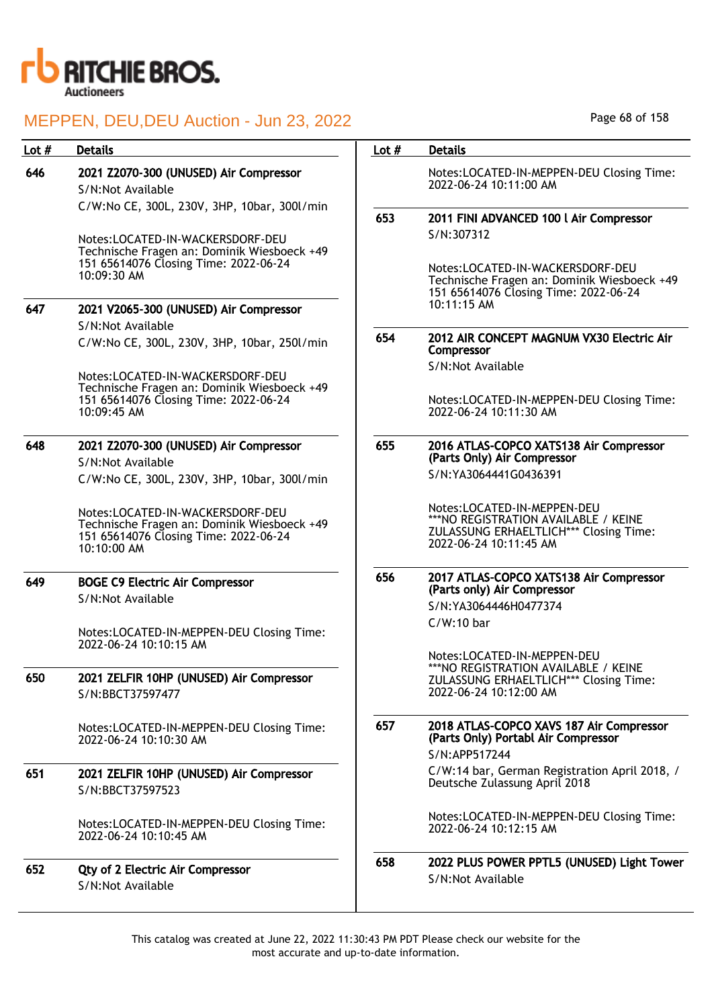

| Lot # | <b>Details</b>                                                                                                                          | Lot $#$ | <b>Details</b>                                                                                                                                 |
|-------|-----------------------------------------------------------------------------------------------------------------------------------------|---------|------------------------------------------------------------------------------------------------------------------------------------------------|
| 646   | 2021 Z2070-300 (UNUSED) Air Compressor<br>S/N:Not Available                                                                             |         | Notes:LOCATED-IN-MEPPEN-DEU Closing Time:<br>2022-06-24 10:11:00 AM                                                                            |
|       | C/W:No CE, 300L, 230V, 3HP, 10bar, 300l/min<br>Notes:LOCATED-IN-WACKERSDORF-DEU                                                         | 653     | 2011 FINI ADVANCED 100 l Air Compressor<br>S/N:307312                                                                                          |
|       | Technische Fragen an: Dominik Wiesboeck +49<br>151 65614076 Closing Time: 2022-06-24<br>10:09:30 AM                                     |         | Notes:LOCATED-IN-WACKERSDORF-DEU<br>Technische Fragen an: Dominik Wiesboeck +49<br>151 65614076 Closing Time: 2022-06-24                       |
| 647   | 2021 V2065-300 (UNUSED) Air Compressor                                                                                                  |         | 10:11:15 AM                                                                                                                                    |
|       | S/N:Not Available<br>C/W:No CE, 300L, 230V, 3HP, 10bar, 250l/min                                                                        | 654     | 2012 AIR CONCEPT MAGNUM VX30 Electric Air<br>Compressor                                                                                        |
|       | Notes:LOCATED-IN-WACKERSDORF-DEU<br>Technische Fragen an: Dominik Wiesboeck +49                                                         |         | S/N:Not Available                                                                                                                              |
|       | 151 65614076 Closing Time: 2022-06-24<br>10:09:45 AM                                                                                    |         | Notes:LOCATED-IN-MEPPEN-DEU Closing Time:<br>2022-06-24 10:11:30 AM                                                                            |
| 648   | 2021 Z2070-300 (UNUSED) Air Compressor<br>S/N:Not Available                                                                             | 655     | 2016 ATLAS-COPCO XATS138 Air Compressor<br>(Parts Only) Air Compressor                                                                         |
|       | C/W:No CE, 300L, 230V, 3HP, 10bar, 300l/min                                                                                             |         | S/N:YA3064441G0436391                                                                                                                          |
|       | Notes:LOCATED-IN-WACKERSDORF-DEU<br>Technische Fragen an: Dominik Wiesboeck +49<br>151 65614076 Closing Time: 2022-06-24<br>10:10:00 AM |         | Notes:LOCATED-IN-MEPPEN-DEU<br>***NO REGISTRATION AVAILABLE / KEINE<br><b>ZULASSUNG ERHAELTLICH*** Closing Time:</b><br>2022-06-24 10:11:45 AM |
| 649   | <b>BOGE C9 Electric Air Compressor</b><br>S/N:Not Available                                                                             | 656     | 2017 ATLAS-COPCO XATS138 Air Compressor<br>(Parts only) Air Compressor                                                                         |
|       |                                                                                                                                         |         | S/N:YA3064446H0477374                                                                                                                          |
|       | Notes:LOCATED-IN-MEPPEN-DEU Closing Time:<br>2022-06-24 10:10:15 AM                                                                     |         | $C/W:10$ bar                                                                                                                                   |
| 650   | 2021 ZELFIR 10HP (UNUSED) Air Compressor<br>S/N:BBCT37597477                                                                            |         | Notes:LOCATED-IN-MEPPEN-DEU<br>***NO REGISTRATION AVAILABLE / KEINE<br>ZULASSUNG ERHAELTLICH*** Closing Time:<br>2022-06-24 10:12:00 AM        |
|       | Notes:LOCATED-IN-MEPPEN-DEU Closing Time:<br>2022-06-24 10:10:30 AM                                                                     | 657     | 2018 ATLAS-COPCO XAVS 187 Air Compressor<br>(Parts Only) Portabl Air Compressor<br>S/N:APP517244                                               |
| 651   | 2021 ZELFIR 10HP (UNUSED) Air Compressor<br>S/N:BBCT37597523                                                                            |         | C/W:14 bar, German Registration April 2018, /<br>Deutsche Zulassung April 2018                                                                 |
|       | Notes:LOCATED-IN-MEPPEN-DEU Closing Time:<br>2022-06-24 10:10:45 AM                                                                     |         | Notes:LOCATED-IN-MEPPEN-DEU Closing Time:<br>2022-06-24 10:12:15 AM                                                                            |
| 652   | <b>Qty of 2 Electric Air Compressor</b><br>S/N:Not Available                                                                            | 658     | 2022 PLUS POWER PPTL5 (UNUSED) Light Tower<br>S/N:Not Available                                                                                |

Page 68 of 158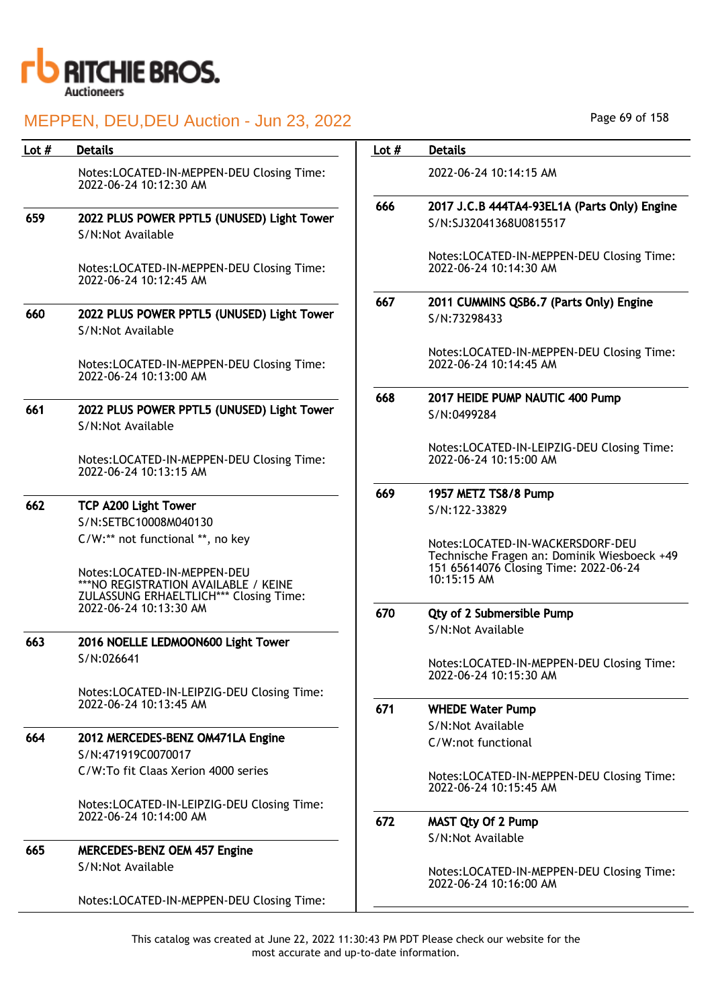

## MEPPEN, DEU,DEU Auction - Jun 23, 2022

| Lot $#$ | <b>Details</b>                                                                                           | Lot $#$ | <b>Details</b>                                                                                                                          |
|---------|----------------------------------------------------------------------------------------------------------|---------|-----------------------------------------------------------------------------------------------------------------------------------------|
|         | Notes:LOCATED-IN-MEPPEN-DEU Closing Time:<br>2022-06-24 10:12:30 AM                                      |         | 2022-06-24 10:14:15 AM                                                                                                                  |
|         |                                                                                                          | 666     | 2017 J.C.B 444TA4-93EL1A (Parts Only) Engine                                                                                            |
| 659     | 2022 PLUS POWER PPTL5 (UNUSED) Light Tower<br>S/N:Not Available                                          |         | S/N:SJ32041368U0815517                                                                                                                  |
|         | Notes:LOCATED-IN-MEPPEN-DEU Closing Time:<br>2022-06-24 10:12:45 AM                                      |         | Notes:LOCATED-IN-MEPPEN-DEU Closing Time:<br>2022-06-24 10:14:30 AM                                                                     |
|         |                                                                                                          | 667     | 2011 CUMMINS QSB6.7 (Parts Only) Engine                                                                                                 |
| 660     | 2022 PLUS POWER PPTL5 (UNUSED) Light Tower<br>S/N:Not Available                                          |         | S/N:73298433                                                                                                                            |
|         | Notes:LOCATED-IN-MEPPEN-DEU Closing Time:<br>2022-06-24 10:13:00 AM                                      |         | Notes:LOCATED-IN-MEPPEN-DEU Closing Time:<br>2022-06-24 10:14:45 AM                                                                     |
|         |                                                                                                          | 668     | 2017 HEIDE PUMP NAUTIC 400 Pump                                                                                                         |
| 661     | 2022 PLUS POWER PPTL5 (UNUSED) Light Tower<br>S/N:Not Available                                          |         | S/N:0499284                                                                                                                             |
|         | Notes:LOCATED-IN-MEPPEN-DEU Closing Time:<br>2022-06-24 10:13:15 AM                                      |         | Notes:LOCATED-IN-LEIPZIG-DEU Closing Time:<br>2022-06-24 10:15:00 AM                                                                    |
|         |                                                                                                          | 669     | 1957 METZ TS8/8 Pump                                                                                                                    |
| 662     | <b>TCP A200 Light Tower</b>                                                                              |         | S/N:122-33829                                                                                                                           |
|         | S/N:SETBC10008M040130                                                                                    |         |                                                                                                                                         |
|         | C/W:** not functional **, no key<br>Notes:LOCATED-IN-MEPPEN-DEU<br>*** NO REGISTRATION AVAILABLE / KEINE |         | Notes:LOCATED-IN-WACKERSDORF-DEU<br>Technische Fragen an: Dominik Wiesboeck +49<br>151 65614076 Closing Time: 2022-06-24<br>10:15:15 AM |
|         | ZULASSUNG ERHAELTLICH*** Closing Time:<br>2022-06-24 10:13:30 AM                                         |         |                                                                                                                                         |
|         |                                                                                                          | 670     | Qty of 2 Submersible Pump                                                                                                               |
| 663     | 2016 NOELLE LEDMOON600 Light Tower                                                                       |         | S/N:Not Available                                                                                                                       |
|         | S/N:026641                                                                                               |         |                                                                                                                                         |
|         |                                                                                                          |         | Notes:LOCATED-IN-MEPPEN-DEU Closing Time:<br>2022-06-24 10:15:30 AM                                                                     |
|         | Notes:LOCATED-IN-LEIPZIG-DEU Closing Time:<br>2022-06-24 10:13:45 AM                                     |         |                                                                                                                                         |
|         |                                                                                                          | 671     | <b>WHEDE Water Pump</b>                                                                                                                 |
| 664     | 2012 MERCEDES-BENZ OM471LA Engine                                                                        |         | S/N:Not Available                                                                                                                       |
|         | S/N:471919C0070017                                                                                       |         | C/W:not functional                                                                                                                      |
|         | C/W:To fit Claas Xerion 4000 series                                                                      |         |                                                                                                                                         |
|         |                                                                                                          |         | Notes:LOCATED-IN-MEPPEN-DEU Closing Time:<br>2022-06-24 10:15:45 AM                                                                     |
|         | Notes:LOCATED-IN-LEIPZIG-DEU Closing Time:<br>2022-06-24 10:14:00 AM                                     |         |                                                                                                                                         |
|         |                                                                                                          | 672     | <b>MAST Qty Of 2 Pump</b>                                                                                                               |
| 665     | <b>MERCEDES-BENZ OEM 457 Engine</b>                                                                      |         | S/N:Not Available                                                                                                                       |
|         | S/N:Not Available                                                                                        |         |                                                                                                                                         |
|         |                                                                                                          |         | Notes:LOCATED-IN-MEPPEN-DEU Closing Time:<br>2022-06-24 10:16:00 AM                                                                     |
|         | Notes:LOCATED-IN-MEPPEN-DEU Closing Time:                                                                |         |                                                                                                                                         |

Page 69 of 158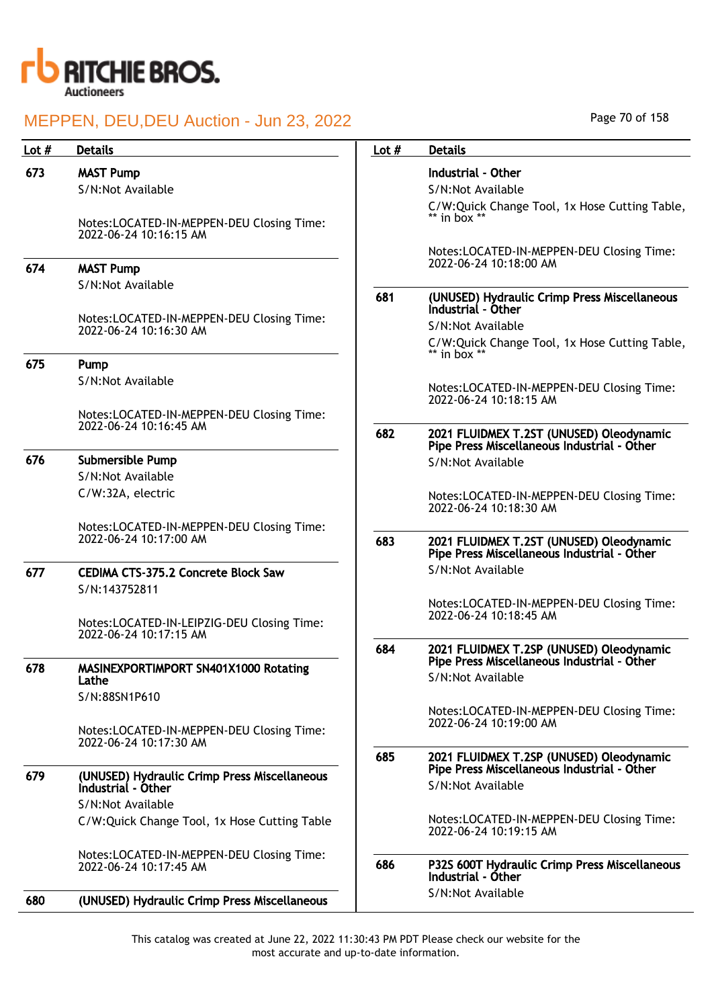

| Lot $#$ | <b>Details</b>                                                       | Lot $#$ | <b>Details</b>                                                                          |
|---------|----------------------------------------------------------------------|---------|-----------------------------------------------------------------------------------------|
| 673     | <b>MAST Pump</b>                                                     |         | Industrial - Other                                                                      |
|         | S/N:Not Available                                                    |         | S/N:Not Available                                                                       |
|         | Notes:LOCATED-IN-MEPPEN-DEU Closing Time:<br>2022-06-24 10:16:15 AM  |         | C/W:Quick Change Tool, 1x Hose Cutting Table,<br>** in box **                           |
| 674     | <b>MAST Pump</b>                                                     |         | Notes:LOCATED-IN-MEPPEN-DEU Closing Time:<br>2022-06-24 10:18:00 AM                     |
|         | S/N:Not Available                                                    | 681     | (UNUSED) Hydraulic Crimp Press Miscellaneous<br>Industrial - Other                      |
|         | Notes:LOCATED-IN-MEPPEN-DEU Closing Time:<br>2022-06-24 10:16:30 AM  |         | S/N:Not Available                                                                       |
|         |                                                                      |         | C/W:Quick Change Tool, 1x Hose Cutting Table,<br>** in box $**$                         |
| 675     | Pump                                                                 |         |                                                                                         |
|         | S/N:Not Available                                                    |         | Notes:LOCATED-IN-MEPPEN-DEU Closing Time:<br>2022-06-24 10:18:15 AM                     |
|         | Notes:LOCATED-IN-MEPPEN-DEU Closing Time:                            |         |                                                                                         |
|         | 2022-06-24 10:16:45 AM                                               | 682     | 2021 FLUIDMEX T.2ST (UNUSED) Oleodynamic<br>Pipe Press Miscellaneous Industrial - Other |
| 676     | <b>Submersible Pump</b>                                              |         | S/N:Not Available                                                                       |
|         | S/N:Not Available                                                    |         |                                                                                         |
|         | C/W:32A, electric                                                    |         | Notes:LOCATED-IN-MEPPEN-DEU Closing Time:<br>2022-06-24 10:18:30 AM                     |
|         | Notes:LOCATED-IN-MEPPEN-DEU Closing Time:<br>2022-06-24 10:17:00 AM  | 683     | 2021 FLUIDMEX T.2ST (UNUSED) Oleodynamic<br>Pipe Press Miscellaneous Industrial - Other |
| 677     | <b>CEDIMA CTS-375.2 Concrete Block Saw</b><br>S/N:143752811          |         | S/N:Not Available                                                                       |
|         | Notes:LOCATED-IN-LEIPZIG-DEU Closing Time:<br>2022-06-24 10:17:15 AM |         | Notes:LOCATED-IN-MEPPEN-DEU Closing Time:<br>2022-06-24 10:18:45 AM                     |
| 678     | MASINEXPORTIMPORT SN401X1000 Rotating                                | 684     | 2021 FLUIDMEX T.2SP (UNUSED) Oleodynamic<br>Pipe Press Miscellaneous Industrial - Other |
|         | Lathe                                                                |         | S/N:Not Available                                                                       |
|         | S/N:88SN1P610                                                        |         |                                                                                         |
|         | Notes:LOCATED-IN-MEPPEN-DEU Closing Time:                            |         | Notes:LOCATED-IN-MEPPEN-DEU Closing Time:<br>2022-06-24 10:19:00 AM                     |
|         | 2022-06-24 10:17:30 AM                                               | 685     | 2021 FLUIDMEX T.2SP (UNUSED) Oleodynamic<br>Pipe Press Miscellaneous Industrial - Other |
| 679     | (UNUSED) Hydraulic Crimp Press Miscellaneous<br>Industrial - Other   |         | S/N:Not Available                                                                       |
|         | S/N:Not Available                                                    |         |                                                                                         |
|         | C/W:Quick Change Tool, 1x Hose Cutting Table                         |         | Notes:LOCATED-IN-MEPPEN-DEU Closing Time:<br>2022-06-24 10:19:15 AM                     |
|         | Notes:LOCATED-IN-MEPPEN-DEU Closing Time:<br>2022-06-24 10:17:45 AM  | 686     | P32S 600T Hydraulic Crimp Press Miscellaneous<br>Industrial - Óther                     |
| 680     | (UNUSED) Hydraulic Crimp Press Miscellaneous                         |         | S/N:Not Available                                                                       |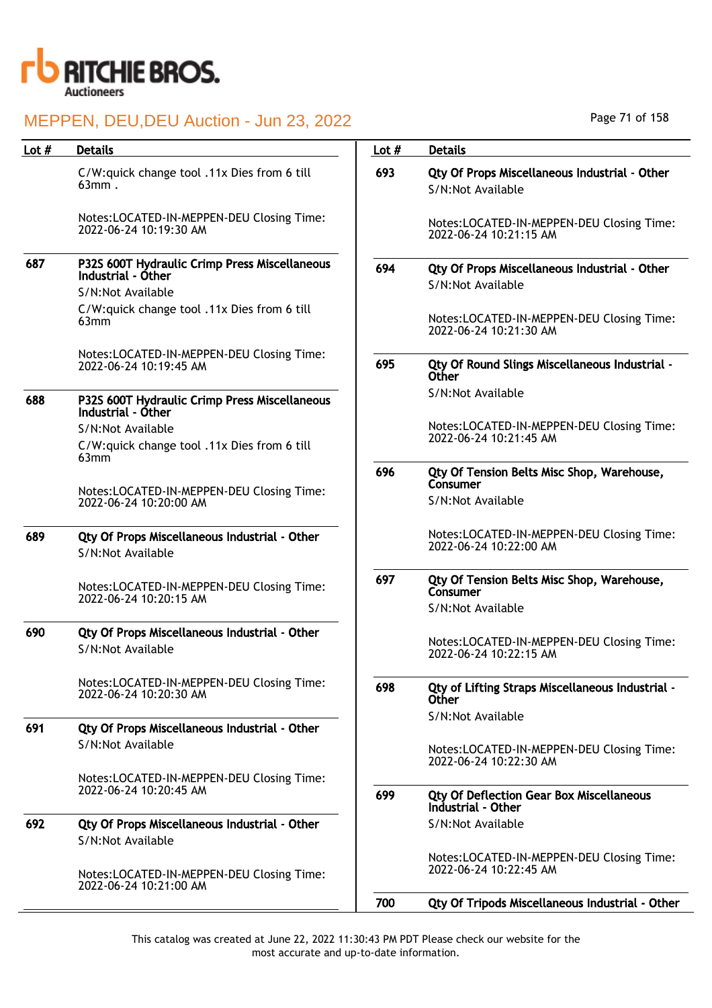

| Lot $#$ | <b>Details</b>                                                      | Lot $#$ | <b>Details</b>                                                        |
|---------|---------------------------------------------------------------------|---------|-----------------------------------------------------------------------|
|         |                                                                     |         |                                                                       |
|         | C/W:quick change tool .11x Dies from 6 till<br>$63mm$ .             | 693     | Qty Of Props Miscellaneous Industrial - Other<br>S/N:Not Available    |
|         | Notes:LOCATED-IN-MEPPEN-DEU Closing Time:<br>2022-06-24 10:19:30 AM |         | Notes:LOCATED-IN-MEPPEN-DEU Closing Time:<br>2022-06-24 10:21:15 AM   |
| 687     | P32S 600T Hydraulic Crimp Press Miscellaneous<br>Industrial - Other | 694     | Qty Of Props Miscellaneous Industrial - Other<br>S/N:Not Available    |
|         | S/N:Not Available                                                   |         |                                                                       |
|         | C/W:quick change tool .11x Dies from 6 till<br>63mm                 |         | Notes:LOCATED-IN-MEPPEN-DEU Closing Time:<br>2022-06-24 10:21:30 AM   |
|         | Notes:LOCATED-IN-MEPPEN-DEU Closing Time:<br>2022-06-24 10:19:45 AM | 695     | Qty Of Round Slings Miscellaneous Industrial -<br>Other               |
| 688     | P32S 600T Hydraulic Crimp Press Miscellaneous<br>Industrial - Óther |         | S/N:Not Available                                                     |
|         | S/N:Not Available                                                   |         | Notes:LOCATED-IN-MEPPEN-DEU Closing Time:                             |
|         | C/W:quick change tool .11x Dies from 6 till                         |         | 2022-06-24 10:21:45 AM                                                |
|         | 63mm                                                                | 696     | Qty Of Tension Belts Misc Shop, Warehouse,<br>Consumer                |
|         | Notes:LOCATED-IN-MEPPEN-DEU Closing Time:<br>2022-06-24 10:20:00 AM |         | S/N:Not Available                                                     |
| 689     | Qty Of Props Miscellaneous Industrial - Other                       |         | Notes:LOCATED-IN-MEPPEN-DEU Closing Time:<br>2022-06-24 10:22:00 AM   |
|         | S/N:Not Available                                                   |         |                                                                       |
|         | Notes:LOCATED-IN-MEPPEN-DEU Closing Time:<br>2022-06-24 10:20:15 AM | 697     | Qty Of Tension Belts Misc Shop, Warehouse,<br>Consumer                |
|         |                                                                     |         | S/N:Not Available                                                     |
| 690     | Qty Of Props Miscellaneous Industrial - Other                       |         |                                                                       |
|         | S/N:Not Available                                                   |         | Notes:LOCATED-IN-MEPPEN-DEU Closing Time:<br>2022-06-24 10:22:15 AM   |
|         | Notes:LOCATED-IN-MEPPEN-DEU Closing Time:<br>2022-06-24 10:20:30 AM | 698     | Qty of Lifting Straps Miscellaneous Industrial -<br><b>Other</b>      |
| 691     |                                                                     |         | S/N:Not Available                                                     |
|         | Qty Of Props Miscellaneous Industrial - Other<br>S/N:Not Available  |         |                                                                       |
|         |                                                                     |         | Notes:LOCATED-IN-MEPPEN-DEU Closing Time:<br>2022-06-24 10:22:30 AM   |
|         | Notes:LOCATED-IN-MEPPEN-DEU Closing Time:                           |         |                                                                       |
|         | 2022-06-24 10:20:45 AM                                              | 699     | <b>Qty Of Deflection Gear Box Miscellaneous</b><br>Industrial - Other |
| 692     | Qty Of Props Miscellaneous Industrial - Other<br>S/N:Not Available  |         | S/N:Not Available                                                     |
|         | Notes:LOCATED-IN-MEPPEN-DEU Closing Time:<br>2022-06-24 10:21:00 AM |         | Notes:LOCATED-IN-MEPPEN-DEU Closing Time:<br>2022-06-24 10:22:45 AM   |
|         |                                                                     | 700     | Qty Of Tripods Miscellaneous Industrial - Other                       |

Page 71 of 158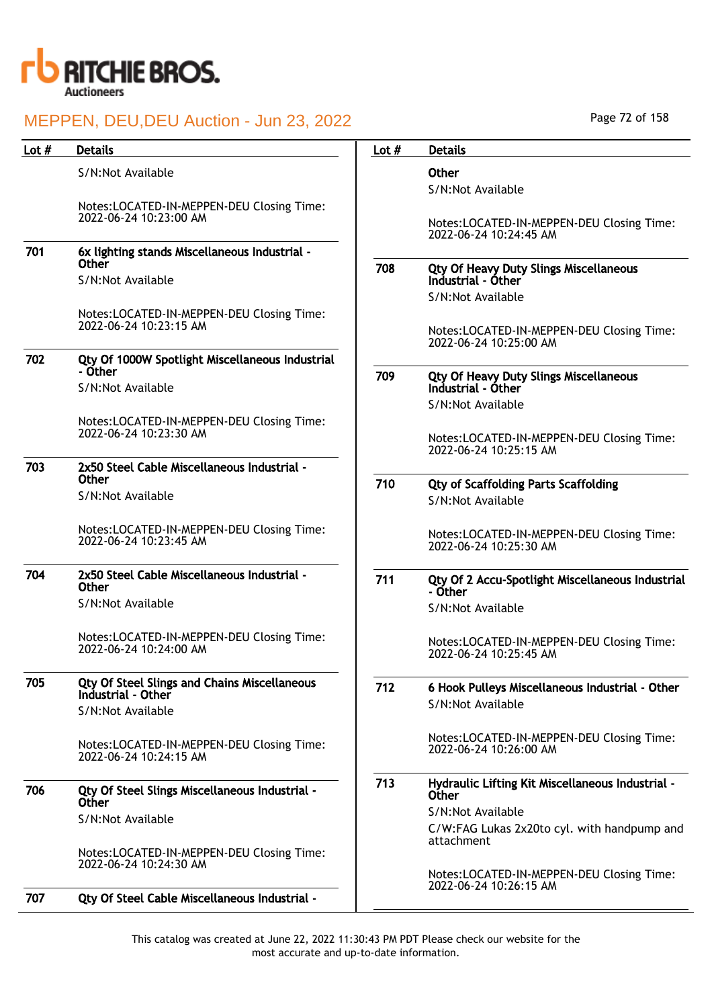

| Lot $#$ | <b>Details</b>                                                            | Lot $#$ | <b>Details</b>                                                      |
|---------|---------------------------------------------------------------------------|---------|---------------------------------------------------------------------|
|         | S/N:Not Available                                                         |         | Other                                                               |
|         |                                                                           |         | S/N:Not Available                                                   |
|         | Notes:LOCATED-IN-MEPPEN-DEU Closing Time:                                 |         |                                                                     |
|         | 2022-06-24 10:23:00 AM                                                    |         | Notes:LOCATED-IN-MEPPEN-DEU Closing Time:<br>2022-06-24 10:24:45 AM |
| 701     | 6x lighting stands Miscellaneous Industrial -                             |         |                                                                     |
|         | <b>Other</b><br>S/N:Not Available                                         | 708     | Qty Of Heavy Duty Slings Miscellaneous<br>Industrial - Other        |
|         |                                                                           |         | S/N:Not Available                                                   |
|         | Notes:LOCATED-IN-MEPPEN-DEU Closing Time:<br>2022-06-24 10:23:15 AM       |         |                                                                     |
|         |                                                                           |         | Notes:LOCATED-IN-MEPPEN-DEU Closing Time:<br>2022-06-24 10:25:00 AM |
| 702     | Qty Of 1000W Spotlight Miscellaneous Industrial                           |         |                                                                     |
|         | - Other<br>S/N:Not Available                                              | 709     | Qty Of Heavy Duty Slings Miscellaneous<br>Industrial - Other        |
|         |                                                                           |         | S/N:Not Available                                                   |
|         | Notes:LOCATED-IN-MEPPEN-DEU Closing Time:                                 |         |                                                                     |
|         | 2022-06-24 10:23:30 AM                                                    |         | Notes:LOCATED-IN-MEPPEN-DEU Closing Time:<br>2022-06-24 10:25:15 AM |
| 703     | 2x50 Steel Cable Miscellaneous Industrial -                               |         |                                                                     |
|         | <b>Other</b>                                                              | 710     | <b>Qty of Scaffolding Parts Scaffolding</b>                         |
|         | S/N:Not Available                                                         |         | S/N:Not Available                                                   |
|         | Notes:LOCATED-IN-MEPPEN-DEU Closing Time:<br>2022-06-24 10:23:45 AM       |         | Notes:LOCATED-IN-MEPPEN-DEU Closing Time:<br>2022-06-24 10:25:30 AM |
| 704     | 2x50 Steel Cable Miscellaneous Industrial -<br><b>Other</b>               | 711     | Qty Of 2 Accu-Spotlight Miscellaneous Industrial<br>- Other         |
|         | S/N:Not Available                                                         |         | S/N:Not Available                                                   |
|         |                                                                           |         |                                                                     |
|         | Notes:LOCATED-IN-MEPPEN-DEU Closing Time:<br>2022-06-24 10:24:00 AM       |         | Notes:LOCATED-IN-MEPPEN-DEU Closing Time:<br>2022-06-24 10:25:45 AM |
| 705     | <b>Qty Of Steel Slings and Chains Miscellaneous</b><br>Industrial - Other | 712     | 6 Hook Pulleys Miscellaneous Industrial - Other                     |
|         | S/N:Not Available                                                         |         | S/N:Not Available                                                   |
|         | Notes:LOCATED-IN-MEPPEN-DEU Closing Time:<br>2022-06-24 10:24:15 AM       |         | Notes:LOCATED-IN-MEPPEN-DEU Closing Time:<br>2022-06-24 10:26:00 AM |
| 706     | Qty Of Steel Slings Miscellaneous Industrial -<br><b>Other</b>            | 713     | Hydraulic Lifting Kit Miscellaneous Industrial -<br>Other           |
|         | S/N:Not Available                                                         |         | S/N:Not Available                                                   |
|         |                                                                           |         | C/W:FAG Lukas 2x20to cyl. with handpump and<br>attachment           |
|         | Notes:LOCATED-IN-MEPPEN-DEU Closing Time:                                 |         |                                                                     |
|         | 2022-06-24 10:24:30 AM                                                    |         | Notes:LOCATED-IN-MEPPEN-DEU Closing Time:                           |
| 707     | Qty Of Steel Cable Miscellaneous Industrial -                             |         | 2022-06-24 10:26:15 AM                                              |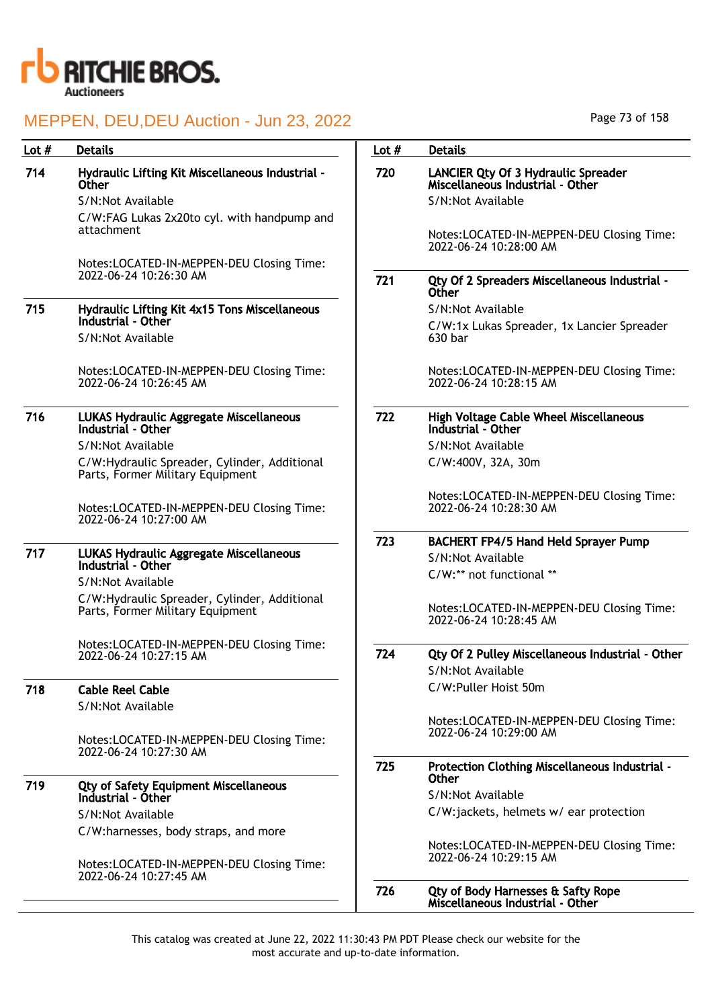

718

# MEPPEN, DEU,DEU Auction - Jun 23, 2022

| Lot # | <b>Details</b>                                                                   | Lot $#$ | <b>Details</b>                                                                 |
|-------|----------------------------------------------------------------------------------|---------|--------------------------------------------------------------------------------|
| 714   | Hydraulic Lifting Kit Miscellaneous Industrial -<br><b>Other</b>                 | 720     | <b>LANCIER Qty Of 3 Hydraulic Spreader</b><br>Miscellaneous Industrial - Other |
|       | S/N:Not Available                                                                |         | S/N:Not Available                                                              |
|       | C/W:FAG Lukas 2x20to cyl. with handpump and<br>attachment                        |         | Notes:LOCATED-IN-MEPPEN-DEU Closing Time:<br>2022-06-24 10:28:00 AM            |
|       | Notes:LOCATED-IN-MEPPEN-DEU Closing Time:                                        |         |                                                                                |
|       | 2022-06-24 10:26:30 AM                                                           | 721     | Qty Of 2 Spreaders Miscellaneous Industrial -<br><b>Other</b>                  |
| 715   | <b>Hydraulic Lifting Kit 4x15 Tons Miscellaneous</b>                             |         | S/N:Not Available                                                              |
|       | Industrial - Other<br>S/N:Not Available                                          |         | C/W:1x Lukas Spreader, 1x Lancier Spreader<br>630 bar                          |
|       | Notes:LOCATED-IN-MEPPEN-DEU Closing Time:<br>2022-06-24 10:26:45 AM              |         | Notes:LOCATED-IN-MEPPEN-DEU Closing Time:<br>2022-06-24 10:28:15 AM            |
| 716   | LUKAS Hydraulic Aggregate Miscellaneous<br>Industrial - Other                    | 722     | <b>High Voltage Cable Wheel Miscellaneous</b><br>Industrial - Other            |
|       | S/N:Not Available                                                                |         | S/N:Not Available                                                              |
|       | C/W:Hydraulic Spreader, Cylinder, Additional<br>Parts, Former Military Equipment |         | C/W:400V, 32A, 30m                                                             |
|       | Notes:LOCATED-IN-MEPPEN-DEU Closing Time:<br>2022-06-24 10:27:00 AM              |         | Notes:LOCATED-IN-MEPPEN-DEU Closing Time:<br>2022-06-24 10:28:30 AM            |
|       |                                                                                  | 723     | <b>BACHERT FP4/5 Hand Held Sprayer Pump</b>                                    |
| 717   | LUKAS Hydraulic Aggregate Miscellaneous<br>Industrial - Other                    |         | S/N:Not Available                                                              |
|       | S/N:Not Available                                                                |         | C/W:** not functional **                                                       |
|       | C/W:Hydraulic Spreader, Cylinder, Additional<br>Parts, Former Military Equipment |         | Notes:LOCATED-IN-MEPPEN-DEU Closing Time:<br>2022-06-24 10:28:45 AM            |
|       | Notes:LOCATED-IN-MEPPEN-DEU Closing Time:                                        |         |                                                                                |
|       | 2022-06-24 10:27:15 AM                                                           | 724     | Qty Of 2 Pulley Miscellaneous Industrial - Other                               |
|       |                                                                                  |         | S/N:Not Available                                                              |
| 718   | <b>Cable Reel Cable</b>                                                          |         | C/W:Puller Hoist 50m                                                           |
|       | S/N:Not Available                                                                |         |                                                                                |
|       | Notes:LOCATED-IN-MEPPEN-DEU Closing Time:<br>2022-06-24 10:27:30 AM              |         | Notes:LOCATED-IN-MEPPEN-DEU Closing Time:<br>2022-06-24 10:29:00 AM            |
|       |                                                                                  | 725     | Protection Clothing Miscellaneous Industrial -<br><b>Other</b>                 |
| 719   | <b>Qty of Safety Equipment Miscellaneous</b><br>Industrial - Other               |         | S/N:Not Available                                                              |
|       | S/N:Not Available                                                                |         | C/W:jackets, helmets w/ ear protection                                         |
|       | C/W:harnesses, body straps, and more                                             |         |                                                                                |
|       | Notes:LOCATED-IN-MEPPEN-DEU Closing Time:                                        |         | Notes:LOCATED-IN-MEPPEN-DEU Closing Time:<br>2022-06-24 10:29:15 AM            |
|       | 2022-06-24 10:27:45 AM                                                           | 726     | Qty of Body Harnesses & Safty Rope<br>Miscellaneous Industrial - Other         |

Page 73 of 158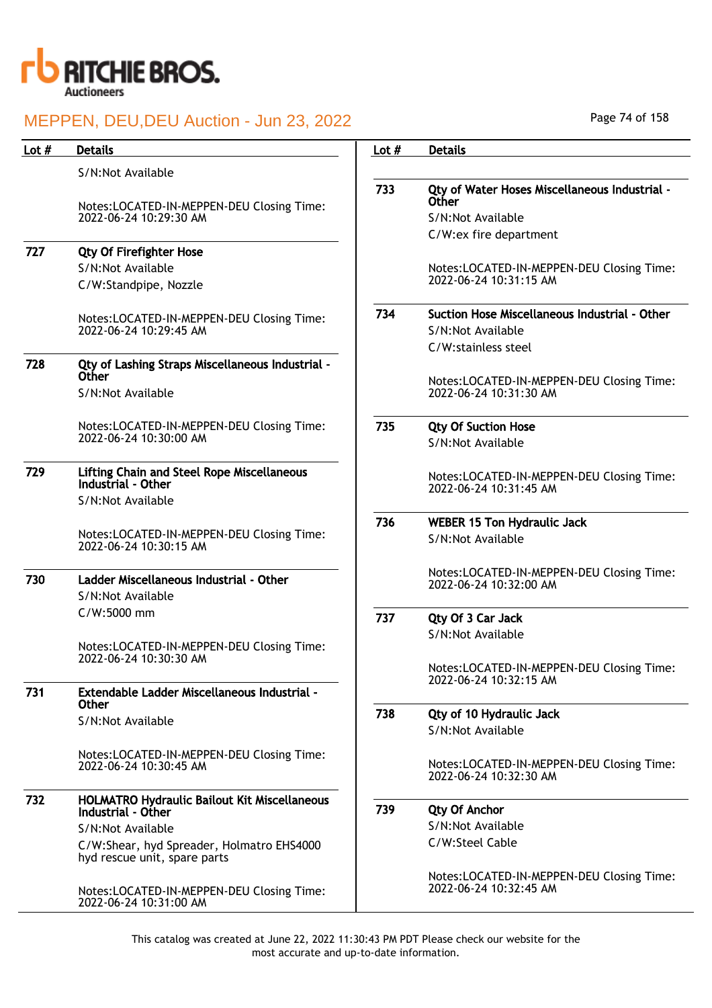

| Lot $#$ | <b>Details</b>                                                            | Lot $#$ | <b>Details</b>                                                      |
|---------|---------------------------------------------------------------------------|---------|---------------------------------------------------------------------|
|         | S/N:Not Available                                                         |         |                                                                     |
|         | Notes:LOCATED-IN-MEPPEN-DEU Closing Time:                                 | 733     | Qty of Water Hoses Miscellaneous Industrial -<br>Other              |
|         | 2022-06-24 10:29:30 AM                                                    |         | S/N:Not Available                                                   |
|         |                                                                           |         | C/W:ex fire department                                              |
| 727     | <b>Qty Of Firefighter Hose</b>                                            |         |                                                                     |
|         | S/N:Not Available                                                         |         | Notes:LOCATED-IN-MEPPEN-DEU Closing Time:                           |
|         | C/W:Standpipe, Nozzle                                                     |         | 2022-06-24 10:31:15 AM                                              |
|         | Notes:LOCATED-IN-MEPPEN-DEU Closing Time:                                 | 734     | Suction Hose Miscellaneous Industrial - Other                       |
|         | 2022-06-24 10:29:45 AM                                                    |         | S/N:Not Available                                                   |
|         |                                                                           |         | C/W:stainless steel                                                 |
| 728     | Qty of Lashing Straps Miscellaneous Industrial -<br>Other                 |         |                                                                     |
|         | S/N:Not Available                                                         |         | Notes:LOCATED-IN-MEPPEN-DEU Closing Time:<br>2022-06-24 10:31:30 AM |
|         | Notes:LOCATED-IN-MEPPEN-DEU Closing Time:                                 | 735     | <b>Qty Of Suction Hose</b>                                          |
|         | 2022-06-24 10:30:00 AM                                                    |         | S/N:Not Available                                                   |
| 729     | <b>Lifting Chain and Steel Rope Miscellaneous</b><br>Industrial - Other   |         | Notes:LOCATED-IN-MEPPEN-DEU Closing Time:<br>2022-06-24 10:31:45 AM |
|         | S/N:Not Available                                                         |         |                                                                     |
|         |                                                                           | 736     | <b>WEBER 15 Ton Hydraulic Jack</b>                                  |
|         | Notes:LOCATED-IN-MEPPEN-DEU Closing Time:<br>2022-06-24 10:30:15 AM       |         | S/N:Not Available                                                   |
| 730     | Ladder Miscellaneous Industrial - Other<br>S/N:Not Available              |         | Notes:LOCATED-IN-MEPPEN-DEU Closing Time:<br>2022-06-24 10:32:00 AM |
|         | C/W:5000 mm                                                               |         |                                                                     |
|         |                                                                           | 737     | Qty Of 3 Car Jack                                                   |
|         | Notes:LOCATED-IN-MEPPEN-DEU Closing Time:                                 |         | S/N:Not Available                                                   |
|         | 2022-06-24 10:30:30 AM                                                    |         |                                                                     |
|         |                                                                           |         | Notes:LOCATED-IN-MEPPEN-DEU Closing Time:<br>2022-06-24 10:32:15 AM |
| 731     | Extendable Ladder Miscellaneous Industrial -<br><b>Other</b>              |         |                                                                     |
|         | S/N:Not Available                                                         | 738     | Qty of 10 Hydraulic Jack                                            |
|         |                                                                           |         | S/N:Not Available                                                   |
|         | Notes:LOCATED-IN-MEPPEN-DEU Closing Time:                                 |         |                                                                     |
|         | 2022-06-24 10:30:45 AM                                                    |         | Notes:LOCATED-IN-MEPPEN-DEU Closing Time:<br>2022-06-24 10:32:30 AM |
| 732     | HOLMATRO Hydraulic Bailout Kit Miscellaneous                              |         |                                                                     |
|         | Industrial - Other                                                        | 739     | <b>Qty Of Anchor</b>                                                |
|         | S/N:Not Available                                                         |         | S/N:Not Available                                                   |
|         | C/W:Shear, hyd Spreader, Holmatro EHS4000<br>hyd rescue unit, spare parts |         | C/W:Steel Cable                                                     |
|         | Notes:LOCATED-IN-MEPPEN-DEU Closing Time:<br>2022-06-24 10:31:00 AM       |         | Notes:LOCATED-IN-MEPPEN-DEU Closing Time:<br>2022-06-24 10:32:45 AM |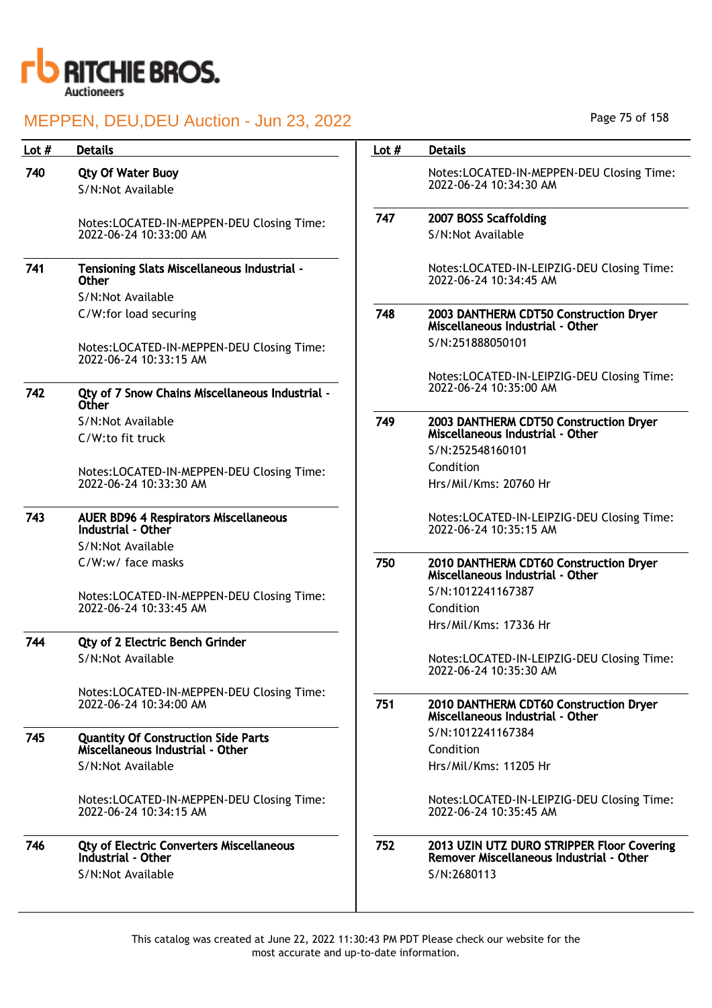

| Lot $#$ | <b>Details</b>                                                                 | Lot $#$ | <b>Details</b>                                                                         |
|---------|--------------------------------------------------------------------------------|---------|----------------------------------------------------------------------------------------|
| 740     | <b>Qty Of Water Buoy</b><br>S/N:Not Available                                  |         | Notes:LOCATED-IN-MEPPEN-DEU Closing Time:<br>2022-06-24 10:34:30 AM                    |
|         | Notes:LOCATED-IN-MEPPEN-DEU Closing Time:                                      | 747     | 2007 BOSS Scaffolding                                                                  |
|         | 2022-06-24 10:33:00 AM                                                         |         | S/N:Not Available                                                                      |
| 741     | Tensioning Slats Miscellaneous Industrial -<br><b>Other</b>                    |         | Notes:LOCATED-IN-LEIPZIG-DEU Closing Time:<br>2022-06-24 10:34:45 AM                   |
|         | S/N:Not Available                                                              |         |                                                                                        |
|         | C/W:for load securing                                                          | 748     | 2003 DANTHERM CDT50 Construction Dryer<br>Miscellaneous Industrial - Other             |
|         | Notes:LOCATED-IN-MEPPEN-DEU Closing Time:<br>2022-06-24 10:33:15 AM            |         | S/N:251888050101                                                                       |
|         |                                                                                |         | Notes:LOCATED-IN-LEIPZIG-DEU Closing Time:                                             |
| 742     | Qty of 7 Snow Chains Miscellaneous Industrial -<br><b>Other</b>                |         | 2022-06-24 10:35:00 AM                                                                 |
|         | S/N:Not Available                                                              | 749     | 2003 DANTHERM CDT50 Construction Dryer                                                 |
|         | C/W:to fit truck                                                               |         | Miscellaneous Industrial - Other                                                       |
|         |                                                                                |         | S/N:252548160101<br>Condition                                                          |
|         | Notes:LOCATED-IN-MEPPEN-DEU Closing Time:<br>2022-06-24 10:33:30 AM            |         | Hrs/Mil/Kms: 20760 Hr                                                                  |
|         |                                                                                |         |                                                                                        |
| 743     | <b>AUER BD96 4 Respirators Miscellaneous</b>                                   |         | Notes:LOCATED-IN-LEIPZIG-DEU Closing Time:                                             |
|         | Industrial - Other                                                             |         | 2022-06-24 10:35:15 AM                                                                 |
|         | S/N:Not Available                                                              |         |                                                                                        |
|         | C/W:w/ face masks                                                              | 750     | 2010 DANTHERM CDT60 Construction Dryer<br>Miscellaneous Industrial - Other             |
|         | Notes:LOCATED-IN-MEPPEN-DEU Closing Time:                                      |         | S/N:1012241167387                                                                      |
|         | 2022-06-24 10:33:45 AM                                                         |         | Condition                                                                              |
|         |                                                                                |         | Hrs/Mil/Kms: 17336 Hr                                                                  |
| 744     | <b>Qty of 2 Electric Bench Grinder</b>                                         |         |                                                                                        |
|         | S/N:Not Available                                                              |         | Notes:LOCATED-IN-LEIPZIG-DEU Closing Time:<br>2022-06-24 10:35:30 AM                   |
|         | Notes:LOCATED-IN-MEPPEN-DEU Closing Time:                                      |         |                                                                                        |
|         | 2022-06-24 10:34:00 AM                                                         | 751     | 2010 DANTHERM CDT60 Construction Dryer<br>Miscellaneous Industrial - Other             |
|         |                                                                                |         | S/N:1012241167384                                                                      |
| 745     | <b>Quantity Of Construction Side Parts</b><br>Miscellaneous Industrial - Other |         | Condition                                                                              |
|         | S/N:Not Available                                                              |         | Hrs/Mil/Kms: 11205 Hr                                                                  |
|         |                                                                                |         |                                                                                        |
|         | Notes:LOCATED-IN-MEPPEN-DEU Closing Time:<br>2022-06-24 10:34:15 AM            |         | Notes:LOCATED-IN-LEIPZIG-DEU Closing Time:<br>2022-06-24 10:35:45 AM                   |
| 746     | <b>Qty of Electric Converters Miscellaneous</b><br>Industrial - Other          | 752     | 2013 UZIN UTZ DURO STRIPPER Floor Covering<br>Remover Miscellaneous Industrial - Other |
|         | S/N:Not Available                                                              |         | S/N:2680113                                                                            |
|         |                                                                                |         |                                                                                        |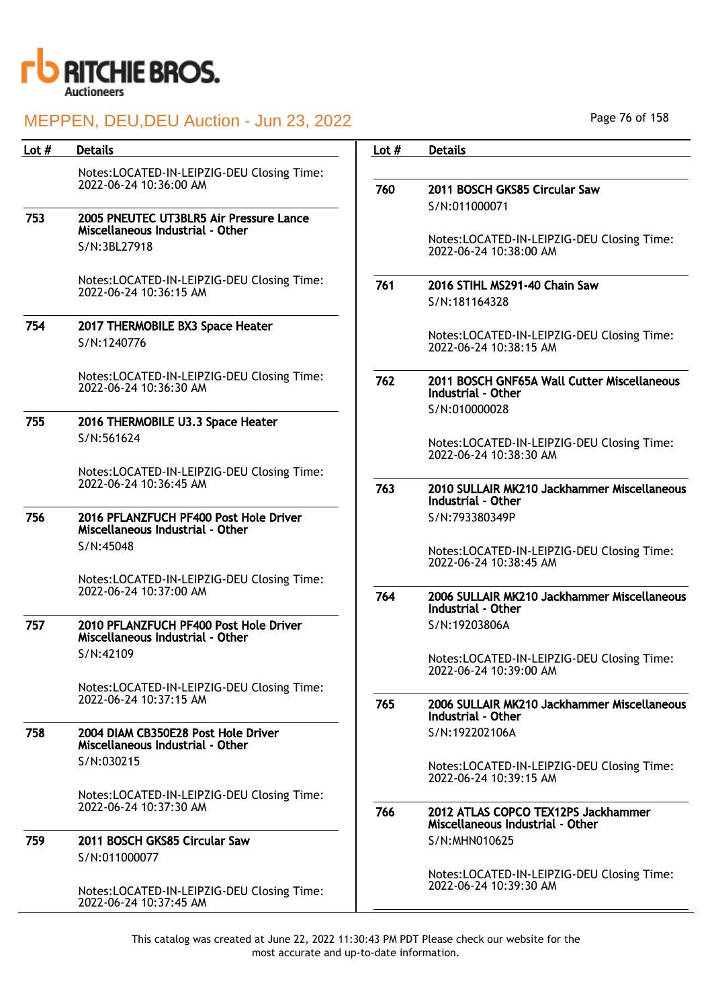

## MEPPEN, DEU,DEU Auction - Jun 23, 2022

| Lot $#$ | <b>Details</b>                                                             | Lot $#$ | <b>Details</b>                                                          |
|---------|----------------------------------------------------------------------------|---------|-------------------------------------------------------------------------|
|         | Notes:LOCATED-IN-LEIPZIG-DEU Closing Time:                                 |         |                                                                         |
|         | 2022-06-24 10:36:00 AM                                                     | 760     | 2011 BOSCH GKS85 Circular Saw                                           |
|         |                                                                            |         | S/N:011000071                                                           |
| 753     | 2005 PNEUTEC UT3BLR5 Air Pressure Lance                                    |         |                                                                         |
|         | Miscellaneous Industrial - Other                                           |         | Notes:LOCATED-IN-LEIPZIG-DEU Closing Time:                              |
|         | S/N:3BL27918                                                               |         | 2022-06-24 10:38:00 AM                                                  |
|         | Notes:LOCATED-IN-LEIPZIG-DEU Closing Time:                                 | 761     | 2016 STIHL MS291-40 Chain Saw                                           |
|         | 2022-06-24 10:36:15 AM                                                     |         | S/N:181164328                                                           |
| 754     | 2017 THERMOBILE BX3 Space Heater                                           |         |                                                                         |
|         | S/N:1240776                                                                |         | Notes:LOCATED-IN-LEIPZIG-DEU Closing Time:<br>2022-06-24 10:38:15 AM    |
|         |                                                                            |         |                                                                         |
|         | Notes:LOCATED-IN-LEIPZIG-DEU Closing Time:<br>2022-06-24 10:36:30 AM       | 762     | 2011 BOSCH GNF65A Wall Cutter Miscellaneous                             |
|         |                                                                            |         | Industrial - Other                                                      |
| 755     | 2016 THERMOBILE U3.3 Space Heater                                          |         | S/N:010000028                                                           |
|         | S/N:561624                                                                 |         | Notes:LOCATED-IN-LEIPZIG-DEU Closing Time:                              |
|         |                                                                            |         | 2022-06-24 10:38:30 AM                                                  |
|         | Notes:LOCATED-IN-LEIPZIG-DEU Closing Time:                                 |         |                                                                         |
|         | 2022-06-24 10:36:45 AM                                                     | 763     | 2010 SULLAIR MK210 Jackhammer Miscellaneous                             |
| 756     |                                                                            |         | Industrial - Other                                                      |
|         | 2016 PFLANZFUCH PF400 Post Hole Driver<br>Miscellaneous Industrial - Other |         | S/N:793380349P                                                          |
|         | S/N:45048                                                                  |         | Notes:LOCATED-IN-LEIPZIG-DEU Closing Time:                              |
|         |                                                                            |         | 2022-06-24 10:38:45 AM                                                  |
|         | Notes:LOCATED-IN-LEIPZIG-DEU Closing Time:                                 |         |                                                                         |
|         | 2022-06-24 10:37:00 AM                                                     | 764     | 2006 SULLAIR MK210 Jackhammer Miscellaneous                             |
| 757     | 2010 PFLANZFUCH PF400 Post Hole Driver                                     |         | Industrial - Other<br>S/N:19203806A                                     |
|         | Miscellaneous Industrial - Other                                           |         |                                                                         |
|         | S/N:42109                                                                  |         | Notes:LOCATED-IN-LEIPZIG-DEU Closing Time:                              |
|         |                                                                            |         | 2022-06-24 10:39:00 AM                                                  |
|         | Notes:LOCATED-IN-LEIPZIG-DEU Closing Time:                                 |         |                                                                         |
|         | 2022-06-24 10:37:15 AM                                                     | 765     | 2006 SULLAIR MK210 Jackhammer Miscellaneous<br>Industrial - Other       |
| 758     | 2004 DIAM CB350E28 Post Hole Driver<br>Miscellaneous Industrial - Other    |         | S/N:192202106A                                                          |
|         | S/N:030215                                                                 |         | Notes:LOCATED-IN-LEIPZIG-DEU Closing Time:                              |
|         |                                                                            |         | 2022-06-24 10:39:15 AM                                                  |
|         | Notes:LOCATED-IN-LEIPZIG-DEU Closing Time:                                 |         |                                                                         |
|         | 2022-06-24 10:37:30 AM                                                     | 766     | 2012 ATLAS COPCO TEX12PS Jackhammer<br>Miscellaneous Industrial - Other |
| 759     | 2011 BOSCH GKS85 Circular Saw                                              |         | S/N:MHN010625                                                           |
|         | S/N:011000077                                                              |         |                                                                         |
|         |                                                                            |         | Notes:LOCATED-IN-LEIPZIG-DEU Closing Time:                              |
|         | Notes:LOCATED-IN-LEIPZIG-DEU Closing Time:                                 |         | 2022-06-24 10:39:30 AM                                                  |
|         | 2022-06-24 10:37:45 AM                                                     |         |                                                                         |

Page 76 of 158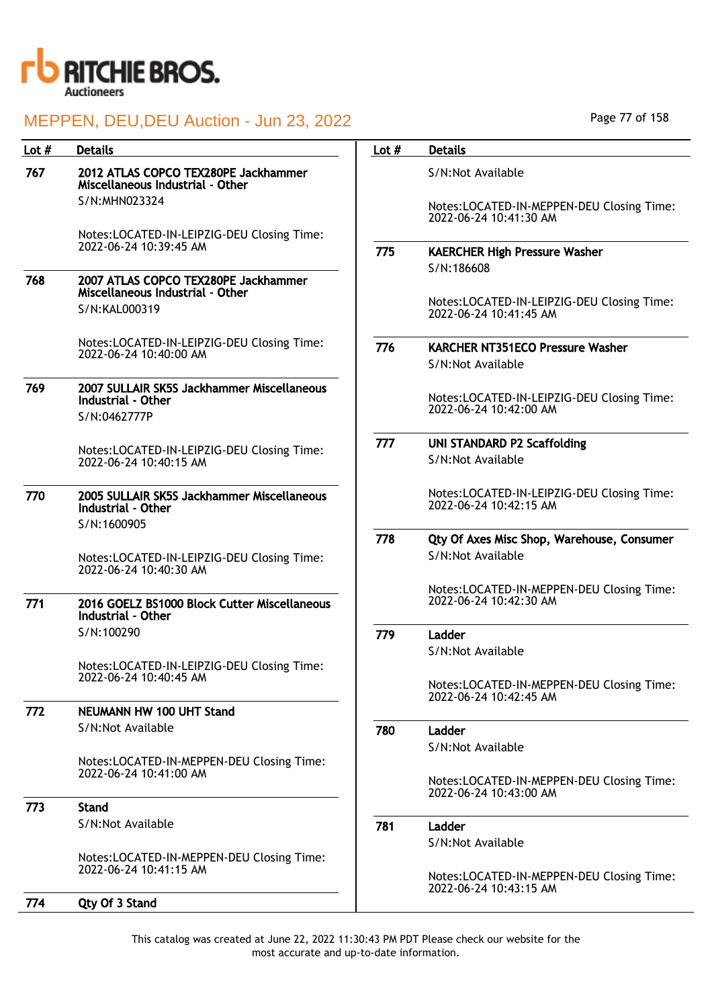

| Lot $#$ | <b>Details</b>                                                           | Lot $#$ | <b>Details</b>                                                      |
|---------|--------------------------------------------------------------------------|---------|---------------------------------------------------------------------|
| 767     | 2012 ATLAS COPCO TEX280PE Jackhammer<br>Miscellaneous Industrial - Other |         | S/N:Not Available                                                   |
|         | S/N:MHN023324                                                            |         | Notes:LOCATED-IN-MEPPEN-DEU Closing Time:<br>2022-06-24 10:41:30 AM |
|         | Notes:LOCATED-IN-LEIPZIG-DEU Closing Time:<br>2022-06-24 10:39:45 AM     |         |                                                                     |
|         |                                                                          | 775     | <b>KAERCHER High Pressure Washer</b>                                |
| 768     | 2007 ATLAS COPCO TEX280PE Jackhammer                                     |         | S/N:186608                                                          |
|         | Miscellaneous Industrial - Other                                         |         | Notes:LOCATED-IN-LEIPZIG-DEU Closing Time:                          |
|         | S/N:KAL000319                                                            |         | 2022-06-24 10:41:45 AM                                              |
|         | Notes:LOCATED-IN-LEIPZIG-DEU Closing Time:                               | 776     | <b>KARCHER NT351ECO Pressure Washer</b>                             |
|         | 2022-06-24 10:40:00 AM                                                   |         | S/N:Not Available                                                   |
| 769     | 2007 SULLAIR SK5S Jackhammer Miscellaneous                               |         |                                                                     |
|         | Industrial - Other                                                       |         | Notes:LOCATED-IN-LEIPZIG-DEU Closing Time:                          |
|         | S/N:0462777P                                                             |         | 2022-06-24 10:42:00 AM                                              |
|         | Notes:LOCATED-IN-LEIPZIG-DEU Closing Time:                               | 777     | <b>UNI STANDARD P2 Scaffolding</b>                                  |
|         | 2022-06-24 10:40:15 AM                                                   |         | S/N:Not Available                                                   |
| 770     | 2005 SULLAIR SK5S Jackhammer Miscellaneous                               |         | Notes:LOCATED-IN-LEIPZIG-DEU Closing Time:                          |
|         | Industrial - Other                                                       |         | 2022-06-24 10:42:15 AM                                              |
|         | S/N:1600905                                                              |         |                                                                     |
|         |                                                                          | 778     | Qty Of Axes Misc Shop, Warehouse, Consumer                          |
|         | Notes:LOCATED-IN-LEIPZIG-DEU Closing Time:<br>2022-06-24 10:40:30 AM     |         | S/N:Not Available                                                   |
|         |                                                                          |         | Notes:LOCATED-IN-MEPPEN-DEU Closing Time:                           |
| 771     | 2016 GOELZ BS1000 Block Cutter Miscellaneous                             |         | 2022-06-24 10:42:30 AM                                              |
|         | Industrial - Other                                                       |         |                                                                     |
|         | S/N:100290                                                               | 779     | Ladder                                                              |
|         | Notes:LOCATED-IN-LEIPZIG-DEU Closing Time:                               |         | S/N:Not Available                                                   |
|         | 2022-06-24 10:40:45 AM                                                   |         |                                                                     |
|         |                                                                          |         | Notes:LOCATED-IN-MEPPEN-DEU Closing Time:<br>2022-06-24 10:42:45 AM |
| 772     | <b>NEUMANN HW 100 UHT Stand</b>                                          |         |                                                                     |
|         | S/N:Not Available                                                        | 780     | Ladder                                                              |
|         |                                                                          |         | S/N:Not Available                                                   |
|         | Notes:LOCATED-IN-MEPPEN-DEU Closing Time:<br>2022-06-24 10:41:00 AM      |         |                                                                     |
|         |                                                                          |         | Notes:LOCATED-IN-MEPPEN-DEU Closing Time:<br>2022-06-24 10:43:00 AM |
| 773     | <b>Stand</b>                                                             |         |                                                                     |
|         | S/N:Not Available                                                        | 781     | Ladder                                                              |
|         |                                                                          |         | S/N:Not Available                                                   |
|         | Notes:LOCATED-IN-MEPPEN-DEU Closing Time:<br>2022-06-24 10:41:15 AM      |         |                                                                     |
|         |                                                                          |         | Notes:LOCATED-IN-MEPPEN-DEU Closing Time:<br>2022-06-24 10:43:15 AM |
| 774     | Qty Of 3 Stand                                                           |         |                                                                     |
|         |                                                                          |         |                                                                     |

Page 77 of 158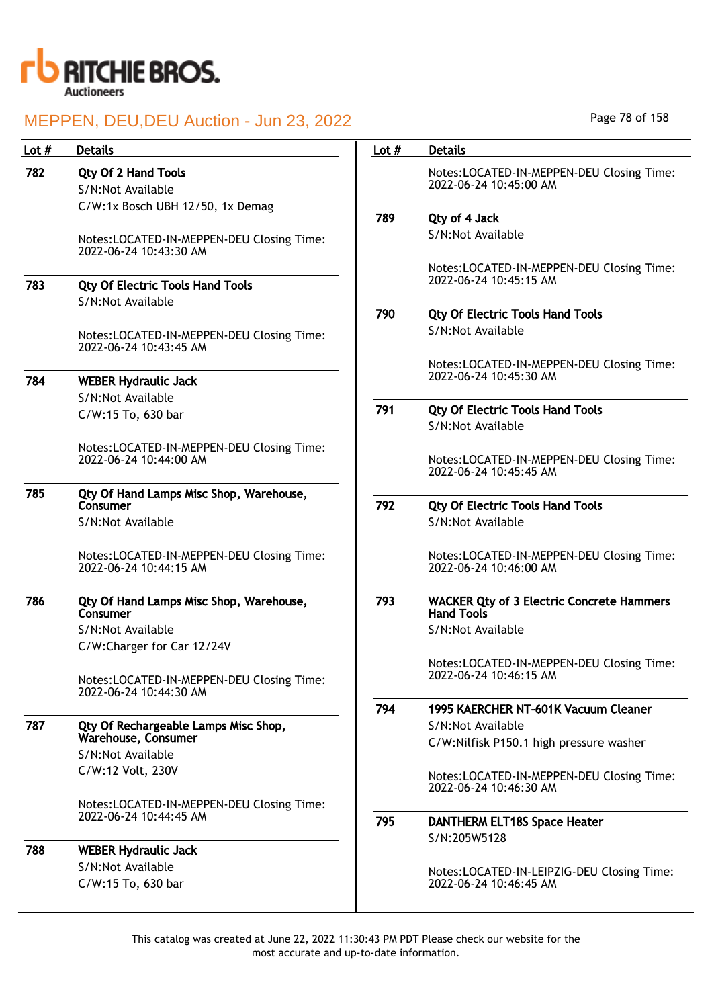

| Lot $#$ | <b>Details</b>                                                      | Lot $#$ | <b>Details</b>                                                        |
|---------|---------------------------------------------------------------------|---------|-----------------------------------------------------------------------|
| 782     | <b>Qty Of 2 Hand Tools</b>                                          |         | Notes:LOCATED-IN-MEPPEN-DEU Closing Time:                             |
|         | S/N:Not Available                                                   |         | 2022-06-24 10:45:00 AM                                                |
|         | C/W:1x Bosch UBH 12/50, 1x Demag                                    |         |                                                                       |
|         |                                                                     | 789     | Qty of 4 Jack                                                         |
|         | Notes:LOCATED-IN-MEPPEN-DEU Closing Time:<br>2022-06-24 10:43:30 AM |         | S/N:Not Available                                                     |
| 783     | <b>Qty Of Electric Tools Hand Tools</b>                             |         | Notes:LOCATED-IN-MEPPEN-DEU Closing Time:<br>2022-06-24 10:45:15 AM   |
|         | S/N:Not Available                                                   |         |                                                                       |
|         |                                                                     | 790     | <b>Qty Of Electric Tools Hand Tools</b>                               |
|         | Notes:LOCATED-IN-MEPPEN-DEU Closing Time:<br>2022-06-24 10:43:45 AM |         | S/N:Not Available                                                     |
| 784     | <b>WEBER Hydraulic Jack</b>                                         |         | Notes:LOCATED-IN-MEPPEN-DEU Closing Time:<br>2022-06-24 10:45:30 AM   |
|         | S/N:Not Available                                                   |         |                                                                       |
|         | C/W:15 To, 630 bar                                                  | 791     | <b>Qty Of Electric Tools Hand Tools</b><br>S/N:Not Available          |
|         | Notes:LOCATED-IN-MEPPEN-DEU Closing Time:                           |         |                                                                       |
|         | 2022-06-24 10:44:00 AM                                              |         | Notes:LOCATED-IN-MEPPEN-DEU Closing Time:<br>2022-06-24 10:45:45 AM   |
| 785     | Qty Of Hand Lamps Misc Shop, Warehouse,                             |         |                                                                       |
|         | Consumer                                                            | 792     | <b>Qty Of Electric Tools Hand Tools</b>                               |
|         | S/N:Not Available                                                   |         | S/N:Not Available                                                     |
|         | Notes:LOCATED-IN-MEPPEN-DEU Closing Time:<br>2022-06-24 10:44:15 AM |         | Notes:LOCATED-IN-MEPPEN-DEU Closing Time:<br>2022-06-24 10:46:00 AM   |
| 786     | Qty Of Hand Lamps Misc Shop, Warehouse,<br>Consumer                 | 793     | <b>WACKER Qty of 3 Electric Concrete Hammers</b><br><b>Hand Tools</b> |
|         | S/N:Not Available                                                   |         | S/N:Not Available                                                     |
|         | C/W:Charger for Car 12/24V                                          |         |                                                                       |
|         | Notes:LOCATED-IN-MEPPEN-DEU Closing Time:<br>2022-06-24 10:44:30 AM |         | Notes:LOCATED-IN-MEPPEN-DEU Closing Time:<br>2022-06-24 10:46:15 AM   |
|         |                                                                     | 794     | 1995 KAERCHER NT-601K Vacuum Cleaner                                  |
| 787     | Qty Of Rechargeable Lamps Misc Shop,                                |         | S/N:Not Available                                                     |
|         | Warehouse, Consumer                                                 |         | C/W:Nilfisk P150.1 high pressure washer                               |
|         | S/N:Not Available                                                   |         |                                                                       |
|         | C/W:12 Volt, 230V                                                   |         | Notes:LOCATED-IN-MEPPEN-DEU Closing Time:                             |
|         |                                                                     |         | 2022-06-24 10:46:30 AM                                                |
|         | Notes:LOCATED-IN-MEPPEN-DEU Closing Time:<br>2022-06-24 10:44:45 AM |         |                                                                       |
|         |                                                                     | 795     | <b>DANTHERM ELT18S Space Heater</b>                                   |
| 788     | <b>WEBER Hydraulic Jack</b>                                         |         | S/N:205W5128                                                          |
|         | S/N:Not Available                                                   |         | Notes:LOCATED-IN-LEIPZIG-DEU Closing Time:                            |
|         | C/W:15 To, 630 bar                                                  |         | 2022-06-24 10:46:45 AM                                                |
|         |                                                                     |         |                                                                       |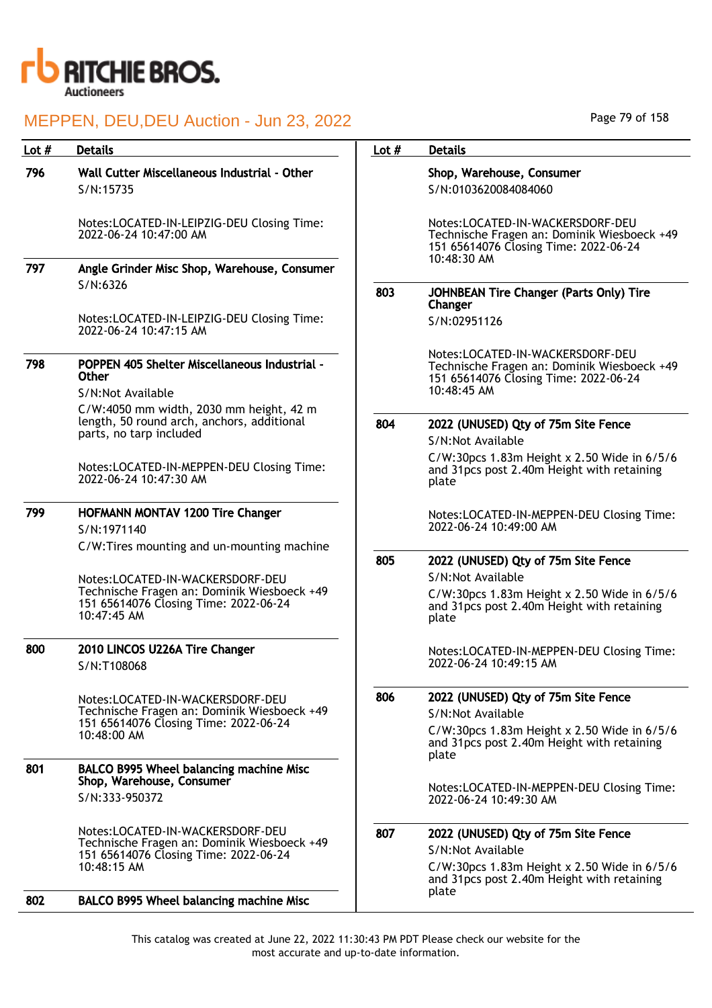

| Lot # | <b>Details</b>                                                                                                   | Lot $#$ | <b>Details</b>                                                                                                                            |
|-------|------------------------------------------------------------------------------------------------------------------|---------|-------------------------------------------------------------------------------------------------------------------------------------------|
| 796   | Wall Cutter Miscellaneous Industrial - Other<br>S/N:15735                                                        |         | Shop, Warehouse, Consumer<br>S/N:0103620084084060                                                                                         |
|       | Notes:LOCATED-IN-LEIPZIG-DEU Closing Time:<br>2022-06-24 10:47:00 AM                                             |         | Notes:LOCATED-IN-WACKERSDORF-DEU<br>Technische Fragen an: Dominik Wiesboeck +49<br>151 65614076 Closing Time: 2022-06-24<br>$10:48:30$ AM |
| 797   | Angle Grinder Misc Shop, Warehouse, Consumer                                                                     |         |                                                                                                                                           |
|       | S/N:6326                                                                                                         | 803     | JOHNBEAN Tire Changer (Parts Only) Tire<br>Changer                                                                                        |
|       | Notes:LOCATED-IN-LEIPZIG-DEU Closing Time:<br>2022-06-24 10:47:15 AM                                             |         | S/N:02951126                                                                                                                              |
| 798   | POPPEN 405 Shelter Miscellaneous Industrial -<br><b>Other</b><br>S/N:Not Available                               |         | Notes:LOCATED-IN-WACKERSDORF-DEU<br>Technische Fragen an: Dominik Wiesboeck +49<br>151 65614076 Closing Time: 2022-06-24<br>$10:48:45$ AM |
|       | C/W:4050 mm width, 2030 mm height, 42 m<br>length, 50 round arch, anchors, additional<br>parts, no tarp included | 804     | 2022 (UNUSED) Qty of 75m Site Fence                                                                                                       |
|       |                                                                                                                  |         | S/N:Not Available                                                                                                                         |
|       | Notes:LOCATED-IN-MEPPEN-DEU Closing Time:<br>2022-06-24 10:47:30 AM                                              |         | C/W:30pcs 1.83m Height x 2.50 Wide in 6/5/6<br>and 31pcs post 2.40m Height with retaining<br>plate                                        |
| 799   | HOFMANN MONTAV 1200 Tire Changer<br>S/N:1971140                                                                  |         | Notes:LOCATED-IN-MEPPEN-DEU Closing Time:<br>2022-06-24 10:49:00 AM                                                                       |
|       | C/W:Tires mounting and un-mounting machine                                                                       | 805     | 2022 (UNUSED) Qty of 75m Site Fence                                                                                                       |
|       | Notes:LOCATED-IN-WACKERSDORF-DEU                                                                                 |         | S/N:Not Available                                                                                                                         |
|       | Technische Fragen an: Dominik Wiesboeck +49<br>151 65614076 Closing Time: 2022-06-24<br>10:47:45 AM              |         | C/W:30pcs 1.83m Height x 2.50 Wide in 6/5/6<br>and 31 pcs post 2.40m Height with retaining<br>plate                                       |
| 800   | 2010 LINCOS U226A Tire Changer<br>S/N:T108068                                                                    |         | Notes:LOCATED-IN-MEPPEN-DEU Closing Time:<br>2022-06-24 10:49:15 AM                                                                       |
|       | Notes:LOCATED-IN-WACKERSDORF-DEU<br>Technische Fragen an: Dominik Wiesboeck +49                                  | 806     | 2022 (UNUSED) Qty of 75m Site Fence<br>S/N:Not Available                                                                                  |
|       | 151 65614076 Closing Time: 2022-06-24<br>10:48:00 AM                                                             |         | C/W:30pcs 1.83m Height x 2.50 Wide in 6/5/6<br>and 31pcs post 2.40m Height with retaining<br>plate                                        |
| 801   | BALCO B995 Wheel balancing machine Misc                                                                          |         |                                                                                                                                           |
|       | Shop, Warehouse, Consumer<br>S/N:333-950372                                                                      |         | Notes:LOCATED-IN-MEPPEN-DEU Closing Time:<br>2022-06-24 10:49:30 AM                                                                       |
|       | Notes:LOCATED-IN-WACKERSDORF-DEU<br>Technische Fragen an: Dominik Wiesboeck +49                                  | 807     | 2022 (UNUSED) Qty of 75m Site Fence<br>S/N:Not Available                                                                                  |
|       | 151 65614076 Closing Time: 2022-06-24<br>10:48:15 AM                                                             |         | C/W:30pcs 1.83m Height x 2.50 Wide in 6/5/6<br>and 31 pcs post 2.40m Height with retaining                                                |
| 802   | BALCO B995 Wheel balancing machine Misc                                                                          |         | plate                                                                                                                                     |

Page 79 of 158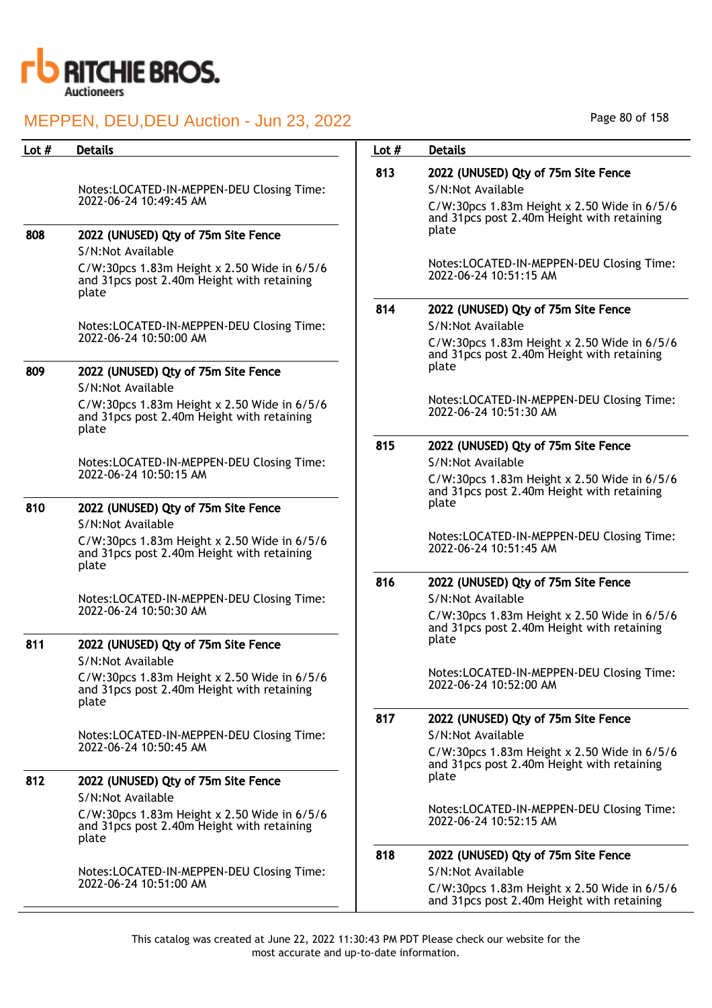

| Lot $#$ | <b>Details</b>                                                                                                           | Lot $#$ | <b>Details</b>                                                                                                                                         |
|---------|--------------------------------------------------------------------------------------------------------------------------|---------|--------------------------------------------------------------------------------------------------------------------------------------------------------|
|         | Notes:LOCATED-IN-MEPPEN-DEU Closing Time:<br>2022-06-24 10:49:45 AM                                                      | 813     | 2022 (UNUSED) Qty of 75m Site Fence<br>S/N:Not Available<br>C/W:30pcs 1.83m Height x 2.50 Wide in 6/5/6<br>and 31 pcs post 2.40m Height with retaining |
| 808     | 2022 (UNUSED) Qty of 75m Site Fence<br>S/N:Not Available                                                                 |         | plate                                                                                                                                                  |
|         | C/W:30pcs 1.83m Height x 2.50 Wide in 6/5/6<br>and 31 pcs post 2.40m Height with retaining<br>plate                      |         | Notes:LOCATED-IN-MEPPEN-DEU Closing Time:<br>2022-06-24 10:51:15 AM                                                                                    |
|         |                                                                                                                          | 814     | 2022 (UNUSED) Qty of 75m Site Fence                                                                                                                    |
|         | Notes:LOCATED-IN-MEPPEN-DEU Closing Time:                                                                                |         | S/N:Not Available                                                                                                                                      |
|         | 2022-06-24 10:50:00 AM                                                                                                   |         | C/W:30pcs 1.83m Height x 2.50 Wide in 6/5/6<br>and 31pcs post 2.40m Height with retaining<br>plate                                                     |
| 809     | 2022 (UNUSED) Qty of 75m Site Fence<br>S/N:Not Available                                                                 |         |                                                                                                                                                        |
|         | C/W:30pcs 1.83m Height x 2.50 Wide in 6/5/6<br>and 31 pcs post 2.40m Height with retaining<br>plate                      |         | Notes:LOCATED-IN-MEPPEN-DEU Closing Time:<br>2022-06-24 10:51:30 AM                                                                                    |
|         |                                                                                                                          | 815     | 2022 (UNUSED) Qty of 75m Site Fence                                                                                                                    |
|         | Notes:LOCATED-IN-MEPPEN-DEU Closing Time:                                                                                |         | S/N:Not Available                                                                                                                                      |
|         | 2022-06-24 10:50:15 AM                                                                                                   |         | C/W:30pcs 1.83m Height x 2.50 Wide in $6/5/6$<br>and 31 pcs post 2.40m Height with retaining                                                           |
| 810     | 2022 (UNUSED) Qty of 75m Site Fence                                                                                      |         | plate                                                                                                                                                  |
|         | S/N:Not Available                                                                                                        |         |                                                                                                                                                        |
|         | $C/W:30pcs$ 1.83m Height x 2.50 Wide in 6/5/6<br>and 31 pcs post 2.40m Height with retaining<br>plate                    |         | Notes:LOCATED-IN-MEPPEN-DEU Closing Time:<br>2022-06-24 10:51:45 AM                                                                                    |
|         |                                                                                                                          | 816     | 2022 (UNUSED) Qty of 75m Site Fence                                                                                                                    |
|         | Notes:LOCATED-IN-MEPPEN-DEU Closing Time:                                                                                |         | S/N:Not Available                                                                                                                                      |
|         | 2022-06-24 10:50:30 AM                                                                                                   |         | C/W:30pcs 1.83m Height x 2.50 Wide in $6/5/6$<br>and 31pcs post 2.40m Height with retaining<br>plate                                                   |
| 811     | 2022 (UNUSED) Qty of 75m Site Fence                                                                                      |         |                                                                                                                                                        |
|         | S/N:Not Available<br>C/W:30pcs 1.83m Height x 2.50 Wide in 6/5/6<br>and 31 pcs post 2.40m Height with retaining<br>plate |         | Notes:LOCATED-IN-MEPPEN-DEU Closing Time:<br>2022-06-24 10:52:00 AM                                                                                    |
|         |                                                                                                                          | 817     | 2022 (UNUSED) Qty of 75m Site Fence                                                                                                                    |
|         | Notes:LOCATED-IN-MEPPEN-DEU Closing Time:                                                                                |         | S/N:Not Available                                                                                                                                      |
|         | 2022-06-24 10:50:45 AM                                                                                                   |         | C/W:30pcs 1.83m Height x 2.50 Wide in 6/5/6                                                                                                            |
|         |                                                                                                                          |         | and 31 pcs post 2.40m Height with retaining                                                                                                            |
| 812     | 2022 (UNUSED) Qty of 75m Site Fence                                                                                      |         | plate                                                                                                                                                  |
|         | S/N:Not Available                                                                                                        |         | Notes:LOCATED-IN-MEPPEN-DEU Closing Time:                                                                                                              |
|         | $C/W:30pcs$ 1.83m Height x 2.50 Wide in 6/5/6<br>and 31 pcs post 2.40m Height with retaining<br>plate                    |         | 2022-06-24 10:52:15 AM                                                                                                                                 |
|         |                                                                                                                          | 818     | 2022 (UNUSED) Qty of 75m Site Fence                                                                                                                    |
|         | Notes:LOCATED-IN-MEPPEN-DEU Closing Time:                                                                                |         | S/N:Not Available                                                                                                                                      |
|         | 2022-06-24 10:51:00 AM                                                                                                   |         | C/W:30pcs 1.83m Height x 2.50 Wide in 6/5/6<br>and 31 pcs post 2.40m Height with retaining                                                             |

Page 80 of 158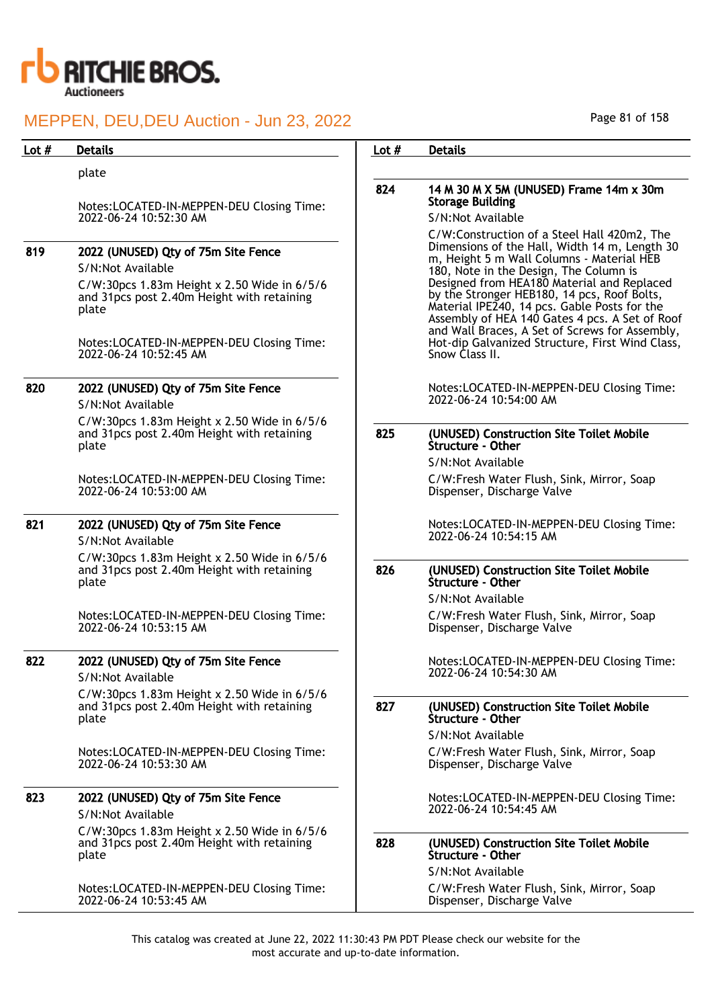

| Lot $#$ | <b>Details</b>                                                                                        | Lot $#$ | <b>Details</b>                                                                                                                                                                                                                                |
|---------|-------------------------------------------------------------------------------------------------------|---------|-----------------------------------------------------------------------------------------------------------------------------------------------------------------------------------------------------------------------------------------------|
|         | plate                                                                                                 |         |                                                                                                                                                                                                                                               |
|         |                                                                                                       | 824     | 14 M 30 M X 5M (UNUSED) Frame 14m x 30m                                                                                                                                                                                                       |
|         | Notes:LOCATED-IN-MEPPEN-DEU Closing Time:<br>2022-06-24 10:52:30 AM                                   |         | <b>Storage Building</b><br>S/N:Not Available                                                                                                                                                                                                  |
|         |                                                                                                       |         | C/W:Construction of a Steel Hall 420m2, The                                                                                                                                                                                                   |
| 819     | 2022 (UNUSED) Qty of 75m Site Fence                                                                   |         | Dimensions of the Hall, Width 14 m, Length 30                                                                                                                                                                                                 |
|         | S/N:Not Available                                                                                     |         | m, Height 5 m Wall Columns - Material HEB<br>180, Note in the Design, The Column is                                                                                                                                                           |
|         | C/W:30pcs 1.83m Height x 2.50 Wide in 6/5/6<br>and 31pcs post 2.40m Height with retaining<br>plate    |         | Designed from HEA180 Material and Replaced<br>by the Stronger HEB180, 14 pcs, Roof Bolts,<br>Material IPE240, 14 pcs. Gable Posts for the<br>Assembly of HEA 140 Gates 4 pcs. A Set of Roof<br>and Wall Braces, A Set of Screws for Assembly, |
|         | Notes:LOCATED-IN-MEPPEN-DEU Closing Time:<br>2022-06-24 10:52:45 AM                                   |         | Hot-dip Galvanized Structure, First Wind Class,<br>Snow Class II.                                                                                                                                                                             |
| 820     | 2022 (UNUSED) Qty of 75m Site Fence                                                                   |         | Notes:LOCATED-IN-MEPPEN-DEU Closing Time:                                                                                                                                                                                                     |
|         | S/N:Not Available                                                                                     |         | 2022-06-24 10:54:00 AM                                                                                                                                                                                                                        |
|         | C/W:30pcs 1.83m Height x 2.50 Wide in 6/5/6<br>and 31 pcs post 2.40m Height with retaining<br>plate   | 825     | (UNUSED) Construction Site Toilet Mobile<br>Structure - Other                                                                                                                                                                                 |
|         |                                                                                                       |         | S/N:Not Available                                                                                                                                                                                                                             |
|         | Notes:LOCATED-IN-MEPPEN-DEU Closing Time:<br>2022-06-24 10:53:00 AM                                   |         | C/W:Fresh Water Flush, Sink, Mirror, Soap<br>Dispenser, Discharge Valve                                                                                                                                                                       |
| 821     | 2022 (UNUSED) Qty of 75m Site Fence<br>S/N:Not Available                                              |         | Notes:LOCATED-IN-MEPPEN-DEU Closing Time:<br>2022-06-24 10:54:15 AM                                                                                                                                                                           |
|         | $C/W:30pcs$ 1.83m Height x 2.50 Wide in 6/5/6<br>and 31pcs post 2.40m Height with retaining<br>plate  | 826     | (UNUSED) Construction Site Toilet Mobile<br>Structure - Other                                                                                                                                                                                 |
|         |                                                                                                       |         | S/N:Not Available                                                                                                                                                                                                                             |
|         | Notes:LOCATED-IN-MEPPEN-DEU Closing Time:<br>2022-06-24 10:53:15 AM                                   |         | C/W:Fresh Water Flush, Sink, Mirror, Soap<br>Dispenser, Discharge Valve                                                                                                                                                                       |
| 822     | 2022 (UNUSED) Qty of 75m Site Fence<br>S/N:Not Available                                              |         | Notes:LOCATED-IN-MEPPEN-DEU Closing Time:<br>2022-06-24 10:54:30 AM                                                                                                                                                                           |
|         | $C/W:30pcs$ 1.83m Height x 2.50 Wide in 6/5/6<br>and 31 pcs post 2.40m Height with retaining<br>plate | 827     | (UNUSED) Construction Site Toilet Mobile<br>Structure - Other                                                                                                                                                                                 |
|         |                                                                                                       |         | S/N:Not Available                                                                                                                                                                                                                             |
|         | Notes:LOCATED-IN-MEPPEN-DEU Closing Time:<br>2022-06-24 10:53:30 AM                                   |         | C/W:Fresh Water Flush, Sink, Mirror, Soap<br>Dispenser, Discharge Valve                                                                                                                                                                       |
| 823     | 2022 (UNUSED) Qty of 75m Site Fence<br>S/N:Not Available                                              |         | Notes:LOCATED-IN-MEPPEN-DEU Closing Time:<br>2022-06-24 10:54:45 AM                                                                                                                                                                           |
|         | C/W:30pcs 1.83m Height x 2.50 Wide in 6/5/6<br>and 31 pcs post 2.40m Height with retaining<br>plate   | 828     | (UNUSED) Construction Site Toilet Mobile<br>Structure - Other                                                                                                                                                                                 |
|         |                                                                                                       |         | S/N:Not Available                                                                                                                                                                                                                             |
|         | Notes:LOCATED-IN-MEPPEN-DEU Closing Time:<br>2022-06-24 10:53:45 AM                                   |         | C/W:Fresh Water Flush, Sink, Mirror, Soap<br>Dispenser, Discharge Valve                                                                                                                                                                       |

Page 81 of 158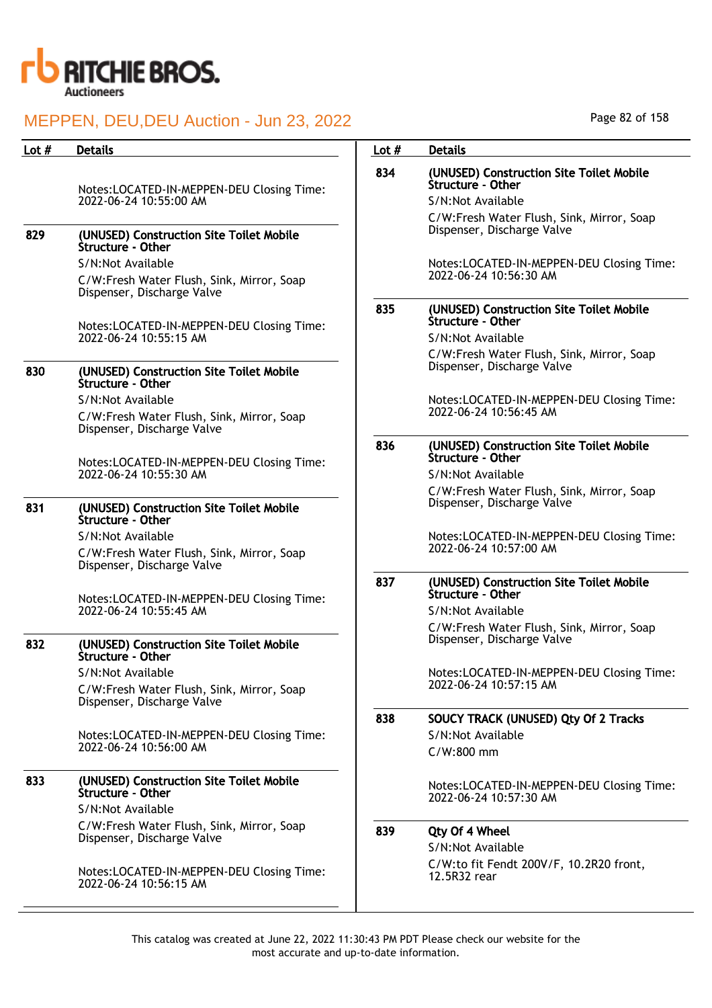

| <b>Details</b>                                                          | Lot $#$                                                                                                                                                                                                                                                                                                                                                                               | <b>Details</b>                                                          |
|-------------------------------------------------------------------------|---------------------------------------------------------------------------------------------------------------------------------------------------------------------------------------------------------------------------------------------------------------------------------------------------------------------------------------------------------------------------------------|-------------------------------------------------------------------------|
| Notes:LOCATED-IN-MEPPEN-DEU Closing Time:                               | 834                                                                                                                                                                                                                                                                                                                                                                                   | (UNUSED) Construction Site Toilet Mobile<br>Structure - Other           |
|                                                                         |                                                                                                                                                                                                                                                                                                                                                                                       | S/N:Not Available                                                       |
| (UNUSED) Construction Site Toilet Mobile                                |                                                                                                                                                                                                                                                                                                                                                                                       | C/W:Fresh Water Flush, Sink, Mirror, Soap<br>Dispenser, Discharge Valve |
|                                                                         |                                                                                                                                                                                                                                                                                                                                                                                       | Notes:LOCATED-IN-MEPPEN-DEU Closing Time:                               |
| C/W:Fresh Water Flush, Sink, Mirror, Soap<br>Dispenser, Discharge Valve |                                                                                                                                                                                                                                                                                                                                                                                       | 2022-06-24 10:56:30 AM                                                  |
|                                                                         | 835                                                                                                                                                                                                                                                                                                                                                                                   | (UNUSED) Construction Site Toilet Mobile<br>Structure - Other           |
| 2022-06-24 10:55:15 AM                                                  |                                                                                                                                                                                                                                                                                                                                                                                       | S/N:Not Available                                                       |
|                                                                         |                                                                                                                                                                                                                                                                                                                                                                                       | C/W:Fresh Water Flush, Sink, Mirror, Soap<br>Dispenser, Discharge Valve |
| Structure - Other                                                       |                                                                                                                                                                                                                                                                                                                                                                                       |                                                                         |
| S/N:Not Available                                                       |                                                                                                                                                                                                                                                                                                                                                                                       | Notes:LOCATED-IN-MEPPEN-DEU Closing Time:<br>2022-06-24 10:56:45 AM     |
|                                                                         |                                                                                                                                                                                                                                                                                                                                                                                       |                                                                         |
|                                                                         | 836                                                                                                                                                                                                                                                                                                                                                                                   | (UNUSED) Construction Site Toilet Mobile<br>Structure - Other           |
| 2022-06-24 10:55:30 AM                                                  |                                                                                                                                                                                                                                                                                                                                                                                       | S/N:Not Available                                                       |
|                                                                         |                                                                                                                                                                                                                                                                                                                                                                                       | C/W:Fresh Water Flush, Sink, Mirror, Soap                               |
| (UNUSED) Construction Site Toilet Mobile<br>Structure - Other           |                                                                                                                                                                                                                                                                                                                                                                                       | Dispenser, Discharge Valve                                              |
| S/N:Not Available                                                       |                                                                                                                                                                                                                                                                                                                                                                                       | Notes:LOCATED-IN-MEPPEN-DEU Closing Time:                               |
| C/W:Fresh Water Flush, Sink, Mirror, Soap<br>Dispenser, Discharge Valve |                                                                                                                                                                                                                                                                                                                                                                                       | 2022-06-24 10:57:00 AM                                                  |
| Notes:LOCATED-IN-MEPPEN-DEU Closing Time:<br>2022-06-24 10:55:45 AM     | 837                                                                                                                                                                                                                                                                                                                                                                                   | (UNUSED) Construction Site Toilet Mobile<br>Structure - Other           |
|                                                                         |                                                                                                                                                                                                                                                                                                                                                                                       | S/N:Not Available                                                       |
|                                                                         |                                                                                                                                                                                                                                                                                                                                                                                       | C/W:Fresh Water Flush, Sink, Mirror, Soap<br>Dispenser, Discharge Valve |
| Structure - Other                                                       |                                                                                                                                                                                                                                                                                                                                                                                       |                                                                         |
| S/N:Not Available                                                       |                                                                                                                                                                                                                                                                                                                                                                                       | Notes:LOCATED-IN-MEPPEN-DEU Closing Time:                               |
| C/W:Fresh Water Flush, Sink, Mirror, Soap<br>Dispenser, Discharge Valve |                                                                                                                                                                                                                                                                                                                                                                                       | 2022-06-24 10:57:15 AM                                                  |
|                                                                         | 838                                                                                                                                                                                                                                                                                                                                                                                   | SOUCY TRACK (UNUSED) Qty Of 2 Tracks                                    |
| Notes:LOCATED-IN-MEPPEN-DEU Closing Time:                               |                                                                                                                                                                                                                                                                                                                                                                                       | S/N:Not Available                                                       |
|                                                                         |                                                                                                                                                                                                                                                                                                                                                                                       | $C/W:800$ mm                                                            |
| (UNUSED) Construction Site Toilet Mobile<br>Structure - Other           |                                                                                                                                                                                                                                                                                                                                                                                       | Notes:LOCATED-IN-MEPPEN-DEU Closing Time:<br>2022-06-24 10:57:30 AM     |
| S/N:Not Available                                                       |                                                                                                                                                                                                                                                                                                                                                                                       |                                                                         |
| C/W:Fresh Water Flush, Sink, Mirror, Soap                               | 839                                                                                                                                                                                                                                                                                                                                                                                   | Qty Of 4 Wheel                                                          |
|                                                                         |                                                                                                                                                                                                                                                                                                                                                                                       | S/N:Not Available                                                       |
| Notes:LOCATED-IN-MEPPEN-DEU Closing Time:                               |                                                                                                                                                                                                                                                                                                                                                                                       | C/W:to fit Fendt 200V/F, 10.2R20 front,<br>12.5R32 rear                 |
|                                                                         | 2022-06-24 10:55:00 AM<br>Structure - Other<br>S/N:Not Available<br>Notes:LOCATED-IN-MEPPEN-DEU Closing Time:<br>(UNUSED) Construction Site Toilet Mobile<br>C/W:Fresh Water Flush, Sink, Mirror, Soap<br>Dispenser, Discharge Valve<br>Notes:LOCATED-IN-MEPPEN-DEU Closing Time:<br>(UNUSED) Construction Site Toilet Mobile<br>2022-06-24 10:56:00 AM<br>Dispenser, Discharge Valve |                                                                         |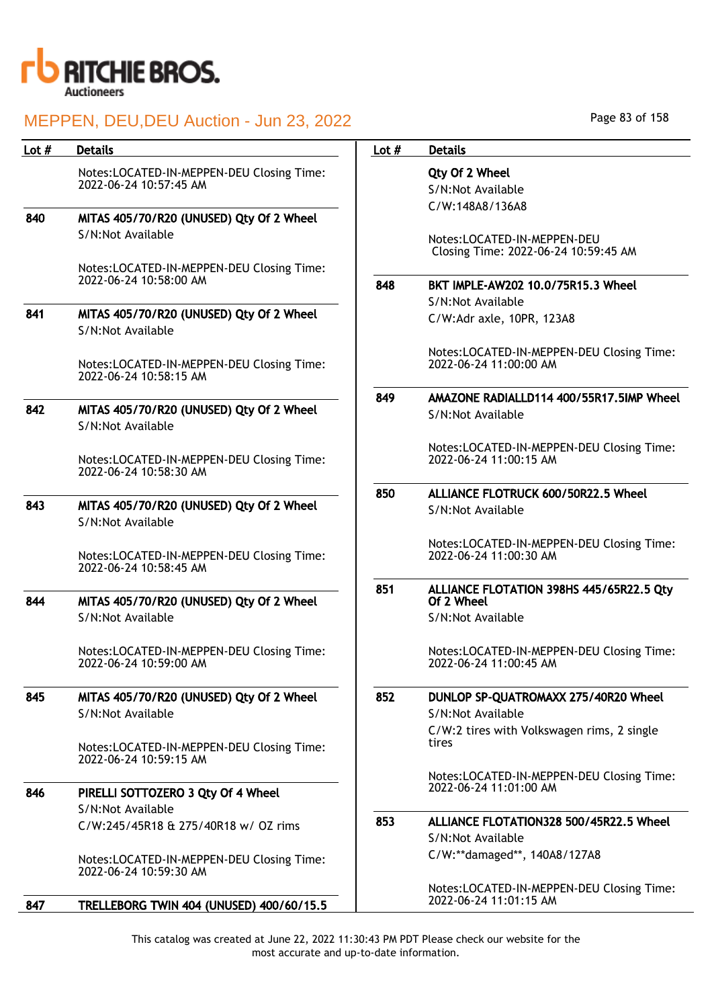

| Lot # | <b>Details</b>                                                      | Lot $#$ | <b>Details</b>                                                             |
|-------|---------------------------------------------------------------------|---------|----------------------------------------------------------------------------|
|       | Notes:LOCATED-IN-MEPPEN-DEU Closing Time:<br>2022-06-24 10:57:45 AM |         | Qty Of 2 Wheel<br>S/N:Not Available<br>C/W:148A8/136A8                     |
| 840   | MITAS 405/70/R20 (UNUSED) Qty Of 2 Wheel                            |         |                                                                            |
|       | S/N:Not Available                                                   |         | Notes:LOCATED-IN-MEPP<br><b>Closing Time: 2022-06-2</b>                    |
|       | Notes:LOCATED-IN-MEPPEN-DEU Closing Time:<br>2022-06-24 10:58:00 AM | 848     | <b>BKT IMPLE-AW202 10.0/</b>                                               |
| 841   | MITAS 405/70/R20 (UNUSED) Qty Of 2 Wheel<br>S/N:Not Available       |         | S/N:Not Available<br>C/W:Adr axle, 10PR, 123                               |
|       | Notes:LOCATED-IN-MEPPEN-DEU Closing Time:<br>2022-06-24 10:58:15 AM |         | Notes:LOCATED-IN-MEPP<br>2022-06-24 11:00:00 AM                            |
|       |                                                                     | 849     | AMAZONE RADIALLD114                                                        |
| 842   | MITAS 405/70/R20 (UNUSED) Qty Of 2 Wheel<br>S/N:Not Available       |         | S/N:Not Available                                                          |
|       | Notes:LOCATED-IN-MEPPEN-DEU Closing Time:<br>2022-06-24 10:58:30 AM |         | Notes:LOCATED-IN-MEPP<br>2022-06-24 11:00:15 AM                            |
|       |                                                                     | 850     | <b>ALLIANCE FLOTRUCK 600</b>                                               |
| 843   | MITAS 405/70/R20 (UNUSED) Qty Of 2 Wheel<br>S/N:Not Available       |         | S/N:Not Available                                                          |
|       | Notes:LOCATED-IN-MEPPEN-DEU Closing Time:<br>2022-06-24 10:58:45 AM |         | Notes:LOCATED-IN-MEPP<br>2022-06-24 11:00:30 AM                            |
| 844   | MITAS 405/70/R20 (UNUSED) Qty Of 2 Wheel                            | 851     | <b>ALLIANCE FLOTATION 39</b><br>Of 2 Wheel                                 |
|       | S/N:Not Available                                                   |         | S/N:Not Available                                                          |
|       | Notes:LOCATED-IN-MEPPEN-DEU Closing Time:<br>2022-06-24 10:59:00 AM |         | Notes:LOCATED-IN-MEPP<br>2022-06-24 11:00:45 AM                            |
| 845   | MITAS 405/70/R20 (UNUSED) Qty Of 2 Wheel<br>S/N:Not Available       | 852     | <b>DUNLOP SP-QUATROMAX</b><br>S/N:Not Available<br>C/W:2 tires with Volksw |
|       | Notes:LOCATED-IN-MEPPEN-DEU Closing Time:<br>2022-06-24 10:59:15 AM |         | tires                                                                      |
|       |                                                                     |         | Notes:LOCATED-IN-MEPP                                                      |
| 846   | PIRELLI SOTTOZERO 3 Qty Of 4 Wheel                                  |         | 2022-06-24 11:01:00 AM                                                     |
|       | S/N:Not Available                                                   | 853     | <b>ALLIANCE FLOTATION328</b>                                               |
|       | C/W:245/45R18 & 275/40R18 w/ OZ rims                                |         | S/N:Not Available                                                          |
|       | Notes:LOCATED-IN-MEPPEN-DEU Closing Time:<br>2022-06-24 10:59:30 AM |         | C/W:**damaged**, 140A                                                      |
|       |                                                                     |         | Notes:LOCATED-IN-MEPP                                                      |
| 847   | TRELLEBORG TWIN 404 (UNUSED) 400/60/15.5                            |         | 2022-06-24 11:01:15 AM                                                     |

Page 83 of 158

# $8/136A8$ CATED-IN-MEPPEN-DEU ime: 2022-06-24 10:59:45 AM E-AW202 10.0/75R15.3 Wheel wailable axle, 10PR, 123A8 CATED-IN-MEPPEN-DEU Closing Time: 2022-06-24 11:00:00 AM RADIALLD114 400/55R17.5IMP Wheel wailable CATED-IN-MEPPEN-DEU Closing Time: 2022-06-24 11:00:15 AM FLOTRUCK 600/50R22.5 Wheel wailable Notes:LOCATED-IN-MEPPEN-DEU Closing Time: 2022-06-24 11:00:30 AM FLOTATION 398HS 445/65R22.5 Qty  $\mathsf{el}$ **Available** Notes:LOCATED-IN-MEPPEN-DEU Closing Time: 2022-06-24 11:00:45 AM SP-QUATROMAXX 275/40R20 Wheel **Available** es with Volkswagen rims, 2 single CATED-IN-MEPPEN-DEU Closing Time: 2022-06-24 11:01:00 AM FLOTATION328 500/45R22.5 Wheel **Available** maged\*\*, 140A8/127A8 CATED-IN-MEPPEN-DEU Closing Time: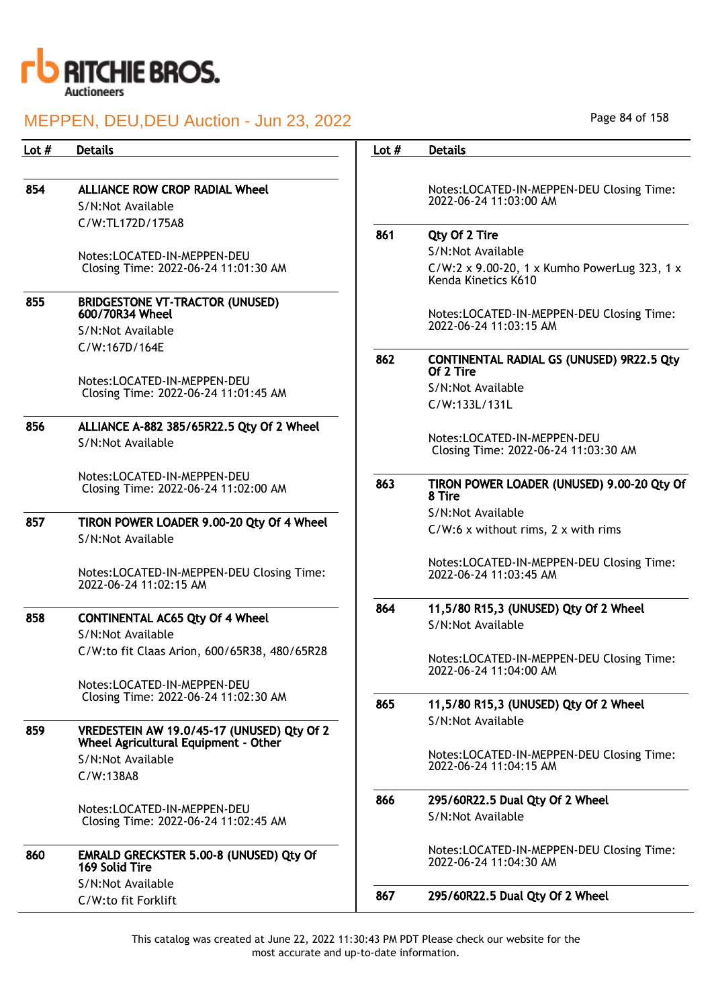

| Lot $#$ | <b>Details</b>                                                                     | Lot $#$ | <b>Details</b>                                                      |
|---------|------------------------------------------------------------------------------------|---------|---------------------------------------------------------------------|
|         |                                                                                    |         |                                                                     |
| 854     | <b>ALLIANCE ROW CROP RADIAL Wheel</b>                                              |         | Notes:LOCATED-IN-MEPPEN-DEU Closing Time:                           |
|         | S/N:Not Available                                                                  |         | 2022-06-24 11:03:00 AM                                              |
|         | C/W:TL172D/175A8                                                                   | 861     |                                                                     |
|         |                                                                                    |         | Qty Of 2 Tire<br>S/N:Not Available                                  |
|         | Notes:LOCATED-IN-MEPPEN-DEU<br>Closing Time: 2022-06-24 11:01:30 AM                |         | C/W:2 x 9.00-20, 1 x Kumho PowerLug 323, 1 x<br>Kenda Kinetics K610 |
| 855     | <b>BRIDGESTONE VT-TRACTOR (UNUSED)</b><br>600/70R34 Wheel                          |         | Notes:LOCATED-IN-MEPPEN-DEU Closing Time:                           |
|         | S/N:Not Available                                                                  |         | 2022-06-24 11:03:15 AM                                              |
|         | C/W:167D/164E                                                                      | 862     | <b>CONTINENTAL RADIAL GS (UNUSED) 9R22.5 Qty</b><br>Of 2 Tire       |
|         | Notes:LOCATED-IN-MEPPEN-DEU<br>Closing Time: 2022-06-24 11:01:45 AM                |         | S/N:Not Available                                                   |
|         |                                                                                    |         | C/W:133L/131L                                                       |
| 856     | ALLIANCE A-882 385/65R22.5 Qty Of 2 Wheel                                          |         |                                                                     |
|         | S/N:Not Available                                                                  |         | Notes:LOCATED-IN-MEPPEN-DEU<br>Closing Time: 2022-06-24 11:03:30 AM |
|         | Notes:LOCATED-IN-MEPPEN-DEU<br>Closing Time: 2022-06-24 11:02:00 AM                | 863     | TIRON POWER LOADER (UNUSED) 9.00-20 Qty Of<br>8 Tire                |
| 857     |                                                                                    |         | S/N:Not Available                                                   |
|         | TIRON POWER LOADER 9.00-20 Qty Of 4 Wheel<br>S/N:Not Available                     |         | $C/W:6$ x without rims, $2 \times$ with rims                        |
|         | Notes:LOCATED-IN-MEPPEN-DEU Closing Time:<br>2022-06-24 11:02:15 AM                |         | Notes:LOCATED-IN-MEPPEN-DEU Closing Time:<br>2022-06-24 11:03:45 AM |
| 858     | <b>CONTINENTAL AC65 Qty Of 4 Wheel</b>                                             | 864     | 11,5/80 R15,3 (UNUSED) Qty Of 2 Wheel                               |
|         | S/N:Not Available                                                                  |         | S/N:Not Available                                                   |
|         | C/W:to fit Claas Arion, 600/65R38, 480/65R28                                       |         |                                                                     |
|         |                                                                                    |         | Notes:LOCATED-IN-MEPPEN-DEU Closing Time:<br>2022-06-24 11:04:00 AM |
|         | Notes:LOCATED-IN-MEPPEN-DEU                                                        |         |                                                                     |
|         | Closing Time: 2022-06-24 11:02:30 AM                                               | 865     | 11,5/80 R15,3 (UNUSED) Qty Of 2 Wheel                               |
| 859     | VREDESTEIN AW 19.0/45-17 (UNUSED) Qty Of 2<br>Wheel Agricultural Equipment - Other |         | S/N:Not Available                                                   |
|         | S/N:Not Available                                                                  |         | Notes:LOCATED-IN-MEPPEN-DEU Closing Time:                           |
|         | C/W:138A8                                                                          |         | 2022-06-24 11:04:15 AM                                              |
|         |                                                                                    | 866     | 295/60R22.5 Dual Qty Of 2 Wheel                                     |
|         | Notes:LOCATED-IN-MEPPEN-DEU<br>Closing Time: 2022-06-24 11:02:45 AM                |         | S/N:Not Available                                                   |
| 860     | EMRALD GRECKSTER 5.00-8 (UNUSED) Qty Of<br>169 Solid Tire                          |         | Notes:LOCATED-IN-MEPPEN-DEU Closing Time:<br>2022-06-24 11:04:30 AM |
|         | S/N:Not Available                                                                  | 867     | 295/60R22.5 Dual Qty Of 2 Wheel                                     |
|         | C/W:to fit Forklift                                                                |         |                                                                     |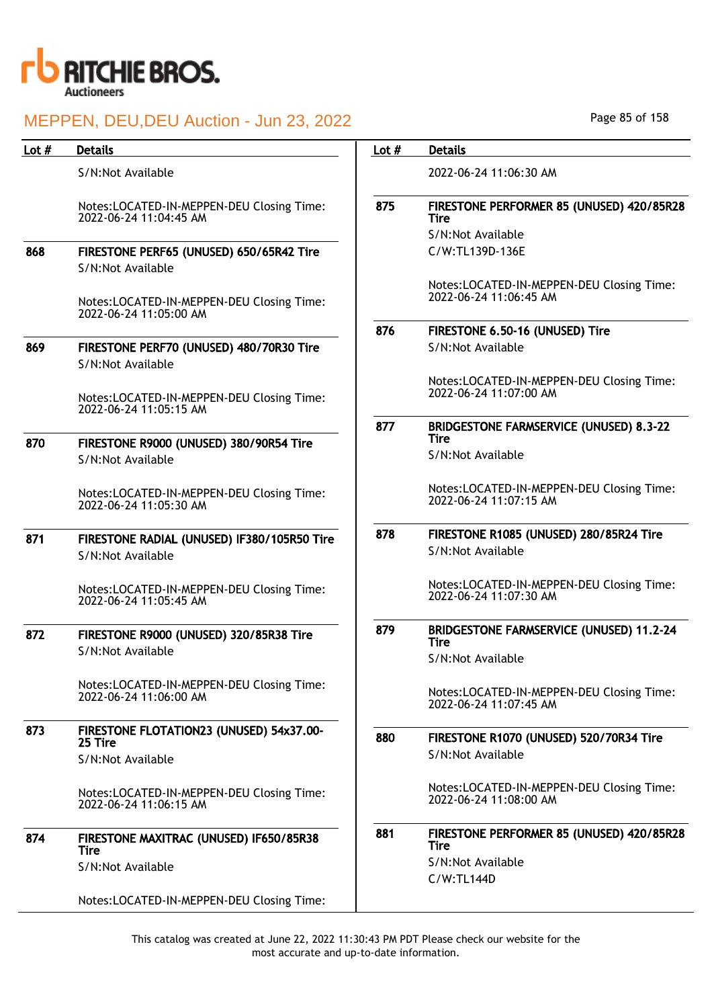

| Lot $#$ | <b>Details</b>                                                      | Lot $#$ | <b>Details</b>                                                      |
|---------|---------------------------------------------------------------------|---------|---------------------------------------------------------------------|
|         | S/N:Not Available                                                   |         | 2022-06-24 11:06:30 AM                                              |
|         | Notes:LOCATED-IN-MEPPEN-DEU Closing Time:<br>2022-06-24 11:04:45 AM | 875     | FIRESTONE PERFORMER 85 (UNUSED) 420/85R28<br><b>Tire</b>            |
| 868     | FIRESTONE PERF65 (UNUSED) 650/65R42 Tire<br>S/N:Not Available       |         | S/N:Not Available<br>C/W:TL139D-136E                                |
|         | Notes:LOCATED-IN-MEPPEN-DEU Closing Time:<br>2022-06-24 11:05:00 AM |         | Notes:LOCATED-IN-MEPPEN-DEU Closing Time:<br>2022-06-24 11:06:45 AM |
|         |                                                                     | 876     | FIRESTONE 6.50-16 (UNUSED) Tire                                     |
| 869     | FIRESTONE PERF70 (UNUSED) 480/70R30 Tire<br>S/N:Not Available       |         | S/N:Not Available                                                   |
|         | Notes:LOCATED-IN-MEPPEN-DEU Closing Time:<br>2022-06-24 11:05:15 AM |         | Notes:LOCATED-IN-MEPPEN-DEU Closing Time:<br>2022-06-24 11:07:00 AM |
| 870     | FIRESTONE R9000 (UNUSED) 380/90R54 Tire                             | 877     | <b>BRIDGESTONE FARMSERVICE (UNUSED) 8.3-22</b><br>Tire              |
|         | S/N:Not Available                                                   |         | S/N:Not Available                                                   |
|         | Notes:LOCATED-IN-MEPPEN-DEU Closing Time:<br>2022-06-24 11:05:30 AM |         | Notes:LOCATED-IN-MEPPEN-DEU Closing Time:<br>2022-06-24 11:07:15 AM |
| 871     | FIRESTONE RADIAL (UNUSED) IF380/105R50 Tire<br>S/N:Not Available    | 878     | FIRESTONE R1085 (UNUSED) 280/85R24 Tire<br>S/N:Not Available        |
|         | Notes:LOCATED-IN-MEPPEN-DEU Closing Time:<br>2022-06-24 11:05:45 AM |         | Notes:LOCATED-IN-MEPPEN-DEU Closing Time:<br>2022-06-24 11:07:30 AM |
| 872     | FIRESTONE R9000 (UNUSED) 320/85R38 Tire<br>S/N:Not Available        | 879     | <b>BRIDGESTONE FARMSERVICE (UNUSED) 11.2-24</b><br><b>Tire</b>      |
|         |                                                                     |         | S/N:Not Available                                                   |
|         | Notes:LOCATED-IN-MEPPEN-DEU Closing Time:<br>2022-06-24 11:06:00 AM |         | Notes:LOCATED-IN-MEPPEN-DEU Closing Time:<br>2022-06-24 11:07:45 AM |
| 873     | FIRESTONE FLOTATION23 (UNUSED) 54x37.00-<br>25 Tire                 | 880     | FIRESTONE R1070 (UNUSED) 520/70R34 Tire                             |
|         | S/N:Not Available                                                   |         | S/N:Not Available                                                   |
|         | Notes:LOCATED-IN-MEPPEN-DEU Closing Time:<br>2022-06-24 11:06:15 AM |         | Notes:LOCATED-IN-MEPPEN-DEU Closing Time:<br>2022-06-24 11:08:00 AM |
| 874     | FIRESTONE MAXITRAC (UNUSED) IF650/85R38<br>Tire                     | 881     | FIRESTONE PERFORMER 85 (UNUSED) 420/85R28<br><b>Tire</b>            |
|         | S/N:Not Available                                                   |         | S/N:Not Available<br>$C/W$ : TL144D                                 |
|         | Notes:LOCATED-IN-MEPPEN-DEU Closing Time:                           |         |                                                                     |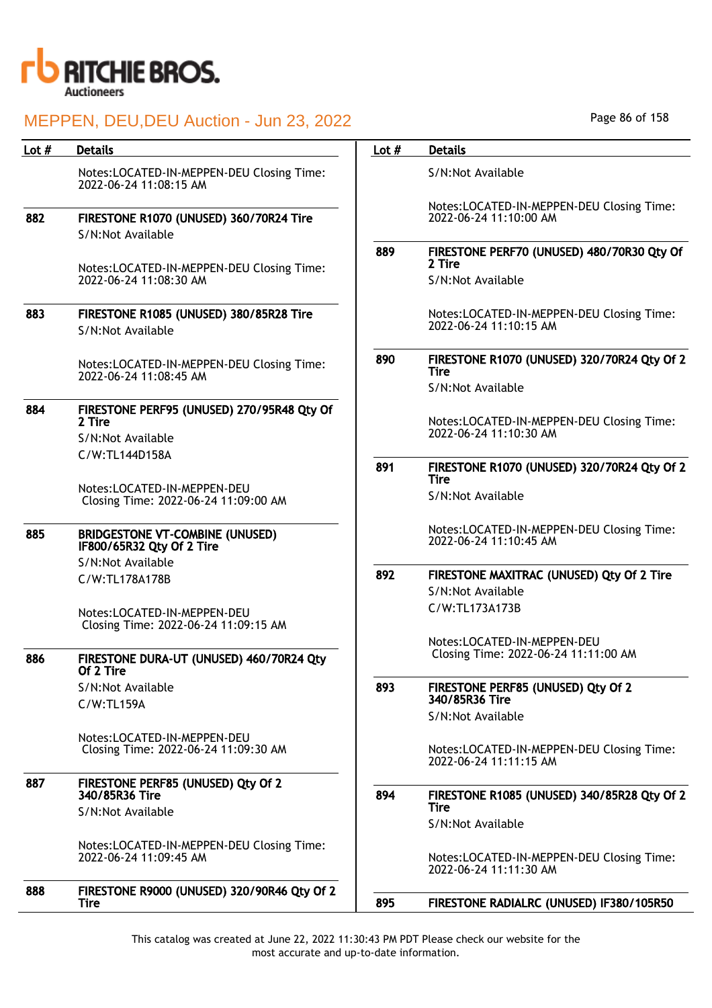

| Lot $#$ | <b>Details</b>                                                       | Lot $#$ | <b>Details</b>                        |
|---------|----------------------------------------------------------------------|---------|---------------------------------------|
|         | Notes:LOCATED-IN-MEPPEN-DEU Closing Time:<br>2022-06-24 11:08:15 AM  |         | S/N:Not Available                     |
| 882     | FIRESTONE R1070 (UNUSED) 360/70R24 Tire                              |         | Notes:LOCATED-IN<br>2022-06-24 11:10: |
|         | S/N:Not Available                                                    |         |                                       |
|         | Notes:LOCATED-IN-MEPPEN-DEU Closing Time:                            | 889     | <b>FIRESTONE PERF70</b><br>2 Tire     |
|         | 2022-06-24 11:08:30 AM                                               |         | S/N:Not Available                     |
| 883     | FIRESTONE R1085 (UNUSED) 380/85R28 Tire                              |         | Notes:LOCATED-IN                      |
|         | S/N:Not Available                                                    |         | 2022-06-24 11:10:                     |
|         | Notes:LOCATED-IN-MEPPEN-DEU Closing Time:<br>2022-06-24 11:08:45 AM  | 890     | <b>FIRESTONE R1070</b><br><b>Tire</b> |
|         |                                                                      |         | S/N:Not Available                     |
| 884     | FIRESTONE PERF95 (UNUSED) 270/95R48 Qty Of<br>2 Tire                 |         | Notes:LOCATED-IN                      |
|         | S/N:Not Available                                                    |         | 2022-06-24 11:10:                     |
|         | C/W:TL144D158A                                                       |         |                                       |
|         |                                                                      | 891     | <b>FIRESTONE R1070</b><br><b>Tire</b> |
|         | Notes: LOCATED-IN-MEPPEN-DEU<br>Closing Time: 2022-06-24 11:09:00 AM |         | S/N:Not Available                     |
| 885     | <b>BRIDGESTONE VT-COMBINE (UNUSED)</b><br>IF800/65R32 Qty Of 2 Tire  |         | Notes:LOCATED-IN<br>2022-06-24 11:10: |
|         | S/N:Not Available                                                    | 892     | <b>FIRESTONE MAXITE</b>               |
|         | C/W:TL178A178B                                                       |         | S/N:Not Available                     |
|         | Notes:LOCATED-IN-MEPPEN-DEU<br>Closing Time: 2022-06-24 11:09:15 AM  |         | C/W:TL173A173B                        |
|         |                                                                      |         | Notes:LOCATED-IN                      |
| 886     | FIRESTONE DURA-UT (UNUSED) 460/70R24 Qty<br>Of 2 Tire                |         | Closing Time: 202                     |
|         | S/N:Not Available                                                    | 893     | <b>FIRESTONE PERF8!</b>               |
|         | $C/W$ :TL159A                                                        |         | 340/85R36 Tire<br>S/N:Not Available   |
|         |                                                                      |         |                                       |
|         | Notes:LOCATED-IN-MEPPEN-DEU<br>Closing Time: 2022-06-24 11:09:30 AM  |         | Notes:LOCATED-IN<br>2022-06-24 11:11: |
| 887     | FIRESTONE PERF85 (UNUSED) Qty Of 2<br>340/85R36 Tire                 |         |                                       |
|         |                                                                      | 894     | <b>FIRESTONE R1085</b><br>Tire        |
|         | S/N:Not Available                                                    |         | S/N:Not Available                     |
|         | Notes:LOCATED-IN-MEPPEN-DEU Closing Time:<br>2022-06-24 11:09:45 AM  |         | Notes:LOCATED-IN<br>2022-06-24 11:11: |
| 888     | FIRESTONE R9000 (UNUSED) 320/90R46 Qty Of 2                          |         |                                       |
|         | <b>Tire</b>                                                          | 895     | <b>FIRESTONE RADIAL</b>               |
|         |                                                                      |         |                                       |

Page 86 of 158

|     | Notes:LOCATED-IN-MEPPEN-DEU Closing Time:<br>2022-06-24 11:10:00 AM |
|-----|---------------------------------------------------------------------|
| 889 | FIRESTONE PERF70 (UNUSED) 480/70R30 Qty Of<br>2 Tire                |
|     | S/N:Not Available                                                   |
|     | Notes:LOCATED-IN-MEPPEN-DEU Closing Time:<br>2022-06-24 11:10:15 AM |
| 890 | FIRESTONE R1070 (UNUSED) 320/70R24 Qty Of 2<br><b>Tire</b>          |
|     | S/N:Not Available                                                   |
|     | Notes:LOCATED-IN-MEPPEN-DEU Closing Time:<br>2022-06-24 11:10:30 AM |
| 891 | FIRESTONE R1070 (UNUSED) 320/70R24 Qty Of 2<br><b>Tire</b>          |
|     | S/N:Not Available                                                   |
|     | Notes:LOCATED-IN-MEPPEN-DEU Closing Time:<br>2022-06-24 11:10:45 AM |
| 892 | FIRESTONE MAXITRAC (UNUSED) Qty Of 2 Tire                           |
|     | S/N:Not Available                                                   |
|     | C/W:TL173A173B                                                      |
|     | Notes:LOCATED-IN-MEPPEN-DEU<br>Closing Time: 2022-06-24 11:11:00 AM |
| 893 | FIRESTONE PERF85 (UNUSED) Qty Of 2<br>340/85R36 Tire                |
|     | S/N:Not Available                                                   |
|     | Notes:LOCATED-IN-MEPPEN-DEU Closing Time:<br>2022-06-24 11:11:15 AM |
| 894 | FIRESTONE R1085 (UNUSED) 340/85R28 Qty Of 2<br><b>Tire</b>          |
|     | S/N:Not Available                                                   |
|     | Notes:LOCATED-IN-MEPPEN-DEU Closing Time:<br>2022-06-24 11:11:30 AM |

RADIALRC (UNUSED) IF380/105R50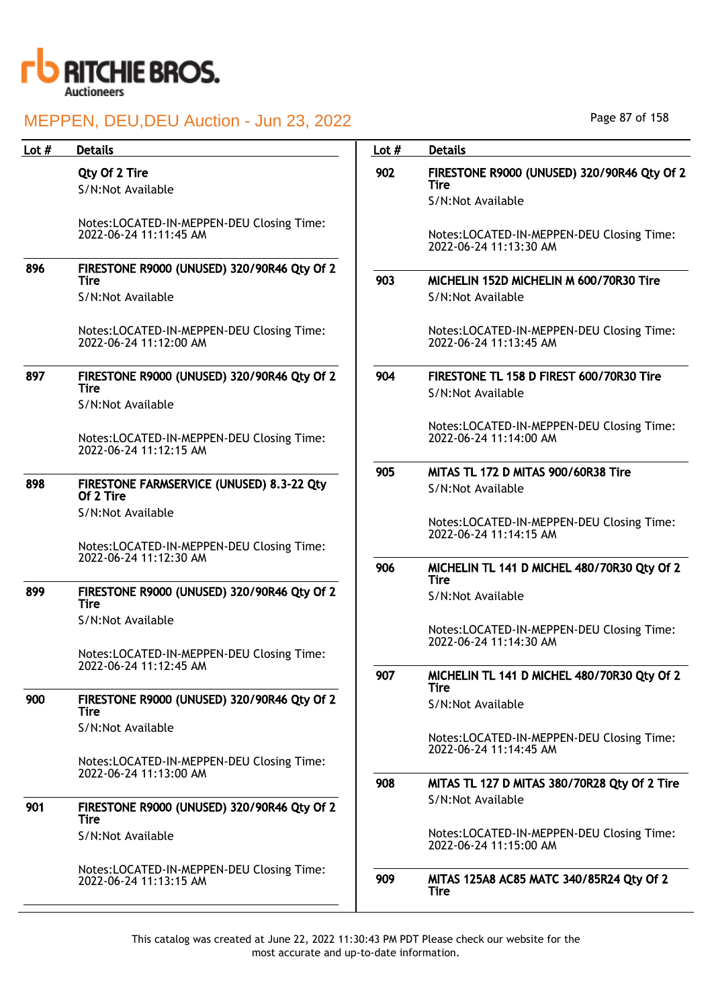

| <b>Details</b>                                                      | Lot $#$                                                                                                                                                                                       | <b>Details</b>                                                           |
|---------------------------------------------------------------------|-----------------------------------------------------------------------------------------------------------------------------------------------------------------------------------------------|--------------------------------------------------------------------------|
| Qty Of 2 Tire<br>S/N:Not Available                                  | 902                                                                                                                                                                                           | FIRESTONE R9000 (UNUSED) 320/90R46 Qty Of 2<br>Tire<br>S/N:Not Available |
| Notes:LOCATED-IN-MEPPEN-DEU Closing Time:<br>2022-06-24 11:11:45 AM |                                                                                                                                                                                               | Notes:LOCATED-IN-MEPPEN-DEU Closing Time:<br>2022-06-24 11:13:30 AM      |
| FIRESTONE R9000 (UNUSED) 320/90R46 Qty Of 2                         |                                                                                                                                                                                               |                                                                          |
| S/N:Not Available                                                   |                                                                                                                                                                                               | MICHELIN 152D MICHELIN M 600/70R30 Tire<br>S/N:Not Available             |
| Notes:LOCATED-IN-MEPPEN-DEU Closing Time:<br>2022-06-24 11:12:00 AM |                                                                                                                                                                                               | Notes:LOCATED-IN-MEPPEN-DEU Closing Time:<br>2022-06-24 11:13:45 AM      |
| FIRESTONE R9000 (UNUSED) 320/90R46 Qty Of 2                         | 904                                                                                                                                                                                           | FIRESTONE TL 158 D FIREST 600/70R30 Tire                                 |
| S/N:Not Available                                                   |                                                                                                                                                                                               | S/N:Not Available                                                        |
| Notes:LOCATED-IN-MEPPEN-DEU Closing Time:<br>2022-06-24 11:12:15 AM |                                                                                                                                                                                               | Notes:LOCATED-IN-MEPPEN-DEU Closing Time:<br>2022-06-24 11:14:00 AM      |
|                                                                     | 905                                                                                                                                                                                           | MITAS TL 172 D MITAS 900/60R38 Tire                                      |
| Of 2 Tire                                                           |                                                                                                                                                                                               | S/N:Not Available                                                        |
| S/N:Not Available                                                   |                                                                                                                                                                                               | Notes:LOCATED-IN-MEPPEN-DEU Closing Time:                                |
| Notes:LOCATED-IN-MEPPEN-DEU Closing Time:                           |                                                                                                                                                                                               | 2022-06-24 11:14:15 AM                                                   |
|                                                                     | 906                                                                                                                                                                                           | MICHELIN TL 141 D MICHEL 480/70R30 Qty Of 2<br><b>Tire</b>               |
| FIRESTONE R9000 (UNUSED) 320/90R46 Qty Of 2<br><b>Tire</b>          |                                                                                                                                                                                               | S/N:Not Available                                                        |
| S/N:Not Available                                                   |                                                                                                                                                                                               | Notes:LOCATED-IN-MEPPEN-DEU Closing Time:<br>2022-06-24 11:14:30 AM      |
| Notes:LOCATED-IN-MEPPEN-DEU Closing Time:                           |                                                                                                                                                                                               |                                                                          |
|                                                                     | 907                                                                                                                                                                                           | MICHELIN TL 141 D MICHEL 480/70R30 Qty Of 2<br><b>Tire</b>               |
| <b>Tire</b>                                                         |                                                                                                                                                                                               | S/N:Not Available                                                        |
| S/N:Not Available                                                   |                                                                                                                                                                                               | Notes:LOCATED-IN-MEPPEN-DEU Closing Time:<br>2022-06-24 11:14:45 AM      |
| Notes:LOCATED-IN-MEPPEN-DEU Closing Time:                           |                                                                                                                                                                                               |                                                                          |
|                                                                     |                                                                                                                                                                                               | MITAS TL 127 D MITAS 380/70R28 Qty Of 2 Tire                             |
| FIRESTONE R9000 (UNUSED) 320/90R46 Qty Of 2<br><b>Tire</b>          |                                                                                                                                                                                               | S/N:Not Available                                                        |
| S/N:Not Available                                                   |                                                                                                                                                                                               | Notes:LOCATED-IN-MEPPEN-DEU Closing Time:<br>2022-06-24 11:15:00 AM      |
| Notes:LOCATED-IN-MEPPEN-DEU Closing Time:<br>2022-06-24 11:13:15 AM | 909                                                                                                                                                                                           | MITAS 125A8 AC85 MATC 340/85R24 Qty Of 2<br>Tire                         |
|                                                                     | <b>Tire</b><br>Tire<br>FIRESTONE FARMSERVICE (UNUSED) 8.3-22 Qty<br>2022-06-24 11:12:30 AM<br>2022-06-24 11:12:45 AM<br>FIRESTONE R9000 (UNUSED) 320/90R46 Qty Of 2<br>2022-06-24 11:13:00 AM | 903<br>908                                                               |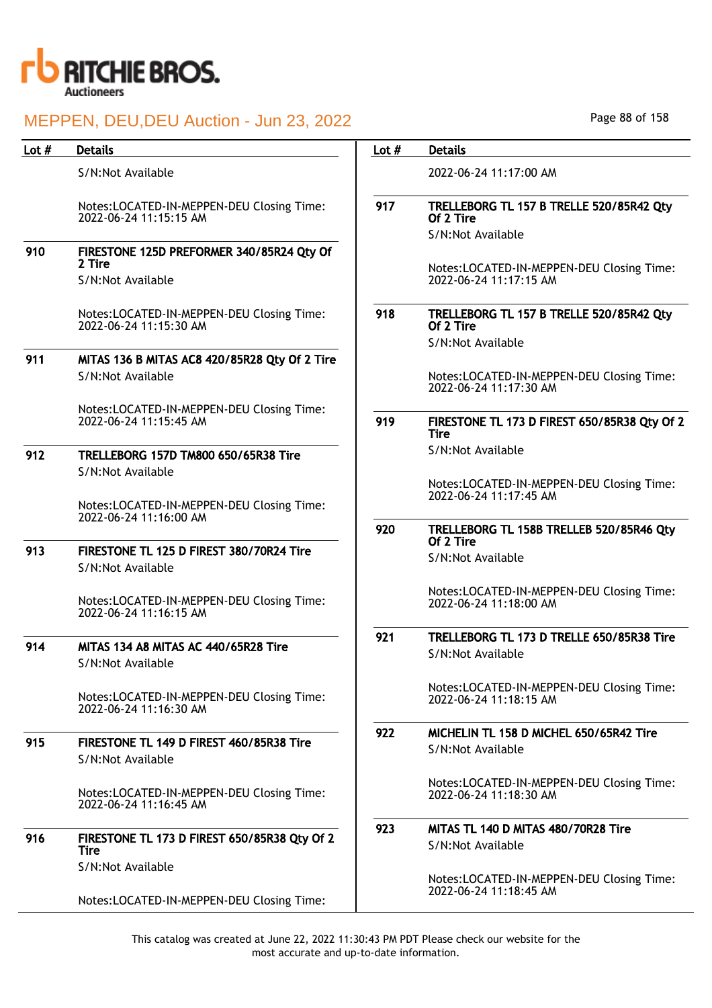

| Lot $#$ | <b>Details</b>                                                      | Lot $#$ | <b>Details</b>                                                             |
|---------|---------------------------------------------------------------------|---------|----------------------------------------------------------------------------|
|         | S/N:Not Available                                                   |         | 2022-06-24 11:17:00 AM                                                     |
|         | Notes:LOCATED-IN-MEPPEN-DEU Closing Time:<br>2022-06-24 11:15:15 AM | 917     | TRELLEBORG TL 157 B TRELLE 520/85R42 Qty<br>Of 2 Tire<br>S/N:Not Available |
| 910     | FIRESTONE 125D PREFORMER 340/85R24 Qty Of                           |         |                                                                            |
|         | 2 Tire<br>S/N:Not Available                                         |         | Notes:LOCATED-IN-MEPPEN-DEU Closing Time:<br>2022-06-24 11:17:15 AM        |
|         | Notes:LOCATED-IN-MEPPEN-DEU Closing Time:<br>2022-06-24 11:15:30 AM | 918     | TRELLEBORG TL 157 B TRELLE 520/85R42 Qty<br>Of 2 Tire                      |
|         |                                                                     |         | S/N:Not Available                                                          |
| 911     | MITAS 136 B MITAS AC8 420/85R28 Qty Of 2 Tire<br>S/N:Not Available  |         | Notes:LOCATED-IN-MEPPEN-DEU Closing Time:<br>2022-06-24 11:17:30 AM        |
|         | Notes:LOCATED-IN-MEPPEN-DEU Closing Time:<br>2022-06-24 11:15:45 AM | 919     | FIRESTONE TL 173 D FIREST 650/85R38 Qty Of 2<br><b>Tire</b>                |
| 912     | TRELLEBORG 157D TM800 650/65R38 Tire                                |         | S/N:Not Available                                                          |
|         | S/N:Not Available                                                   |         | Notes:LOCATED-IN-MEPPEN-DEU Closing Time:                                  |
|         | Notes:LOCATED-IN-MEPPEN-DEU Closing Time:<br>2022-06-24 11:16:00 AM |         | 2022-06-24 11:17:45 AM                                                     |
|         |                                                                     | 920     | TRELLEBORG TL 158B TRELLEB 520/85R46 Qty<br>Of 2 Tire                      |
| 913     | FIRESTONE TL 125 D FIREST 380/70R24 Tire<br>S/N:Not Available       |         | S/N:Not Available                                                          |
|         | Notes:LOCATED-IN-MEPPEN-DEU Closing Time:<br>2022-06-24 11:16:15 AM |         | Notes:LOCATED-IN-MEPPEN-DEU Closing Time:<br>2022-06-24 11:18:00 AM        |
| 914     | MITAS 134 A8 MITAS AC 440/65R28 Tire<br>S/N:Not Available           | 921     | TRELLEBORG TL 173 D TRELLE 650/85R38 Tire<br>S/N:Not Available             |
|         | Notes:LOCATED-IN-MEPPEN-DEU Closing Time:<br>2022-06-24 11:16:30 AM |         | Notes:LOCATED-IN-MEPPEN-DEU Closing Time:<br>2022-06-24 11:18:15 AM        |
| 915     | FIRESTONE TL 149 D FIREST 460/85R38 Tire<br>S/N:Not Available       | 922     | MICHELIN TL 158 D MICHEL 650/65R42 Tire<br>S/N:Not Available               |
|         | Notes:LOCATED-IN-MEPPEN-DEU Closing Time:<br>2022-06-24 11:16:45 AM |         | Notes:LOCATED-IN-MEPPEN-DEU Closing Time:<br>2022-06-24 11:18:30 AM        |
| 916     | FIRESTONE TL 173 D FIREST 650/85R38 Qty Of 2<br>Tire                | 923     | MITAS TL 140 D MITAS 480/70R28 Tire<br>S/N:Not Available                   |
|         | S/N:Not Available<br>Notes:LOCATED-IN-MEPPEN-DEU Closing Time:      |         | Notes:LOCATED-IN-MEPPEN-DEU Closing Time:<br>2022-06-24 11:18:45 AM        |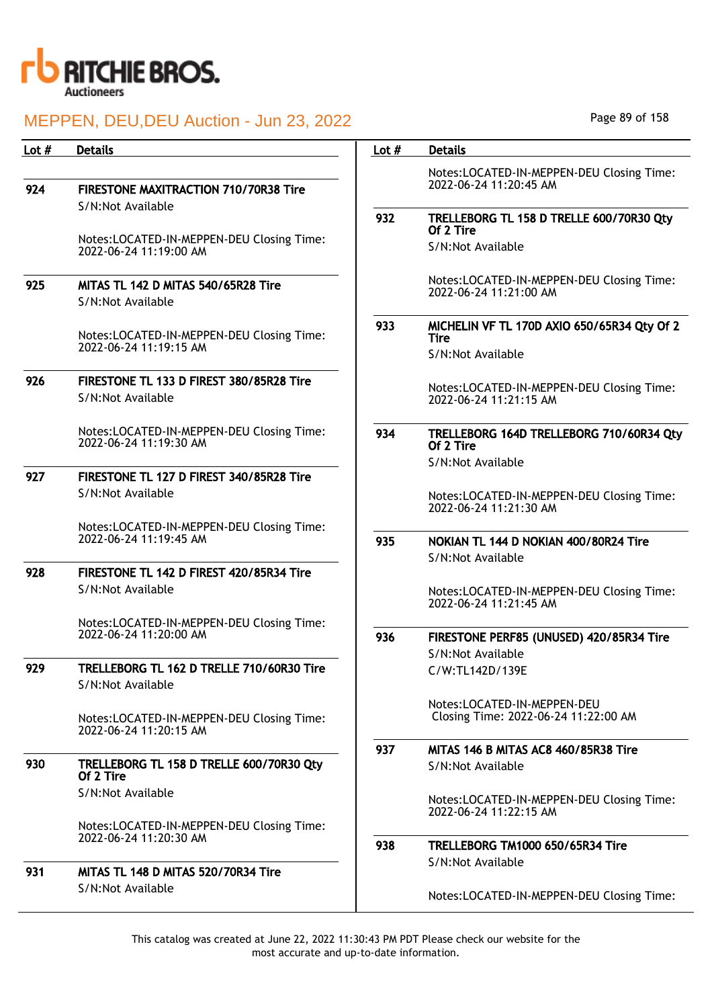

| Lot $#$ | <b>Details</b>                                                      | Lot $#$ | <b>Details</b>                                                      |
|---------|---------------------------------------------------------------------|---------|---------------------------------------------------------------------|
|         |                                                                     |         | Notes:LOCATED-IN-MEPPEN-DEU Closing Time:                           |
| 924     | FIRESTONE MAXITRACTION 710/70R38 Tire                               |         | 2022-06-24 11:20:45 AM                                              |
|         | S/N:Not Available                                                   | 932     | TRELLEBORG TL 158 D TRELLE 600/70R30 Qty<br>Of 2 Tire               |
|         | Notes:LOCATED-IN-MEPPEN-DEU Closing Time:<br>2022-06-24 11:19:00 AM |         | S/N:Not Available                                                   |
| 925     | MITAS TL 142 D MITAS 540/65R28 Tire<br>S/N:Not Available            |         | Notes:LOCATED-IN-MEPPEN-DEU Closing Time:<br>2022-06-24 11:21:00 AM |
|         | Notes:LOCATED-IN-MEPPEN-DEU Closing Time:<br>2022-06-24 11:19:15 AM | 933     | MICHELIN VF TL 170D AXIO 650/65R34 Qty Of 2<br><b>Tire</b>          |
|         |                                                                     |         | S/N:Not Available                                                   |
| 926     | FIRESTONE TL 133 D FIREST 380/85R28 Tire<br>S/N:Not Available       |         | Notes:LOCATED-IN-MEPPEN-DEU Closing Time:<br>2022-06-24 11:21:15 AM |
|         | Notes:LOCATED-IN-MEPPEN-DEU Closing Time:<br>2022-06-24 11:19:30 AM | 934     | TRELLEBORG 164D TRELLEBORG 710/60R34 Qty<br>Of 2 Tire               |
| 927     | FIRESTONE TL 127 D FIREST 340/85R28 Tire                            |         | S/N:Not Available                                                   |
|         | S/N:Not Available                                                   |         | Notes:LOCATED-IN-MEPPEN-DEU Closing Time:<br>2022-06-24 11:21:30 AM |
|         | Notes:LOCATED-IN-MEPPEN-DEU Closing Time:<br>2022-06-24 11:19:45 AM |         |                                                                     |
|         |                                                                     | 935     | NOKIAN TL 144 D NOKIAN 400/80R24 Tire<br>S/N:Not Available          |
| 928     | FIRESTONE TL 142 D FIREST 420/85R34 Tire                            |         |                                                                     |
|         | S/N:Not Available                                                   |         | Notes:LOCATED-IN-MEPPEN-DEU Closing Time:<br>2022-06-24 11:21:45 AM |
|         | Notes:LOCATED-IN-MEPPEN-DEU Closing Time:<br>2022-06-24 11:20:00 AM | 936     |                                                                     |
|         |                                                                     |         | FIRESTONE PERF85 (UNUSED) 420/85R34 Tire<br>S/N:Not Available       |
| 929     | TRELLEBORG TL 162 D TRELLE 710/60R30 Tire<br>S/N:Not Available      |         | C/W:TL142D/139E                                                     |
|         | Notes:LOCATED-IN-MEPPEN-DEU Closing Time:<br>2022-06-24 11:20:15 AM |         | Notes:LOCATED-IN-MEPPEN-DEU<br>Closing Time: 2022-06-24 11:22:00 AM |
|         |                                                                     | 937     | MITAS 146 B MITAS AC8 460/85R38 Tire                                |
| 930     | TRELLEBORG TL 158 D TRELLE 600/70R30 Qty<br>Of 2 Tire               |         | S/N:Not Available                                                   |
|         | S/N:Not Available                                                   |         | Notes:LOCATED-IN-MEPPEN-DEU Closing Time:<br>2022-06-24 11:22:15 AM |
|         | Notes:LOCATED-IN-MEPPEN-DEU Closing Time:<br>2022-06-24 11:20:30 AM |         |                                                                     |
|         |                                                                     | 938     | TRELLEBORG TM1000 650/65R34 Tire<br>S/N:Not Available               |
| 931     | MITAS TL 148 D MITAS 520/70R34 Tire                                 |         |                                                                     |
|         | S/N:Not Available                                                   |         | Notes:LOCATED-IN-MEPPEN-DEU Closing Time:                           |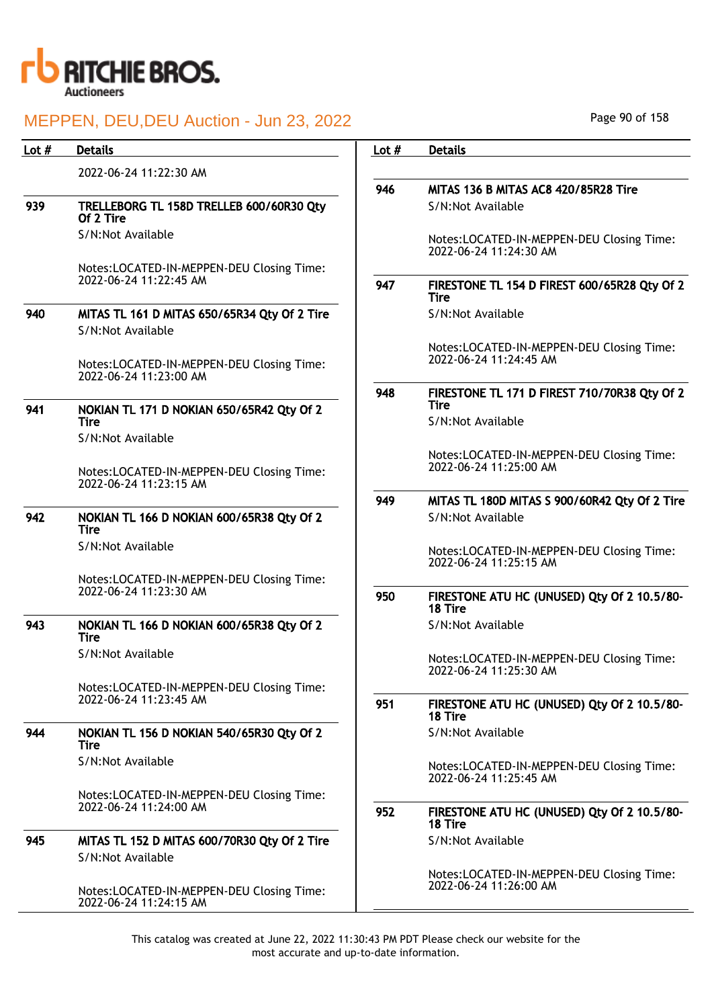

## MEPPEN, DELL DELL Auction - Jun 23, 2022

| Lot $#$ | <b>Details</b>                                                                | Lot $#$ | <b>Details</b>                                                      |
|---------|-------------------------------------------------------------------------------|---------|---------------------------------------------------------------------|
|         | 2022-06-24 11:22:30 AM                                                        |         |                                                                     |
|         |                                                                               | 946     | MITAS 136 B MITAS AC8 420/85R28 Tire                                |
| 939     | TRELLEBORG TL 158D TRELLEB 600/60R30 Qty<br>Of 2 Tire                         |         | S/N:Not Available                                                   |
|         | S/N:Not Available                                                             |         | Notes:LOCATED-IN-MEPPEN-DEU Closing Time:<br>2022-06-24 11:24:30 AM |
|         | Notes:LOCATED-IN-MEPPEN-DEU Closing Time:<br>2022-06-24 11:22:45 AM           | 947     | FIRESTONE TL 154 D FIREST 600/65R28 Qty Of 2<br><b>Tire</b>         |
| 940     | MITAS TL 161 D MITAS 650/65R34 Qty Of 2 Tire<br>S/N:Not Available             |         | S/N:Not Available                                                   |
|         | Notes:LOCATED-IN-MEPPEN-DEU Closing Time:<br>2022-06-24 11:23:00 AM           |         | Notes:LOCATED-IN-MEPPEN-DEU Closing Time:<br>2022-06-24 11:24:45 AM |
|         |                                                                               | 948     | FIRESTONE TL 171 D FIREST 710/70R38 Qty Of 2<br><b>Tire</b>         |
| 941     | NOKIAN TL 171 D NOKIAN 650/65R42 Qty Of 2<br><b>Tire</b><br>S/N:Not Available |         | S/N:Not Available                                                   |
|         | Notes:LOCATED-IN-MEPPEN-DEU Closing Time:<br>2022-06-24 11:23:15 AM           |         | Notes:LOCATED-IN-MEPPEN-DEU Closing Time:<br>2022-06-24 11:25:00 AM |
|         |                                                                               | 949     | MITAS TL 180D MITAS S 900/60R42 Qty Of 2 Tire                       |
| 942     | NOKIAN TL 166 D NOKIAN 600/65R38 Qty Of 2<br><b>Tire</b>                      |         | S/N:Not Available                                                   |
|         | S/N:Not Available                                                             |         | Notes:LOCATED-IN-MEPPEN-DEU Closing Time:<br>2022-06-24 11:25:15 AM |
|         | Notes:LOCATED-IN-MEPPEN-DEU Closing Time:<br>2022-06-24 11:23:30 AM           | 950     | FIRESTONE ATU HC (UNUSED) Qty Of 2 10.5/80-<br>18 Tire              |
| 943     | NOKIAN TL 166 D NOKIAN 600/65R38 Qty Of 2<br>Tire                             |         | S/N:Not Available                                                   |
|         | S/N:Not Available                                                             |         | Notes:LOCATED-IN-MEPPEN-DEU Closing Time:<br>2022-06-24 11:25:30 AM |
|         | Notes:LOCATED-IN-MEPPEN-DEU Closing Time:<br>2022-06-24 11:23:45 AM           | 951     | FIRESTONE ATU HC (UNUSED) Qty Of 2 10.5/80-<br>18 Tire              |
| 944     | NOKIAN TL 156 D NOKIAN 540/65R30 Qty Of 2<br>Tire                             |         | S/N:Not Available                                                   |
|         | S/N:Not Available                                                             |         | Notes:LOCATED-IN-MEPPEN-DEU Closing Time:<br>2022-06-24 11:25:45 AM |
|         | Notes:LOCATED-IN-MEPPEN-DEU Closing Time:<br>2022-06-24 11:24:00 AM           | 952     | FIRESTONE ATU HC (UNUSED) Qty Of 2 10.5/80-<br>18 Tire              |
| 945     | MITAS TL 152 D MITAS 600/70R30 Qty Of 2 Tire<br>S/N:Not Available             |         | S/N:Not Available                                                   |
|         | Notes:LOCATED-IN-MEPPEN-DEU Closing Time:<br>2022-06-24 11:24:15 AM           |         | Notes:LOCATED-IN-MEPPEN-DEU Closing Time:<br>2022-06-24 11:26:00 AM |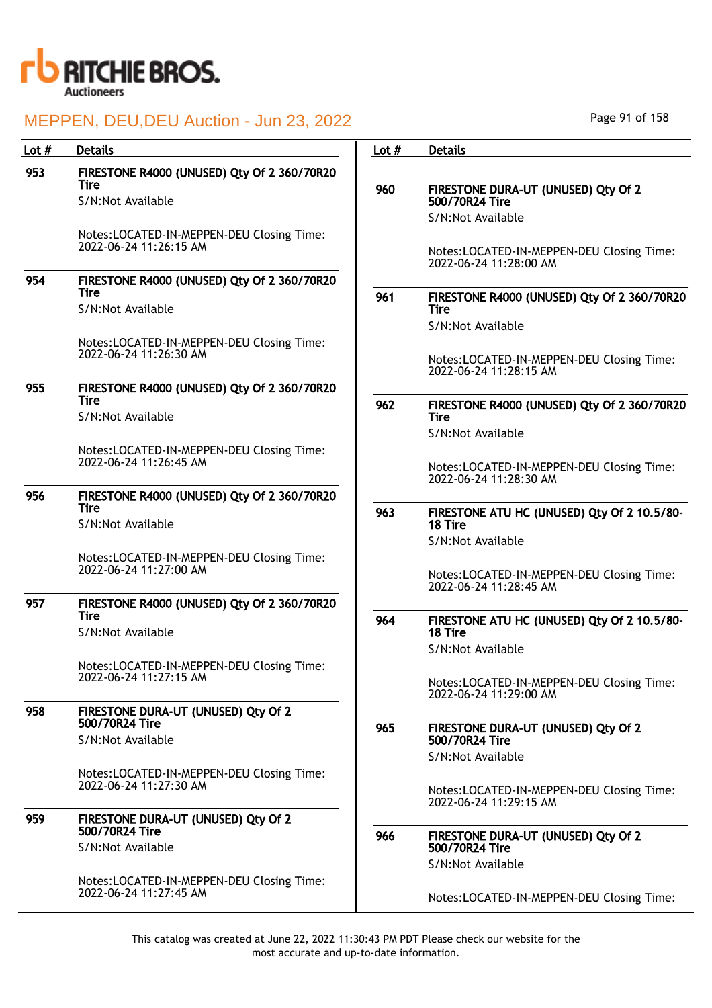

| Lot $#$ | <b>Details</b>                                                      | Lot $#$ | <b>Details</b>                                                      |
|---------|---------------------------------------------------------------------|---------|---------------------------------------------------------------------|
| 953     | FIRESTONE R4000 (UNUSED) Qty Of 2 360/70R20                         |         |                                                                     |
|         | Tire                                                                | 960     | FIRESTONE DURA-UT (UNUSED) Qty Of 2                                 |
|         | S/N:Not Available                                                   |         | 500/70R24 Tire                                                      |
|         |                                                                     |         | S/N:Not Available                                                   |
|         | Notes:LOCATED-IN-MEPPEN-DEU Closing Time:<br>2022-06-24 11:26:15 AM |         |                                                                     |
|         |                                                                     |         | Notes:LOCATED-IN-MEPPEN-DEU Closing Time:<br>2022-06-24 11:28:00 AM |
| 954     | FIRESTONE R4000 (UNUSED) Qty Of 2 360/70R20                         |         |                                                                     |
|         | <b>Tire</b><br>S/N:Not Available                                    | 961     | FIRESTONE R4000 (UNUSED) Qty Of 2 360/70R20<br><b>Tire</b>          |
|         |                                                                     |         | S/N:Not Available                                                   |
|         | Notes:LOCATED-IN-MEPPEN-DEU Closing Time:                           |         |                                                                     |
|         | 2022-06-24 11:26:30 AM                                              |         | Notes:LOCATED-IN-MEPPEN-DEU Closing Time:                           |
|         |                                                                     |         | 2022-06-24 11:28:15 AM                                              |
| 955     | FIRESTONE R4000 (UNUSED) Qty Of 2 360/70R20<br><b>Tire</b>          | 962     | FIRESTONE R4000 (UNUSED) Qty Of 2 360/70R20                         |
|         | S/N:Not Available                                                   |         | <b>Tire</b>                                                         |
|         |                                                                     |         | S/N:Not Available                                                   |
|         | Notes:LOCATED-IN-MEPPEN-DEU Closing Time:<br>2022-06-24 11:26:45 AM |         |                                                                     |
|         |                                                                     |         | Notes:LOCATED-IN-MEPPEN-DEU Closing Time:<br>2022-06-24 11:28:30 AM |
| 956     | FIRESTONE R4000 (UNUSED) Qty Of 2 360/70R20                         |         |                                                                     |
|         | <b>Tire</b>                                                         | 963     | FIRESTONE ATU HC (UNUSED) Qty Of 2 10.5/80-                         |
|         | S/N:Not Available                                                   |         | 18 Tire                                                             |
|         | Notes:LOCATED-IN-MEPPEN-DEU Closing Time:                           |         | S/N:Not Available                                                   |
|         | 2022-06-24 11:27:00 AM                                              |         | Notes:LOCATED-IN-MEPPEN-DEU Closing Time:                           |
|         |                                                                     |         | 2022-06-24 11:28:45 AM                                              |
| 957     | FIRESTONE R4000 (UNUSED) Qty Of 2 360/70R20<br>Tire                 |         |                                                                     |
|         | S/N:Not Available                                                   | 964     | FIRESTONE ATU HC (UNUSED) Qty Of 2 10.5/80-<br>18 Tire              |
|         |                                                                     |         | S/N:Not Available                                                   |
|         | Notes:LOCATED-IN-MEPPEN-DEU Closing Time:                           |         |                                                                     |
|         | 2022-06-24 11:27:15 AM                                              |         | Notes:LOCATED-IN-MEPPEN-DEU Closing Time:<br>2022-06-24 11:29:00 AM |
| 958     | FIRESTONE DURA-UT (UNUSED) Qty Of 2                                 |         |                                                                     |
|         | 500/70R24 Tire                                                      | 965     | FIRESTONE DURA-UT (UNUSED) Qty Of 2                                 |
|         | S/N:Not Available                                                   |         | 500/70R24 Tire                                                      |
|         | Notes:LOCATED-IN-MEPPEN-DEU Closing Time:                           |         | S/N:Not Available                                                   |
|         | 2022-06-24 11:27:30 AM                                              |         | Notes:LOCATED-IN-MEPPEN-DEU Closing Time:                           |
|         |                                                                     |         | 2022-06-24 11:29:15 AM                                              |
| 959     | FIRESTONE DURA-UT (UNUSED) Qty Of 2<br>500/70R24 Tire               |         |                                                                     |
|         | S/N:Not Available                                                   | 966     | FIRESTONE DURA-UT (UNUSED) Qty Of 2<br>500/70R24 Tire               |
|         |                                                                     |         | S/N:Not Available                                                   |
|         | Notes:LOCATED-IN-MEPPEN-DEU Closing Time:                           |         |                                                                     |
|         | 2022-06-24 11:27:45 AM                                              |         | Notes:LOCATED-IN-MEPPEN-DEU Closing Time:                           |
|         |                                                                     |         |                                                                     |

Page 91 of 158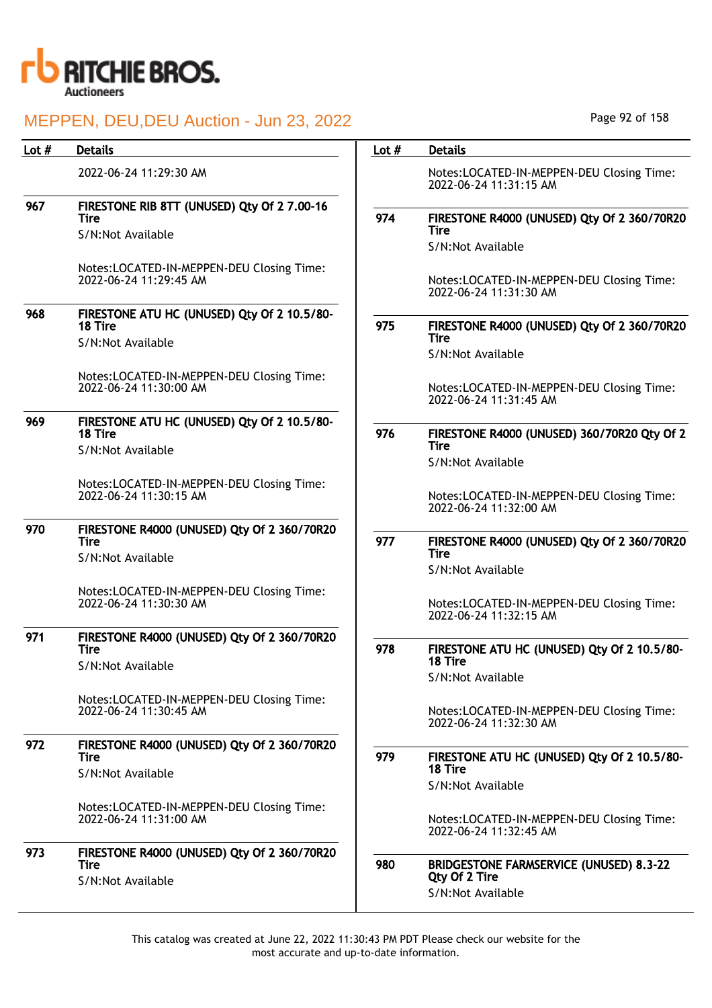

## MEDDEN, DELLDELLAuction - Jun 23, 2022

|         | <u> IVIEFFEIN, DEU,DEU AUCIION - JUN ZO, ZUZZ</u>                           |         |                                                                     |
|---------|-----------------------------------------------------------------------------|---------|---------------------------------------------------------------------|
| Lot $#$ | <b>Details</b>                                                              | Lot $#$ | <b>Details</b>                                                      |
|         | 2022-06-24 11:29:30 AM                                                      |         | Notes:LOCATED-IN-MEPPEN-DEU Closing Time:<br>2022-06-24 11:31:15 AM |
| 967     | FIRESTONE RIB 8TT (UNUSED) Qty Of 2 7.00-16<br>Tire                         | 974     | FIRESTONE R4000 (UNUSED) Qty Of 2 360/70R20                         |
|         | S/N:Not Available                                                           |         | Tire<br>S/N:Not Available                                           |
|         | Notes:LOCATED-IN-MEPPEN-DEU Closing Time:<br>2022-06-24 11:29:45 AM         |         | Notes:LOCATED-IN-MEPPEN-DEU Closing Time:<br>2022-06-24 11:31:30 AM |
| 968     | FIRESTONE ATU HC (UNUSED) Qty Of 2 10.5/80-<br>18 Tire                      | 975     | FIRESTONE R4000 (UNUSED) Qty Of 2 360/70R20                         |
|         | S/N:Not Available                                                           |         | <b>Tire</b><br>S/N:Not Available                                    |
|         | Notes:LOCATED-IN-MEPPEN-DEU Closing Time:<br>2022-06-24 11:30:00 AM         |         | Notes:LOCATED-IN-MEPPEN-DEU Closing Time:<br>2022-06-24 11:31:45 AM |
| 969     | FIRESTONE ATU HC (UNUSED) Qty Of 2 10.5/80-<br>18 Tire<br>S/N:Not Available | 976     | FIRESTONE R4000 (UNUSED) 360/70R20 Qty Of 2<br>Tire                 |
|         |                                                                             |         | S/N:Not Available                                                   |
|         | Notes:LOCATED-IN-MEPPEN-DEU Closing Time:<br>2022-06-24 11:30:15 AM         |         | Notes:LOCATED-IN-MEPPEN-DEU Closing Time:<br>2022-06-24 11:32:00 AM |
| 970     | FIRESTONE R4000 (UNUSED) Qty Of 2 360/70R20<br><b>Tire</b>                  | 977     | FIRESTONE R4000 (UNUSED) Qty Of 2 360/70R20                         |
|         | S/N:Not Available                                                           |         | <b>Tire</b><br>S/N:Not Available                                    |
|         | Notes:LOCATED-IN-MEPPEN-DEU Closing Time:<br>2022-06-24 11:30:30 AM         |         | Notes:LOCATED-IN-MEPPEN-DEU Closing Time:<br>2022-06-24 11:32:15 AM |
| 971     | FIRESTONE R4000 (UNUSED) Qty Of 2 360/70R20<br><b>Tire</b>                  | 978     | FIRESTONE ATU HC (UNUSED) Qty Of 2 10.5/80-                         |
|         | S/N:Not Available                                                           |         | 18 Tire<br>S/N:Not Available                                        |
|         | Notes:LOCATED-IN-MEPPEN-DEU Closing Time:<br>2022-06-24 11:30:45 AM         |         | Notes:LOCATED-IN-MEPPEN-DEU Closing Time:<br>2022-06-24 11:32:30 AM |
| 972     | FIRESTONE R4000 (UNUSED) Qty Of 2 360/70R20<br><b>Tire</b>                  | 979     | FIRESTONE ATU HC (UNUSED) Qty Of 2 10.5/80-                         |
|         | S/N:Not Available                                                           |         | 18 Tire<br>S/N:Not Available                                        |
|         | Notes:LOCATED-IN-MEPPEN-DEU Closing Time:<br>2022-06-24 11:31:00 AM         |         | Notes:LOCATED-IN-MEPPEN-DEU Closing Time:<br>2022-06-24 11:32:45 AM |
| 973     | FIRESTONE R4000 (UNUSED) Qty Of 2 360/70R20<br><b>Tire</b>                  | 980     | <b>BRIDGESTONE FARMSERVICE (UNUSED) 8.3-22</b>                      |
|         | S/N:Not Available                                                           |         | Qty Of 2 Tire<br>S/N:Not Available                                  |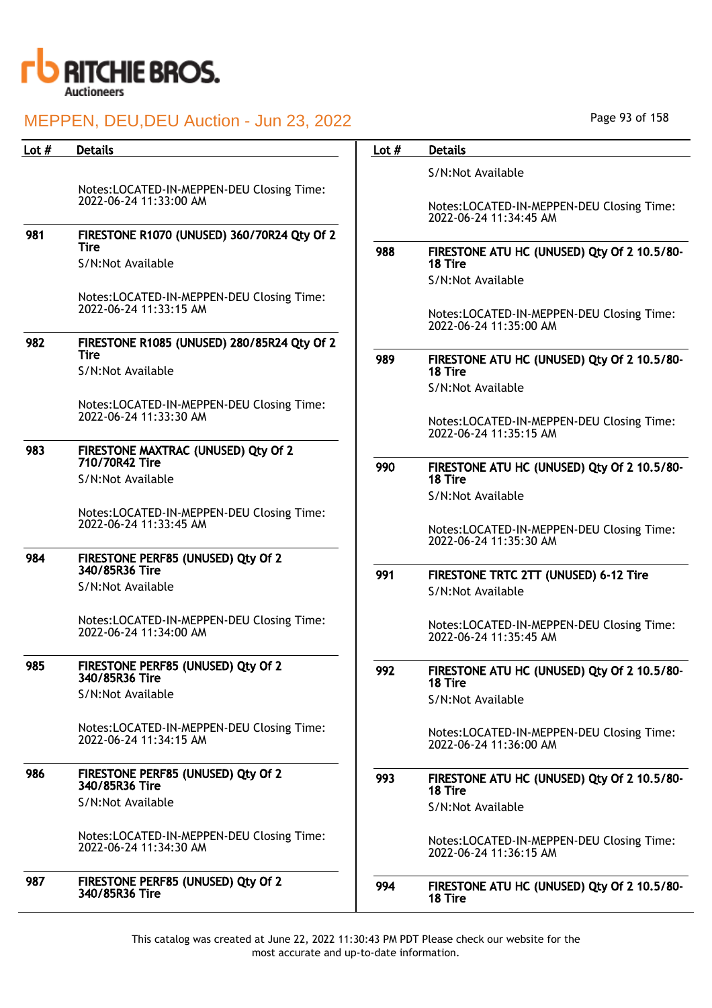

| Lot # | <b>Details</b>                                                      | Lot $#$ | <b>Details</b>                                                      |
|-------|---------------------------------------------------------------------|---------|---------------------------------------------------------------------|
|       |                                                                     |         | S/N:Not Available                                                   |
|       | Notes:LOCATED-IN-MEPPEN-DEU Closing Time:                           |         |                                                                     |
|       | 2022-06-24 11:33:00 AM                                              |         | Notes:LOCATED-IN-MEPPEN-DEU Closing Time:<br>2022-06-24 11:34:45 AM |
| 981   | FIRESTONE R1070 (UNUSED) 360/70R24 Qty Of 2                         |         |                                                                     |
|       | <b>Tire</b>                                                         | 988     | FIRESTONE ATU HC (UNUSED) Qty Of 2 10.5/80-                         |
|       | S/N:Not Available                                                   |         | 18 Tire                                                             |
|       |                                                                     |         | S/N:Not Available                                                   |
|       | Notes:LOCATED-IN-MEPPEN-DEU Closing Time:<br>2022-06-24 11:33:15 AM |         |                                                                     |
|       |                                                                     |         | Notes:LOCATED-IN-MEPPEN-DEU Closing Time:<br>2022-06-24 11:35:00 AM |
| 982   | FIRESTONE R1085 (UNUSED) 280/85R24 Qty Of 2                         |         |                                                                     |
|       | <b>Tire</b>                                                         | 989     | FIRESTONE ATU HC (UNUSED) Qty Of 2 10.5/80-                         |
|       | S/N:Not Available                                                   |         | 18 Tire                                                             |
|       |                                                                     |         | S/N:Not Available                                                   |
|       | Notes:LOCATED-IN-MEPPEN-DEU Closing Time:<br>2022-06-24 11:33:30 AM |         | Notes:LOCATED-IN-MEPPEN-DEU Closing Time:                           |
|       |                                                                     |         | 2022-06-24 11:35:15 AM                                              |
| 983   | FIRESTONE MAXTRAC (UNUSED) Qty Of 2                                 |         |                                                                     |
|       | 710/70R42 Tire<br>S/N:Not Available                                 | 990     | FIRESTONE ATU HC (UNUSED) Qty Of 2 10.5/80-<br>18 Tire              |
|       |                                                                     |         | S/N:Not Available                                                   |
|       | Notes:LOCATED-IN-MEPPEN-DEU Closing Time:                           |         |                                                                     |
|       | 2022-06-24 11:33:45 AM                                              |         | Notes:LOCATED-IN-MEPPEN-DEU Closing Time:                           |
|       |                                                                     |         | 2022-06-24 11:35:30 AM                                              |
| 984   | FIRESTONE PERF85 (UNUSED) Qty Of 2<br>340/85R36 Tire                |         |                                                                     |
|       | S/N:Not Available                                                   | 991     | FIRESTONE TRTC 2TT (UNUSED) 6-12 Tire<br>S/N:Not Available          |
|       |                                                                     |         |                                                                     |
|       | Notes:LOCATED-IN-MEPPEN-DEU Closing Time:                           |         | Notes:LOCATED-IN-MEPPEN-DEU Closing Time:                           |
|       | 2022-06-24 11:34:00 AM                                              |         | 2022-06-24 11:35:45 AM                                              |
| 985   | FIRESTONE PERF85 (UNUSED) Qty Of 2                                  |         |                                                                     |
|       | 340/85R36 Tire                                                      | 992     | FIRESTONE ATU HC (UNUSED) Qty Of 2 10.5/80-<br>18 Tire              |
|       | S/N:Not Available                                                   |         | S/N:Not Available                                                   |
|       |                                                                     |         |                                                                     |
|       | Notes:LOCATED-IN-MEPPEN-DEU Closing Time:<br>2022-06-24 11:34:15 AM |         | Notes:LOCATED-IN-MEPPEN-DEU Closing Time:                           |
|       |                                                                     |         | 2022-06-24 11:36:00 AM                                              |
| 986   | FIRESTONE PERF85 (UNUSED) Qty Of 2                                  | 993     | FIRESTONE ATU HC (UNUSED) Qty Of 2 10.5/80-                         |
|       | 340/85R36 Tire                                                      |         | 18 Tire                                                             |
|       | S/N:Not Available                                                   |         | S/N:Not Available                                                   |
|       | Notes:LOCATED-IN-MEPPEN-DEU Closing Time:                           |         |                                                                     |
|       | 2022-06-24 11:34:30 AM                                              |         | Notes:LOCATED-IN-MEPPEN-DEU Closing Time:<br>2022-06-24 11:36:15 AM |
|       |                                                                     |         |                                                                     |
| 987   | FIRESTONE PERF85 (UNUSED) Qty Of 2<br>340/85R36 Tire                | 994     | FIRESTONE ATU HC (UNUSED) Qty Of 2 10.5/80-                         |
|       |                                                                     |         | 18 Tire                                                             |

Page 93 of 158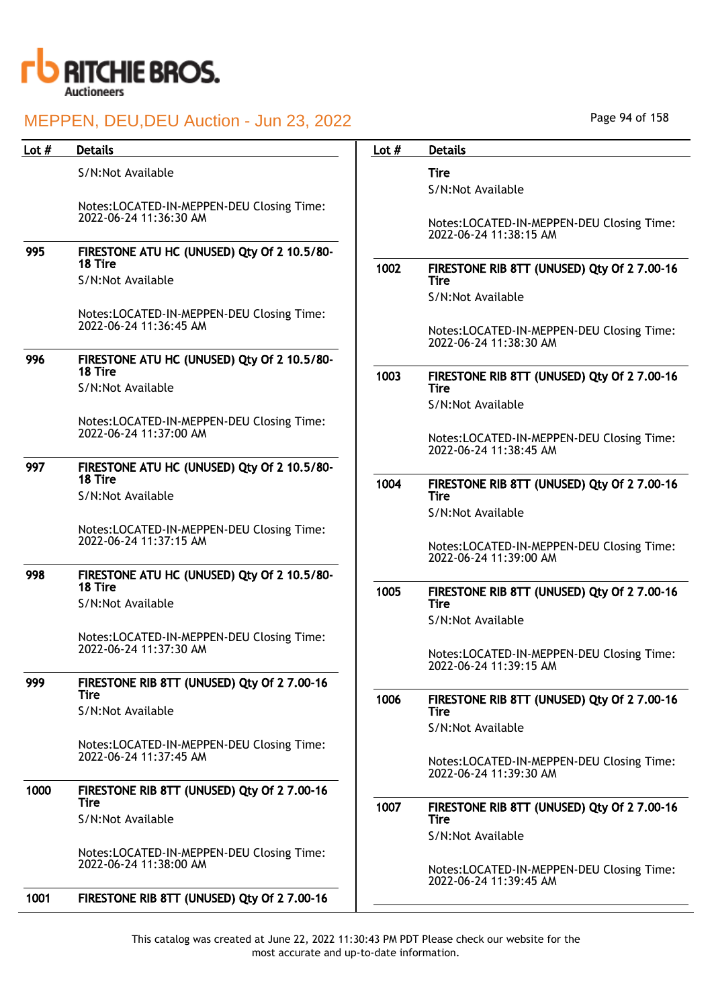

|       | Page 94 of 158                                                      |
|-------|---------------------------------------------------------------------|
| _ot # | <b>Details</b>                                                      |
|       | Tire                                                                |
|       | S/N:Not Available                                                   |
|       | Notes:LOCATED-IN-MEPPEN-DEU Closing Time:<br>2022-06-24 11:38:15 AM |
| 1002  | FIRESTONE RIB 8TT (UNUSED) Qty Of 2 7.00-16<br>Tire                 |
|       | S/N:Not Available                                                   |
|       | Notes:LOCATED-IN-MEPPEN-DEU Closing Time:<br>2022-06-24 11:38:30 AM |
| 1003  | FIRESTONE RIB 8TT (UNUSED) Qty Of 2 7.00-16<br><b>Tire</b>          |
|       | S/N:Not Available                                                   |
|       | Notes:LOCATED-IN-MEPPEN-DEU Closing Time:<br>2022-06-24 11:38:45 AM |

1004 FIRESTONE RIB 8TT (UNUSED) Qty Of 2 7.00-16 Tire

S/N:Not Available

Notes:LOCATED-IN-MEPPEN-DEU Closing Time: 2022-06-24 11:39:00 AM

1005 FIRESTONE RIB 8TT (UNUSED) Qty Of 2 7.00-16 Tire S/N:Not Available

> Notes:LOCATED-IN-MEPPEN-DEU Closing Time: 2022-06-24 11:39:15 AM

## 1006 FIRESTONE RIB 8TT (UNUSED) Qty Of 2 7.00-16 **Tire**

S/N:Not Available

Notes:LOCATED-IN-MEPPEN-DEU Closing Time: 2022-06-24 11:39:30 AM

1007 FIRESTONE RIB 8TT (UNUSED) Qty Of 2 7.00-16 Tire

S/N:Not Available

Notes:LOCATED-IN-MEPPEN-DEU Closing Time: 2022-06-24 11:39:45 AM

This catalog was created at June 22, 2022 11:30:43 PM PDT Please check our website for the most accurate and up-to-date information.

## Lot # Details **Details According to the United States Lot # Details**

S/N:Not Available

Notes:LOCATED-IN-MEPPEN-DEU Closing Time: 2022-06-24 11:36:30 AM

## 995 FIRESTONE ATU HC (UNUSED) Qty Of 2 10.5/80- 18 Tire

S/N:Not Available

Notes:LOCATED-IN-MEPPEN-DEU Closing Time: 2022-06-24 11:36:45 AM

## 996 FIRESTONE ATU HC (UNUSED) Qty Of 2 10.5/80- 18 Tire

S/N:Not Available

Notes:LOCATED-IN-MEPPEN-DEU Closing Time: 2022-06-24 11:37:00 AM

#### 997 FIRESTONE ATU HC (UNUSED) Qty Of 2 10.5/80- 18 Tire S/N:Not Available

Notes:LOCATED-IN-MEPPEN-DEU Closing Time: 2022-06-24 11:37:15 AM

## 998 FIRESTONE ATU HC (UNUSED) Qty Of 2 10.5/80- 18 Tire

S/N:Not Available

Notes:LOCATED-IN-MEPPEN-DEU Closing Time: 2022-06-24 11:37:30 AM

## 999 FIRESTONE RIB 8TT (UNUSED) Qty Of 2 7.00-16 Tire

S/N:Not Available

Notes:LOCATED-IN-MEPPEN-DEU Closing Time: 2022-06-24 11:37:45 AM

## 1000 FIRESTONE RIB 8TT (UNUSED) Qty Of 2 7.00-16 **Tire**

S/N:Not Available

Notes:LOCATED-IN-MEPPEN-DEU Closing Time: 2022-06-24 11:38:00 AM

1001 FIRESTONE RIB 8TT (UNUSED) Qty Of 2 7.00-16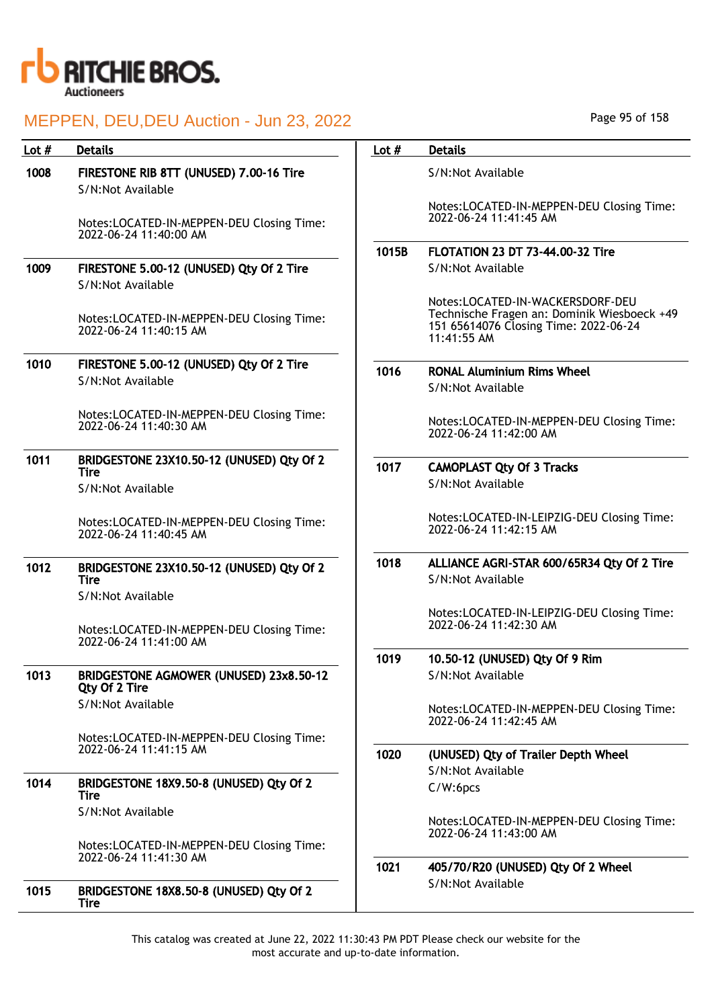

| Lot # | <b>Details</b>                                                      | Lot $#$ | <b>Details</b>                                                                                                                          |
|-------|---------------------------------------------------------------------|---------|-----------------------------------------------------------------------------------------------------------------------------------------|
| 1008  | FIRESTONE RIB 8TT (UNUSED) 7.00-16 Tire<br>S/N:Not Available        |         | S/N:Not Available                                                                                                                       |
|       | Notes:LOCATED-IN-MEPPEN-DEU Closing Time:<br>2022-06-24 11:40:00 AM |         | Notes:LOCATED-IN-MEPPEN-DEU Closing Time:<br>2022-06-24 11:41:45 AM                                                                     |
|       |                                                                     | 1015B   | <b>FLOTATION 23 DT 73-44.00-32 Tire</b>                                                                                                 |
| 1009  | FIRESTONE 5.00-12 (UNUSED) Qty Of 2 Tire<br>S/N:Not Available       |         | S/N:Not Available                                                                                                                       |
|       | Notes:LOCATED-IN-MEPPEN-DEU Closing Time:<br>2022-06-24 11:40:15 AM |         | Notes:LOCATED-IN-WACKERSDORF-DEU<br>Technische Fragen an: Dominik Wiesboeck +49<br>151 65614076 Closing Time: 2022-06-24<br>11:41:55 AM |
| 1010  | FIRESTONE 5.00-12 (UNUSED) Qty Of 2 Tire                            |         |                                                                                                                                         |
|       | S/N:Not Available                                                   | 1016    | <b>RONAL Aluminium Rims Wheel</b><br>S/N:Not Available                                                                                  |
|       | Notes:LOCATED-IN-MEPPEN-DEU Closing Time:<br>2022-06-24 11:40:30 AM |         | Notes:LOCATED-IN-MEPPEN-DEU Closing Time:<br>2022-06-24 11:42:00 AM                                                                     |
| 1011  | BRIDGESTONE 23X10.50-12 (UNUSED) Qty Of 2                           | 1017    | <b>CAMOPLAST Qty Of 3 Tracks</b>                                                                                                        |
|       | <b>Tire</b><br>S/N:Not Available                                    |         | S/N:Not Available                                                                                                                       |
|       | Notes:LOCATED-IN-MEPPEN-DEU Closing Time:<br>2022-06-24 11:40:45 AM |         | Notes:LOCATED-IN-LEIPZIG-DEU Closing Time:<br>2022-06-24 11:42:15 AM                                                                    |
| 1012  | BRIDGESTONE 23X10.50-12 (UNUSED) Qty Of 2<br><b>Tire</b>            | 1018    | ALLIANCE AGRI-STAR 600/65R34 Qty Of 2 Tire<br>S/N:Not Available                                                                         |
|       | S/N:Not Available                                                   |         |                                                                                                                                         |
|       | Notes:LOCATED-IN-MEPPEN-DEU Closing Time:<br>2022-06-24 11:41:00 AM |         | Notes:LOCATED-IN-LEIPZIG-DEU Closing Time:<br>2022-06-24 11:42:30 AM                                                                    |
|       |                                                                     | 1019    | 10.50-12 (UNUSED) Qty Of 9 Rim                                                                                                          |
| 1013  | BRIDGESTONE AGMOWER (UNUSED) 23x8.50-12<br>Qty Of 2 Tire            |         | S/N:Not Available                                                                                                                       |
|       | S/N:Not Available                                                   |         | Notes:LOCATED-IN-MEPPEN-DEU Closing Time:<br>2022-06-24 11:42:45 AM                                                                     |
|       | Notes:LOCATED-IN-MEPPEN-DEU Closing Time:                           |         |                                                                                                                                         |
|       | 2022-06-24 11:41:15 AM                                              | 1020    | (UNUSED) Qty of Trailer Depth Wheel                                                                                                     |
| 1014  |                                                                     |         | S/N:Not Available                                                                                                                       |
|       | BRIDGESTONE 18X9.50-8 (UNUSED) Qty Of 2<br><b>Tire</b>              |         | C/W:6pcs                                                                                                                                |
|       | S/N:Not Available                                                   |         | Notes:LOCATED-IN-MEPPEN-DEU Closing Time:<br>2022-06-24 11:43:00 AM                                                                     |
|       | Notes:LOCATED-IN-MEPPEN-DEU Closing Time:<br>2022-06-24 11:41:30 AM |         |                                                                                                                                         |
|       |                                                                     | 1021    | 405/70/R20 (UNUSED) Qty Of 2 Wheel                                                                                                      |
| 1015  | BRIDGESTONE 18X8.50-8 (UNUSED) Qty Of 2<br><b>Tire</b>              |         | S/N:Not Available                                                                                                                       |

Page 95 of 158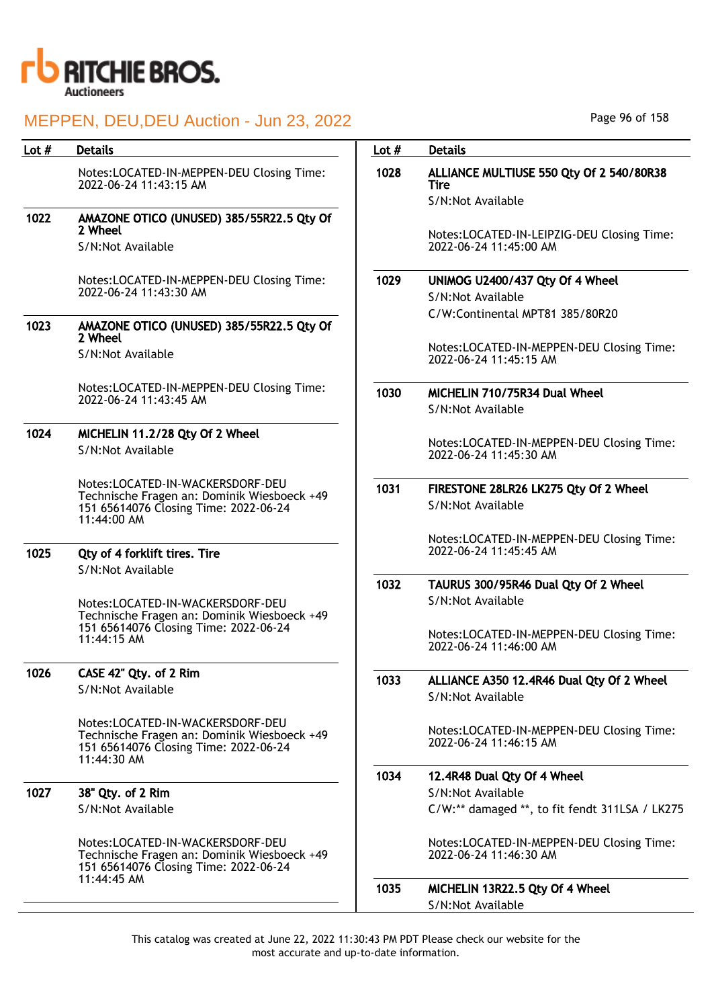

| Lot $#$ | <b>Details</b>                                                                       | Lot $#$ | <b>Details</b>                                                       |
|---------|--------------------------------------------------------------------------------------|---------|----------------------------------------------------------------------|
|         | Notes:LOCATED-IN-MEPPEN-DEU Closing Time:<br>2022-06-24 11:43:15 AM                  | 1028    | ALLIANCE MULTIUSE 550 Qty Of 2 540/80R38<br><b>Tire</b>              |
|         |                                                                                      |         | S/N:Not Available                                                    |
| 1022    | AMAZONE OTICO (UNUSED) 385/55R22.5 Qty Of                                            |         |                                                                      |
|         | 2 Wheel<br>S/N:Not Available                                                         |         | Notes:LOCATED-IN-LEIPZIG-DEU Closing Time:<br>2022-06-24 11:45:00 AM |
|         | Notes:LOCATED-IN-MEPPEN-DEU Closing Time:                                            | 1029    | UNIMOG U2400/437 Qty Of 4 Wheel                                      |
|         | 2022-06-24 11:43:30 AM                                                               |         | S/N:Not Available                                                    |
|         |                                                                                      |         | C/W:Continental MPT81 385/80R20                                      |
| 1023    | AMAZONE OTICO (UNUSED) 385/55R22.5 Qty Of<br>2 Wheel                                 |         |                                                                      |
|         | S/N:Not Available                                                                    |         | Notes:LOCATED-IN-MEPPEN-DEU Closing Time:<br>2022-06-24 11:45:15 AM  |
|         | Notes:LOCATED-IN-MEPPEN-DEU Closing Time:                                            | 1030    | MICHELIN 710/75R34 Dual Wheel                                        |
|         | 2022-06-24 11:43:45 AM                                                               |         | S/N:Not Available                                                    |
|         |                                                                                      |         |                                                                      |
| 1024    | MICHELIN 11.2/28 Qty Of 2 Wheel                                                      |         | Notes:LOCATED-IN-MEPPEN-DEU Closing Time:                            |
|         | S/N:Not Available                                                                    |         | 2022-06-24 11:45:30 AM                                               |
|         | Notes:LOCATED-IN-WACKERSDORF-DEU                                                     |         |                                                                      |
|         | Technische Fragen an: Dominik Wiesboeck +49                                          | 1031    | FIRESTONE 28LR26 LK275 Qty Of 2 Wheel                                |
|         | 151 65614076 Closing Time: 2022-06-24<br>11:44:00 AM                                 |         | S/N:Not Available                                                    |
|         |                                                                                      |         | Notes:LOCATED-IN-MEPPEN-DEU Closing Time:                            |
| 1025    | Qty of 4 forklift tires. Tire                                                        |         | 2022-06-24 11:45:45 AM                                               |
|         | S/N:Not Available                                                                    |         |                                                                      |
|         |                                                                                      | 1032    | TAURUS 300/95R46 Dual Qty Of 2 Wheel                                 |
|         | Notes:LOCATED-IN-WACKERSDORF-DEU                                                     |         | S/N:Not Available                                                    |
|         | Technische Fragen an: Dominik Wiesboeck +49<br>151 65614076 Closing Time: 2022-06-24 |         |                                                                      |
|         | 11:44:15 AM                                                                          |         | Notes:LOCATED-IN-MEPPEN-DEU Closing Time:<br>2022-06-24 11:46:00 AM  |
|         |                                                                                      |         |                                                                      |
| 1026    | CASE 42" Qty. of 2 Rim                                                               | 1033    | ALLIANCE A350 12.4R46 Dual Qty Of 2 Wheel                            |
|         | S/N:Not Available                                                                    |         | S/N:Not Available                                                    |
|         |                                                                                      |         |                                                                      |
|         | Notes:LOCATED-IN-WACKERSDORF-DEU<br>Technische Fragen an: Dominik Wiesboeck +49      |         | Notes:LOCATED-IN-MEPPEN-DEU Closing Time:                            |
|         | 151 65614076 Closing Time: 2022-06-24                                                |         | 2022-06-24 11:46:15 AM                                               |
|         | 11:44:30 AM                                                                          |         |                                                                      |
|         |                                                                                      | 1034    | 12.4R48 Dual Qty Of 4 Wheel                                          |
| 1027    | 38" Qty. of 2 Rim                                                                    |         | S/N:Not Available                                                    |
|         | S/N:Not Available                                                                    |         | C/W:** damaged **, to fit fendt 311LSA / LK275                       |
|         | Notes:LOCATED-IN-WACKERSDORF-DEU                                                     |         | Notes:LOCATED-IN-MEPPEN-DEU Closing Time:                            |
|         | Technische Fragen an: Dominik Wiesboeck +49                                          |         | 2022-06-24 11:46:30 AM                                               |
|         | 151 65614076 Closing Time: 2022-06-24<br>11:44:45 AM                                 |         |                                                                      |
|         |                                                                                      | 1035    | MICHELIN 13R22.5 Qty Of 4 Wheel                                      |
|         |                                                                                      |         | S/N:Not Available                                                    |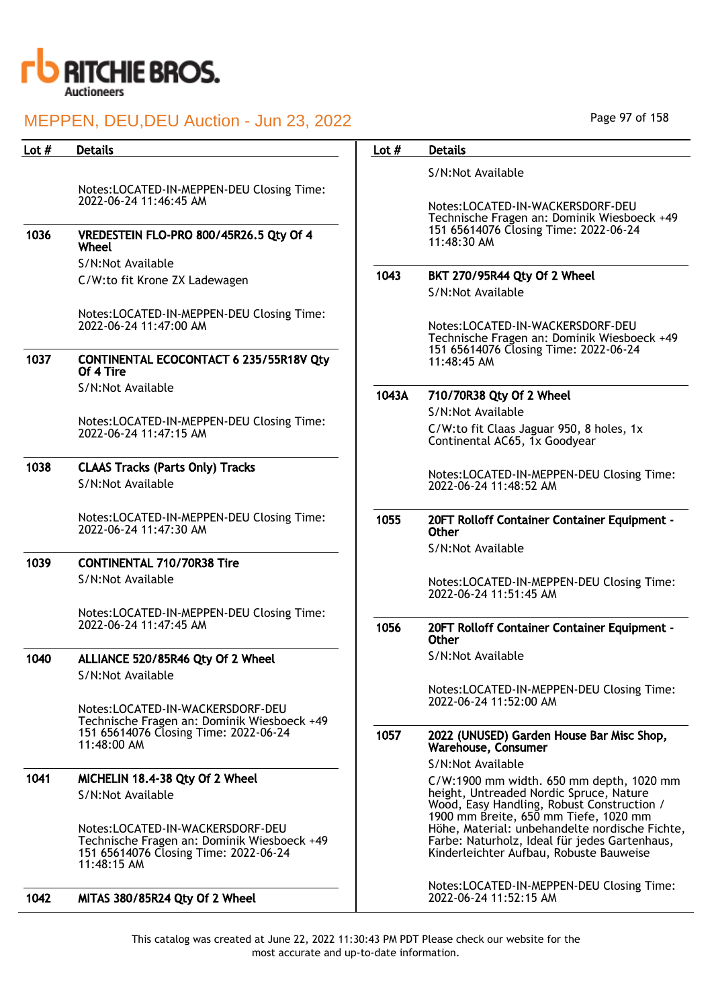

| S/N:Not Available<br>Notes:LOCATED-IN-MEPPEN-DEU Closing Time:<br>2022-06-24 11:46:45 AM<br>Notes:LOCATED-IN-WACKERSDORF-DEU<br>Technische Fragen an: Dominik Wiesboeck +49<br>151 65614076 Closing Time: 2022-06-24<br>1036<br>VREDESTEIN FLO-PRO 800/45R26.5 Qty Of 4<br>$11:48:30$ AM<br>Wheel<br>S/N:Not Available<br>1043<br>BKT 270/95R44 Qty Of 2 Wheel<br>C/W:to fit Krone ZX Ladewagen<br>S/N:Not Available<br>Notes:LOCATED-IN-MEPPEN-DEU Closing Time:<br>2022-06-24 11:47:00 AM<br>Notes:LOCATED-IN-WACKERSDORF-DEU<br>Technische Fragen an: Dominik Wiesboeck +49<br>151 65614076 Closing Time: 2022-06-24<br>1037<br><b>CONTINENTAL ECOCONTACT 6 235/55R18V Qty</b><br>$11:48:45$ AM<br>Of 4 Tire<br>S/N:Not Available<br>1043A<br>710/70R38 Qty Of 2 Wheel<br>S/N:Not Available<br>Notes:LOCATED-IN-MEPPEN-DEU Closing Time:<br>C/W:to fit Claas Jaguar 950, 8 holes, 1x<br>2022-06-24 11:47:15 AM<br>Continental AC65, 1x Goodyear<br>1038<br><b>CLAAS Tracks (Parts Only) Tracks</b><br>Notes:LOCATED-IN-MEPPEN-DEU Closing Time:<br>S/N:Not Available<br>2022-06-24 11:48:52 AM<br>Notes:LOCATED-IN-MEPPEN-DEU Closing Time:<br>1055<br>20FT Rolloff Container Container Equipment -<br>2022-06-24 11:47:30 AM<br>Other<br>S/N:Not Available<br>1039<br><b>CONTINENTAL 710/70R38 Tire</b><br>S/N:Not Available<br>Notes:LOCATED-IN-MEPPEN-DEU Closing Time:<br>2022-06-24 11:51:45 AM<br>Notes:LOCATED-IN-MEPPEN-DEU Closing Time:<br>2022-06-24 11:47:45 AM<br>1056<br>20FT Rolloff Container Container Equipment -<br><b>Other</b><br>S/N:Not Available<br>1040<br>ALLIANCE 520/85R46 Qty Of 2 Wheel<br>S/N:Not Available<br>Notes:LOCATED-IN-MEPPEN-DEU Closing Time:<br>2022-06-24 11:52:00 AM<br>Notes:LOCATED-IN-WACKERSDORF-DEU<br>Technische Fragen an: Dominik Wiesboeck +49<br>151 65614076 Closing Time: 2022-06-24<br>1057<br>2022 (UNUSED) Garden House Bar Misc Shop,<br>11:48:00 AM<br>Warehouse, Consumer<br>S/N:Not Available<br>1041<br>MICHELIN 18.4-38 Qty Of 2 Wheel<br>C/W:1900 mm width. 650 mm depth, 1020 mm<br>height, Untreaded Nordic Spruce, Nature<br>S/N:Not Available<br>Wood, Easy Handling, Robust Construction /<br>1900 mm Breite, 650 mm Tiefe, 1020 mm<br>Höhe, Material: unbehandelte nordische Fichte,<br>Notes:LOCATED-IN-WACKERSDORF-DEU<br>Farbe: Naturholz, Ideal für jedes Gartenhaus,<br>Technische Fragen an: Dominik Wiesboeck +49<br>Kinderleichter Aufbau, Robuste Bauweise<br>151 65614076 Closing Time: 2022-06-24<br>11:48:15 AM<br>Notes:LOCATED-IN-MEPPEN-DEU Closing Time:<br>1042<br>MITAS 380/85R24 Qty Of 2 Wheel<br>2022-06-24 11:52:15 AM | Lot $#$ | <b>Details</b> | Lot $#$ | <b>Details</b> |
|--------------------------------------------------------------------------------------------------------------------------------------------------------------------------------------------------------------------------------------------------------------------------------------------------------------------------------------------------------------------------------------------------------------------------------------------------------------------------------------------------------------------------------------------------------------------------------------------------------------------------------------------------------------------------------------------------------------------------------------------------------------------------------------------------------------------------------------------------------------------------------------------------------------------------------------------------------------------------------------------------------------------------------------------------------------------------------------------------------------------------------------------------------------------------------------------------------------------------------------------------------------------------------------------------------------------------------------------------------------------------------------------------------------------------------------------------------------------------------------------------------------------------------------------------------------------------------------------------------------------------------------------------------------------------------------------------------------------------------------------------------------------------------------------------------------------------------------------------------------------------------------------------------------------------------------------------------------------------------------------------------------------------------------------------------------------------------------------------------------------------------------------------------------------------------------------------------------------------------------------------------------------------------------------------------------------------------------------------------------------------------------------------------------------------------------------------------------------------------------------------------------------------------------------------------------------------------------------------------------------------|---------|----------------|---------|----------------|
|                                                                                                                                                                                                                                                                                                                                                                                                                                                                                                                                                                                                                                                                                                                                                                                                                                                                                                                                                                                                                                                                                                                                                                                                                                                                                                                                                                                                                                                                                                                                                                                                                                                                                                                                                                                                                                                                                                                                                                                                                                                                                                                                                                                                                                                                                                                                                                                                                                                                                                                                                                                                                          |         |                |         |                |
|                                                                                                                                                                                                                                                                                                                                                                                                                                                                                                                                                                                                                                                                                                                                                                                                                                                                                                                                                                                                                                                                                                                                                                                                                                                                                                                                                                                                                                                                                                                                                                                                                                                                                                                                                                                                                                                                                                                                                                                                                                                                                                                                                                                                                                                                                                                                                                                                                                                                                                                                                                                                                          |         |                |         |                |
|                                                                                                                                                                                                                                                                                                                                                                                                                                                                                                                                                                                                                                                                                                                                                                                                                                                                                                                                                                                                                                                                                                                                                                                                                                                                                                                                                                                                                                                                                                                                                                                                                                                                                                                                                                                                                                                                                                                                                                                                                                                                                                                                                                                                                                                                                                                                                                                                                                                                                                                                                                                                                          |         |                |         |                |
|                                                                                                                                                                                                                                                                                                                                                                                                                                                                                                                                                                                                                                                                                                                                                                                                                                                                                                                                                                                                                                                                                                                                                                                                                                                                                                                                                                                                                                                                                                                                                                                                                                                                                                                                                                                                                                                                                                                                                                                                                                                                                                                                                                                                                                                                                                                                                                                                                                                                                                                                                                                                                          |         |                |         |                |
|                                                                                                                                                                                                                                                                                                                                                                                                                                                                                                                                                                                                                                                                                                                                                                                                                                                                                                                                                                                                                                                                                                                                                                                                                                                                                                                                                                                                                                                                                                                                                                                                                                                                                                                                                                                                                                                                                                                                                                                                                                                                                                                                                                                                                                                                                                                                                                                                                                                                                                                                                                                                                          |         |                |         |                |
|                                                                                                                                                                                                                                                                                                                                                                                                                                                                                                                                                                                                                                                                                                                                                                                                                                                                                                                                                                                                                                                                                                                                                                                                                                                                                                                                                                                                                                                                                                                                                                                                                                                                                                                                                                                                                                                                                                                                                                                                                                                                                                                                                                                                                                                                                                                                                                                                                                                                                                                                                                                                                          |         |                |         |                |
|                                                                                                                                                                                                                                                                                                                                                                                                                                                                                                                                                                                                                                                                                                                                                                                                                                                                                                                                                                                                                                                                                                                                                                                                                                                                                                                                                                                                                                                                                                                                                                                                                                                                                                                                                                                                                                                                                                                                                                                                                                                                                                                                                                                                                                                                                                                                                                                                                                                                                                                                                                                                                          |         |                |         |                |
|                                                                                                                                                                                                                                                                                                                                                                                                                                                                                                                                                                                                                                                                                                                                                                                                                                                                                                                                                                                                                                                                                                                                                                                                                                                                                                                                                                                                                                                                                                                                                                                                                                                                                                                                                                                                                                                                                                                                                                                                                                                                                                                                                                                                                                                                                                                                                                                                                                                                                                                                                                                                                          |         |                |         |                |
|                                                                                                                                                                                                                                                                                                                                                                                                                                                                                                                                                                                                                                                                                                                                                                                                                                                                                                                                                                                                                                                                                                                                                                                                                                                                                                                                                                                                                                                                                                                                                                                                                                                                                                                                                                                                                                                                                                                                                                                                                                                                                                                                                                                                                                                                                                                                                                                                                                                                                                                                                                                                                          |         |                |         |                |
|                                                                                                                                                                                                                                                                                                                                                                                                                                                                                                                                                                                                                                                                                                                                                                                                                                                                                                                                                                                                                                                                                                                                                                                                                                                                                                                                                                                                                                                                                                                                                                                                                                                                                                                                                                                                                                                                                                                                                                                                                                                                                                                                                                                                                                                                                                                                                                                                                                                                                                                                                                                                                          |         |                |         |                |
|                                                                                                                                                                                                                                                                                                                                                                                                                                                                                                                                                                                                                                                                                                                                                                                                                                                                                                                                                                                                                                                                                                                                                                                                                                                                                                                                                                                                                                                                                                                                                                                                                                                                                                                                                                                                                                                                                                                                                                                                                                                                                                                                                                                                                                                                                                                                                                                                                                                                                                                                                                                                                          |         |                |         |                |
|                                                                                                                                                                                                                                                                                                                                                                                                                                                                                                                                                                                                                                                                                                                                                                                                                                                                                                                                                                                                                                                                                                                                                                                                                                                                                                                                                                                                                                                                                                                                                                                                                                                                                                                                                                                                                                                                                                                                                                                                                                                                                                                                                                                                                                                                                                                                                                                                                                                                                                                                                                                                                          |         |                |         |                |
|                                                                                                                                                                                                                                                                                                                                                                                                                                                                                                                                                                                                                                                                                                                                                                                                                                                                                                                                                                                                                                                                                                                                                                                                                                                                                                                                                                                                                                                                                                                                                                                                                                                                                                                                                                                                                                                                                                                                                                                                                                                                                                                                                                                                                                                                                                                                                                                                                                                                                                                                                                                                                          |         |                |         |                |
|                                                                                                                                                                                                                                                                                                                                                                                                                                                                                                                                                                                                                                                                                                                                                                                                                                                                                                                                                                                                                                                                                                                                                                                                                                                                                                                                                                                                                                                                                                                                                                                                                                                                                                                                                                                                                                                                                                                                                                                                                                                                                                                                                                                                                                                                                                                                                                                                                                                                                                                                                                                                                          |         |                |         |                |
|                                                                                                                                                                                                                                                                                                                                                                                                                                                                                                                                                                                                                                                                                                                                                                                                                                                                                                                                                                                                                                                                                                                                                                                                                                                                                                                                                                                                                                                                                                                                                                                                                                                                                                                                                                                                                                                                                                                                                                                                                                                                                                                                                                                                                                                                                                                                                                                                                                                                                                                                                                                                                          |         |                |         |                |
|                                                                                                                                                                                                                                                                                                                                                                                                                                                                                                                                                                                                                                                                                                                                                                                                                                                                                                                                                                                                                                                                                                                                                                                                                                                                                                                                                                                                                                                                                                                                                                                                                                                                                                                                                                                                                                                                                                                                                                                                                                                                                                                                                                                                                                                                                                                                                                                                                                                                                                                                                                                                                          |         |                |         |                |
|                                                                                                                                                                                                                                                                                                                                                                                                                                                                                                                                                                                                                                                                                                                                                                                                                                                                                                                                                                                                                                                                                                                                                                                                                                                                                                                                                                                                                                                                                                                                                                                                                                                                                                                                                                                                                                                                                                                                                                                                                                                                                                                                                                                                                                                                                                                                                                                                                                                                                                                                                                                                                          |         |                |         |                |
|                                                                                                                                                                                                                                                                                                                                                                                                                                                                                                                                                                                                                                                                                                                                                                                                                                                                                                                                                                                                                                                                                                                                                                                                                                                                                                                                                                                                                                                                                                                                                                                                                                                                                                                                                                                                                                                                                                                                                                                                                                                                                                                                                                                                                                                                                                                                                                                                                                                                                                                                                                                                                          |         |                |         |                |
|                                                                                                                                                                                                                                                                                                                                                                                                                                                                                                                                                                                                                                                                                                                                                                                                                                                                                                                                                                                                                                                                                                                                                                                                                                                                                                                                                                                                                                                                                                                                                                                                                                                                                                                                                                                                                                                                                                                                                                                                                                                                                                                                                                                                                                                                                                                                                                                                                                                                                                                                                                                                                          |         |                |         |                |
|                                                                                                                                                                                                                                                                                                                                                                                                                                                                                                                                                                                                                                                                                                                                                                                                                                                                                                                                                                                                                                                                                                                                                                                                                                                                                                                                                                                                                                                                                                                                                                                                                                                                                                                                                                                                                                                                                                                                                                                                                                                                                                                                                                                                                                                                                                                                                                                                                                                                                                                                                                                                                          |         |                |         |                |
|                                                                                                                                                                                                                                                                                                                                                                                                                                                                                                                                                                                                                                                                                                                                                                                                                                                                                                                                                                                                                                                                                                                                                                                                                                                                                                                                                                                                                                                                                                                                                                                                                                                                                                                                                                                                                                                                                                                                                                                                                                                                                                                                                                                                                                                                                                                                                                                                                                                                                                                                                                                                                          |         |                |         |                |
|                                                                                                                                                                                                                                                                                                                                                                                                                                                                                                                                                                                                                                                                                                                                                                                                                                                                                                                                                                                                                                                                                                                                                                                                                                                                                                                                                                                                                                                                                                                                                                                                                                                                                                                                                                                                                                                                                                                                                                                                                                                                                                                                                                                                                                                                                                                                                                                                                                                                                                                                                                                                                          |         |                |         |                |
|                                                                                                                                                                                                                                                                                                                                                                                                                                                                                                                                                                                                                                                                                                                                                                                                                                                                                                                                                                                                                                                                                                                                                                                                                                                                                                                                                                                                                                                                                                                                                                                                                                                                                                                                                                                                                                                                                                                                                                                                                                                                                                                                                                                                                                                                                                                                                                                                                                                                                                                                                                                                                          |         |                |         |                |
|                                                                                                                                                                                                                                                                                                                                                                                                                                                                                                                                                                                                                                                                                                                                                                                                                                                                                                                                                                                                                                                                                                                                                                                                                                                                                                                                                                                                                                                                                                                                                                                                                                                                                                                                                                                                                                                                                                                                                                                                                                                                                                                                                                                                                                                                                                                                                                                                                                                                                                                                                                                                                          |         |                |         |                |
|                                                                                                                                                                                                                                                                                                                                                                                                                                                                                                                                                                                                                                                                                                                                                                                                                                                                                                                                                                                                                                                                                                                                                                                                                                                                                                                                                                                                                                                                                                                                                                                                                                                                                                                                                                                                                                                                                                                                                                                                                                                                                                                                                                                                                                                                                                                                                                                                                                                                                                                                                                                                                          |         |                |         |                |
|                                                                                                                                                                                                                                                                                                                                                                                                                                                                                                                                                                                                                                                                                                                                                                                                                                                                                                                                                                                                                                                                                                                                                                                                                                                                                                                                                                                                                                                                                                                                                                                                                                                                                                                                                                                                                                                                                                                                                                                                                                                                                                                                                                                                                                                                                                                                                                                                                                                                                                                                                                                                                          |         |                |         |                |
|                                                                                                                                                                                                                                                                                                                                                                                                                                                                                                                                                                                                                                                                                                                                                                                                                                                                                                                                                                                                                                                                                                                                                                                                                                                                                                                                                                                                                                                                                                                                                                                                                                                                                                                                                                                                                                                                                                                                                                                                                                                                                                                                                                                                                                                                                                                                                                                                                                                                                                                                                                                                                          |         |                |         |                |
|                                                                                                                                                                                                                                                                                                                                                                                                                                                                                                                                                                                                                                                                                                                                                                                                                                                                                                                                                                                                                                                                                                                                                                                                                                                                                                                                                                                                                                                                                                                                                                                                                                                                                                                                                                                                                                                                                                                                                                                                                                                                                                                                                                                                                                                                                                                                                                                                                                                                                                                                                                                                                          |         |                |         |                |
|                                                                                                                                                                                                                                                                                                                                                                                                                                                                                                                                                                                                                                                                                                                                                                                                                                                                                                                                                                                                                                                                                                                                                                                                                                                                                                                                                                                                                                                                                                                                                                                                                                                                                                                                                                                                                                                                                                                                                                                                                                                                                                                                                                                                                                                                                                                                                                                                                                                                                                                                                                                                                          |         |                |         |                |
|                                                                                                                                                                                                                                                                                                                                                                                                                                                                                                                                                                                                                                                                                                                                                                                                                                                                                                                                                                                                                                                                                                                                                                                                                                                                                                                                                                                                                                                                                                                                                                                                                                                                                                                                                                                                                                                                                                                                                                                                                                                                                                                                                                                                                                                                                                                                                                                                                                                                                                                                                                                                                          |         |                |         |                |
|                                                                                                                                                                                                                                                                                                                                                                                                                                                                                                                                                                                                                                                                                                                                                                                                                                                                                                                                                                                                                                                                                                                                                                                                                                                                                                                                                                                                                                                                                                                                                                                                                                                                                                                                                                                                                                                                                                                                                                                                                                                                                                                                                                                                                                                                                                                                                                                                                                                                                                                                                                                                                          |         |                |         |                |
|                                                                                                                                                                                                                                                                                                                                                                                                                                                                                                                                                                                                                                                                                                                                                                                                                                                                                                                                                                                                                                                                                                                                                                                                                                                                                                                                                                                                                                                                                                                                                                                                                                                                                                                                                                                                                                                                                                                                                                                                                                                                                                                                                                                                                                                                                                                                                                                                                                                                                                                                                                                                                          |         |                |         |                |
|                                                                                                                                                                                                                                                                                                                                                                                                                                                                                                                                                                                                                                                                                                                                                                                                                                                                                                                                                                                                                                                                                                                                                                                                                                                                                                                                                                                                                                                                                                                                                                                                                                                                                                                                                                                                                                                                                                                                                                                                                                                                                                                                                                                                                                                                                                                                                                                                                                                                                                                                                                                                                          |         |                |         |                |
|                                                                                                                                                                                                                                                                                                                                                                                                                                                                                                                                                                                                                                                                                                                                                                                                                                                                                                                                                                                                                                                                                                                                                                                                                                                                                                                                                                                                                                                                                                                                                                                                                                                                                                                                                                                                                                                                                                                                                                                                                                                                                                                                                                                                                                                                                                                                                                                                                                                                                                                                                                                                                          |         |                |         |                |
|                                                                                                                                                                                                                                                                                                                                                                                                                                                                                                                                                                                                                                                                                                                                                                                                                                                                                                                                                                                                                                                                                                                                                                                                                                                                                                                                                                                                                                                                                                                                                                                                                                                                                                                                                                                                                                                                                                                                                                                                                                                                                                                                                                                                                                                                                                                                                                                                                                                                                                                                                                                                                          |         |                |         |                |
|                                                                                                                                                                                                                                                                                                                                                                                                                                                                                                                                                                                                                                                                                                                                                                                                                                                                                                                                                                                                                                                                                                                                                                                                                                                                                                                                                                                                                                                                                                                                                                                                                                                                                                                                                                                                                                                                                                                                                                                                                                                                                                                                                                                                                                                                                                                                                                                                                                                                                                                                                                                                                          |         |                |         |                |
|                                                                                                                                                                                                                                                                                                                                                                                                                                                                                                                                                                                                                                                                                                                                                                                                                                                                                                                                                                                                                                                                                                                                                                                                                                                                                                                                                                                                                                                                                                                                                                                                                                                                                                                                                                                                                                                                                                                                                                                                                                                                                                                                                                                                                                                                                                                                                                                                                                                                                                                                                                                                                          |         |                |         |                |
|                                                                                                                                                                                                                                                                                                                                                                                                                                                                                                                                                                                                                                                                                                                                                                                                                                                                                                                                                                                                                                                                                                                                                                                                                                                                                                                                                                                                                                                                                                                                                                                                                                                                                                                                                                                                                                                                                                                                                                                                                                                                                                                                                                                                                                                                                                                                                                                                                                                                                                                                                                                                                          |         |                |         |                |
|                                                                                                                                                                                                                                                                                                                                                                                                                                                                                                                                                                                                                                                                                                                                                                                                                                                                                                                                                                                                                                                                                                                                                                                                                                                                                                                                                                                                                                                                                                                                                                                                                                                                                                                                                                                                                                                                                                                                                                                                                                                                                                                                                                                                                                                                                                                                                                                                                                                                                                                                                                                                                          |         |                |         |                |
|                                                                                                                                                                                                                                                                                                                                                                                                                                                                                                                                                                                                                                                                                                                                                                                                                                                                                                                                                                                                                                                                                                                                                                                                                                                                                                                                                                                                                                                                                                                                                                                                                                                                                                                                                                                                                                                                                                                                                                                                                                                                                                                                                                                                                                                                                                                                                                                                                                                                                                                                                                                                                          |         |                |         |                |
|                                                                                                                                                                                                                                                                                                                                                                                                                                                                                                                                                                                                                                                                                                                                                                                                                                                                                                                                                                                                                                                                                                                                                                                                                                                                                                                                                                                                                                                                                                                                                                                                                                                                                                                                                                                                                                                                                                                                                                                                                                                                                                                                                                                                                                                                                                                                                                                                                                                                                                                                                                                                                          |         |                |         |                |
|                                                                                                                                                                                                                                                                                                                                                                                                                                                                                                                                                                                                                                                                                                                                                                                                                                                                                                                                                                                                                                                                                                                                                                                                                                                                                                                                                                                                                                                                                                                                                                                                                                                                                                                                                                                                                                                                                                                                                                                                                                                                                                                                                                                                                                                                                                                                                                                                                                                                                                                                                                                                                          |         |                |         |                |

Page 97 of 158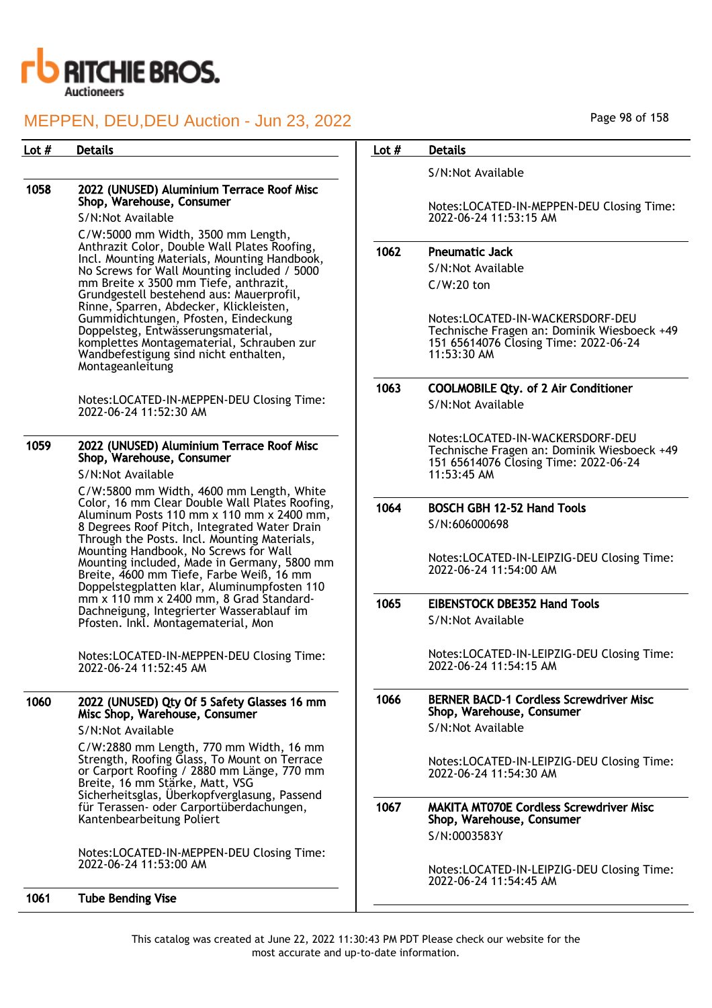

#### 1058 2022 (UNUSED) Aluminium Terrace Roof Misc Shop, Warehouse, Consumer

S/N:Not Available

C/W:5000 mm Width, 3500 mm Length, Anthrazit Color, Double Wall Plates Roofing, Incl. Mounting Materials, Mounting Handbook, No Screws for Wall Mounting included / 5000 mm Breite x 3500 mm Tiefe, anthrazit, Grundgestell bestehend aus: Mauerprofil, Rinne, Sparren, Abdecker, Klickleisten, Gummidichtungen, Pfosten, Eindeckung Doppelsteg, Entwässerungsmaterial, komplettes Montagematerial, Schrauben zur Wandbefestigung sind nicht enthalten, Montageanleitung

Notes:LOCATED-IN-MEPPEN-DEU Closing Time: 2022-06-24 11:52:30 AM

## 1059 2022 (UNUSED) Aluminium Terrace Roof Misc Shop, Warehouse, Consumer

S/N:Not Available

C/W:5800 mm Width, 4600 mm Length, White Color, 16 mm Clear Double Wall Plates Roofing, Aluminum Posts 110 mm x 110 mm x 2400 mm, 8 Degrees Roof Pitch, Integrated Water Drain Through the Posts. Incl. Mounting Materials, Mounting Handbook, No Screws for Wall Mounting included, Made in Germany, 5800 mm Breite, 4600 mm Tiefe, Farbe Weiß, 16 mm Doppelstegplatten klar, Aluminumpfosten 110 mm x 110 mm x 2400 mm, 8 Grad Standard-Dachneigung, Integrierter Wasserablauf im Pfosten. Inkl. Montagematerial, Mon

Notes:LOCATED-IN-MEPPEN-DEU Closing Time: 2022-06-24 11:52:45 AM

## 1060 2022 (UNUSED) Qty Of 5 Safety Glasses 16 mm Misc Shop, Warehouse, Consumer

S/N:Not Available

C/W:2880 mm Length, 770 mm Width, 16 mm Strength, Roofing Glass, To Mount on Terrace or Carport Roofing / 2880 mm Länge, 770 mm Breite, 16 mm Stärke, Matt, VSG Sicherheitsglas, Überkopfverglasung, Passend für Terassen- oder Carportüberdachungen, Kantenbearbeitung Poliert

Notes:LOCATED-IN-MEPPEN-DEU Closing Time: 2022-06-24 11:53:00 AM

## 1061 Tube Bending Vise

Page 98 of 158

## Lot # Details **Details According to the United States Lot # Details**

S/N:Not Available

Notes:LOCATED-IN-MEPPEN-DEU Closing Time: 2022-06-24 11:53:15 AM

## 1062 Pneumatic Jack

S/N:Not Available C/W:20 ton

Notes:LOCATED-IN-WACKERSDORF-DEU Technische Fragen an: Dominik Wiesboeck +49 151 65614076 Closing Time: 2022-06-24 11:53:30 AM

#### 1063 COOLMOBILE Qty. of 2 Air Conditioner S/N:Not Available

Notes:LOCATED-IN-WACKERSDORF-DEU Technische Fragen an: Dominik Wiesboeck +49 151 65614076 Closing Time: 2022-06-24 11:53:45 AM

#### 1064 BOSCH GBH 12-52 Hand Tools S/N:606000698

Notes:LOCATED-IN-LEIPZIG-DEU Closing Time: 2022-06-24 11:54:00 AM

## 1065 EIBENSTOCK DBE352 Hand Tools S/N:Not Available

Notes:LOCATED-IN-LEIPZIG-DEU Closing Time: 2022-06-24 11:54:15 AM

#### 1066 BERNER BACD-1 Cordless Screwdriver Misc Shop, Warehouse, Consumer S/N:Not Available

Notes:LOCATED-IN-LEIPZIG-DEU Closing Time: 2022-06-24 11:54:30 AM

1067 MAKITA MT070E Cordless Screwdriver Misc Shop, Warehouse, Consumer S/N:0003583Y

> Notes:LOCATED-IN-LEIPZIG-DEU Closing Time: 2022-06-24 11:54:45 AM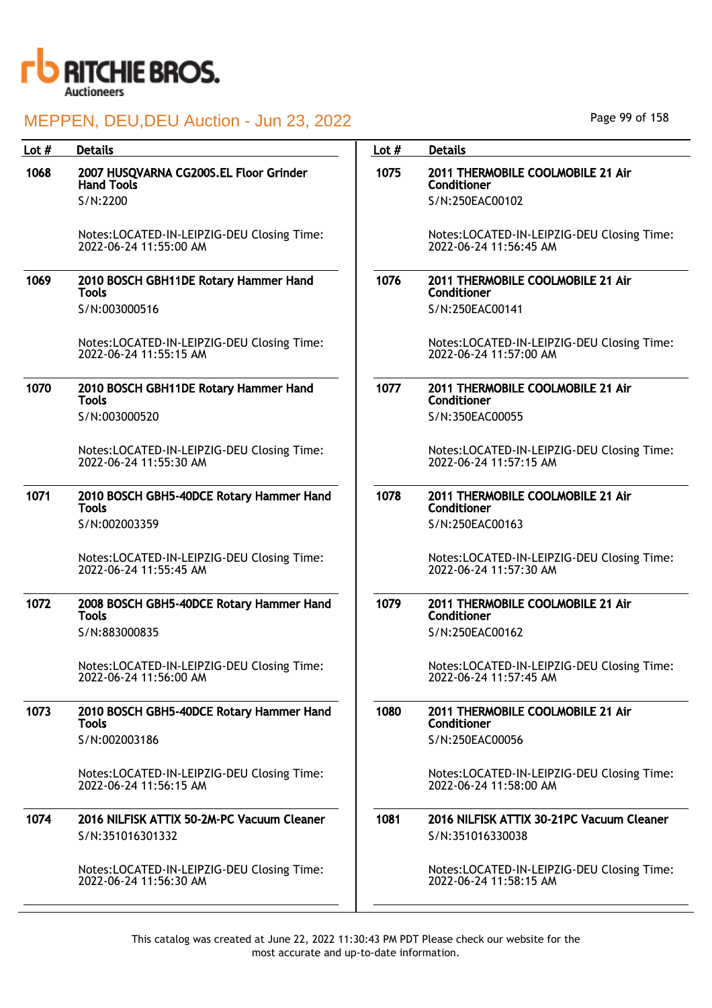

| Lot $#$ | <b>Details</b>                                                       | Lot $#$ | <b>Details</b>                                                       |
|---------|----------------------------------------------------------------------|---------|----------------------------------------------------------------------|
| 1068    | 2007 HUSQVARNA CG200S.EL Floor Grinder<br><b>Hand Tools</b>          | 1075    | 2011 THERMOBILE COOLMOBILE 21 Air<br>Conditioner                     |
|         | S/N:2200                                                             |         | S/N:250EAC00102                                                      |
|         | Notes:LOCATED-IN-LEIPZIG-DEU Closing Time:<br>2022-06-24 11:55:00 AM |         | Notes:LOCATED-IN-LEIPZIG-DEU Closing Time:<br>2022-06-24 11:56:45 AM |
| 1069    | 2010 BOSCH GBH11DE Rotary Hammer Hand<br>Tools                       | 1076    | 2011 THERMOBILE COOLMOBILE 21 Air<br>Conditioner                     |
|         | S/N:003000516                                                        |         | S/N:250EAC00141                                                      |
|         | Notes:LOCATED-IN-LEIPZIG-DEU Closing Time:<br>2022-06-24 11:55:15 AM |         | Notes:LOCATED-IN-LEIPZIG-DEU Closing Time:<br>2022-06-24 11:57:00 AM |
| 1070    | 2010 BOSCH GBH11DE Rotary Hammer Hand<br><b>Tools</b>                | 1077    | 2011 THERMOBILE COOLMOBILE 21 Air<br>Conditioner                     |
|         | S/N:003000520                                                        |         | S/N:350EAC00055                                                      |
|         | Notes:LOCATED-IN-LEIPZIG-DEU Closing Time:<br>2022-06-24 11:55:30 AM |         | Notes:LOCATED-IN-LEIPZIG-DEU Closing Time:<br>2022-06-24 11:57:15 AM |
| 1071    | 2010 BOSCH GBH5-40DCE Rotary Hammer Hand<br><b>Tools</b>             | 1078    | 2011 THERMOBILE COOLMOBILE 21 Air<br>Conditioner                     |
|         | S/N:002003359                                                        |         | S/N:250EAC00163                                                      |
|         | Notes:LOCATED-IN-LEIPZIG-DEU Closing Time:<br>2022-06-24 11:55:45 AM |         | Notes:LOCATED-IN-LEIPZIG-DEU Closing Time:<br>2022-06-24 11:57:30 AM |
| 1072    | 2008 BOSCH GBH5-40DCE Rotary Hammer Hand<br><b>Tools</b>             | 1079    | 2011 THERMOBILE COOLMOBILE 21 Air<br>Conditioner                     |
|         | S/N:883000835                                                        |         | S/N:250EAC00162                                                      |
|         | Notes:LOCATED-IN-LEIPZIG-DEU Closing Time:<br>2022-06-24 11:56:00 AM |         | Notes:LOCATED-IN-LEIPZIG-DEU Closing Time:<br>2022-06-24 11:57:45 AM |
| 1073    | 2010 BOSCH GBH5-40DCE Rotary Hammer Hand<br><b>Tools</b>             | 1080    | 2011 THERMOBILE COOLMOBILE 21 Air<br>Conditioner                     |
|         | S/N:002003186                                                        |         | S/N:250EAC00056                                                      |
|         | Notes:LOCATED-IN-LEIPZIG-DEU Closing Time:<br>2022-06-24 11:56:15 AM |         | Notes:LOCATED-IN-LEIPZIG-DEU Closing Time:<br>2022-06-24 11:58:00 AM |
| 1074    | 2016 NILFISK ATTIX 50-2M-PC Vacuum Cleaner<br>S/N:351016301332       | 1081    | 2016 NILFISK ATTIX 30-21PC Vacuum Cleaner<br>S/N:351016330038        |
|         | Notes:LOCATED-IN-LEIPZIG-DEU Closing Time:<br>2022-06-24 11:56:30 AM |         | Notes:LOCATED-IN-LEIPZIG-DEU Closing Time:<br>2022-06-24 11:58:15 AM |
|         |                                                                      |         |                                                                      |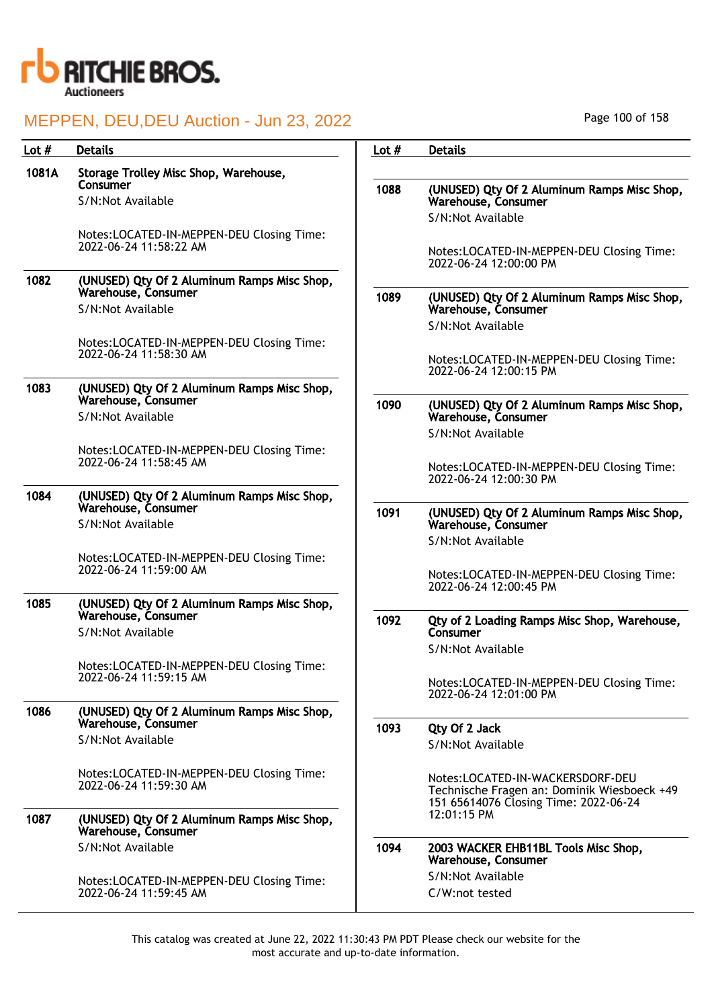

| Lot $#$ | <b>Details</b>                                                      | Lot $#$ | <b>Details</b>                                                                                                           |
|---------|---------------------------------------------------------------------|---------|--------------------------------------------------------------------------------------------------------------------------|
| 1081A   | Storage Trolley Misc Shop, Warehouse,<br>Consumer                   | 1088    | (UNUSED) Qty Of 2 Aluminum Ramps Misc Shop,                                                                              |
|         | S/N:Not Available                                                   |         | Warehouse, Consumer                                                                                                      |
|         |                                                                     |         | S/N:Not Available                                                                                                        |
|         | Notes:LOCATED-IN-MEPPEN-DEU Closing Time:<br>2022-06-24 11:58:22 AM |         | Notes:LOCATED-IN-MEPPEN-DEU Closing Time:<br>2022-06-24 12:00:00 PM                                                      |
| 1082    | (UNUSED) Qty Of 2 Aluminum Ramps Misc Shop,<br>Warehouse, Consumer  | 1089    | (UNUSED) Qty Of 2 Aluminum Ramps Misc Shop,                                                                              |
|         | S/N:Not Available                                                   |         | Warehouse, Consumer<br>S/N:Not Available                                                                                 |
|         | Notes:LOCATED-IN-MEPPEN-DEU Closing Time:                           |         |                                                                                                                          |
|         | 2022-06-24 11:58:30 AM                                              |         | Notes:LOCATED-IN-MEPPEN-DEU Closing Time:<br>2022-06-24 12:00:15 PM                                                      |
| 1083    | (UNUSED) Qty Of 2 Aluminum Ramps Misc Shop,<br>Warehouse, Consumer  |         |                                                                                                                          |
|         | S/N:Not Available                                                   | 1090    | (UNUSED) Qty Of 2 Aluminum Ramps Misc Shop,<br>Warehouse, Consumer                                                       |
|         |                                                                     |         | S/N:Not Available                                                                                                        |
|         | Notes:LOCATED-IN-MEPPEN-DEU Closing Time:<br>2022-06-24 11:58:45 AM |         | Notes:LOCATED-IN-MEPPEN-DEU Closing Time:<br>2022-06-24 12:00:30 PM                                                      |
| 1084    | (UNUSED) Qty Of 2 Aluminum Ramps Misc Shop,<br>Warehouse, Consumer  |         |                                                                                                                          |
|         | S/N:Not Available                                                   | 1091    | (UNUSED) Qty Of 2 Aluminum Ramps Misc Shop,<br>Warehouse, Consumer                                                       |
|         |                                                                     |         | S/N:Not Available                                                                                                        |
|         | Notes:LOCATED-IN-MEPPEN-DEU Closing Time:<br>2022-06-24 11:59:00 AM |         | Notes:LOCATED-IN-MEPPEN-DEU Closing Time:                                                                                |
| 1085    | (UNUSED) Qty Of 2 Aluminum Ramps Misc Shop,                         |         | 2022-06-24 12:00:45 PM                                                                                                   |
|         | Warehouse, Consumer                                                 | 1092    | Qty of 2 Loading Ramps Misc Shop, Warehouse,                                                                             |
|         | S/N:Not Available                                                   |         | Consumer                                                                                                                 |
|         | Notes:LOCATED-IN-MEPPEN-DEU Closing Time:                           |         | S/N:Not Available                                                                                                        |
|         | 2022-06-24 11:59:15 AM                                              |         | Notes:LOCATED-IN-MEPPEN-DEU Closing Time:<br>2022-06-24 12:01:00 PM                                                      |
| 1086    | (UNUSED) Qty Of 2 Aluminum Ramps Misc Shop,<br>Warehouse, Consumer  |         |                                                                                                                          |
|         | S/N:Not Available                                                   | 1093    | Qty Of 2 Jack<br>S/N:Not Available                                                                                       |
|         | Notes:LOCATED-IN-MEPPEN-DEU Closing Time:<br>2022-06-24 11:59:30 AM |         | Notes:LOCATED-IN-WACKERSDORF-DEU<br>Technische Fragen an: Dominik Wiesboeck +49<br>151 65614076 Closing Time: 2022-06-24 |
| 1087    | (UNUSED) Qty Of 2 Aluminum Ramps Misc Shop,<br>Warehouse, Consumer  |         | 12:01:15 PM                                                                                                              |
|         | S/N:Not Available                                                   | 1094    | 2003 WACKER EHB11BL Tools Misc Shop,<br>Warehouse, Consumer                                                              |
|         | Notes:LOCATED-IN-MEPPEN-DEU Closing Time:                           |         | S/N:Not Available                                                                                                        |
|         | 2022-06-24 11:59:45 AM                                              |         | C/W:not tested                                                                                                           |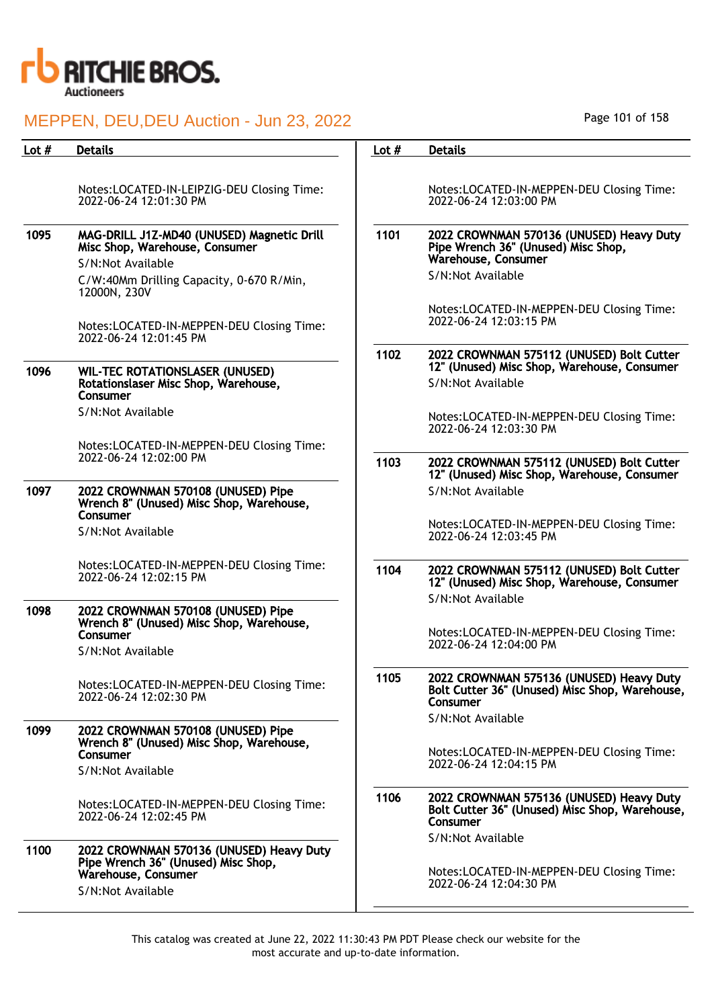

| Lot $#$ | <b>Details</b>                                                                                                                                | Lot $#$ | <b>Details</b>                                                                                                              |
|---------|-----------------------------------------------------------------------------------------------------------------------------------------------|---------|-----------------------------------------------------------------------------------------------------------------------------|
|         | Notes:LOCATED-IN-LEIPZIG-DEU Closing Time:<br>2022-06-24 12:01:30 PM                                                                          |         | Notes:LOCATED-IN-MEPPEN-DEU Closing Time:<br>2022-06-24 12:03:00 PM                                                         |
| 1095    | MAG-DRILL J1Z-MD40 (UNUSED) Magnetic Drill<br>Misc Shop, Warehouse, Consumer<br>S/N:Not Available<br>C/W:40Mm Drilling Capacity, 0-670 R/Min, | 1101    | 2022 CROWNMAN 570136 (UNUSED) Heavy Duty<br>Pipe Wrench 36" (Unused) Misc Shop,<br>Warehouse, Consumer<br>S/N:Not Available |
|         | 12000N, 230V<br>Notes:LOCATED-IN-MEPPEN-DEU Closing Time:<br>2022-06-24 12:01:45 PM                                                           |         | Notes:LOCATED-IN-MEPPEN-DEU Closing Time:<br>2022-06-24 12:03:15 PM                                                         |
| 1096    | <b>WIL-TEC ROTATIONSLASER (UNUSED)</b><br>Rotationslaser Misc Shop, Warehouse,<br>Consumer                                                    | 1102    | 2022 CROWNMAN 575112 (UNUSED) Bolt Cutter<br>12" (Unused) Misc Shop, Warehouse, Consumer<br>S/N:Not Available               |
|         | S/N:Not Available                                                                                                                             |         | Notes:LOCATED-IN-MEPPEN-DEU Closing Time:<br>2022-06-24 12:03:30 PM                                                         |
|         | Notes:LOCATED-IN-MEPPEN-DEU Closing Time:<br>2022-06-24 12:02:00 PM                                                                           | 1103    | 2022 CROWNMAN 575112 (UNUSED) Bolt Cutter<br>12" (Unused) Misc Shop, Warehouse, Consumer                                    |
| 1097    | 2022 CROWNMAN 570108 (UNUSED) Pipe<br>Wrench 8" (Unused) Misc Shop, Warehouse,<br>Consumer<br>S/N:Not Available                               |         | S/N:Not Available<br>Notes:LOCATED-IN-MEPPEN-DEU Closing Time:                                                              |
|         |                                                                                                                                               |         | 2022-06-24 12:03:45 PM                                                                                                      |
|         | Notes:LOCATED-IN-MEPPEN-DEU Closing Time:<br>2022-06-24 12:02:15 PM                                                                           | 1104    | 2022 CROWNMAN 575112 (UNUSED) Bolt Cutter<br>12" (Unused) Misc Shop, Warehouse, Consumer<br>S/N:Not Available               |
| 1098    | 2022 CROWNMAN 570108 (UNUSED) Pipe<br>Wrench 8" (Unused) Misc Shop, Warehouse,<br>Consumer                                                    |         | Notes:LOCATED-IN-MEPPEN-DEU Closing Time:<br>2022-06-24 12:04:00 PM                                                         |
|         | S/N:Not Available                                                                                                                             |         |                                                                                                                             |
|         | Notes:LOCATED-IN-MEPPEN-DEU Closing Time:<br>2022-06-24 12:02:30 PM                                                                           | 1105    | 2022 CROWNMAN 575136 (UNUSED) Heavy Duty<br>Bolt Cutter 36" (Unused) Misc Shop, Warehouse,<br>Consumer                      |
| 1099    | 2022 CROWNMAN 570108 (UNUSED) Pipe<br>Wrench 8" (Unused) Misc Shop, Warehouse,<br>Consumer                                                    |         | S/N:Not Available<br>Notes:LOCATED-IN-MEPPEN-DEU Closing Time:<br>2022-06-24 12:04:15 PM                                    |
|         | S/N:Not Available                                                                                                                             |         |                                                                                                                             |
|         | Notes:LOCATED-IN-MEPPEN-DEU Closing Time:<br>2022-06-24 12:02:45 PM                                                                           | 1106    | 2022 CROWNMAN 575136 (UNUSED) Heavy Duty<br>Bolt Cutter 36" (Unused) Misc Shop, Warehouse,<br>Consumer                      |
| 1100    | 2022 CROWNMAN 570136 (UNUSED) Heavy Duty<br>Pipe Wrench 36" (Unused) Misc Shop,                                                               |         | S/N:Not Available                                                                                                           |
|         | Warehouse, Consumer<br>S/N:Not Available                                                                                                      |         | Notes:LOCATED-IN-MEPPEN-DEU Closing Time:<br>2022-06-24 12:04:30 PM                                                         |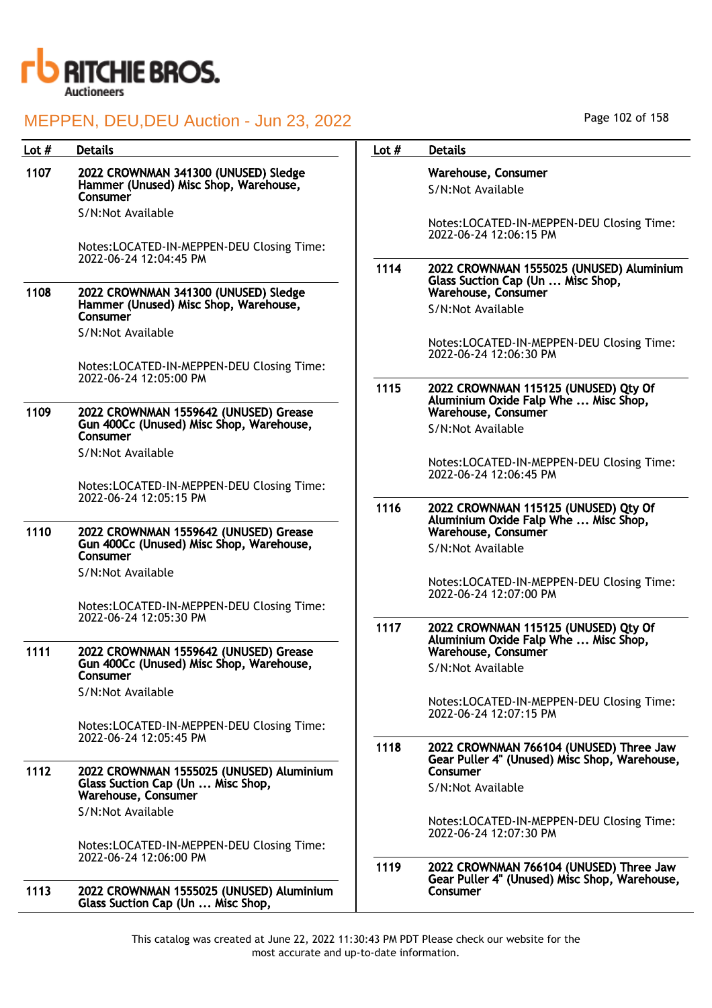

| Lot $#$ | <b>Details</b>                                                                                       | Lot $#$ | <b>Details</b>                                                                   |
|---------|------------------------------------------------------------------------------------------------------|---------|----------------------------------------------------------------------------------|
| 1107    | 2022 CROWNMAN 341300 (UNUSED) Sledge<br>Hammer (Unused) Misc Shop, Warehouse,<br>Consumer            |         | Warehouse, Consumer<br>S/N:Not Available                                         |
|         | S/N:Not Available<br>Notes:LOCATED-IN-MEPPEN-DEU Closing Time:                                       |         | Notes:LOCATED-IN-MEPPEN-DEU Closing Time:<br>2022-06-24 12:06:15 PM              |
|         | 2022-06-24 12:04:45 PM                                                                               | 1114    | 2022 CROWNMAN 1555025 (UNUSED) Aluminium<br>Glass Suction Cap (Un  Misc Shop,    |
| 1108    | 2022 CROWNMAN 341300 (UNUSED) Sledge<br>Hammer (Unused) Misc Shop, Warehouse,<br>Consumer            |         | Warehouse, Consumer<br>S/N:Not Available                                         |
|         | S/N:Not Available                                                                                    |         | Notes:LOCATED-IN-MEPPEN-DEU Closing Time:<br>2022-06-24 12:06:30 PM              |
|         | Notes:LOCATED-IN-MEPPEN-DEU Closing Time:<br>2022-06-24 12:05:00 PM                                  | 1115    | 2022 CROWNMAN 115125 (UNUSED) Qty Of                                             |
| 1109    | 2022 CROWNMAN 1559642 (UNUSED) Grease<br>Gun 400Cc (Unused) Misc Shop, Warehouse,<br>Consumer        |         | Aluminium Oxide Falp Whe  Misc Shop,<br>Warehouse, Consumer<br>S/N:Not Available |
|         | S/N:Not Available                                                                                    |         | Notes:LOCATED-IN-MEPPEN-DEU Closing Time:<br>2022-06-24 12:06:45 PM              |
|         | Notes:LOCATED-IN-MEPPEN-DEU Closing Time:<br>2022-06-24 12:05:15 PM                                  | 1116    | 2022 CROWNMAN 115125 (UNUSED) Qty Of                                             |
| 1110    | 2022 CROWNMAN 1559642 (UNUSED) Grease<br>Gun 400Cc (Unused) Misc Shop, Warehouse,<br>Consumer        |         | Aluminium Oxide Falp Whe  Misc Shop,<br>Warehouse, Consumer<br>S/N:Not Available |
|         | S/N:Not Available                                                                                    |         | Notes:LOCATED-IN-MEPPEN-DEU Closing Time:<br>2022-06-24 12:07:00 PM              |
|         | Notes:LOCATED-IN-MEPPEN-DEU Closing Time:<br>2022-06-24 12:05:30 PM                                  | 1117    | 2022 CROWNMAN 115125 (UNUSED) Qty Of                                             |
| 1111    | 2022 CROWNMAN 1559642 (UNUSED) Grease<br>Gun 400Cc (Unused) Misc Shop, Warehouse,<br>Consumer        |         | Aluminium Oxide Falp Whe  Misc Shop,<br>Warehouse, Consumer<br>S/N:Not Available |
|         | S/N:Not Available                                                                                    |         | Notes:LOCATED-IN-MEPPEN-DEU Closing Time:<br>2022-06-24 12:07:15 PM              |
|         | Notes:LOCATED-IN-MEPPEN-DEU Closing Time:<br>2022-06-24 12:05:45 PM                                  | 1118    | 2022 CROWNMAN 766104 (UNUSED) Three Jaw                                          |
| 1112    | 2022 CROWNMAN 1555025 (UNUSED) Aluminium<br>Glass Suction Cap (Un  Misc Shop,<br>Warehouse, Consumer |         | Gear Puller 4" (Unused) Misc Shop, Warehouse,<br>Consumer<br>S/N:Not Available   |
|         | S/N:Not Available                                                                                    |         | Notes:LOCATED-IN-MEPPEN-DEU Closing Time:<br>2022-06-24 12:07:30 PM              |
|         | Notes:LOCATED-IN-MEPPEN-DEU Closing Time:<br>2022-06-24 12:06:00 PM                                  | 1119    | 2022 CROWNMAN 766104 (UNUSED) Three Jaw                                          |
| 1113    | 2022 CROWNMAN 1555025 (UNUSED) Aluminium<br>Glass Suction Cap (Un  Misc Shop,                        |         | Gear Puller 4" (Unused) Misc Shop, Warehouse,<br>Consumer                        |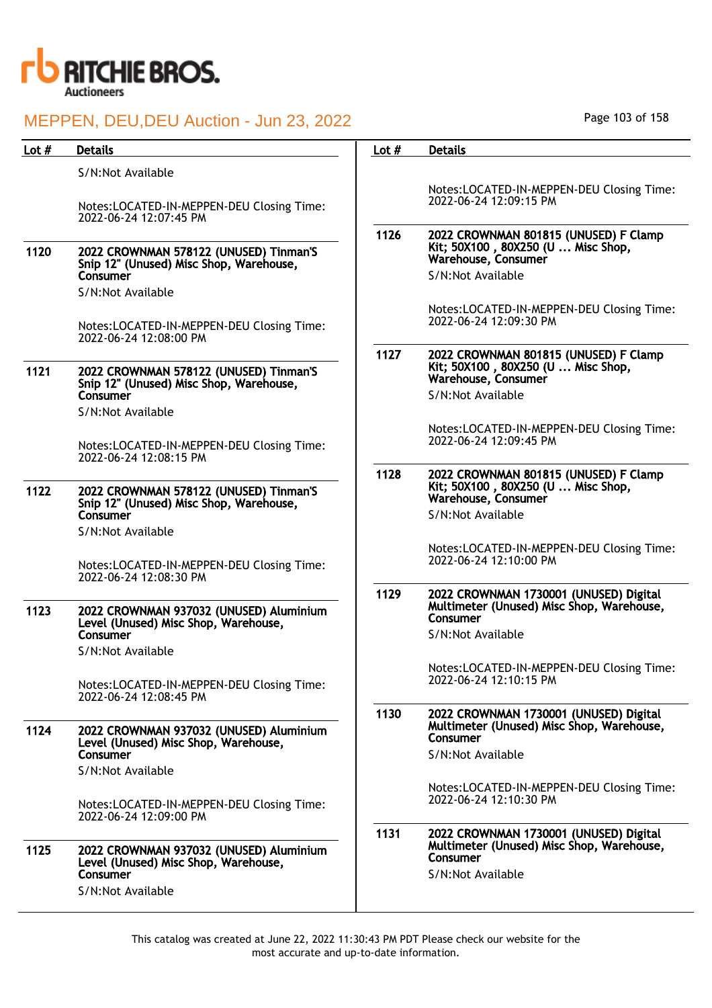

| Lot $#$ | <b>Details</b>                                                                                                                                                                          | Lot $#$ | <b>Details</b>                                                                                                                                                                                 |
|---------|-----------------------------------------------------------------------------------------------------------------------------------------------------------------------------------------|---------|------------------------------------------------------------------------------------------------------------------------------------------------------------------------------------------------|
|         |                                                                                                                                                                                         |         |                                                                                                                                                                                                |
|         | S/N:Not Available<br>Notes:LOCATED-IN-MEPPEN-DEU Closing Time:<br>2022-06-24 12:07:45 PM                                                                                                |         | Notes:LOCATED-IN-MEPPEN-DEU Closing Time:<br>2022-06-24 12:09:15 PM                                                                                                                            |
| 1120    | 2022 CROWNMAN 578122 (UNUSED) Tinman'S<br>Snip 12" (Unused) Misc Shop, Warehouse,<br>Consumer<br>S/N:Not Available<br>Notes:LOCATED-IN-MEPPEN-DEU Closing Time:                         | 1126    | 2022 CROWNMAN 801815 (UNUSED) F Clamp<br>Kit; 50X100, 80X250 (U  Misc Shop,<br>Warehouse, Consumer<br>S/N:Not Available<br>Notes:LOCATED-IN-MEPPEN-DEU Closing Time:<br>2022-06-24 12:09:30 PM |
| 1121    | 2022-06-24 12:08:00 PM<br>2022 CROWNMAN 578122 (UNUSED) Tinman'S<br>Snip 12" (Unused) Misc Shop, Warehouse,<br>Consumer<br>S/N:Not Available                                            | 1127    | 2022 CROWNMAN 801815 (UNUSED) F Clamp<br>Kit; 50X100, 80X250 (U  Misc Shop,<br>Warehouse, Consumer<br>S/N:Not Available                                                                        |
|         | Notes:LOCATED-IN-MEPPEN-DEU Closing Time:<br>2022-06-24 12:08:15 PM                                                                                                                     |         | Notes:LOCATED-IN-MEPPEN-DEU Closing Time:<br>2022-06-24 12:09:45 PM                                                                                                                            |
| 1122    | 2022 CROWNMAN 578122 (UNUSED) Tinman'S<br>Snip 12" (Unused) Misc Shop, Warehouse,<br>Consumer<br>S/N:Not Available                                                                      | 1128    | 2022 CROWNMAN 801815 (UNUSED) F Clamp<br>Kit; 50X100, 80X250 (U  Misc Shop,<br>Warehouse, Consumer<br>S/N:Not Available                                                                        |
|         | Notes:LOCATED-IN-MEPPEN-DEU Closing Time:<br>2022-06-24 12:08:30 PM                                                                                                                     |         | Notes:LOCATED-IN-MEPPEN-DEU Closing Time:<br>2022-06-24 12:10:00 PM                                                                                                                            |
| 1123    | 2022 CROWNMAN 937032 (UNUSED) Aluminium<br>Level (Unused) Misc Shop, Warehouse,<br>Consumer<br>S/N:Not Available                                                                        | 1129    | 2022 CROWNMAN 1730001 (UNUSED) Digital<br>Multimeter (Unused) Misc Shop, Warehouse,<br>Consumer<br>S/N:Not Available                                                                           |
|         | Notes:LOCATED-IN-MEPPEN-DEU Closing Time:<br>2022-06-24 12:08:45 PM                                                                                                                     |         | Notes:LOCATED-IN-MEPPEN-DEU Closing Time:<br>2022-06-24 12:10:15 PM                                                                                                                            |
| 1124    | 2022 CROWNMAN 937032 (UNUSED) Aluminium<br>Level (Unused) Misc Shop, Warehouse,<br>Consumer<br>S/N:Not Available<br>Notes:LOCATED-IN-MEPPEN-DEU Closing Time:<br>2022-06-24 12:09:00 PM | 1130    | 2022 CROWNMAN 1730001 (UNUSED) Digital<br>Multimeter (Unused) Misc Shop, Warehouse,<br>Consumer<br>S/N:Not Available<br>Notes:LOCATED-IN-MEPPEN-DEU Closing Time:<br>2022-06-24 12:10:30 PM    |
| 1125    | 2022 CROWNMAN 937032 (UNUSED) Aluminium<br>Level (Unused) Misc Shop, Warehouse,<br>Consumer<br>S/N:Not Available                                                                        | 1131    | 2022 CROWNMAN 1730001 (UNUSED) Digital<br>Multimeter (Unused) Misc Shop, Warehouse,<br>Consumer<br>S/N:Not Available                                                                           |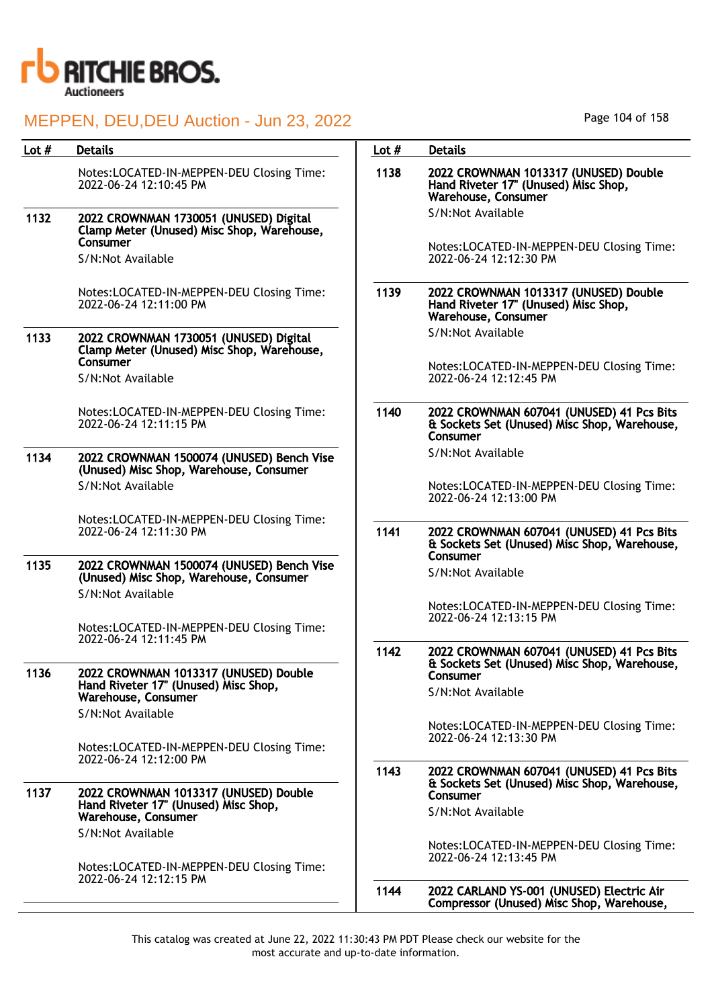

| Lot $#$ | <b>Details</b>                                                                                            | Lot $#$ | <b>Details</b>                                                                                        |
|---------|-----------------------------------------------------------------------------------------------------------|---------|-------------------------------------------------------------------------------------------------------|
|         | Notes:LOCATED-IN-MEPPEN-DEU Closing Time:<br>2022-06-24 12:10:45 PM                                       | 1138    | 2022 CROWNMAN 1013317 (UNUSED) Double<br>Hand Riveter 17" (Unused) Misc Shop,<br>Warehouse, Consumer  |
| 1132    | 2022 CROWNMAN 1730051 (UNUSED) Digital<br>Clamp Meter (Unused) Misc Shop, Warehouse,                      |         | S/N:Not Available                                                                                     |
|         | Consumer<br>S/N:Not Available                                                                             |         | Notes:LOCATED-IN-MEPPEN-DEU Closing Time:<br>2022-06-24 12:12:30 PM                                   |
|         | Notes:LOCATED-IN-MEPPEN-DEU Closing Time:<br>2022-06-24 12:11:00 PM                                       | 1139    | 2022 CROWNMAN 1013317 (UNUSED) Double<br>Hand Riveter 17" (Unused) Misc Shop,<br>Warehouse, Consumer  |
| 1133    | 2022 CROWNMAN 1730051 (UNUSED) Digital<br>Clamp Meter (Unused) Misc Shop, Warehouse,                      |         | S/N:Not Available                                                                                     |
|         | Consumer<br>S/N:Not Available                                                                             |         | Notes:LOCATED-IN-MEPPEN-DEU Closing Time:<br>2022-06-24 12:12:45 PM                                   |
|         | Notes:LOCATED-IN-MEPPEN-DEU Closing Time:<br>2022-06-24 12:11:15 PM                                       | 1140    | 2022 CROWNMAN 607041 (UNUSED) 41 Pcs Bits<br>& Sockets Set (Unused) Misc Shop, Warehouse,<br>Consumer |
| 1134    | 2022 CROWNMAN 1500074 (UNUSED) Bench Vise<br>(Unused) Misc Shop, Warehouse, Consumer                      |         | S/N:Not Available                                                                                     |
|         | S/N:Not Available                                                                                         |         | Notes:LOCATED-IN-MEPPEN-DEU Closing Time:<br>2022-06-24 12:13:00 PM                                   |
|         | Notes:LOCATED-IN-MEPPEN-DEU Closing Time:<br>2022-06-24 12:11:30 PM                                       | 1141    | 2022 CROWNMAN 607041 (UNUSED) 41 Pcs Bits<br>& Sockets Set (Unused) Misc Shop, Warehouse,<br>Consumer |
| 1135    | 2022 CROWNMAN 1500074 (UNUSED) Bench Vise<br>(Unused) Misc Shop, Warehouse, Consumer<br>S/N:Not Available |         | S/N:Not Available                                                                                     |
|         | Notes:LOCATED-IN-MEPPEN-DEU Closing Time:                                                                 |         | Notes:LOCATED-IN-MEPPEN-DEU Closing Time:<br>2022-06-24 12:13:15 PM                                   |
|         | 2022-06-24 12:11:45 PM                                                                                    | 1142    | 2022 CROWNMAN 607041 (UNUSED) 41 Pcs Bits<br>& Sockets Set (Unused) Misc Shop, Warehouse,             |
| 1136    | 2022 CROWNMAN 1013317 (UNUSED) Double<br>Hand Riveter 17" (Unused) Misc Shop,<br>Warehouse, Consumer      |         | Consumer<br>S/N:Not Available                                                                         |
|         | S/N:Not Available                                                                                         |         |                                                                                                       |
|         | Notes:LOCATED-IN-MEPPEN-DEU Closing Time:                                                                 |         | Notes:LOCATED-IN-MEPPEN-DEU Closing Time:<br>2022-06-24 12:13:30 PM                                   |
|         | 2022-06-24 12:12:00 PM                                                                                    | 1143    | 2022 CROWNMAN 607041 (UNUSED) 41 Pcs Bits<br>& Sockets Set (Unused) Misc Shop, Warehouse,             |
| 1137    | 2022 CROWNMAN 1013317 (UNUSED) Double<br>Hand Riveter 17" (Unused) Misc Shop,<br>Warehouse, Consumer      |         | Consumer<br>S/N:Not Available                                                                         |
|         | S/N:Not Available                                                                                         |         | Notes:LOCATED-IN-MEPPEN-DEU Closing Time:                                                             |
|         | Notes:LOCATED-IN-MEPPEN-DEU Closing Time:<br>2022-06-24 12:12:15 PM                                       |         | 2022-06-24 12:13:45 PM                                                                                |
|         |                                                                                                           | 1144    | 2022 CARLAND YS-001 (UNUSED) Electric Air<br>Compressor (Unused) Misc Shop, Warehouse,                |

Page 104 of 158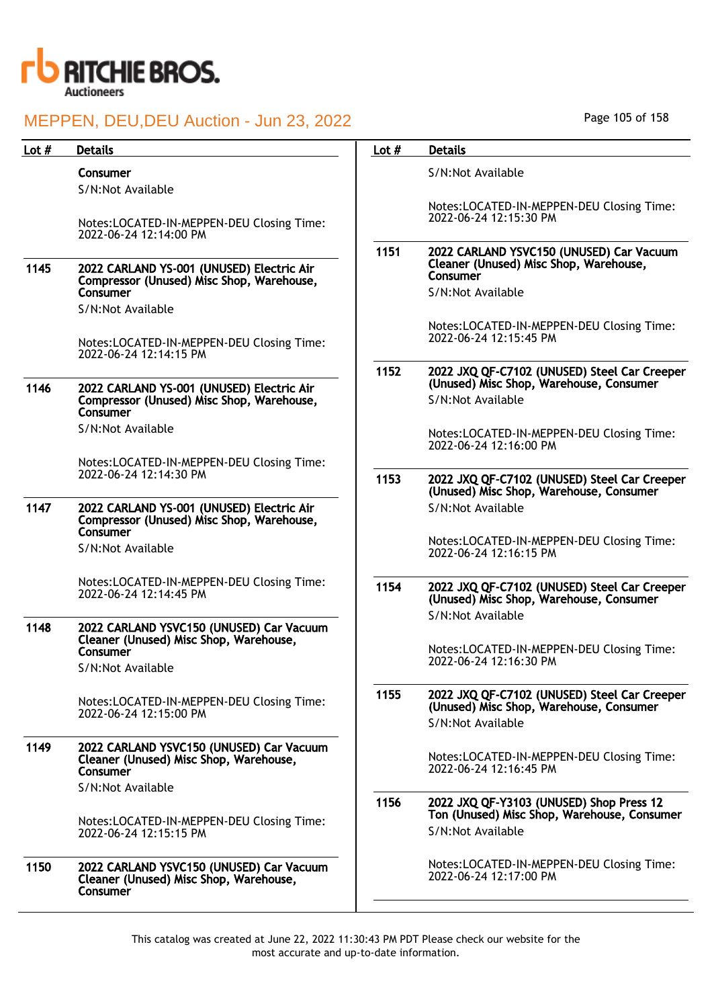

| Lot $#$ | <b>Details</b>                                                                                     | Lot $#$ | <b>Details</b>                                                                                               |
|---------|----------------------------------------------------------------------------------------------------|---------|--------------------------------------------------------------------------------------------------------------|
|         | Consumer<br>S/N:Not Available                                                                      |         | S/N:Not Available                                                                                            |
|         | Notes:LOCATED-IN-MEPPEN-DEU Closing Time:<br>2022-06-24 12:14:00 PM                                |         | Notes:LOCATED-IN-MEPPEN-DEU Closing Time:<br>2022-06-24 12:15:30 PM                                          |
| 1145    | 2022 CARLAND YS-001 (UNUSED) Electric Air                                                          | 1151    | 2022 CARLAND YSVC150 (UNUSED) Car Vacuum<br>Cleaner (Unused) Misc Shop, Warehouse,<br>Consumer               |
|         | Compressor (Unused) Misc Shop, Warehouse,<br>Consumer<br>S/N:Not Available                         |         | S/N:Not Available                                                                                            |
|         | Notes:LOCATED-IN-MEPPEN-DEU Closing Time:                                                          |         | Notes:LOCATED-IN-MEPPEN-DEU Closing Time:<br>2022-06-24 12:15:45 PM                                          |
|         | 2022-06-24 12:14:15 PM                                                                             | 1152    | 2022 JXQ QF-C7102 (UNUSED) Steel Car Creeper                                                                 |
| 1146    | 2022 CARLAND YS-001 (UNUSED) Electric Air<br>Compressor (Unused) Misc Shop, Warehouse,<br>Consumer |         | (Unused) Misc Shop, Warehouse, Consumer<br>S/N:Not Available                                                 |
|         | S/N:Not Available                                                                                  |         | Notes:LOCATED-IN-MEPPEN-DEU Closing Time:<br>2022-06-24 12:16:00 PM                                          |
|         | Notes:LOCATED-IN-MEPPEN-DEU Closing Time:<br>2022-06-24 12:14:30 PM                                | 1153    | 2022 JXQ QF-C7102 (UNUSED) Steel Car Creeper<br>(Unused) Misc Shop, Warehouse, Consumer                      |
| 1147    | 2022 CARLAND YS-001 (UNUSED) Electric Air<br>Compressor (Unused) Misc Shop, Warehouse,<br>Consumer |         | S/N:Not Available                                                                                            |
|         | S/N:Not Available                                                                                  |         | Notes:LOCATED-IN-MEPPEN-DEU Closing Time:<br>2022-06-24 12:16:15 PM                                          |
|         | Notes:LOCATED-IN-MEPPEN-DEU Closing Time:<br>2022-06-24 12:14:45 PM                                | 1154    | 2022 JXQ QF-C7102 (UNUSED) Steel Car Creeper<br>(Unused) Misc Shop, Warehouse, Consumer<br>S/N:Not Available |
| 1148    | 2022 CARLAND YSVC150 (UNUSED) Car Vacuum<br>Cleaner (Unused) Misc Shop, Warehouse,<br>Consumer     |         | Notes:LOCATED-IN-MEPPEN-DEU Closing Time:                                                                    |
|         | S/N:Not Available                                                                                  |         | 2022-06-24 12:16:30 PM                                                                                       |
|         | Notes:LOCATED-IN-MEPPEN-DEU Closing Time:<br>2022-06-24 12:15:00 PM                                | 1155    | 2022 JXQ QF-C7102 (UNUSED) Steel Car Creeper<br>(Unused) Misc Shop, Warehouse, Consumer<br>S/N:Not Available |
| 1149    | 2022 CARLAND YSVC150 (UNUSED) Car Vacuum<br>Cleaner (Unused) Misc Shop, Warehouse,<br>Consumer     |         | Notes:LOCATED-IN-MEPPEN-DEU Closing Time:<br>2022-06-24 12:16:45 PM                                          |
|         | S/N:Not Available                                                                                  | 1156    | 2022 JXQ QF-Y3103 (UNUSED) Shop Press 12                                                                     |
|         | Notes:LOCATED-IN-MEPPEN-DEU Closing Time:<br>2022-06-24 12:15:15 PM                                |         | Ton (Unused) Misc Shop, Warehouse, Consumer<br>S/N:Not Available                                             |
| 1150    | 2022 CARLAND YSVC150 (UNUSED) Car Vacuum<br>Cleaner (Unused) Misc Shop, Warehouse,<br>Consumer     |         | Notes:LOCATED-IN-MEPPEN-DEU Closing Time:<br>2022-06-24 12:17:00 PM                                          |
|         |                                                                                                    |         |                                                                                                              |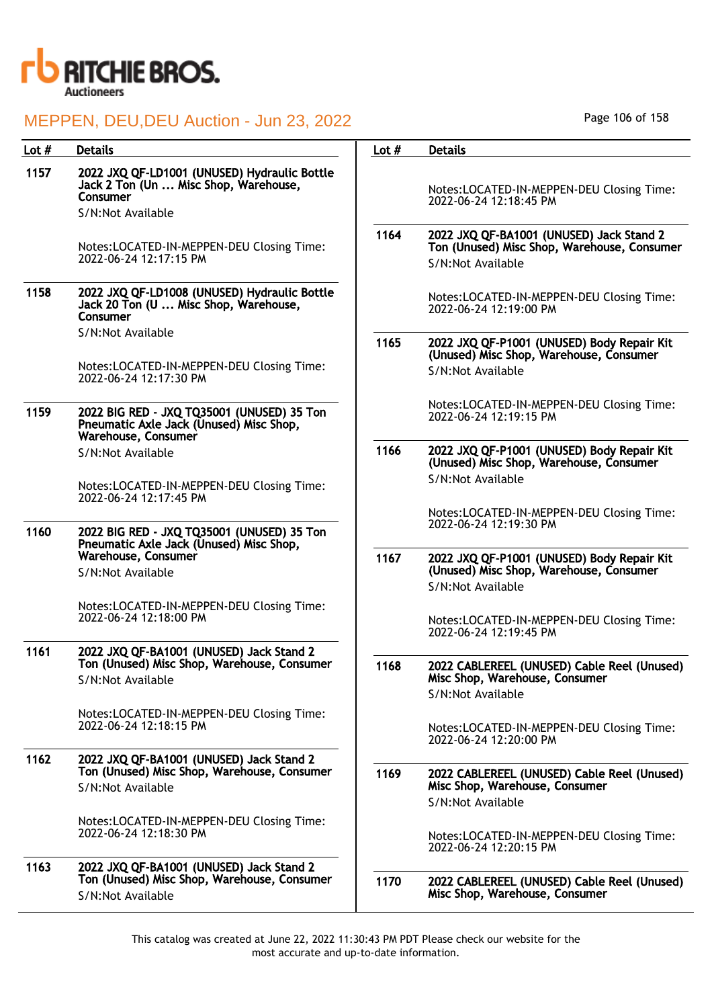

| Lot $#$ | <b>Details</b>                                                                                                         | Lot $#$ | <b>Details</b>                                                                                               |
|---------|------------------------------------------------------------------------------------------------------------------------|---------|--------------------------------------------------------------------------------------------------------------|
| 1157    | 2022 JXQ QF-LD1001 (UNUSED) Hydraulic Bottle<br>Jack 2 Ton (Un  Misc Shop, Warehouse,<br>Consumer<br>S/N:Not Available |         | Notes:LOCATED-IN-MEPPEN-DEU Closing Time:<br>2022-06-24 12:18:45 PM                                          |
|         | Notes:LOCATED-IN-MEPPEN-DEU Closing Time:<br>2022-06-24 12:17:15 PM                                                    | 1164    | 2022 JXQ QF-BA1001 (UNUSED) Jack Stand 2<br>Ton (Unused) Misc Shop, Warehouse, Consumer<br>S/N:Not Available |
| 1158    | 2022 JXQ QF-LD1008 (UNUSED) Hydraulic Bottle<br>Jack 20 Ton (U  Misc Shop, Warehouse,<br>Consumer                      |         | Notes:LOCATED-IN-MEPPEN-DEU Closing Time:<br>2022-06-24 12:19:00 PM                                          |
|         | S/N:Not Available<br>Notes:LOCATED-IN-MEPPEN-DEU Closing Time:                                                         | 1165    | 2022 JXQ QF-P1001 (UNUSED) Body Repair Kit<br>(Unused) Misc Shop, Warehouse, Consumer                        |
|         | 2022-06-24 12:17:30 PM                                                                                                 |         | S/N:Not Available                                                                                            |
| 1159    | 2022 BIG RED - JXQ TQ35001 (UNUSED) 35 Ton<br>Pneumatic Axle Jack (Unused) Misc Shop,<br>Warehouse, Consumer           |         | Notes:LOCATED-IN-MEPPEN-DEU Closing Time:<br>2022-06-24 12:19:15 PM                                          |
|         | S/N:Not Available                                                                                                      | 1166    | 2022 JXQ QF-P1001 (UNUSED) Body Repair Kit<br>(Unused) Misc Shop, Warehouse, Consumer                        |
|         | Notes:LOCATED-IN-MEPPEN-DEU Closing Time:<br>2022-06-24 12:17:45 PM                                                    |         | S/N:Not Available                                                                                            |
| 1160    | 2022 BIG RED - JXQ TQ35001 (UNUSED) 35 Ton<br>Pneumatic Axle Jack (Unused) Misc Shop,                                  |         | Notes:LOCATED-IN-MEPPEN-DEU Closing Time:<br>2022-06-24 12:19:30 PM                                          |
|         | Warehouse, Consumer<br>S/N:Not Available                                                                               | 1167    | 2022 JXQ QF-P1001 (UNUSED) Body Repair Kit<br>(Unused) Misc Shop, Warehouse, Consumer<br>S/N:Not Available   |
|         | Notes:LOCATED-IN-MEPPEN-DEU Closing Time:<br>2022-06-24 12:18:00 PM                                                    |         | Notes:LOCATED-IN-MEPPEN-DEU Closing Time:<br>2022-06-24 12:19:45 PM                                          |
| 1161    | 2022 JXQ QF-BA1001 (UNUSED) Jack Stand 2<br>Ton (Unused) Misc Shop, Warehouse, Consumer<br>S/N:Not Available           | 1168    | 2022 CABLEREEL (UNUSED) Cable Reel (Unused)<br>Misc Shop, Warehouse, Consumer<br>S/N:Not Available           |
|         | Notes:LOCATED-IN-MEPPEN-DEU Closing Time:<br>2022-06-24 12:18:15 PM                                                    |         | Notes:LOCATED-IN-MEPPEN-DEU Closing Time:<br>2022-06-24 12:20:00 PM                                          |
| 1162    | 2022 JXQ QF-BA1001 (UNUSED) Jack Stand 2<br>Ton (Unused) Misc Shop, Warehouse, Consumer<br>S/N:Not Available           | 1169    | 2022 CABLEREEL (UNUSED) Cable Reel (Unused)<br>Misc Shop, Warehouse, Consumer                                |
|         | Notes:LOCATED-IN-MEPPEN-DEU Closing Time:<br>2022-06-24 12:18:30 PM                                                    |         | S/N:Not Available<br>Notes:LOCATED-IN-MEPPEN-DEU Closing Time:<br>2022-06-24 12:20:15 PM                     |
| 1163    | 2022 JXQ QF-BA1001 (UNUSED) Jack Stand 2<br>Ton (Unused) Misc Shop, Warehouse, Consumer<br>S/N:Not Available           | 1170    | 2022 CABLEREEL (UNUSED) Cable Reel (Unused)<br>Misc Shop, Warehouse, Consumer                                |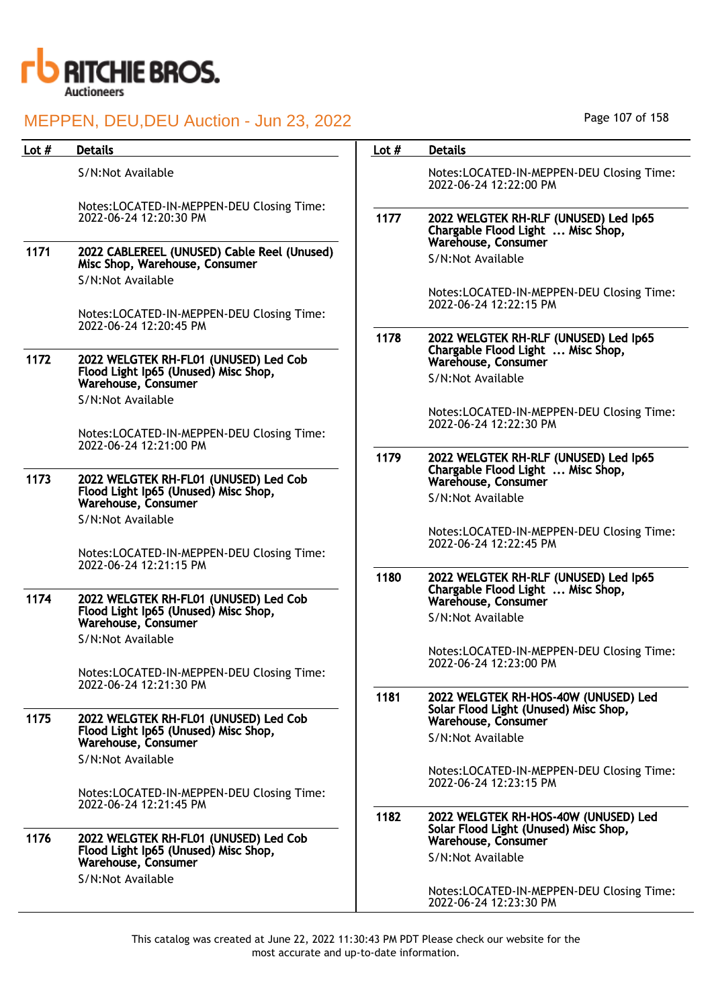

| Lot $#$ | <b>Details</b>                                                                                       | Lot $#$ | <b>Details</b>                                                                |
|---------|------------------------------------------------------------------------------------------------------|---------|-------------------------------------------------------------------------------|
|         | S/N:Not Available                                                                                    |         | Notes:LOCATED-IN-MEPPEN-DEU Closing Time:<br>2022-06-24 12:22:00 PM           |
|         | Notes:LOCATED-IN-MEPPEN-DEU Closing Time:<br>2022-06-24 12:20:30 PM                                  | 1177    | 2022 WELGTEK RH-RLF (UNUSED) Led Ip65<br>Chargable Flood Light  Misc Shop,    |
| 1171    | 2022 CABLEREEL (UNUSED) Cable Reel (Unused)<br>Misc Shop, Warehouse, Consumer<br>S/N:Not Available   |         | Warehouse, Consumer<br>S/N:Not Available                                      |
|         | Notes:LOCATED-IN-MEPPEN-DEU Closing Time:                                                            |         | Notes:LOCATED-IN-MEPPEN-DEU Closing Time:<br>2022-06-24 12:22:15 PM           |
|         | 2022-06-24 12:20:45 PM                                                                               | 1178    | 2022 WELGTEK RH-RLF (UNUSED) Led Ip65<br>Chargable Flood Light  Misc Shop,    |
| 1172    | 2022 WELGTEK RH-FL01 (UNUSED) Led Cob<br>Flood Light Ip65 (Unused) Misc Shop,<br>Warehouse, Consumer |         | Warehouse, Consumer<br>S/N:Not Available                                      |
|         | S/N:Not Available                                                                                    |         | Notes:LOCATED-IN-MEPPEN-DEU Closing Time:<br>2022-06-24 12:22:30 PM           |
|         | Notes:LOCATED-IN-MEPPEN-DEU Closing Time:<br>2022-06-24 12:21:00 PM                                  | 1179    | 2022 WELGTEK RH-RLF (UNUSED) Led Ip65                                         |
| 1173    | 2022 WELGTEK RH-FL01 (UNUSED) Led Cob<br>Flood Light Ip65 (Unused) Misc Shop,                        |         | Chargable Flood Light  Misc Shop,<br>Warehouse, Consumer                      |
|         | Warehouse, Consumer<br>S/N:Not Available                                                             |         | S/N:Not Available                                                             |
|         | Notes:LOCATED-IN-MEPPEN-DEU Closing Time:                                                            |         | Notes:LOCATED-IN-MEPPEN-DEU Closing Time:<br>2022-06-24 12:22:45 PM           |
| 1174    | 2022-06-24 12:21:15 PM<br>2022 WELGTEK RH-FL01 (UNUSED) Led Cob                                      | 1180    | 2022 WELGTEK RH-RLF (UNUSED) Led Ip65<br>Chargable Flood Light  Misc Shop,    |
|         | Flood Light Ip65 (Unused) Misc Shop,<br>Warehouse, Consumer                                          |         | Warehouse, Consumer<br>S/N:Not Available                                      |
|         | S/N:Not Available                                                                                    |         | Notes:LOCATED-IN-MEPPEN-DEU Closing Time:<br>2022-06-24 12:23:00 PM           |
|         | Notes:LOCATED-IN-MEPPEN-DEU Closing Time:<br>2022-06-24 12:21:30 PM                                  | 1181    | 2022 WELGTEK RH-HOS-40W (UNUSED) Led                                          |
| 1175    | 2022 WELGTEK RH-FL01 (UNUSED) Led Cob<br>Flood Light Ip65 (Unused) Misc Shop,                        |         | Solar Flood Light (Unused) Misc Shop,<br>Warehouse, Consumer                  |
|         | Warehouse, Consumer<br>S/N:Not Available                                                             |         | S/N:Not Available                                                             |
|         | Notes:LOCATED-IN-MEPPEN-DEU Closing Time:                                                            |         | Notes:LOCATED-IN-MEPPEN-DEU Closing Time:<br>2022-06-24 12:23:15 PM           |
| 1176    | 2022-06-24 12:21:45 PM<br>2022 WELGTEK RH-FL01 (UNUSED) Led Cob                                      | 1182    | 2022 WELGTEK RH-HOS-40W (UNUSED) Led<br>Solar Flood Light (Unused) Misc Shop, |
|         | Flood Light Ip65 (Unused) Misc Shop,<br>Warehouse, Consumer                                          |         | Warehouse, Consumer<br>S/N:Not Available                                      |
|         | S/N:Not Available                                                                                    |         | Notes:LOCATED-IN-MEPPEN-DEU Closing Time:<br>2022-06-24 12:23:30 PM           |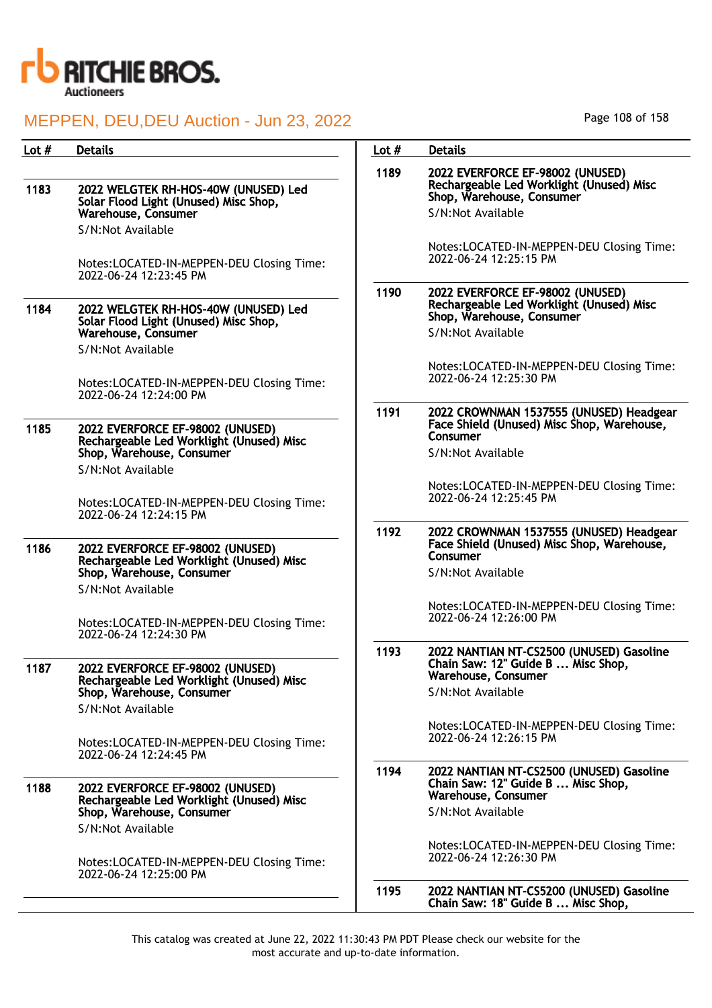

| Lot # | <b>Details</b>                                                                           | Lot $#$ | <b>Details</b>                                                                                            |
|-------|------------------------------------------------------------------------------------------|---------|-----------------------------------------------------------------------------------------------------------|
| 1183  | 2022 WELGTEK RH-HOS-40W (UNUSED) Led                                                     | 1189    | 2022 EVERFORCE EF-98002 (UNUSED)<br>Rechargeable Led Worklight (Unused) Misc<br>Shop, Warehouse, Consumer |
|       | Solar Flood Light (Unused) Misc Shop,<br><b>Warehouse, Consumer</b><br>S/N:Not Available |         | S/N:Not Available                                                                                         |
|       | Notes:LOCATED-IN-MEPPEN-DEU Closing Time:<br>2022-06-24 12:23:45 PM                      |         | Notes:LOCATED-IN-MEPPEN-DEU Closing Time:<br>2022-06-24 12:25:15 PM                                       |
| 1184  | 2022 WELGTEK RH-HOS-40W (UNUSED) Led<br>Solar Flood Light (Unused) Misc Shop,            | 1190    | 2022 EVERFORCE EF-98002 (UNUSED)<br>Rechargeable Led Worklight (Unused) Misc<br>Shop, Warehouse, Consumer |
|       | Warehouse, Consumer<br>S/N:Not Available                                                 |         | S/N:Not Available                                                                                         |
|       | Notes:LOCATED-IN-MEPPEN-DEU Closing Time:                                                |         | Notes:LOCATED-IN-MEPPEN-DEU Closing Time:<br>2022-06-24 12:25:30 PM                                       |
| 1185  | 2022-06-24 12:24:00 PM<br>2022 EVERFORCE EF-98002 (UNUSED)                               | 1191    | 2022 CROWNMAN 1537555 (UNUSED) Headgear<br>Face Shield (Unused) Misc Shop, Warehouse,<br>Consumer         |
|       | Rechargeable Led Worklight (Unused) Misc<br>Shop, Warehouse, Consumer                    |         | S/N:Not Available                                                                                         |
|       | S/N:Not Available                                                                        |         | Notes:LOCATED-IN-MEPPEN-DEU Closing Time:                                                                 |
|       | Notes:LOCATED-IN-MEPPEN-DEU Closing Time:<br>2022-06-24 12:24:15 PM                      |         | 2022-06-24 12:25:45 PM                                                                                    |
| 1186  | 2022 EVERFORCE EF-98002 (UNUSED)<br>Rechargeable Led Worklight (Unused) Misc             | 1192    | 2022 CROWNMAN 1537555 (UNUSED) Headgear<br>Face Shield (Unused) Misc Shop, Warehouse,<br>Consumer         |
|       | Shop, Warehouse, Consumer<br>S/N:Not Available                                           |         | S/N:Not Available                                                                                         |
|       | Notes:LOCATED-IN-MEPPEN-DEU Closing Time:<br>2022-06-24 12:24:30 PM                      |         | Notes:LOCATED-IN-MEPPEN-DEU Closing Time:<br>2022-06-24 12:26:00 PM                                       |
| 1187  | 2022 EVERFORCE EF-98002 (UNUSED)<br>Rechargeable Led Worklight (Unused) Misc             | 1193    | 2022 NANTIAN NT-CS2500 (UNUSED) Gasoline<br>Chain Saw: 12" Guide B  Misc Shop,<br>Warehouse, Consumer     |
|       | Shop, Warehouse, Consumer<br>S/N:Not Available                                           |         | S/N:Not Available                                                                                         |
|       | Notes:LOCATED-IN-MEPPEN-DEU Closing Time:<br>2022-06-24 12:24:45 PM                      |         | Notes:LOCATED-IN-MEPPEN-DEU Closing Time:<br>2022-06-24 12:26:15 PM                                       |
| 1188  | 2022 EVERFORCE EF-98002 (UNUSED)<br>Rechargeable Led Worklight (Unused) Misc             | 1194    | 2022 NANTIAN NT-CS2500 (UNUSED) Gasoline<br>Chain Saw: 12" Guide B  Misc Shop,<br>Warehouse, Consumer     |
|       | Shop, Warehouse, Consumer<br>S/N:Not Available                                           |         | S/N:Not Available                                                                                         |
|       | Notes:LOCATED-IN-MEPPEN-DEU Closing Time:<br>2022-06-24 12:25:00 PM                      |         | Notes:LOCATED-IN-MEPPEN-DEU Closing Time:<br>2022-06-24 12:26:30 PM                                       |
|       |                                                                                          | 1195    | 2022 NANTIAN NT-CS5200 (UNUSED) Gasoline<br>Chain Saw: 18" Guide B  Misc Shop,                            |

Page 108 of 158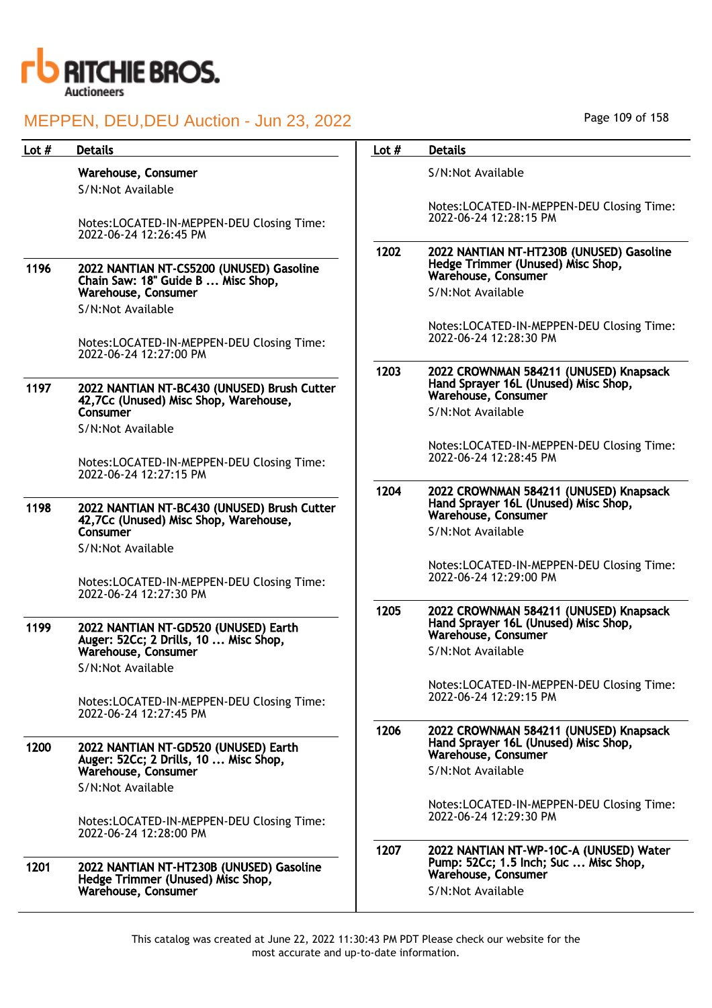

| Lot $#$ | <b>Details</b>                                                                       | Lot $#$ | <b>Details</b>                                                                                              |
|---------|--------------------------------------------------------------------------------------|---------|-------------------------------------------------------------------------------------------------------------|
|         | Warehouse, Consumer<br>S/N:Not Available                                             |         | S/N:Not Available                                                                                           |
|         | Notes:LOCATED-IN-MEPPEN-DEU Closing Time:<br>2022-06-24 12:26:45 PM                  |         | Notes:LOCATED-IN-MEPPEN-DEU Closing Time:<br>2022-06-24 12:28:15 PM                                         |
| 1196    | 2022 NANTIAN NT-CS5200 (UNUSED) Gasoline<br>Chain Saw: 18" Guide B  Misc Shop,       | 1202    | 2022 NANTIAN NT-HT230B (UNUSED) Gasoline<br>Hedge Trimmer (Unused) Misc Shop,<br><b>Warehouse, Consumer</b> |
|         | Warehouse, Consumer<br>S/N:Not Available                                             |         | S/N:Not Available                                                                                           |
|         | Notes:LOCATED-IN-MEPPEN-DEU Closing Time:<br>2022-06-24 12:27:00 PM                  |         | Notes:LOCATED-IN-MEPPEN-DEU Closing Time:<br>2022-06-24 12:28:30 PM                                         |
| 1197    | 2022 NANTIAN NT-BC430 (UNUSED) Brush Cutter<br>42,7Cc (Unused) Misc Shop, Warehouse, | 1203    | 2022 CROWNMAN 584211 (UNUSED) Knapsack<br>Hand Sprayer 16L (Unused) Misc Shop,<br>Warehouse, Consumer       |
|         | Consumer<br>S/N:Not Available                                                        |         | S/N:Not Available                                                                                           |
|         | Notes:LOCATED-IN-MEPPEN-DEU Closing Time:<br>2022-06-24 12:27:15 PM                  |         | Notes:LOCATED-IN-MEPPEN-DEU Closing Time:<br>2022-06-24 12:28:45 PM                                         |
| 1198    | 2022 NANTIAN NT-BC430 (UNUSED) Brush Cutter<br>42,7Cc (Unused) Misc Shop, Warehouse, | 1204    | 2022 CROWNMAN 584211 (UNUSED) Knapsack<br>Hand Sprayer 16L (Unused) Misc Shop,<br>Warehouse, Consumer       |
|         | Consumer<br>S/N:Not Available                                                        |         | S/N:Not Available                                                                                           |
|         | Notes:LOCATED-IN-MEPPEN-DEU Closing Time:<br>2022-06-24 12:27:30 PM                  |         | Notes:LOCATED-IN-MEPPEN-DEU Closing Time:<br>2022-06-24 12:29:00 PM                                         |
| 1199    | 2022 NANTIAN NT-GD520 (UNUSED) Earth<br>Auger: 52Cc; 2 Drills, 10  Misc Shop,        | 1205    | 2022 CROWNMAN 584211 (UNUSED) Knapsack<br>Hand Sprayer 16L (Unused) Misc Shop,<br>Warehouse, Consumer       |
|         | Warehouse, Consumer<br>S/N:Not Available                                             |         | S/N:Not Available                                                                                           |
|         | Notes:LOCATED-IN-MEPPEN-DEU Closing Time:<br>2022-06-24 12:27:45 PM                  |         | Notes:LOCATED-IN-MEPPEN-DEU Closing Time:<br>2022-06-24 12:29:15 PM                                         |
| 1200    | 2022 NANTIAN NT-GD520 (UNUSED) Earth<br>Auger: 52Cc; 2 Drills, 10  Misc Shop,        | 1206    | 2022 CROWNMAN 584211 (UNUSED) Knapsack<br>Hand Sprayer 16L (Unused) Misc Shop,<br>Warehouse, Consumer       |
|         | Warehouse, Consumer<br>S/N:Not Available                                             |         | S/N:Not Available                                                                                           |
|         | Notes:LOCATED-IN-MEPPEN-DEU Closing Time:<br>2022-06-24 12:28:00 PM                  |         | Notes:LOCATED-IN-MEPPEN-DEU Closing Time:<br>2022-06-24 12:29:30 PM                                         |
| 1201    | 2022 NANTIAN NT-HT230B (UNUSED) Gasoline<br>Hedge Trimmer (Unused) Misc Shop,        | 1207    | 2022 NANTIAN NT-WP-10C-A (UNUSED) Water<br>Pump: 52Cc; 1.5 Inch; Suc  Misc Shop,<br>Warehouse, Consumer     |
|         | Warehouse, Consumer                                                                  |         | S/N:Not Available                                                                                           |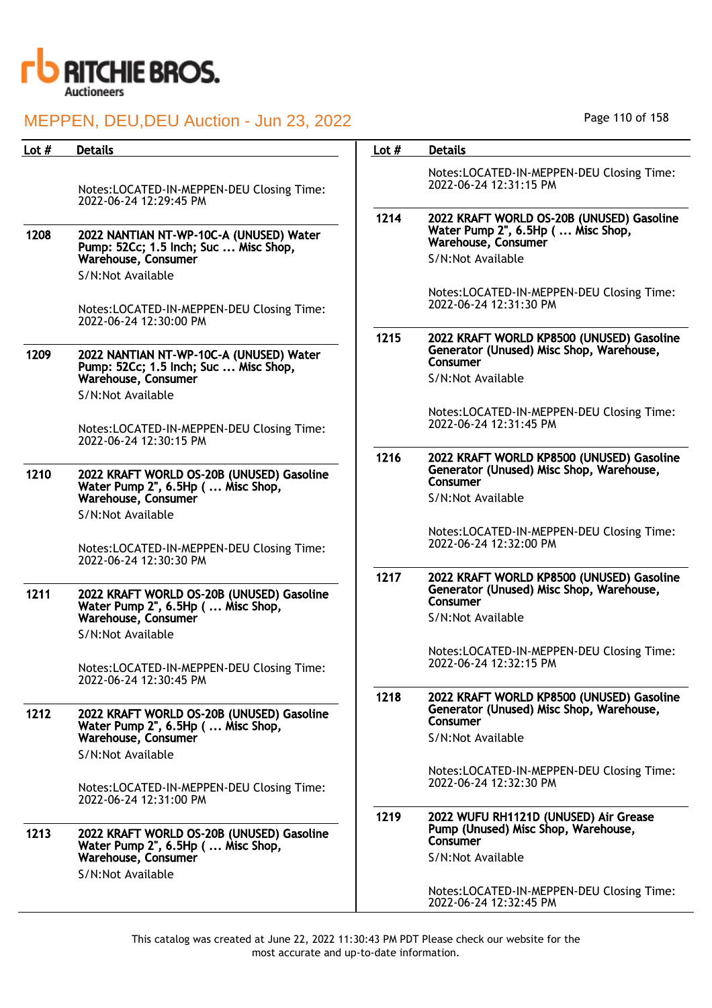

| Lot # | <b>Details</b>                                                                           | Lot $#$ | <b>Details</b>                                                                                               |
|-------|------------------------------------------------------------------------------------------|---------|--------------------------------------------------------------------------------------------------------------|
|       | Notes:LOCATED-IN-MEPPEN-DEU Closing Time:<br>2022-06-24 12:29:45 PM                      |         | Notes:LOCATED-IN-MEPPEN-DEU Closing Time:<br>2022-06-24 12:31:15 PM                                          |
| 1208  | 2022 NANTIAN NT-WP-10C-A (UNUSED) Water<br>Pump: 52Cc; 1.5 Inch; Suc  Misc Shop,         | 1214    | 2022 KRAFT WORLD OS-20B (UNUSED) Gasoline<br>Water Pump 2", 6.5Hp ( Misc Shop,<br><b>Warehouse, Consumer</b> |
|       | Warehouse, Consumer                                                                      |         | S/N:Not Available                                                                                            |
|       | S/N:Not Available<br>Notes:LOCATED-IN-MEPPEN-DEU Closing Time:<br>2022-06-24 12:30:00 PM |         | Notes:LOCATED-IN-MEPPEN-DEU Closing Time:<br>2022-06-24 12:31:30 PM                                          |
| 1209  | 2022 NANTIAN NT-WP-10C-A (UNUSED) Water<br>Pump: 52Cc; 1.5 Inch; Suc  Misc Shop,         | 1215    | 2022 KRAFT WORLD KP8500 (UNUSED) Gasoline<br>Generator (Unused) Misc Shop, Warehouse,<br>Consumer            |
|       | Warehouse, Consumer<br>S/N:Not Available                                                 |         | S/N:Not Available                                                                                            |
|       | Notes:LOCATED-IN-MEPPEN-DEU Closing Time:                                                |         | Notes:LOCATED-IN-MEPPEN-DEU Closing Time:<br>2022-06-24 12:31:45 PM                                          |
|       | 2022-06-24 12:30:15 PM                                                                   |         |                                                                                                              |
| 1210  | 2022 KRAFT WORLD OS-20B (UNUSED) Gasoline<br>Water Pump 2", 6.5Hp (  Misc Shop,          | 1216    | 2022 KRAFT WORLD KP8500 (UNUSED) Gasoline<br>Generator (Unused) Misc Shop, Warehouse,<br>Consumer            |
|       | Warehouse, Consumer<br>S/N:Not Available                                                 |         | S/N:Not Available                                                                                            |
|       | Notes:LOCATED-IN-MEPPEN-DEU Closing Time:<br>2022-06-24 12:30:30 PM                      |         | Notes:LOCATED-IN-MEPPEN-DEU Closing Time:<br>2022-06-24 12:32:00 PM                                          |
| 1211  | 2022 KRAFT WORLD OS-20B (UNUSED) Gasoline<br>Water Pump 2", 6.5Hp (  Misc Shop,          | 1217    | 2022 KRAFT WORLD KP8500 (UNUSED) Gasoline<br>Generator (Unused) Misc Shop, Warehouse,<br>Consumer            |
|       | Warehouse, Consumer                                                                      |         | S/N:Not Available                                                                                            |
|       | S/N:Not Available                                                                        |         |                                                                                                              |
|       | Notes:LOCATED-IN-MEPPEN-DEU Closing Time:<br>2022-06-24 12:30:45 PM                      |         | Notes:LOCATED-IN-MEPPEN-DEU Closing Time:<br>2022-06-24 12:32:15 PM                                          |
| 1212  | 2022 KRAFT WORLD OS-20B (UNUSED) Gasoline                                                | 1218    | 2022 KRAFT WORLD KP8500 (UNUSED) Gasoline<br>Generator (Unused) Misc Shop, Warehouse,<br>Consumer            |
|       | Water Pump 2", 6.5Hp ( Misc Shop,<br>Warehouse, Consumer<br>S/N:Not Available            |         | S/N:Not Available                                                                                            |
|       | Notes:LOCATED-IN-MEPPEN-DEU Closing Time:<br>2022-06-24 12:31:00 PM                      |         | Notes:LOCATED-IN-MEPPEN-DEU Closing Time:<br>2022-06-24 12:32:30 PM                                          |
| 1213  | 2022 KRAFT WORLD OS-20B (UNUSED) Gasoline                                                | 1219    | 2022 WUFU RH1121D (UNUSED) Air Grease<br>Pump (Unused) Misc Shop, Warehouse,<br>Consumer                     |
|       | Water Pump 2", 6.5Hp ( Misc Shop,<br>Warehouse, Consumer<br>S/N:Not Available            |         | S/N:Not Available                                                                                            |
|       |                                                                                          |         | Notes:LOCATED-IN-MEPPEN-DEU Closing Time:<br>2022-06-24 12:32:45 PM                                          |

Page 110 of 158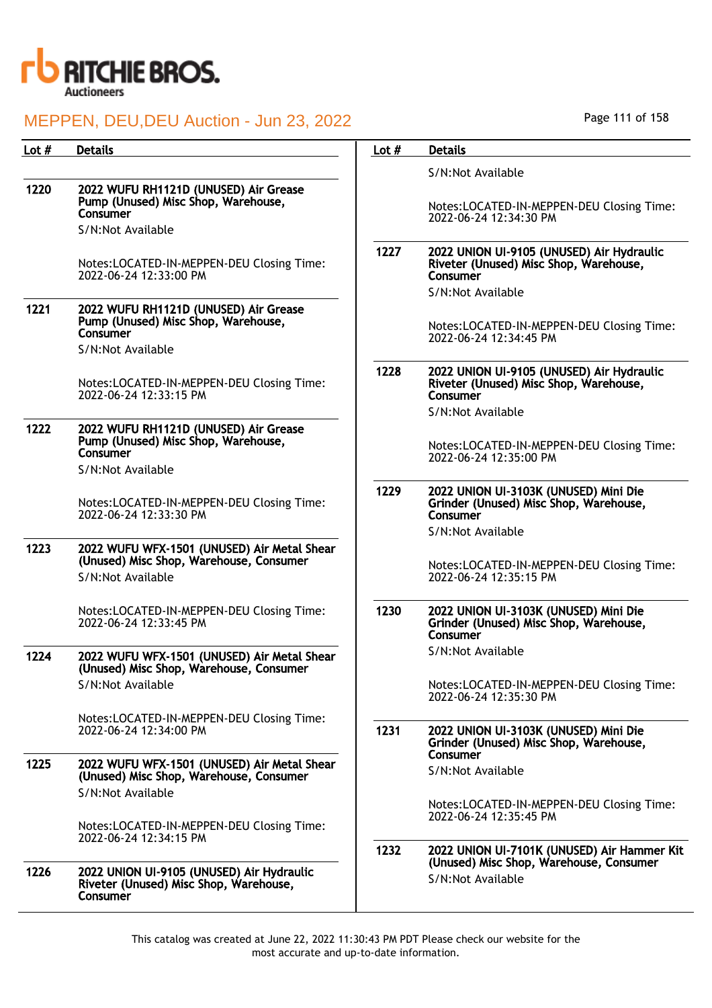

| Lot # | <b>Details</b>                                                                                                | Lot $#$ | <b>Details</b>                                                                                                       |
|-------|---------------------------------------------------------------------------------------------------------------|---------|----------------------------------------------------------------------------------------------------------------------|
|       |                                                                                                               |         | S/N:Not Available                                                                                                    |
| 1220  | 2022 WUFU RH1121D (UNUSED) Air Grease<br>Pump (Unused) Misc Shop, Warehouse,<br>Consumer<br>S/N:Not Available |         | Notes:LOCATED-IN-MEPPEN-DEU Closing Time:<br>2022-06-24 12:34:30 PM                                                  |
|       | Notes:LOCATED-IN-MEPPEN-DEU Closing Time:<br>2022-06-24 12:33:00 PM                                           | 1227    | 2022 UNION UI-9105 (UNUSED) Air Hydraulic<br>Riveter (Unused) Misc Shop, Warehouse,<br>Consumer<br>S/N:Not Available |
| 1221  | 2022 WUFU RH1121D (UNUSED) Air Grease<br>Pump (Unused) Misc Shop, Warehouse,<br>Consumer<br>S/N:Not Available |         | Notes:LOCATED-IN-MEPPEN-DEU Closing Time:<br>2022-06-24 12:34:45 PM                                                  |
|       | Notes:LOCATED-IN-MEPPEN-DEU Closing Time:<br>2022-06-24 12:33:15 PM                                           | 1228    | 2022 UNION UI-9105 (UNUSED) Air Hydraulic<br>Riveter (Unused) Misc Shop, Warehouse,<br>Consumer<br>S/N:Not Available |
| 1222  | 2022 WUFU RH1121D (UNUSED) Air Grease<br>Pump (Unused) Misc Shop, Warehouse,<br>Consumer<br>S/N:Not Available |         | Notes:LOCATED-IN-MEPPEN-DEU Closing Time:<br>2022-06-24 12:35:00 PM                                                  |
|       | Notes:LOCATED-IN-MEPPEN-DEU Closing Time:<br>2022-06-24 12:33:30 PM                                           | 1229    | 2022 UNION UI-3103K (UNUSED) Mini Die<br>Grinder (Unused) Misc Shop, Warehouse,<br>Consumer<br>S/N:Not Available     |
| 1223  | 2022 WUFU WFX-1501 (UNUSED) Air Metal Shear<br>(Unused) Misc Shop, Warehouse, Consumer<br>S/N:Not Available   |         | Notes:LOCATED-IN-MEPPEN-DEU Closing Time:<br>2022-06-24 12:35:15 PM                                                  |
|       | Notes:LOCATED-IN-MEPPEN-DEU Closing Time:<br>2022-06-24 12:33:45 PM                                           | 1230    | 2022 UNION UI-3103K (UNUSED) Mini Die<br>Grinder (Unused) Misc Shop, Warehouse,<br>Consumer                          |
| 1224  | 2022 WUFU WFX-1501 (UNUSED) Air Metal Shear<br>(Unused) Misc Shop, Warehouse, Consumer                        |         | S/N:Not Available                                                                                                    |
|       | S/N:Not Available                                                                                             |         | Notes:LOCATED-IN-MEPPEN-DEU Closing Time:<br>2022-06-24 12:35:30 PM                                                  |
|       | Notes:LOCATED-IN-MEPPEN-DEU Closing Time:<br>2022-06-24 12:34:00 PM                                           | 1231    | 2022 UNION UI-3103K (UNUSED) Mini Die<br>Grinder (Unused) Misc Shop, Warehouse,<br>Consumer                          |
| 1225  | 2022 WUFU WFX-1501 (UNUSED) Air Metal Shear<br>(Unused) Misc Shop, Warehouse, Consumer                        |         | S/N:Not Available                                                                                                    |
|       | S/N:Not Available<br>Notes:LOCATED-IN-MEPPEN-DEU Closing Time:                                                |         | Notes:LOCATED-IN-MEPPEN-DEU Closing Time:<br>2022-06-24 12:35:45 PM                                                  |
| 1226  | 2022-06-24 12:34:15 PM<br>2022 UNION UI-9105 (UNUSED) Air Hydraulic                                           | 1232    | 2022 UNION UI-7101K (UNUSED) Air Hammer Kit<br>(Unused) Misc Shop, Warehouse, Consumer                               |
|       | Riveter (Unused) Misc Shop, Warehouse,<br>Consumer                                                            |         | S/N:Not Available                                                                                                    |

Page 111 of 158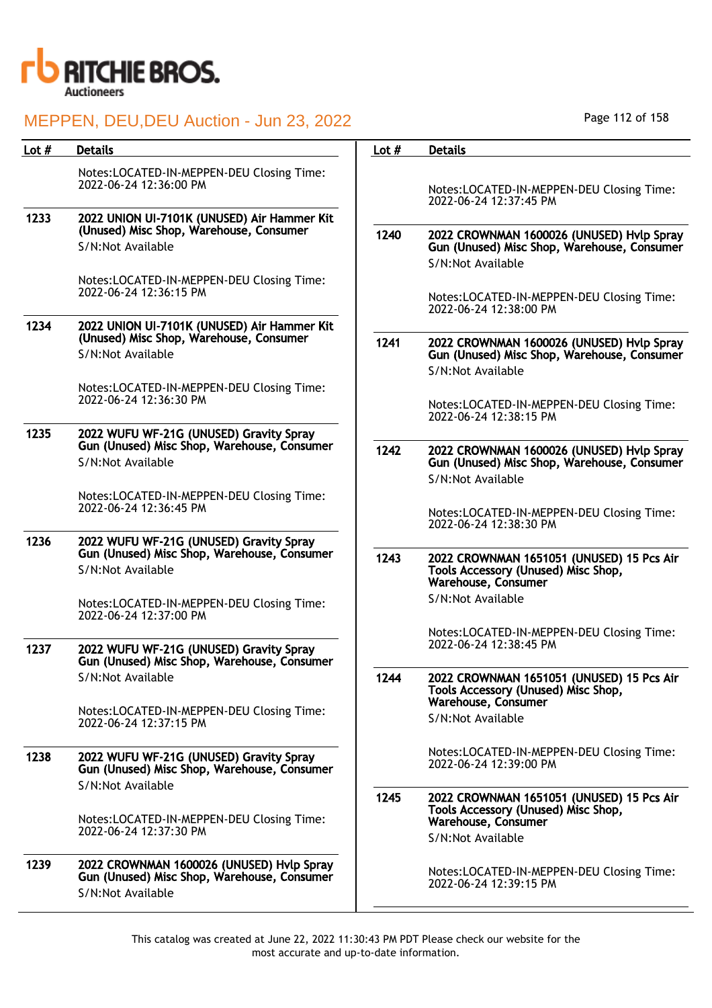

| Lot $#$ | <b>Details</b>                                                                                              | Lot $#$ | <b>Details</b>                                                                                                 |
|---------|-------------------------------------------------------------------------------------------------------------|---------|----------------------------------------------------------------------------------------------------------------|
|         | Notes:LOCATED-IN-MEPPEN-DEU Closing Time:<br>2022-06-24 12:36:00 PM                                         |         | Notes:LOCATED-IN-MEPPEN-DEU Closing Time:<br>2022-06-24 12:37:45 PM                                            |
| 1233    | 2022 UNION UI-7101K (UNUSED) Air Hammer Kit<br>(Unused) Misc Shop, Warehouse, Consumer                      |         |                                                                                                                |
|         | S/N:Not Available                                                                                           | 1240    | 2022 CROWNMAN 1600026 (UNUSED) Hvlp Spray<br>Gun (Unused) Misc Shop, Warehouse, Consumer<br>S/N:Not Available  |
|         | Notes:LOCATED-IN-MEPPEN-DEU Closing Time:<br>2022-06-24 12:36:15 PM                                         |         | Notes:LOCATED-IN-MEPPEN-DEU Closing Time:<br>2022-06-24 12:38:00 PM                                            |
| 1234    | 2022 UNION UI-7101K (UNUSED) Air Hammer Kit<br>(Unused) Misc Shop, Warehouse, Consumer<br>S/N:Not Available | 1241    | 2022 CROWNMAN 1600026 (UNUSED) Hvlp Spray<br>Gun (Unused) Misc Shop, Warehouse, Consumer                       |
|         |                                                                                                             |         | S/N:Not Available                                                                                              |
|         | Notes:LOCATED-IN-MEPPEN-DEU Closing Time:<br>2022-06-24 12:36:30 PM                                         |         | Notes:LOCATED-IN-MEPPEN-DEU Closing Time:                                                                      |
| 1235    | 2022 WUFU WF-21G (UNUSED) Gravity Spray                                                                     |         | 2022-06-24 12:38:15 PM                                                                                         |
|         | Gun (Unused) Misc Shop, Warehouse, Consumer                                                                 | 1242    | 2022 CROWNMAN 1600026 (UNUSED) Hvlp Spray                                                                      |
|         | S/N:Not Available                                                                                           |         | Gun (Unused) Misc Shop, Warehouse, Consumer<br>S/N:Not Available                                               |
|         | Notes:LOCATED-IN-MEPPEN-DEU Closing Time:<br>2022-06-24 12:36:45 PM                                         |         | Notes:LOCATED-IN-MEPPEN-DEU Closing Time:<br>2022-06-24 12:38:30 PM                                            |
| 1236    | 2022 WUFU WF-21G (UNUSED) Gravity Spray<br>Gun (Unused) Misc Shop, Warehouse, Consumer                      |         |                                                                                                                |
|         | S/N:Not Available                                                                                           | 1243    | 2022 CROWNMAN 1651051 (UNUSED) 15 Pcs Air<br>Tools Accessory (Unused) Misc Shop,<br><b>Warehouse, Consumer</b> |
|         | Notes:LOCATED-IN-MEPPEN-DEU Closing Time:<br>2022-06-24 12:37:00 PM                                         |         | S/N:Not Available                                                                                              |
| 1237    | 2022 WUFU WF-21G (UNUSED) Gravity Spray<br>Gun (Unused) Misc Shop, Warehouse, Consumer                      |         | Notes:LOCATED-IN-MEPPEN-DEU Closing Time:<br>2022-06-24 12:38:45 PM                                            |
|         | S/N:Not Available                                                                                           | 1244    | 2022 CROWNMAN 1651051 (UNUSED) 15 Pcs Air<br>Tools Accessory (Unused) Misc Shop,<br>Warehouse, Consumer        |
|         | Notes:LOCATED-IN-MEPPEN-DEU Closing Time:<br>2022-06-24 12:37:15 PM                                         |         | S/N:Not Available                                                                                              |
| 1238    | 2022 WUFU WF-21G (UNUSED) Gravity Spray<br>Gun (Unused) Misc Shop, Warehouse, Consumer                      |         | Notes:LOCATED-IN-MEPPEN-DEU Closing Time:<br>2022-06-24 12:39:00 PM                                            |
|         | S/N:Not Available                                                                                           | 1245    | 2022 CROWNMAN 1651051 (UNUSED) 15 Pcs Air                                                                      |
|         | Notes:LOCATED-IN-MEPPEN-DEU Closing Time:<br>2022-06-24 12:37:30 PM                                         |         | Tools Accessory (Unused) Misc Shop,<br>Warehouse, Consumer                                                     |
|         |                                                                                                             |         | S/N:Not Available                                                                                              |
| 1239    | 2022 CROWNMAN 1600026 (UNUSED) Hvlp Spray<br>Gun (Unused) Misc Shop, Warehouse, Consumer                    |         | Notes:LOCATED-IN-MEPPEN-DEU Closing Time:<br>2022-06-24 12:39:15 PM                                            |
|         | S/N:Not Available                                                                                           |         |                                                                                                                |

Page 112 of 158

 $\overline{\phantom{0}}$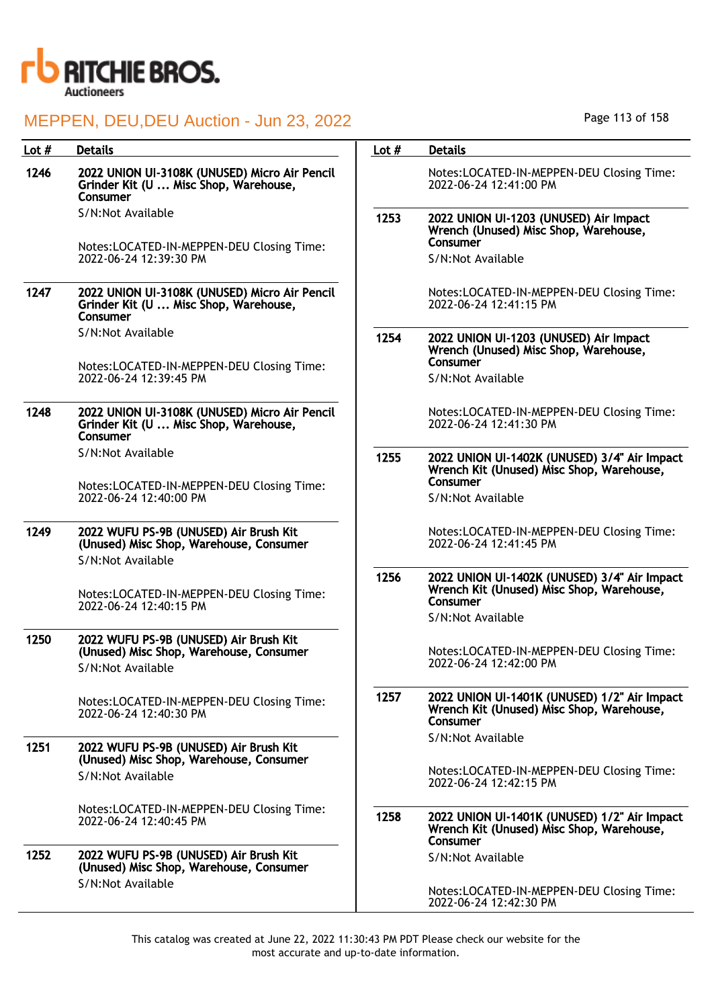

| Lot $#$ | <b>Details</b>                                                                                         | Lot $#$ | <b>Details</b>                                                                                        |
|---------|--------------------------------------------------------------------------------------------------------|---------|-------------------------------------------------------------------------------------------------------|
| 1246    | 2022 UNION UI-3108K (UNUSED) Micro Air Pencil<br>Grinder Kit (U  Misc Shop, Warehouse,<br>Consumer     |         | Notes:LOCATED-IN-MEPPEN-DEU Closing Time:<br>2022-06-24 12:41:00 PM                                   |
|         | S/N:Not Available                                                                                      | 1253    | 2022 UNION UI-1203 (UNUSED) Air Impact<br>Wrench (Unused) Misc Shop, Warehouse,                       |
|         | Notes:LOCATED-IN-MEPPEN-DEU Closing Time:<br>2022-06-24 12:39:30 PM                                    |         | Consumer<br>S/N:Not Available                                                                         |
| 1247    | 2022 UNION UI-3108K (UNUSED) Micro Air Pencil<br>Grinder Kit (U  Misc Shop, Warehouse,<br>Consumer     |         | Notes:LOCATED-IN-MEPPEN-DEU Closing Time:<br>2022-06-24 12:41:15 PM                                   |
|         | S/N:Not Available                                                                                      | 1254    | 2022 UNION UI-1203 (UNUSED) Air Impact<br>Wrench (Unused) Misc Shop, Warehouse,                       |
|         | Notes:LOCATED-IN-MEPPEN-DEU Closing Time:<br>2022-06-24 12:39:45 PM                                    |         | Consumer<br>S/N:Not Available                                                                         |
| 1248    | 2022 UNION UI-3108K (UNUSED) Micro Air Pencil<br>Grinder Kit (U  Misc Shop, Warehouse,<br>Consumer     |         | Notes:LOCATED-IN-MEPPEN-DEU Closing Time:<br>2022-06-24 12:41:30 PM                                   |
|         | S/N:Not Available                                                                                      | 1255    | 2022 UNION UI-1402K (UNUSED) 3/4" Air Impact<br>Wrench Kit (Unused) Misc Shop, Warehouse,             |
|         | Notes:LOCATED-IN-MEPPEN-DEU Closing Time:<br>2022-06-24 12:40:00 PM                                    |         | Consumer<br>S/N:Not Available                                                                         |
| 1249    | 2022 WUFU PS-9B (UNUSED) Air Brush Kit<br>(Unused) Misc Shop, Warehouse, Consumer                      |         | Notes:LOCATED-IN-MEPPEN-DEU Closing Time:<br>2022-06-24 12:41:45 PM                                   |
|         | S/N:Not Available                                                                                      |         |                                                                                                       |
|         | Notes:LOCATED-IN-MEPPEN-DEU Closing Time:<br>2022-06-24 12:40:15 PM                                    | 1256    | 2022 UNION UI-1402K (UNUSED) 3/4" Air Impact<br>Wrench Kit (Unused) Misc Shop, Warehouse,<br>Consumer |
|         |                                                                                                        |         | S/N:Not Available                                                                                     |
| 1250    | 2022 WUFU PS-9B (UNUSED) Air Brush Kit<br>(Unused) Misc Shop, Warehouse, Consumer<br>S/N:Not Available |         | Notes:LOCATED-IN-MEPPEN-DEU Closing Time:<br>2022-06-24 12:42:00 PM                                   |
|         | Notes:LOCATED-IN-MEPPEN-DEU Closing Time:<br>2022-06-24 12:40:30 PM                                    | 1257    | 2022 UNION UI-1401K (UNUSED) 1/2" Air Impact<br>Wrench Kit (Unused) Misc Shop, Warehouse,<br>Consumer |
| 1251    | 2022 WUFU PS-9B (UNUSED) Air Brush Kit<br>(Unused) Misc Shop, Warehouse, Consumer                      |         | S/N:Not Available                                                                                     |
|         | S/N:Not Available                                                                                      |         | Notes:LOCATED-IN-MEPPEN-DEU Closing Time:<br>2022-06-24 12:42:15 PM                                   |
|         | Notes:LOCATED-IN-MEPPEN-DEU Closing Time:<br>2022-06-24 12:40:45 PM                                    | 1258    | 2022 UNION UI-1401K (UNUSED) 1/2" Air Impact<br>Wrench Kit (Unused) Misc Shop, Warehouse,<br>Consumer |
| 1252    | 2022 WUFU PS-9B (UNUSED) Air Brush Kit<br>(Unused) Misc Shop, Warehouse, Consumer                      |         | S/N:Not Available                                                                                     |
|         | S/N:Not Available                                                                                      |         | Notes:LOCATED-IN-MEPPEN-DEU Closing Time:                                                             |

This catalog was created at June 22, 2022 11:30:43 PM PDT Please check our website for the most accurate and up-to-date information.

2022-06-24 12:42:30 PM

Page 113 of 158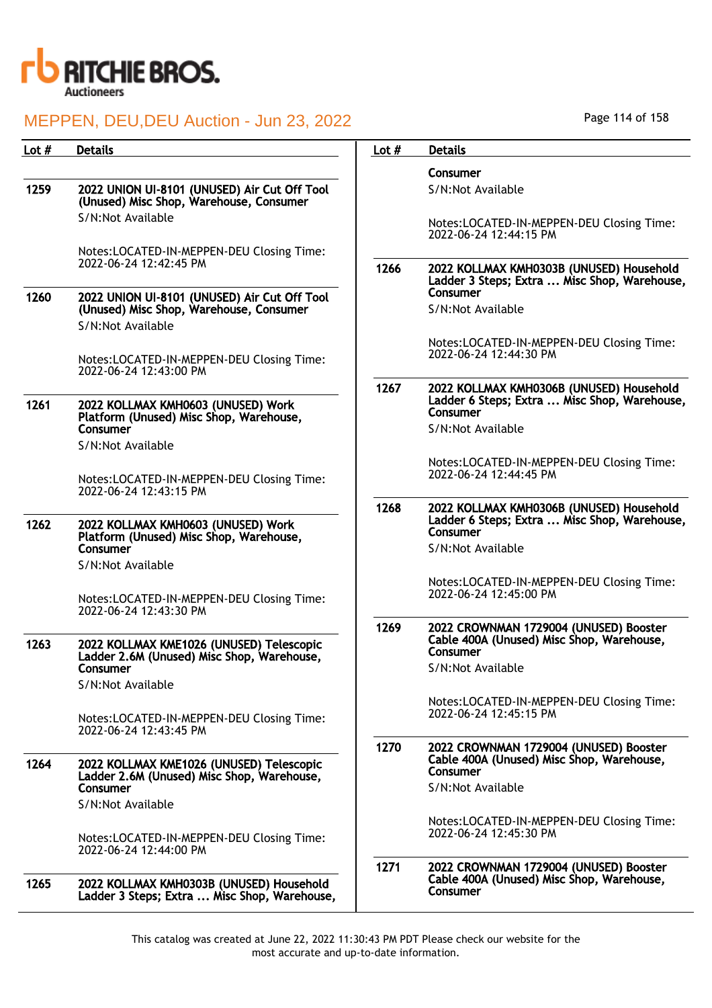

## MEPPEN, DELL DELL Auction - Jun 23, 2022

| Page 114 of 158 |  |  |
|-----------------|--|--|
|                 |  |  |

| Lot $#$ | <b>Details</b>                                                                           | Lot $#$                                     | <b>Details</b>                                                                                       |
|---------|------------------------------------------------------------------------------------------|---------------------------------------------|------------------------------------------------------------------------------------------------------|
|         |                                                                                          |                                             | Consumer                                                                                             |
| 1259    | 2022 UNION UI-8101 (UNUSED) Air Cut Off Tool<br>(Unused) Misc Shop, Warehouse, Consumer  |                                             | S/N:Not Available                                                                                    |
|         | S/N:Not Available                                                                        |                                             | Notes:LOCATED-IN-MEPPEN-DEU Closing Time:<br>2022-06-24 12:44:15 PM                                  |
|         | Notes:LOCATED-IN-MEPPEN-DEU Closing Time:                                                |                                             |                                                                                                      |
|         | 2022-06-24 12:42:45 PM                                                                   | 1266                                        | 2022 KOLLMAX KMH0303B (UNUSED) Household<br>Ladder 3 Steps; Extra  Misc Shop, Warehouse,<br>Consumer |
| 1260    | 2022 UNION UI-8101 (UNUSED) Air Cut Off Tool<br>(Unused) Misc Shop, Warehouse, Consumer  |                                             | S/N:Not Available                                                                                    |
|         | S/N:Not Available                                                                        |                                             | Notes:LOCATED-IN-MEPPEN-DEU Closing Time:                                                            |
|         | Notes:LOCATED-IN-MEPPEN-DEU Closing Time:<br>2022-06-24 12:43:00 PM                      |                                             | 2022-06-24 12:44:30 PM                                                                               |
| 1261    | 2022 KOLLMAX KMH0603 (UNUSED) Work<br>Platform (Unused) Misc Shop, Warehouse,            | 1267                                        | 2022 KOLLMAX KMH0306B (UNUSED) Household<br>Ladder 6 Steps; Extra  Misc Shop, Warehouse,<br>Consumer |
|         | <b>Consumer</b><br>S/N:Not Available                                                     | S/N:Not Available<br>2022-06-24 12:44:45 PM |                                                                                                      |
|         | Notes:LOCATED-IN-MEPPEN-DEU Closing Time:<br>2022-06-24 12:43:15 PM                      |                                             | Notes:LOCATED-IN-MEPPEN-DEU Closing Time:                                                            |
|         |                                                                                          | 1268                                        | 2022 KOLLMAX KMH0306B (UNUSED) Household                                                             |
| 1262    | 2022 KOLLMAX KMH0603 (UNUSED) Work<br>Platform (Unused) Misc Shop, Warehouse,            |                                             | Ladder 6 Steps; Extra  Misc Shop, Warehouse,<br>Consumer                                             |
|         | Consumer                                                                                 |                                             | S/N:Not Available                                                                                    |
|         | S/N:Not Available                                                                        |                                             | Notes:LOCATED-IN-MEPPEN-DEU Closing Time:                                                            |
|         | Notes:LOCATED-IN-MEPPEN-DEU Closing Time:<br>2022-06-24 12:43:30 PM                      |                                             | 2022-06-24 12:45:00 PM                                                                               |
| 1263    | 2022 KOLLMAX KME1026 (UNUSED) Telescopic                                                 | 1269                                        | 2022 CROWNMAN 1729004 (UNUSED) Booster<br>Cable 400A (Unused) Misc Shop, Warehouse,                  |
|         | Ladder 2.6M (Unused) Misc Shop, Warehouse,<br>Consumer                                   |                                             | Consumer<br>S/N:Not Available                                                                        |
|         | S/N:Not Available                                                                        |                                             |                                                                                                      |
|         | Notes:LOCATED-IN-MEPPEN-DEU Closing Time:<br>2022-06-24 12:43:45 PM                      |                                             | Notes:LOCATED-IN-MEPPEN-DEU Closing Time:<br>2022-06-24 12:45:15 PM                                  |
|         |                                                                                          | 1270                                        | 2022 CROWNMAN 1729004 (UNUSED) Booster                                                               |
| 1264    | 2022 KOLLMAX KME1026 (UNUSED) Telescopic<br>Ladder 2.6M (Unused) Misc Shop, Warehouse,   |                                             | Cable 400A (Unused) Misc Shop, Warehouse,<br>Consumer                                                |
|         | Consumer<br>S/N:Not Available                                                            |                                             | S/N:Not Available                                                                                    |
|         |                                                                                          |                                             | Notes:LOCATED-IN-MEPPEN-DEU Closing Time:                                                            |
|         | Notes:LOCATED-IN-MEPPEN-DEU Closing Time:<br>2022-06-24 12:44:00 PM                      |                                             | 2022-06-24 12:45:30 PM                                                                               |
| 1265    | 2022 KOLLMAX KMH0303B (UNUSED) Household<br>Ladder 3 Steps; Extra  Misc Shop, Warehouse, | 1271                                        | 2022 CROWNMAN 1729004 (UNUSED) Booster<br>Cable 400A (Unused) Misc Shop, Warehouse,<br>Consumer      |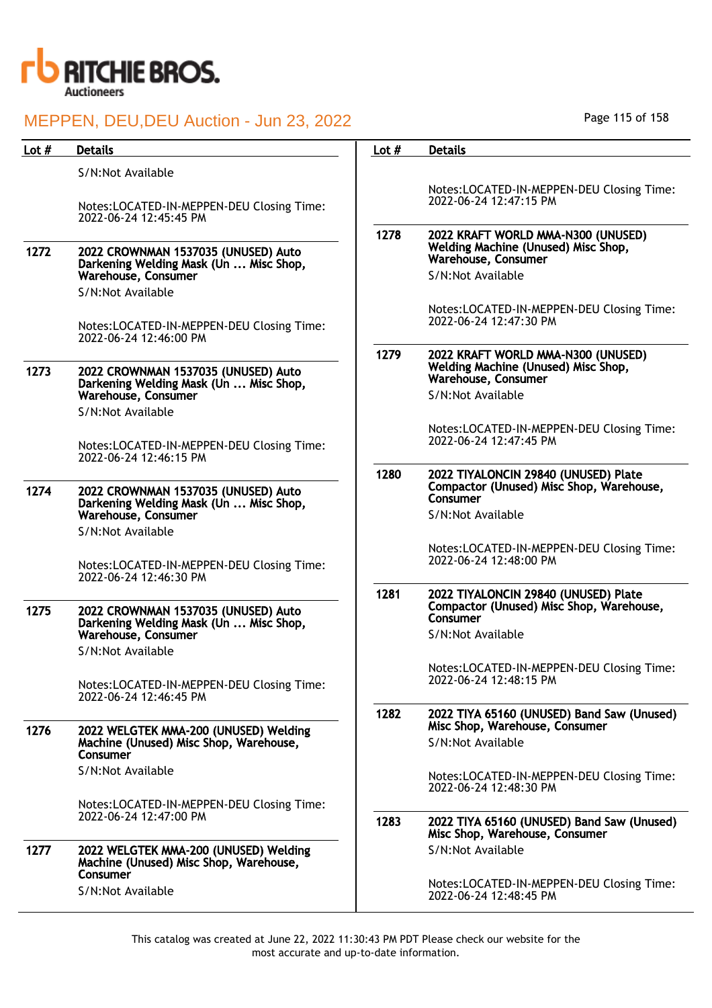

| Lot $#$ | <b>Details</b>                                                                              | Lot $#$ | <b>Details</b>                                                                                   |
|---------|---------------------------------------------------------------------------------------------|---------|--------------------------------------------------------------------------------------------------|
|         | S/N:Not Available                                                                           |         |                                                                                                  |
|         |                                                                                             |         | Notes:LOCATED-IN-MEPPEN-DEU Closing Time:                                                        |
|         | Notes:LOCATED-IN-MEPPEN-DEU Closing Time:<br>2022-06-24 12:45:45 PM                         |         | 2022-06-24 12:47:15 PM                                                                           |
| 1272    | 2022 CROWNMAN 1537035 (UNUSED) Auto                                                         | 1278    | 2022 KRAFT WORLD MMA-N300 (UNUSED)<br>Welding Machine (Unused) Misc Shop,<br>Warehouse, Consumer |
|         | Darkening Welding Mask (Un  Misc Shop,<br>Warehouse, Consumer                               |         | S/N:Not Available                                                                                |
|         | S/N:Not Available                                                                           |         |                                                                                                  |
|         | Notes:LOCATED-IN-MEPPEN-DEU Closing Time:<br>2022-06-24 12:46:00 PM                         |         | Notes:LOCATED-IN-MEPPEN-DEU Closing Time:<br>2022-06-24 12:47:30 PM                              |
|         |                                                                                             | 1279    | 2022 KRAFT WORLD MMA-N300 (UNUSED)                                                               |
| 1273    | 2022 CROWNMAN 1537035 (UNUSED) Auto<br>Darkening Welding Mask (Un  Misc Shop,               |         | Welding Machine (Unused) Misc Shop,<br>Warehouse, Consumer                                       |
|         | Warehouse, Consumer                                                                         |         | S/N:Not Available                                                                                |
|         | S/N:Not Available                                                                           |         |                                                                                                  |
|         | Notes:LOCATED-IN-MEPPEN-DEU Closing Time:                                                   |         | Notes:LOCATED-IN-MEPPEN-DEU Closing Time:<br>2022-06-24 12:47:45 PM                              |
|         | 2022-06-24 12:46:15 PM                                                                      | 1280    |                                                                                                  |
| 1274    | 2022 CROWNMAN 1537035 (UNUSED) Auto<br>Darkening Welding Mask (Un  Misc Shop,               |         | 2022 TIYALONCIN 29840 (UNUSED) Plate<br>Compactor (Unused) Misc Shop, Warehouse,<br>Consumer     |
|         | Warehouse, Consumer                                                                         |         | S/N:Not Available                                                                                |
|         | S/N:Not Available                                                                           |         |                                                                                                  |
|         | Notes:LOCATED-IN-MEPPEN-DEU Closing Time:<br>2022-06-24 12:46:30 PM                         |         | Notes:LOCATED-IN-MEPPEN-DEU Closing Time:<br>2022-06-24 12:48:00 PM                              |
|         |                                                                                             | 1281    | 2022 TIYALONCIN 29840 (UNUSED) Plate                                                             |
| 1275    | 2022 CROWNMAN 1537035 (UNUSED) Auto<br>Darkening Welding Mask (Un  Misc Shop,               |         | Compactor (Unused) Misc Shop, Warehouse,<br>Consumer                                             |
|         | Warehouse, Consumer                                                                         |         | S/N:Not Available                                                                                |
|         | S/N:Not Available                                                                           |         |                                                                                                  |
|         | Notes:LOCATED-IN-MEPPEN-DEU Closing Time:<br>2022-06-24 12:46:45 PM                         |         | Notes:LOCATED-IN-MEPPEN-DEU Closing Time:<br>2022-06-24 12:48:15 PM                              |
|         |                                                                                             | 1282    | 2022 TIYA 65160 (UNUSED) Band Saw (Unused)                                                       |
| 1276    | 2022 WELGTEK MMA-200 (UNUSED) Welding                                                       |         | Misc Shop, Warehouse, Consumer                                                                   |
|         | Machine (Unused) Misc Shop, Warehouse,<br>Consumer                                          |         | S/N:Not Available                                                                                |
|         | S/N:Not Available                                                                           |         | Notes:LOCATED-IN-MEPPEN-DEU Closing Time:                                                        |
|         |                                                                                             |         | 2022-06-24 12:48:30 PM                                                                           |
|         | Notes:LOCATED-IN-MEPPEN-DEU Closing Time:                                                   |         |                                                                                                  |
|         | 2022-06-24 12:47:00 PM                                                                      | 1283    | 2022 TIYA 65160 (UNUSED) Band Saw (Unused)<br>Misc Shop, Warehouse, Consumer                     |
| 1277    | 2022 WELGTEK MMA-200 (UNUSED) Welding<br>Machine (Unused) Misc Shop, Warehouse,<br>Consumer |         | S/N:Not Available                                                                                |
|         | S/N:Not Available                                                                           |         | Notes:LOCATED-IN-MEPPEN-DEU Closing Time:<br>2022-06-24 12:48:45 PM                              |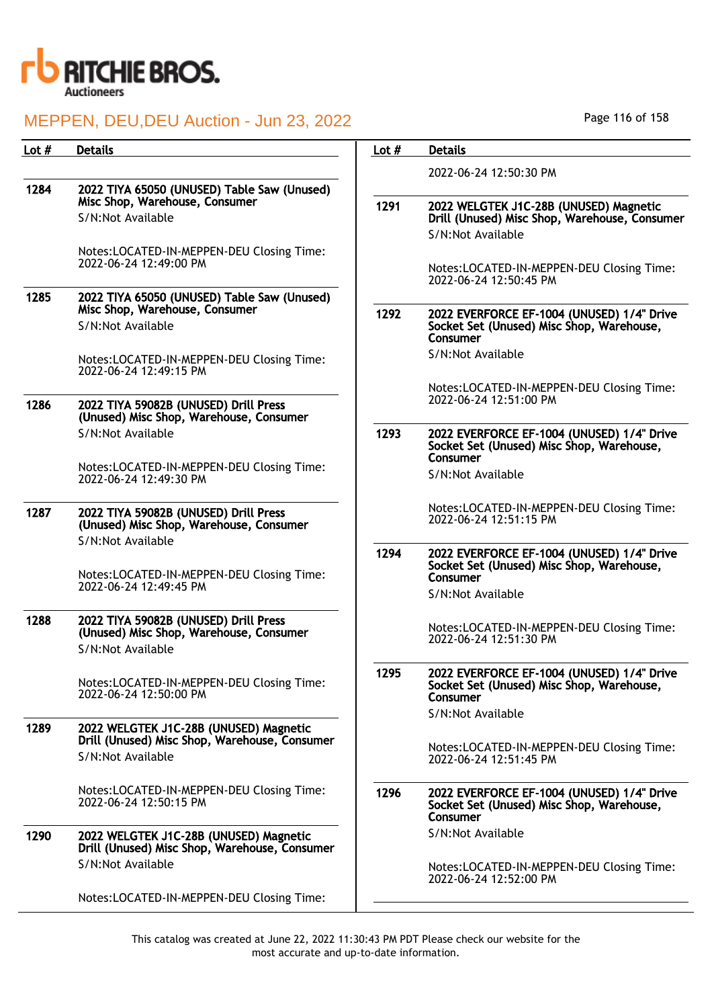

| Lot $#$ | <b>Details</b>                                                                          | Lot $#$ | <b>Details</b>                                                                                      |
|---------|-----------------------------------------------------------------------------------------|---------|-----------------------------------------------------------------------------------------------------|
|         |                                                                                         |         | 2022-06-24 12:50:30 PM                                                                              |
| 1284    | 2022 TIYA 65050 (UNUSED) Table Saw (Unused)<br>Misc Shop, Warehouse, Consumer           |         |                                                                                                     |
|         | S/N:Not Available                                                                       | 1291    | 2022 WELGTEK J1C-28B (UNUSED) Magnetic<br>Drill (Unused) Misc Shop, Warehouse, Consumer             |
|         |                                                                                         |         | S/N:Not Available                                                                                   |
|         | Notes:LOCATED-IN-MEPPEN-DEU Closing Time:<br>2022-06-24 12:49:00 PM                     |         |                                                                                                     |
|         |                                                                                         |         | Notes:LOCATED-IN-MEPPEN-DEU Closing Time:<br>2022-06-24 12:50:45 PM                                 |
| 1285    | 2022 TIYA 65050 (UNUSED) Table Saw (Unused)<br>Misc Shop, Warehouse, Consumer           |         |                                                                                                     |
|         | S/N:Not Available                                                                       | 1292    | 2022 EVERFORCE EF-1004 (UNUSED) 1/4" Drive<br>Socket Set (Unused) Misc Shop, Warehouse,             |
|         |                                                                                         |         | Consumer                                                                                            |
|         | Notes:LOCATED-IN-MEPPEN-DEU Closing Time:<br>2022-06-24 12:49:15 PM                     |         | S/N:Not Available                                                                                   |
|         |                                                                                         |         | Notes:LOCATED-IN-MEPPEN-DEU Closing Time:<br>2022-06-24 12:51:00 PM                                 |
| 1286    | 2022 TIYA 59082B (UNUSED) Drill Press<br>(Unused) Misc Shop, Warehouse, Consumer        |         |                                                                                                     |
|         | S/N:Not Available                                                                       | 1293    | 2022 EVERFORCE EF-1004 (UNUSED) 1/4" Drive<br>Socket Set (Unused) Misc Shop, Warehouse,<br>Consumer |
|         | Notes:LOCATED-IN-MEPPEN-DEU Closing Time:<br>2022-06-24 12:49:30 PM                     |         | S/N:Not Available                                                                                   |
| 1287    | 2022 TIYA 59082B (UNUSED) Drill Press                                                   |         | Notes:LOCATED-IN-MEPPEN-DEU Closing Time:<br>2022-06-24 12:51:15 PM                                 |
|         | (Unused) Misc Shop, Warehouse, Consumer<br>S/N:Not Available                            |         |                                                                                                     |
|         | Notes:LOCATED-IN-MEPPEN-DEU Closing Time:                                               | 1294    | 2022 EVERFORCE EF-1004 (UNUSED) 1/4" Drive<br>Socket Set (Unused) Misc Shop, Warehouse,<br>Consumer |
|         | 2022-06-24 12:49:45 PM                                                                  |         | S/N:Not Available                                                                                   |
| 1288    | 2022 TIYA 59082B (UNUSED) Drill Press<br>(Unused) Misc Shop, Warehouse, Consumer        |         | Notes:LOCATED-IN-MEPPEN-DEU Closing Time:                                                           |
|         | S/N:Not Available                                                                       |         | 2022-06-24 12:51:30 PM                                                                              |
|         | Notes:LOCATED-IN-MEPPEN-DEU Closing Time:<br>2022-06-24 12:50:00 PM                     | 1295    | 2022 EVERFORCE EF-1004 (UNUSED) 1/4" Drive<br>Socket Set (Unused) Misc Shop, Warehouse,<br>Consumer |
|         |                                                                                         |         | S/N:Not Available                                                                                   |
| 1289    | 2022 WELGTEK J1C-28B (UNUSED) Magnetic<br>Drill (Unused) Misc Shop, Warehouse, Consumer |         |                                                                                                     |
|         | S/N:Not Available                                                                       |         | Notes:LOCATED-IN-MEPPEN-DEU Closing Time:<br>2022-06-24 12:51:45 PM                                 |
|         | Notes:LOCATED-IN-MEPPEN-DEU Closing Time:<br>2022-06-24 12:50:15 PM                     | 1296    | 2022 EVERFORCE EF-1004 (UNUSED) 1/4" Drive<br>Socket Set (Unused) Misc Shop, Warehouse,<br>Consumer |
| 1290    | 2022 WELGTEK J1C-28B (UNUSED) Magnetic<br>Drill (Unused) Misc Shop, Warehouse, Consumer |         | S/N:Not Available                                                                                   |
|         | S/N:Not Available                                                                       |         | Notes:LOCATED-IN-MEPPEN-DEU Closing Time:<br>2022-06-24 12:52:00 PM                                 |
|         | Notes:LOCATED-IN-MEPPEN-DEU Closing Time:                                               |         |                                                                                                     |

Page 116 of 158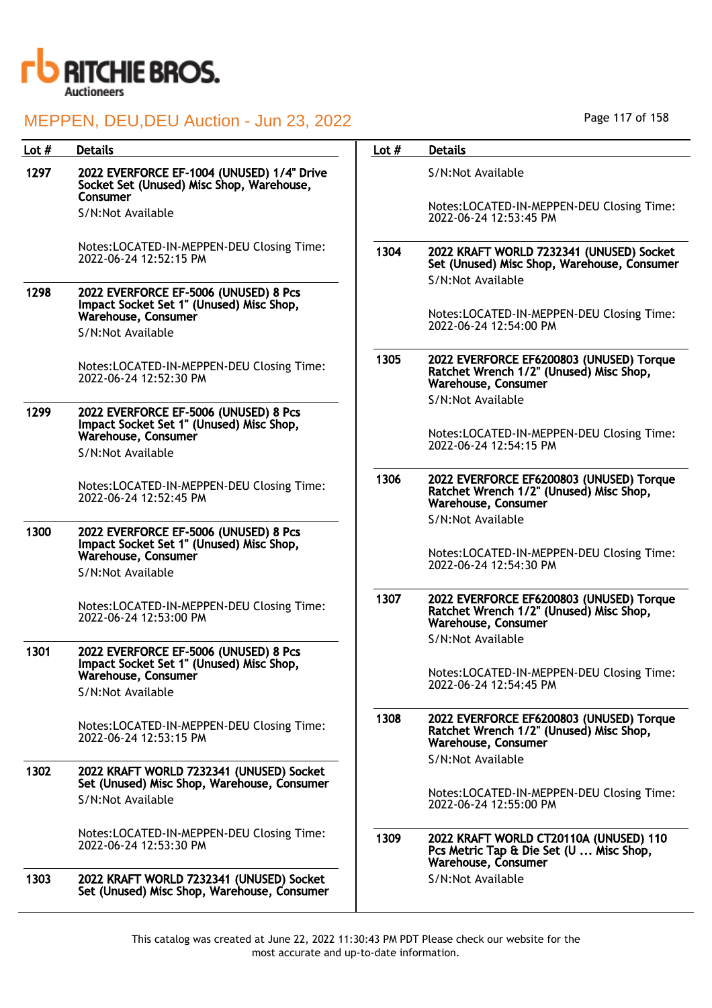

| Lot $#$ | <b>Details</b>                                                                                           | Lot $#$ | <b>Details</b>                                                                                             |
|---------|----------------------------------------------------------------------------------------------------------|---------|------------------------------------------------------------------------------------------------------------|
| 1297    | 2022 EVERFORCE EF-1004 (UNUSED) 1/4" Drive<br>Socket Set (Unused) Misc Shop, Warehouse,<br>Consumer      |         | S/N:Not Available                                                                                          |
|         | S/N:Not Available                                                                                        |         | Notes:LOCATED-IN-MEPPEN-DEU Closing Time:<br>2022-06-24 12:53:45 PM                                        |
|         | Notes:LOCATED-IN-MEPPEN-DEU Closing Time:<br>2022-06-24 12:52:15 PM                                      | 1304    | 2022 KRAFT WORLD 7232341 (UNUSED) Socket<br>Set (Unused) Misc Shop, Warehouse, Consumer                    |
| 1298    | 2022 EVERFORCE EF-5006 (UNUSED) 8 Pcs<br>Impact Socket Set 1" (Unused) Misc Shop,<br>Warehouse, Consumer |         | S/N:Not Available<br>Notes:LOCATED-IN-MEPPEN-DEU Closing Time:                                             |
|         | S/N:Not Available                                                                                        |         | 2022-06-24 12:54:00 PM                                                                                     |
|         | Notes:LOCATED-IN-MEPPEN-DEU Closing Time:<br>2022-06-24 12:52:30 PM                                      | 1305    | 2022 EVERFORCE EF6200803 (UNUSED) Torque<br>Ratchet Wrench 1/2" (Unused) Misc Shop,<br>Warehouse, Consumer |
| 1299    | 2022 EVERFORCE EF-5006 (UNUSED) 8 Pcs                                                                    |         | S/N:Not Available                                                                                          |
|         | Impact Socket Set 1" (Unused) Misc Shop,<br>Warehouse, Consumer<br>S/N:Not Available                     |         | Notes:LOCATED-IN-MEPPEN-DEU Closing Time:<br>2022-06-24 12:54:15 PM                                        |
|         | Notes:LOCATED-IN-MEPPEN-DEU Closing Time:<br>2022-06-24 12:52:45 PM                                      | 1306    | 2022 EVERFORCE EF6200803 (UNUSED) Torque<br>Ratchet Wrench 1/2" (Unused) Misc Shop,<br>Warehouse, Consumer |
| 1300    |                                                                                                          |         | S/N:Not Available                                                                                          |
|         | 2022 EVERFORCE EF-5006 (UNUSED) 8 Pcs<br>Impact Socket Set 1" (Unused) Misc Shop,<br>Warehouse, Consumer |         | Notes:LOCATED-IN-MEPPEN-DEU Closing Time:<br>2022-06-24 12:54:30 PM                                        |
|         | S/N:Not Available                                                                                        |         |                                                                                                            |
|         | Notes:LOCATED-IN-MEPPEN-DEU Closing Time:<br>2022-06-24 12:53:00 PM                                      | 1307    | 2022 EVERFORCE EF6200803 (UNUSED) Torque<br>Ratchet Wrench 1/2" (Unused) Misc Shop,<br>Warehouse, Consumer |
| 1301    | 2022 EVERFORCE EF-5006 (UNUSED) 8 Pcs                                                                    |         | S/N:Not Available                                                                                          |
|         | Impact Socket Set 1" (Unused) Misc Shop,<br>Warehouse, Consumer                                          |         | Notes:LOCATED-IN-MEPPEN-DEU Closing Time:<br>2022-06-24 12:54:45 PM                                        |
|         | S/N:Not Available                                                                                        |         |                                                                                                            |
|         | Notes:LOCATED-IN-MEPPEN-DEU Closing Time:<br>2022-06-24 12:53:15 PM                                      | 1308    | 2022 EVERFORCE EF6200803 (UNUSED) Torque<br>Ratchet Wrench 1/2" (Unused) Misc Shop,<br>Warehouse, Consumer |
| 1302    | 2022 KRAFT WORLD 7232341 (UNUSED) Socket                                                                 |         | S/N:Not Available                                                                                          |
|         | Set (Unused) Misc Shop, Warehouse, Consumer<br>S/N:Not Available                                         |         | Notes:LOCATED-IN-MEPPEN-DEU Closing Time:<br>2022-06-24 12:55:00 PM                                        |
|         | Notes:LOCATED-IN-MEPPEN-DEU Closing Time:<br>2022-06-24 12:53:30 PM                                      | 1309    | 2022 KRAFT WORLD CT20110A (UNUSED) 110<br>Pcs Metric Tap & Die Set (U  Misc Shop,<br>Warehouse, Consumer   |
| 1303    | 2022 KRAFT WORLD 7232341 (UNUSED) Socket<br>Set (Unused) Misc Shop, Warehouse, Consumer                  |         | S/N:Not Available                                                                                          |

Page 117 of 158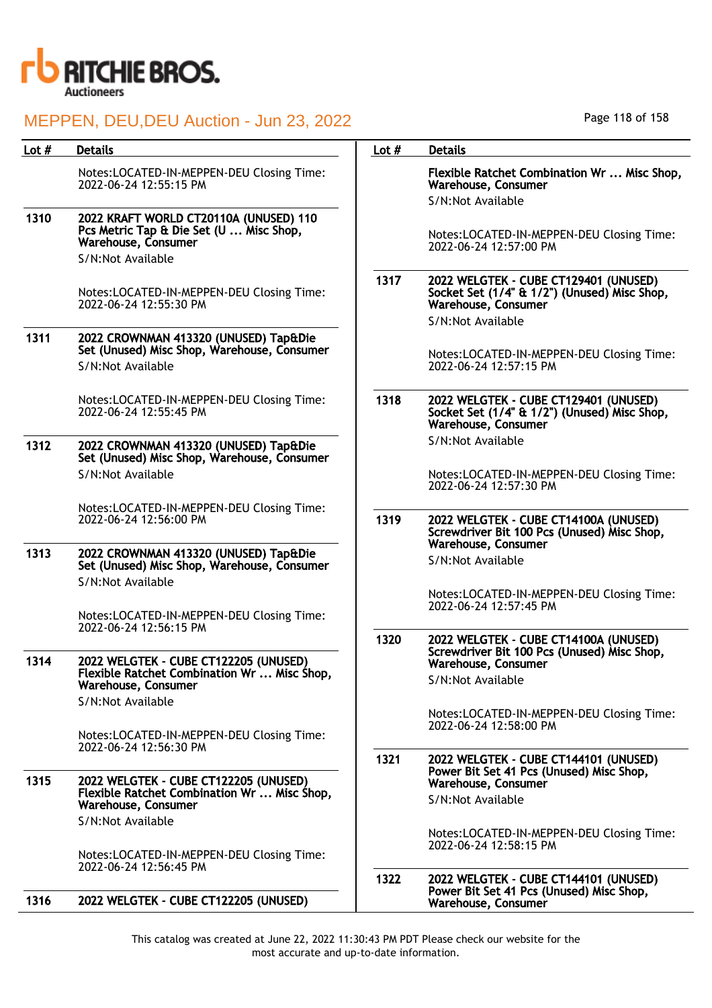

| Lot $#$ | <b>Details</b>                                                                                            | Lot $#$ | <b>Details</b>                                                                                               |
|---------|-----------------------------------------------------------------------------------------------------------|---------|--------------------------------------------------------------------------------------------------------------|
|         | Notes:LOCATED-IN-MEPPEN-DEU Closing Time:<br>2022-06-24 12:55:15 PM                                       |         | Flexible Ratchet Combination Wr  Misc Shop,<br>Warehouse, Consumer<br>S/N:Not Available                      |
| 1310    | 2022 KRAFT WORLD CT20110A (UNUSED) 110<br>Pcs Metric Tap & Die Set (U  Misc Shop,<br>Warehouse, Consumer  |         | Notes:LOCATED-IN-MEPPEN-DEU Closing Time:<br>2022-06-24 12:57:00 PM                                          |
|         | S/N:Not Available                                                                                         |         |                                                                                                              |
|         | Notes:LOCATED-IN-MEPPEN-DEU Closing Time:<br>2022-06-24 12:55:30 PM                                       | 1317    | 2022 WELGTEK - CUBE CT129401 (UNUSED)<br>Socket Set (1/4" & 1/2") (Unused) Misc Shop,<br>Warehouse, Consumer |
|         |                                                                                                           |         | S/N:Not Available                                                                                            |
| 1311    | 2022 CROWNMAN 413320 (UNUSED) Tap&Die<br>Set (Unused) Misc Shop, Warehouse, Consumer<br>S/N:Not Available |         | Notes:LOCATED-IN-MEPPEN-DEU Closing Time:<br>2022-06-24 12:57:15 PM                                          |
|         | Notes:LOCATED-IN-MEPPEN-DEU Closing Time:<br>2022-06-24 12:55:45 PM                                       | 1318    | 2022 WELGTEK - CUBE CT129401 (UNUSED)<br>Socket Set (1/4" & 1/2") (Unused) Misc Shop,<br>Warehouse, Consumer |
| 1312    | 2022 CROWNMAN 413320 (UNUSED) Tap&Die<br>Set (Unused) Misc Shop, Warehouse, Consumer                      |         | S/N:Not Available                                                                                            |
|         | S/N:Not Available                                                                                         |         | Notes:LOCATED-IN-MEPPEN-DEU Closing Time:<br>2022-06-24 12:57:30 PM                                          |
|         | Notes:LOCATED-IN-MEPPEN-DEU Closing Time:<br>2022-06-24 12:56:00 PM                                       | 1319    | 2022 WELGTEK - CUBE CT14100A (UNUSED)<br>Screwdriver Bit 100 Pcs (Unused) Misc Shop,<br>Warehouse, Consumer  |
| 1313    | 2022 CROWNMAN 413320 (UNUSED) Tap&Die<br>Set (Unused) Misc Shop, Warehouse, Consumer<br>S/N:Not Available |         | S/N:Not Available                                                                                            |
|         | Notes:LOCATED-IN-MEPPEN-DEU Closing Time:                                                                 |         | Notes:LOCATED-IN-MEPPEN-DEU Closing Time:<br>2022-06-24 12:57:45 PM                                          |
|         | 2022-06-24 12:56:15 PM                                                                                    | 1320    | 2022 WELGTEK - CUBE CT14100A (UNUSED)                                                                        |
| 1314    | 2022 WELGTEK - CUBE CT122205 (UNUSED)                                                                     |         | Screwdriver Bit 100 Pcs (Unused) Misc Shop,<br>Warehouse, Consumer                                           |
|         | Flexible Ratchet Combination Wr  Misc Shop,<br>Warehouse, Consumer                                        |         | S/N:Not Available                                                                                            |
|         | S/N:Not Available                                                                                         |         | Notes:LOCATED-IN-MEPPEN-DEU Closing Time:                                                                    |
|         | Notes:LOCATED-IN-MEPPEN-DEU Closing Time:                                                                 |         | 2022-06-24 12:58:00 PM                                                                                       |
|         | 2022-06-24 12:56:30 PM                                                                                    | 1321    | 2022 WELGTEK - CUBE CT144101 (UNUSED)                                                                        |
| 1315    | 2022 WELGTEK - CUBE CT122205 (UNUSED)<br>Flexible Ratchet Combination Wr  Misc Shop,                      |         | Power Bit Set 41 Pcs (Unused) Misc Shop,<br>Warehouse, Consumer                                              |
|         | Warehouse, Consumer                                                                                       |         | S/N:Not Available                                                                                            |
|         | S/N:Not Available                                                                                         |         | Notes:LOCATED-IN-MEPPEN-DEU Closing Time:<br>2022-06-24 12:58:15 PM                                          |
|         | Notes:LOCATED-IN-MEPPEN-DEU Closing Time:<br>2022-06-24 12:56:45 PM                                       |         |                                                                                                              |
| 1316    | 2022 WELGTEK - CUBE CT122205 (UNUSED)                                                                     | 1322    | 2022 WELGTEK - CUBE CT144101 (UNUSED)<br>Power Bit Set 41 Pcs (Unused) Misc Shop,<br>Warehouse, Consumer     |

Page 118 of 158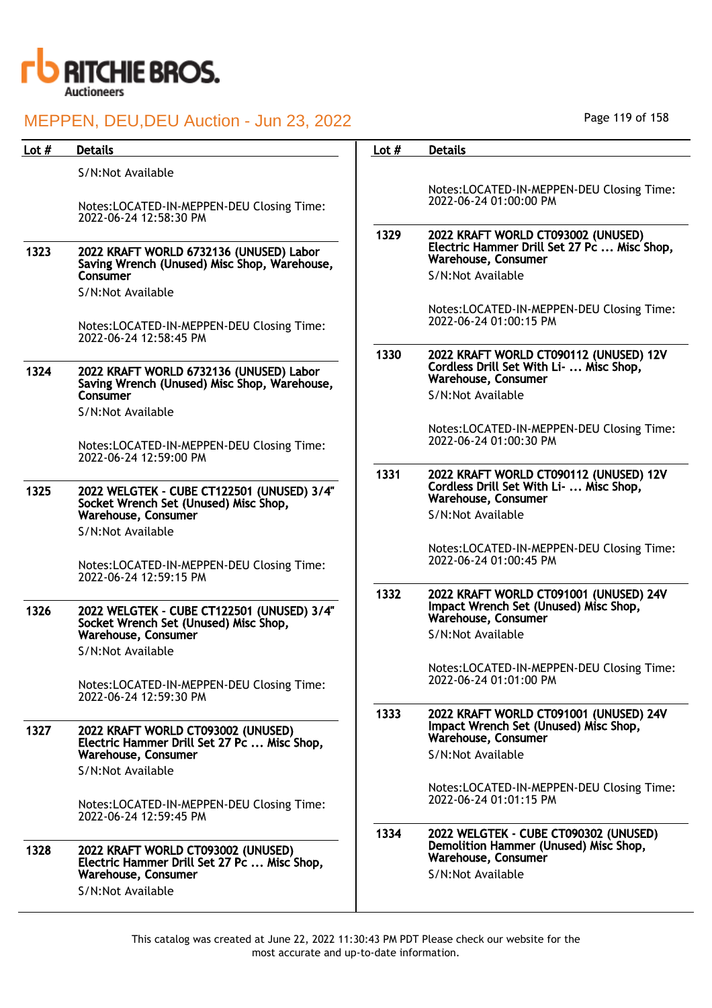

|                                                                                                                               |                                                                                                                                                                                                                                            | <b>Details</b>                                                                                                                |
|-------------------------------------------------------------------------------------------------------------------------------|--------------------------------------------------------------------------------------------------------------------------------------------------------------------------------------------------------------------------------------------|-------------------------------------------------------------------------------------------------------------------------------|
| S/N:Not Available                                                                                                             |                                                                                                                                                                                                                                            |                                                                                                                               |
| Notes:LOCATED-IN-MEPPEN-DEU Closing Time:<br>2022-06-24 12:58:30 PM                                                           |                                                                                                                                                                                                                                            | Notes:LOCATED-IN-MEPPEN-DEU Closing Time:<br>2022-06-24 01:00:00 PM                                                           |
| 2022 KRAFT WORLD 6732136 (UNUSED) Labor<br>Saving Wrench (Unused) Misc Shop, Warehouse,<br>Consumer                           | 1329                                                                                                                                                                                                                                       | 2022 KRAFT WORLD CT093002 (UNUSED)<br>Electric Hammer Drill Set 27 Pc  Misc Shop,<br>Warehouse, Consumer<br>S/N:Not Available |
| S/N:Not Available                                                                                                             |                                                                                                                                                                                                                                            |                                                                                                                               |
| Notes:LOCATED-IN-MEPPEN-DEU Closing Time:<br>2022-06-24 12:58:45 PM                                                           |                                                                                                                                                                                                                                            | Notes:LOCATED-IN-MEPPEN-DEU Closing Time:<br>2022-06-24 01:00:15 PM                                                           |
| 2022 KRAFT WORLD 6732136 (UNUSED) Labor<br>Saving Wrench (Unused) Misc Shop, Warehouse,                                       | 1330                                                                                                                                                                                                                                       | 2022 KRAFT WORLD CT090112 (UNUSED) 12V<br>Cordless Drill Set With Li-  Misc Shop,<br>Warehouse, Consumer<br>S/N:Not Available |
|                                                                                                                               |                                                                                                                                                                                                                                            |                                                                                                                               |
| Notes:LOCATED-IN-MEPPEN-DEU Closing Time:                                                                                     |                                                                                                                                                                                                                                            | Notes:LOCATED-IN-MEPPEN-DEU Closing Time:<br>2022-06-24 01:00:30 PM                                                           |
| 2022 WELGTEK - CUBE CT122501 (UNUSED) 3/4"                                                                                    | 1331                                                                                                                                                                                                                                       | 2022 KRAFT WORLD CT090112 (UNUSED) 12V<br>Cordless Drill Set With Li-  Misc Shop,<br>Warehouse, Consumer                      |
| Warehouse, Consumer                                                                                                           |                                                                                                                                                                                                                                            | S/N:Not Available                                                                                                             |
|                                                                                                                               |                                                                                                                                                                                                                                            |                                                                                                                               |
| Notes:LOCATED-IN-MEPPEN-DEU Closing Time:<br>2022-06-24 12:59:15 PM                                                           |                                                                                                                                                                                                                                            | Notes:LOCATED-IN-MEPPEN-DEU Closing Time:<br>2022-06-24 01:00:45 PM                                                           |
| 2022 WELGTEK - CUBE CT122501 (UNUSED) 3/4"<br>Socket Wrench Set (Unused) Misc Shop,                                           | 1332                                                                                                                                                                                                                                       | 2022 KRAFT WORLD CT091001 (UNUSED) 24V<br>Impact Wrench Set (Unused) Misc Shop,<br>Warehouse, Consumer                        |
|                                                                                                                               |                                                                                                                                                                                                                                            | S/N:Not Available                                                                                                             |
| Notes:LOCATED-IN-MEPPEN-DEU Closing Time:                                                                                     |                                                                                                                                                                                                                                            | Notes:LOCATED-IN-MEPPEN-DEU Closing Time:<br>2022-06-24 01:01:00 PM                                                           |
| 2022 KRAFT WORLD CT093002 (UNUSED)                                                                                            | 1333                                                                                                                                                                                                                                       | 2022 KRAFT WORLD CT091001 (UNUSED) 24V<br>Impact Wrench Set (Unused) Misc Shop,<br>Warehouse, Consumer                        |
| Warehouse, Consumer                                                                                                           |                                                                                                                                                                                                                                            | S/N:Not Available                                                                                                             |
| S/N:Not Available                                                                                                             |                                                                                                                                                                                                                                            |                                                                                                                               |
| Notes:LOCATED-IN-MEPPEN-DEU Closing Time:<br>2022-06-24 12:59:45 PM                                                           |                                                                                                                                                                                                                                            | Notes:LOCATED-IN-MEPPEN-DEU Closing Time:<br>2022-06-24 01:01:15 PM                                                           |
| 2022 KRAFT WORLD CT093002 (UNUSED)<br>Electric Hammer Drill Set 27 Pc  Misc Shop,<br>Warehouse, Consumer<br>S/N:Not Available | 1334                                                                                                                                                                                                                                       | 2022 WELGTEK - CUBE CT090302 (UNUSED)<br>Demolition Hammer (Unused) Misc Shop,<br>Warehouse, Consumer<br>S/N:Not Available    |
|                                                                                                                               | Consumer<br>S/N:Not Available<br>2022-06-24 12:59:00 PM<br>Socket Wrench Set (Unused) Misc Shop,<br>S/N:Not Available<br>Warehouse, Consumer<br>S/N:Not Available<br>2022-06-24 12:59:30 PM<br>Electric Hammer Drill Set 27 Pc  Misc Shop, |                                                                                                                               |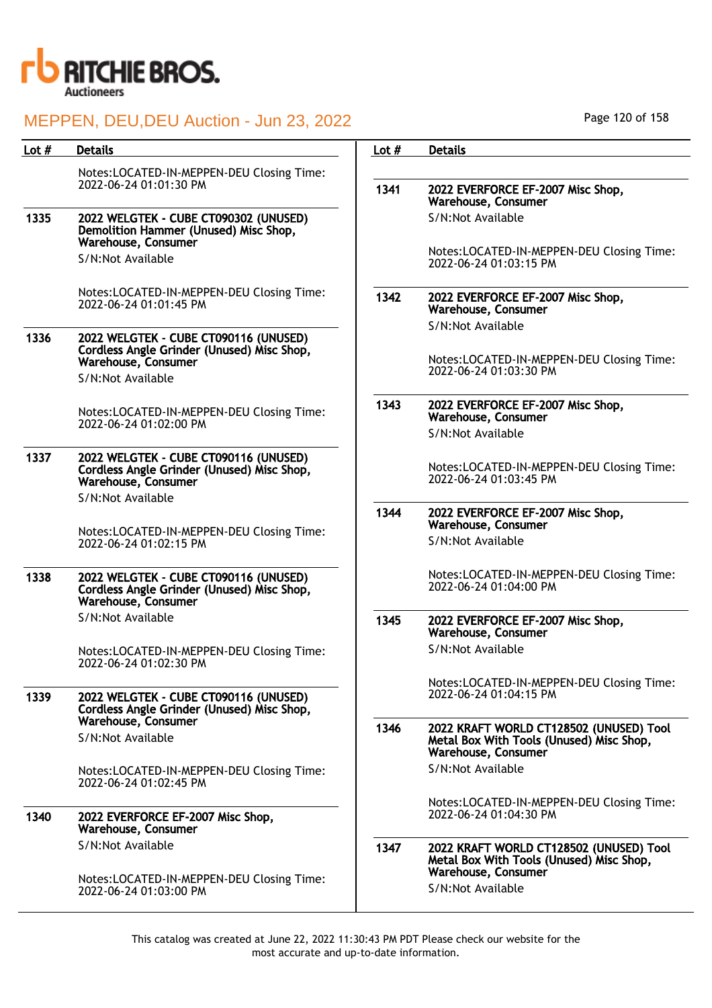

| Lot $#$ | <b>Details</b>                                                                                             | Lot $#$ | <b>Details</b>                                                                                             |
|---------|------------------------------------------------------------------------------------------------------------|---------|------------------------------------------------------------------------------------------------------------|
|         | Notes:LOCATED-IN-MEPPEN-DEU Closing Time:                                                                  |         |                                                                                                            |
|         | 2022-06-24 01:01:30 PM                                                                                     | 1341    | 2022 EVERFORCE EF-2007 Misc Shop,<br>Warehouse, Consumer                                                   |
| 1335    | 2022 WELGTEK - CUBE CT090302 (UNUSED)<br>Demolition Hammer (Unused) Misc Shop,<br>Warehouse, Consumer      |         | S/N:Not Available                                                                                          |
|         | S/N:Not Available                                                                                          |         | Notes:LOCATED-IN-MEPPEN-DEU Closing Time:<br>2022-06-24 01:03:15 PM                                        |
|         | Notes:LOCATED-IN-MEPPEN-DEU Closing Time:<br>2022-06-24 01:01:45 PM                                        | 1342    | 2022 EVERFORCE EF-2007 Misc Shop,<br>Warehouse, Consumer                                                   |
| 1336    | 2022 WELGTEK - CUBE CT090116 (UNUSED)                                                                      |         | S/N:Not Available                                                                                          |
|         | Cordless Angle Grinder (Unused) Misc Shop,<br>Warehouse, Consumer<br>S/N:Not Available                     |         | Notes:LOCATED-IN-MEPPEN-DEU Closing Time:<br>2022-06-24 01:03:30 PM                                        |
|         |                                                                                                            |         |                                                                                                            |
|         | Notes:LOCATED-IN-MEPPEN-DEU Closing Time:<br>2022-06-24 01:02:00 PM                                        | 1343    | 2022 EVERFORCE EF-2007 Misc Shop,<br>Warehouse, Consumer                                                   |
|         |                                                                                                            |         | S/N:Not Available                                                                                          |
| 1337    | 2022 WELGTEK - CUBE CT090116 (UNUSED)<br>Cordless Angle Grinder (Unused) Misc Shop,<br>Warehouse, Consumer |         | Notes:LOCATED-IN-MEPPEN-DEU Closing Time:<br>2022-06-24 01:03:45 PM                                        |
|         | S/N:Not Available                                                                                          | 1344    | 2022 EVERFORCE EF-2007 Misc Shop,<br>Warehouse, Consumer                                                   |
|         | Notes:LOCATED-IN-MEPPEN-DEU Closing Time:<br>2022-06-24 01:02:15 PM                                        |         | S/N:Not Available                                                                                          |
| 1338    | 2022 WELGTEK - CUBE CT090116 (UNUSED)<br>Cordless Angle Grinder (Unused) Misc Shop,<br>Warehouse, Consumer |         | Notes:LOCATED-IN-MEPPEN-DEU Closing Time:<br>2022-06-24 01:04:00 PM                                        |
|         | S/N:Not Available                                                                                          | 1345    | 2022 EVERFORCE EF-2007 Misc Shop,<br>Warehouse, Consumer                                                   |
|         | Notes:LOCATED-IN-MEPPEN-DEU Closing Time:<br>2022-06-24 01:02:30 PM                                        |         | S/N:Not Available                                                                                          |
| 1339    | 2022 WELGTEK - CUBE CT090116 (UNUSED)<br>Cordless Angle Grinder (Unused) Misc Shop,                        |         | Notes:LOCATED-IN-MEPPEN-DEU Closing Time:<br>2022-06-24 01:04:15 PM                                        |
|         | Warehouse, Consumer<br>S/N:Not Available                                                                   | 1346    | 2022 KRAFT WORLD CT128502 (UNUSED) Tool<br>Metal Box With Tools (Unused) Misc Shop,<br>Warehouse, Consumer |
|         | Notes:LOCATED-IN-MEPPEN-DEU Closing Time:<br>2022-06-24 01:02:45 PM                                        |         | S/N:Not Available                                                                                          |
| 1340    | 2022 EVERFORCE EF-2007 Misc Shop,<br>Warehouse, Consumer                                                   |         | Notes:LOCATED-IN-MEPPEN-DEU Closing Time:<br>2022-06-24 01:04:30 PM                                        |
|         | S/N:Not Available                                                                                          | 1347    | 2022 KRAFT WORLD CT128502 (UNUSED) Tool<br>Metal Box With Tools (Unused) Misc Shop,                        |
|         | Notes:LOCATED-IN-MEPPEN-DEU Closing Time:<br>2022-06-24 01:03:00 PM                                        |         | Warehouse, Consumer<br>S/N:Not Available                                                                   |

Page 120 of 158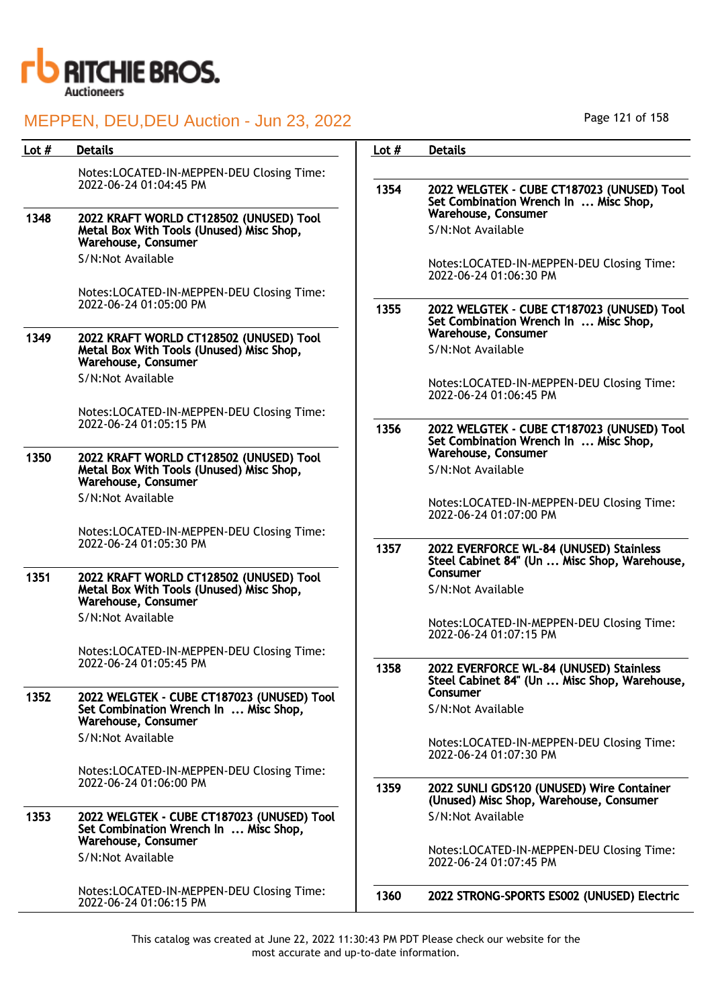

| Lot $#$ | <b>Details</b>                                                                                             | Lot $#$ | <b>Details</b>                                                                                      |
|---------|------------------------------------------------------------------------------------------------------------|---------|-----------------------------------------------------------------------------------------------------|
|         | Notes:LOCATED-IN-MEPPEN-DEU Closing Time:<br>2022-06-24 01:04:45 PM                                        | 1354    | 2022 WELGTEK - CUBE CT187023 (UNUSED) Tool<br>Set Combination Wrench In  Misc Shop,                 |
| 1348    | 2022 KRAFT WORLD CT128502 (UNUSED) Tool<br>Metal Box With Tools (Unused) Misc Shop,<br>Warehouse, Consumer |         | Warehouse, Consumer<br>S/N:Not Available                                                            |
|         | S/N:Not Available                                                                                          |         | Notes:LOCATED-IN-MEPPEN-DEU Closing Time:<br>2022-06-24 01:06:30 PM                                 |
|         | Notes:LOCATED-IN-MEPPEN-DEU Closing Time:<br>2022-06-24 01:05:00 PM                                        | 1355    | 2022 WELGTEK - CUBE CT187023 (UNUSED) Tool<br>Set Combination Wrench In  Misc Shop,                 |
| 1349    | 2022 KRAFT WORLD CT128502 (UNUSED) Tool<br>Metal Box With Tools (Unused) Misc Shop,<br>Warehouse, Consumer |         | Warehouse, Consumer<br>S/N:Not Available                                                            |
|         | S/N:Not Available                                                                                          |         | Notes:LOCATED-IN-MEPPEN-DEU Closing Time:<br>2022-06-24 01:06:45 PM                                 |
|         | Notes:LOCATED-IN-MEPPEN-DEU Closing Time:<br>2022-06-24 01:05:15 PM                                        | 1356    | 2022 WELGTEK - CUBE CT187023 (UNUSED) Tool<br>Set Combination Wrench In  Misc Shop,                 |
| 1350    | 2022 KRAFT WORLD CT128502 (UNUSED) Tool<br>Metal Box With Tools (Unused) Misc Shop,<br>Warehouse, Consumer |         | Warehouse, Consumer<br>S/N:Not Available                                                            |
|         | S/N:Not Available                                                                                          |         | Notes:LOCATED-IN-MEPPEN-DEU Closing Time:<br>2022-06-24 01:07:00 PM                                 |
|         | Notes:LOCATED-IN-MEPPEN-DEU Closing Time:<br>2022-06-24 01:05:30 PM                                        | 1357    | 2022 EVERFORCE WL-84 (UNUSED) Stainless<br>Steel Cabinet 84" (Un  Misc Shop, Warehouse,             |
| 1351    | 2022 KRAFT WORLD CT128502 (UNUSED) Tool<br>Metal Box With Tools (Unused) Misc Shop,<br>Warehouse, Consumer |         | Consumer<br>S/N:Not Available                                                                       |
|         | S/N:Not Available                                                                                          |         | Notes:LOCATED-IN-MEPPEN-DEU Closing Time:<br>2022-06-24 01:07:15 PM                                 |
|         | Notes:LOCATED-IN-MEPPEN-DEU Closing Time:<br>2022-06-24 01:05:45 PM                                        |         |                                                                                                     |
| 1352    | 2022 WELGTEK - CUBE CT187023 (UNUSED) Tool                                                                 | 1358    | 2022 EVERFORCE WL-84 (UNUSED) Stainless<br>Steel Cabinet 84" (Un  Misc Shop, Warehouse,<br>Consumer |
|         | Set Combination Wrench In  Misc Shop,<br>Warehouse, Consumer                                               |         | S/N:Not Available                                                                                   |
|         | S/N:Not Available                                                                                          |         | Notes:LOCATED-IN-MEPPEN-DEU Closing Time:<br>2022-06-24 01:07:30 PM                                 |
|         | Notes:LOCATED-IN-MEPPEN-DEU Closing Time:<br>2022-06-24 01:06:00 PM                                        | 1359    | 2022 SUNLI GDS120 (UNUSED) Wire Container<br>(Unused) Misc Shop, Warehouse, Consumer                |
| 1353    | 2022 WELGTEK - CUBE CT187023 (UNUSED) Tool<br>Set Combination Wrench In  Misc Shop,<br>Warehouse, Consumer |         | S/N:Not Available                                                                                   |
|         | S/N:Not Available                                                                                          |         | Notes:LOCATED-IN-MEPPEN-DEU Closing Time:<br>2022-06-24 01:07:45 PM                                 |
|         | Notes:LOCATED-IN-MEPPEN-DEU Closing Time:<br>2022-06-24 01:06:15 PM                                        | 1360    | 2022 STRONG-SPORTS ES002 (UNUSED) Electric                                                          |

Page 121 of 158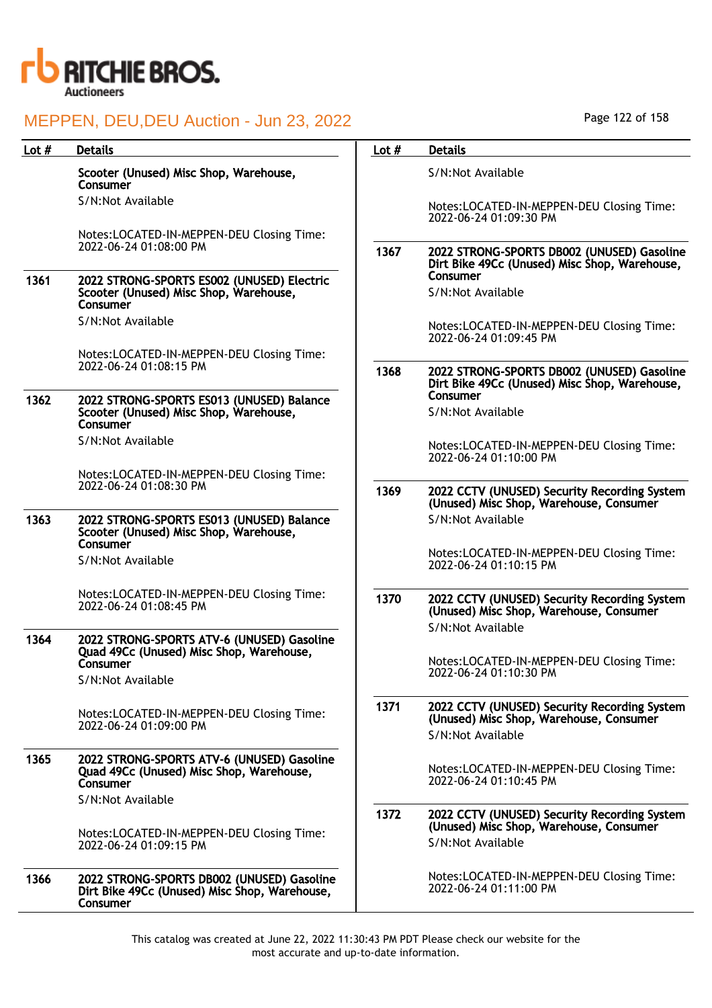

| Lot $#$ | <b>Details</b>                                                                                                          | Lot $#$ | <b>Details</b>                                                                                               |
|---------|-------------------------------------------------------------------------------------------------------------------------|---------|--------------------------------------------------------------------------------------------------------------|
|         | Scooter (Unused) Misc Shop, Warehouse,<br>Consumer                                                                      |         | S/N:Not Available                                                                                            |
|         | S/N:Not Available                                                                                                       |         | Notes:LOCATED-IN-MEPPEN-DEU Closing Time:<br>2022-06-24 01:09:30 PM                                          |
|         | Notes:LOCATED-IN-MEPPEN-DEU Closing Time:                                                                               |         |                                                                                                              |
|         | 2022-06-24 01:08:00 PM                                                                                                  | 1367    | 2022 STRONG-SPORTS DB002 (UNUSED) Gasoline<br>Dirt Bike 49Cc (Unused) Misc Shop, Warehouse,<br>Consumer      |
| 1361    | 2022 STRONG-SPORTS ES002 (UNUSED) Electric<br>Scooter (Unused) Misc Shop, Warehouse,<br>Consumer                        |         | S/N:Not Available                                                                                            |
|         | S/N:Not Available                                                                                                       |         | Notes:LOCATED-IN-MEPPEN-DEU Closing Time:                                                                    |
|         |                                                                                                                         |         | 2022-06-24 01:09:45 PM                                                                                       |
|         | Notes:LOCATED-IN-MEPPEN-DEU Closing Time:<br>2022-06-24 01:08:15 PM                                                     | 1368    | 2022 STRONG-SPORTS DB002 (UNUSED) Gasoline<br>Dirt Bike 49Cc (Unused) Misc Shop, Warehouse,                  |
| 1362    | 2022 STRONG-SPORTS ES013 (UNUSED) Balance                                                                               |         | Consumer                                                                                                     |
|         | Scooter (Unused) Misc Shop, Warehouse,<br>Consumer                                                                      |         | S/N:Not Available                                                                                            |
|         | S/N:Not Available                                                                                                       |         | Notes:LOCATED-IN-MEPPEN-DEU Closing Time:<br>2022-06-24 01:10:00 PM                                          |
|         | Notes:LOCATED-IN-MEPPEN-DEU Closing Time:<br>2022-06-24 01:08:30 PM                                                     |         |                                                                                                              |
|         |                                                                                                                         | 1369    | 2022 CCTV (UNUSED) Security Recording System<br>(Unused) Misc Shop, Warehouse, Consumer                      |
| 1363    | 2022 STRONG-SPORTS ES013 (UNUSED) Balance<br>Scooter (Unused) Misc Shop, Warehouse,<br>Consumer                         |         | S/N:Not Available                                                                                            |
|         | S/N:Not Available                                                                                                       |         | Notes:LOCATED-IN-MEPPEN-DEU Closing Time:<br>2022-06-24 01:10:15 PM                                          |
|         | Notes:LOCATED-IN-MEPPEN-DEU Closing Time:<br>2022-06-24 01:08:45 PM                                                     | 1370    | 2022 CCTV (UNUSED) Security Recording System<br>(Unused) Misc Shop, Warehouse, Consumer                      |
| 1364    |                                                                                                                         |         | S/N:Not Available                                                                                            |
|         | 2022 STRONG-SPORTS ATV-6 (UNUSED) Gasoline<br>Quad 49Cc (Unused) Misc Shop, Warehouse,<br>Consumer<br>S/N:Not Available |         | Notes:LOCATED-IN-MEPPEN-DEU Closing Time:<br>2022-06-24 01:10:30 PM                                          |
|         | Notes:LOCATED-IN-MEPPEN-DEU Closing Time:<br>2022-06-24 01:09:00 PM                                                     | 1371    | 2022 CCTV (UNUSED) Security Recording System<br>(Unused) Misc Shop, Warehouse, Consumer<br>S/N:Not Available |
| 1365    | 2022 STRONG-SPORTS ATV-6 (UNUSED) Gasoline<br>Quad 49Cc (Unused) Misc Shop, Warehouse,<br>Consumer                      |         | Notes:LOCATED-IN-MEPPEN-DEU Closing Time:<br>2022-06-24 01:10:45 PM                                          |
|         | S/N:Not Available                                                                                                       |         |                                                                                                              |
|         | Notes:LOCATED-IN-MEPPEN-DEU Closing Time:<br>2022-06-24 01:09:15 PM                                                     | 1372    | 2022 CCTV (UNUSED) Security Recording System<br>(Unused) Misc Shop, Warehouse, Consumer<br>S/N:Not Available |
| 1366    | 2022 STRONG-SPORTS DB002 (UNUSED) Gasoline<br>Dirt Bike 49Cc (Unused) Misc Shop, Warehouse,<br>Consumer                 |         | Notes:LOCATED-IN-MEPPEN-DEU Closing Time:<br>2022-06-24 01:11:00 PM                                          |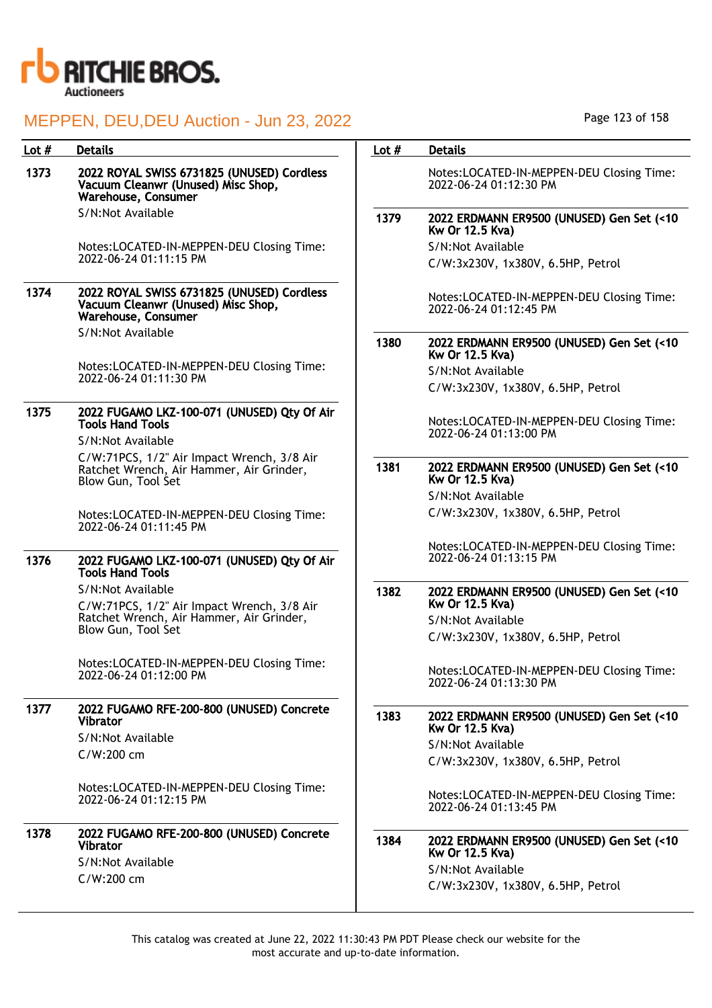

| Lot $#$ | <b>Details</b>                                                                                                 | Lot $#$ | <b>Details</b>                                                      |
|---------|----------------------------------------------------------------------------------------------------------------|---------|---------------------------------------------------------------------|
| 1373    | 2022 ROYAL SWISS 6731825 (UNUSED) Cordless<br>Vacuum Cleanwr (Unused) Misc Shop,<br><b>Warehouse, Consumer</b> |         | Notes:LOCATED-IN-MEPPEN-DEU Closing Time:<br>2022-06-24 01:12:30 PM |
|         | S/N:Not Available                                                                                              | 1379    | 2022 ERDMANN ER9500 (UNUSED) Gen Set (<10<br>Kw Or 12.5 Kva)        |
|         | Notes:LOCATED-IN-MEPPEN-DEU Closing Time:                                                                      |         | S/N:Not Available                                                   |
|         | 2022-06-24 01:11:15 PM                                                                                         |         | C/W:3x230V, 1x380V, 6.5HP, Petrol                                   |
| 1374    | 2022 ROYAL SWISS 6731825 (UNUSED) Cordless<br>Vacuum Cleanwr (Unused) Misc Shop,<br>Warehouse, Consumer        |         | Notes:LOCATED-IN-MEPPEN-DEU Closing Time:<br>2022-06-24 01:12:45 PM |
|         | S/N:Not Available                                                                                              | 1380    | 2022 ERDMANN ER9500 (UNUSED) Gen Set (<10<br>Kw Or 12.5 Kva)        |
|         | Notes:LOCATED-IN-MEPPEN-DEU Closing Time:                                                                      |         | S/N:Not Available                                                   |
|         | 2022-06-24 01:11:30 PM                                                                                         |         | C/W:3x230V, 1x380V, 6.5HP, Petrol                                   |
|         |                                                                                                                |         |                                                                     |
| 1375    | 2022 FUGAMO LKZ-100-071 (UNUSED) Qty Of Air<br><b>Tools Hand Tools</b>                                         |         | Notes:LOCATED-IN-MEPPEN-DEU Closing Time:<br>2022-06-24 01:13:00 PM |
|         | S/N:Not Available                                                                                              |         |                                                                     |
|         | C/W:71PCS, 1/2" Air Impact Wrench, 3/8 Air<br>Ratchet Wrench, Air Hammer, Air Grinder,<br>Blow Gun, Tool Set   | 1381    | 2022 ERDMANN ER9500 (UNUSED) Gen Set (<10<br>Kw Or 12.5 Kva)        |
|         |                                                                                                                |         | S/N:Not Available                                                   |
|         | Notes:LOCATED-IN-MEPPEN-DEU Closing Time:<br>2022-06-24 01:11:45 PM                                            |         | C/W:3x230V, 1x380V, 6.5HP, Petrol                                   |
|         |                                                                                                                |         | Notes:LOCATED-IN-MEPPEN-DEU Closing Time:                           |
| 1376    | 2022 FUGAMO LKZ-100-071 (UNUSED) Qty Of Air<br><b>Tools Hand Tools</b>                                         |         | 2022-06-24 01:13:15 PM                                              |
|         | S/N:Not Available<br>C/W:71PCS, 1/2" Air Impact Wrench, 3/8 Air                                                | 1382    | 2022 ERDMANN ER9500 (UNUSED) Gen Set (<10<br>Kw Or 12.5 Kva)        |
|         | Ratchet Wrench, Air Hammer, Air Grinder,                                                                       |         | S/N:Not Available                                                   |
|         | Blow Gun, Tool Set                                                                                             |         | C/W:3x230V, 1x380V, 6.5HP, Petrol                                   |
|         | Notes:LOCATED-IN-MEPPEN-DEU Closing Time:<br>2022-06-24 01:12:00 PM                                            |         | Notes:LOCATED-IN-MEPPEN-DEU Closing Time:<br>2022-06-24 01:13:30 PM |
| 1377    | 2022 FUGAMO RFE-200-800 (UNUSED) Concrete<br><b>Vibrator</b>                                                   | 1383    | 2022 ERDMANN ER9500 (UNUSED) Gen Set (<10<br>Kw Or 12.5 Kva)        |
|         | S/N:Not Available                                                                                              |         | S/N:Not Available                                                   |
|         | $C/W:200$ cm                                                                                                   |         | C/W:3x230V, 1x380V, 6.5HP, Petrol                                   |
|         |                                                                                                                |         |                                                                     |
|         | Notes:LOCATED-IN-MEPPEN-DEU Closing Time:<br>2022-06-24 01:12:15 PM                                            |         | Notes:LOCATED-IN-MEPPEN-DEU Closing Time:<br>2022-06-24 01:13:45 PM |
| 1378    | 2022 FUGAMO RFE-200-800 (UNUSED) Concrete<br><b>Vibrator</b>                                                   | 1384    | 2022 ERDMANN ER9500 (UNUSED) Gen Set (<10<br>Kw Or 12.5 Kva)        |
|         | S/N:Not Available                                                                                              |         | S/N:Not Available                                                   |
|         | C/W:200 cm                                                                                                     |         | C/W:3x230V, 1x380V, 6.5HP, Petrol                                   |
|         |                                                                                                                |         |                                                                     |

This catalog was created at June 22, 2022 11:30:43 PM PDT Please check our website for the most accurate and up-to-date information.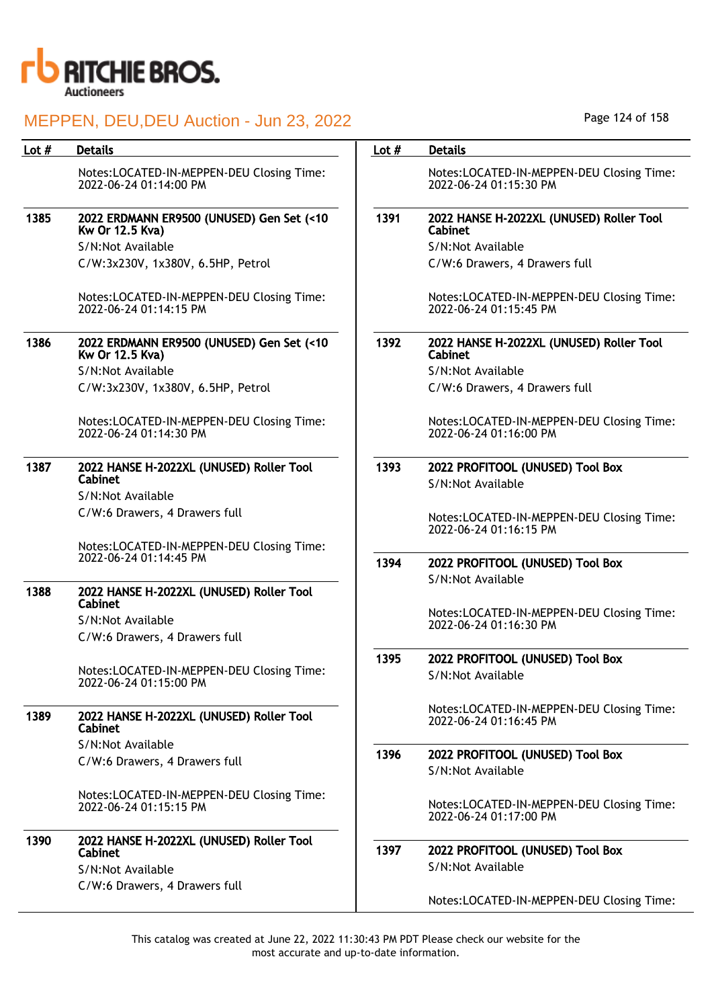

| Lot # | <b>Details</b>                                                           | Lot $#$ | <b>Details</b>                                                    |
|-------|--------------------------------------------------------------------------|---------|-------------------------------------------------------------------|
|       | Notes:LOCATED-IN-MEPPEN-DEU Closing Time:<br>2022-06-24 01:14:00 PM      |         | Notes:LOCATED-IN-MEPPEN-DEU Closing Tin<br>2022-06-24 01:15:30 PM |
| 1385  | 2022 ERDMANN ER9500 (UNUSED) Gen Set (<10<br>Kw Or 12.5 Kva)             | 1391    | 2022 HANSE H-2022XL (UNUSED) Roller Tool<br>Cabinet               |
|       | S/N:Not Available                                                        |         | S/N:Not Available                                                 |
|       | C/W:3x230V, 1x380V, 6.5HP, Petrol                                        |         | C/W:6 Drawers, 4 Drawers full                                     |
|       | Notes:LOCATED-IN-MEPPEN-DEU Closing Time:<br>2022-06-24 01:14:15 PM      |         | Notes:LOCATED-IN-MEPPEN-DEU Closing Tin<br>2022-06-24 01:15:45 PM |
| 1386  | 2022 ERDMANN ER9500 (UNUSED) Gen Set (<10<br>Kw Or 12.5 Kva)             | 1392    | 2022 HANSE H-2022XL (UNUSED) Roller Tool<br>Cabinet               |
|       | S/N:Not Available                                                        |         | S/N:Not Available                                                 |
|       | C/W:3x230V, 1x380V, 6.5HP, Petrol                                        |         | C/W:6 Drawers, 4 Drawers full                                     |
|       | Notes:LOCATED-IN-MEPPEN-DEU Closing Time:<br>2022-06-24 01:14:30 PM      |         | Notes:LOCATED-IN-MEPPEN-DEU Closing Tin<br>2022-06-24 01:16:00 PM |
| 1387  | 2022 HANSE H-2022XL (UNUSED) Roller Tool<br>Cabinet<br>S/N:Not Available | 1393    | 2022 PROFITOOL (UNUSED) Tool Box<br>S/N:Not Available             |
|       | C/W:6 Drawers, 4 Drawers full                                            |         | Notes:LOCATED-IN-MEPPEN-DEU Closing Tin<br>2022-06-24 01:16:15 PM |
|       | Notes:LOCATED-IN-MEPPEN-DEU Closing Time:<br>2022-06-24 01:14:45 PM      | 1394    | 2022 PROFITOOL (UNUSED) Tool Box                                  |
|       |                                                                          |         | S/N:Not Available                                                 |
| 1388  | 2022 HANSE H-2022XL (UNUSED) Roller Tool<br>Cabinet                      |         |                                                                   |
|       | S/N:Not Available                                                        |         | Notes:LOCATED-IN-MEPPEN-DEU Closing Tin<br>2022-06-24 01:16:30 PM |
|       | C/W:6 Drawers, 4 Drawers full                                            |         |                                                                   |
|       | Notes:LOCATED-IN-MEPPEN-DEU Closing Time:<br>2022-06-24 01:15:00 PM      | 1395    | 2022 PROFITOOL (UNUSED) Tool Box<br>S/N:Not Available             |
| 1389  | 2022 HANSE H-2022XL (UNUSED) Roller Tool<br><b>Cabinet</b>               |         | Notes:LOCATED-IN-MEPPEN-DEU Closing Tin<br>2022-06-24 01:16:45 PM |
|       | S/N:Not Available                                                        |         |                                                                   |
|       | C/W:6 Drawers, 4 Drawers full                                            | 1396    | 2022 PROFITOOL (UNUSED) Tool Box<br>S/N:Not Available             |
|       | Notes:LOCATED-IN-MEPPEN-DEU Closing Time:<br>2022-06-24 01:15:15 PM      |         | Notes:LOCATED-IN-MEPPEN-DEU Closing Tin<br>2022-06-24 01:17:00 PM |
| 1390  | 2022 HANSE H-2022XL (UNUSED) Roller Tool<br>Cabinet<br>S/N:Not Available | 1397    | 2022 PROFITOOL (UNUSED) Tool Box<br>S/N:Not Available             |
|       | C/W:6 Drawers, 4 Drawers full                                            |         | Notes:LOCATED-IN-MEPPEN-DEU Closing Tin                           |

This catalog was created at June 22, 2022 11:30:43 PM PDT Please check our website for the most accurate and up-to-date information.

Time:

Time:

Time:

Time:

Time:

Time:

Time:

Time: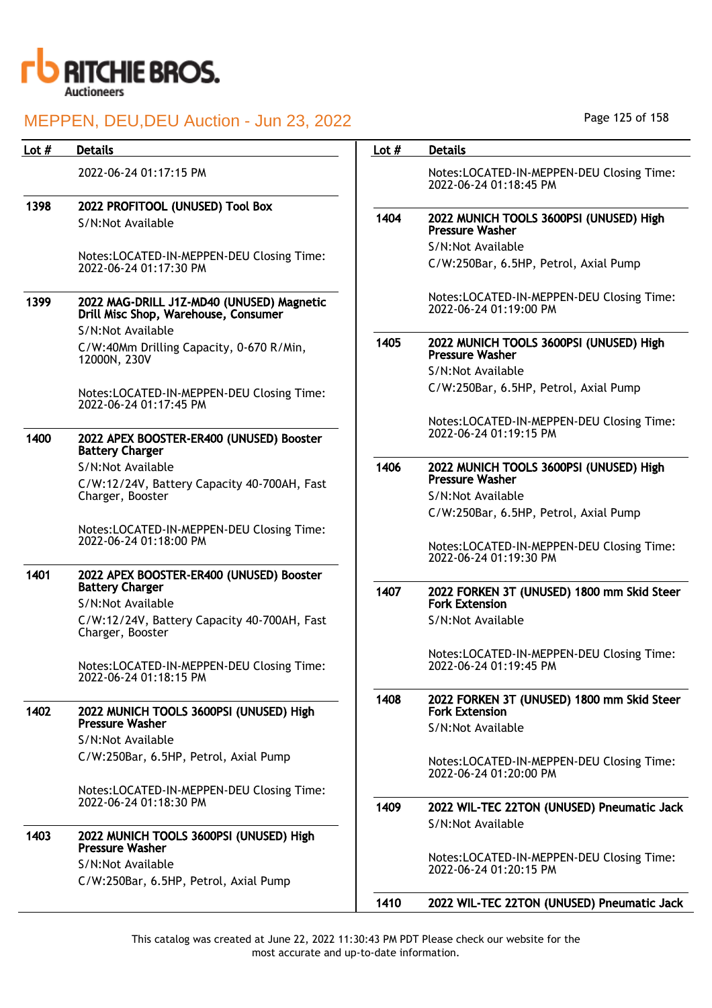

| Lot $#$ | <b>Details</b>                                                                    | Lot $#$ | <b>Details</b>                                                      |
|---------|-----------------------------------------------------------------------------------|---------|---------------------------------------------------------------------|
|         | 2022-06-24 01:17:15 PM                                                            |         | Notes:LOCATED-IN-MEPPEN-DEU Closing Time:<br>2022-06-24 01:18:45 PM |
| 1398    | 2022 PROFITOOL (UNUSED) Tool Box                                                  |         |                                                                     |
|         | S/N:Not Available                                                                 | 1404    | 2022 MUNICH TOOLS 3600PSI (UNUSED) High<br><b>Pressure Washer</b>   |
|         | Notes:LOCATED-IN-MEPPEN-DEU Closing Time:                                         |         | S/N:Not Available                                                   |
|         | 2022-06-24 01:17:30 PM                                                            |         | C/W:250Bar, 6.5HP, Petrol, Axial Pump                               |
| 1399    | 2022 MAG-DRILL J1Z-MD40 (UNUSED) Magnetic<br>Drill Misc Shop, Warehouse, Consumer |         | Notes:LOCATED-IN-MEPPEN-DEU Closing Time:<br>2022-06-24 01:19:00 PM |
|         | S/N:Not Available                                                                 |         |                                                                     |
|         | C/W:40Mm Drilling Capacity, 0-670 R/Min,<br>12000N, 230V                          | 1405    | 2022 MUNICH TOOLS 3600PSI (UNUSED) High<br><b>Pressure Washer</b>   |
|         |                                                                                   |         | S/N:Not Available                                                   |
|         | Notes:LOCATED-IN-MEPPEN-DEU Closing Time:<br>2022-06-24 01:17:45 PM               |         | C/W:250Bar, 6.5HP, Petrol, Axial Pump                               |
|         |                                                                                   |         | Notes:LOCATED-IN-MEPPEN-DEU Closing Time:                           |
| 1400    | 2022 APEX BOOSTER-ER400 (UNUSED) Booster<br><b>Battery Charger</b>                |         | 2022-06-24 01:19:15 PM                                              |
|         | S/N:Not Available                                                                 | 1406    | 2022 MUNICH TOOLS 3600PSI (UNUSED) High                             |
|         | C/W:12/24V, Battery Capacity 40-700AH, Fast                                       |         | <b>Pressure Washer</b>                                              |
|         | Charger, Booster                                                                  |         | S/N:Not Available                                                   |
|         |                                                                                   |         | C/W:250Bar, 6.5HP, Petrol, Axial Pump                               |
|         | Notes:LOCATED-IN-MEPPEN-DEU Closing Time:<br>2022-06-24 01:18:00 PM               |         | Notes:LOCATED-IN-MEPPEN-DEU Closing Time:<br>2022-06-24 01:19:30 PM |
| 1401    | 2022 APEX BOOSTER-ER400 (UNUSED) Booster                                          |         |                                                                     |
|         | <b>Battery Charger</b><br>S/N:Not Available                                       | 1407    | 2022 FORKEN 3T (UNUSED) 1800 mm Skid Steer<br><b>Fork Extension</b> |
|         | C/W:12/24V, Battery Capacity 40-700AH, Fast<br>Charger, Booster                   |         | S/N:Not Available                                                   |
|         | Notes:LOCATED-IN-MEPPEN-DEU Closing Time:<br>2022-06-24 01:18:15 PM               |         | Notes:LOCATED-IN-MEPPEN-DEU Closing Time:<br>2022-06-24 01:19:45 PM |
| 1402    | 2022 MUNICH TOOLS 3600PSI (UNUSED) High                                           | 1408    | 2022 FORKEN 3T (UNUSED) 1800 mm Skid Steer<br><b>Fork Extension</b> |
|         | <b>Pressure Washer</b>                                                            |         | S/N:Not Available                                                   |
|         | S/N:Not Available                                                                 |         |                                                                     |
|         | C/W:250Bar, 6.5HP, Petrol, Axial Pump                                             |         | Notes:LOCATED-IN-MEPPEN-DEU Closing Time:<br>2022-06-24 01:20:00 PM |
|         | Notes:LOCATED-IN-MEPPEN-DEU Closing Time:                                         |         |                                                                     |
|         | 2022-06-24 01:18:30 PM                                                            | 1409    | 2022 WIL-TEC 22TON (UNUSED) Pneumatic Jack<br>S/N:Not Available     |
| 1403    | 2022 MUNICH TOOLS 3600PSI (UNUSED) High<br><b>Pressure Washer</b>                 |         |                                                                     |
|         | S/N:Not Available                                                                 |         | Notes:LOCATED-IN-MEPPEN-DEU Closing Time:<br>2022-06-24 01:20:15 PM |
|         | C/W:250Bar, 6.5HP, Petrol, Axial Pump                                             |         |                                                                     |
|         |                                                                                   | 1410    | 2022 WIL-TEC 22TON (UNUSED) Pneumatic Jack                          |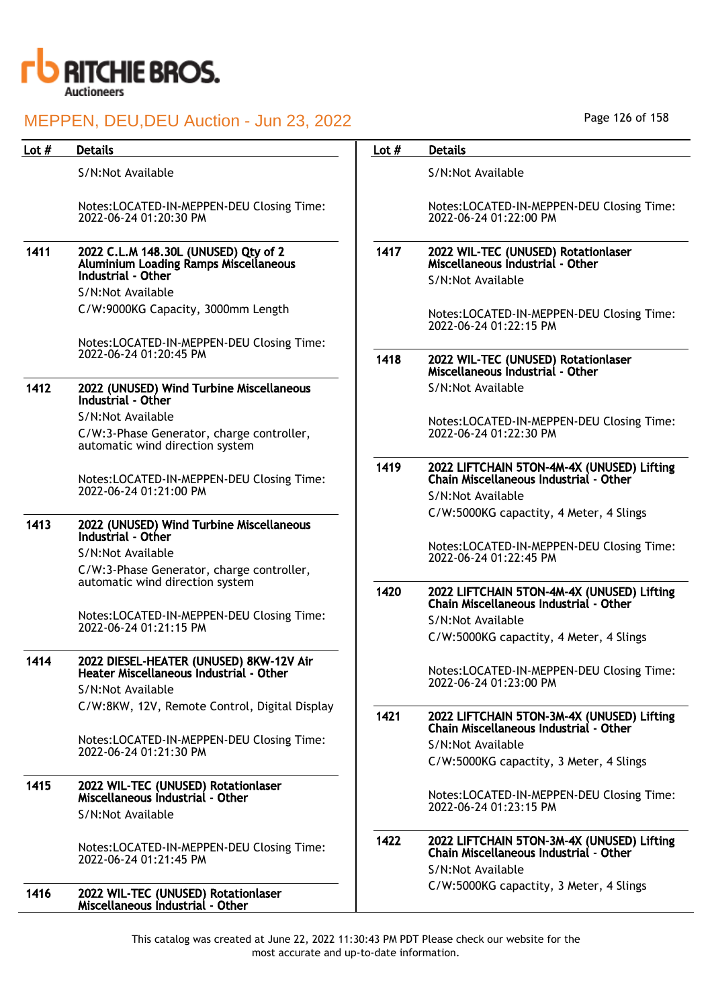

| Lot $#$ | <b>Details</b>                                                                                             | Lot $#$ | <b>Details</b>                                                                                            |
|---------|------------------------------------------------------------------------------------------------------------|---------|-----------------------------------------------------------------------------------------------------------|
|         | S/N:Not Available                                                                                          |         | S/N:Not Available                                                                                         |
|         | Notes:LOCATED-IN-MEPPEN-DEU Closing Time:<br>2022-06-24 01:20:30 PM                                        |         | Notes:LOCATED-IN-MEPPEN-DEU Closing Time:<br>2022-06-24 01:22:00 PM                                       |
| 1411    | 2022 C.L.M 148.30L (UNUSED) Qty of 2<br><b>Aluminium Loading Ramps Miscellaneous</b><br>Industrial - Other | 1417    | 2022 WIL-TEC (UNUSED) Rotationlaser<br>Miscellaneous Industrial - Other<br>S/N:Not Available              |
|         | S/N:Not Available                                                                                          |         |                                                                                                           |
|         | C/W:9000KG Capacity, 3000mm Length                                                                         |         | Notes:LOCATED-IN-MEPPEN-DEU Closing Time:<br>2022-06-24 01:22:15 PM                                       |
|         | Notes:LOCATED-IN-MEPPEN-DEU Closing Time:<br>2022-06-24 01:20:45 PM                                        | 1418    | 2022 WIL-TEC (UNUSED) Rotationlaser<br>Miscellaneous Industrial - Other                                   |
| 1412    | 2022 (UNUSED) Wind Turbine Miscellaneous<br>Industrial - Other                                             |         | S/N:Not Available                                                                                         |
|         | S/N:Not Available                                                                                          |         | Notes:LOCATED-IN-MEPPEN-DEU Closing Time:                                                                 |
|         | C/W:3-Phase Generator, charge controller,<br>automatic wind direction system                               |         | 2022-06-24 01:22:30 PM                                                                                    |
|         | Notes:LOCATED-IN-MEPPEN-DEU Closing Time:                                                                  | 1419    | 2022 LIFTCHAIN 5TON-4M-4X (UNUSED) Lifting<br>Chain Miscellaneous Industrial - Other                      |
|         | 2022-06-24 01:21:00 PM                                                                                     |         | S/N:Not Available                                                                                         |
|         |                                                                                                            |         | C/W:5000KG capactity, 4 Meter, 4 Slings                                                                   |
| 1413    | 2022 (UNUSED) Wind Turbine Miscellaneous<br>Industrial - Other                                             |         | Notes:LOCATED-IN-MEPPEN-DEU Closing Time:                                                                 |
|         | S/N:Not Available                                                                                          |         | 2022-06-24 01:22:45 PM                                                                                    |
|         | C/W:3-Phase Generator, charge controller,                                                                  |         |                                                                                                           |
|         | automatic wind direction system                                                                            | 1420    | 2022 LIFTCHAIN 5TON-4M-4X (UNUSED) Lifting<br>Chain Miscellaneous Industrial - Other                      |
|         | Notes:LOCATED-IN-MEPPEN-DEU Closing Time:<br>2022-06-24 01:21:15 PM                                        |         | S/N:Not Available                                                                                         |
|         |                                                                                                            |         | C/W:5000KG capactity, 4 Meter, 4 Slings                                                                   |
| 1414    | 2022 DIESEL-HEATER (UNUSED) 8KW-12V Air<br>Heater Miscellaneous Industrial - Other                         |         | Notes:LOCATED-IN-MEPPEN-DEU Closing Time:                                                                 |
|         | S/N:Not Available                                                                                          |         | 2022-06-24 01:23:00 PM                                                                                    |
|         | C/W:8KW, 12V, Remote Control, Digital Display                                                              |         |                                                                                                           |
|         | Notes:LOCATED-IN-MEPPEN-DEU Closing Time:                                                                  | 1421    | 2022 LIFTCHAIN 5TON-3M-4X (UNUSED) Lifting<br>Chain Miscellaneous Industrial - Other                      |
|         | 2022-06-24 01:21:30 PM                                                                                     |         | S/N:Not Available                                                                                         |
|         |                                                                                                            |         | C/W:5000KG capactity, 3 Meter, 4 Slings                                                                   |
| 1415    | 2022 WIL-TEC (UNUSED) Rotationlaser<br>Miscellaneous Industrial - Other                                    |         | Notes:LOCATED-IN-MEPPEN-DEU Closing Time:                                                                 |
|         | S/N:Not Available                                                                                          |         | 2022-06-24 01:23:15 PM                                                                                    |
|         | Notes:LOCATED-IN-MEPPEN-DEU Closing Time:<br>2022-06-24 01:21:45 PM                                        | 1422    | 2022 LIFTCHAIN 5TON-3M-4X (UNUSED) Lifting<br>Chain Miscellaneous Industrial - Other<br>S/N:Not Available |
| 1416    | 2022 WIL-TEC (UNUSED) Rotationlaser<br>Miscellaneous Industrial - Other                                    |         | C/W:5000KG capactity, 3 Meter, 4 Slings                                                                   |

Page 126 of 158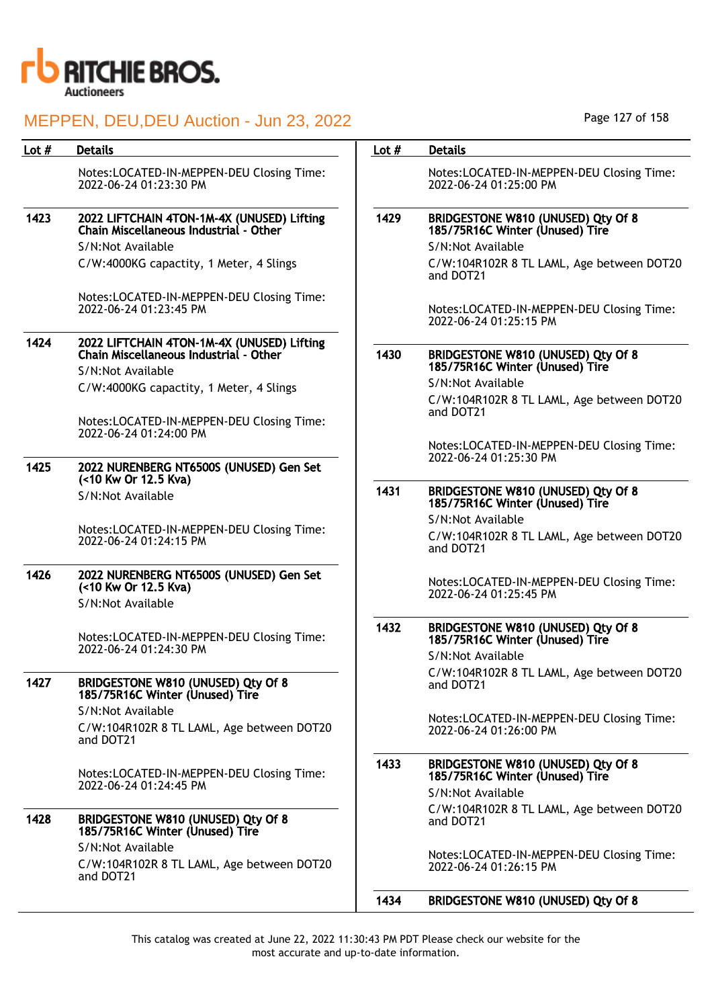

| Lot $#$ | <b>Details</b>                                                                                            | Lot $#$ | <b>Details</b>                                                        |
|---------|-----------------------------------------------------------------------------------------------------------|---------|-----------------------------------------------------------------------|
|         | Notes:LOCATED-IN-MEPPEN-DEU Closing Time:<br>2022-06-24 01:23:30 PM                                       |         | Notes:LOCATED-IN-MEPPEN-DEU Closing Time:<br>2022-06-24 01:25:00 PM   |
| 1423    | 2022 LIFTCHAIN 4TON-1M-4X (UNUSED) Lifting<br>Chain Miscellaneous Industrial - Other                      | 1429    | BRIDGESTONE W810 (UNUSED) Qty Of 8<br>185/75R16C Winter (Unused) Tire |
|         | S/N:Not Available                                                                                         |         | S/N:Not Available                                                     |
|         | C/W:4000KG capactity, 1 Meter, 4 Slings                                                                   |         | C/W:104R102R 8 TL LAML, Age between DOT20<br>and DOT21                |
|         | Notes:LOCATED-IN-MEPPEN-DEU Closing Time:<br>2022-06-24 01:23:45 PM                                       |         | Notes:LOCATED-IN-MEPPEN-DEU Closing Time:<br>2022-06-24 01:25:15 PM   |
| 1424    | 2022 LIFTCHAIN 4TON-1M-4X (UNUSED) Lifting<br>Chain Miscellaneous Industrial - Other<br>S/N:Not Available | 1430    | BRIDGESTONE W810 (UNUSED) Qty Of 8<br>185/75R16C Winter (Unused) Tire |
|         | C/W:4000KG capactity, 1 Meter, 4 Slings                                                                   |         | S/N:Not Available                                                     |
|         |                                                                                                           |         | C/W:104R102R 8 TL LAML, Age between DOT20<br>and DOT21                |
|         | Notes:LOCATED-IN-MEPPEN-DEU Closing Time:<br>2022-06-24 01:24:00 PM                                       |         | Notes:LOCATED-IN-MEPPEN-DEU Closing Time:                             |
| 1425    | 2022 NURENBERG NT6500S (UNUSED) Gen Set<br>(<10 Kw Or 12.5 Kva)                                           |         | 2022-06-24 01:25:30 PM                                                |
|         | S/N:Not Available                                                                                         | 1431    | BRIDGESTONE W810 (UNUSED) Qty Of 8<br>185/75R16C Winter (Unused) Tire |
|         | Notes:LOCATED-IN-MEPPEN-DEU Closing Time:                                                                 |         | S/N:Not Available                                                     |
|         | 2022-06-24 01:24:15 PM                                                                                    |         | C/W:104R102R 8 TL LAML, Age between DOT20<br>and DOT21                |
| 1426    | 2022 NURENBERG NT6500S (UNUSED) Gen Set<br>(<10 Kw Or 12.5 Kva)<br>S/N:Not Available                      |         | Notes:LOCATED-IN-MEPPEN-DEU Closing Time:<br>2022-06-24 01:25:45 PM   |
|         | Notes:LOCATED-IN-MEPPEN-DEU Closing Time:                                                                 | 1432    | BRIDGESTONE W810 (UNUSED) Qty Of 8<br>185/75R16C Winter (Unused) Tire |
|         | 2022-06-24 01:24:30 PM                                                                                    |         | S/N:Not Available                                                     |
| 1427    | BRIDGESTONE W810 (UNUSED) Qty Of 8<br>185/75R16C Winter (Unused) Tire                                     |         | C/W:104R102R 8 TL LAML, Age between DOT20<br>and DOT21                |
|         | S/N:Not Available                                                                                         |         |                                                                       |
|         | C/W:104R102R 8 TL LAML, Age between DOT20<br>and DOT21                                                    |         | Notes:LOCATED-IN-MEPPEN-DEU Closing Time:<br>2022-06-24 01:26:00 PM   |
|         | Notes:LOCATED-IN-MEPPEN-DEU Closing Time:                                                                 | 1433    | BRIDGESTONE W810 (UNUSED) Qty Of 8<br>185/75R16C Winter (Unused) Tire |
|         | 2022-06-24 01:24:45 PM                                                                                    |         | S/N:Not Available                                                     |
| 1428    | BRIDGESTONE W810 (UNUSED) Qty Of 8<br>185/75R16C Winter (Unused) Tire                                     |         | C/W:104R102R 8 TL LAML, Age between DOT20<br>and DOT21                |
|         | S/N:Not Available<br>C/W:104R102R 8 TL LAML, Age between DOT20<br>and DOT21                               |         | Notes:LOCATED-IN-MEPPEN-DEU Closing Time:<br>2022-06-24 01:26:15 PM   |
|         |                                                                                                           | 1434    | BRIDGESTONE W810 (UNUSED) Qty Of 8                                    |

Page 127 of 158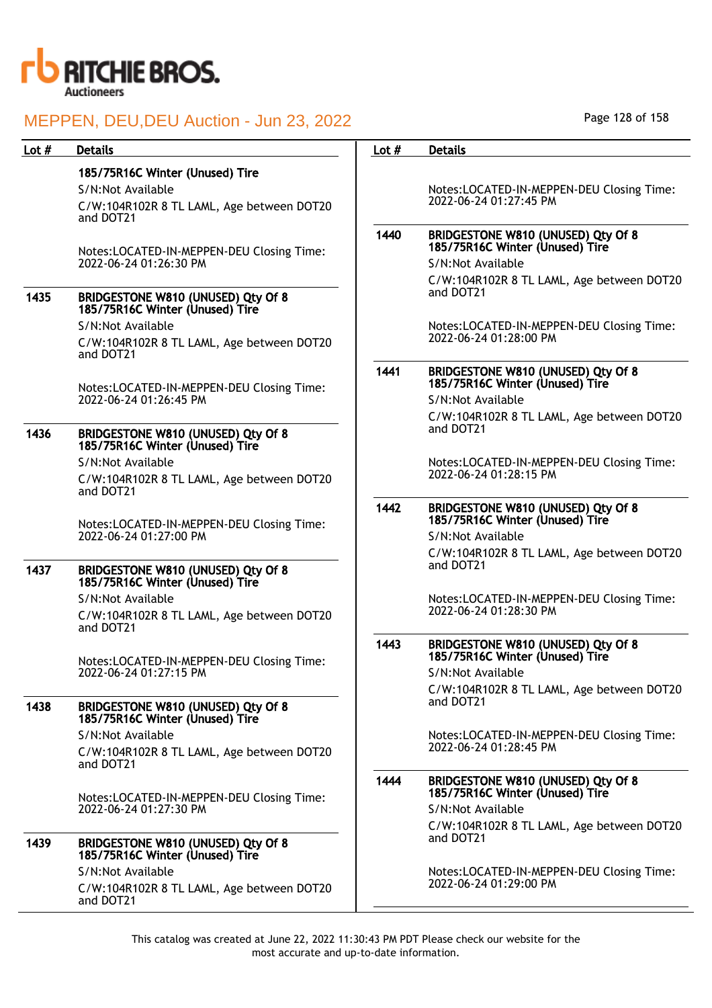

## MEDDEN, DELLDELLAuction - Jun 23, 2022

|         | MEFFEN, DEU, DEU AUGION - JUN 23, ZUZZ                                |         |                                                                       |
|---------|-----------------------------------------------------------------------|---------|-----------------------------------------------------------------------|
| Lot $#$ | <b>Details</b>                                                        | Lot $#$ | <b>Details</b>                                                        |
|         | 185/75R16C Winter (Unused) Tire                                       |         |                                                                       |
|         | S/N:Not Available                                                     |         | Notes:LOCATED-IN-MEPPEN-DEU Closing Time:                             |
|         | C/W:104R102R 8 TL LAML, Age between DOT20<br>and DOT21                |         | 2022-06-24 01:27:45 PM                                                |
|         | Notes:LOCATED-IN-MEPPEN-DEU Closing Time:                             | 1440    | BRIDGESTONE W810 (UNUSED) Qty Of 8<br>185/75R16C Winter (Unused) Tire |
|         | 2022-06-24 01:26:30 PM                                                |         | S/N:Not Available                                                     |
|         |                                                                       |         | C/W:104R102R 8 TL LAML, Age between DOT20                             |
| 1435    | BRIDGESTONE W810 (UNUSED) Qty Of 8<br>185/75R16C Winter (Unused) Tire |         | and DOT21                                                             |
|         | S/N:Not Available                                                     |         | Notes:LOCATED-IN-MEPPEN-DEU Closing Time:                             |
|         | C/W:104R102R 8 TL LAML, Age between DOT20<br>and DOT21                |         | 2022-06-24 01:28:00 PM                                                |
|         | Notes:LOCATED-IN-MEPPEN-DEU Closing Time:                             | 1441    | BRIDGESTONE W810 (UNUSED) Qty Of 8<br>185/75R16C Winter (Unused) Tire |
|         | 2022-06-24 01:26:45 PM                                                |         | S/N:Not Available                                                     |
|         |                                                                       |         | C/W:104R102R 8 TL LAML, Age between DOT20                             |
| 1436    | BRIDGESTONE W810 (UNUSED) Qty Of 8<br>185/75R16C Winter (Unused) Tire |         | and DOT21                                                             |
|         | S/N:Not Available                                                     |         | Notes:LOCATED-IN-MEPPEN-DEU Closing Time:                             |
|         | C/W:104R102R 8 TL LAML, Age between DOT20<br>and DOT21                |         | 2022-06-24 01:28:15 PM                                                |
|         |                                                                       | 1442    | BRIDGESTONE W810 (UNUSED) Qty Of 8<br>185/75R16C Winter (Unused) Tire |
|         | Notes:LOCATED-IN-MEPPEN-DEU Closing Time:<br>2022-06-24 01:27:00 PM   |         | S/N:Not Available                                                     |
|         |                                                                       |         | C/W:104R102R 8 TL LAML, Age between DOT20                             |
| 1437    | BRIDGESTONE W810 (UNUSED) Qty Of 8<br>185/75R16C Winter (Unused) Tire |         | and DOT21                                                             |
|         | S/N:Not Available                                                     |         | Notes:LOCATED-IN-MEPPEN-DEU Closing Time:                             |
|         | C/W:104R102R 8 TL LAML, Age between DOT20<br>and DOT21                |         | 2022-06-24 01:28:30 PM                                                |
|         | Notes:LOCATED-IN-MEPPEN-DEU Closing Time:                             | 1443    | BRIDGESTONE W810 (UNUSED) Qty Of 8<br>185/75R16C Winter (Unused) Tire |
|         | 2022-06-24 01:27:15 PM                                                |         | S/N:Not Available                                                     |
|         |                                                                       |         | C/W:104R102R 8 TL LAML, Age between DOT20                             |
| 1438    | BRIDGESTONE W810 (UNUSED) Qty Of 8<br>185/75R16C Winter (Unused) Tire |         | and DOT21                                                             |
|         | S/N:Not Available                                                     |         | Notes:LOCATED-IN-MEPPEN-DEU Closing Time:                             |
|         | C/W:104R102R 8 TL LAML, Age between DOT20<br>and DOT21                |         | 2022-06-24 01:28:45 PM                                                |
|         | Notes:LOCATED-IN-MEPPEN-DEU Closing Time:                             | 1444    | BRIDGESTONE W810 (UNUSED) Qty Of 8<br>185/75R16C Winter (Unused) Tire |
|         | 2022-06-24 01:27:30 PM                                                |         | S/N:Not Available                                                     |
| 1439    | BRIDGESTONE W810 (UNUSED) Qty Of 8                                    |         | C/W:104R102R 8 TL LAML, Age between DOT20<br>and DOT21                |
|         | 185/75R16C Winter (Unused) Tire                                       |         |                                                                       |
|         | S/N:Not Available<br>C/W:104R102R 8 TL LAML, Age between DOT20        |         | Notes:LOCATED-IN-MEPPEN-DEU Closing Time:<br>2022-06-24 01:29:00 PM   |
|         | and DOT21                                                             |         |                                                                       |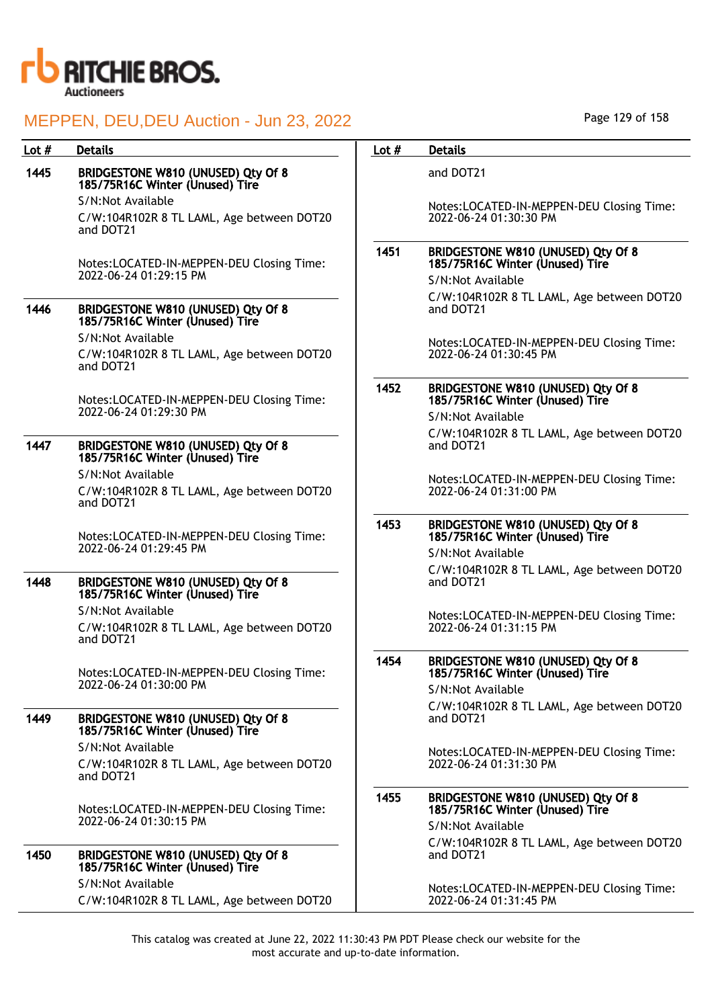

## 1445 BRIDGESTONE W810 (UNUSED) Qty Of 8 185/75R16C Winter (Unused) Tire

S/N:Not Available C/W:104R102R 8 TL LAML, Age between DOT20 and DOT21

Notes:LOCATED-IN-MEPPEN-DEU Closing Time: 2022-06-24 01:29:15 PM

### 1446 BRIDGESTONE W810 (UNUSED) Qty Of 8 185/75R16C Winter (Unused) Tire S/N:Not Available

C/W:104R102R 8 TL LAML, Age between DOT20 and DOT21

Notes:LOCATED-IN-MEPPEN-DEU Closing Time: 2022-06-24 01:29:30 PM

### 1447 BRIDGESTONE W810 (UNUSED) Qty Of 8 185/75R16C Winter (Unused) Tire

S/N:Not Available

C/W:104R102R 8 TL LAML, Age between DOT20 and DOT21

Notes:LOCATED-IN-MEPPEN-DEU Closing Time: 2022-06-24 01:29:45 PM

### 1448 BRIDGESTONE W810 (UNUSED) Qty Of 8 185/75R16C Winter (Unused) Tire

S/N:Not Available

C/W:104R102R 8 TL LAML, Age between DOT20 and DOT21

Notes:LOCATED-IN-MEPPEN-DEU Closing Time: 2022-06-24 01:30:00 PM

### 1449 BRIDGESTONE W810 (UNUSED) Qty Of 8 185/75R16C Winter (Unused) Tire S/N:Not Available

C/W:104R102R 8 TL LAML, Age between DOT20 and DOT21

Notes:LOCATED-IN-MEPPEN-DEU Closing Time: 2022-06-24 01:30:15 PM

### 1450 BRIDGESTONE W810 (UNUSED) Qty Of 8 185/75R16C Winter (Unused) Tire S/N:Not Available

C/W:104R102R 8 TL LAML, Age between DOT20

### Lot # Details **Details According to the United States Lot # Details**

and DOT21

Notes:LOCATED-IN-MEPPEN-DEU Closing Time: 2022-06-24 01:30:30 PM

### 1451 BRIDGESTONE W810 (UNUSED) Qty Of 8 185/75R16C Winter (Unused) Tire

S/N:Not Available

C/W:104R102R 8 TL LAML, Age between DOT20 and DOT21

Notes:LOCATED-IN-MEPPEN-DEU Closing Time: 2022-06-24 01:30:45 PM

### 1452 BRIDGESTONE W810 (UNUSED) Qty Of 8 185/75R16C Winter (Unused) Tire S/N:Not Available

C/W:104R102R 8 TL LAML, Age between DOT20 and DOT21

Notes:LOCATED-IN-MEPPEN-DEU Closing Time: 2022-06-24 01:31:00 PM

### 1453 BRIDGESTONE W810 (UNUSED) Qty Of 8 185/75R16C Winter (Unused) Tire

S/N:Not Available C/W:104R102R 8 TL LAML, Age between DOT20 and DOT21

Notes:LOCATED-IN-MEPPEN-DEU Closing Time: 2022-06-24 01:31:15 PM

### 1454 BRIDGESTONE W810 (UNUSED) Qty Of 8 185/75R16C Winter (Unused) Tire

S/N:Not Available C/W:104R102R 8 TL LAML, Age between DOT20 and DOT21

Notes:LOCATED-IN-MEPPEN-DEU Closing Time: 2022-06-24 01:31:30 PM

### 1455 BRIDGESTONE W810 (UNUSED) Qty Of 8 185/75R16C Winter (Unused) Tire S/N:Not Available

C/W:104R102R 8 TL LAML, Age between DOT20 and DOT21

Notes:LOCATED-IN-MEPPEN-DEU Closing Time: 2022-06-24 01:31:45 PM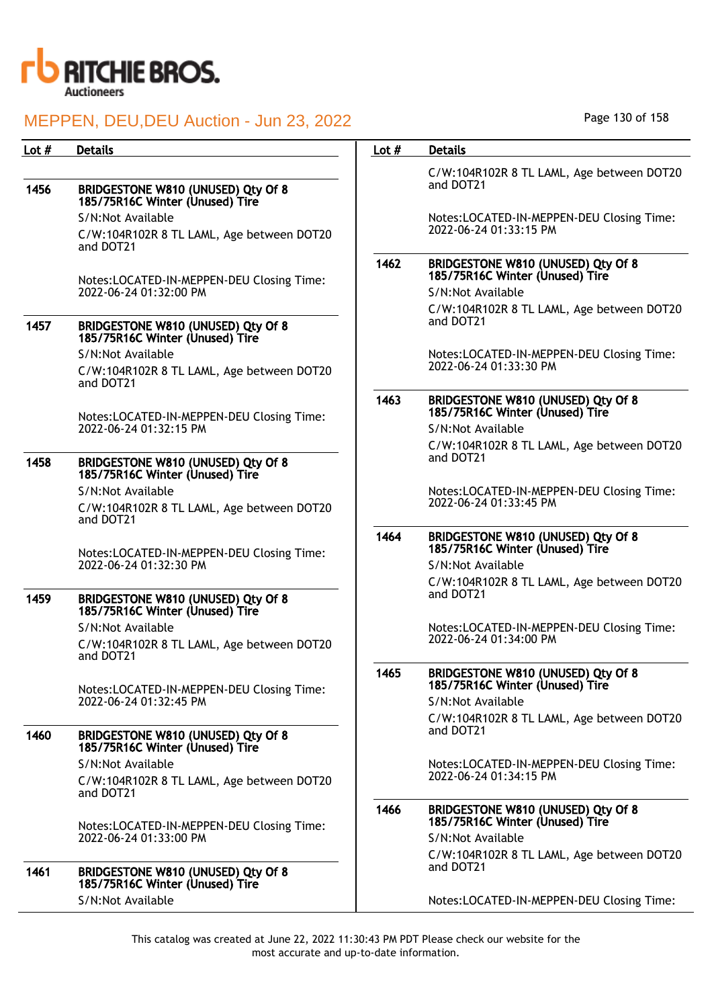

|      | C/W:104R102R 8 TL LAML, Age between DOT20<br>and DOT21                |
|------|-----------------------------------------------------------------------|
|      | Notes:LOCATED-IN-MEPPEN-DEU Closing Time:<br>2022-06-24 01:33:15 PM   |
| 1462 | BRIDGESTONE W810 (UNUSED) Qty Of 8<br>185/75R16C Winter (Unused) Tire |
|      | S/N:Not Available                                                     |
|      | C/W:104R102R 8 TL LAML, Age between DOT20<br>and DOT21                |
|      | Notes:LOCATED-IN-MEPPEN-DEU Closing Time:<br>2022-06-24 01:33:30 PM   |

| 1463 | BRIDGESTONE W810 (UNUSED) Qty Of 8<br>185/75R16C Winter (Unused) Tire |
|------|-----------------------------------------------------------------------|
|      | S/N:Not Available                                                     |
|      | C/W:104R102R 8 TL LAML, Age between DOT20<br>and DOT21                |

Notes:LOCATED-IN-MEPPEN-DEU Closing Time: 2022-06-24 01:33:45 PM

### 1464 BRIDGESTONE W810 (UNUSED) Qty Of 8 185/75R16C Winter (Unused) Tire

### S/N:Not Available C/W:104R102R 8 TL LAML, Age between DOT20 and DOT21

Notes:LOCATED-IN-MEPPEN-DEU Closing Time: 2022-06-24 01:34:00 PM

### 1465 BRIDGESTONE W810 (UNUSED) Qty Of 8 185/75R16C Winter (Unused) Tire

S/N:Not Available C/W:104R102R 8 TL LAML, Age between DOT20 and DOT21

Notes:LOCATED-IN-MEPPEN-DEU Closing Time: 2022-06-24 01:34:15 PM

### 1466 BRIDGESTONE W810 (UNUSED) Qty Of 8 185/75R16C Winter (Unused) Tire

S/N:Not Available C/W:104R102R 8 TL LAML, Age between DOT20 and DOT21

Notes:LOCATED-IN-MEPPEN-DEU Closing Time:

This catalog was created at June 22, 2022 11:30:43 PM PDT Please check our website for the most accurate and up-to-date information.

## Lot # Details **Details According to the United States Lot # Details**

### 1456 BRIDGESTONE W810 (UNUSED) Qty Of 8 185/75R16C Winter (Unused) Tire

S/N:Not Available C/W:104R102R 8 TL LAML, Age between DOT20 and DOT21

Notes:LOCATED-IN-MEPPEN-DEU Closing Time: 2022-06-24 01:32:00 PM

### 1457 BRIDGESTONE W810 (UNUSED) Qty Of 8 185/75R16C Winter (Unused) Tire

S/N:Not Available C/W:104R102R 8 TL LAML, Age between DOT20 and DOT21

Notes:LOCATED-IN-MEPPEN-DEU Closing Time: 2022-06-24 01:32:15 PM

### 1458 BRIDGESTONE W810 (UNUSED) Qty Of 8 185/75R16C Winter (Unused) Tire

S/N:Not Available C/W:104R102R 8 TL LAML, Age between DOT20 and DOT21

Notes:LOCATED-IN-MEPPEN-DEU Closing Time: 2022-06-24 01:32:30 PM

### 1459 BRIDGESTONE W810 (UNUSED) Qty Of 8 185/75R16C Winter (Unused) Tire

S/N:Not Available C/W:104R102R 8 TL LAML, Age between DOT20 and DOT21

Notes:LOCATED-IN-MEPPEN-DEU Closing Time: 2022-06-24 01:32:45 PM

### 1460 BRIDGESTONE W810 (UNUSED) Qty Of 8 185/75R16C Winter (Unused) Tire

S/N:Not Available C/W:104R102R 8 TL LAML, Age between DOT20 and DOT21

Notes:LOCATED-IN-MEPPEN-DEU Closing Time: 2022-06-24 01:33:00 PM

### 1461 BRIDGESTONE W810 (UNUSED) Qty Of 8 185/75R16C Winter (Unused) Tire S/N:Not Available

Page 130 of 158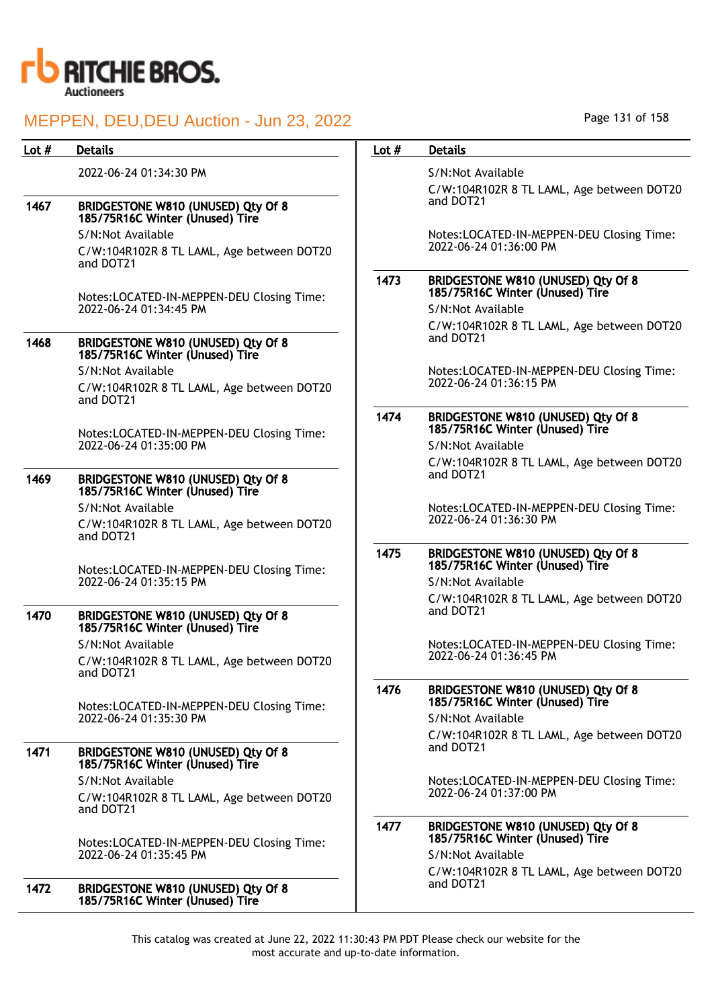

| Lot $#$ | <b>Details</b>                                                        | Lot $#$ | <b>Details</b>                                                        |
|---------|-----------------------------------------------------------------------|---------|-----------------------------------------------------------------------|
|         | 2022-06-24 01:34:30 PM                                                |         | S/N:Not Available                                                     |
|         |                                                                       |         | C/W:104R102R 8 TL LAML, Age between DOT20                             |
| 1467    | BRIDGESTONE W810 (UNUSED) Qty Of 8<br>185/75R16C Winter (Unused) Tire |         | and DOT21                                                             |
|         | S/N:Not Available                                                     |         | Notes:LOCATED-IN-MEPPEN-DEU Closing Time:                             |
|         | C/W:104R102R 8 TL LAML, Age between DOT20<br>and DOT21                |         | 2022-06-24 01:36:00 PM                                                |
|         | Notes:LOCATED-IN-MEPPEN-DEU Closing Time:                             | 1473    | BRIDGESTONE W810 (UNUSED) Qty Of 8<br>185/75R16C Winter (Unused) Tire |
|         | 2022-06-24 01:34:45 PM                                                |         | S/N:Not Available                                                     |
|         |                                                                       |         | C/W:104R102R 8 TL LAML, Age between DOT20                             |
| 1468    | BRIDGESTONE W810 (UNUSED) Qty Of 8<br>185/75R16C Winter (Unused) Tire |         | and DOT21                                                             |
|         | S/N:Not Available                                                     |         | Notes:LOCATED-IN-MEPPEN-DEU Closing Time:                             |
|         | C/W:104R102R 8 TL LAML, Age between DOT20<br>and DOT21                |         | 2022-06-24 01:36:15 PM                                                |
|         |                                                                       | 1474    | BRIDGESTONE W810 (UNUSED) Qty Of 8                                    |
|         | Notes:LOCATED-IN-MEPPEN-DEU Closing Time:<br>2022-06-24 01:35:00 PM   |         | 185/75R16C Winter (Unused) Tire<br>S/N:Not Available                  |
|         |                                                                       |         | C/W:104R102R 8 TL LAML, Age between DOT20                             |
| 1469    | BRIDGESTONE W810 (UNUSED) Qty Of 8<br>185/75R16C Winter (Unused) Tire |         | and DOT21                                                             |
|         | S/N:Not Available                                                     |         | Notes:LOCATED-IN-MEPPEN-DEU Closing Time:                             |
|         | C/W:104R102R 8 TL LAML, Age between DOT20<br>and DOT21                |         | 2022-06-24 01:36:30 PM                                                |
|         | Notes:LOCATED-IN-MEPPEN-DEU Closing Time:<br>2022-06-24 01:35:15 PM   | 1475    | BRIDGESTONE W810 (UNUSED) Qty Of 8<br>185/75R16C Winter (Unused) Tire |
|         |                                                                       |         | S/N:Not Available                                                     |
| 1470    | BRIDGESTONE W810 (UNUSED) Qty Of 8                                    |         | C/W:104R102R 8 TL LAML, Age between DOT20<br>and DOT21                |
|         | 185/75R16C Winter (Unused) Tire                                       |         |                                                                       |
|         | S/N:Not Available                                                     |         | Notes:LOCATED-IN-MEPPEN-DEU Closing Time:<br>2022-06-24 01:36:45 PM   |
|         | C/W:104R102R 8 TL LAML, Age between DOT20<br>and DOTZ1                |         |                                                                       |
|         | Notes:LOCATED-IN-MEPPEN-DEU Closing Time:                             | 1476    | BRIDGESTONE W810 (UNUSED) Qty Of 8<br>185/75R16C Winter (Unused) Tire |
|         | 2022-06-24 01:35:30 PM                                                |         | S/N:Not Available                                                     |
| 1471    | BRIDGESTONE W810 (UNUSED) Qty Of 8                                    |         | C/W:104R102R 8 TL LAML, Age between DOT20<br>and DOT21                |
|         | 185/75R16C Winter (Unused) Tire<br>S/N:Not Available                  |         | Notes:LOCATED-IN-MEPPEN-DEU Closing Time:                             |
|         | C/W:104R102R 8 TL LAML, Age between DOT20                             |         | 2022-06-24 01:37:00 PM                                                |
|         | and DOT21                                                             |         |                                                                       |
|         | Notes:LOCATED-IN-MEPPEN-DEU Closing Time:<br>2022-06-24 01:35:45 PM   | 1477    | BRIDGESTONE W810 (UNUSED) Qty Of 8<br>185/75R16C Winter (Unused) Tire |
|         |                                                                       |         | S/N:Not Available                                                     |
|         |                                                                       |         | C/W:104R102R 8 TL LAML, Age between DOT20                             |
| 1472    | BRIDGESTONE W810 (UNUSED) Qty Of 8<br>185/75R16C Winter (Unused) Tire |         | and DOT21                                                             |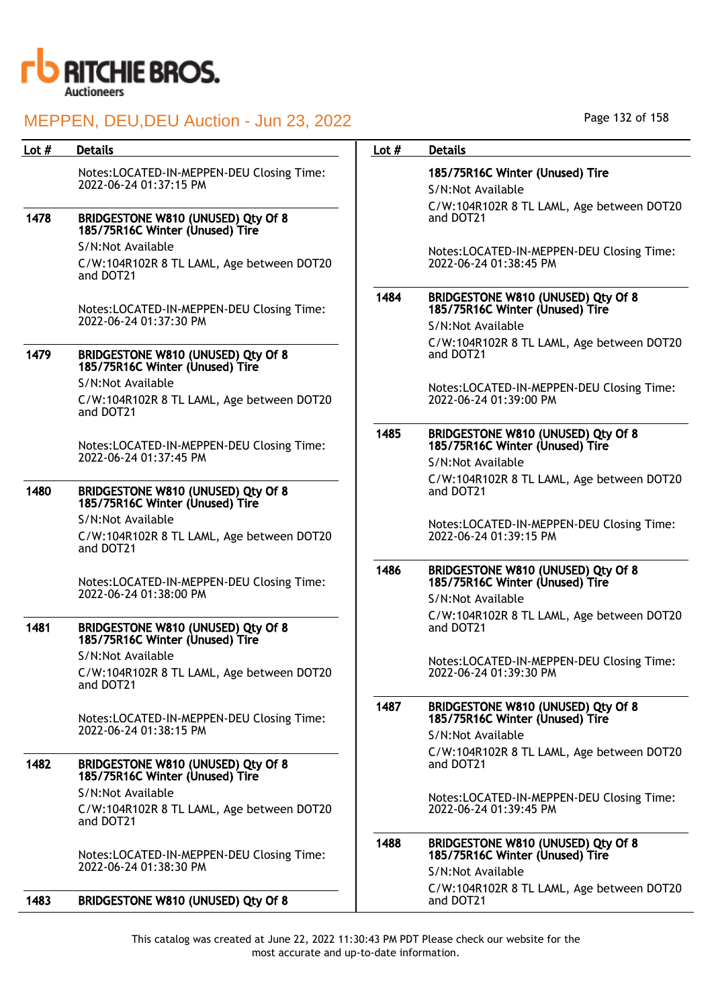

| Lot $#$ | <b>Details</b>                                                              | Lot $#$ | <b>Details</b>                                                        |
|---------|-----------------------------------------------------------------------------|---------|-----------------------------------------------------------------------|
|         | Notes:LOCATED-IN-MEPPEN-DEU Closing Time:<br>2022-06-24 01:37:15 PM         |         | 185/75R16C Winter (Unused) Tire<br>S/N:Not Available                  |
| 1478    | BRIDGESTONE W810 (UNUSED) Qty Of 8<br>185/75R16C Winter (Unused) Tire       |         | C/W:104R102R 8 TL LAML, Age between DOT2<br>and DOT21                 |
|         | S/N:Not Available                                                           |         | Notes:LOCATED-IN-MEPPEN-DEU Closing Time:                             |
|         | C/W:104R102R 8 TL LAML, Age between DOT20<br>and DOT21                      |         | 2022-06-24 01:38:45 PM                                                |
|         | Notes:LOCATED-IN-MEPPEN-DEU Closing Time:                                   | 1484    | BRIDGESTONE W810 (UNUSED) Qty Of 8<br>185/75R16C Winter (Unused) Tire |
|         | 2022-06-24 01:37:30 PM                                                      |         | S/N:Not Available                                                     |
| 1479    | BRIDGESTONE W810 (UNUSED) Qty Of 8<br>185/75R16C Winter (Unused) Tire       |         | C/W:104R102R 8 TL LAML, Age between DOT2<br>and DOT21                 |
|         | S/N:Not Available<br>C/W:104R102R 8 TL LAML, Age between DOT20<br>and DOT21 |         | Notes:LOCATED-IN-MEPPEN-DEU Closing Time:<br>2022-06-24 01:39:00 PM   |
|         | Notes:LOCATED-IN-MEPPEN-DEU Closing Time:                                   | 1485    | BRIDGESTONE W810 (UNUSED) Qty Of 8<br>185/75R16C Winter (Unused) Tire |
|         | 2022-06-24 01:37:45 PM                                                      |         | S/N:Not Available                                                     |
| 1480    | BRIDGESTONE W810 (UNUSED) Qty Of 8<br>185/75R16C Winter (Unused) Tire       |         | C/W:104R102R 8 TL LAML, Age between DOT2<br>and DOT21                 |
|         | S/N:Not Available                                                           |         | Notes:LOCATED-IN-MEPPEN-DEU Closing Time:                             |
|         | C/W:104R102R 8 TL LAML, Age between DOT20<br>and DOT21                      |         | 2022-06-24 01:39:15 PM                                                |
|         | Notes:LOCATED-IN-MEPPEN-DEU Closing Time:<br>2022-06-24 01:38:00 PM         | 1486    | BRIDGESTONE W810 (UNUSED) Qty Of 8<br>185/75R16C Winter (Unused) Tire |
|         |                                                                             |         | S/N:Not Available                                                     |
| 1481    | BRIDGESTONE W810 (UNUSED) Qty Of 8<br>185/75R16C Winter (Unused) Tire       |         | C/W:104R102R 8 TL LAML, Age between DOT2<br>and DOT21                 |
|         | S/N:Not Available                                                           |         | Notes:LOCATED-IN-MEPPEN-DEU Closing Time:                             |
|         | C/W:104R102R 8 TL LAML, Age between DOT20<br>and DOT21                      |         | 2022-06-24 01:39:30 PM                                                |
|         | Notes:LOCATED-IN-MEPPEN-DEU Closing Time:                                   | 1487    | BRIDGESTONE W810 (UNUSED) Qty Of 8<br>185/75R16C Winter (Unused) Tire |
|         | 2022-06-24 01:38:15 PM                                                      |         | S/N:Not Available                                                     |
| 1482    | BRIDGESTONE W810 (UNUSED) Qty Of 8<br>185/75R16C Winter (Unused) Tire       |         | C/W:104R102R 8 TL LAML, Age between DOT2<br>and DOT21                 |
|         | S/N:Not Available                                                           |         | Notes:LOCATED-IN-MEPPEN-DEU Closing Time:                             |
|         | C/W:104R102R 8 TL LAML, Age between DOT20<br>and DOT21                      |         | 2022-06-24 01:39:45 PM                                                |
|         | Notes:LOCATED-IN-MEPPEN-DEU Closing Time:                                   |         | BRIDGESTONE W810 (UNUSED) Qty Of 8<br>185/75R16C Winter (Unused) Tire |
|         | 2022-06-24 01:38:30 PM                                                      |         | S/N:Not Available                                                     |
| 1483    | BRIDGESTONE W810 (UNUSED) Qty Of 8                                          |         | C/W:104R102R 8 TL LAML, Age between DOT2<br>and DOT21                 |

This catalog was created at June 22, 2022 11:30:43 PM PDT Please check our website for the most accurate and up-to-date information.

Age between DOT20

Age between DOT20

Age between DOT20

Age between DOT20

Age between DOT20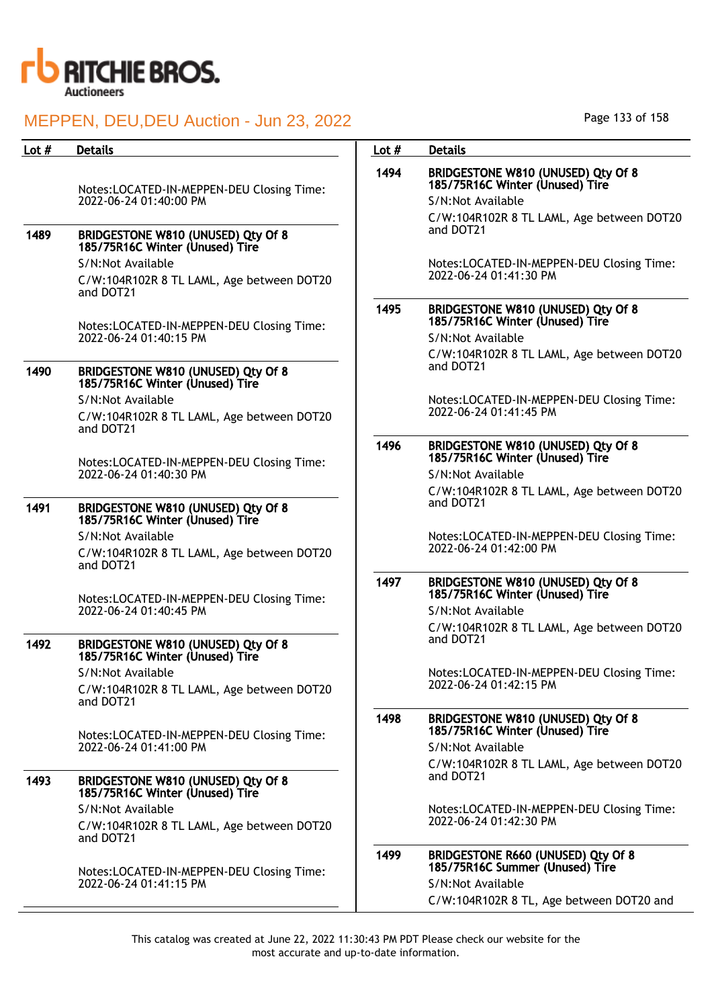

| Lot $#$ | <b>Details</b>                                                                                                 | Lot $#$ | <b>Details</b>                                                                                                                          |
|---------|----------------------------------------------------------------------------------------------------------------|---------|-----------------------------------------------------------------------------------------------------------------------------------------|
|         | Notes:LOCATED-IN-MEPPEN-DEU Closing Time:<br>2022-06-24 01:40:00 PM                                            | 1494    | BRIDGESTONE W810 (UNUSED) Qty Of 8<br>185/75R16C Winter (Unused) Tire<br>S/N:Not Available<br>C/W:104R102R 8 TL LAML, Age between DOT20 |
| 1489    | BRIDGESTONE W810 (UNUSED) Qty Of 8<br>185/75R16C Winter (Unused) Tire                                          |         | and DOT21                                                                                                                               |
|         | S/N:Not Available<br>C/W:104R102R 8 TL LAML, Age between DOT20<br>and DOT21                                    |         | Notes:LOCATED-IN-MEPPEN-DEU Closing Time:<br>2022-06-24 01:41:30 PM                                                                     |
|         | Notes:LOCATED-IN-MEPPEN-DEU Closing Time:<br>2022-06-24 01:40:15 PM                                            | 1495    | BRIDGESTONE W810 (UNUSED) Qty Of 8<br>185/75R16C Winter (Unused) Tire<br>S/N:Not Available                                              |
| 1490    | BRIDGESTONE W810 (UNUSED) Qty Of 8                                                                             |         | C/W:104R102R 8 TL LAML, Age between DOT20<br>and DOT21                                                                                  |
|         | 185/75R16C Winter (Unused) Tire<br>S/N:Not Available                                                           |         | Notes:LOCATED-IN-MEPPEN-DEU Closing Time:<br>2022-06-24 01:41:45 PM                                                                     |
|         | C/W:104R102R 8 TL LAML, Age between DOT20<br>and DOT21                                                         | 1496    | BRIDGESTONE W810 (UNUSED) Qty Of 8                                                                                                      |
|         | Notes:LOCATED-IN-MEPPEN-DEU Closing Time:<br>2022-06-24 01:40:30 PM                                            |         | 185/75R16C Winter (Unused) Tire<br>S/N:Not Available                                                                                    |
| 1491    | BRIDGESTONE W810 (UNUSED) Qty Of 8                                                                             |         | C/W:104R102R 8 TL LAML, Age between DOT20<br>and DOT21                                                                                  |
|         | 185/75R16C Winter (Unused) Tire<br>S/N:Not Available<br>C/W:104R102R 8 TL LAML, Age between DOT20<br>and DOT21 |         | Notes:LOCATED-IN-MEPPEN-DEU Closing Time:<br>2022-06-24 01:42:00 PM                                                                     |
|         | Notes:LOCATED-IN-MEPPEN-DEU Closing Time:                                                                      | 1497    | BRIDGESTONE W810 (UNUSED) Qty Of 8<br>185/75R16C Winter (Unused) Tire                                                                   |
|         | 2022-06-24 01:40:45 PM                                                                                         |         | S/N:Not Available<br>C/W:104R102R 8 TL LAML, Age between DOT20<br>and DOT21                                                             |
| 1492    | BRIDGESTONE W810 (UNUSED) Qty Of 8<br>185/75R16C Winter (Unused) Tire<br>S/N:Not Available                     |         | Notes:LOCATED-IN-MEPPEN-DEU Closing Time:                                                                                               |
|         | C/W:104R102R 8 TL LAML, Age between DOT20<br>and DOT21                                                         |         | 2022-06-24 01:42:15 PM                                                                                                                  |
|         | Notes:LOCATED-IN-MEPPEN-DEU Closing Time:                                                                      | 1498    | BRIDGESTONE W810 (UNUSED) Qty Of 8<br>185/75R16C Winter (Unused) Tire                                                                   |
|         | 2022-06-24 01:41:00 PM                                                                                         |         | S/N:Not Available<br>C/W:104R102R 8 TL LAML, Age between DOT20<br>and DOT21                                                             |
| 1493    | BRIDGESTONE W810 (UNUSED) Qty Of 8<br>185/75R16C Winter (Unused) Tire<br>S/N:Not Available                     |         | Notes:LOCATED-IN-MEPPEN-DEU Closing Time:                                                                                               |
|         | C/W:104R102R 8 TL LAML, Age between DOT20<br>and DOT21                                                         |         | 2022-06-24 01:42:30 PM                                                                                                                  |
|         | Notes:LOCATED-IN-MEPPEN-DEU Closing Time:<br>2022-06-24 01:41:15 PM                                            | 1499    | BRIDGESTONE R660 (UNUSED) Qty Of 8<br>185/75R16C Summer (Unused) Tire<br>S/N:Not Available<br>C/W:104R102R 8 TL, Age between DOT20 and  |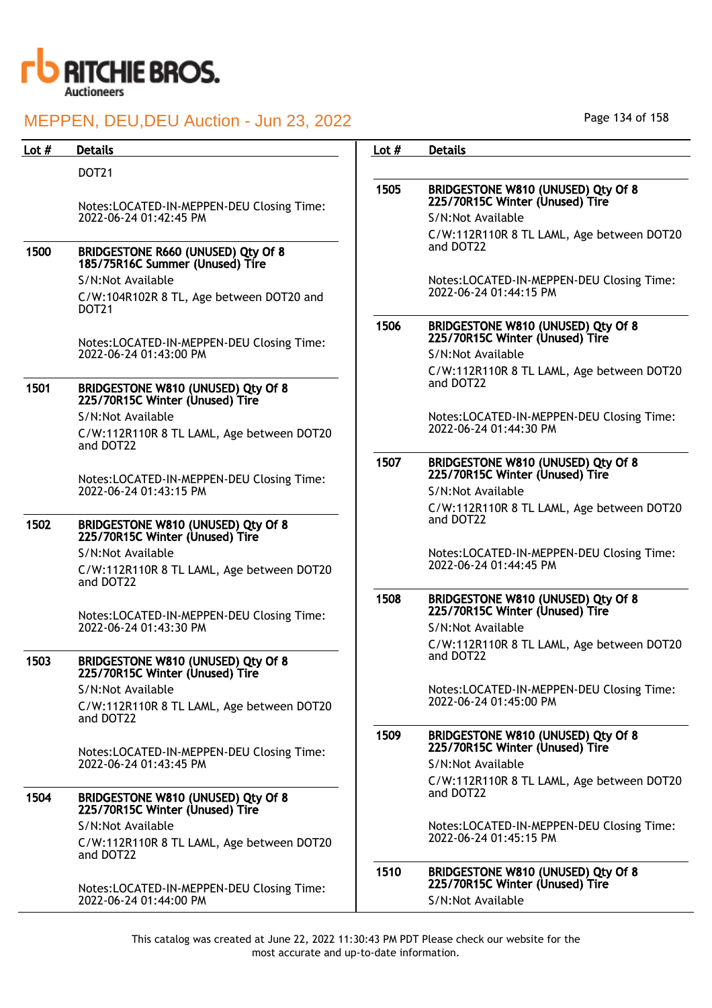

| Lot $#$ | <b>Details</b>                                                                     | Lot $#$ | <b>Details</b>                                                                                                                          |
|---------|------------------------------------------------------------------------------------|---------|-----------------------------------------------------------------------------------------------------------------------------------------|
|         | <b>DOT21</b>                                                                       |         |                                                                                                                                         |
|         | Notes:LOCATED-IN-MEPPEN-DEU Closing Time:<br>2022-06-24 01:42:45 PM                | 1505    | BRIDGESTONE W810 (UNUSED) Qty Of 8<br>225/70R15C Winter (Unused) Tire<br>S/N:Not Available                                              |
| 1500    | BRIDGESTONE R660 (UNUSED) Qty Of 8<br>185/75R16C Summer (Unused) Tire              |         | C/W:112R110R 8 TL LAML, Age between DOT20<br>and DOT22                                                                                  |
|         | S/N:Not Available<br>C/W:104R102R 8 TL, Age between DOT20 and<br>DOT <sub>21</sub> |         | Notes:LOCATED-IN-MEPPEN-DEU Closing Time:<br>2022-06-24 01:44:15 PM                                                                     |
|         | Notes:LOCATED-IN-MEPPEN-DEU Closing Time:<br>2022-06-24 01:43:00 PM                | 1506    | BRIDGESTONE W810 (UNUSED) Qty Of 8<br>225/70R15C Winter (Unused) Tire<br>S/N:Not Available                                              |
| 1501    | BRIDGESTONE W810 (UNUSED) Qty Of 8<br>225/70R15C Winter (Unused) Tire              |         | C/W:112R110R 8 TL LAML, Age between DOT20<br>and DOT22                                                                                  |
|         | S/N:Not Available<br>C/W:112R110R 8 TL LAML, Age between DOT20<br>and DOT22        |         | Notes:LOCATED-IN-MEPPEN-DEU Closing Time:<br>2022-06-24 01:44:30 PM                                                                     |
|         | Notes:LOCATED-IN-MEPPEN-DEU Closing Time:                                          | 1507    | BRIDGESTONE W810 (UNUSED) Qty Of 8<br>225/70R15C Winter (Unused) Tire                                                                   |
|         | 2022-06-24 01:43:15 PM                                                             |         | S/N:Not Available<br>C/W:112R110R 8 TL LAML, Age between DOT20                                                                          |
| 1502    | BRIDGESTONE W810 (UNUSED) Qty Of 8<br>225/70R15C Winter (Unused) Tire              |         | and DOT22                                                                                                                               |
|         | S/N:Not Available<br>C/W:112R110R 8 TL LAML, Age between DOT20<br>and DOT22        |         | Notes:LOCATED-IN-MEPPEN-DEU Closing Time:<br>2022-06-24 01:44:45 PM                                                                     |
|         | Notes:LOCATED-IN-MEPPEN-DEU Closing Time:<br>2022-06-24 01:43:30 PM                | 1508    | BRIDGESTONE W810 (UNUSED) Qty Of 8<br>225/70R15C Winter (Unused) Tire<br>S/N:Not Available<br>C/W:112R110R 8 TL LAML, Age between DOT20 |
| 1503    | BRIDGESTONE W810 (UNUSED) Qty Of 8<br>225/70R15C Winter (Unused) Tire              |         | and DOT22                                                                                                                               |
|         | S/N:Not Available<br>C/W:112R110R 8 TL LAML, Age between DOT20<br>and DOT22        |         | Notes:LOCATED-IN-MEPPEN-DEU Closing Time:<br>2022-06-24 01:45:00 PM                                                                     |
|         | Notes:LOCATED-IN-MEPPEN-DEU Closing Time:                                          | 1509    | BRIDGESTONE W810 (UNUSED) Qty Of 8<br>225/70R15C Winter (Unused) Tire                                                                   |
|         | 2022-06-24 01:43:45 PM                                                             |         | S/N:Not Available<br>C/W:112R110R 8 TL LAML, Age between DOT20<br>and DOT22                                                             |
| 1504    | BRIDGESTONE W810 (UNUSED) Qty Of 8<br>225/70R15C Winter (Unused) Tire              |         |                                                                                                                                         |
|         | S/N:Not Available<br>C/W:112R110R 8 TL LAML, Age between DOT20<br>and DOT22        |         | Notes:LOCATED-IN-MEPPEN-DEU Closing Time:<br>2022-06-24 01:45:15 PM                                                                     |
|         | Notes:LOCATED-IN-MEPPEN-DEU Closing Time:                                          | 1510    | BRIDGESTONE W810 (UNUSED) Qty Of 8<br>225/70R15C Winter (Unused) Tire                                                                   |
|         | 2022-06-24 01:44:00 PM                                                             |         | S/N:Not Available                                                                                                                       |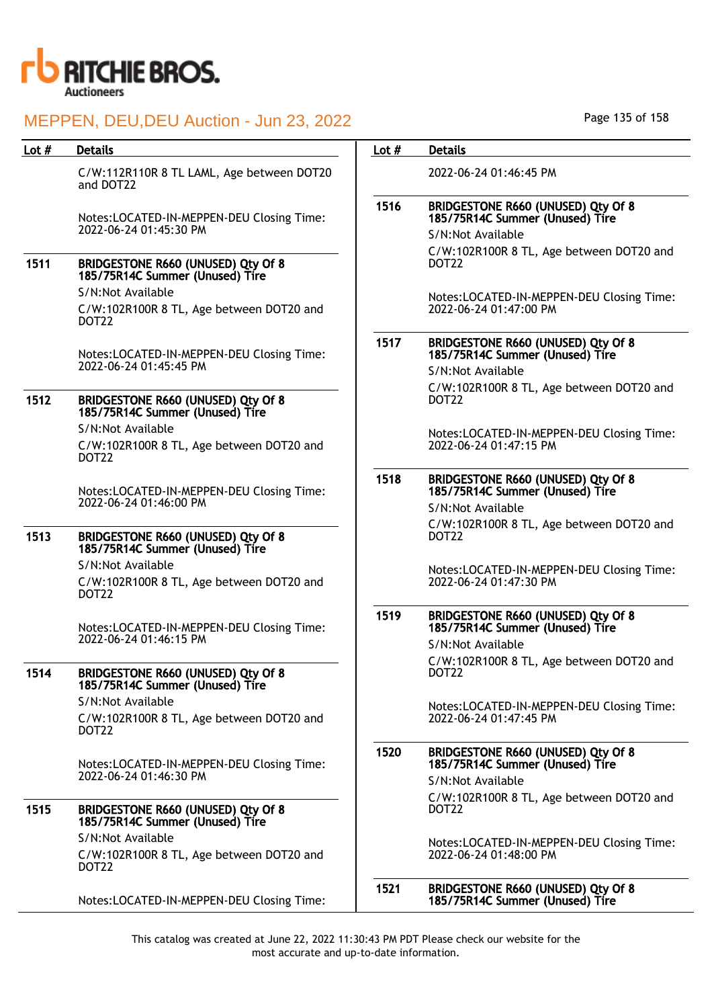

| Lot $#$ | <b>Details</b>                                                                     | Lot $#$ | <b>Details</b>                                                               |
|---------|------------------------------------------------------------------------------------|---------|------------------------------------------------------------------------------|
|         | C/W:112R110R 8 TL LAML, Age between DOT20<br>and DOT22                             |         | 2022-06-24 01:46:45 PM                                                       |
|         | Notes:LOCATED-IN-MEPPEN-DEU Closing Time:                                          | 1516    | BRIDGESTONE R660 (UNUSED) Qty Of 8<br>185/75R14C Summer (Unused) Tire        |
|         | 2022-06-24 01:45:30 PM                                                             |         | S/N:Not Available                                                            |
| 1511    | <b>BRIDGESTONE R660 (UNUSED) Qty Of 8</b><br>185/75R14C Summer (Unused) Tire       |         | C/W:102R100R 8 TL, Age between DOT20 and<br>DOT22                            |
|         | S/N:Not Available<br>C/W:102R100R 8 TL, Age between DOT20 and<br>DOT22             |         | Notes:LOCATED-IN-MEPPEN-DEU Closing Time:<br>2022-06-24 01:47:00 PM          |
|         | Notes:LOCATED-IN-MEPPEN-DEU Closing Time:<br>2022-06-24 01:45:45 PM                | 1517    | <b>BRIDGESTONE R660 (UNUSED) Qty Of 8</b><br>185/75R14C Summer (Unused) Tire |
|         |                                                                                    |         | S/N:Not Available                                                            |
| 1512    | <b>BRIDGESTONE R660 (UNUSED) Qty Of 8</b><br>185/75R14C Summer (Unused) Tire       |         | C/W:102R100R 8 TL, Age between DOT20 and<br>DOT <sub>22</sub>                |
|         | S/N:Not Available<br>C/W:102R100R 8 TL, Age between DOT20 and<br>DOT <sub>22</sub> |         | Notes:LOCATED-IN-MEPPEN-DEU Closing Time:<br>2022-06-24 01:47:15 PM          |
|         | Notes:LOCATED-IN-MEPPEN-DEU Closing Time:                                          | 1518    | BRIDGESTONE R660 (UNUSED) Qty Of 8<br>185/75R14C Summer (Unused) Tire        |
|         | 2022-06-24 01:46:00 PM                                                             |         | S/N:Not Available                                                            |
| 1513    | <b>BRIDGESTONE R660 (UNUSED) Qty Of 8</b><br>185/75R14C Summer (Unused) Tire       |         | C/W:102R100R 8 TL, Age between DOT20 and<br>DOT22                            |
|         | S/N:Not Available<br>C/W:102R100R 8 TL, Age between DOT20 and<br>DOT22             |         | Notes:LOCATED-IN-MEPPEN-DEU Closing Time:<br>2022-06-24 01:47:30 PM          |
|         | Notes:LOCATED-IN-MEPPEN-DEU Closing Time:<br>2022-06-24 01:46:15 PM                | 1519    | BRIDGESTONE R660 (UNUSED) Qty Of 8<br>185/75R14C Summer (Unused) Tire        |
|         |                                                                                    |         | S/N:Not Available                                                            |
| 1514    | <b>BRIDGESTONE R660 (UNUSED) Qty Of 8</b><br>185/75R14C Summer (Unused) Tire       |         | C/W:102R100R 8 TL, Age between DOT20 and<br>DOT22                            |
|         | S/N:Not Available<br>C/W:102R100R 8 TL, Age between DOT20 and<br>DOT22             |         | Notes:LOCATED-IN-MEPPEN-DEU Closing Time:<br>2022-06-24 01:47:45 PM          |
|         | Notes:LOCATED-IN-MEPPEN-DEU Closing Time:                                          | 1520    | BRIDGESTONE R660 (UNUSED) Qty Of 8<br>185/75R14C Summer (Unused) Tire        |
|         | 2022-06-24 01:46:30 PM                                                             |         | S/N:Not Available                                                            |
| 1515    | <b>BRIDGESTONE R660 (UNUSED) Qty Of 8</b><br>185/75R14C Summer (Unused) Tire       |         | C/W:102R100R 8 TL, Age between DOT20 and<br>DOT <sub>22</sub>                |
|         | S/N:Not Available<br>C/W:102R100R 8 TL, Age between DOT20 and<br>DOT <sub>22</sub> |         | Notes:LOCATED-IN-MEPPEN-DEU Closing Time:<br>2022-06-24 01:48:00 PM          |
|         | Notes:LOCATED-IN-MEPPEN-DEU Closing Time:                                          | 1521    | BRIDGESTONE R660 (UNUSED) Qty Of 8<br>185/75R14C Summer (Unused) Tire        |
|         |                                                                                    |         |                                                                              |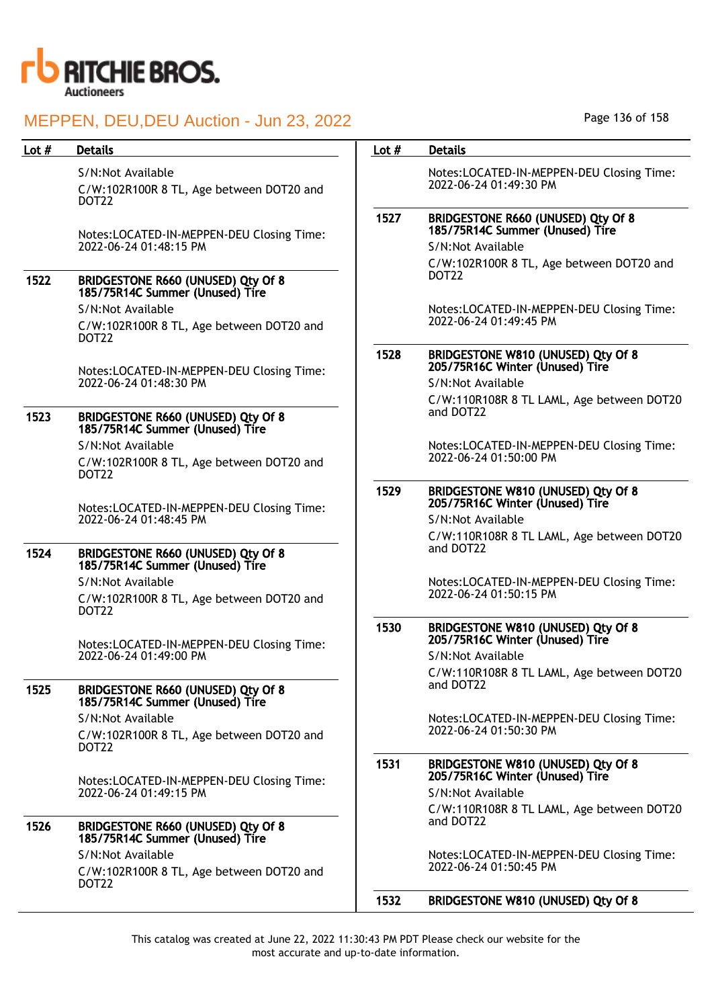

### Lot # Details **Details According to the United States Lot # Details**

S/N:Not Available

C/W:102R100R 8 TL, Age between DOT20 and DOT22

Notes:LOCATED-IN-MEPPEN-DEU Closing Time: 2022-06-24 01:48:15 PM

### 1522 BRIDGESTONE R660 (UNUSED) Qty Of 8 185/75R14C Summer (Unused) Tire

S/N:Not Available C/W:102R100R 8 TL, Age between DOT20 and DOT22

Notes:LOCATED-IN-MEPPEN-DEU Closing Time: 2022-06-24 01:48:30 PM

### 1523 BRIDGESTONE R660 (UNUSED) Qty Of 8 185/75R14C Summer (Unused) Tire

S/N:Not Available C/W:102R100R 8 TL, Age between DOT20 and DOT22

Notes:LOCATED-IN-MEPPEN-DEU Closing Time: 2022-06-24 01:48:45 PM

### 1524 BRIDGESTONE R660 (UNUSED) Qty Of 8 185/75R14C Summer (Unused) Tire

S/N:Not Available C/W:102R100R 8 TL, Age between DOT20 and DOT22

Notes:LOCATED-IN-MEPPEN-DEU Closing Time: 2022-06-24 01:49:00 PM

### 1525 BRIDGESTONE R660 (UNUSED) Qty Of 8 185/75R14C Summer (Unused) Tire

S/N:Not Available

C/W:102R100R 8 TL, Age between DOT20 and DOT22

Notes:LOCATED-IN-MEPPEN-DEU Closing Time: 2022-06-24 01:49:15 PM

### 1526 BRIDGESTONE R660 (UNUSED) Qty Of 8 185/75R14C Summer (Unused) Tire S/N:Not Available

C/W:102R100R 8 TL, Age between DOT20 and DOT22

Page 136 of 158

Notes:LOCATED-IN-MEPPEN-DEU Closing Time: 2022-06-24 01:49:30 PM

### 1527 BRIDGESTONE R660 (UNUSED) Qty Of 8 185/75R14C Summer (Unused) Tire S/N:Not Available

C/W:102R100R 8 TL, Age between DOT20 and DOT22

Notes:LOCATED-IN-MEPPEN-DEU Closing Time: 2022-06-24 01:49:45 PM

### 1528 BRIDGESTONE W810 (UNUSED) Qty Of 8 205/75R16C Winter (Unused) Tire

S/N:Not Available C/W:110R108R 8 TL LAML, Age between DOT20 and DOT22

Notes:LOCATED-IN-MEPPEN-DEU Closing Time: 2022-06-24 01:50:00 PM

### 1529 BRIDGESTONE W810 (UNUSED) Qty Of 8 205/75R16C Winter (Unused) Tire

S/N:Not Available C/W:110R108R 8 TL LAML, Age between DOT20 and DOT22

Notes:LOCATED-IN-MEPPEN-DEU Closing Time: 2022-06-24 01:50:15 PM

### 1530 BRIDGESTONE W810 (UNUSED) Qty Of 8 205/75R16C Winter (Unused) Tire

S/N:Not Available C/W:110R108R 8 TL LAML, Age between DOT20 and DOT22

Notes:LOCATED-IN-MEPPEN-DEU Closing Time: 2022-06-24 01:50:30 PM

### 1531 BRIDGESTONE W810 (UNUSED) Qty Of 8 205/75R16C Winter (Unused) Tire

S/N:Not Available C/W:110R108R 8 TL LAML, Age between DOT20 and DOT22

Notes:LOCATED-IN-MEPPEN-DEU Closing Time: 2022-06-24 01:50:45 PM

### 1532 BRIDGESTONE W810 (UNUSED) Qty Of 8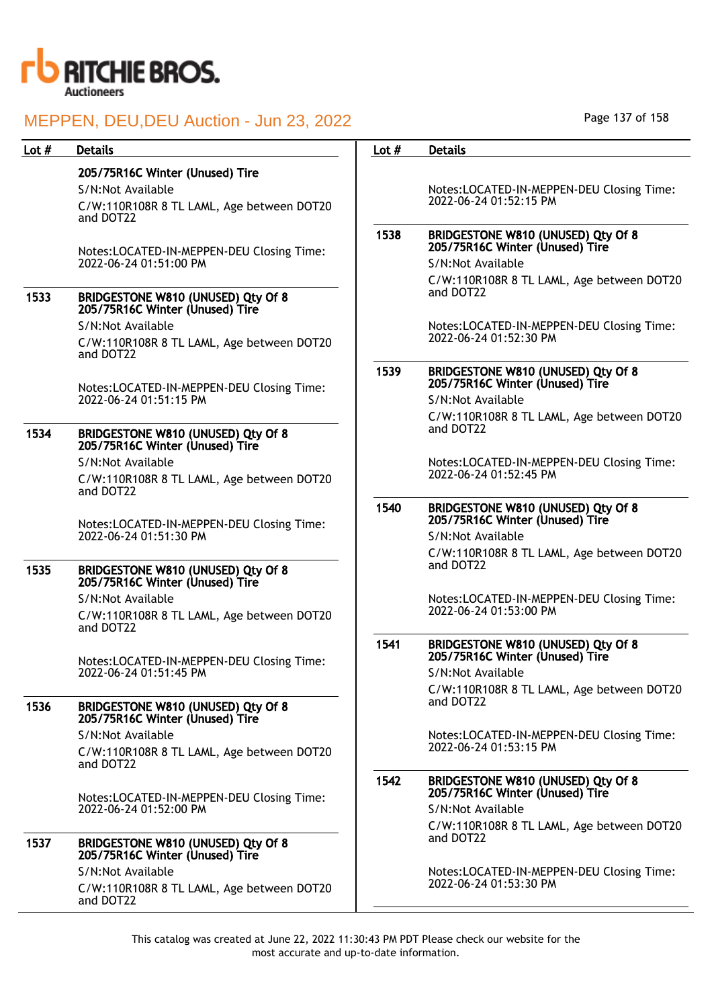

## MEDDEN, DELLDELLAuction - Jun 23, 2022

| Lot $#$ | <b>Details</b>                                                        | Lot $#$ | <b>Details</b>                                                        |
|---------|-----------------------------------------------------------------------|---------|-----------------------------------------------------------------------|
|         | 205/75R16C Winter (Unused) Tire                                       |         |                                                                       |
|         | S/N:Not Available                                                     |         | Notes:LOCATED-IN-MEPPEN-DEU Closing Time:                             |
|         | C/W:110R108R 8 TL LAML, Age between DOT20<br>and DOT22                |         | 2022-06-24 01:52:15 PM                                                |
|         | Notes:LOCATED-IN-MEPPEN-DEU Closing Time:                             | 1538    | BRIDGESTONE W810 (UNUSED) Qty Of 8<br>205/75R16C Winter (Unused) Tire |
|         | 2022-06-24 01:51:00 PM                                                |         | S/N:Not Available                                                     |
|         |                                                                       |         | C/W:110R108R 8 TL LAML, Age between DOT20<br>and DOT22                |
| 1533    | BRIDGESTONE W810 (UNUSED) Qty Of 8<br>205/75R16C Winter (Unused) Tire |         |                                                                       |
|         | S/N:Not Available                                                     |         | Notes:LOCATED-IN-MEPPEN-DEU Closing Time:<br>2022-06-24 01:52:30 PM   |
|         | C/W:110R108R 8 TL LAML, Age between DOT20<br>and DOT22                |         |                                                                       |
|         | Notes:LOCATED-IN-MEPPEN-DEU Closing Time:                             | 1539    | BRIDGESTONE W810 (UNUSED) Qty Of 8<br>205/75R16C Winter (Unused) Tire |
|         | 2022-06-24 01:51:15 PM                                                |         | S/N:Not Available                                                     |
| 1534    | BRIDGESTONE W810 (UNUSED) Qty Of 8                                    |         | C/W:110R108R 8 TL LAML, Age between DOT20<br>and DOT22                |
|         | 205/75R16C Winter (Unused) Tire                                       |         |                                                                       |
|         | S/N:Not Available                                                     |         | Notes:LOCATED-IN-MEPPEN-DEU Closing Time:<br>2022-06-24 01:52:45 PM   |
|         | C/W:110R108R 8 TL LAML, Age between DOT20<br>and DOT22                |         |                                                                       |
|         | Notes:LOCATED-IN-MEPPEN-DEU Closing Time:                             | 1540    | BRIDGESTONE W810 (UNUSED) Qty Of 8<br>205/75R16C Winter (Unused) Tire |
|         | 2022-06-24 01:51:30 PM                                                |         | S/N:Not Available                                                     |
|         |                                                                       |         | C/W:110R108R 8 TL LAML, Age between DOT20                             |
| 1535    | BRIDGESTONE W810 (UNUSED) Qty Of 8<br>205/75R16C Winter (Unused) Tire |         | and DOT22                                                             |
|         | S/N:Not Available                                                     |         | Notes:LOCATED-IN-MEPPEN-DEU Closing Time:                             |
|         | C/W:110R108R 8 TL LAML, Age between DOT20<br>and DOT22                |         | 2022-06-24 01:53:00 PM                                                |
|         | Notes:LOCATED-IN-MEPPEN-DEU Closing Time:                             | 1541    | BRIDGESTONE W810 (UNUSED) Qty Of 8<br>205/75R16C Winter (Unused) Tire |
|         | 2022-06-24 01:51:45 PM                                                |         | S/N:Not Available                                                     |
| 1536    | BRIDGESTONE W810 (UNUSED) Qty Of 8                                    |         | C/W:110R108R 8 TL LAML, Age between DOT20<br>and DOT22                |
|         | 205/75R16C Winter (Unused) Tire                                       |         |                                                                       |
|         | S/N:Not Available                                                     |         | Notes:LOCATED-IN-MEPPEN-DEU Closing Time:<br>2022-06-24 01:53:15 PM   |
|         | C/W:110R108R 8 TL LAML, Age between DOT20<br>and DOT22                |         |                                                                       |
|         | Notes:LOCATED-IN-MEPPEN-DEU Closing Time:                             | 1542    | BRIDGESTONE W810 (UNUSED) Qty Of 8<br>205/75R16C Winter (Unused) Tire |
|         | 2022-06-24 01:52:00 PM                                                |         | S/N:Not Available                                                     |
| 1537    | BRIDGESTONE W810 (UNUSED) Qty Of 8<br>205/75R16C Winter (Unused) Tire |         | C/W:110R108R 8 TL LAML, Age between DOT20<br>and DOT22                |
|         | S/N:Not Available                                                     |         | Notes:LOCATED-IN-MEPPEN-DEU Closing Time:                             |
|         | C/W:110R108R 8 TL LAML, Age between DOT20<br>and DOT22                |         | 2022-06-24 01:53:30 PM                                                |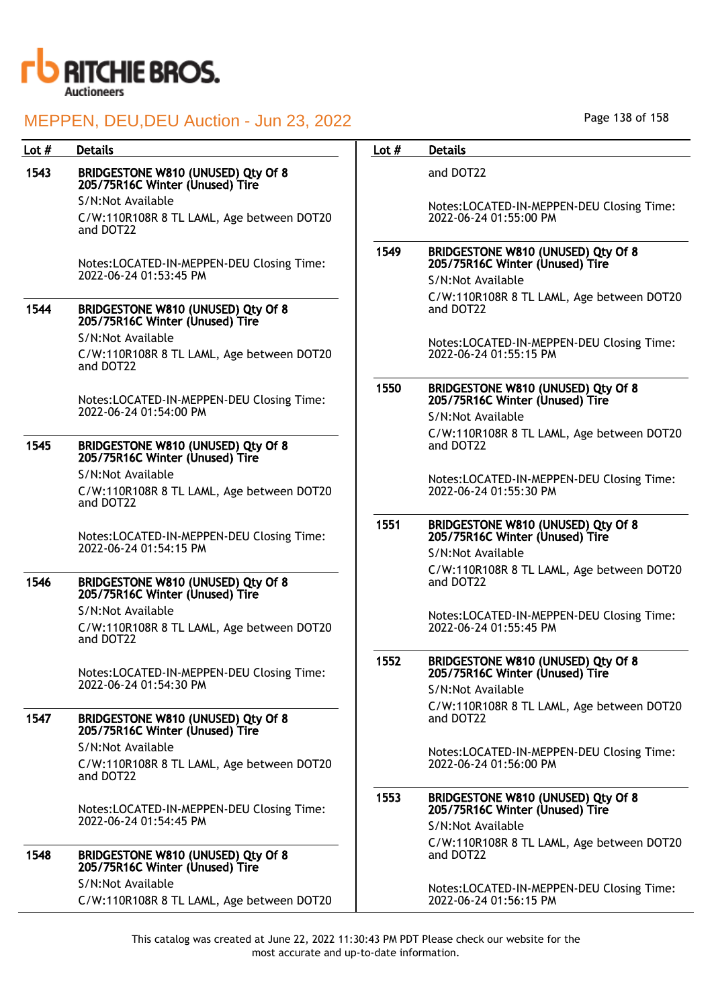

# 1543 BRIDGESTONE W810 (UNUSED) Qty Of 8 205/75R16C Winter (Unused) Tire S/N:Not Available C/W:110R108R 8 TL LAML, Age between DOT20 and DOT22 Notes:LOCATED-IN-MEPPEN-DEU Closing Time: 2022-06-24 01:53:45 PM 1544 BRIDGESTONE W810 (UNUSED) Qty Of 8 205/75R16C Winter (Unused) Tire S/N:Not Available C/W:110R108R 8 TL LAML, Age between DOT20 and DOT22 Notes:LOCATED-IN-MEPPEN-DEU Closing Time: 2022-06-24 01:54:00 PM

### 1545 BRIDGESTONE W810 (UNUSED) Qty Of 8 205/75R16C Winter (Unused) Tire S/N:Not Available

C/W:110R108R 8 TL LAML, Age between DOT20 and DOT22

Notes:LOCATED-IN-MEPPEN-DEU Closing Time: 2022-06-24 01:54:15 PM

### 1546 BRIDGESTONE W810 (UNUSED) Qty Of 8 205/75R16C Winter (Unused) Tire

S/N:Not Available

C/W:110R108R 8 TL LAML, Age between DOT20 and DOT22

Notes:LOCATED-IN-MEPPEN-DEU Closing Time: 2022-06-24 01:54:30 PM

### 1547 BRIDGESTONE W810 (UNUSED) Qty Of 8 205/75R16C Winter (Unused) Tire S/N:Not Available

C/W:110R108R 8 TL LAML, Age between DOT20 and DOT22

Notes:LOCATED-IN-MEPPEN-DEU Closing Time: 2022-06-24 01:54:45 PM

## 1548 BRIDGESTONE W810 (UNUSED) Qty Of 8 205/75R16C Winter (Unused) Tire S/N:Not Available

C/W:110R108R 8 TL LAML, Age between DOT20

### Lot # Details **Details According to the United States Lot # Details**

and DOT22

Notes:LOCATED-IN-MEPPEN-DEU Closing Time: 2022-06-24 01:55:00 PM

### 1549 BRIDGESTONE W810 (UNUSED) Qty Of 8 205/75R16C Winter (Unused) Tire S/N:Not Available

C/W:110R108R 8 TL LAML, Age between DOT20 and DOT22

Notes:LOCATED-IN-MEPPEN-DEU Closing Time: 2022-06-24 01:55:15 PM

### 1550 BRIDGESTONE W810 (UNUSED) Qty Of 8 205/75R16C Winter (Unused) Tire S/N:Not Available

C/W:110R108R 8 TL LAML, Age between DOT20 and DOT22

Notes:LOCATED-IN-MEPPEN-DEU Closing Time: 2022-06-24 01:55:30 PM

### 1551 BRIDGESTONE W810 (UNUSED) Qty Of 8 205/75R16C Winter (Unused) Tire

S/N:Not Available C/W:110R108R 8 TL LAML, Age between DOT20 and DOT22

Notes:LOCATED-IN-MEPPEN-DEU Closing Time: 2022-06-24 01:55:45 PM

### 1552 BRIDGESTONE W810 (UNUSED) Qty Of 8 205/75R16C Winter (Unused) Tire

S/N:Not Available C/W:110R108R 8 TL LAML, Age between DOT20 and DOT22

Notes:LOCATED-IN-MEPPEN-DEU Closing Time: 2022-06-24 01:56:00 PM

## 1553 BRIDGESTONE W810 (UNUSED) Qty Of 8 205/75R16C Winter (Unused) Tire S/N:Not Available

C/W:110R108R 8 TL LAML, Age between DOT20 and DOT22

Notes:LOCATED-IN-MEPPEN-DEU Closing Time: 2022-06-24 01:56:15 PM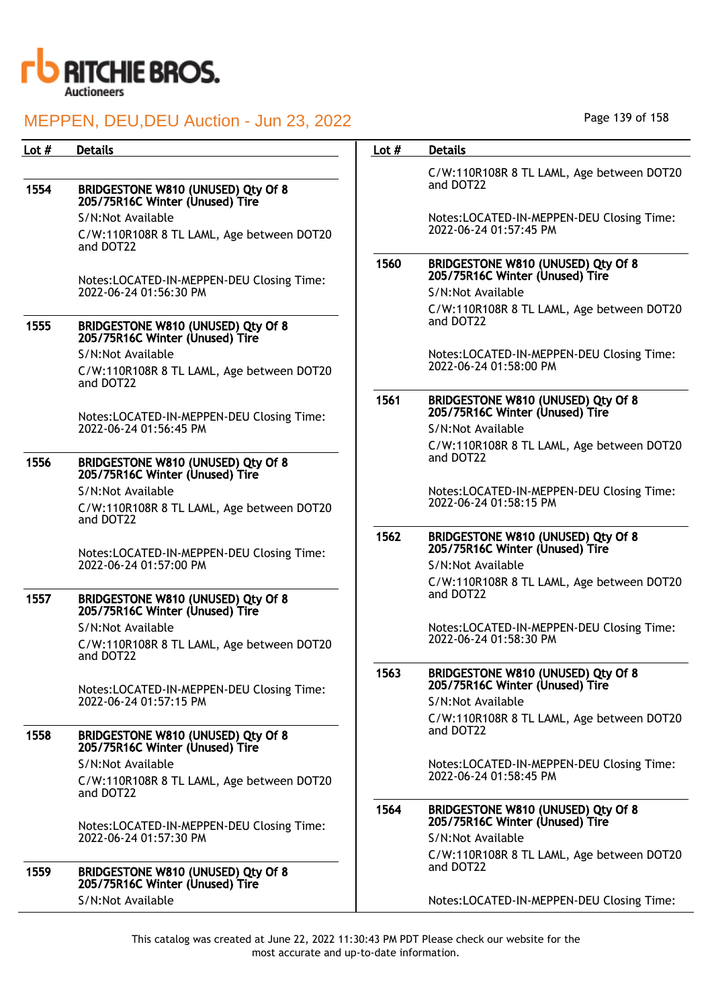

| Lot $#$ | <b>Details</b>                                                        | Lot $#$ | <b>Details</b>                                                        |
|---------|-----------------------------------------------------------------------|---------|-----------------------------------------------------------------------|
| 1554    | BRIDGESTONE W810 (UNUSED) Qty Of 8                                    |         | C/W:110R108R 8 TL LAML, Age between DOT20<br>and DOT22                |
|         | 205/75R16C Winter (Unused) Tire                                       |         |                                                                       |
|         | S/N:Not Available                                                     |         | Notes:LOCATED-IN-MEPPEN-DEU Closing Time:<br>2022-06-24 01:57:45 PM   |
|         | C/W:110R108R 8 TL LAML, Age between DOT20<br>and DOT22                |         |                                                                       |
|         | Notes:LOCATED-IN-MEPPEN-DEU Closing Time:                             | 1560    | BRIDGESTONE W810 (UNUSED) Qty Of 8<br>205/75R16C Winter (Unused) Tire |
|         | 2022-06-24 01:56:30 PM                                                |         | S/N:Not Available                                                     |
|         |                                                                       |         | C/W:110R108R 8 TL LAML, Age between DOT20                             |
| 1555    | BRIDGESTONE W810 (UNUSED) Qty Of 8<br>205/75R16C Winter (Unused) Tire |         | and DOT22                                                             |
|         | S/N:Not Available                                                     |         | Notes:LOCATED-IN-MEPPEN-DEU Closing Time:<br>2022-06-24 01:58:00 PM   |
|         | C/W:110R108R 8 TL LAML, Age between DOT20<br>and DOT22                |         |                                                                       |
|         | Notes:LOCATED-IN-MEPPEN-DEU Closing Time:                             | 1561    | BRIDGESTONE W810 (UNUSED) Qty Of 8<br>205/75R16C Winter (Unused) Tire |
|         | 2022-06-24 01:56:45 PM                                                |         | S/N:Not Available                                                     |
|         |                                                                       |         | C/W:110R108R 8 TL LAML, Age between DOT20                             |
| 1556    | BRIDGESTONE W810 (UNUSED) Qty Of 8<br>205/75R16C Winter (Unused) Tire |         | and DOT22                                                             |
|         | S/N:Not Available                                                     |         | Notes:LOCATED-IN-MEPPEN-DEU Closing Time:                             |
|         | C/W:110R108R 8 TL LAML, Age between DOT20<br>and DOT22                |         | 2022-06-24 01:58:15 PM                                                |
|         | Notes:LOCATED-IN-MEPPEN-DEU Closing Time:                             | 1562    | BRIDGESTONE W810 (UNUSED) Qty Of 8<br>205/75R16C Winter (Unused) Tire |
|         | 2022-06-24 01:57:00 PM                                                |         | S/N:Not Available                                                     |
| 1557    | BRIDGESTONE W810 (UNUSED) Qty Of 8<br>205/75R16C Winter (Unused) Tire |         | C/W:110R108R 8 TL LAML, Age between DOT20<br>and DOT22                |
|         | S/N:Not Available                                                     |         | Notes:LOCATED-IN-MEPPEN-DEU Closing Time:<br>2022-06-24 01:58:30 PM   |
|         | C/W:110R108R 8 TL LAML, Age between DOT20<br>and DOT22                |         |                                                                       |
|         | Notes:LOCATED-IN-MEPPEN-DEU Closing Time:                             | 1563    | BRIDGESTONE W810 (UNUSED) Qty Of 8<br>205/75R16C Winter (Unused) Tire |
|         | 2022-06-24 01:57:15 PM                                                |         | S/N:Not Available                                                     |
| 1558    | BRIDGESTONE W810 (UNUSED) Qty Of 8                                    |         | C/W:110R108R 8 TL LAML, Age between DOT20<br>and DOT22                |
|         | 205/75R16C Winter (Unused) Tire                                       |         |                                                                       |
|         | S/N:Not Available                                                     |         | Notes:LOCATED-IN-MEPPEN-DEU Closing Time:                             |
|         | C/W:110R108R 8 TL LAML, Age between DOT20<br>and DOT22                |         | 2022-06-24 01:58:45 PM                                                |
|         | Notes:LOCATED-IN-MEPPEN-DEU Closing Time:<br>2022-06-24 01:57:30 PM   | 1564    | BRIDGESTONE W810 (UNUSED) Qty Of 8<br>205/75R16C Winter (Unused) Tire |
|         |                                                                       |         | S/N:Not Available                                                     |
|         |                                                                       |         | C/W:110R108R 8 TL LAML, Age between DOT20<br>and DOT22                |
| 1559    | BRIDGESTONE W810 (UNUSED) Qty Of 8<br>205/75R16C Winter (Unused) Tire |         |                                                                       |
|         | S/N:Not Available                                                     |         | Notes:LOCATED-IN-MEPPEN-DEU Closing Time:                             |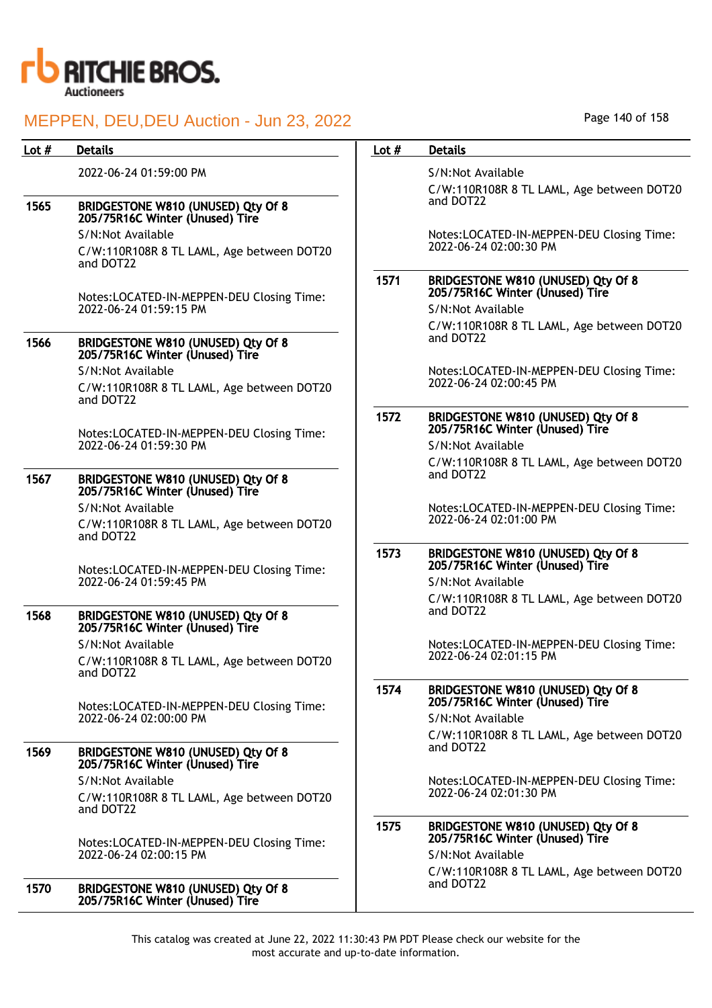

| Lot $#$ | <b>Details</b>                                                              | Lot $#$ | <b>Details</b>                                                        |
|---------|-----------------------------------------------------------------------------|---------|-----------------------------------------------------------------------|
|         |                                                                             |         |                                                                       |
|         | 2022-06-24 01:59:00 PM                                                      |         | S/N:Not Available                                                     |
| 1565    | BRIDGESTONE W810 (UNUSED) Qty Of 8                                          |         | C/W:110R108R 8 TL LAML, Age between DOT20<br>and DOT22                |
|         | 205/75R16C Winter (Unused) Tire                                             |         |                                                                       |
|         | S/N:Not Available<br>C/W:110R108R 8 TL LAML, Age between DOT20              |         | Notes:LOCATED-IN-MEPPEN-DEU Closing Time:<br>2022-06-24 02:00:30 PM   |
|         | and DOT22                                                                   | 1571    |                                                                       |
|         | Notes:LOCATED-IN-MEPPEN-DEU Closing Time:                                   |         | BRIDGESTONE W810 (UNUSED) Qty Of 8<br>205/75R16C Winter (Unused) Tire |
|         | 2022-06-24 01:59:15 PM                                                      |         | S/N:Not Available                                                     |
|         |                                                                             |         | C/W:110R108R 8 TL LAML, Age between DOT20                             |
| 1566    | BRIDGESTONE W810 (UNUSED) Qty Of 8<br>205/75R16C Winter (Unused) Tire       |         | and DOT22                                                             |
|         | S/N:Not Available                                                           |         | Notes:LOCATED-IN-MEPPEN-DEU Closing Time:                             |
|         | C/W:110R108R 8 TL LAML, Age between DOT20<br>and DOT22                      |         | 2022-06-24 02:00:45 PM                                                |
|         |                                                                             | 1572    | BRIDGESTONE W810 (UNUSED) Qty Of 8                                    |
|         | Notes:LOCATED-IN-MEPPEN-DEU Closing Time:                                   |         | 205/75R16C Winter (Unused) Tire                                       |
|         | 2022-06-24 01:59:30 PM                                                      |         | S/N:Not Available                                                     |
|         |                                                                             |         | C/W:110R108R 8 TL LAML, Age between DOT20<br>and DOT22                |
| 1567    | BRIDGESTONE W810 (UNUSED) Qty Of 8<br>205/75R16C Winter (Unused) Tire       |         |                                                                       |
|         | S/N:Not Available                                                           |         | Notes:LOCATED-IN-MEPPEN-DEU Closing Time:                             |
|         | C/W:110R108R 8 TL LAML, Age between DOT20<br>and DOT22                      |         | 2022-06-24 02:01:00 PM                                                |
|         |                                                                             | 1573    | BRIDGESTONE W810 (UNUSED) Qty Of 8                                    |
|         | Notes:LOCATED-IN-MEPPEN-DEU Closing Time:                                   |         | 205/75R16C Winter (Unused) Tire                                       |
|         | 2022-06-24 01:59:45 PM                                                      |         | S/N:Not Available                                                     |
| 1568    | BRIDGESTONE W810 (UNUSED) Qty Of 8                                          |         | C/W:110R108R 8 TL LAML, Age between DOT20<br>and DOT22                |
|         | 205/75R16C Winter (Unused) Tire                                             |         |                                                                       |
|         | S/N:Not Available<br>C/W:110R108R 8 TL LAML, Age between DOT20<br>and DOT22 |         | Notes:LOCATED-IN-MEPPEN-DEU Closing Time:<br>2022-06-24 02:01:15 PM   |
|         | Notes:LOCATED-IN-MEPPEN-DEU Closing Time:                                   | 1574    | BRIDGESTONE W810 (UNUSED) Qty Of 8<br>205/75R16C Winter (Unused) Tire |
|         | 2022-06-24 02:00:00 PM                                                      |         | S/N:Not Available                                                     |
|         |                                                                             |         | C/W:110R108R 8 TL LAML, Age between DOT20                             |
| 1569    | BRIDGESTONE W810 (UNUSED) Qty Of 8<br>205/75R16C Winter (Unused) Tire       |         | and DOT22                                                             |
|         | S/N:Not Available                                                           |         | Notes:LOCATED-IN-MEPPEN-DEU Closing Time:                             |
|         | C/W:110R108R 8 TL LAML, Age between DOT20<br>and DOT22                      |         | 2022-06-24 02:01:30 PM                                                |
|         |                                                                             | 1575    | BRIDGESTONE W810 (UNUSED) Qty Of 8<br>205/75R16C Winter (Unused) Tire |
|         | Notes:LOCATED-IN-MEPPEN-DEU Closing Time:<br>2022-06-24 02:00:15 PM         |         | S/N:Not Available                                                     |
|         |                                                                             |         | C/W:110R108R 8 TL LAML, Age between DOT20                             |
| 1570    | BRIDGESTONE W810 (UNUSED) Qty Of 8<br>205/75R16C Winter (Unused) Tire       |         | and DOT22                                                             |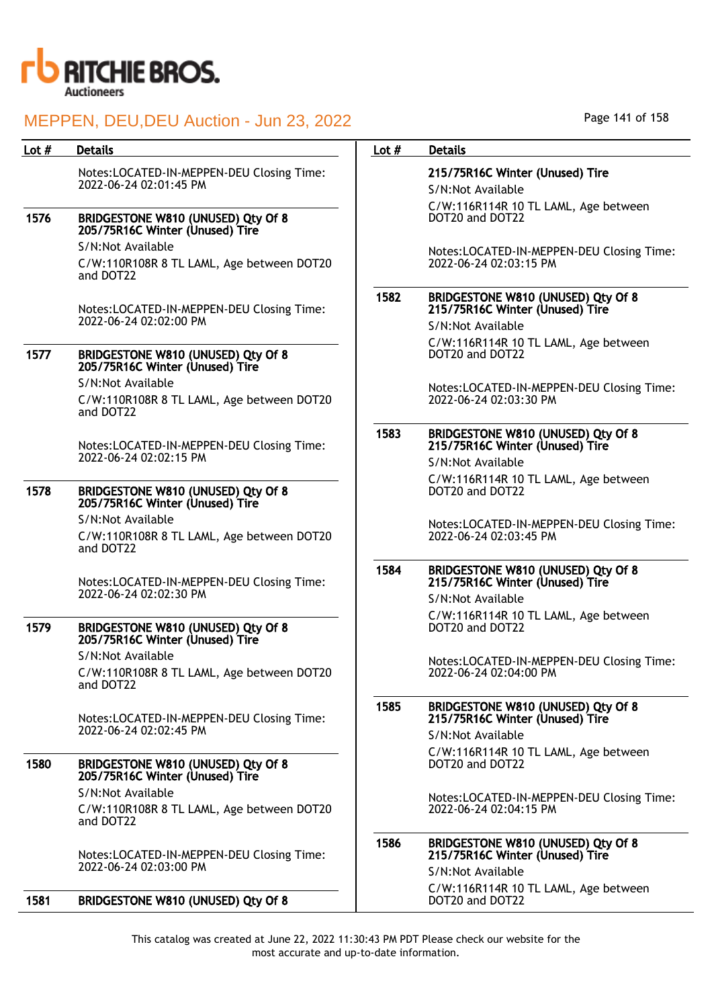

| Lot $#$ | <b>Details</b>                                                        | Lot $#$ | <b>Details</b>                               |
|---------|-----------------------------------------------------------------------|---------|----------------------------------------------|
|         | Notes:LOCATED-IN-MEPPEN-DEU Closing Time:                             |         | 215/75R16C Winter                            |
|         | 2022-06-24 02:01:45 PM                                                |         | S/N:Not Available                            |
| 1576    | BRIDGESTONE W810 (UNUSED) Qty Of 8<br>205/75R16C Winter (Unused) Tire |         | C/W:116R114R 10 T<br>DOT20 and DOT22         |
|         | S/N:Not Available                                                     |         |                                              |
|         | C/W:110R108R 8 TL LAML, Age between DOT20<br>and DOT22                |         | Notes:LOCATED-IN-M<br>2022-06-24 02:03:15    |
|         | Notes:LOCATED-IN-MEPPEN-DEU Closing Time:                             | 1582    | <b>BRIDGESTONE W810</b><br>215/75R16C Winter |
|         | 2022-06-24 02:02:00 PM                                                |         | S/N:Not Available                            |
| 1577    | BRIDGESTONE W810 (UNUSED) Qty Of 8<br>205/75R16C Winter (Unused) Tire |         | C/W:116R114R 10 T<br>DOT20 and DOT22         |
|         | S/N:Not Available                                                     |         | Notes:LOCATED-IN-M                           |
|         | C/W:110R108R 8 TL LAML, Age between DOT20<br>and DOT22                |         | 2022-06-24 02:03:30                          |
|         | Notes:LOCATED-IN-MEPPEN-DEU Closing Time:<br>2022-06-24 02:02:15 PM   | 1583    | <b>BRIDGESTONE W810</b><br>215/75R16C Winter |
|         |                                                                       |         | S/N:Not Available                            |
| 1578    | BRIDGESTONE W810 (UNUSED) Qty Of 8<br>205/75R16C Winter (Unused) Tire |         | C/W:116R114R 10 T<br>DOT20 and DOT22         |
|         | S/N:Not Available                                                     |         | Notes:LOCATED-IN-M                           |
|         | C/W:110R108R 8 TL LAML, Age between DOT20<br>and DOT22                |         | 2022-06-24 02:03:45                          |
|         | Notes:LOCATED-IN-MEPPEN-DEU Closing Time:                             | 1584    | <b>BRIDGESTONE W810</b><br>215/75R16C Winter |
|         | 2022-06-24 02:02:30 PM                                                |         | S/N:Not Available                            |
| 1579    | BRIDGESTONE W810 (UNUSED) Qty Of 8<br>205/75R16C Winter (Unused) Tire |         | C/W:116R114R 10 T<br>DOT20 and DOT22         |
|         | S/N:Not Available                                                     |         | Notes:LOCATED-IN-M                           |
|         | C/W:110R108R 8 TL LAML, Age between DOT20<br>and DOT22                |         | 2022-06-24 02:04:00                          |
|         | Notes:LOCATED-IN-MEPPEN-DEU Closing Time:<br>2022-06-24 02:02:45 PM   | 1585    | <b>BRIDGESTONE W810</b><br>215/75R16C Winter |
|         |                                                                       |         | S/N:Not Available                            |
| 1580    | BRIDGESTONE W810 (UNUSED) Qty Of 8<br>205/75R16C Winter (Unused) Tire |         | C/W:116R114R 10 T<br>DOT20 and DOT22         |
|         | S/N:Not Available                                                     |         | Notes:LOCATED-IN-A                           |
|         | C/W:110R108R 8 TL LAML, Age between DOT20<br>and DOT22                |         | 2022-06-24 02:04:15                          |
|         | Notes:LOCATED-IN-MEPPEN-DEU Closing Time:                             | 1586    | <b>BRIDGESTONE W810</b><br>215/75R16C Winter |
|         | 2022-06-24 02:03:00 PM                                                |         | S/N:Not Available                            |
| 1581    | BRIDGESTONE W810 (UNUSED) Qty Of 8                                    |         | C/W:116R114R 10 T<br>DOT20 and DOT22         |

## (Unused) Tire

L LAML, Age between

**NEPPEN-DEU Closing Time:** PM

### 1582 BRIDGESTONE W810 (UNUSED) Qty Of 8 215/75R16C Winter (Unused) Tire

L LAML, Age between

MEPPEN-DEU Closing Time: PM

### 1583 BRIDGESTONE W810 (UNUSED) Qty Of 8 215/75R16C Winter (Unused) Tire

L LAML, Age between

MEPPEN-DEU Closing Time: PM

### 1584 BRIDGESTONE W810 (UNUSED) Qty Of 8 215/75R16C Winter (Unused) Tire

L LAML, Age between

MEPPEN-DEU Closing Time: PM

### 1585 BRIDGESTONE W810 (UNUSED) Qty Of 8 215/75R16C Winter (Unused) Tire

L LAML, Age between

MEPPEN-DEU Closing Time: PM

# 1586 BRIDGESTONE W810 (UNUSED) Qty Of 8 215/75R16C Winter (Unused) Tire

L LAML, Age between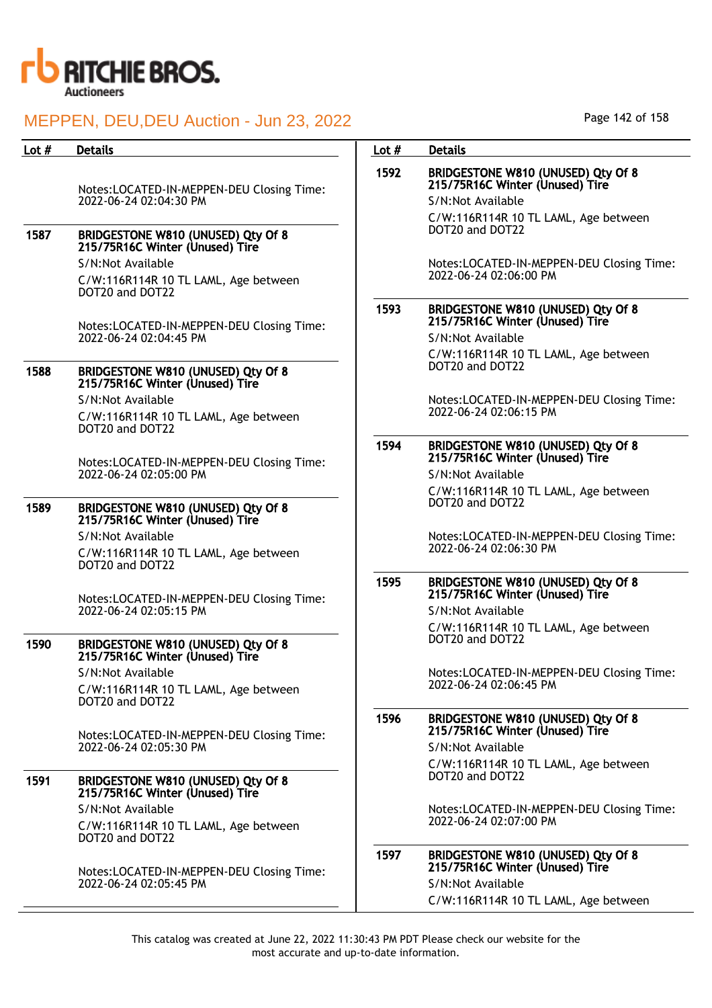

| Lot $#$ | <b>Details</b>                                                        | Lot $#$ | <b>Details</b>                                                        |
|---------|-----------------------------------------------------------------------|---------|-----------------------------------------------------------------------|
|         | Notes:LOCATED-IN-MEPPEN-DEU Closing Time:                             | 1592    | BRIDGESTONE W810 (UNUSED) Qty Of 8<br>215/75R16C Winter (Unused) Tire |
|         | 2022-06-24 02:04:30 PM                                                |         | S/N:Not Available                                                     |
|         |                                                                       |         | C/W:116R114R 10 TL LAML, Age between                                  |
| 1587    | BRIDGESTONE W810 (UNUSED) Qty Of 8<br>215/75R16C Winter (Unused) Tire |         | DOT20 and DOT22                                                       |
|         | S/N:Not Available                                                     |         | Notes:LOCATED-IN-MEPPEN-DEU Closing Time:                             |
|         | C/W:116R114R 10 TL LAML, Age between<br>DOT20 and DOT22               |         | 2022-06-24 02:06:00 PM                                                |
|         |                                                                       | 1593    | BRIDGESTONE W810 (UNUSED) Qty Of 8<br>215/75R16C Winter (Unused) Tire |
|         | Notes:LOCATED-IN-MEPPEN-DEU Closing Time:<br>2022-06-24 02:04:45 PM   |         | S/N:Not Available                                                     |
|         |                                                                       |         | C/W:116R114R 10 TL LAML, Age between                                  |
| 1588    | BRIDGESTONE W810 (UNUSED) Qty Of 8<br>215/75R16C Winter (Unused) Tire |         | DOT20 and DOT22                                                       |
|         | S/N:Not Available                                                     |         | Notes:LOCATED-IN-MEPPEN-DEU Closing Time:                             |
|         | C/W:116R114R 10 TL LAML, Age between<br>DOT20 and DOT22               |         | 2022-06-24 02:06:15 PM                                                |
|         | Notes:LOCATED-IN-MEPPEN-DEU Closing Time:                             | 1594    | BRIDGESTONE W810 (UNUSED) Qty Of 8<br>215/75R16C Winter (Unused) Tire |
|         | 2022-06-24 02:05:00 PM                                                |         | S/N:Not Available                                                     |
|         |                                                                       |         | C/W:116R114R 10 TL LAML, Age between                                  |
| 1589    | BRIDGESTONE W810 (UNUSED) Qty Of 8<br>215/75R16C Winter (Unused) Tire |         | DOT20 and DOT22                                                       |
|         | S/N:Not Available                                                     |         | Notes:LOCATED-IN-MEPPEN-DEU Closing Time:                             |
|         | C/W:116R114R 10 TL LAML, Age between<br>DOT20 and DOT22               |         | 2022-06-24 02:06:30 PM                                                |
|         | Notes:LOCATED-IN-MEPPEN-DEU Closing Time:                             | 1595    | BRIDGESTONE W810 (UNUSED) Qty Of 8<br>215/75R16C Winter (Unused) Tire |
|         | 2022-06-24 02:05:15 PM                                                |         | S/N:Not Available                                                     |
| 1590    | BRIDGESTONE W810 (UNUSED) Qty Of 8                                    |         | C/W:116R114R 10 TL LAML, Age between<br>DOT20 and DOT22               |
|         | 215/75R16C Winter (Unused) Tire                                       |         |                                                                       |
|         | S/N:Not Available                                                     |         | Notes:LOCATED-IN-MEPPEN-DEU Closing Time:<br>2022-06-24 02:06:45 PM   |
|         | C/W:116R114R 10 TL LAML, Age between<br>DOT20 and DOT22               |         |                                                                       |
|         | Notes:LOCATED-IN-MEPPEN-DEU Closing Time:                             | 1596    | BRIDGESTONE W810 (UNUSED) Qty Of 8<br>215/75R16C Winter (Unused) Tire |
|         | 2022-06-24 02:05:30 PM                                                |         | S/N:Not Available                                                     |
|         |                                                                       |         | C/W:116R114R 10 TL LAML, Age between<br>DOT20 and DOT22               |
| 1591    | BRIDGESTONE W810 (UNUSED) Qty Of 8<br>215/75R16C Winter (Unused) Tire |         |                                                                       |
|         | S/N:Not Available                                                     |         | Notes:LOCATED-IN-MEPPEN-DEU Closing Time:                             |
|         | C/W:116R114R 10 TL LAML, Age between<br>DOT20 and DOT22               |         | 2022-06-24 02:07:00 PM                                                |
|         | Notes:LOCATED-IN-MEPPEN-DEU Closing Time:                             | 1597    | BRIDGESTONE W810 (UNUSED) Qty Of 8<br>215/75R16C Winter (Unused) Tire |
|         | 2022-06-24 02:05:45 PM                                                |         | S/N:Not Available                                                     |
|         |                                                                       |         | C/W:116R114R 10 TL LAML, Age between                                  |

Page 142 of 158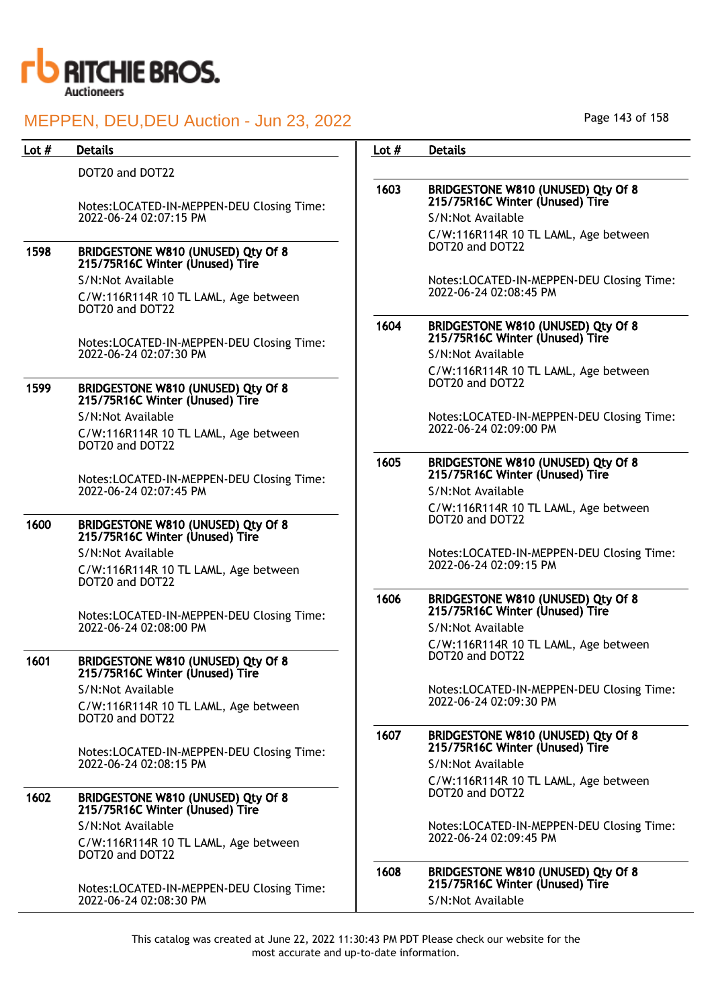

| Lot $#$ | <b>Details</b>                                                        | Lot $#$ | <b>Details</b>                                                                             |
|---------|-----------------------------------------------------------------------|---------|--------------------------------------------------------------------------------------------|
|         | DOT20 and DOT22                                                       |         |                                                                                            |
|         | Notes:LOCATED-IN-MEPPEN-DEU Closing Time:                             | 1603    | BRIDGESTONE W810 (UNUSED) Qty Of 8<br>215/75R16C Winter (Unused) Tire                      |
|         | 2022-06-24 02:07:15 PM                                                |         | S/N:Not Available                                                                          |
| 1598    | BRIDGESTONE W810 (UNUSED) Qty Of 8<br>215/75R16C Winter (Unused) Tire |         | C/W:116R114R 10 TL LAML, Age between<br>DOT20 and DOT22                                    |
|         | S/N:Not Available                                                     |         | Notes:LOCATED-IN-MEPPEN-DEU Closing Time:                                                  |
|         | C/W:116R114R 10 TL LAML, Age between<br>DOT20 and DOT22               |         | 2022-06-24 02:08:45 PM                                                                     |
|         | Notes:LOCATED-IN-MEPPEN-DEU Closing Time:                             | 1604    | BRIDGESTONE W810 (UNUSED) Qty Of 8<br>215/75R16C Winter (Unused) Tire                      |
|         | 2022-06-24 02:07:30 PM                                                |         | S/N:Not Available                                                                          |
| 1599    | BRIDGESTONE W810 (UNUSED) Qty Of 8<br>215/75R16C Winter (Unused) Tire |         | C/W:116R114R 10 TL LAML, Age between<br>DOT20 and DOT22                                    |
|         | S/N:Not Available                                                     |         | Notes:LOCATED-IN-MEPPEN-DEU Closing Time:                                                  |
|         | C/W:116R114R 10 TL LAML, Age between<br>DOT20 and DOT22               |         | 2022-06-24 02:09:00 PM                                                                     |
|         | Notes:LOCATED-IN-MEPPEN-DEU Closing Time:                             | 1605    | BRIDGESTONE W810 (UNUSED) Qty Of 8<br>215/75R16C Winter (Unused) Tire                      |
|         | 2022-06-24 02:07:45 PM                                                |         | S/N:Not Available                                                                          |
| 1600    | BRIDGESTONE W810 (UNUSED) Qty Of 8<br>215/75R16C Winter (Unused) Tire |         | C/W:116R114R 10 TL LAML, Age between<br>DOT20 and DOT22                                    |
|         | S/N:Not Available                                                     |         | Notes:LOCATED-IN-MEPPEN-DEU Closing Time:                                                  |
|         | C/W:116R114R 10 TL LAML, Age between<br>DOT20 and DOT22               | 1606    | 2022-06-24 02:09:15 PM                                                                     |
|         | Notes:LOCATED-IN-MEPPEN-DEU Closing Time:<br>2022-06-24 02:08:00 PM   |         | BRIDGESTONE W810 (UNUSED) Qty Of 8<br>215/75R16C Winter (Unused) Tire<br>S/N:Not Available |
| 1601    | BRIDGESTONE W810 (UNUSED) Qty Of 8<br>215/75R16C Winter (Unused) Tire |         | C/W:116R114R 10 TL LAML, Age between<br>DOT20 and DOT22                                    |
|         | S/N:Not Available                                                     |         | Notes:LOCATED-IN-MEPPEN-DEU Closing Time:                                                  |
|         | C/W:116R114R 10 TL LAML, Age between<br>DOT20 and DOT22               |         | 2022-06-24 02:09:30 PM                                                                     |
|         | Notes:LOCATED-IN-MEPPEN-DEU Closing Time:                             | 1607    | BRIDGESTONE W810 (UNUSED) Qty Of 8<br>215/75R16C Winter (Unused) Tire                      |
|         | 2022-06-24 02:08:15 PM                                                |         | S/N:Not Available                                                                          |
| 1602    | BRIDGESTONE W810 (UNUSED) Qty Of 8<br>215/75R16C Winter (Unused) Tire |         | C/W:116R114R 10 TL LAML, Age between<br>DOT20 and DOT22                                    |
|         | S/N:Not Available                                                     |         | Notes:LOCATED-IN-MEPPEN-DEU Closing Time:                                                  |
|         | C/W:116R114R 10 TL LAML, Age between<br>DOT20 and DOT22               |         | 2022-06-24 02:09:45 PM                                                                     |
|         | Notes:LOCATED-IN-MEPPEN-DEU Closing Time:                             | 1608    | BRIDGESTONE W810 (UNUSED) Qty Of 8<br>215/75R16C Winter (Unused) Tire                      |
|         | 2022-06-24 02:08:30 PM                                                |         | S/N:Not Available                                                                          |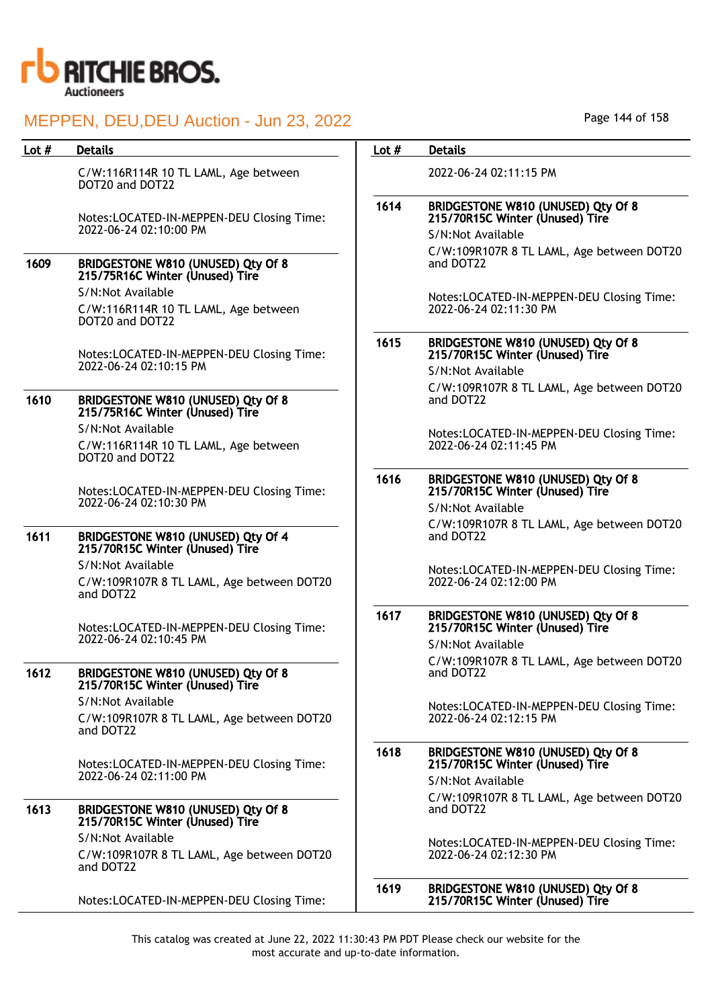

C/W:116R114R 10 TL LAML, Age between DOT20 and DOT22

Notes:LOCATED-IN-MEPPEN-DEU Closing Time: 2022-06-24 02:10:00 PM

### 1609 BRIDGESTONE W810 (UNUSED) Qty Of 8 215/75R16C Winter (Unused) Tire

S/N:Not Available

C/W:116R114R 10 TL LAML, Age between DOT20 and DOT22

Notes:LOCATED-IN-MEPPEN-DEU Closing Time: 2022-06-24 02:10:15 PM

### 1610 BRIDGESTONE W810 (UNUSED) Qty Of 8 215/75R16C Winter (Unused) Tire S/N:Not Available

C/W:116R114R 10 TL LAML, Age between DOT20 and DOT22

Notes:LOCATED-IN-MEPPEN-DEU Closing Time: 2022-06-24 02:10:30 PM

### 1611 BRIDGESTONE W810 (UNUSED) Qty Of 4 215/70R15C Winter (Unused) Tire

S/N:Not Available C/W:109R107R 8 TL LAML, Age between DOT20 and DOT22

Notes:LOCATED-IN-MEPPEN-DEU Closing Time: 2022-06-24 02:10:45 PM

### 1612 BRIDGESTONE W810 (UNUSED) Qty Of 8 215/70R15C Winter (Unused) Tire S/N:Not Available

C/W:109R107R 8 TL LAML, Age between DOT20 and DOT22

Notes:LOCATED-IN-MEPPEN-DEU Closing Time: 2022-06-24 02:11:00 PM

### 1613 BRIDGESTONE W810 (UNUSED) Qty Of 8 215/70R15C Winter (Unused) Tire

S/N:Not Available C/W:109R107R 8 TL LAML, Age between DOT20 and DOT22

Notes:LOCATED-IN-MEPPEN-DEU Closing Time:

Page 144 of 158

### Lot # Details **Details According to the United States Lot # Details**

2022-06-24 02:11:15 PM

## 1614 BRIDGESTONE W810 (UNUSED) Qty Of 8 215/70R15C Winter (Unused) Tire S/N:Not Available

C/W:109R107R 8 TL LAML, Age between DOT20 and DOT22

Notes:LOCATED-IN-MEPPEN-DEU Closing Time: 2022-06-24 02:11:30 PM

### 1615 BRIDGESTONE W810 (UNUSED) Qty Of 8 215/70R15C Winter (Unused) Tire S/N:Not Available

C/W:109R107R 8 TL LAML, Age between DOT20 and DOT22

Notes:LOCATED-IN-MEPPEN-DEU Closing Time: 2022-06-24 02:11:45 PM

### 1616 BRIDGESTONE W810 (UNUSED) Qty Of 8 215/70R15C Winter (Unused) Tire

S/N:Not Available C/W:109R107R 8 TL LAML, Age between DOT20 and DOT22

Notes:LOCATED-IN-MEPPEN-DEU Closing Time: 2022-06-24 02:12:00 PM

### 1617 BRIDGESTONE W810 (UNUSED) Qty Of 8 215/70R15C Winter (Unused) Tire

S/N:Not Available C/W:109R107R 8 TL LAML, Age between DOT20 and DOT22

Notes:LOCATED-IN-MEPPEN-DEU Closing Time: 2022-06-24 02:12:15 PM

### 1618 BRIDGESTONE W810 (UNUSED) Qty Of 8 215/70R15C Winter (Unused) Tire S/N:Not Available

C/W:109R107R 8 TL LAML, Age between DOT20 and DOT22

Notes:LOCATED-IN-MEPPEN-DEU Closing Time: 2022-06-24 02:12:30 PM

### 1619 BRIDGESTONE W810 (UNUSED) Qty Of 8 215/70R15C Winter (Unused) Tire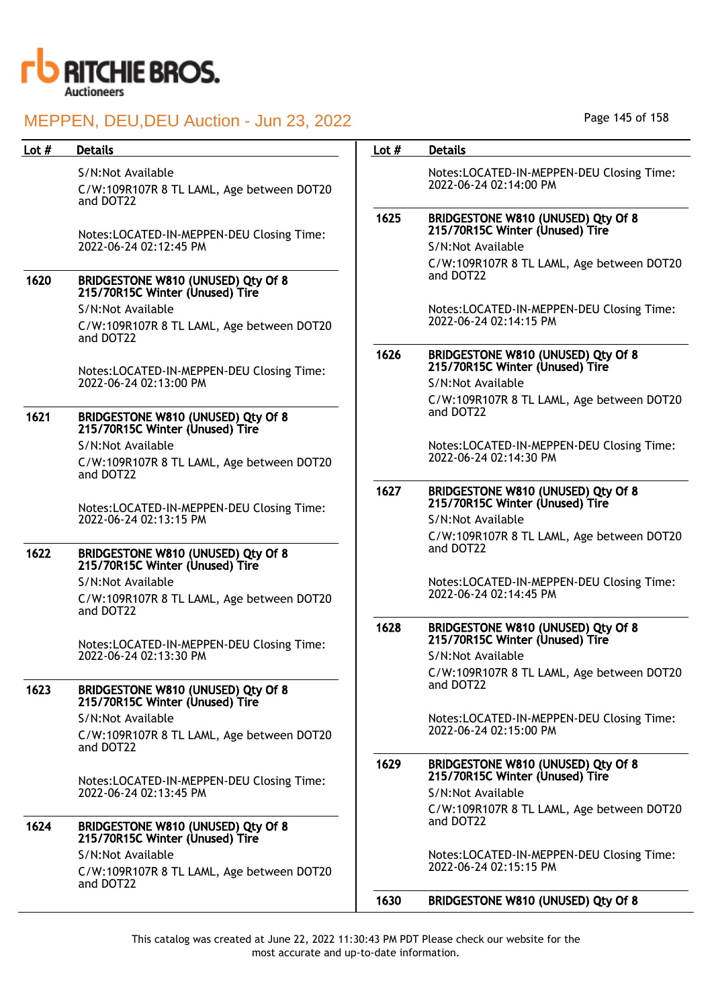

S/N:Not Available

C/W:109R107R 8 TL LAML, Age between DOT20 and DOT22

Notes:LOCATED-IN-MEPPEN-DEU Closing Time: 2022-06-24 02:12:45 PM

# 1620 BRIDGESTONE W810 (UNUSED) Qty Of 8 215/70R15C Winter (Unused) Tire

S/N:Not Available C/W:109R107R 8 TL LAML, Age between DOT20 and DOT22

Notes:LOCATED-IN-MEPPEN-DEU Closing Time: 2022-06-24 02:13:00 PM

## 1621 BRIDGESTONE W810 (UNUSED) Qty Of 8 215/70R15C Winter (Unused) Tire

S/N:Not Available C/W:109R107R 8 TL LAML, Age between DOT20 and DOT22

Notes:LOCATED-IN-MEPPEN-DEU Closing Time: 2022-06-24 02:13:15 PM

## 1622 BRIDGESTONE W810 (UNUSED) Qty Of 8 215/70R15C Winter (Unused) Tire

S/N:Not Available C/W:109R107R 8 TL LAML, Age between DOT20 and DOT22

Notes:LOCATED-IN-MEPPEN-DEU Closing Time: 2022-06-24 02:13:30 PM

#### 1623 BRIDGESTONE W810 (UNUSED) Qty Of 8 215/70R15C Winter (Unused) Tire

S/N:Not Available C/W:109R107R 8 TL LAML, Age between DOT20 and DOT22

Notes:LOCATED-IN-MEPPEN-DEU Closing Time: 2022-06-24 02:13:45 PM

#### 1624 BRIDGESTONE W810 (UNUSED) Qty Of 8 215/70R15C Winter (Unused) Tire S/N:Not Available

C/W:109R107R 8 TL LAML, Age between DOT20 and DOT22

Page 145 of 158

## Lot # Details **Details According to the United States Lot # Details**

Notes:LOCATED-IN-MEPPEN-DEU Closing Time: 2022-06-24 02:14:00 PM

# 1625 BRIDGESTONE W810 (UNUSED) Qty Of 8 215/70R15C Winter (Unused) Tire

S/N:Not Available C/W:109R107R 8 TL LAML, Age between DOT20 and DOT22

Notes:LOCATED-IN-MEPPEN-DEU Closing Time: 2022-06-24 02:14:15 PM

#### 1626 BRIDGESTONE W810 (UNUSED) Qty Of 8 215/70R15C Winter (Unused) Tire

S/N:Not Available C/W:109R107R 8 TL LAML, Age between DOT20 and DOT22

Notes:LOCATED-IN-MEPPEN-DEU Closing Time: 2022-06-24 02:14:30 PM

## 1627 BRIDGESTONE W810 (UNUSED) Qty Of 8 215/70R15C Winter (Unused) Tire

S/N:Not Available C/W:109R107R 8 TL LAML, Age between DOT20 and DOT22

Notes:LOCATED-IN-MEPPEN-DEU Closing Time: 2022-06-24 02:14:45 PM

#### 1628 BRIDGESTONE W810 (UNUSED) Qty Of 8 215/70R15C Winter (Unused) Tire

S/N:Not Available C/W:109R107R 8 TL LAML, Age between DOT20 and DOT22

Notes:LOCATED-IN-MEPPEN-DEU Closing Time: 2022-06-24 02:15:00 PM

# 1629 BRIDGESTONE W810 (UNUSED) Qty Of 8 215/70R15C Winter (Unused) Tire

S/N:Not Available C/W:109R107R 8 TL LAML, Age between DOT20 and DOT22

Notes:LOCATED-IN-MEPPEN-DEU Closing Time: 2022-06-24 02:15:15 PM

## 1630 BRIDGESTONE W810 (UNUSED) Qty Of 8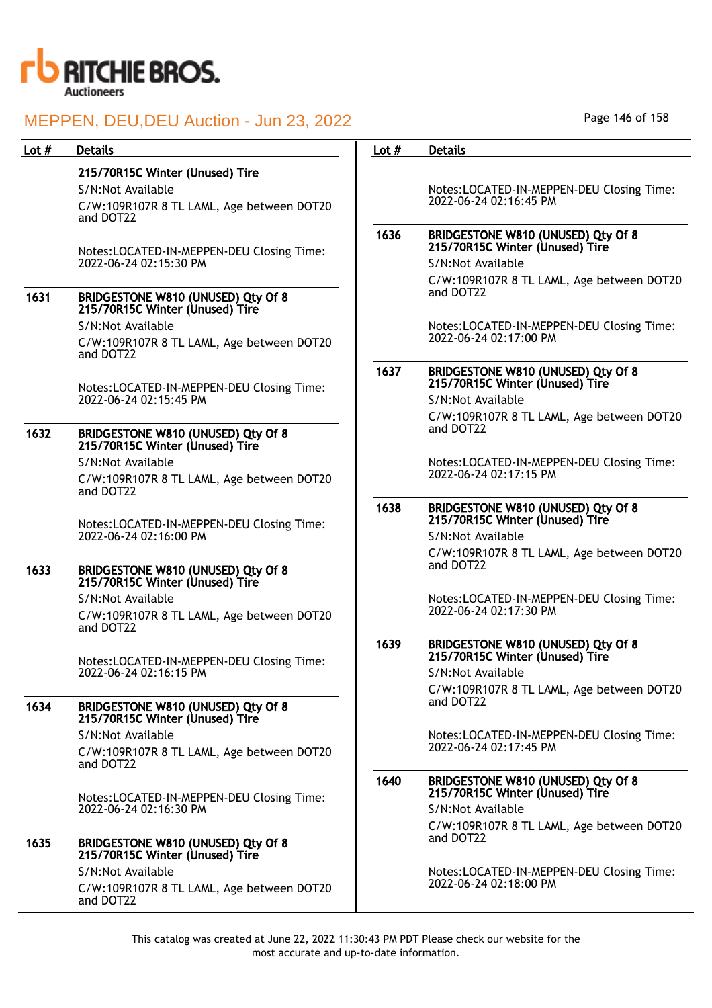

| Lot $#$ | <b>Details</b>                                                              | Lot $#$ | <b>Details</b>                                                        |
|---------|-----------------------------------------------------------------------------|---------|-----------------------------------------------------------------------|
|         | 215/70R15C Winter (Unused) Tire                                             |         |                                                                       |
|         | S/N:Not Available                                                           |         | Notes:LOCATED-IN-MEPPEN-DEU Closing Time:                             |
|         | C/W:109R107R 8 TL LAML, Age between DOT20<br>and DOT22                      |         | 2022-06-24 02:16:45 PM                                                |
|         | Notes:LOCATED-IN-MEPPEN-DEU Closing Time:                                   | 1636    | BRIDGESTONE W810 (UNUSED) Qty Of 8<br>215/70R15C Winter (Unused) Tire |
|         | 2022-06-24 02:15:30 PM                                                      |         | S/N:Not Available                                                     |
| 1631    | BRIDGESTONE W810 (UNUSED) Qty Of 8<br>215/70R15C Winter (Unused) Tire       |         | C/W:109R107R 8 TL LAML, Age between DOT20<br>and DOT22                |
|         | S/N:Not Available                                                           |         |                                                                       |
|         | C/W:109R107R 8 TL LAML, Age between DOT20<br>and DOT22                      |         | Notes:LOCATED-IN-MEPPEN-DEU Closing Time:<br>2022-06-24 02:17:00 PM   |
|         | Notes:LOCATED-IN-MEPPEN-DEU Closing Time:                                   | 1637    | BRIDGESTONE W810 (UNUSED) Qty Of 8<br>215/70R15C Winter (Unused) Tire |
|         | 2022-06-24 02:15:45 PM                                                      |         | S/N:Not Available                                                     |
| 1632    | BRIDGESTONE W810 (UNUSED) Qty Of 8                                          |         | C/W:109R107R 8 TL LAML, Age between DOT20<br>and DOT22                |
|         | 215/70R15C Winter (Unused) Tire                                             |         |                                                                       |
|         | S/N:Not Available<br>C/W:109R107R 8 TL LAML, Age between DOT20<br>and DOT22 |         | Notes:LOCATED-IN-MEPPEN-DEU Closing Time:<br>2022-06-24 02:17:15 PM   |
|         |                                                                             | 1638    | BRIDGESTONE W810 (UNUSED) Qty Of 8                                    |
|         | Notes:LOCATED-IN-MEPPEN-DEU Closing Time:                                   |         | 215/70R15C Winter (Unused) Tire                                       |
|         | 2022-06-24 02:16:00 PM                                                      |         | S/N:Not Available                                                     |
|         |                                                                             |         | C/W:109R107R 8 TL LAML, Age between DOT20<br>and DOT22                |
| 1633    | BRIDGESTONE W810 (UNUSED) Qty Of 8<br>215/70R15C Winter (Unused) Tire       |         |                                                                       |
|         | S/N:Not Available                                                           |         | Notes:LOCATED-IN-MEPPEN-DEU Closing Time:<br>2022-06-24 02:17:30 PM   |
|         | C/W:109R107R 8 TL LAML, Age between DOT20<br>and DOT22                      |         |                                                                       |
|         |                                                                             | 1639    | BRIDGESTONE W810 (UNUSED) Qty Of 8<br>215/70R15C Winter (Unused) Tire |
|         | Notes:LOCATED-IN-MEPPEN-DEU Closing Time:<br>2022-06-24 02:16:15 PM         |         | S/N:Not Available                                                     |
|         |                                                                             |         | C/W:109R107R 8 TL LAML, Age between DOT20                             |
| 1634    | BRIDGESTONE W810 (UNUSED) Qty Of 8<br>215/70R15C Winter (Unused) Tire       |         | and DOT22                                                             |
|         | S/N:Not Available                                                           |         | Notes:LOCATED-IN-MEPPEN-DEU Closing Time:                             |
|         | C/W:109R107R 8 TL LAML, Age between DOT20<br>and DOT22                      |         | 2022-06-24 02:17:45 PM                                                |
|         | Notes:LOCATED-IN-MEPPEN-DEU Closing Time:                                   | 1640    | BRIDGESTONE W810 (UNUSED) Qty Of 8<br>215/70R15C Winter (Unused) Tire |
|         | 2022-06-24 02:16:30 PM                                                      |         | S/N:Not Available                                                     |
| 1635    | BRIDGESTONE W810 (UNUSED) Qty Of 8<br>215/70R15C Winter (Unused) Tire       |         | C/W:109R107R 8 TL LAML, Age between DOT20<br>and DOT22                |
|         | S/N:Not Available                                                           |         | Notes:LOCATED-IN-MEPPEN-DEU Closing Time:                             |
|         | C/W:109R107R 8 TL LAML, Age between DOT20<br>and DOT22                      |         | 2022-06-24 02:18:00 PM                                                |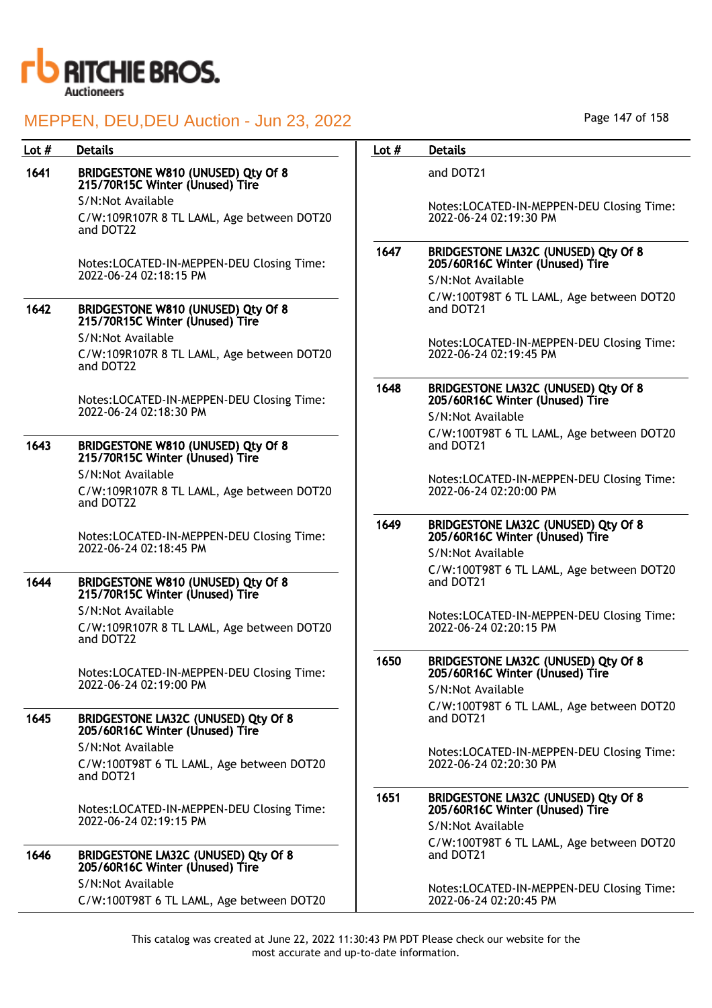

| Lot $#$ | <b>Details</b>                                                         | Lot $#$ | <b>Details</b>                                                                                     |
|---------|------------------------------------------------------------------------|---------|----------------------------------------------------------------------------------------------------|
| 1641    | BRIDGESTONE W810 (UNUSED) Qty Of 8<br>215/70R15C Winter (Unused) Tire  |         | and DOT21                                                                                          |
|         | S/N:Not Available                                                      |         | Notes:LOCATED-IN-MEPPEN-DEU Closing Time:                                                          |
|         | C/W:109R107R 8 TL LAML, Age between DOT20<br>and DOT22                 |         | 2022-06-24 02:19:30 PM                                                                             |
|         | Notes:LOCATED-IN-MEPPEN-DEU Closing Time:<br>2022-06-24 02:18:15 PM    | 1647    | BRIDGESTONE LM32C (UNUSED) Qty Of 8<br>205/60R16C Winter (Unused) Tire<br>S/N:Not Available        |
|         |                                                                        |         | C/W:100T98T 6 TL LAML, Age between DOT20                                                           |
| 1642    | BRIDGESTONE W810 (UNUSED) Qty Of 8<br>215/70R15C Winter (Unused) Tire  |         | and DOT21                                                                                          |
|         | S/N:Not Available                                                      |         | Notes:LOCATED-IN-MEPPEN-DEU Closing Time:                                                          |
|         | C/W:109R107R 8 TL LAML, Age between DOT20<br>and DOT22                 |         | 2022-06-24 02:19:45 PM                                                                             |
|         | Notes:LOCATED-IN-MEPPEN-DEU Closing Time:<br>2022-06-24 02:18:30 PM    | 1648    | <b>BRIDGESTONE LM32C (UNUSED) Qty Of 8</b><br>205/60R16C Winter (Unused) Tire<br>S/N:Not Available |
| 1643    | BRIDGESTONE W810 (UNUSED) Qty Of 8<br>215/70R15C Winter (Unused) Tire  |         | C/W:100T98T 6 TL LAML, Age between DOT20<br>and DOT21                                              |
|         | S/N:Not Available                                                      |         | Notes:LOCATED-IN-MEPPEN-DEU Closing Time:                                                          |
|         | C/W:109R107R 8 TL LAML, Age between DOT20<br>and DOT22                 |         | 2022-06-24 02:20:00 PM                                                                             |
|         | Notes:LOCATED-IN-MEPPEN-DEU Closing Time:                              | 1649    | BRIDGESTONE LM32C (UNUSED) Qty Of 8<br>205/60R16C Winter (Unused) Tire                             |
|         | 2022-06-24 02:18:45 PM                                                 |         | S/N:Not Available                                                                                  |
| 1644    | BRIDGESTONE W810 (UNUSED) Qty Of 8<br>215/70R15C Winter (Unused) Tire  |         | C/W:100T98T 6 TL LAML, Age between DOT20<br>and DOT21                                              |
|         | S/N:Not Available                                                      |         | Notes:LOCATED-IN-MEPPEN-DEU Closing Time:                                                          |
|         | C/W:109R107R 8 TL LAML, Age between DOT20<br>and DOT22                 |         | 2022-06-24 02:20:15 PM                                                                             |
|         | Notes:LOCATED-IN-MEPPEN-DEU Closing Time:                              | 1650    | BRIDGESTONE LM32C (UNUSED) Qty Of 8<br>205/60R16C Winter (Unused) Tire                             |
|         | 2022-06-24 02:19:00 PM                                                 |         | S/N:Not Available                                                                                  |
| 1645    | BRIDGESTONE LM32C (UNUSED) Qty Of 8<br>205/60R16C Winter (Unused) Tire |         | C/W:100T98T 6 TL LAML, Age between DOT20<br>and DOT21                                              |
|         | S/N:Not Available                                                      |         | Notes:LOCATED-IN-MEPPEN-DEU Closing Time:                                                          |
|         | C/W:100T98T 6 TL LAML, Age between DOT20<br>and DOT21                  |         | 2022-06-24 02:20:30 PM                                                                             |
|         | Notes:LOCATED-IN-MEPPEN-DEU Closing Time:<br>2022-06-24 02:19:15 PM    | 1651    | BRIDGESTONE LM32C (UNUSED) Qty Of 8<br>205/60R16C Winter (Unused) Tire                             |
|         |                                                                        |         | S/N:Not Available                                                                                  |
| 1646    | BRIDGESTONE LM32C (UNUSED) Qty Of 8<br>205/60R16C Winter (Unused) Tire |         | C/W:100T98T 6 TL LAML, Age between DOT20<br>and DOT21                                              |
|         | S/N:Not Available<br>C/W:100T98T 6 TL LAML, Age between DOT20          |         | Notes:LOCATED-IN-MEPPEN-DEU Closing Time:<br>2022-06-24 02:20:45 PM                                |
|         |                                                                        |         |                                                                                                    |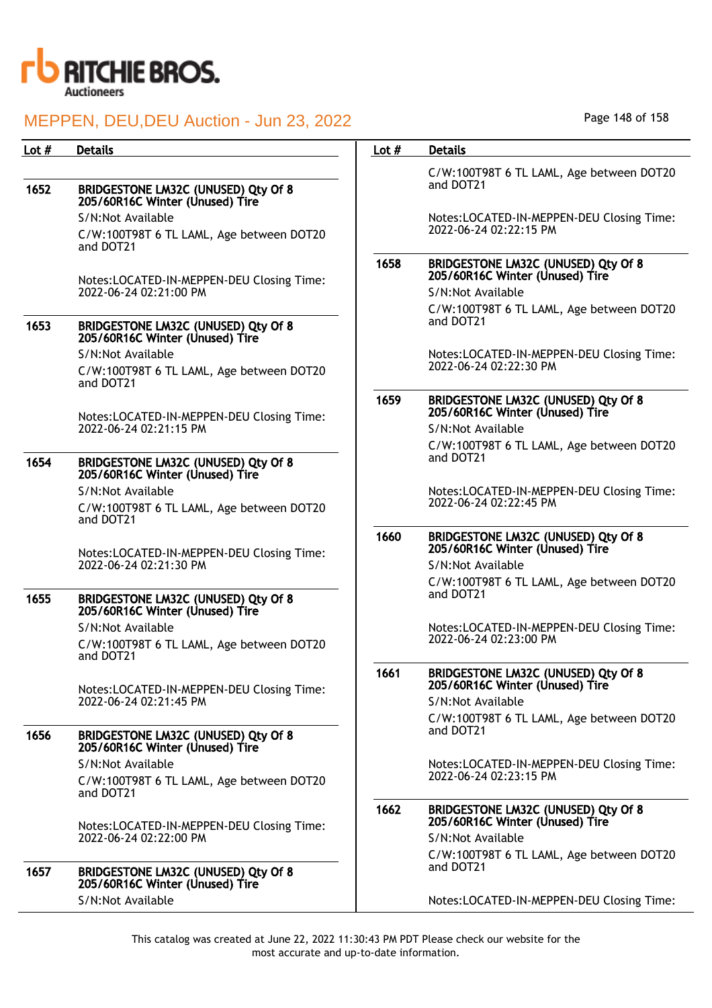

# MEPPEN, DEU,DEU Auction - Jun 23, 2022

Lot # Details **Details According to the United States Lot # Details** 

|      |                                                                        |      | C/W:100T98T 6 TL LAML, Age between DOT20                               |
|------|------------------------------------------------------------------------|------|------------------------------------------------------------------------|
| 1652 | BRIDGESTONE LM32C (UNUSED) Qty Of 8<br>205/60R16C Winter (Unused) Tire |      | and DOT21                                                              |
|      | S/N:Not Available                                                      |      | Notes:LOCATED-IN-MEPPEN-DEU Closing Time:                              |
|      | C/W:100T98T 6 TL LAML, Age between DOT20<br>and DOT21                  |      | 2022-06-24 02:22:15 PM                                                 |
|      | Notes:LOCATED-IN-MEPPEN-DEU Closing Time:                              | 1658 | BRIDGESTONE LM32C (UNUSED) Qty Of 8<br>205/60R16C Winter (Unused) Tire |
|      | 2022-06-24 02:21:00 PM                                                 |      | S/N:Not Available                                                      |
|      |                                                                        |      | C/W:100T98T 6 TL LAML, Age between DOT20                               |
| 1653 | BRIDGESTONE LM32C (UNUSED) Qty Of 8<br>205/60R16C Winter (Unused) Tire |      | and DOT21                                                              |
|      | S/N:Not Available                                                      |      | Notes:LOCATED-IN-MEPPEN-DEU Closing Time:                              |
|      | C/W:100T98T 6 TL LAML, Age between DOT20<br>and DOT21                  |      | 2022-06-24 02:22:30 PM                                                 |
|      | Notes:LOCATED-IN-MEPPEN-DEU Closing Time:                              | 1659 | BRIDGESTONE LM32C (UNUSED) Qty Of 8<br>205/60R16C Winter (Unused) Tire |
|      | 2022-06-24 02:21:15 PM                                                 |      | S/N:Not Available                                                      |
|      |                                                                        |      | C/W:100T98T 6 TL LAML, Age between DOT20                               |
| 1654 | BRIDGESTONE LM32C (UNUSED) Qty Of 8<br>205/60R16C Winter (Unused) Tire |      | and DOT21                                                              |
|      | S/N:Not Available                                                      |      | Notes:LOCATED-IN-MEPPEN-DEU Closing Time:                              |
|      | C/W:100T98T 6 TL LAML, Age between DOT20<br>and DOT21                  |      | 2022-06-24 02:22:45 PM                                                 |
|      | Notes:LOCATED-IN-MEPPEN-DEU Closing Time:                              | 1660 | BRIDGESTONE LM32C (UNUSED) Qty Of 8<br>205/60R16C Winter (Unused) Tire |
|      | 2022-06-24 02:21:30 PM                                                 |      | S/N:Not Available                                                      |
|      |                                                                        |      | C/W:100T98T 6 TL LAML, Age between DOT20                               |
| 1655 | BRIDGESTONE LM32C (UNUSED) Qty Of 8<br>205/60R16C Winter (Unused) Tire |      | and DOT21                                                              |
|      | S/N:Not Available                                                      |      | Notes:LOCATED-IN-MEPPEN-DEU Closing Time:                              |
|      | C/W:100T98T 6 TL LAML, Age between DOT20<br>and DOT21                  |      | 2022-06-24 02:23:00 PM                                                 |
|      | Notes:LOCATED-IN-MEPPEN-DEU Closing Time:                              | 1661 | BRIDGESTONE LM32C (UNUSED) Qty Of 8<br>205/60R16C Winter (Unused) Tire |
|      | 2022-06-24 02:21:45 PM                                                 |      | S/N:Not Available                                                      |
|      |                                                                        |      | C/W:100T98T 6 TL LAML, Age between DOT20                               |
| 1656 | BRIDGESTONE LM32C (UNUSED) Qty Of 8<br>205/60R16C Winter (Unused) Tire |      | and DOT21                                                              |
|      | S/N:Not Available                                                      |      | Notes:LOCATED-IN-MEPPEN-DEU Closing Time:                              |

S/N:Not Availab C/W:100T98T 6 TL LAML, Age between DOT20 and DOT21

Notes:LOCATED-IN-MEPPEN-DEU Closing Time: 2022-06-24 02:22:00 PM

| 1657 | BRIDGESTONE LM32C (UNUSED) Qty Of 8<br>205/60R16C Winter (Unused) Tire |
|------|------------------------------------------------------------------------|
|      | S/N:Not Available                                                      |

2022-06-24 02:23:15 PM

#### 1662 BRIDGESTONE LM32C (UNUSED) Qty Of 8 205/60R16C Winter (Unused) Tire

S/N:Not Available C/W:100T98T 6 TL LAML, Age between DOT20 and DOT21

Notes:LOCATED-IN-MEPPEN-DEU Closing Time:

This catalog was created at June 22, 2022 11:30:43 PM PDT Please check our website for the most accurate and up-to-date information.

Page 148 of 158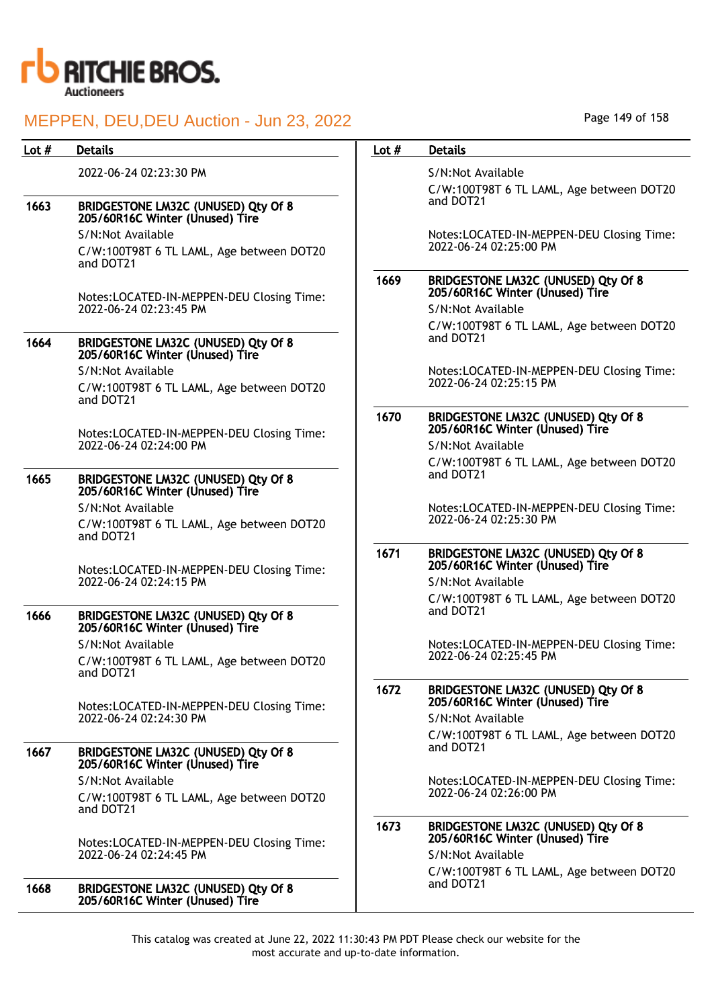

| Lot $#$ | <b>Details</b>                                                                | Lot $#$ | <b>Details</b>                                                         |
|---------|-------------------------------------------------------------------------------|---------|------------------------------------------------------------------------|
|         | 2022-06-24 02:23:30 PM                                                        |         | S/N:Not Available                                                      |
| 1663    | BRIDGESTONE LM32C (UNUSED) Qty Of 8                                           |         | C/W:100T98T 6 TL LAML, Age between DOT20<br>and DOT21                  |
|         | 205/60R16C Winter (Unused) Tire                                               |         |                                                                        |
|         | S/N:Not Available<br>C/W:100T98T 6 TL LAML, Age between DOT20                 |         | Notes:LOCATED-IN-MEPPEN-DEU Closing Time:<br>2022-06-24 02:25:00 PM    |
|         | and DOT21                                                                     |         |                                                                        |
|         | Notes:LOCATED-IN-MEPPEN-DEU Closing Time:                                     | 1669    | BRIDGESTONE LM32C (UNUSED) Qty Of 8<br>205/60R16C Winter (Unused) Tire |
|         | 2022-06-24 02:23:45 PM                                                        |         | S/N:Not Available                                                      |
|         |                                                                               |         | C/W:100T98T 6 TL LAML, Age between DOT20                               |
| 1664    | <b>BRIDGESTONE LM32C (UNUSED) Qty Of 8</b><br>205/60R16C Winter (Unused) Tire |         | and DOT21                                                              |
|         | S/N:Not Available                                                             |         | Notes:LOCATED-IN-MEPPEN-DEU Closing Time:                              |
|         | C/W:100T98T 6 TL LAML, Age between DOT20<br>and DOT21                         |         | 2022-06-24 02:25:15 PM                                                 |
|         |                                                                               | 1670    | BRIDGESTONE LM32C (UNUSED) Qty Of 8<br>205/60R16C Winter (Unused) Tire |
|         | Notes:LOCATED-IN-MEPPEN-DEU Closing Time:<br>2022-06-24 02:24:00 PM           |         | S/N:Not Available                                                      |
|         |                                                                               |         | C/W:100T98T 6 TL LAML, Age between DOT20                               |
| 1665    | BRIDGESTONE LM32C (UNUSED) Qty Of 8<br>205/60R16C Winter (Unused) Tire        |         | and DOT21                                                              |
|         | S/N:Not Available                                                             |         | Notes:LOCATED-IN-MEPPEN-DEU Closing Time:                              |
|         | C/W:100T98T 6 TL LAML, Age between DOT20<br>and DOT21                         |         | 2022-06-24 02:25:30 PM                                                 |
|         | Notes:LOCATED-IN-MEPPEN-DEU Closing Time:<br>2022-06-24 02:24:15 PM           | 1671    | BRIDGESTONE LM32C (UNUSED) Qty Of 8<br>205/60R16C Winter (Unused) Tire |
|         |                                                                               |         | S/N:Not Available                                                      |
|         |                                                                               |         | C/W:100T98T 6 TL LAML, Age between DOT20                               |
| 1666    | BRIDGESTONE LM32C (UNUSED) Qty Of 8<br>205/60R16C Winter (Unused) Tire        |         | and DOT21                                                              |
|         | S/N:Not Available                                                             |         | Notes:LOCATED-IN-MEPPEN-DEU Closing Time:                              |
|         | C/W:100T98T 6 TL LAML, Age between DOT20<br>and DOT21                         |         | 2022-06-24 02:25:45 PM                                                 |
|         | Notes:LOCATED-IN-MEPPEN-DEU Closing Time:                                     | 1672    | BRIDGESTONE LM32C (UNUSED) Qty Of 8<br>205/60R16C Winter (Unused) Tire |
|         | 2022-06-24 02:24:30 PM                                                        |         | S/N:Not Available                                                      |
| 1667    |                                                                               |         | C/W:100T98T 6 TL LAML, Age between DOT20<br>and DOT21                  |
|         | BRIDGESTONE LM32C (UNUSED) Qty Of 8<br>205/60R16C Winter (Unused) Tire        |         |                                                                        |
|         | S/N:Not Available                                                             |         | Notes:LOCATED-IN-MEPPEN-DEU Closing Time:                              |
|         | C/W:100T98T 6 TL LAML, Age between DOT20<br>and DOT21                         |         | 2022-06-24 02:26:00 PM                                                 |
|         |                                                                               | 1673    | BRIDGESTONE LM32C (UNUSED) Qty Of 8<br>205/60R16C Winter (Unused) Tire |
|         | Notes:LOCATED-IN-MEPPEN-DEU Closing Time:<br>2022-06-24 02:24:45 PM           |         | S/N:Not Available                                                      |
|         |                                                                               |         | C/W:100T98T 6 TL LAML, Age between DOT20                               |
| 1668    | BRIDGESTONE LM32C (UNUSED) Qty Of 8<br>205/60R16C Winter (Unused) Tire        |         | and DOT21                                                              |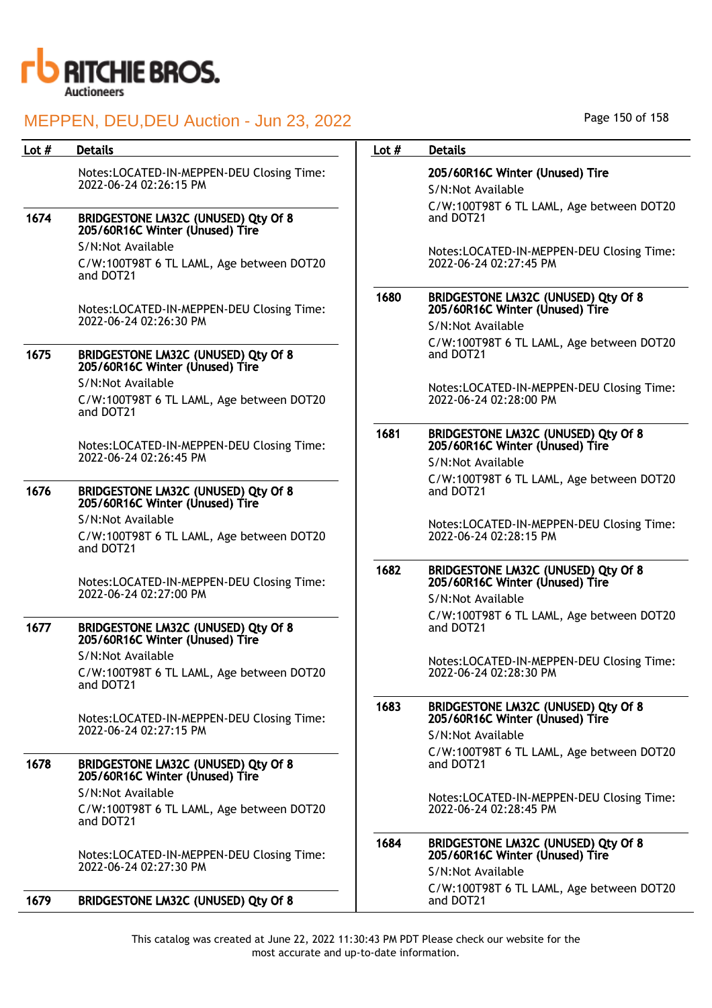

| Lot $#$ | <b>Details</b>                                                         | Lot $#$ | <b>Details</b>                                                                              |
|---------|------------------------------------------------------------------------|---------|---------------------------------------------------------------------------------------------|
|         | Notes:LOCATED-IN-MEPPEN-DEU Closing Time:<br>2022-06-24 02:26:15 PM    |         | 205/60R16C Winter (Unused) Tire<br>S/N:Not Available                                        |
| 1674    | BRIDGESTONE LM32C (UNUSED) Qty Of 8<br>205/60R16C Winter (Unused) Tire |         | C/W:100T98T 6 TL LAML, Age between DOT20<br>and DOT21                                       |
|         | S/N:Not Available                                                      |         | Notes:LOCATED-IN-MEPPEN-DEU Closing Time:                                                   |
|         | C/W:100T98T 6 TL LAML, Age between DOT20<br>and DOT21                  |         | 2022-06-24 02:27:45 PM                                                                      |
|         | Notes:LOCATED-IN-MEPPEN-DEU Closing Time:                              | 1680    | BRIDGESTONE LM32C (UNUSED) Qty Of 8<br>205/60R16C Winter (Unused) Tire                      |
|         | 2022-06-24 02:26:30 PM                                                 |         | S/N:Not Available                                                                           |
| 1675    | BRIDGESTONE LM32C (UNUSED) Qty Of 8<br>205/60R16C Winter (Unused) Tire |         | C/W:100T98T 6 TL LAML, Age between DOT20<br>and DOT21                                       |
|         | S/N:Not Available                                                      |         | Notes:LOCATED-IN-MEPPEN-DEU Closing Time:                                                   |
|         | C/W:100T98T 6 TL LAML, Age between DOT20<br>and DOT21                  |         | 2022-06-24 02:28:00 PM                                                                      |
|         | Notes:LOCATED-IN-MEPPEN-DEU Closing Time:<br>2022-06-24 02:26:45 PM    | 1681    | BRIDGESTONE LM32C (UNUSED) Qty Of 8<br>205/60R16C Winter (Unused) Tire                      |
|         |                                                                        |         | S/N:Not Available                                                                           |
| 1676    | BRIDGESTONE LM32C (UNUSED) Qty Of 8<br>205/60R16C Winter (Unused) Tire |         | C/W:100T98T 6 TL LAML, Age between DOT20<br>and DOT21                                       |
|         | S/N:Not Available                                                      |         | Notes:LOCATED-IN-MEPPEN-DEU Closing Time:                                                   |
|         | C/W:100T98T 6 TL LAML, Age between DOT20<br>and DOT21                  |         | 2022-06-24 02:28:15 PM                                                                      |
|         | Notes:LOCATED-IN-MEPPEN-DEU Closing Time:<br>2022-06-24 02:27:00 PM    | 1682    | BRIDGESTONE LM32C (UNUSED) Qty Of 8<br>205/60R16C Winter (Unused) Tire                      |
|         |                                                                        |         | S/N:Not Available                                                                           |
| 1677    | BRIDGESTONE LM32C (UNUSED) Qty Of 8<br>205/60R16C Winter (Unused) Tire |         | C/W:100T98T 6 TL LAML, Age between DOT20<br>and DOT21                                       |
|         | S/N:Not Available                                                      |         | Notes:LOCATED-IN-MEPPEN-DEU Closing Time:                                                   |
|         | C/W:100T98T 6 TL LAML, Age between DOT20<br>and DOT21                  |         | 2022-06-24 02:28:30 PM                                                                      |
|         | Notes:LOCATED-IN-MEPPEN-DEU Closing Time:                              | 1683    | BRIDGESTONE LM32C (UNUSED) Qty Of 8<br>205/60R16C Winter (Unused) Tire                      |
|         | 2022-06-24 02:27:15 PM                                                 |         | S/N:Not Available                                                                           |
| 1678    | BRIDGESTONE LM32C (UNUSED) Qty Of 8<br>205/60R16C Winter (Unused) Tire |         | C/W:100T98T 6 TL LAML, Age between DOT20<br>and DOT21                                       |
|         | S/N:Not Available                                                      |         |                                                                                             |
|         | C/W:100T98T 6 TL LAML, Age between DOT20<br>and DOT21                  |         | Notes:LOCATED-IN-MEPPEN-DEU Closing Time:<br>2022-06-24 02:28:45 PM                         |
|         | Notes:LOCATED-IN-MEPPEN-DEU Closing Time:<br>2022-06-24 02:27:30 PM    | 1684    | BRIDGESTONE LM32C (UNUSED) Qty Of 8<br>205/60R16C Winter (Unused) Tire<br>S/N:Not Available |
|         |                                                                        |         | C/W:100T98T 6 TL LAML, Age between DOT20                                                    |
| 1679    | <b>BRIDGESTONE LM32C (UNUSED) Qty Of 8</b>                             |         | and DOT21                                                                                   |

Page 150 of 158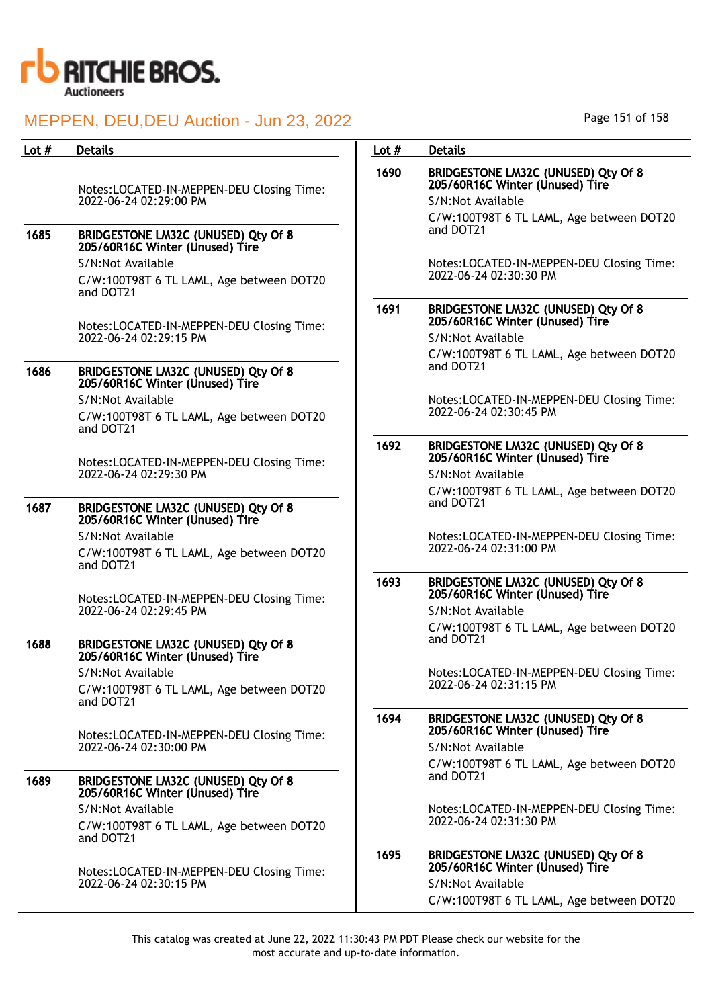

| Lot $#$ | <b>Details</b>                                                             | Lot $#$ | <b>Details</b>                                                                              |
|---------|----------------------------------------------------------------------------|---------|---------------------------------------------------------------------------------------------|
|         | Notes:LOCATED-IN-MEPPEN-DEU Closing Time:<br>2022-06-24 02:29:00 PM        | 1690    | BRIDGESTONE LM32C (UNUSED) Qty Of 8<br>205/60R16C Winter (Unused) Tire<br>S/N:Not Available |
| 1685    | BRIDGESTONE LM32C (UNUSED) Qty Of 8                                        |         | C/W:100T98T 6 TL LAML, Age between DOT20<br>and DOT21                                       |
|         | 205/60R16C Winter (Unused) Tire                                            |         |                                                                                             |
|         | S/N:Not Available<br>C/W:100T98T 6 TL LAML, Age between DOT20<br>and DOT21 |         | Notes:LOCATED-IN-MEPPEN-DEU Closing Time:<br>2022-06-24 02:30:30 PM                         |
|         |                                                                            | 1691    | BRIDGESTONE LM32C (UNUSED) Qty Of 8<br>205/60R16C Winter (Unused) Tire                      |
|         | Notes:LOCATED-IN-MEPPEN-DEU Closing Time:<br>2022-06-24 02:29:15 PM        |         | S/N:Not Available                                                                           |
|         |                                                                            |         | C/W:100T98T 6 TL LAML, Age between DOT20<br>and DOT21                                       |
| 1686    | BRIDGESTONE LM32C (UNUSED) Qty Of 8<br>205/60R16C Winter (Unused) Tire     |         |                                                                                             |
|         | S/N:Not Available<br>C/W:100T98T 6 TL LAML, Age between DOT20<br>and DOT21 |         | Notes:LOCATED-IN-MEPPEN-DEU Closing Time:<br>2022-06-24 02:30:45 PM                         |
|         | Notes:LOCATED-IN-MEPPEN-DEU Closing Time:                                  | 1692    | <b>BRIDGESTONE LM32C (UNUSED) Qty Of 8</b><br>205/60R16C Winter (Unused) Tire               |
|         | 2022-06-24 02:29:30 PM                                                     |         | S/N:Not Available                                                                           |
|         |                                                                            |         | C/W:100T98T 6 TL LAML, Age between DOT20<br>and DOT21                                       |
| 1687    | BRIDGESTONE LM32C (UNUSED) Qty Of 8<br>205/60R16C Winter (Unused) Tire     |         |                                                                                             |
|         | S/N:Not Available<br>C/W:100T98T 6 TL LAML, Age between DOT20<br>and DOT21 |         | Notes:LOCATED-IN-MEPPEN-DEU Closing Time:<br>2022-06-24 02:31:00 PM                         |
|         | Notes:LOCATED-IN-MEPPEN-DEU Closing Time:                                  | 1693    | BRIDGESTONE LM32C (UNUSED) Qty Of 8<br>205/60R16C Winter (Unused) Tire                      |
|         | 2022-06-24 02:29:45 PM                                                     |         | S/N:Not Available                                                                           |
| 1688    | <b>BRIDGESTONE LM32C (UNUSED) Qty Of 8</b>                                 |         | C/W:100T98T 6 TL LAML, Age between DOT20<br>and DOT21                                       |
|         | 205/60R16C Winter (Unused) Tire                                            |         |                                                                                             |
|         | S/N:Not Available<br>C/W:100T98T 6 TL LAML, Age between DOT20<br>and DOT21 |         | Notes:LOCATED-IN-MEPPEN-DEU Closing Time:<br>2022-06-24 02:31:15 PM                         |
|         | Notes:LOCATED-IN-MEPPEN-DEU Closing Time:                                  | 1694    | BRIDGESTONE LM32C (UNUSED) Qty Of 8<br>205/60R16C Winter (Unused) Tire                      |
|         | 2022-06-24 02:30:00 PM                                                     |         | S/N:Not Available                                                                           |
| 1689    | BRIDGESTONE LM32C (UNUSED) Qty Of 8                                        |         | C/W:100T98T 6 TL LAML, Age between DOT20<br>and DOT21                                       |
|         | 205/60R16C Winter (Unused) Tire<br>S/N:Not Available                       |         | Notes:LOCATED-IN-MEPPEN-DEU Closing Time:                                                   |
|         | C/W:100T98T 6 TL LAML, Age between DOT20<br>and DOT21                      |         | 2022-06-24 02:31:30 PM                                                                      |
|         | Notes:LOCATED-IN-MEPPEN-DEU Closing Time:                                  | 1695    | BRIDGESTONE LM32C (UNUSED) Qty Of 8<br>205/60R16C Winter (Unused) Tire                      |
|         | 2022-06-24 02:30:15 PM                                                     |         | S/N:Not Available                                                                           |
|         |                                                                            |         |                                                                                             |

Page 151 of 158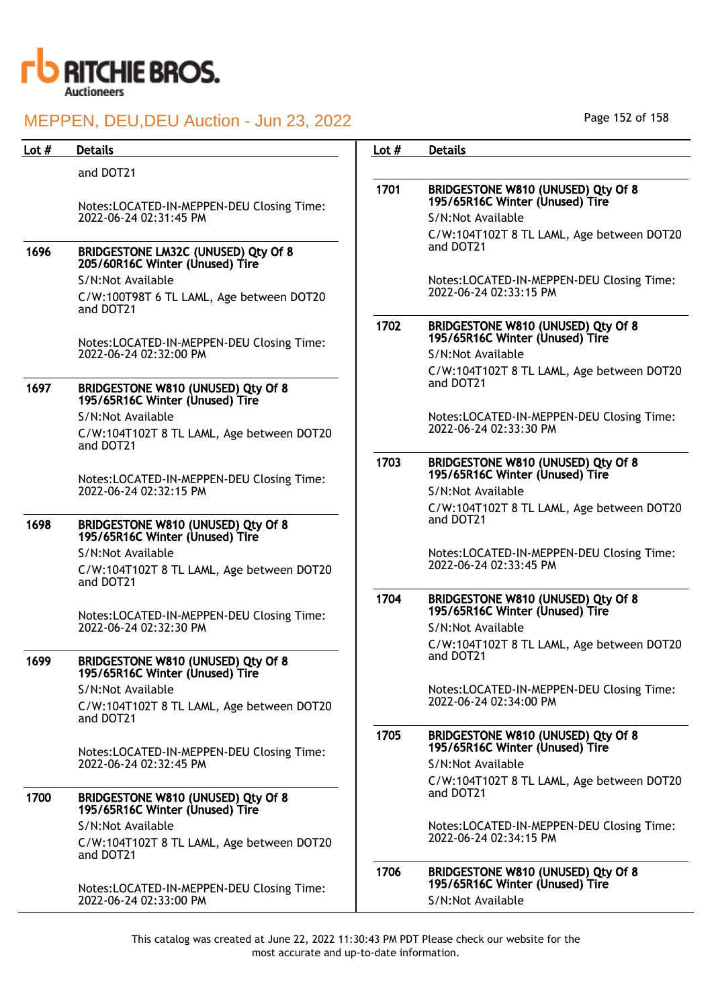

| Lot $#$ | <b>Details</b>                                                              | Lot $#$ | <b>Details</b>                                                        |
|---------|-----------------------------------------------------------------------------|---------|-----------------------------------------------------------------------|
|         | and DOT21                                                                   |         |                                                                       |
|         | Notes:LOCATED-IN-MEPPEN-DEU Closing Time:                                   | 1701    | BRIDGESTONE W810 (UNUSED) Qty Of 8<br>195/65R16C Winter (Unused) Tire |
|         | 2022-06-24 02:31:45 PM                                                      |         | S/N:Not Available                                                     |
| 1696    | BRIDGESTONE LM32C (UNUSED) Qty Of 8<br>205/60R16C Winter (Unused) Tire      |         | C/W:104T102T 8 TL LAML, Age between DOT20<br>and DOT21                |
|         | S/N:Not Available                                                           |         | Notes:LOCATED-IN-MEPPEN-DEU Closing Time:                             |
|         | C/W:100T98T 6 TL LAML, Age between DOT20<br>and DOT21                       |         | 2022-06-24 02:33:15 PM                                                |
|         | Notes:LOCATED-IN-MEPPEN-DEU Closing Time:                                   | 1702    | BRIDGESTONE W810 (UNUSED) Qty Of 8<br>195/65R16C Winter (Unused) Tire |
|         | 2022-06-24 02:32:00 PM                                                      |         | S/N:Not Available                                                     |
| 1697    | BRIDGESTONE W810 (UNUSED) Qty Of 8<br>195/65R16C Winter (Unused) Tire       |         | C/W:104T102T 8 TL LAML, Age between DOT20<br>and DOT21                |
|         | S/N:Not Available                                                           |         | Notes:LOCATED-IN-MEPPEN-DEU Closing Time:                             |
|         | C/W:104T102T 8 TL LAML, Age between DOT20<br>and DOT21                      |         | 2022-06-24 02:33:30 PM                                                |
|         | Notes:LOCATED-IN-MEPPEN-DEU Closing Time:                                   | 1703    | BRIDGESTONE W810 (UNUSED) Qty Of 8<br>195/65R16C Winter (Unused) Tire |
|         | 2022-06-24 02:32:15 PM                                                      |         | S/N:Not Available                                                     |
| 1698    | BRIDGESTONE W810 (UNUSED) Qty Of 8<br>195/65R16C Winter (Unused) Tire       |         | C/W:104T102T 8 TL LAML, Age between DOT20<br>and DOT21                |
|         | S/N:Not Available<br>C/W:104T102T 8 TL LAML, Age between DOT20<br>and DOT21 |         | Notes:LOCATED-IN-MEPPEN-DEU Closing Time:<br>2022-06-24 02:33:45 PM   |
|         | Notes:LOCATED-IN-MEPPEN-DEU Closing Time:                                   | 1704    | BRIDGESTONE W810 (UNUSED) Qty Of 8<br>195/65R16C Winter (Unused) Tire |
|         | 2022-06-24 02:32:30 PM                                                      |         | S/N:Not Available                                                     |
| 1699    | BRIDGESTONE W810 (UNUSED) Qty Of 8<br>195/65R16C Winter (Unused) Tire       |         | C/W:104T102T 8 TL LAML, Age between DOT20<br>and DOT21                |
|         | S/N:Not Available                                                           |         | Notes:LOCATED-IN-MEPPEN-DEU Closing Time:                             |
|         | C/W:104T102T 8 TL LAML, Age between DOT20<br>and DOT21                      |         | 2022-06-24 02:34:00 PM                                                |
|         | Notes:LOCATED-IN-MEPPEN-DEU Closing Time:                                   | 1705    | BRIDGESTONE W810 (UNUSED) Qty Of 8<br>195/65R16C Winter (Unused) Tire |
|         | 2022-06-24 02:32:45 PM                                                      |         | S/N:Not Available                                                     |
|         |                                                                             |         | C/W:104T102T 8 TL LAML, Age between DOT20                             |
| 1700    | BRIDGESTONE W810 (UNUSED) Qty Of 8<br>195/65R16C Winter (Unused) Tire       |         | and DOT21                                                             |
|         | S/N:Not Available<br>C/W:104T102T 8 TL LAML, Age between DOT20<br>and DOT21 |         | Notes:LOCATED-IN-MEPPEN-DEU Closing Time:<br>2022-06-24 02:34:15 PM   |
|         | Notes:LOCATED-IN-MEPPEN-DEU Closing Time:                                   | 1706    | BRIDGESTONE W810 (UNUSED) Qty Of 8<br>195/65R16C Winter (Unused) Tire |
|         | 2022-06-24 02:33:00 PM                                                      |         | S/N:Not Available                                                     |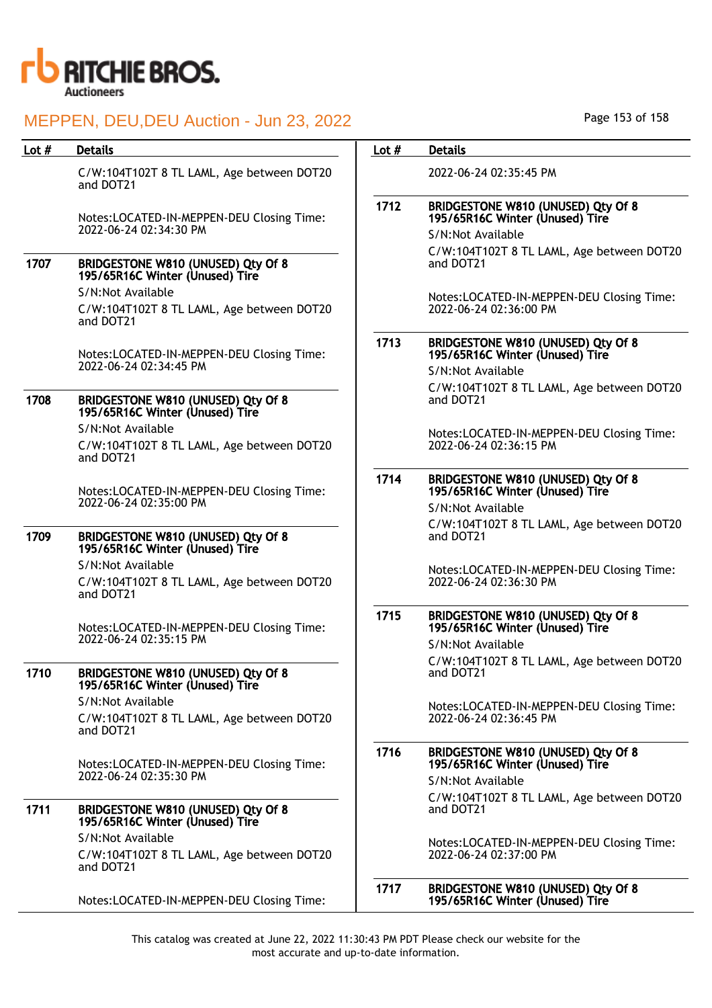

| Lot $#$<br><b>Details</b><br><b>Details</b><br>Lot $#$<br>C/W:104T102T 8 TL LAML, Age between DOT20<br>2022-06-24 02:35:45 PM<br>and DOT21<br>1712<br>BRIDGESTONE W810 (UNUSED) Qty Of 8<br>195/65R16C Winter (Unused) Tire<br>Notes:LOCATED-IN-MEPPEN-DEU Closing Time:<br>2022-06-24 02:34:30 PM<br>S/N:Not Available<br>C/W:104T102T 8 TL LAML, Age between DOT20<br>1707<br>BRIDGESTONE W810 (UNUSED) Qty Of 8<br>and DOT21<br>195/65R16C Winter (Unused) Tire<br>S/N:Not Available<br>2022-06-24 02:36:00 PM<br>C/W:104T102T 8 TL LAML, Age between DOT20<br>and DOT21<br>1713<br>BRIDGESTONE W810 (UNUSED) Qty Of 8<br>195/65R16C Winter (Unused) Tire<br>Notes:LOCATED-IN-MEPPEN-DEU Closing Time:<br>2022-06-24 02:34:45 PM<br>S/N:Not Available<br>C/W:104T102T 8 TL LAML, Age between DOT20<br>1708<br>BRIDGESTONE W810 (UNUSED) Qty Of 8<br>and DOT21<br>195/65R16C Winter (Unused) Tire<br>S/N:Not Available<br>2022-06-24 02:36:15 PM<br>C/W:104T102T 8 TL LAML, Age between DOT20<br>and DOT21<br>1714<br>BRIDGESTONE W810 (UNUSED) Qty Of 8<br>195/65R16C Winter (Unused) Tire<br>Notes:LOCATED-IN-MEPPEN-DEU Closing Time:<br>2022-06-24 02:35:00 PM<br>S/N:Not Available<br>1709<br>BRIDGESTONE W810 (UNUSED) Qty Of 8<br>and DOT21<br>195/65R16C Winter (Unused) Tire<br>S/N:Not Available<br>2022-06-24 02:36:30 PM<br>C/W:104T102T 8 TL LAML, Age between DOT20<br>and DOT21<br>1715<br>BRIDGESTONE W810 (UNUSED) Qty Of 8<br>195/65R16C Winter (Unused) Tire<br>Notes:LOCATED-IN-MEPPEN-DEU Closing Time:<br>2022-06-24 02:35:15 PM<br>S/N:Not Available<br>1710<br>BRIDGESTONE W810 (UNUSED) Qty Of 8<br>and DOT21<br>195/65R16C Winter (Unused) Tire<br>S/N:Not Available<br>2022-06-24 02:36:45 PM<br>C/W:104T102T 8 TL LAML, Age between DOT20<br>and DOT21<br>1716<br>BRIDGESTONE W810 (UNUSED) Qty Of 8<br>195/65R16C Winter (Unused) Tire<br>Notes:LOCATED-IN-MEPPEN-DEU Closing Time:<br>2022-06-24 02:35:30 PM<br>S/N:Not Available<br>C/W:104T102T 8 TL LAML, Age between DOT20<br>1711<br>and DOT21<br>BRIDGESTONE W810 (UNUSED) Qty Of 8<br>195/65R16C Winter (Unused) Tire<br>S/N:Not Available<br>2022-06-24 02:37:00 PM<br>C/W:104T102T 8 TL LAML, Age between DOT20<br>and DOT21<br>1717<br>BRIDGESTONE W810 (UNUSED) Qty Of 8<br>195/65R16C Winter (Unused) Tire<br>Notes:LOCATED-IN-MEPPEN-DEU Closing Time: | MEPPEN, DEU, DEU Auction - Jun 23, 2022 |  | Page 153 of 158                           |
|-----------------------------------------------------------------------------------------------------------------------------------------------------------------------------------------------------------------------------------------------------------------------------------------------------------------------------------------------------------------------------------------------------------------------------------------------------------------------------------------------------------------------------------------------------------------------------------------------------------------------------------------------------------------------------------------------------------------------------------------------------------------------------------------------------------------------------------------------------------------------------------------------------------------------------------------------------------------------------------------------------------------------------------------------------------------------------------------------------------------------------------------------------------------------------------------------------------------------------------------------------------------------------------------------------------------------------------------------------------------------------------------------------------------------------------------------------------------------------------------------------------------------------------------------------------------------------------------------------------------------------------------------------------------------------------------------------------------------------------------------------------------------------------------------------------------------------------------------------------------------------------------------------------------------------------------------------------------------------------------------------------------------------------------------------------------------------------------------------------------------------------------------------------------------------------------------------------------------------------------------------------------------------------------------------------------------------------------------------|-----------------------------------------|--|-------------------------------------------|
|                                                                                                                                                                                                                                                                                                                                                                                                                                                                                                                                                                                                                                                                                                                                                                                                                                                                                                                                                                                                                                                                                                                                                                                                                                                                                                                                                                                                                                                                                                                                                                                                                                                                                                                                                                                                                                                                                                                                                                                                                                                                                                                                                                                                                                                                                                                                                     |                                         |  |                                           |
|                                                                                                                                                                                                                                                                                                                                                                                                                                                                                                                                                                                                                                                                                                                                                                                                                                                                                                                                                                                                                                                                                                                                                                                                                                                                                                                                                                                                                                                                                                                                                                                                                                                                                                                                                                                                                                                                                                                                                                                                                                                                                                                                                                                                                                                                                                                                                     |                                         |  |                                           |
|                                                                                                                                                                                                                                                                                                                                                                                                                                                                                                                                                                                                                                                                                                                                                                                                                                                                                                                                                                                                                                                                                                                                                                                                                                                                                                                                                                                                                                                                                                                                                                                                                                                                                                                                                                                                                                                                                                                                                                                                                                                                                                                                                                                                                                                                                                                                                     |                                         |  |                                           |
|                                                                                                                                                                                                                                                                                                                                                                                                                                                                                                                                                                                                                                                                                                                                                                                                                                                                                                                                                                                                                                                                                                                                                                                                                                                                                                                                                                                                                                                                                                                                                                                                                                                                                                                                                                                                                                                                                                                                                                                                                                                                                                                                                                                                                                                                                                                                                     |                                         |  |                                           |
|                                                                                                                                                                                                                                                                                                                                                                                                                                                                                                                                                                                                                                                                                                                                                                                                                                                                                                                                                                                                                                                                                                                                                                                                                                                                                                                                                                                                                                                                                                                                                                                                                                                                                                                                                                                                                                                                                                                                                                                                                                                                                                                                                                                                                                                                                                                                                     |                                         |  | Notes:LOCATED-IN-MEPPEN-DEU Closing Time: |
|                                                                                                                                                                                                                                                                                                                                                                                                                                                                                                                                                                                                                                                                                                                                                                                                                                                                                                                                                                                                                                                                                                                                                                                                                                                                                                                                                                                                                                                                                                                                                                                                                                                                                                                                                                                                                                                                                                                                                                                                                                                                                                                                                                                                                                                                                                                                                     |                                         |  |                                           |
|                                                                                                                                                                                                                                                                                                                                                                                                                                                                                                                                                                                                                                                                                                                                                                                                                                                                                                                                                                                                                                                                                                                                                                                                                                                                                                                                                                                                                                                                                                                                                                                                                                                                                                                                                                                                                                                                                                                                                                                                                                                                                                                                                                                                                                                                                                                                                     |                                         |  |                                           |
|                                                                                                                                                                                                                                                                                                                                                                                                                                                                                                                                                                                                                                                                                                                                                                                                                                                                                                                                                                                                                                                                                                                                                                                                                                                                                                                                                                                                                                                                                                                                                                                                                                                                                                                                                                                                                                                                                                                                                                                                                                                                                                                                                                                                                                                                                                                                                     |                                         |  | Notes:LOCATED-IN-MEPPEN-DEU Closing Time: |
|                                                                                                                                                                                                                                                                                                                                                                                                                                                                                                                                                                                                                                                                                                                                                                                                                                                                                                                                                                                                                                                                                                                                                                                                                                                                                                                                                                                                                                                                                                                                                                                                                                                                                                                                                                                                                                                                                                                                                                                                                                                                                                                                                                                                                                                                                                                                                     |                                         |  |                                           |
|                                                                                                                                                                                                                                                                                                                                                                                                                                                                                                                                                                                                                                                                                                                                                                                                                                                                                                                                                                                                                                                                                                                                                                                                                                                                                                                                                                                                                                                                                                                                                                                                                                                                                                                                                                                                                                                                                                                                                                                                                                                                                                                                                                                                                                                                                                                                                     |                                         |  | C/W:104T102T 8 TL LAML, Age between DOT20 |
|                                                                                                                                                                                                                                                                                                                                                                                                                                                                                                                                                                                                                                                                                                                                                                                                                                                                                                                                                                                                                                                                                                                                                                                                                                                                                                                                                                                                                                                                                                                                                                                                                                                                                                                                                                                                                                                                                                                                                                                                                                                                                                                                                                                                                                                                                                                                                     |                                         |  | Notes:LOCATED-IN-MEPPEN-DEU Closing Time: |
|                                                                                                                                                                                                                                                                                                                                                                                                                                                                                                                                                                                                                                                                                                                                                                                                                                                                                                                                                                                                                                                                                                                                                                                                                                                                                                                                                                                                                                                                                                                                                                                                                                                                                                                                                                                                                                                                                                                                                                                                                                                                                                                                                                                                                                                                                                                                                     |                                         |  |                                           |
|                                                                                                                                                                                                                                                                                                                                                                                                                                                                                                                                                                                                                                                                                                                                                                                                                                                                                                                                                                                                                                                                                                                                                                                                                                                                                                                                                                                                                                                                                                                                                                                                                                                                                                                                                                                                                                                                                                                                                                                                                                                                                                                                                                                                                                                                                                                                                     |                                         |  | C/W:104T102T 8 TL LAML, Age between DOT20 |
|                                                                                                                                                                                                                                                                                                                                                                                                                                                                                                                                                                                                                                                                                                                                                                                                                                                                                                                                                                                                                                                                                                                                                                                                                                                                                                                                                                                                                                                                                                                                                                                                                                                                                                                                                                                                                                                                                                                                                                                                                                                                                                                                                                                                                                                                                                                                                     |                                         |  | Notes:LOCATED-IN-MEPPEN-DEU Closing Time: |
|                                                                                                                                                                                                                                                                                                                                                                                                                                                                                                                                                                                                                                                                                                                                                                                                                                                                                                                                                                                                                                                                                                                                                                                                                                                                                                                                                                                                                                                                                                                                                                                                                                                                                                                                                                                                                                                                                                                                                                                                                                                                                                                                                                                                                                                                                                                                                     |                                         |  |                                           |
|                                                                                                                                                                                                                                                                                                                                                                                                                                                                                                                                                                                                                                                                                                                                                                                                                                                                                                                                                                                                                                                                                                                                                                                                                                                                                                                                                                                                                                                                                                                                                                                                                                                                                                                                                                                                                                                                                                                                                                                                                                                                                                                                                                                                                                                                                                                                                     |                                         |  |                                           |
|                                                                                                                                                                                                                                                                                                                                                                                                                                                                                                                                                                                                                                                                                                                                                                                                                                                                                                                                                                                                                                                                                                                                                                                                                                                                                                                                                                                                                                                                                                                                                                                                                                                                                                                                                                                                                                                                                                                                                                                                                                                                                                                                                                                                                                                                                                                                                     |                                         |  |                                           |
|                                                                                                                                                                                                                                                                                                                                                                                                                                                                                                                                                                                                                                                                                                                                                                                                                                                                                                                                                                                                                                                                                                                                                                                                                                                                                                                                                                                                                                                                                                                                                                                                                                                                                                                                                                                                                                                                                                                                                                                                                                                                                                                                                                                                                                                                                                                                                     |                                         |  | Notes:LOCATED-IN-MEPPEN-DEU Closing Time: |
|                                                                                                                                                                                                                                                                                                                                                                                                                                                                                                                                                                                                                                                                                                                                                                                                                                                                                                                                                                                                                                                                                                                                                                                                                                                                                                                                                                                                                                                                                                                                                                                                                                                                                                                                                                                                                                                                                                                                                                                                                                                                                                                                                                                                                                                                                                                                                     |                                         |  |                                           |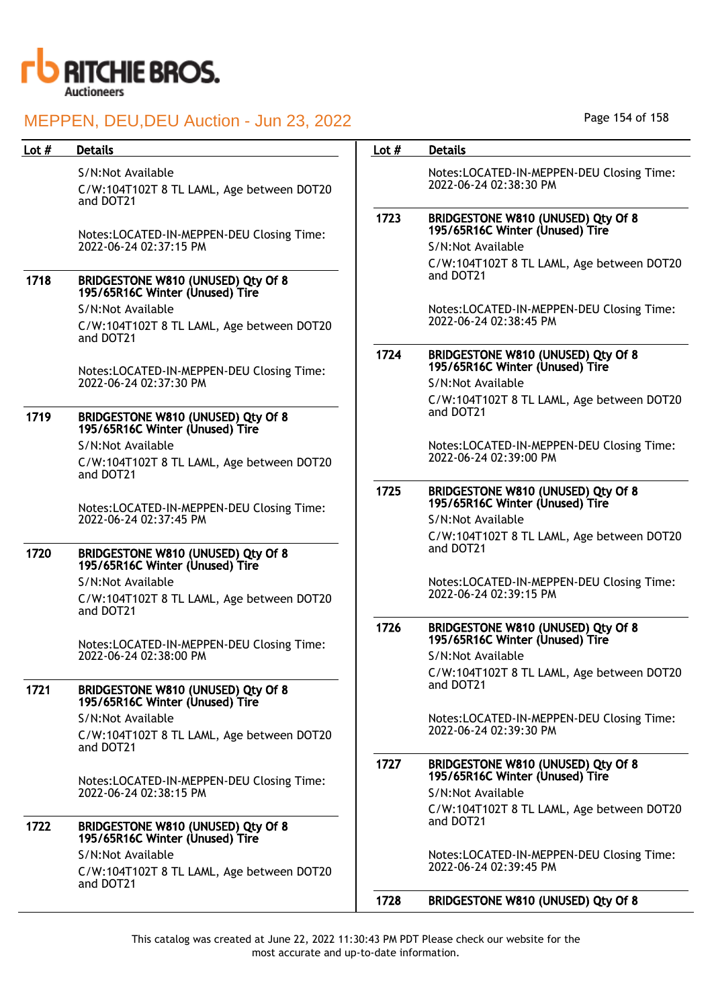

### S/N:Not Available

C/W:104T102T 8 TL LAML, Age between DOT20 and DOT21

Notes:LOCATED-IN-MEPPEN-DEU Closing Time: 2022-06-24 02:37:15 PM

## 1718 BRIDGESTONE W810 (UNUSED) Qty Of 8 195/65R16C Winter (Unused) Tire

S/N:Not Available

C/W:104T102T 8 TL LAML, Age between DOT20 and DOT21

Notes:LOCATED-IN-MEPPEN-DEU Closing Time: 2022-06-24 02:37:30 PM

## 1719 BRIDGESTONE W810 (UNUSED) Qty Of 8 195/65R16C Winter (Unused) Tire

S/N:Not Available C/W:104T102T 8 TL LAML, Age between DOT20 and DOT21

Notes:LOCATED-IN-MEPPEN-DEU Closing Time: 2022-06-24 02:37:45 PM

## 1720 BRIDGESTONE W810 (UNUSED) Qty Of 8 195/65R16C Winter (Unused) Tire

S/N:Not Available C/W:104T102T 8 TL LAML, Age between DOT20 and DOT21

Notes:LOCATED-IN-MEPPEN-DEU Closing Time: 2022-06-24 02:38:00 PM

#### 1721 BRIDGESTONE W810 (UNUSED) Qty Of 8 195/65R16C Winter (Unused) Tire

S/N:Not Available C/W:104T102T 8 TL LAML, Age between DOT20 and DOT21

Notes:LOCATED-IN-MEPPEN-DEU Closing Time: 2022-06-24 02:38:15 PM

#### 1722 BRIDGESTONE W810 (UNUSED) Qty Of 8 195/65R16C Winter (Unused) Tire S/N:Not Available

C/W:104T102T 8 TL LAML, Age between DOT20 and DOT21

Page 154 of 158

## Lot # Details **Details According to the United States Lot # Details**

Notes:LOCATED-IN-MEPPEN-DEU Closing Time: 2022-06-24 02:38:30 PM

# 1723 BRIDGESTONE W810 (UNUSED) Qty Of 8 195/65R16C Winter (Unused) Tire

S/N:Not Available C/W:104T102T 8 TL LAML, Age between DOT20 and DOT21

Notes:LOCATED-IN-MEPPEN-DEU Closing Time: 2022-06-24 02:38:45 PM

#### 1724 BRIDGESTONE W810 (UNUSED) Qty Of 8 195/65R16C Winter (Unused) Tire

S/N:Not Available C/W:104T102T 8 TL LAML, Age between DOT20 and DOT21

Notes:LOCATED-IN-MEPPEN-DEU Closing Time: 2022-06-24 02:39:00 PM

## 1725 BRIDGESTONE W810 (UNUSED) Qty Of 8 195/65R16C Winter (Unused) Tire

S/N:Not Available C/W:104T102T 8 TL LAML, Age between DOT20 and DOT21

Notes:LOCATED-IN-MEPPEN-DEU Closing Time: 2022-06-24 02:39:15 PM

#### 1726 BRIDGESTONE W810 (UNUSED) Qty Of 8 195/65R16C Winter (Unused) Tire

S/N:Not Available C/W:104T102T 8 TL LAML, Age between DOT20 and DOT21

Notes:LOCATED-IN-MEPPEN-DEU Closing Time: 2022-06-24 02:39:30 PM

# 1727 BRIDGESTONE W810 (UNUSED) Qty Of 8 195/65R16C Winter (Unused) Tire

S/N:Not Available C/W:104T102T 8 TL LAML, Age between DOT20 and DOT21

Notes:LOCATED-IN-MEPPEN-DEU Closing Time: 2022-06-24 02:39:45 PM

## 1728 BRIDGESTONE W810 (UNUSED) Qty Of 8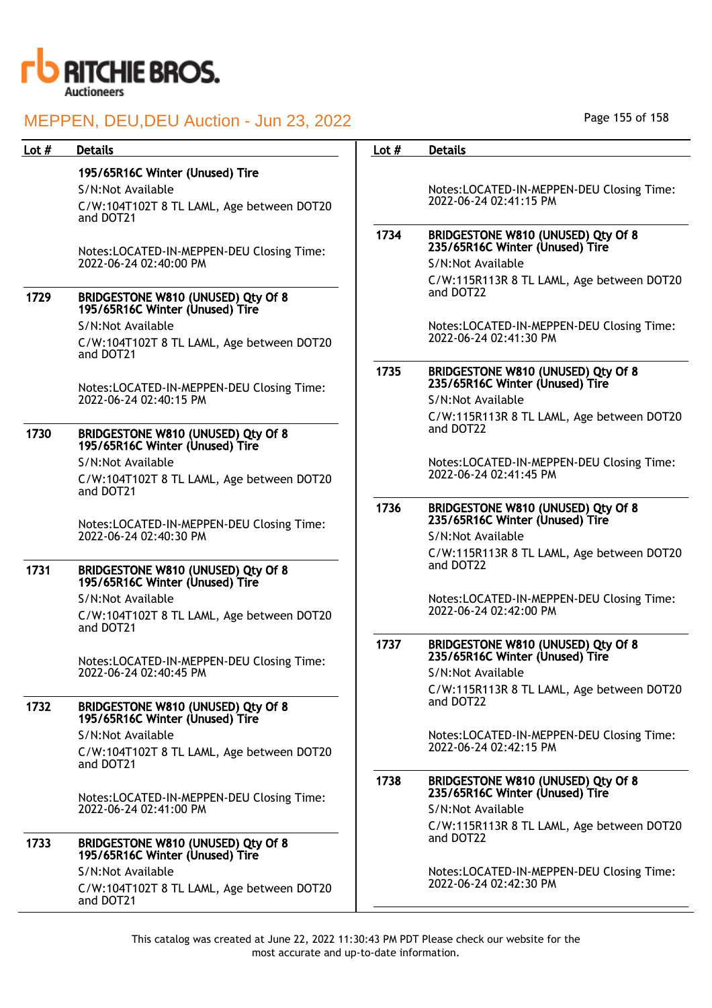

| Lot $#$ | <b>Details</b>                                                              | Lot $#$ | <b>Details</b>                                                                             |
|---------|-----------------------------------------------------------------------------|---------|--------------------------------------------------------------------------------------------|
|         | 195/65R16C Winter (Unused) Tire                                             |         |                                                                                            |
|         | S/N:Not Available                                                           |         | Notes:LOCATED-IN-MEPPEN-DEU Closing Time:                                                  |
|         | C/W:104T102T 8 TL LAML, Age between DOT20<br>and DOT21                      |         | 2022-06-24 02:41:15 PM                                                                     |
|         | Notes:LOCATED-IN-MEPPEN-DEU Closing Time:<br>2022-06-24 02:40:00 PM         | 1734    | BRIDGESTONE W810 (UNUSED) Qty Of 8<br>235/65R16C Winter (Unused) Tire<br>S/N:Not Available |
|         |                                                                             |         | C/W:115R113R 8 TL LAML, Age between DOT20                                                  |
| 1729    | BRIDGESTONE W810 (UNUSED) Qty Of 8<br>195/65R16C Winter (Unused) Tire       |         | and DOT22                                                                                  |
|         | S/N:Not Available                                                           |         | Notes:LOCATED-IN-MEPPEN-DEU Closing Time:                                                  |
|         | C/W:104T102T 8 TL LAML, Age between DOT20<br>and DOT21                      |         | 2022-06-24 02:41:30 PM                                                                     |
|         | Notes:LOCATED-IN-MEPPEN-DEU Closing Time:                                   | 1735    | BRIDGESTONE W810 (UNUSED) Qty Of 8<br>235/65R16C Winter (Unused) Tire                      |
|         | 2022-06-24 02:40:15 PM                                                      |         | S/N:Not Available                                                                          |
| 1730    | BRIDGESTONE W810 (UNUSED) Qty Of 8                                          |         | C/W:115R113R 8 TL LAML, Age between DOT20<br>and DOT22                                     |
|         | 195/65R16C Winter (Unused) Tire                                             |         |                                                                                            |
|         | S/N:Not Available                                                           |         | Notes:LOCATED-IN-MEPPEN-DEU Closing Time:<br>2022-06-24 02:41:45 PM                        |
|         | C/W:104T102T 8 TL LAML, Age between DOT20<br>and DOT21                      |         |                                                                                            |
|         |                                                                             | 1736    | BRIDGESTONE W810 (UNUSED) Qty Of 8                                                         |
|         | Notes:LOCATED-IN-MEPPEN-DEU Closing Time:                                   |         | 235/65R16C Winter (Unused) Tire                                                            |
|         | 2022-06-24 02:40:30 PM                                                      |         | S/N:Not Available                                                                          |
| 1731    | BRIDGESTONE W810 (UNUSED) Qty Of 8                                          |         | C/W:115R113R 8 TL LAML, Age between DOT20<br>and DOT22                                     |
|         | 195/65R16C Winter (Unused) Tire                                             |         |                                                                                            |
|         | S/N:Not Available                                                           |         | Notes:LOCATED-IN-MEPPEN-DEU Closing Time:<br>2022-06-24 02:42:00 PM                        |
|         | C/W:104T102T 8 TL LAML, Age between DOT20<br>and DOT21                      |         |                                                                                            |
|         |                                                                             | 1737    | BRIDGESTONE W810 (UNUSED) Qty Of 8                                                         |
|         | Notes:LOCATED-IN-MEPPEN-DEU Closing Time:                                   |         | 235/65R16C Winter (Unused) Tire                                                            |
|         | 2022-06-24 02:40:45 PM                                                      |         | S/N:Not Available                                                                          |
|         |                                                                             |         | C/W:115R113R 8 TL LAML, Age between DOT20<br>and DOT22                                     |
| 1732    | BRIDGESTONE W810 (UNUSED) Qty Of 8<br>195/65R16C Winter (Unused) Tire       |         |                                                                                            |
|         | S/N:Not Available                                                           |         | Notes:LOCATED-IN-MEPPEN-DEU Closing Time:                                                  |
|         | C/W:104T102T 8 TL LAML, Age between DOT20<br>and DOT21                      |         | 2022-06-24 02:42:15 PM                                                                     |
|         | Notes:LOCATED-IN-MEPPEN-DEU Closing Time:<br>2022-06-24 02:41:00 PM         | 1738    | BRIDGESTONE W810 (UNUSED) Qty Of 8<br>235/65R16C Winter (Unused) Tire                      |
|         |                                                                             |         | S/N:Not Available                                                                          |
| 1733    | BRIDGESTONE W810 (UNUSED) Qty Of 8                                          |         | C/W:115R113R 8 TL LAML, Age between DOT20<br>and DOT22                                     |
|         | 195/65R16C Winter (Unused) Tire                                             |         |                                                                                            |
|         | S/N:Not Available<br>C/W:104T102T 8 TL LAML, Age between DOT20<br>and DOT21 |         | Notes:LOCATED-IN-MEPPEN-DEU Closing Time:<br>2022-06-24 02:42:30 PM                        |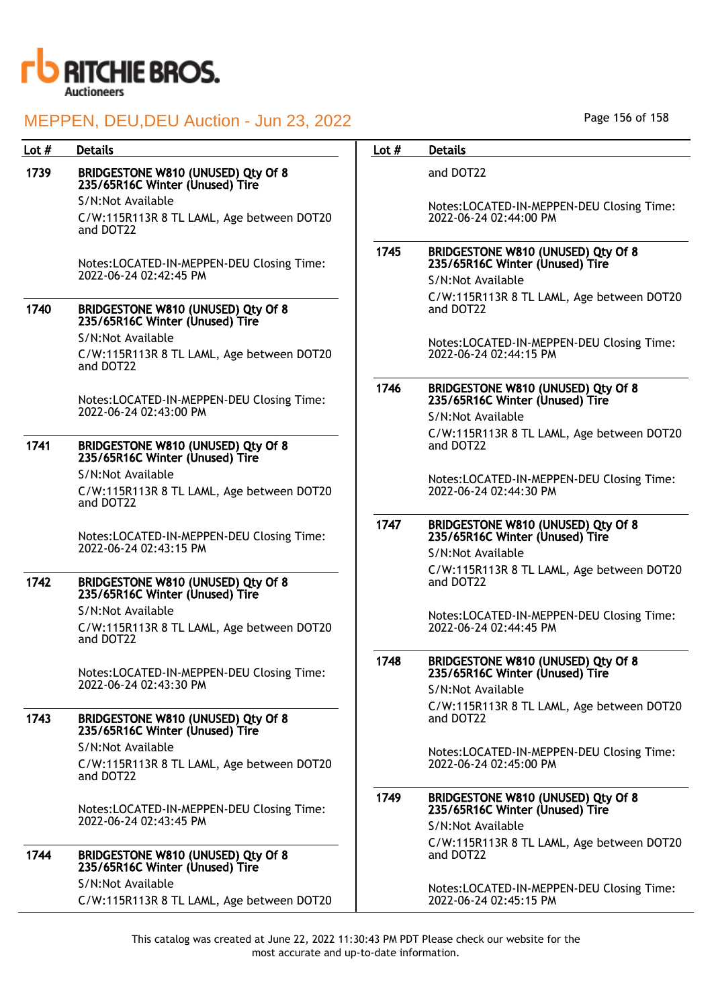

# Lot # Details **Details According to the United States Lot # Details** 1739 BRIDGESTONE W810 (UNUSED) Qty Of 8 235/65R16C Winter (Unused) Tire

S/N:Not Available C/W:115R113R 8 TL LAML, Age between DOT20 and DOT22

Notes:LOCATED-IN-MEPPEN-DEU Closing Time: 2022-06-24 02:42:45 PM

#### 1740 BRIDGESTONE W810 (UNUSED) Qty Of 8 235/65R16C Winter (Unused) Tire S/N:Not Available

C/W:115R113R 8 TL LAML, Age between DOT20 and DOT22

Notes:LOCATED-IN-MEPPEN-DEU Closing Time: 2022-06-24 02:43:00 PM

# 1741 BRIDGESTONE W810 (UNUSED) Qty Of 8 235/65R16C Winter (Unused) Tire

S/N:Not Available

C/W:115R113R 8 TL LAML, Age between DOT20 and DOT22

Notes:LOCATED-IN-MEPPEN-DEU Closing Time: 2022-06-24 02:43:15 PM

## 1742 BRIDGESTONE W810 (UNUSED) Qty Of 8 235/65R16C Winter (Unused) Tire

S/N:Not Available

C/W:115R113R 8 TL LAML, Age between DOT20 and DOT22

Notes:LOCATED-IN-MEPPEN-DEU Closing Time: 2022-06-24 02:43:30 PM

#### 1743 BRIDGESTONE W810 (UNUSED) Qty Of 8 235/65R16C Winter (Unused) Tire S/N:Not Available

C/W:115R113R 8 TL LAML, Age between DOT20 and DOT22

Notes:LOCATED-IN-MEPPEN-DEU Closing Time: 2022-06-24 02:43:45 PM

# 1744 BRIDGESTONE W810 (UNUSED) Qty Of 8 235/65R16C Winter (Unused) Tire S/N:Not Available

C/W:115R113R 8 TL LAML, Age between DOT20

and DOT22

Notes:LOCATED-IN-MEPPEN-DEU Closing Time: 2022-06-24 02:44:00 PM

#### 1745 BRIDGESTONE W810 (UNUSED) Qty Of 8 235/65R16C Winter (Unused) Tire S/N:Not Available

C/W:115R113R 8 TL LAML, Age between DOT20 and DOT22

Notes:LOCATED-IN-MEPPEN-DEU Closing Time: 2022-06-24 02:44:15 PM

### 1746 BRIDGESTONE W810 (UNUSED) Qty Of 8 235/65R16C Winter (Unused) Tire S/N:Not Available

C/W:115R113R 8 TL LAML, Age between DOT20 and DOT22

Notes:LOCATED-IN-MEPPEN-DEU Closing Time: 2022-06-24 02:44:30 PM

### 1747 BRIDGESTONE W810 (UNUSED) Qty Of 8 235/65R16C Winter (Unused) Tire

S/N:Not Available C/W:115R113R 8 TL LAML, Age between DOT20 and DOT22

Notes:LOCATED-IN-MEPPEN-DEU Closing Time: 2022-06-24 02:44:45 PM

# 1748 BRIDGESTONE W810 (UNUSED) Qty Of 8 235/65R16C Winter (Unused) Tire

S/N:Not Available C/W:115R113R 8 TL LAML, Age between DOT20 and DOT22

Notes:LOCATED-IN-MEPPEN-DEU Closing Time: 2022-06-24 02:45:00 PM

# 1749 BRIDGESTONE W810 (UNUSED) Qty Of 8 235/65R16C Winter (Unused) Tire S/N:Not Available

C/W:115R113R 8 TL LAML, Age between DOT20 and DOT22

Notes:LOCATED-IN-MEPPEN-DEU Closing Time: 2022-06-24 02:45:15 PM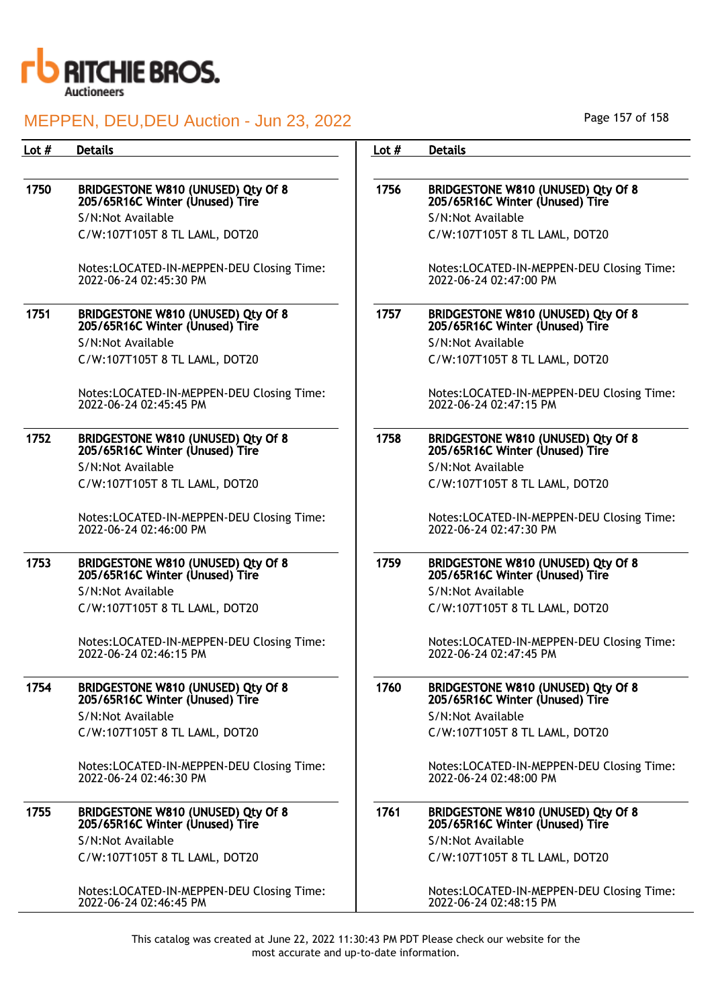

## 1750 BRIDGESTONE W810 (UNUSED) Qty Of 8 205/65R16C Winter (Unused) Tire S/N:Not Available

C/W:107T105T 8 TL LAML, DOT20

Notes:LOCATED-IN-MEPPEN-DEU Closing Time: 2022-06-24 02:45:30 PM

#### 1751 BRIDGESTONE W810 (UNUSED) Qty Of 8 205/65R16C Winter (Unused) Tire S/N:Not Available C/W:107T105T 8 TL LAML, DOT20

Notes:LOCATED-IN-MEPPEN-DEU Closing Time: 2022-06-24 02:45:45 PM

#### 1752 BRIDGESTONE W810 (UNUSED) Qty Of 8 205/65R16C Winter (Unused) Tire S/N:Not Available C/W:107T105T 8 TL LAML, DOT20

Notes:LOCATED-IN-MEPPEN-DEU Closing Time: 2022-06-24 02:46:00 PM

#### 1753 BRIDGESTONE W810 (UNUSED) Qty Of 8 205/65R16C Winter (Unused) Tire S/N:Not Available C/W:107T105T 8 TL LAML, DOT20

Notes:LOCATED-IN-MEPPEN-DEU Closing Time: 2022-06-24 02:46:15 PM

## 1754 BRIDGESTONE W810 (UNUSED) Qty Of 8 205/65R16C Winter (Unused) Tire S/N:Not Available

C/W:107T105T 8 TL LAML, DOT20

Notes:LOCATED-IN-MEPPEN-DEU Closing Time: 2022-06-24 02:46:30 PM

## 1755 BRIDGESTONE W810 (UNUSED) Qty Of 8 205/65R16C Winter (Unused) Tire S/N:Not Available

C/W:107T105T 8 TL LAML, DOT20

Notes:LOCATED-IN-MEPPEN-DEU Closing Time: 2022-06-24 02:46:45 PM

Page 157 of 158

#### Lot # Details **Details According to the United States Lot # Details**

# 1756 BRIDGESTONE W810 (UNUSED) Qty Of 8 205/65R16C Winter (Unused) Tire S/N:Not Available

C/W:107T105T 8 TL LAML, DOT20

Notes:LOCATED-IN-MEPPEN-DEU Closing Time: 2022-06-24 02:47:00 PM

# 1757 BRIDGESTONE W810 (UNUSED) Qty Of 8 205/65R16C Winter (Unused) Tire S/N:Not Available

C/W:107T105T 8 TL LAML, DOT20

Notes:LOCATED-IN-MEPPEN-DEU Closing Time: 2022-06-24 02:47:15 PM

### 1758 BRIDGESTONE W810 (UNUSED) Qty Of 8 205/65R16C Winter (Unused) Tire S/N:Not Available C/W:107T105T 8 TL LAML, DOT20

Notes:LOCATED-IN-MEPPEN-DEU Closing Time: 2022-06-24 02:47:30 PM

## 1759 BRIDGESTONE W810 (UNUSED) Qty Of 8 205/65R16C Winter (Unused) Tire S/N:Not Available C/W:107T105T 8 TL LAML, DOT20

Notes:LOCATED-IN-MEPPEN-DEU Closing Time: 2022-06-24 02:47:45 PM

#### 1760 BRIDGESTONE W810 (UNUSED) Qty Of 8 205/65R16C Winter (Unused) Tire

S/N:Not Available C/W:107T105T 8 TL LAML, DOT20

Notes:LOCATED-IN-MEPPEN-DEU Closing Time: 2022-06-24 02:48:00 PM

## 1761 BRIDGESTONE W810 (UNUSED) Qty Of 8 205/65R16C Winter (Unused) Tire

S/N:Not Available C/W:107T105T 8 TL LAML, DOT20

Notes:LOCATED-IN-MEPPEN-DEU Closing Time: 2022-06-24 02:48:15 PM